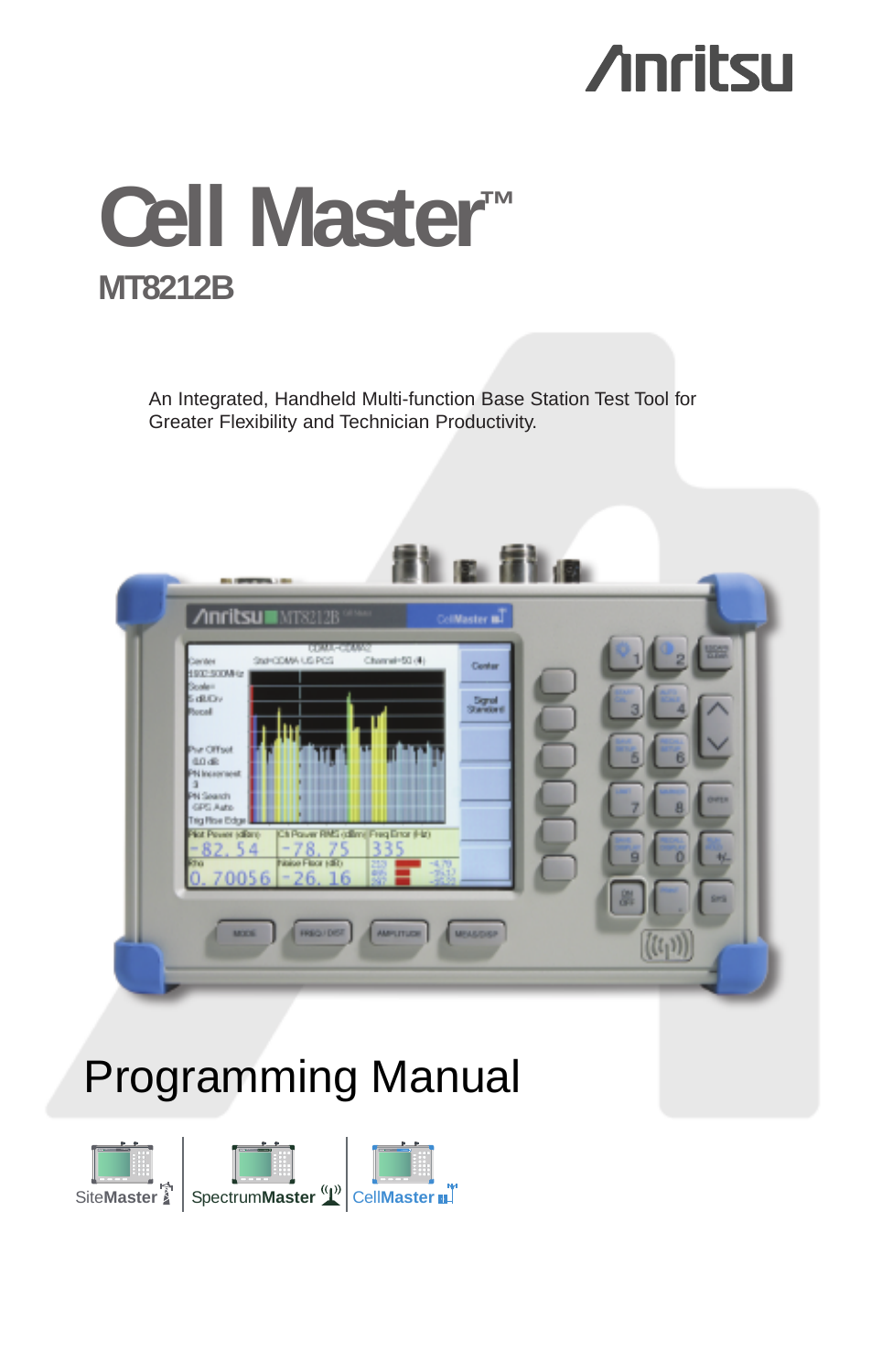# **Anritsu**

# **Cell Master™ MT8212B**

An Integrated, Handheld Multi-function Base Station Test Tool for Greater Flexibility and Technician Productivity.



## **Programming Manual**

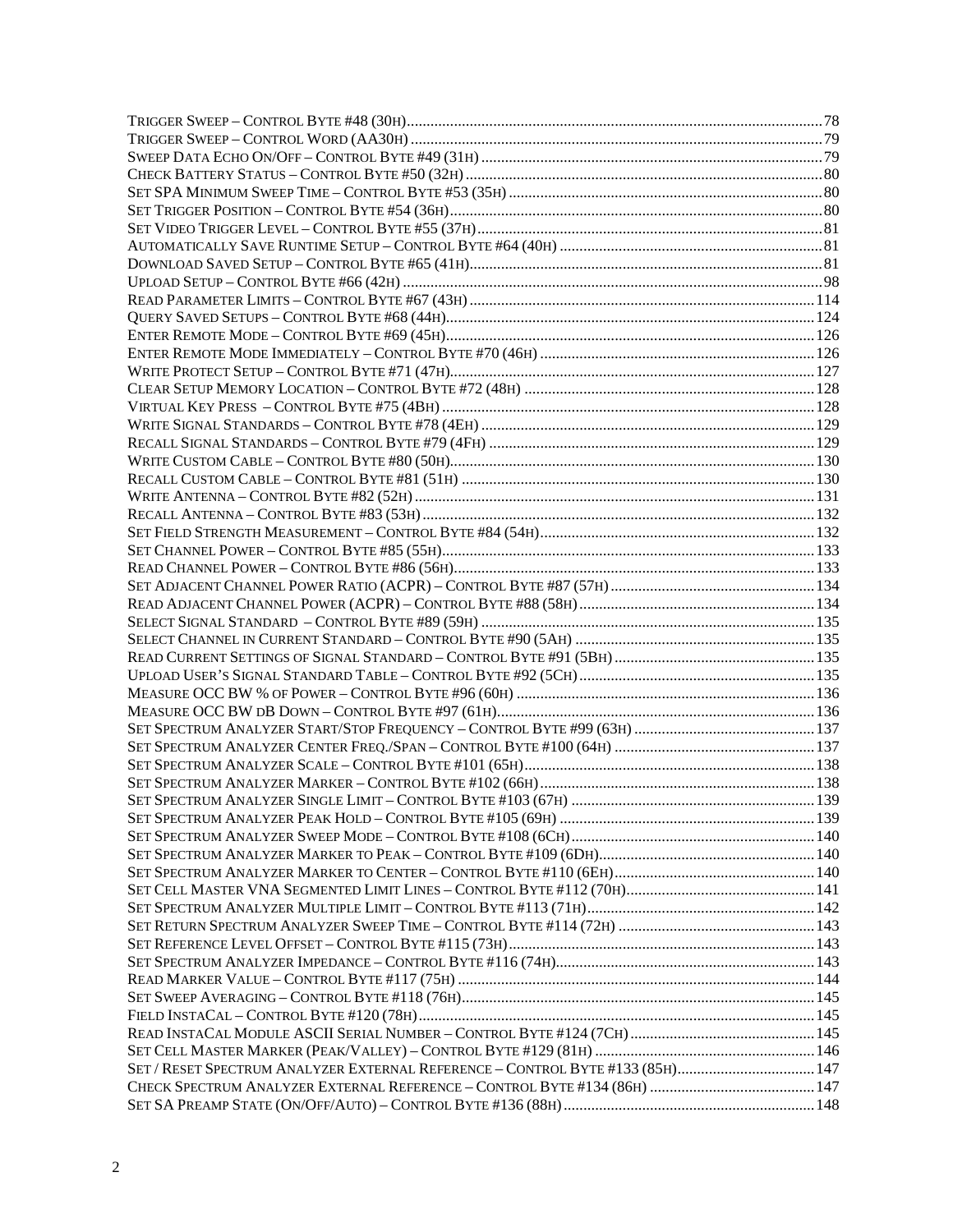| SET / RESET SPECTRUM ANALYZER EXTERNAL REFERENCE - CONTROL BYTE #133 (85H) 147 |  |
|--------------------------------------------------------------------------------|--|
|                                                                                |  |
|                                                                                |  |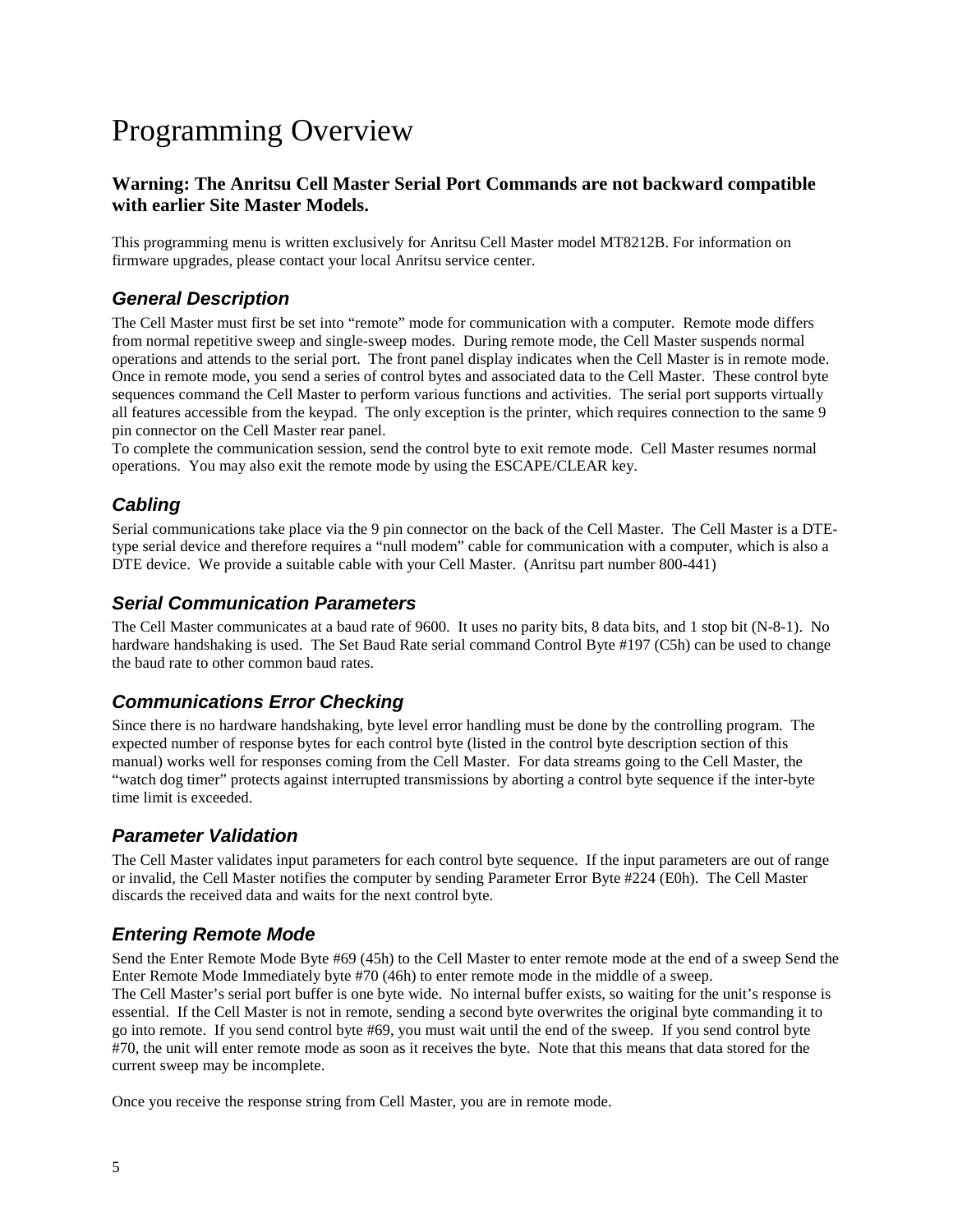## Programming Overview

#### **Warning: The Anritsu Cell Master Serial Port Commands are not backward compatible with earlier Site Master Models.**

This programming menu is written exclusively for Anritsu Cell Master model MT8212B. For information on firmware upgrades, please contact your local Anritsu service center.

## **General Description**

The Cell Master must first be set into "remote" mode for communication with a computer. Remote mode differs from normal repetitive sweep and single-sweep modes. During remote mode, the Cell Master suspends normal operations and attends to the serial port. The front panel display indicates when the Cell Master is in remote mode. Once in remote mode, you send a series of control bytes and associated data to the Cell Master. These control byte sequences command the Cell Master to perform various functions and activities. The serial port supports virtually all features accessible from the keypad. The only exception is the printer, which requires connection to the same 9 pin connector on the Cell Master rear panel.

To complete the communication session, send the control byte to exit remote mode. Cell Master resumes normal operations. You may also exit the remote mode by using the ESCAPE/CLEAR key.

## **Cabling**

Serial communications take place via the 9 pin connector on the back of the Cell Master. The Cell Master is a DTEtype serial device and therefore requires a "null modem" cable for communication with a computer, which is also a DTE device. We provide a suitable cable with your Cell Master. (Anritsu part number 800-441)

#### **Serial Communication Parameters**

The Cell Master communicates at a baud rate of 9600. It uses no parity bits, 8 data bits, and 1 stop bit (N-8-1). No hardware handshaking is used. The Set Baud Rate serial command Control Byte #197 (C5h) can be used to change the baud rate to other common baud rates.

## **Communications Error Checking**

Since there is no hardware handshaking, byte level error handling must be done by the controlling program. The expected number of response bytes for each control byte (listed in the control byte description section of this manual) works well for responses coming from the Cell Master. For data streams going to the Cell Master, the "watch dog timer" protects against interrupted transmissions by aborting a control byte sequence if the inter-byte time limit is exceeded.

## **Parameter Validation**

The Cell Master validates input parameters for each control byte sequence. If the input parameters are out of range or invalid, the Cell Master notifies the computer by sending Parameter Error Byte #224 (E0h). The Cell Master discards the received data and waits for the next control byte.

## **Entering Remote Mode**

Send the Enter Remote Mode Byte #69 (45h) to the Cell Master to enter remote mode at the end of a sweep Send the Enter Remote Mode Immediately byte #70 (46h) to enter remote mode in the middle of a sweep. The Cell Master's serial port buffer is one byte wide. No internal buffer exists, so waiting for the unit's response is essential. If the Cell Master is not in remote, sending a second byte overwrites the original byte commanding it to go into remote. If you send control byte #69, you must wait until the end of the sweep. If you send control byte #70, the unit will enter remote mode as soon as it receives the byte. Note that this means that data stored for the current sweep may be incomplete.

Once you receive the response string from Cell Master, you are in remote mode.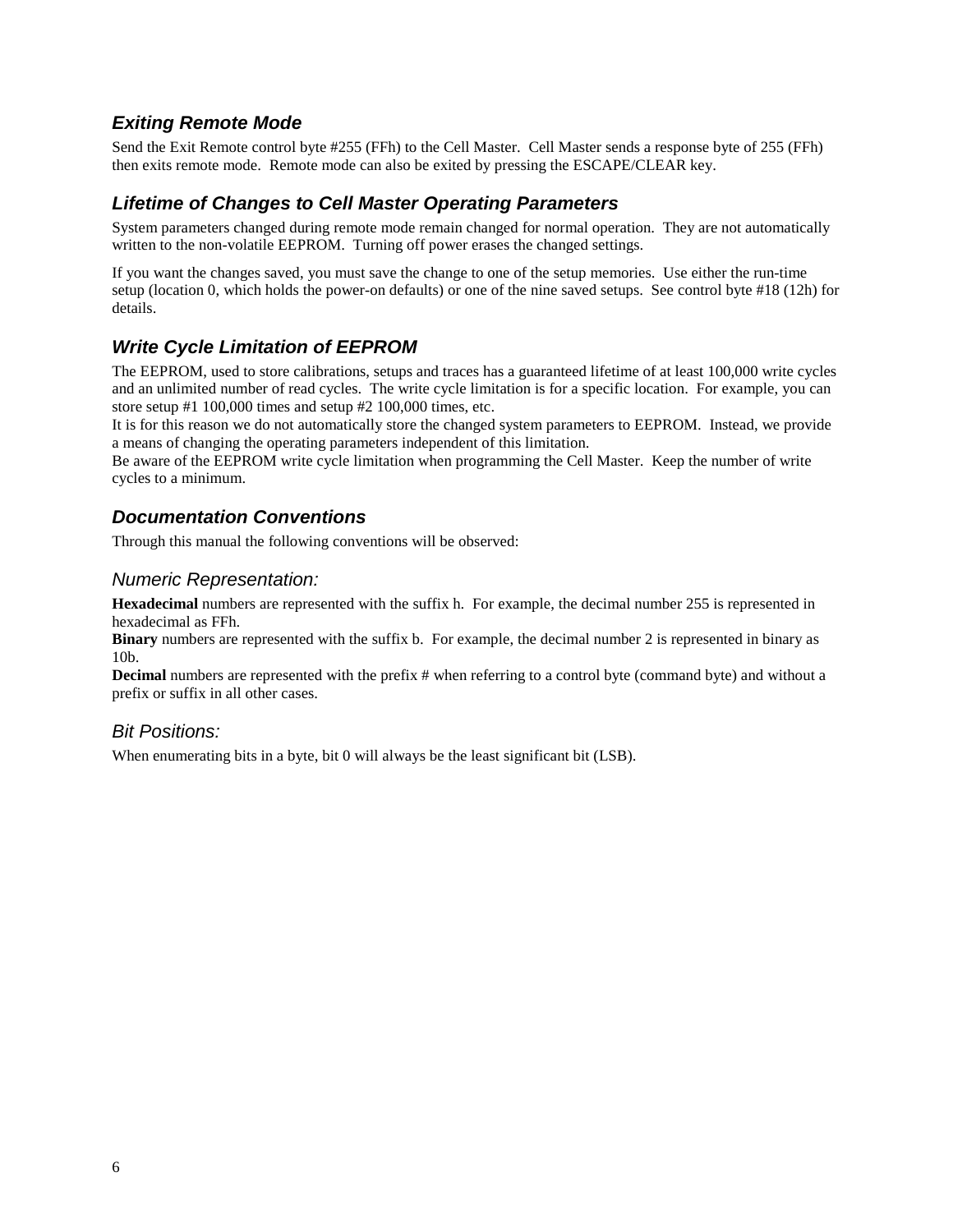## **Exiting Remote Mode**

Send the Exit Remote control byte #255 (FFh) to the Cell Master. Cell Master sends a response byte of 255 (FFh) then exits remote mode. Remote mode can also be exited by pressing the ESCAPE/CLEAR key.

### **Lifetime of Changes to Cell Master Operating Parameters**

System parameters changed during remote mode remain changed for normal operation. They are not automatically written to the non-volatile EEPROM. Turning off power erases the changed settings.

If you want the changes saved, you must save the change to one of the setup memories. Use either the run-time setup (location 0, which holds the power-on defaults) or one of the nine saved setups. See control byte #18 (12h) for details.

## **Write Cycle Limitation of EEPROM**

The EEPROM, used to store calibrations, setups and traces has a guaranteed lifetime of at least 100,000 write cycles and an unlimited number of read cycles. The write cycle limitation is for a specific location. For example, you can store setup #1 100,000 times and setup #2 100,000 times, etc.

It is for this reason we do not automatically store the changed system parameters to EEPROM. Instead, we provide a means of changing the operating parameters independent of this limitation.

Be aware of the EEPROM write cycle limitation when programming the Cell Master. Keep the number of write cycles to a minimum.

#### **Documentation Conventions**

Through this manual the following conventions will be observed:

#### Numeric Representation:

**Hexadecimal** numbers are represented with the suffix h. For example, the decimal number 255 is represented in hexadecimal as FFh.

**Binary** numbers are represented with the suffix b. For example, the decimal number 2 is represented in binary as 10b.

**Decimal** numbers are represented with the prefix # when referring to a control byte (command byte) and without a prefix or suffix in all other cases.

#### Bit Positions:

When enumerating bits in a byte, bit 0 will always be the least significant bit (LSB).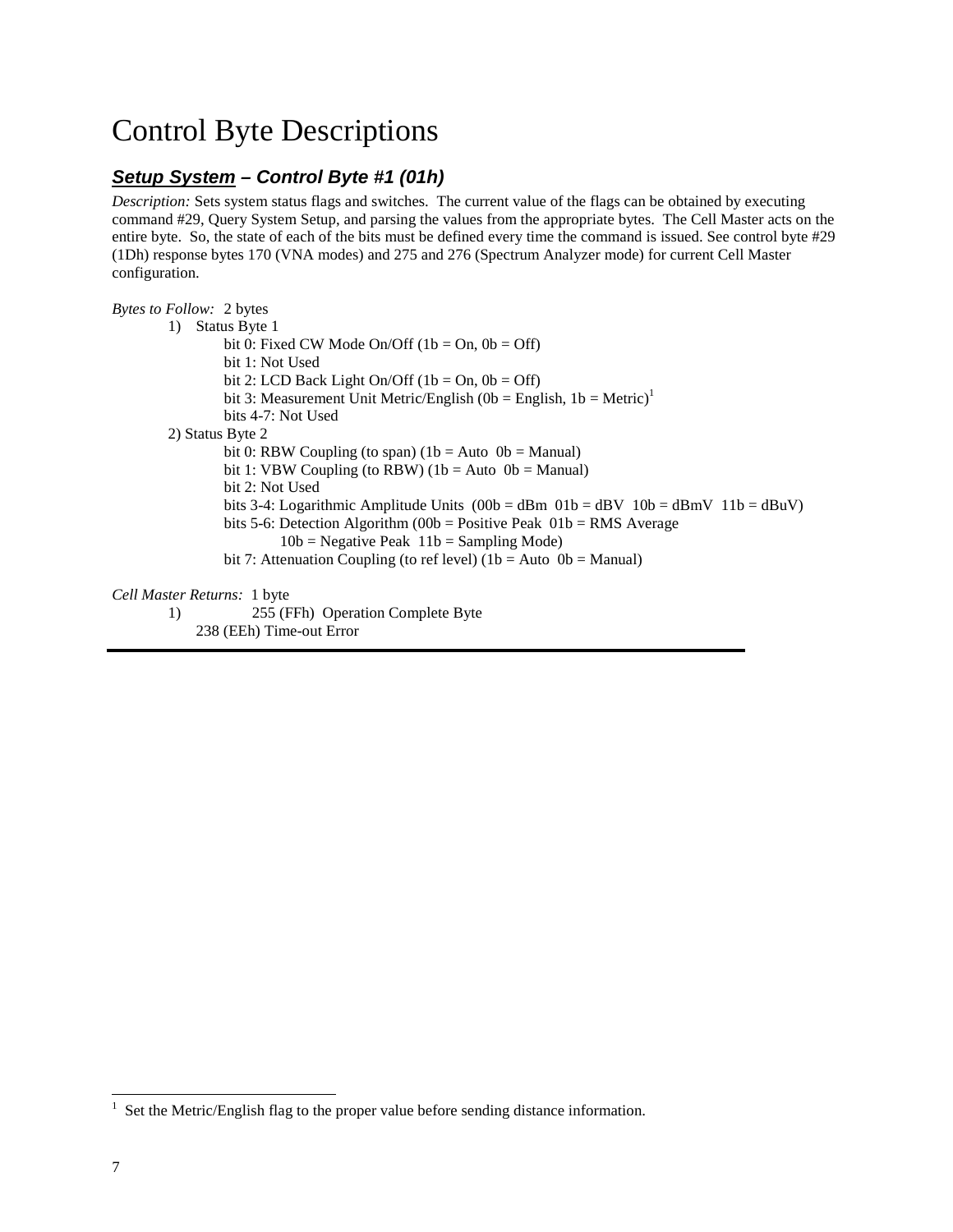## Control Byte Descriptions

## **Setup System – Control Byte #1 (01h)**

*Description:* Sets system status flags and switches. The current value of the flags can be obtained by executing command #29, Query System Setup, and parsing the values from the appropriate bytes. The Cell Master acts on the entire byte. So, the state of each of the bits must be defined every time the command is issued. See control byte #29 (1Dh) response bytes 170 (VNA modes) and 275 and 276 (Spectrum Analyzer mode) for current Cell Master configuration.

| <i>Bytes to Follow:</i> 2 bytes                                                                         |  |
|---------------------------------------------------------------------------------------------------------|--|
| Status Byte 1<br>1)                                                                                     |  |
| bit 0: Fixed CW Mode On/Off $(1b = On, 0b = Off)$                                                       |  |
| bit 1: Not Used                                                                                         |  |
| bit 2: LCD Back Light On/Off (1b = On, 0b = Off)                                                        |  |
| bit 3: Measurement Unit Metric/English (0b = English, 1b = Metric) <sup>1</sup>                         |  |
| bits 4-7: Not Used                                                                                      |  |
| 2) Status Byte 2                                                                                        |  |
| bit 0: RBW Coupling (to span) $(1b = Auto 0b = Manual)$                                                 |  |
| bit 1: VBW Coupling (to RBW) $(1b = Auto 0b = Manual)$                                                  |  |
| bit 2: Not Used                                                                                         |  |
| bits 3-4: Logarithmic Amplitude Units $(00b = dBm 01b = dBV 10b = dBmV 11b = dBuV)$                     |  |
| bits 5-6: Detection Algorithm (00b = Positive Peak $01b$ = RMS Average                                  |  |
| $10b$ = Negative Peak $11b$ = Sampling Mode)                                                            |  |
| bit 7: Attenuation Coupling (to ref level) $(1b = Auto 0b = Manual)$                                    |  |
| Cell Master Returns: 1 byte                                                                             |  |
| $\Delta \epsilon \epsilon$ (FFL) $\Delta$ . $\cdots$ $\Delta$ . $\cdots$ $\Delta$ . $\cdots$ $\Delta$ . |  |

1) 255 (FFh) Operation Complete Byte 238 (EEh) Time-out Error

<sup>1</sup> Set the Metric/English flag to the proper value before sending distance information.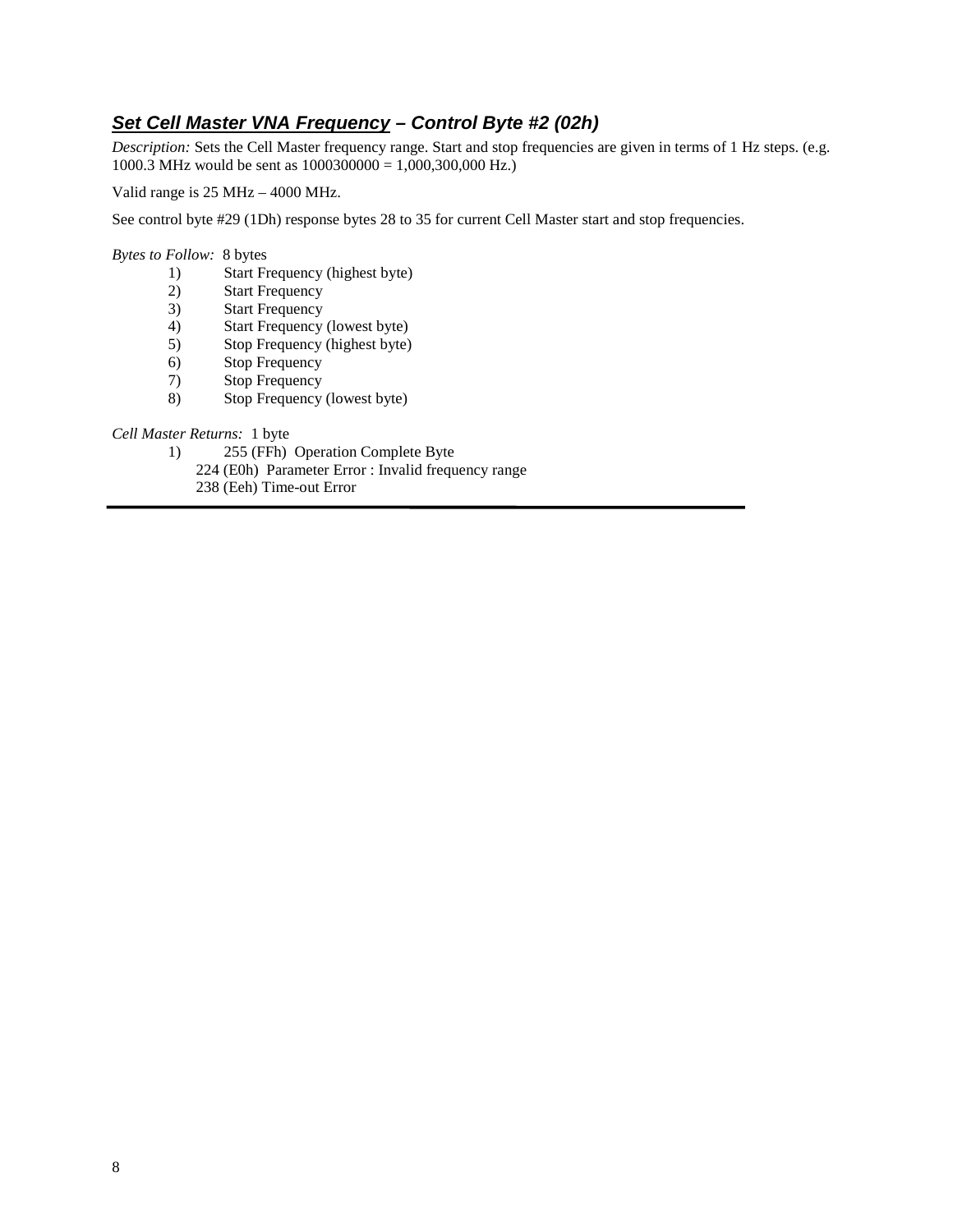## **Set Cell Master VNA Frequency – Control Byte #2 (02h)**

*Description:* Sets the Cell Master frequency range. Start and stop frequencies are given in terms of 1 Hz steps. (e.g. 1000.3 MHz would be sent as  $1000300000 = 1,000,300,000$  Hz.)

Valid range is 25 MHz – 4000 MHz.

See control byte #29 (1Dh) response bytes 28 to 35 for current Cell Master start and stop frequencies.

*Bytes to Follow:* 8 bytes

- 1) Start Frequency (highest byte)<br>2) Start Frequency
- Start Frequency
- 3) Start Frequency<br>4) Start Frequency
- Start Frequency (lowest byte)
- 5) Stop Frequency (highest byte)
- 6) Stop Frequency
- 7) Stop Frequency
- 8) Stop Frequency (lowest byte)

*Cell Master Returns:* 1 byte

- 1) 255 (FFh) Operation Complete Byte
	- 224 (E0h) Parameter Error : Invalid frequency range
		- 238 (Eeh) Time-out Error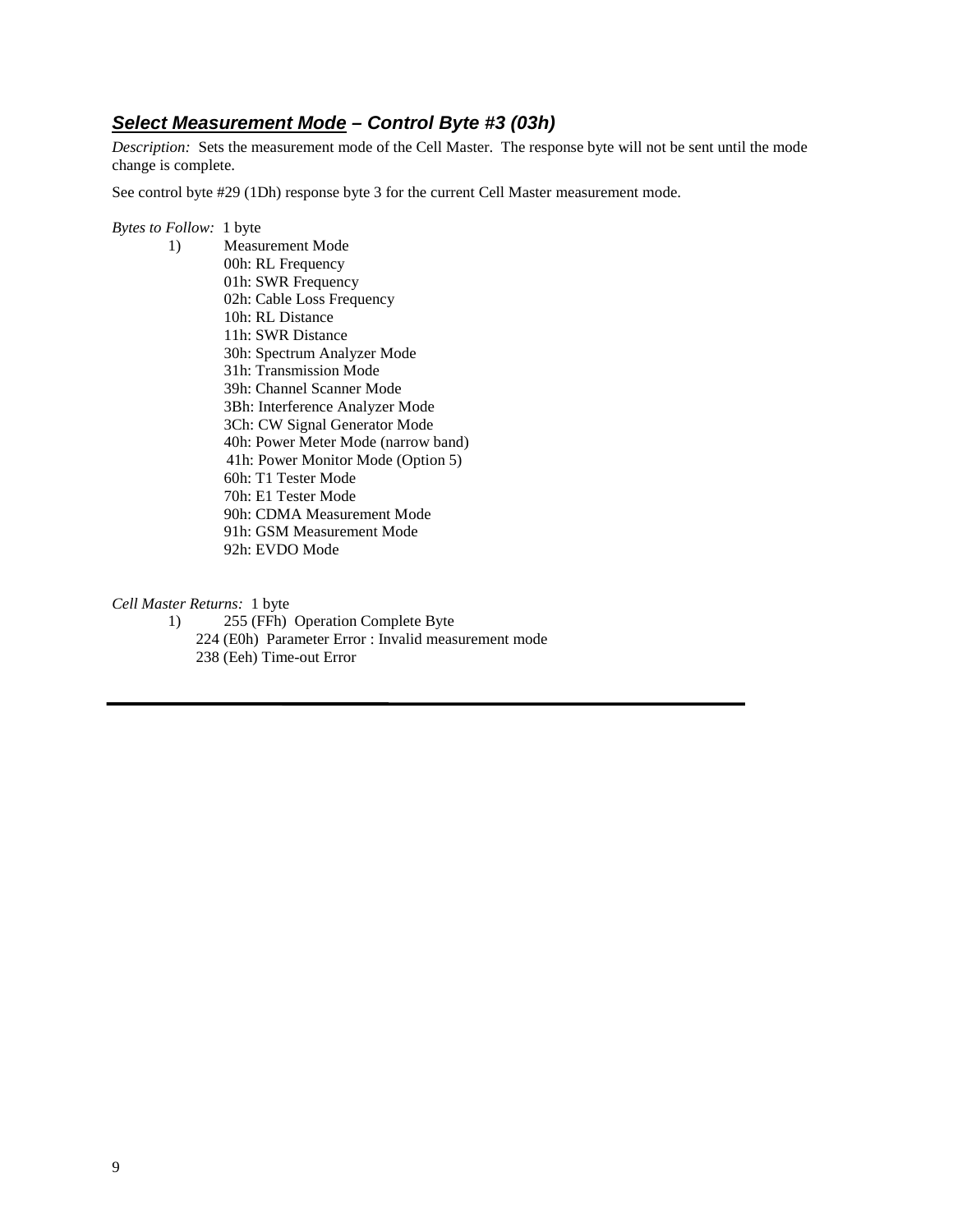## **Select Measurement Mode – Control Byte #3 (03h)**

*Description:* Sets the measurement mode of the Cell Master. The response byte will not be sent until the mode change is complete.

See control byte #29 (1Dh) response byte 3 for the current Cell Master measurement mode.

#### *Bytes to Follow:* 1 byte

1) Measurement Mode 00h: RL Frequency 01h: SWR Frequency 02h: Cable Loss Frequency 10h: RL Distance 11h: SWR Distance 30h: Spectrum Analyzer Mode 31h: Transmission Mode 39h: Channel Scanner Mode 3Bh: Interference Analyzer Mode 3Ch: CW Signal Generator Mode 40h: Power Meter Mode (narrow band) 41h: Power Monitor Mode (Option 5) 60h: T1 Tester Mode 70h: E1 Tester Mode 90h: CDMA Measurement Mode 91h: GSM Measurement Mode 92h: EVDO Mode

*Cell Master Returns:* 1 byte

1) 255 (FFh) Operation Complete Byte 224 (E0h) Parameter Error : Invalid measurement mode 238 (Eeh) Time-out Error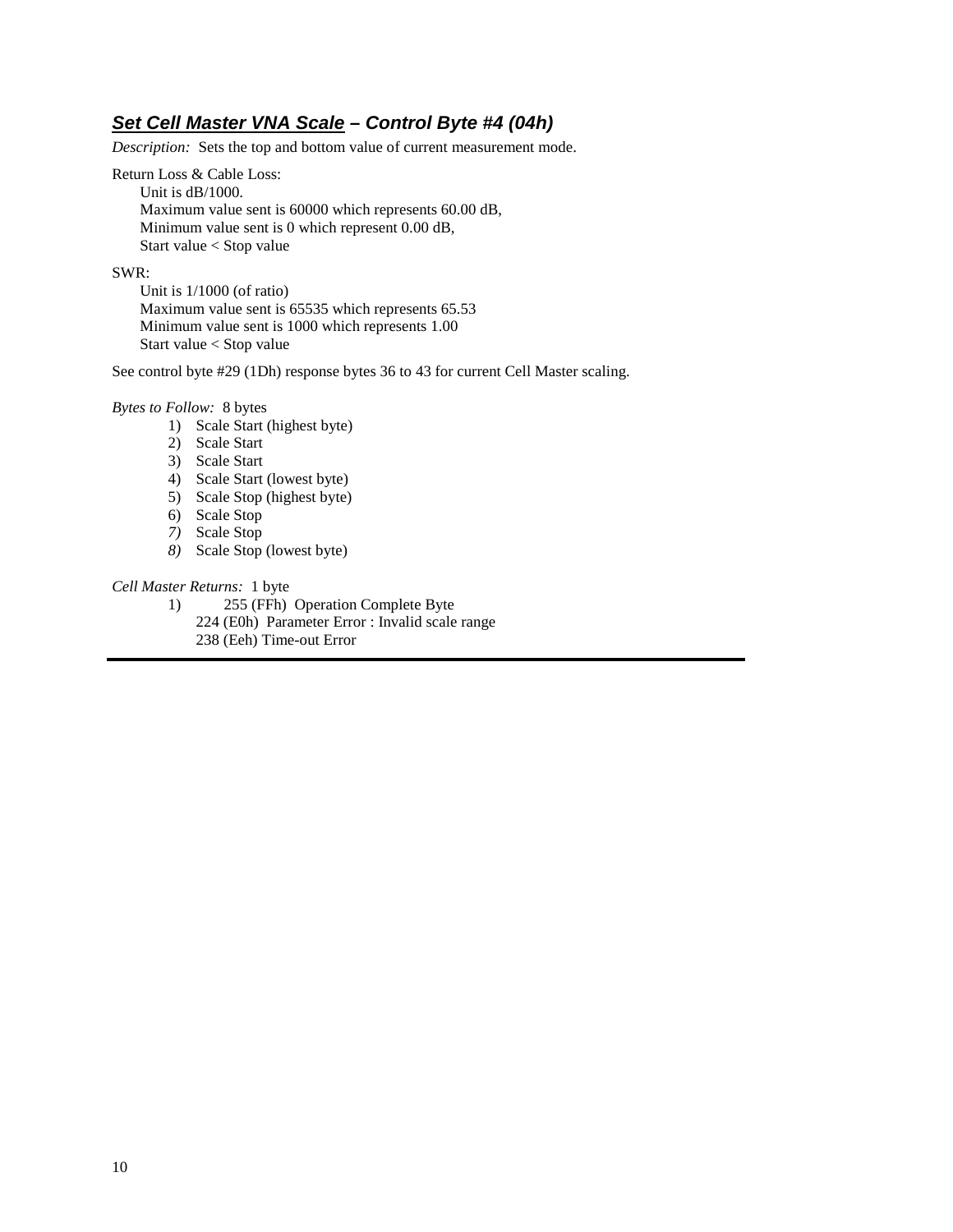## **Set Cell Master VNA Scale – Control Byte #4 (04h)**

*Description:* Sets the top and bottom value of current measurement mode.

Return Loss & Cable Loss: Unit is dB/1000. Maximum value sent is 60000 which represents 60.00 dB, Minimum value sent is 0 which represent 0.00 dB, Start value < Stop value

#### SWR:

 Unit is 1/1000 (of ratio) Maximum value sent is 65535 which represents 65.53 Minimum value sent is 1000 which represents 1.00 Start value < Stop value

See control byte #29 (1Dh) response bytes 36 to 43 for current Cell Master scaling.

*Bytes to Follow:* 8 bytes

- 1) Scale Start (highest byte)
- 2) Scale Start
- 3) Scale Start
- 4) Scale Start (lowest byte)
- 5) Scale Stop (highest byte)
- 6) Scale Stop
- *7)* Scale Stop
- *8)* Scale Stop (lowest byte)

*Cell Master Returns:* 1 byte

- 1) 255 (FFh) Operation Complete Byte
	- 224 (E0h) Parameter Error : Invalid scale range
	- 238 (Eeh) Time-out Error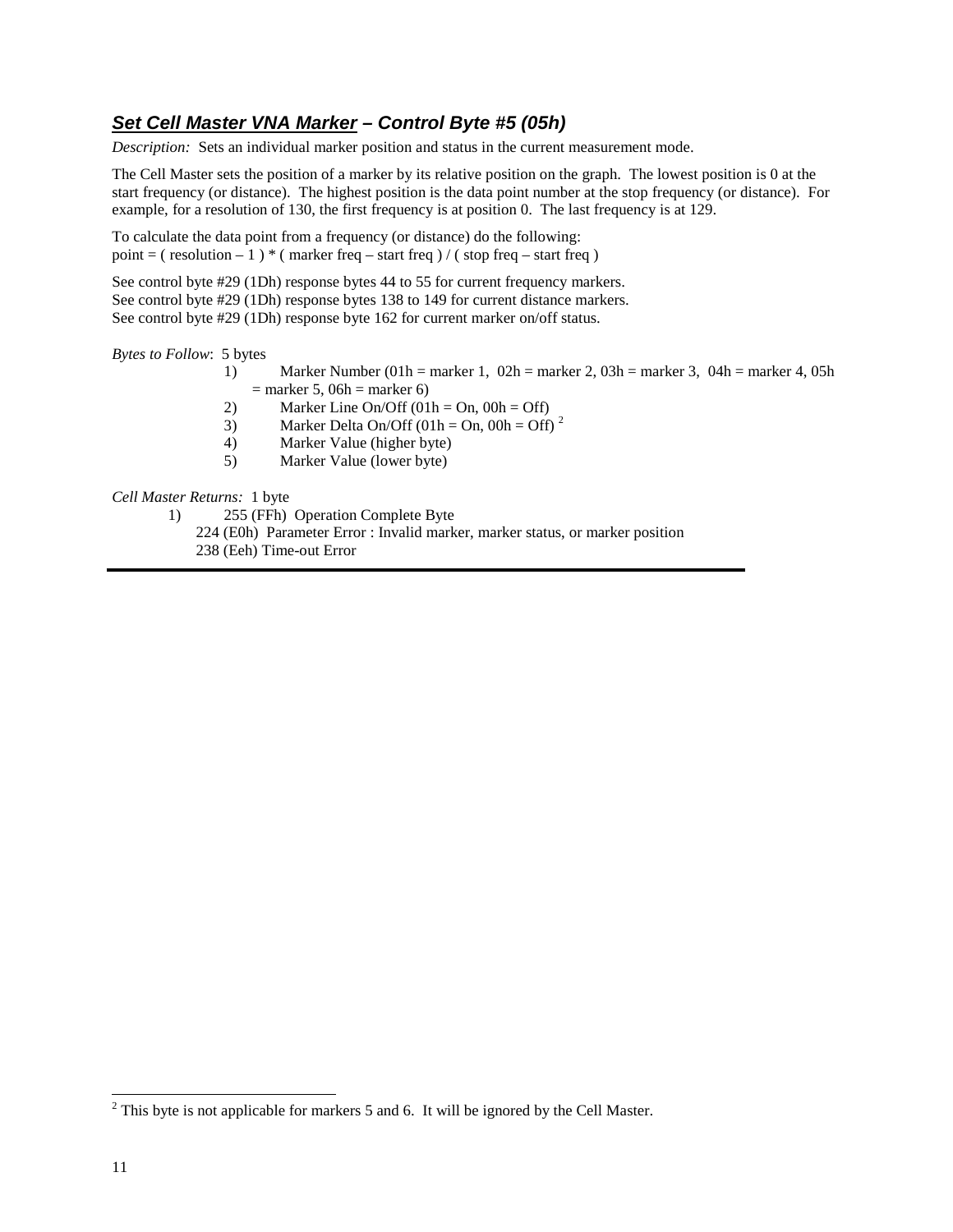## **Set Cell Master VNA Marker – Control Byte #5 (05h)**

*Description:* Sets an individual marker position and status in the current measurement mode.

The Cell Master sets the position of a marker by its relative position on the graph. The lowest position is 0 at the start frequency (or distance). The highest position is the data point number at the stop frequency (or distance). For example, for a resolution of 130, the first frequency is at position 0. The last frequency is at 129.

To calculate the data point from a frequency (or distance) do the following: point =  $(\text{resolution} - 1) * (\text{marker freq} - \text{start freq}) / (\text{stop freq} - \text{start freq})$ 

See control byte #29 (1Dh) response bytes 44 to 55 for current frequency markers. See control byte #29 (1Dh) response bytes 138 to 149 for current distance markers. See control byte #29 (1Dh) response byte 162 for current marker on/off status.

*Bytes to Follow*: 5 bytes

- 1) Marker Number (01h = marker 1, 02h = marker 2, 03h = marker 3, 04h = marker 4, 05h  $=$  marker 5, 06h  $=$  marker 6)
- 2) Marker Line On/Off  $(01h = On, 00h = Off)$
- 3) Marker Delta On/Off  $(01h = 0n, 00h = 0ff)^2$
- 4) Marker Value (higher byte)
- 5) Marker Value (lower byte)

*Cell Master Returns:* 1 byte

1) 255 (FFh) Operation Complete Byte

224 (E0h) Parameter Error : Invalid marker, marker status, or marker position 238 (Eeh) Time-out Error

 $2$  This byte is not applicable for markers 5 and 6. It will be ignored by the Cell Master.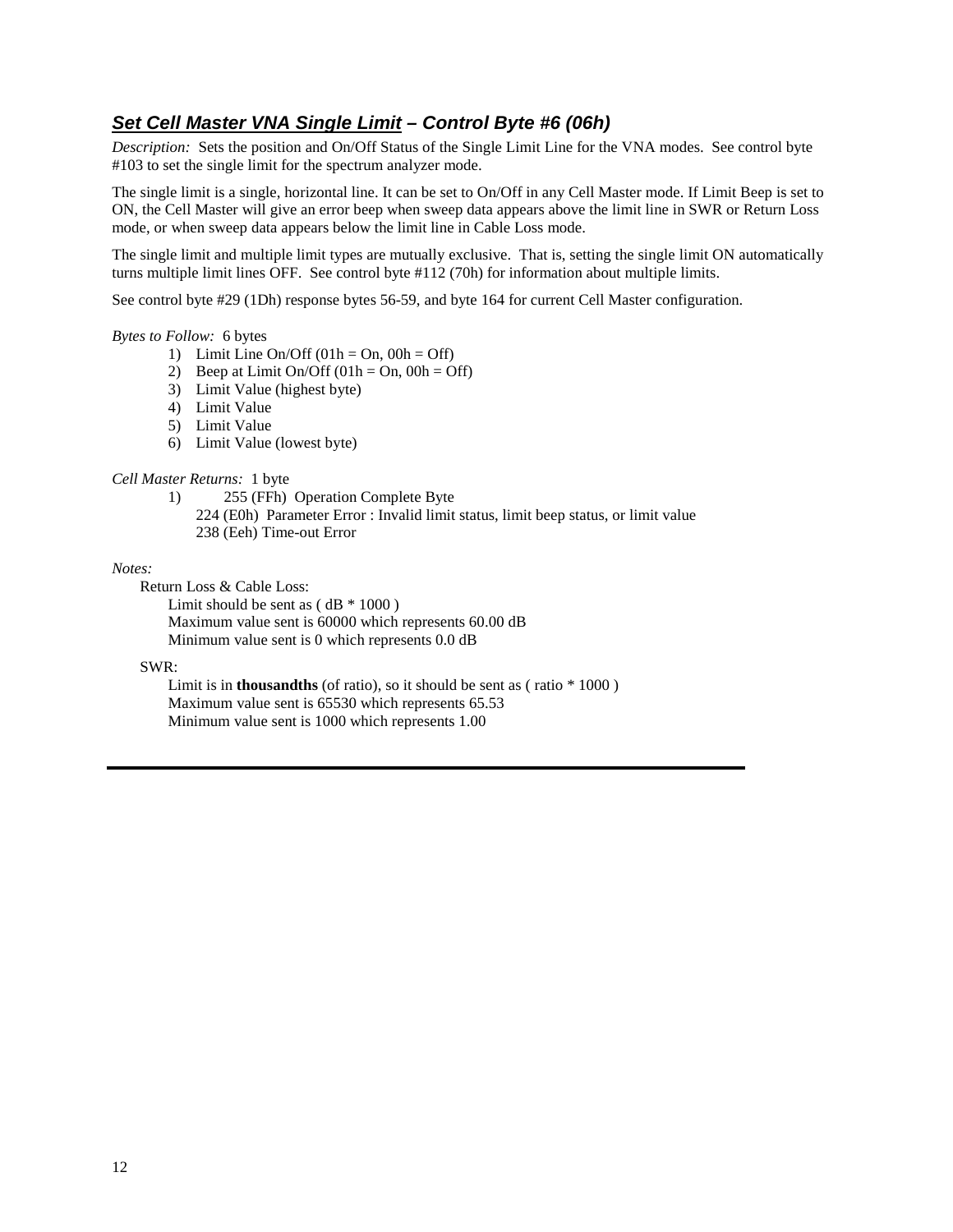## **Set Cell Master VNA Single Limit – Control Byte #6 (06h)**

*Description:* Sets the position and On/Off Status of the Single Limit Line for the VNA modes. See control byte #103 to set the single limit for the spectrum analyzer mode.

The single limit is a single, horizontal line. It can be set to On/Off in any Cell Master mode. If Limit Beep is set to ON, the Cell Master will give an error beep when sweep data appears above the limit line in SWR or Return Loss mode, or when sweep data appears below the limit line in Cable Loss mode.

The single limit and multiple limit types are mutually exclusive. That is, setting the single limit ON automatically turns multiple limit lines OFF. See control byte #112 (70h) for information about multiple limits.

See control byte #29 (1Dh) response bytes 56-59, and byte 164 for current Cell Master configuration.

#### *Bytes to Follow:* 6 bytes

- 1) Limit Line On/Off  $(01h = On, 00h = Off)$
- 2) Beep at Limit On/Off  $(01h = On, 00h = Off)$
- 3) Limit Value (highest byte)
- 4) Limit Value
- 5) Limit Value
- 6) Limit Value (lowest byte)

#### *Cell Master Returns:* 1 byte

- 1) 255 (FFh) Operation Complete Byte
	- 224 (E0h) Parameter Error : Invalid limit status, limit beep status, or limit value 238 (Eeh) Time-out Error

#### *Notes:*

- Return Loss & Cable Loss:
	- Limit should be sent as  $(dB * 1000)$  Maximum value sent is 60000 which represents 60.00 dB Minimum value sent is 0 which represents 0.0 dB

#### SWR:

 Limit is in **thousandths** (of ratio), so it should be sent as ( ratio \* 1000 ) Maximum value sent is 65530 which represents 65.53 Minimum value sent is 1000 which represents 1.00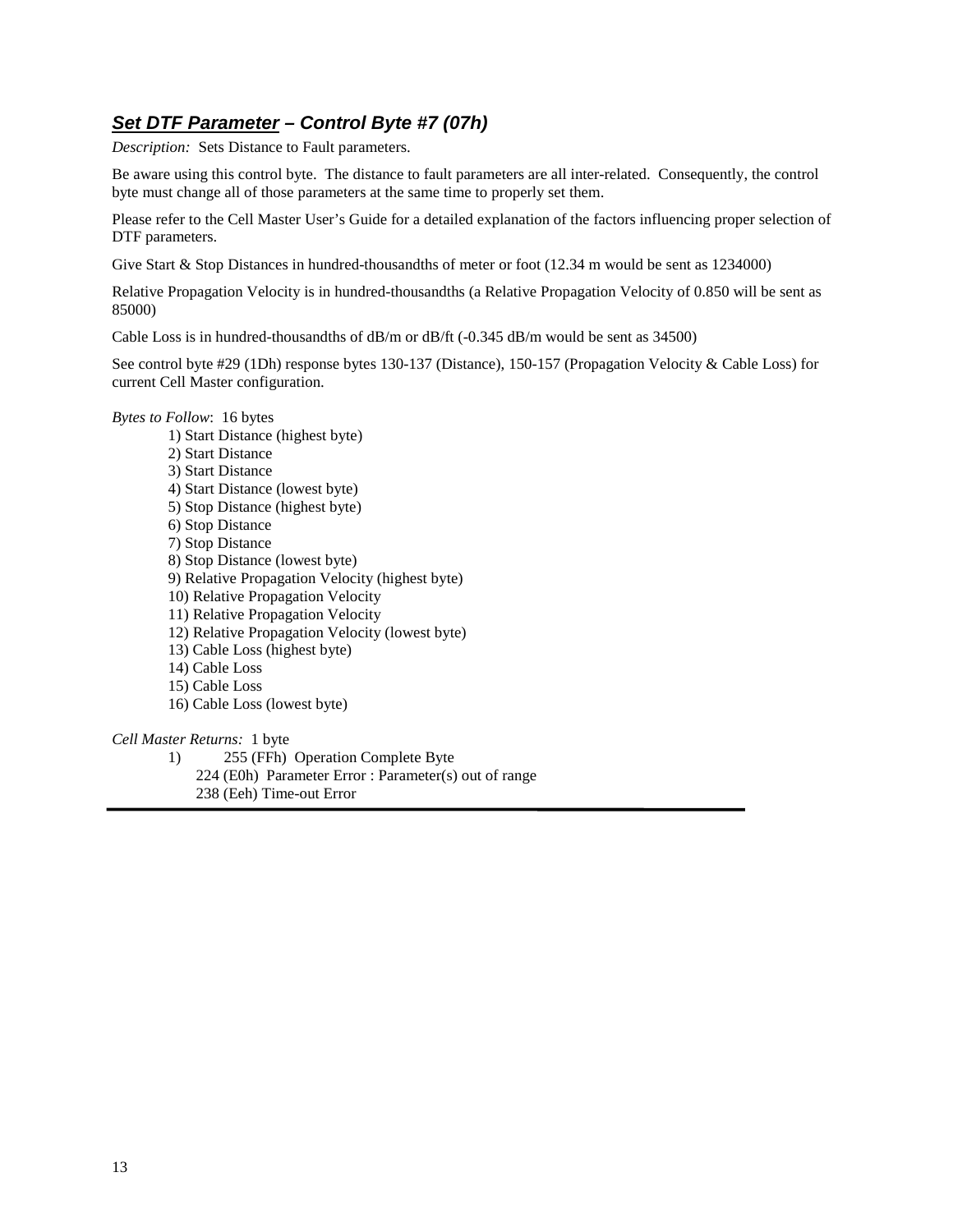## **Set DTF Parameter – Control Byte #7 (07h)**

*Description:* Sets Distance to Fault parameters.

Be aware using this control byte. The distance to fault parameters are all inter-related. Consequently, the control byte must change all of those parameters at the same time to properly set them.

Please refer to the Cell Master User's Guide for a detailed explanation of the factors influencing proper selection of DTF parameters.

Give Start & Stop Distances in hundred-thousandths of meter or foot (12.34 m would be sent as 1234000)

Relative Propagation Velocity is in hundred-thousandths (a Relative Propagation Velocity of 0.850 will be sent as 85000)

Cable Loss is in hundred-thousandths of dB/m or dB/ft (-0.345 dB/m would be sent as 34500)

See control byte #29 (1Dh) response bytes 130-137 (Distance), 150-157 (Propagation Velocity & Cable Loss) for current Cell Master configuration.

#### *Bytes to Follow*: 16 bytes

1) Start Distance (highest byte) 2) Start Distance 3) Start Distance 4) Start Distance (lowest byte) 5) Stop Distance (highest byte) 6) Stop Distance 7) Stop Distance 8) Stop Distance (lowest byte) 9) Relative Propagation Velocity (highest byte) 10) Relative Propagation Velocity 11) Relative Propagation Velocity 12) Relative Propagation Velocity (lowest byte) 13) Cable Loss (highest byte) 14) Cable Loss 15) Cable Loss 16) Cable Loss (lowest byte)

#### *Cell Master Returns:* 1 byte

- 1) 255 (FFh) Operation Complete Byte
	- 224 (E0h) Parameter Error : Parameter(s) out of range
	- 238 (Eeh) Time-out Error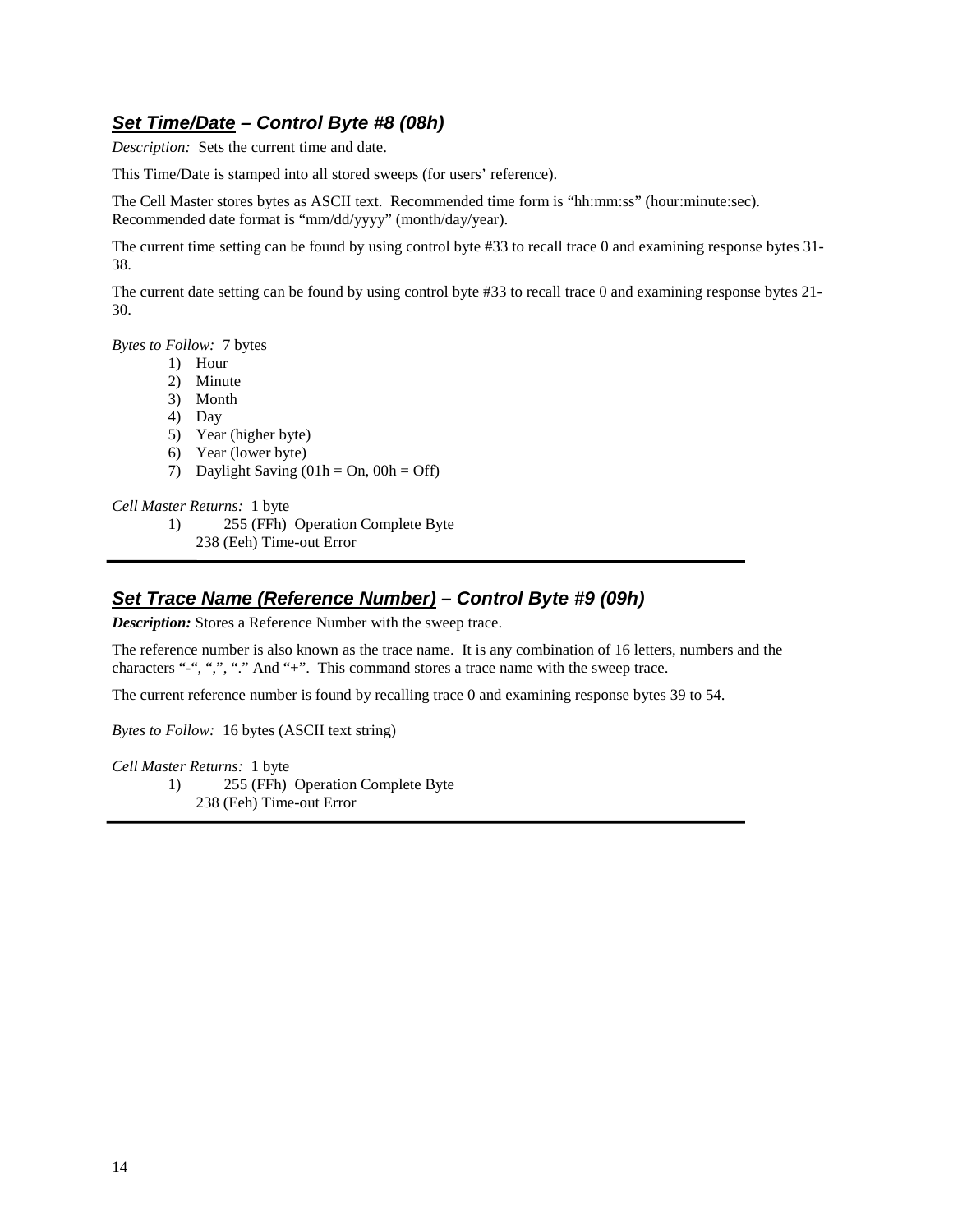### **Set Time/Date – Control Byte #8 (08h)**

*Description:* Sets the current time and date.

This Time/Date is stamped into all stored sweeps (for users' reference).

The Cell Master stores bytes as ASCII text. Recommended time form is "hh:mm:ss" (hour:minute:sec). Recommended date format is "mm/dd/yyyy" (month/day/year).

The current time setting can be found by using control byte #33 to recall trace 0 and examining response bytes 31- 38.

The current date setting can be found by using control byte #33 to recall trace 0 and examining response bytes 21- 30.

*Bytes to Follow:* 7 bytes

- 1) Hour
- 2) Minute
- 3) Month
- 4) Day
- 5) Year (higher byte)
- 6) Year (lower byte)
- 7) Daylight Saving  $(01h = On, 00h = Off)$

*Cell Master Returns:* 1 byte

- 1) 255 (FFh) Operation Complete Byte
	- 238 (Eeh) Time-out Error

#### **Set Trace Name (Reference Number) – Control Byte #9 (09h)**

*Description:* Stores a Reference Number with the sweep trace.

The reference number is also known as the trace name. It is any combination of 16 letters, numbers and the characters "-", ",", "..." And "+". This command stores a trace name with the sweep trace.

The current reference number is found by recalling trace 0 and examining response bytes 39 to 54.

*Bytes to Follow:* 16 bytes (ASCII text string)

*Cell Master Returns:* 1 byte

1) 255 (FFh) Operation Complete Byte 238 (Eeh) Time-out Error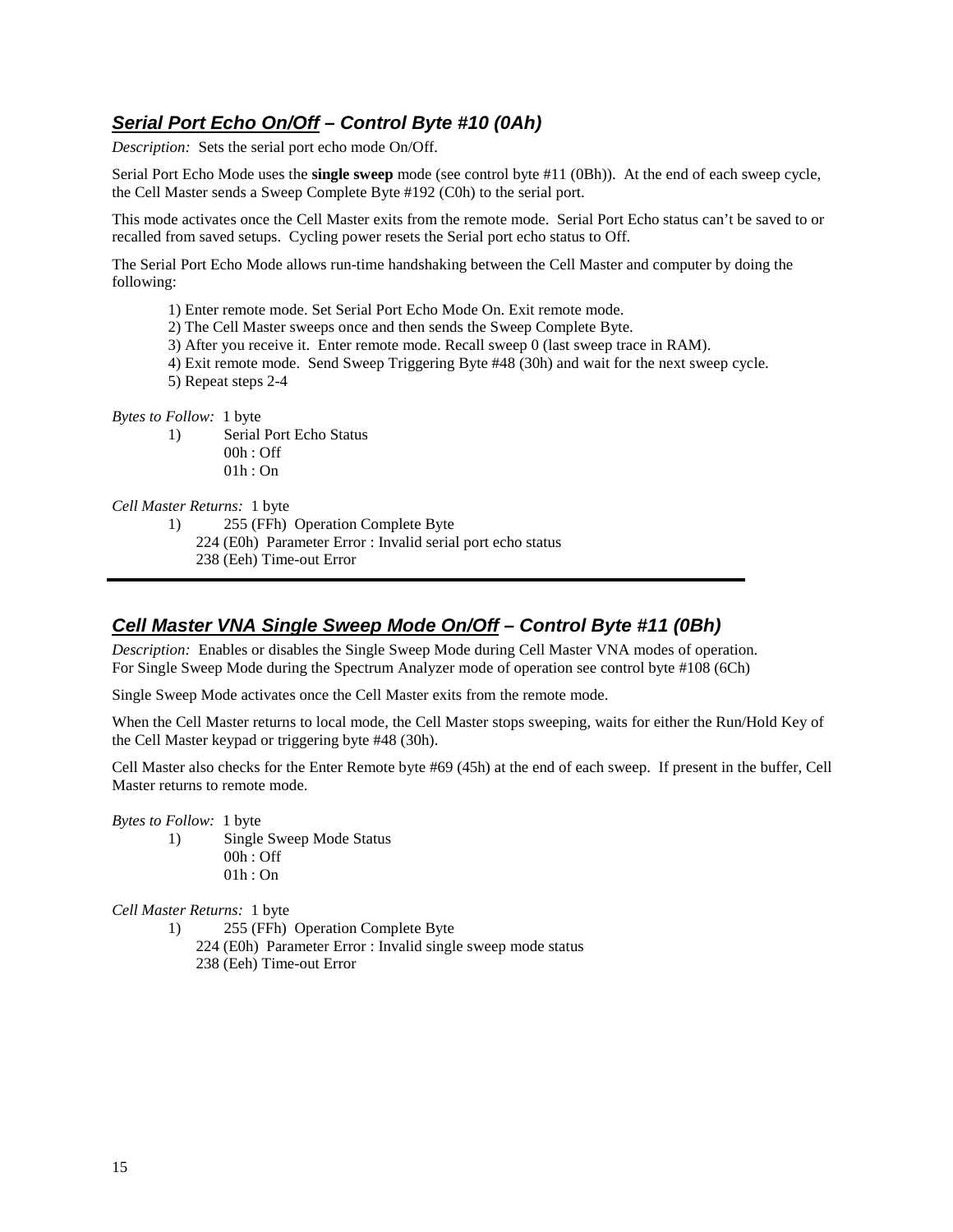## **Serial Port Echo On/Off – Control Byte #10 (0Ah)**

*Description:* Sets the serial port echo mode On/Off.

Serial Port Echo Mode uses the **single sweep** mode (see control byte #11 (0Bh)). At the end of each sweep cycle, the Cell Master sends a Sweep Complete Byte #192 (C0h) to the serial port.

This mode activates once the Cell Master exits from the remote mode. Serial Port Echo status can't be saved to or recalled from saved setups. Cycling power resets the Serial port echo status to Off.

The Serial Port Echo Mode allows run-time handshaking between the Cell Master and computer by doing the following:

- 1) Enter remote mode. Set Serial Port Echo Mode On. Exit remote mode.
- 2) The Cell Master sweeps once and then sends the Sweep Complete Byte.
- 3) After you receive it. Enter remote mode. Recall sweep 0 (last sweep trace in RAM).
- 4) Exit remote mode. Send Sweep Triggering Byte #48 (30h) and wait for the next sweep cycle.
- 5) Repeat steps 2-4

#### *Bytes to Follow:* 1 byte

1) Serial Port Echo Status 00h : Off 01h : On

#### *Cell Master Returns:* 1 byte

- 1) 255 (FFh) Operation Complete Byte
	- 224 (E0h) Parameter Error : Invalid serial port echo status
	- 238 (Eeh) Time-out Error

#### **Cell Master VNA Single Sweep Mode On/Off – Control Byte #11 (0Bh)**

*Description:* Enables or disables the Single Sweep Mode during Cell Master VNA modes of operation. For Single Sweep Mode during the Spectrum Analyzer mode of operation see control byte #108 (6Ch)

Single Sweep Mode activates once the Cell Master exits from the remote mode.

When the Cell Master returns to local mode, the Cell Master stops sweeping, waits for either the Run/Hold Key of the Cell Master keypad or triggering byte #48 (30h).

Cell Master also checks for the Enter Remote byte #69 (45h) at the end of each sweep. If present in the buffer, Cell Master returns to remote mode.

*Bytes to Follow:* 1 byte

1) Single Sweep Mode Status 00h : Off 01h : On

*Cell Master Returns:* 1 byte

1) 255 (FFh) Operation Complete Byte 224 (E0h) Parameter Error : Invalid single sweep mode status 238 (Eeh) Time-out Error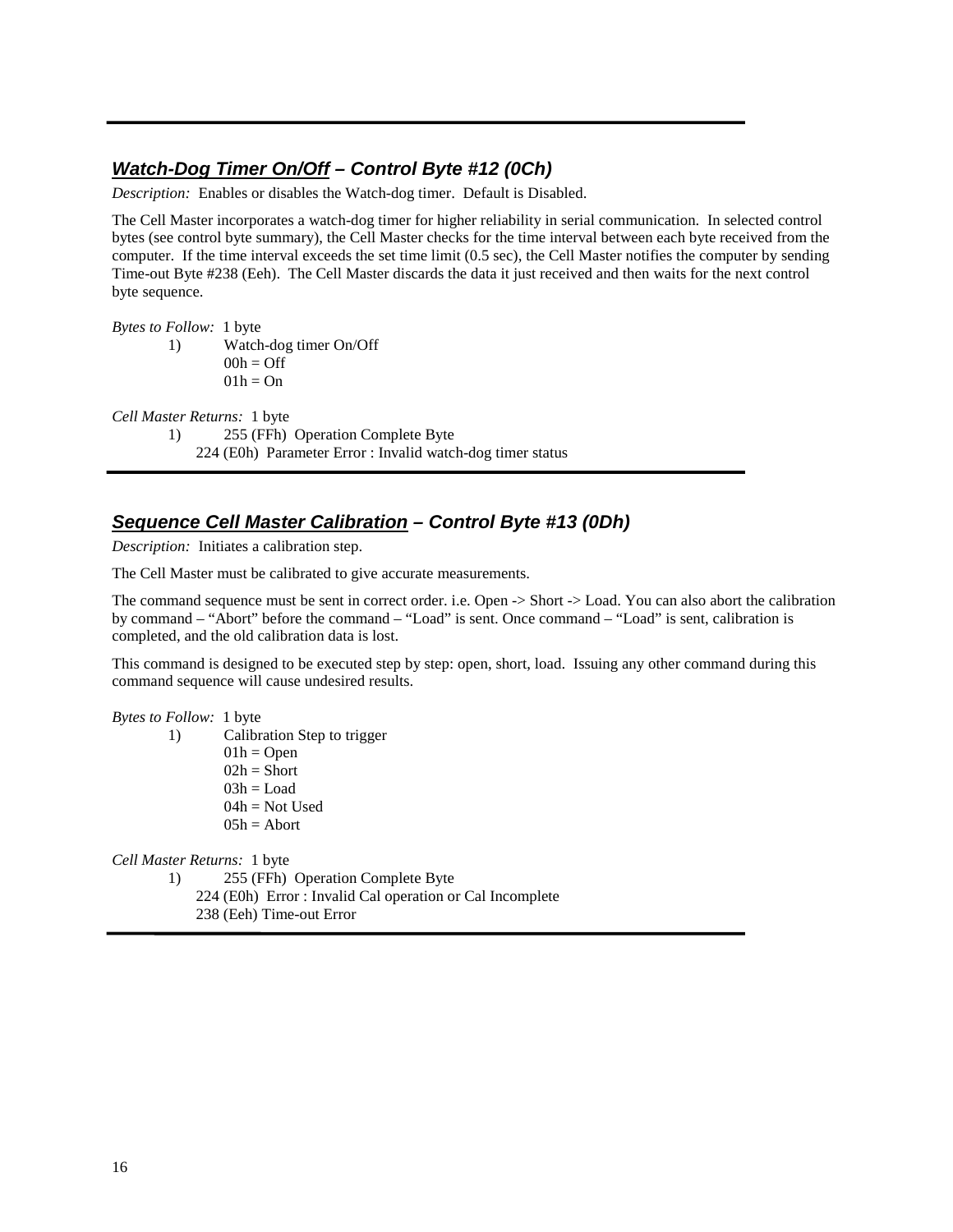## **Watch-Dog Timer On/Off – Control Byte #12 (0Ch)**

*Description:* Enables or disables the Watch-dog timer. Default is Disabled.

The Cell Master incorporates a watch-dog timer for higher reliability in serial communication. In selected control bytes (see control byte summary), the Cell Master checks for the time interval between each byte received from the computer. If the time interval exceeds the set time limit (0.5 sec), the Cell Master notifies the computer by sending Time-out Byte #238 (Eeh). The Cell Master discards the data it just received and then waits for the next control byte sequence.

*Bytes to Follow:* 1 byte

1) Watch-dog timer On/Off  $00h = \text{Off}$  $01h = On$ 

*Cell Master Returns:* 1 byte

1) 255 (FFh) Operation Complete Byte

224 (E0h) Parameter Error : Invalid watch-dog timer status

#### **Sequence Cell Master Calibration – Control Byte #13 (0Dh)**

*Description:* Initiates a calibration step.

The Cell Master must be calibrated to give accurate measurements.

The command sequence must be sent in correct order. i.e. Open -> Short -> Load. You can also abort the calibration by command – "Abort" before the command – "Load" is sent. Once command – "Load" is sent, calibration is completed, and the old calibration data is lost.

This command is designed to be executed step by step: open, short, load. Issuing any other command during this command sequence will cause undesired results.

*Bytes to Follow:* 1 byte

1) Calibration Step to trigger  $01h = Open$  $02h =$ Short  $03h =$ Load  $04h = Not Used$  $05h =$ Abort

*Cell Master Returns:* 1 byte

1) 255 (FFh) Operation Complete Byte

224 (E0h) Error : Invalid Cal operation or Cal Incomplete

238 (Eeh) Time-out Error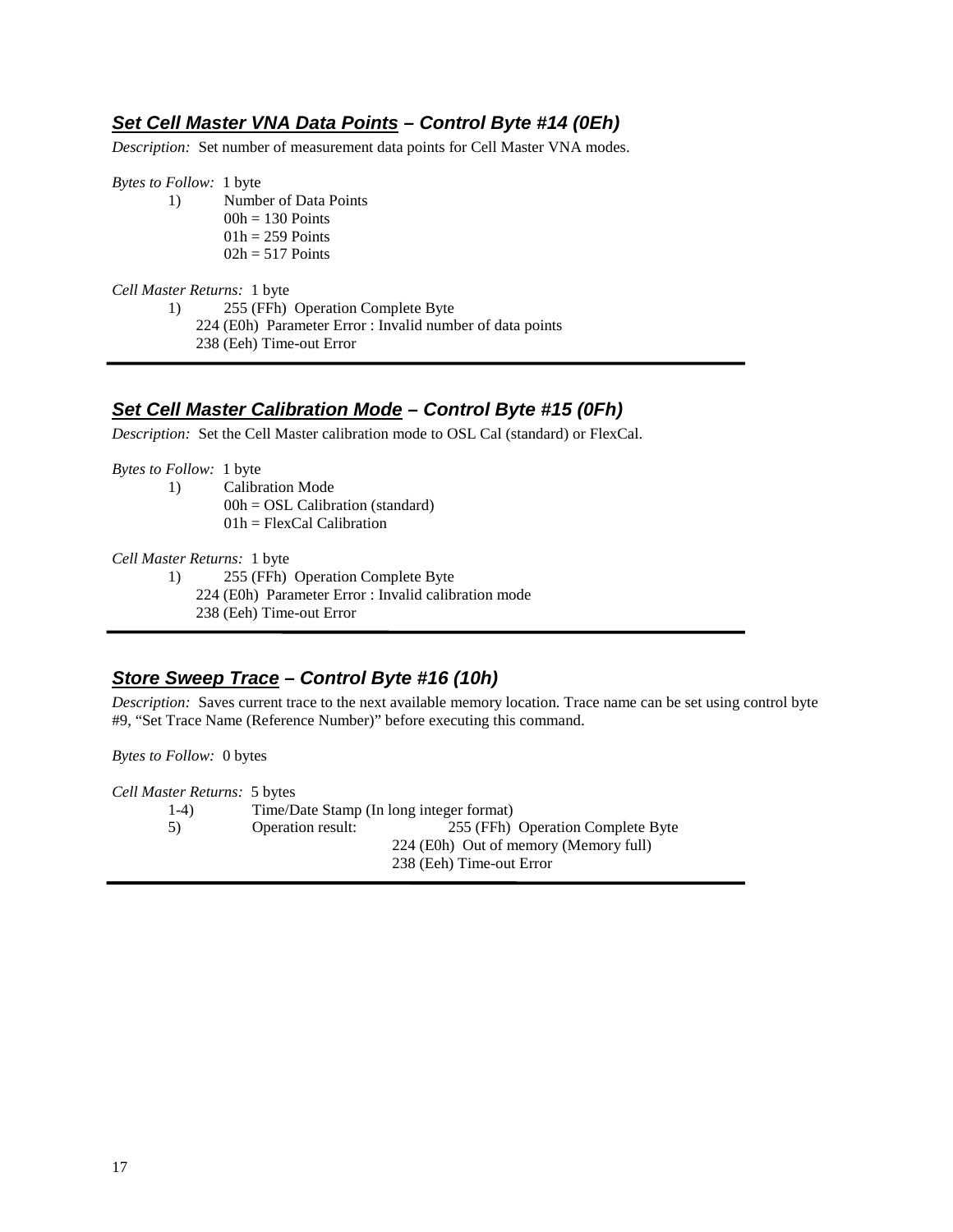## **Set Cell Master VNA Data Points – Control Byte #14 (0Eh)**

*Description:* Set number of measurement data points for Cell Master VNA modes.

*Bytes to Follow:* 1 byte

1) Number of Data Points  $00h = 130$  Points  $01h = 259$  Points  $02h = 517$  Points

#### *Cell Master Returns:* 1 byte

1) 255 (FFh) Operation Complete Byte

- 224 (E0h) Parameter Error : Invalid number of data points
	- 238 (Eeh) Time-out Error

## **Set Cell Master Calibration Mode – Control Byte #15 (0Fh)**

*Description:* Set the Cell Master calibration mode to OSL Cal (standard) or FlexCal.

*Bytes to Follow:* 1 byte

- 1) Calibration Mode
	- $00h = OSL$  Calibration (standard)
	- $01h = FlexCal$  Calibration

*Cell Master Returns:* 1 byte

- 1) 255 (FFh) Operation Complete Byte
	- 224 (E0h) Parameter Error : Invalid calibration mode
	- 238 (Eeh) Time-out Error

## **Store Sweep Trace – Control Byte #16 (10h)**

*Description:* Saves current trace to the next available memory location. Trace name can be set using control byte #9, "Set Trace Name (Reference Number)" before executing this command.

*Bytes to Follow:* 0 bytes

*Cell Master Returns:* 5 bytes 1-4) Time/Date Stamp (In long integer format) 5) Operation result: 255 (FFh) Operation Complete Byte 224 (E0h) Out of memory (Memory full) 238 (Eeh) Time-out Error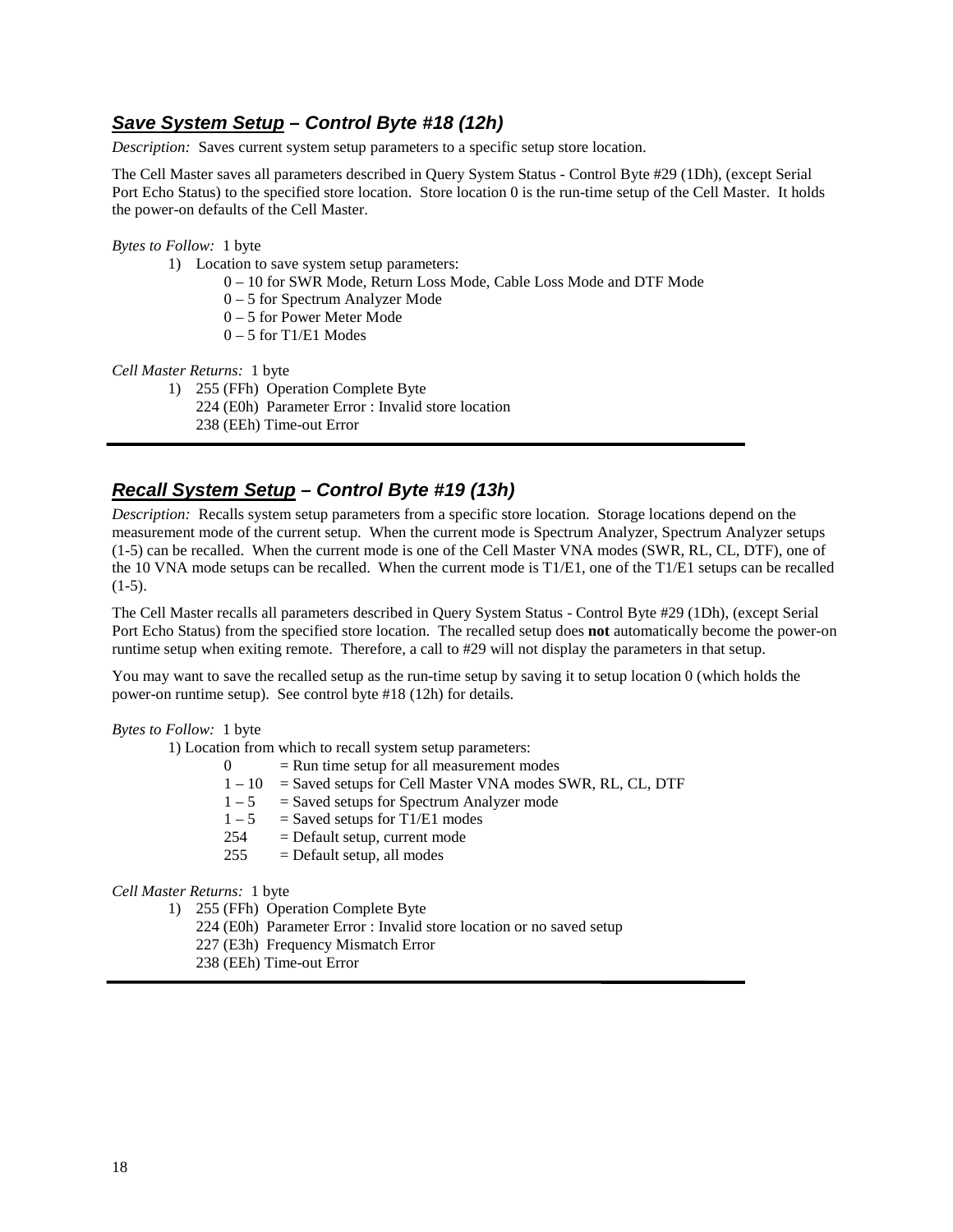#### **Save System Setup – Control Byte #18 (12h)**

*Description:* Saves current system setup parameters to a specific setup store location.

The Cell Master saves all parameters described in Query System Status - Control Byte #29 (1Dh), (except Serial Port Echo Status) to the specified store location. Store location 0 is the run-time setup of the Cell Master. It holds the power-on defaults of the Cell Master.

#### *Bytes to Follow:* 1 byte

- 1) Location to save system setup parameters:
	- 0 10 for SWR Mode, Return Loss Mode, Cable Loss Mode and DTF Mode
	- 0 5 for Spectrum Analyzer Mode
	- 0 5 for Power Meter Mode
	- 0 5 for T1/E1 Modes

#### *Cell Master Returns:* 1 byte

- 1) 255 (FFh) Operation Complete Byte
	- 224 (E0h) Parameter Error : Invalid store location

238 (EEh) Time-out Error

#### **Recall System Setup – Control Byte #19 (13h)**

*Description:* Recalls system setup parameters from a specific store location. Storage locations depend on the measurement mode of the current setup. When the current mode is Spectrum Analyzer, Spectrum Analyzer setups (1-5) can be recalled. When the current mode is one of the Cell Master VNA modes (SWR, RL, CL, DTF), one of the 10 VNA mode setups can be recalled. When the current mode is T1/E1, one of the T1/E1 setups can be recalled  $(1-5)$ .

The Cell Master recalls all parameters described in Query System Status - Control Byte #29 (1Dh), (except Serial Port Echo Status) from the specified store location. The recalled setup does **not** automatically become the power-on runtime setup when exiting remote. Therefore, a call to #29 will not display the parameters in that setup.

You may want to save the recalled setup as the run-time setup by saving it to setup location 0 (which holds the power-on runtime setup). See control byte #18 (12h) for details.

#### *Bytes to Follow:* 1 byte

1) Location from which to recall system setup parameters:

| $\Omega$ | $=$ Run time setup for all measurement modes                |
|----------|-------------------------------------------------------------|
| $1 - 10$ | $=$ Saved setups for Cell Master VNA modes SWR, RL, CL, DTF |
| $1 - 5$  | $=$ Saved setups for Spectrum Analyzer mode                 |
| $1 - 5$  | $=$ Saved setups for T1/E1 modes                            |
| 254      | $=$ Default setup, current mode                             |
| 255      | $=$ Default setup, all modes                                |
|          |                                                             |

#### *Cell Master Returns:* 1 byte

1) 255 (FFh) Operation Complete Byte

- 224 (E0h) Parameter Error : Invalid store location or no saved setup
- 227 (E3h) Frequency Mismatch Error
- 238 (EEh) Time-out Error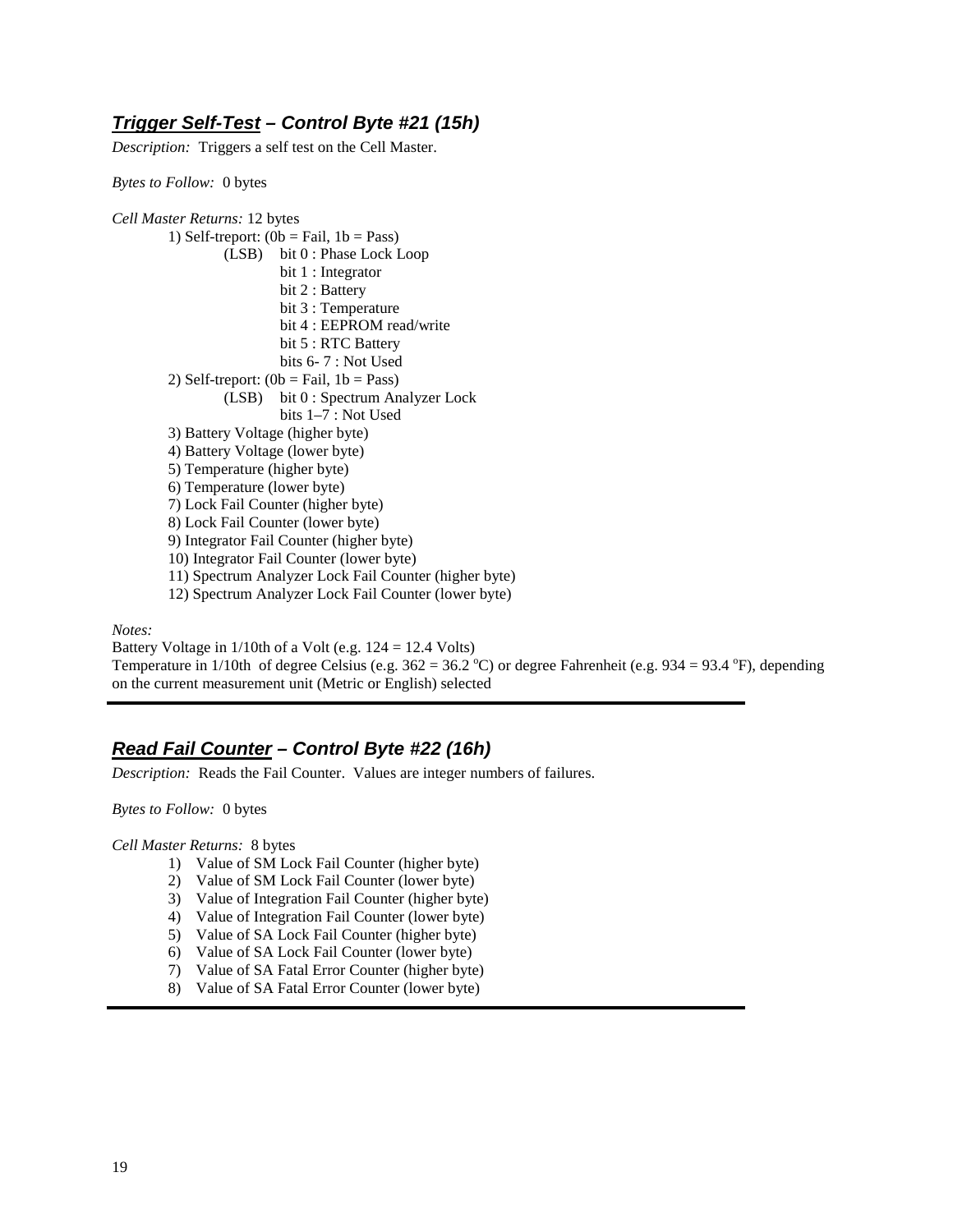### **Trigger Self-Test – Control Byte #21 (15h)**

*Description:* Triggers a self test on the Cell Master.

*Bytes to Follow:* 0 bytes

*Cell Master Returns:* 12 bytes 1) Self-treport:  $(0b = \text{fail}, 1b = \text{Pass})$  (LSB) bit 0 : Phase Lock Loop bit 1 : Integrator bit 2 : Battery bit 3 : Temperature bit 4 : EEPROM read/write bit 5 : RTC Battery bits 6- 7 : Not Used 2) Self-treport:  $(0b = Fail, 1b = Pass)$  (LSB) bit 0 : Spectrum Analyzer Lock bits 1–7 : Not Used 3) Battery Voltage (higher byte) 4) Battery Voltage (lower byte) 5) Temperature (higher byte) 6) Temperature (lower byte) 7) Lock Fail Counter (higher byte) 8) Lock Fail Counter (lower byte) 9) Integrator Fail Counter (higher byte) 10) Integrator Fail Counter (lower byte) 11) Spectrum Analyzer Lock Fail Counter (higher byte) 12) Spectrum Analyzer Lock Fail Counter (lower byte)

*Notes:* 

Battery Voltage in  $1/10$ th of a Volt (e.g.  $124 = 12.4$  Volts) Temperature in 1/10th of degree Celsius (e.g.  $362 = 36.2 \degree$ C) or degree Fahrenheit (e.g. 934 = 93.4 °F), depending on the current measurement unit (Metric or English) selected

## **Read Fail Counter – Control Byte #22 (16h)**

*Description:* Reads the Fail Counter. Values are integer numbers of failures.

*Bytes to Follow:* 0 bytes

*Cell Master Returns:* 8 bytes

- 1) Value of SM Lock Fail Counter (higher byte)
- 2) Value of SM Lock Fail Counter (lower byte)
- 3) Value of Integration Fail Counter (higher byte)
- 4) Value of Integration Fail Counter (lower byte)
- 5) Value of SA Lock Fail Counter (higher byte)
- 6) Value of SA Lock Fail Counter (lower byte)
- 7) Value of SA Fatal Error Counter (higher byte)
- 8) Value of SA Fatal Error Counter (lower byte)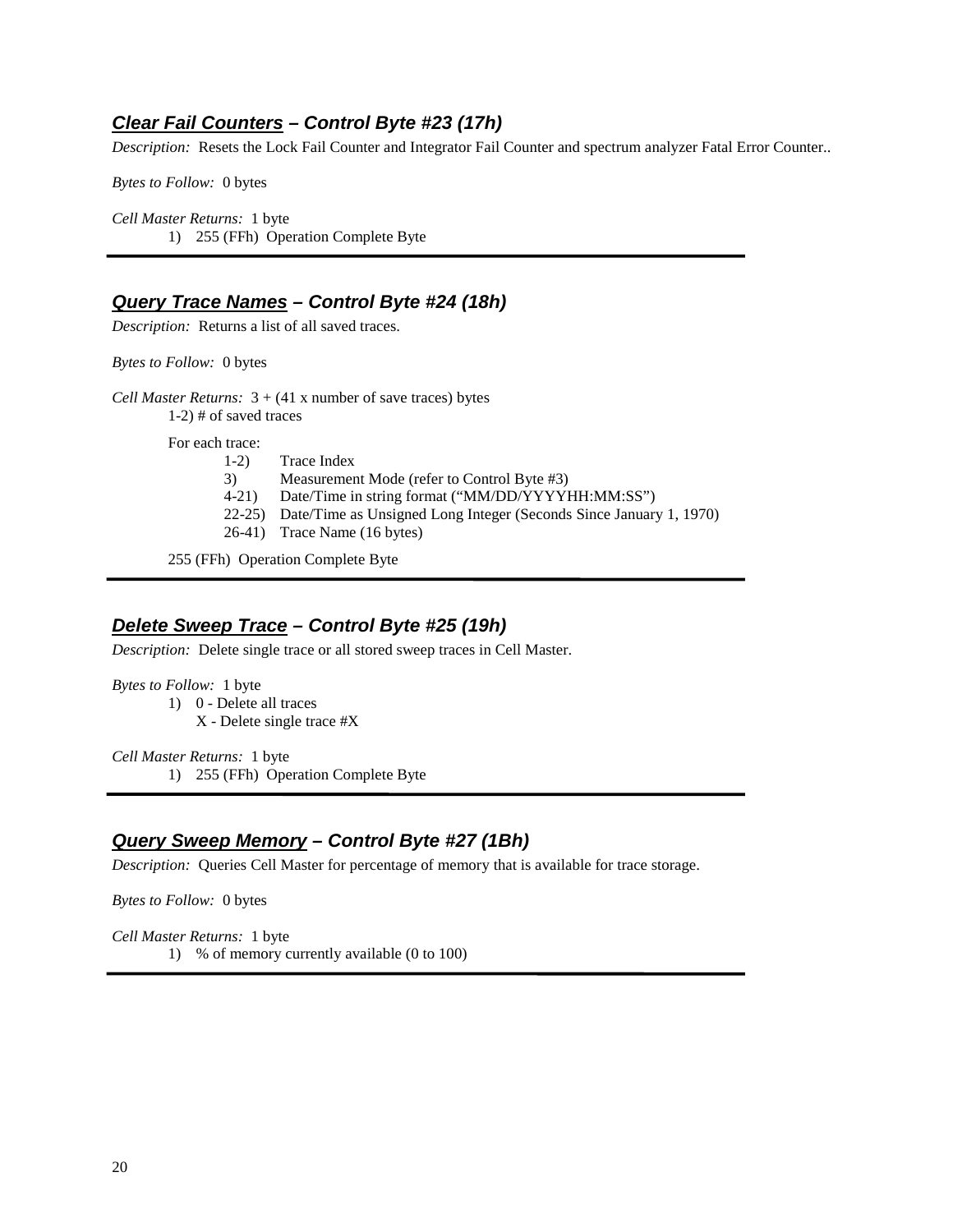#### **Clear Fail Counters – Control Byte #23 (17h)**

*Description:* Resets the Lock Fail Counter and Integrator Fail Counter and spectrum analyzer Fatal Error Counter..

*Bytes to Follow:* 0 bytes

*Cell Master Returns:* 1 byte 1) 255 (FFh) Operation Complete Byte

#### **Query Trace Names – Control Byte #24 (18h)**

*Description:* Returns a list of all saved traces.

*Bytes to Follow:* 0 bytes

*Cell Master Returns:*  $3 + (41 \times \text{number of save traces})$  bytes 1-2) # of saved traces

For each trace:

- 1-2) Trace Index
- 3) Measurement Mode (refer to Control Byte #3)
- 4-21) Date/Time in string format ("MM/DD/YYYYHH:MM:SS")
- 22-25) Date/Time as Unsigned Long Integer (Seconds Since January 1, 1970)
- 26-41) Trace Name (16 bytes)

255 (FFh) Operation Complete Byte

#### **Delete Sweep Trace – Control Byte #25 (19h)**

*Description:* Delete single trace or all stored sweep traces in Cell Master.

*Bytes to Follow:* 1 byte

1) 0 - Delete all traces

X - Delete single trace #X

*Cell Master Returns:* 1 byte 1) 255 (FFh) Operation Complete Byte

#### **Query Sweep Memory – Control Byte #27 (1Bh)**

*Description:* Queries Cell Master for percentage of memory that is available for trace storage.

*Bytes to Follow:*0 bytes

*Cell Master Returns:* 1 byte 1) % of memory currently available (0 to 100)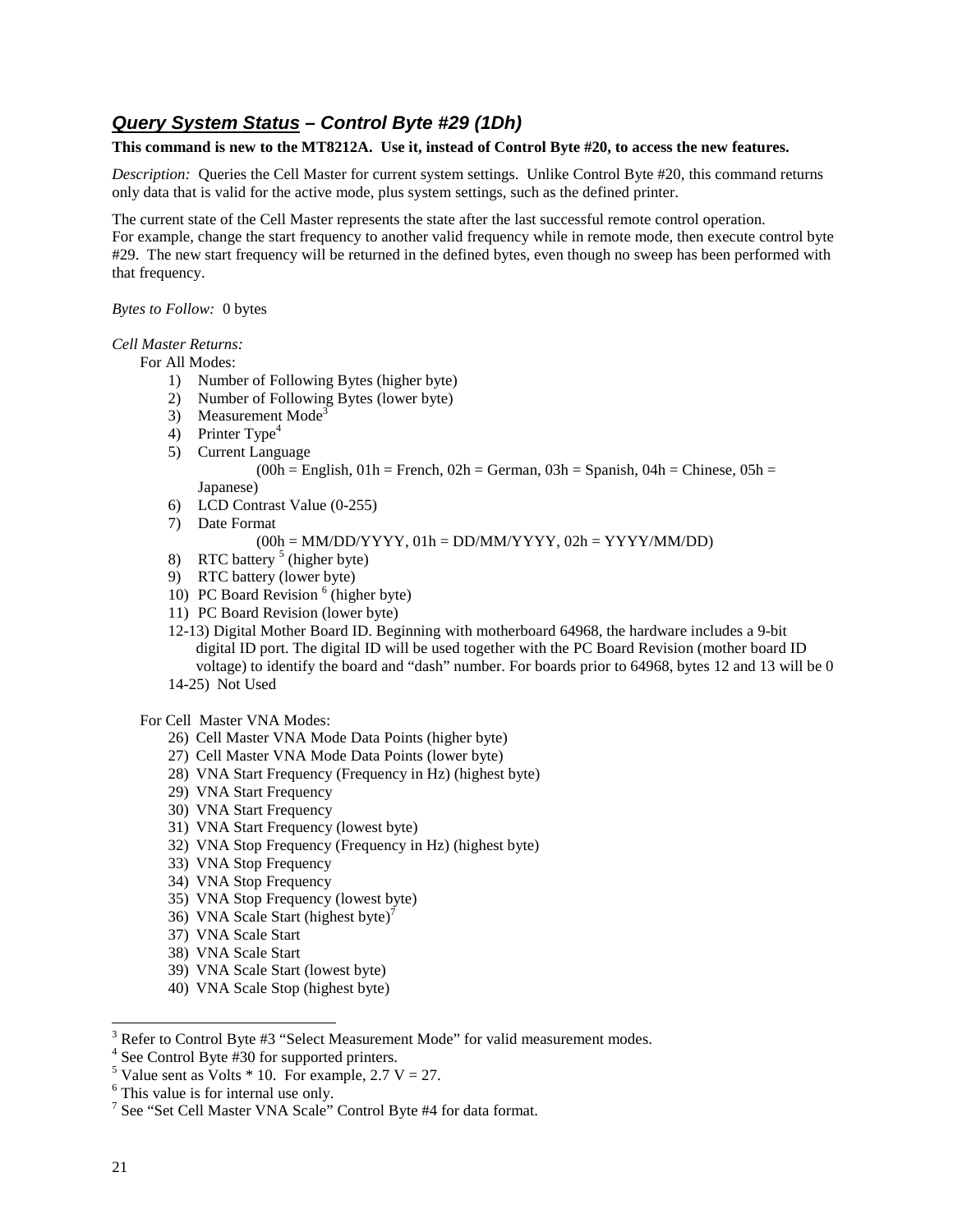## **Query System Status – Control Byte #29 (1Dh)**

#### **This command is new to the MT8212A. Use it, instead of Control Byte #20, to access the new features.**

*Description:* Queries the Cell Master for current system settings. Unlike Control Byte #20, this command returns only data that is valid for the active mode, plus system settings, such as the defined printer.

The current state of the Cell Master represents the state after the last successful remote control operation.

For example, change the start frequency to another valid frequency while in remote mode, then execute control byte #29. The new start frequency will be returned in the defined bytes, even though no sweep has been performed with that frequency.

#### *Bytes to Follow:* 0 bytes

#### *Cell Master Returns:*

For All Modes:

- 1) Number of Following Bytes (higher byte)
- 2) Number of Following Bytes (lower byte)
- 3) Measurement Mode<sup>3</sup>
- 4) Printer Type<sup>4</sup>
- 5) Current Language

 $(00h = English, 01h = French, 02h = German, 03h = Spanish, 04h = Chinese, 05h =$ Japanese)

- 6) LCD Contrast Value (0-255)
- 7) Date Format

 $(00h = MM/DD/YYYY, 01h = DD/MM/YYYY, 02h = YYYY/MM/DD)$ 

- 8) RTC battery  $5$  (higher byte)
- 9) RTC battery (lower byte)
- 10) PC Board Revision<sup>6</sup> (higher byte)
- 11) PC Board Revision (lower byte)
- 12-13) Digital Mother Board ID. Beginning with motherboard 64968, the hardware includes a 9-bit digital ID port. The digital ID will be used together with the PC Board Revision (mother board ID voltage) to identify the board and "dash" number. For boards prior to 64968, bytes 12 and 13 will be 0 14-25) Not Used

For Cell Master VNA Modes:

- 26) Cell Master VNA Mode Data Points (higher byte)
- 27) Cell Master VNA Mode Data Points (lower byte)
- 28) VNA Start Frequency (Frequency in Hz) (highest byte)
- 29) VNA Start Frequency
- 30) VNA Start Frequency
- 31) VNA Start Frequency (lowest byte)
- 32) VNA Stop Frequency (Frequency in Hz) (highest byte)
- 33) VNA Stop Frequency
- 34) VNA Stop Frequency
- 35) VNA Stop Frequency (lowest byte)
- 36) VNA Scale Start (highest byte)<sup>7</sup>
- 37) VNA Scale Start
- 38) VNA Scale Start
- 39) VNA Scale Start (lowest byte)
- 40) VNA Scale Stop (highest byte)
- $3$  Refer to Control Byte #3 "Select Measurement Mode" for valid measurement modes.

<sup>4</sup> See Control Byte #30 for supported printers.

<sup>&</sup>lt;sup>5</sup> Value sent as Volts  $*$  10. For example, 2.7 V = 27.

<sup>&</sup>lt;sup>6</sup> This value is for internal use only.

<sup>&</sup>lt;sup>7</sup> See "Set Cell Master VNA Scale" Control Byte #4 for data format.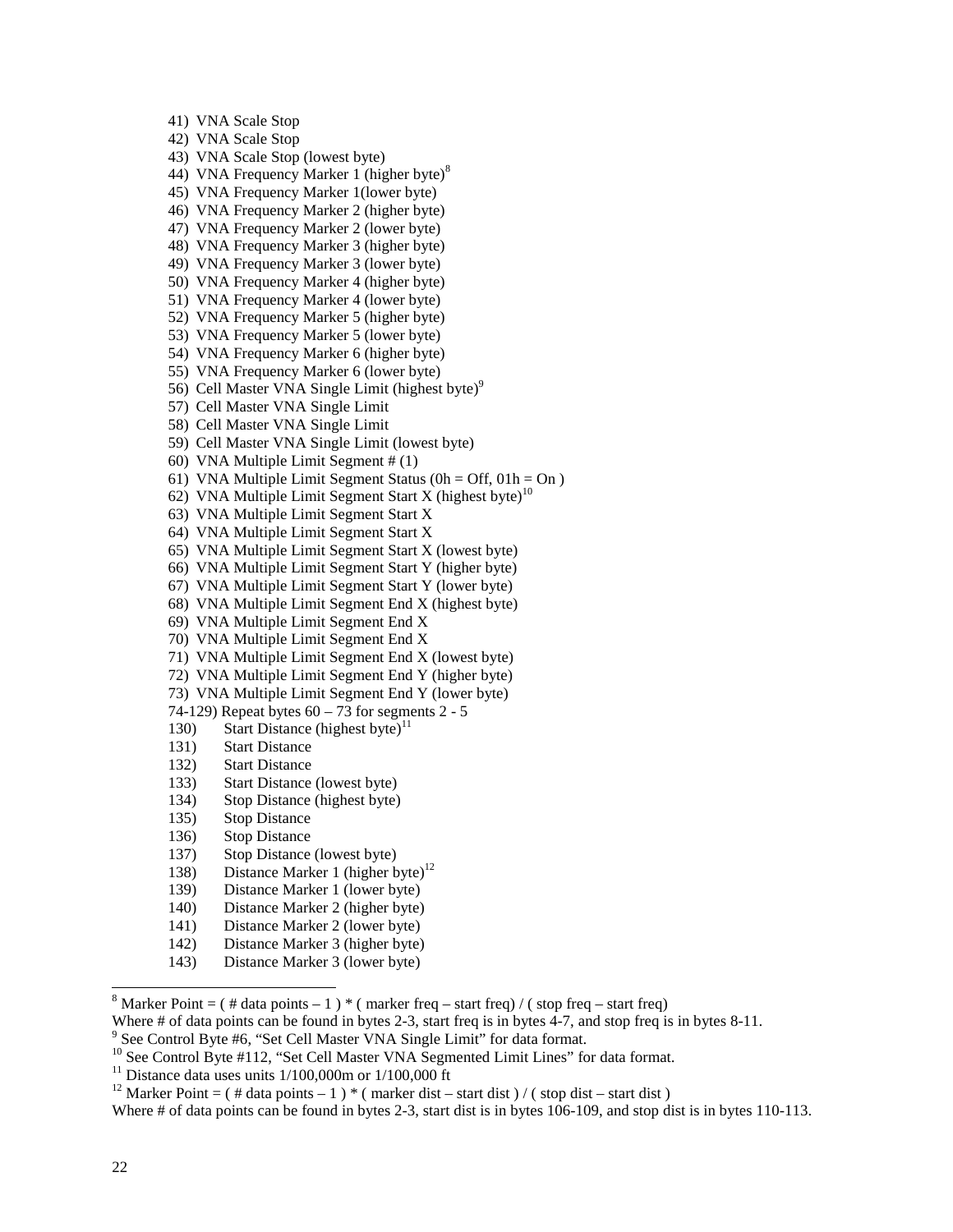41) VNA Scale Stop

42) VNA Scale Stop

43) VNA Scale Stop (lowest byte)

- 44) VNA Frequency Marker 1 (higher byte)<sup>8</sup>
- 45) VNA Frequency Marker 1(lower byte)
- 46) VNA Frequency Marker 2 (higher byte)
- 47) VNA Frequency Marker 2 (lower byte)
- 48) VNA Frequency Marker 3 (higher byte)
- 49) VNA Frequency Marker 3 (lower byte)
- 50) VNA Frequency Marker 4 (higher byte)
- 51) VNA Frequency Marker 4 (lower byte)
- 52) VNA Frequency Marker 5 (higher byte)
- 53) VNA Frequency Marker 5 (lower byte)
- 54) VNA Frequency Marker 6 (higher byte)
- 55) VNA Frequency Marker 6 (lower byte)
- 56) Cell Master VNA Single Limit (highest byte) $9$
- 57) Cell Master VNA Single Limit
- 58) Cell Master VNA Single Limit
- 59) Cell Master VNA Single Limit (lowest byte)
- 60) VNA Multiple Limit Segment # (1)
- 61) VNA Multiple Limit Segment Status ( $0h = Off$ ,  $01h = On$ )
- 62) VNA Multiple Limit Segment Start X (highest byte)<sup>10</sup>
- 63) VNA Multiple Limit Segment Start X
- 64) VNA Multiple Limit Segment Start X
- 65) VNA Multiple Limit Segment Start X (lowest byte)
- 66) VNA Multiple Limit Segment Start Y (higher byte)
- 67) VNA Multiple Limit Segment Start Y (lower byte)
- 68) VNA Multiple Limit Segment End X (highest byte)
- 69) VNA Multiple Limit Segment End X
- 70) VNA Multiple Limit Segment End X
- 71) VNA Multiple Limit Segment End X (lowest byte)
- 72) VNA Multiple Limit Segment End Y (higher byte)
- 73) VNA Multiple Limit Segment End Y (lower byte)
- 74-129) Repeat bytes  $60 73$  for segments  $2 5$
- 130) Start Distance (highest byte)<sup>11</sup>
- 131) Start Distance
- 132) Start Distance
- 133) Start Distance (lowest byte)
- 134) Stop Distance (highest byte)
- 135) Stop Distance
- 136) Stop Distance
- 137) Stop Distance (lowest byte)
- 138) Distance Marker 1 (higher byte)<sup>12</sup>
- 139) Distance Marker 1 (lower byte)
- 140) Distance Marker 2 (higher byte)
- 141) Distance Marker 2 (lower byte)
- 142) Distance Marker 3 (higher byte)
- 143) Distance Marker 3 (lower byte)

- Where # of data points can be found in bytes 2-3, start freq is in bytes 4-7, and stop freq is in bytes 8-11.
- <sup>9</sup> See Control Byte #6, "Set Cell Master VNA Single Limit" for data format.
- <sup>10</sup> See Control Byte #112, "Set Cell Master VNA Segmented Limit Lines" for data format.

<sup>11</sup> Distance data uses units  $1/100,000$  m or  $1/100,000$  ft

<sup>&</sup>lt;sup>8</sup> Marker Point =  $($  # data points - 1  $)$  \*  $($  marker freq - start freq)  $/$   $($  stop freq - start freq)

<sup>&</sup>lt;sup>12</sup> Marker Point = ( # data points – 1 ) \* ( marker dist – start dist ) / ( stop dist – start dist )

Where # of data points can be found in bytes 2-3, start dist is in bytes 106-109, and stop dist is in bytes 110-113.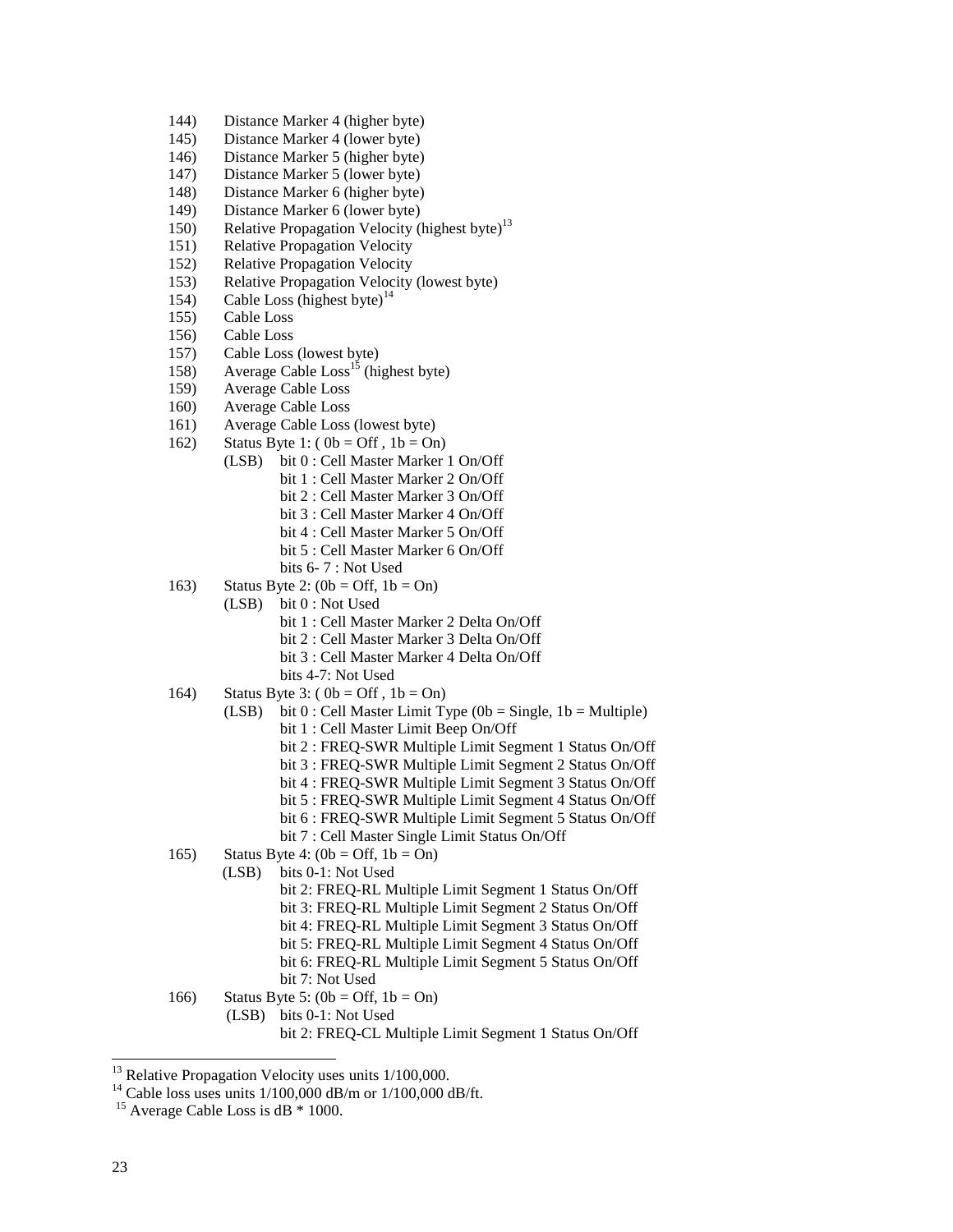- 144) Distance Marker 4 (higher byte)
- 145) Distance Marker 4 (lower byte)
- 146) Distance Marker 5 (higher byte)
- 147) Distance Marker 5 (lower byte)
- 148) Distance Marker 6 (higher byte)
- 149) Distance Marker 6 (lower byte)
- 150) Relative Propagation Velocity (highest byte)<sup>13</sup>
- 151) Relative Propagation Velocity
- 152) Relative Propagation Velocity
- 153) Relative Propagation Velocity (lowest byte)
- 154) Cable Loss (highest byte)<sup>14</sup>
- 155) Cable Loss
- 156) Cable Loss
- 157) Cable Loss (lowest byte)
- 158) Average Cable  $\text{Loss}^{15}$  (highest byte)
- 159) Average Cable Loss
- 160) Average Cable Loss
- 161) Average Cable Loss (lowest byte)
- 162) Status Byte 1:  $(0b = Off, 1b = On)$ 
	- (LSB) bit 0 : Cell Master Marker 1 On/Off
		- bit 1 : Cell Master Marker 2 On/Off
		- bit 2 : Cell Master Marker 3 On/Off
		- bit 3 : Cell Master Marker 4 On/Off
		- bit 4 : Cell Master Marker 5 On/Off
		- bit 5 : Cell Master Marker 6 On/Off
		- bits 6- 7 : Not Used
- 163) Status Byte 2:  $(0b = \text{Off}, 1b = \text{On})$ 
	- (LSB) bit 0 : Not Used
		- bit 1 : Cell Master Marker 2 Delta On/Off
		- bit 2 : Cell Master Marker 3 Delta On/Off
		- bit 3 : Cell Master Marker 4 Delta On/Off
		- bits 4-7: Not Used
- 164) Status Byte 3: ( $0b = \text{Off }$ ,  $1b = \text{On}$ )
	- (LSB) bit 0 : Cell Master Limit Type (0b = Single, 1b = Multiple)
		- bit 1 : Cell Master Limit Beep On/Off
			- bit 2 : FREQ-SWR Multiple Limit Segment 1 Status On/Off
			- bit 3 : FREQ-SWR Multiple Limit Segment 2 Status On/Off
			- bit 4 : FREQ-SWR Multiple Limit Segment 3 Status On/Off
			- bit 5 : FREQ-SWR Multiple Limit Segment 4 Status On/Off
			- bit 6 : FREQ-SWR Multiple Limit Segment 5 Status On/Off
			- bit 7 : Cell Master Single Limit Status On/Off
- 165) Status Byte 4:  $(0b = \text{Off}, 1b = \text{On})$ 
	- (LSB) bits 0-1: Not Used
		- bit 2: FREQ-RL Multiple Limit Segment 1 Status On/Off
		- bit 3: FREQ-RL Multiple Limit Segment 2 Status On/Off
		- bit 4: FREQ-RL Multiple Limit Segment 3 Status On/Off
		- bit 5: FREQ-RL Multiple Limit Segment 4 Status On/Off
		- bit 6: FREQ-RL Multiple Limit Segment 5 Status On/Off
		- bit 7: Not Used
- 166) Status Byte 5:  $(0b = \text{Off}, 1b = \text{On})$

(LSB) bits 0-1: Not Used

bit 2: FREQ-CL Multiple Limit Segment 1 Status On/Off

<sup>14</sup> Cable loss uses units  $1/100,000$  dB/m or  $1/100,000$  dB/ft.

 $\overline{a}$ 

 $13$  Relative Propagation Velocity uses units  $1/100,000$ .

<sup>&</sup>lt;sup>15</sup> Average Cable Loss is  $dB * 1000$ .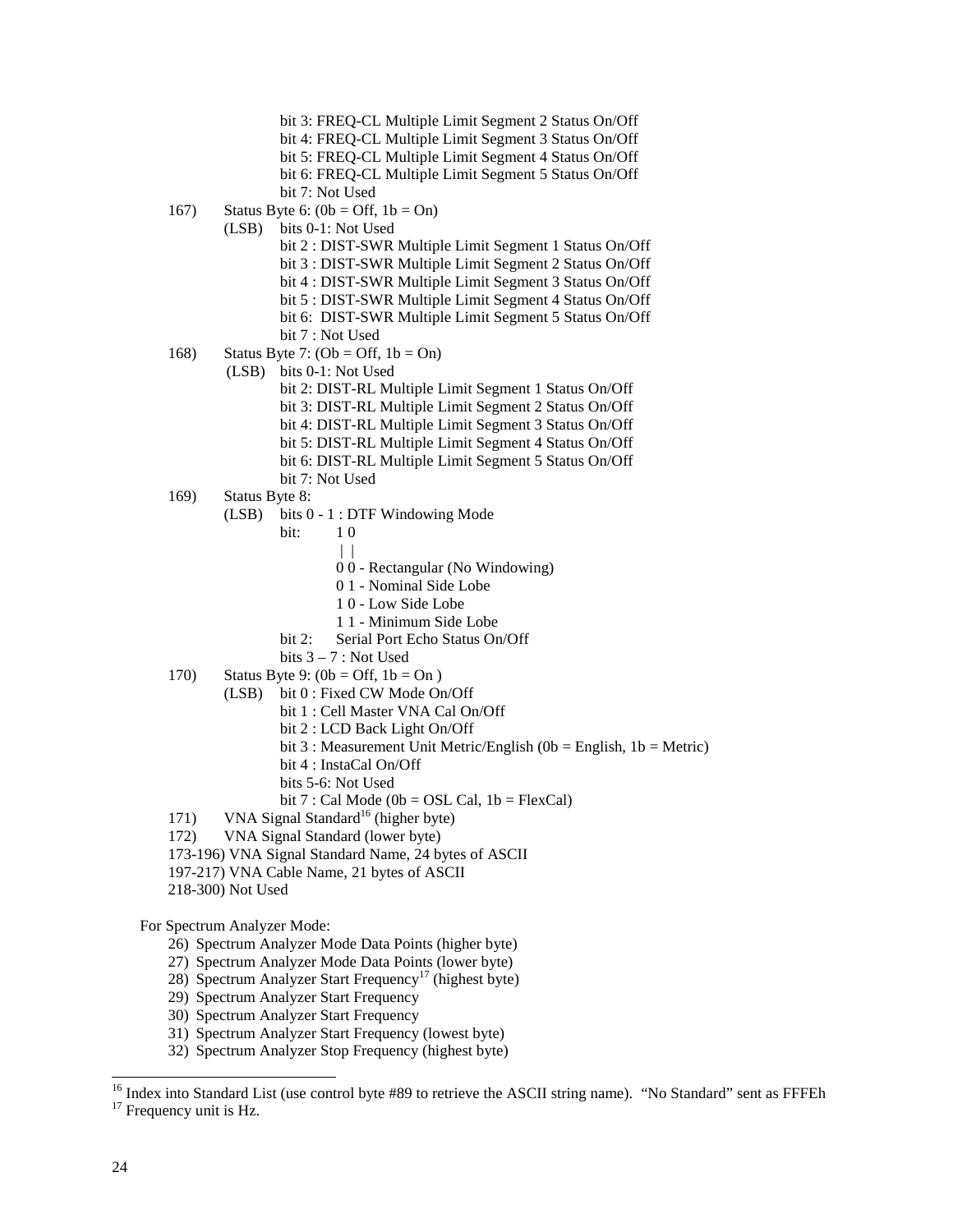- bit 3: FREQ-CL Multiple Limit Segment 2 Status On/Off bit 4: FREQ-CL Multiple Limit Segment 3 Status On/Off bit 5: FREQ-CL Multiple Limit Segment 4 Status On/Off bit 6: FREQ-CL Multiple Limit Segment 5 Status On/Off bit 7: Not Used
- 167) Status Byte 6:  $(0b = \text{Off}, 1b = \text{On})$ 
	- (LSB) bits 0-1: Not Used
		- bit 2 : DIST-SWR Multiple Limit Segment 1 Status On/Off bit 3 : DIST-SWR Multiple Limit Segment 2 Status On/Off bit 4 : DIST-SWR Multiple Limit Segment 3 Status On/Off bit 5 : DIST-SWR Multiple Limit Segment 4 Status On/Off bit 6: DIST-SWR Multiple Limit Segment 5 Status On/Off
		- bit 7 : Not Used
- 168) Status Byte 7:  $(Ob = Off, 1b = On)$

(LSB) bits 0-1: Not Used

- bit 2: DIST-RL Multiple Limit Segment 1 Status On/Off bit 3: DIST-RL Multiple Limit Segment 2 Status On/Off bit 4: DIST-RL Multiple Limit Segment 3 Status On/Off bit 5: DIST-RL Multiple Limit Segment 4 Status On/Off bit 6: DIST-RL Multiple Limit Segment 5 Status On/Off
- bit 7: Not Used
- 
- 169) Status Byte 8:
	- (LSB) bits 0 1 : DTF Windowing Mode
- **bit:** 1 0
- | |
	- 0 0 Rectangular (No Windowing)
	- 0 1 Nominal Side Lobe
	- 1 0 Low Side Lobe
	- 1 1 Minimum Side Lobe
	- bit 2: Serial Port Echo Status On/Off
	- bits 3 7 : Not Used
	- 170) Status Byte 9:  $(0b = Off, 1b = On)$ 
		- (LSB) bit 0 : Fixed CW Mode On/Off
			- bit 1 : Cell Master VNA Cal On/Off
			- bit 2 : LCD Back Light On/Off
			- bit 3 : Measurement Unit Metric/English (0b = English, 1b = Metric)
			- bit 4 : InstaCal On/Off
			- bits 5-6: Not Used
			- bit  $7:$  Cal Mode (0b = OSL Cal, 1b = FlexCal)
	- 171) VNA Signal Standard<sup>16</sup> (higher byte)
	- 172) VNA Signal Standard (lower byte)
	- 173-196) VNA Signal Standard Name, 24 bytes of ASCII
	- 197-217) VNA Cable Name, 21 bytes of ASCII
	- 218-300) Not Used

For Spectrum Analyzer Mode:

- 26) Spectrum Analyzer Mode Data Points (higher byte)
- 27) Spectrum Analyzer Mode Data Points (lower byte)
- 28) Spectrum Analyzer Start Frequency<sup>17</sup> (highest byte)
- 29) Spectrum Analyzer Start Frequency
- 30) Spectrum Analyzer Start Frequency
- 31) Spectrum Analyzer Start Frequency (lowest byte)
- 32) Spectrum Analyzer Stop Frequency (highest byte)

<sup>&</sup>lt;sup>16</sup> Index into Standard List (use control byte #89 to retrieve the ASCII string name). "No Standard" sent as FFFEh

<sup>&</sup>lt;sup>17</sup> Frequency unit is Hz.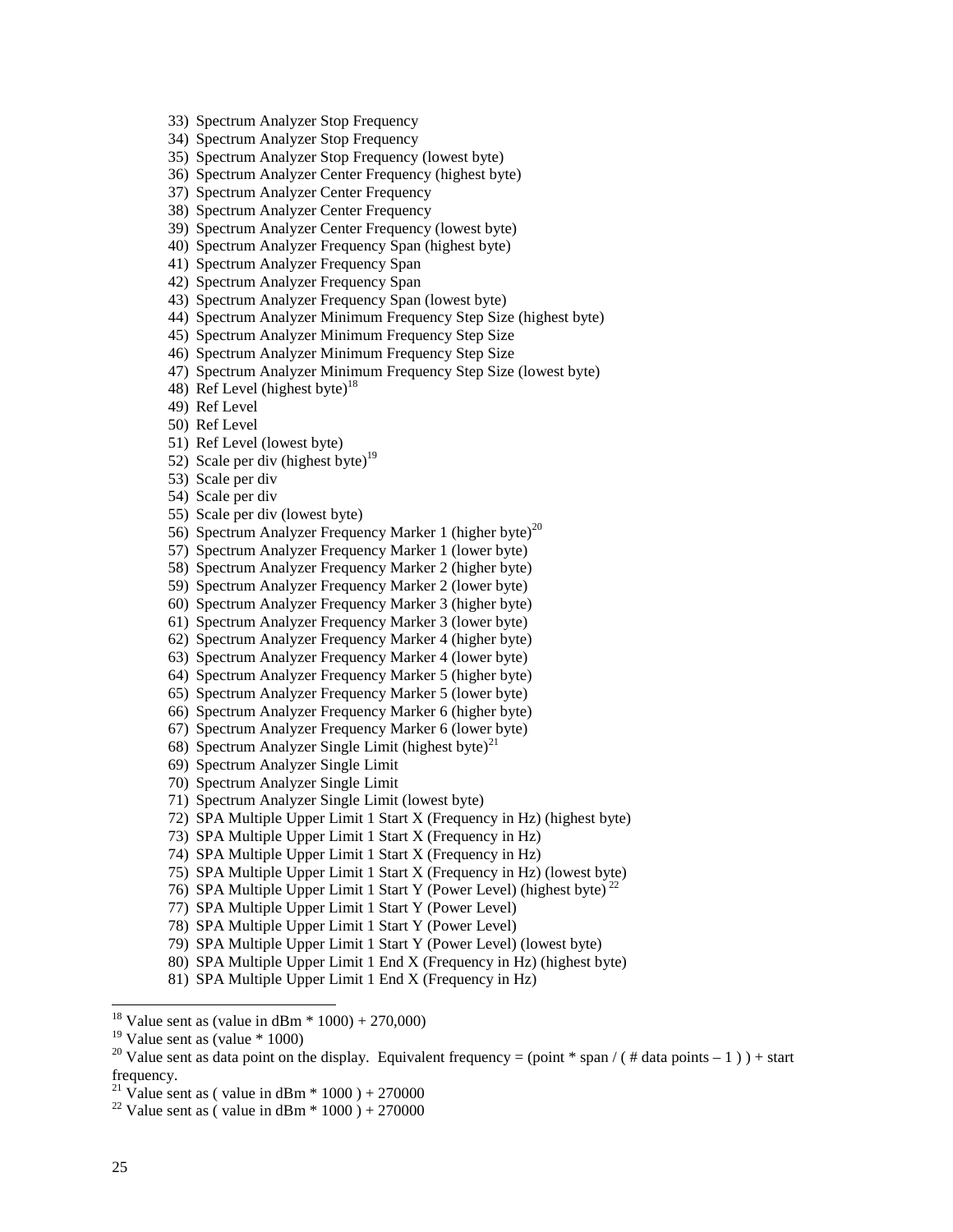33) Spectrum Analyzer Stop Frequency

34) Spectrum Analyzer Stop Frequency

35) Spectrum Analyzer Stop Frequency (lowest byte)

36) Spectrum Analyzer Center Frequency (highest byte)

37) Spectrum Analyzer Center Frequency

38) Spectrum Analyzer Center Frequency

39) Spectrum Analyzer Center Frequency (lowest byte)

40) Spectrum Analyzer Frequency Span (highest byte)

41) Spectrum Analyzer Frequency Span

42) Spectrum Analyzer Frequency Span

43) Spectrum Analyzer Frequency Span (lowest byte)

44) Spectrum Analyzer Minimum Frequency Step Size (highest byte)

45) Spectrum Analyzer Minimum Frequency Step Size

- 46) Spectrum Analyzer Minimum Frequency Step Size
- 47) Spectrum Analyzer Minimum Frequency Step Size (lowest byte)
- 48) Ref Level (highest byte) $^{18}$

49) Ref Level

50) Ref Level

- 51) Ref Level (lowest byte)
- 52) Scale per div (highest byte) $19$
- 53) Scale per div

54) Scale per div

55) Scale per div (lowest byte)

- 56) Spectrum Analyzer Frequency Marker 1 (higher byte)<sup>20</sup>
- 57) Spectrum Analyzer Frequency Marker 1 (lower byte)
- 58) Spectrum Analyzer Frequency Marker 2 (higher byte)
- 59) Spectrum Analyzer Frequency Marker 2 (lower byte)
- 60) Spectrum Analyzer Frequency Marker 3 (higher byte)
- 61) Spectrum Analyzer Frequency Marker 3 (lower byte)
- 62) Spectrum Analyzer Frequency Marker 4 (higher byte)
- 63) Spectrum Analyzer Frequency Marker 4 (lower byte)
- 64) Spectrum Analyzer Frequency Marker 5 (higher byte)
- 65) Spectrum Analyzer Frequency Marker 5 (lower byte)
- 66) Spectrum Analyzer Frequency Marker 6 (higher byte)
- 67) Spectrum Analyzer Frequency Marker 6 (lower byte)
- 68) Spectrum Analyzer Single Limit (highest byte)<sup>21</sup>
- 69) Spectrum Analyzer Single Limit
- 70) Spectrum Analyzer Single Limit
- 71) Spectrum Analyzer Single Limit (lowest byte)
- 72) SPA Multiple Upper Limit 1 Start X (Frequency in Hz) (highest byte)
- 73) SPA Multiple Upper Limit 1 Start X (Frequency in Hz)
- 74) SPA Multiple Upper Limit 1 Start X (Frequency in Hz)
- 75) SPA Multiple Upper Limit 1 Start X (Frequency in Hz) (lowest byte)
- 76) SPA Multiple Upper Limit 1 Start Y (Power Level) (highest byte) 22
- 77) SPA Multiple Upper Limit 1 Start Y (Power Level)
- 78) SPA Multiple Upper Limit 1 Start Y (Power Level)
- 79) SPA Multiple Upper Limit 1 Start Y (Power Level) (lowest byte)
- 80) SPA Multiple Upper Limit 1 End X (Frequency in Hz) (highest byte)
- 81) SPA Multiple Upper Limit 1 End X (Frequency in Hz)

<sup>21</sup> Value sent as ( value in dBm  $*$  1000 ) + 270000

<sup>&</sup>lt;sup>18</sup> Value sent as (value in dBm  $*$  1000) + 270,000)

<sup>&</sup>lt;sup>19</sup> Value sent as (value  $*$  1000)

<sup>&</sup>lt;sup>20</sup> Value sent as data point on the display. Equivalent frequency = (point \* span / ( # data points – 1 ) ) + start frequency.

<sup>&</sup>lt;sup>22</sup> Value sent as ( value in dBm  $*$  1000 ) + 270000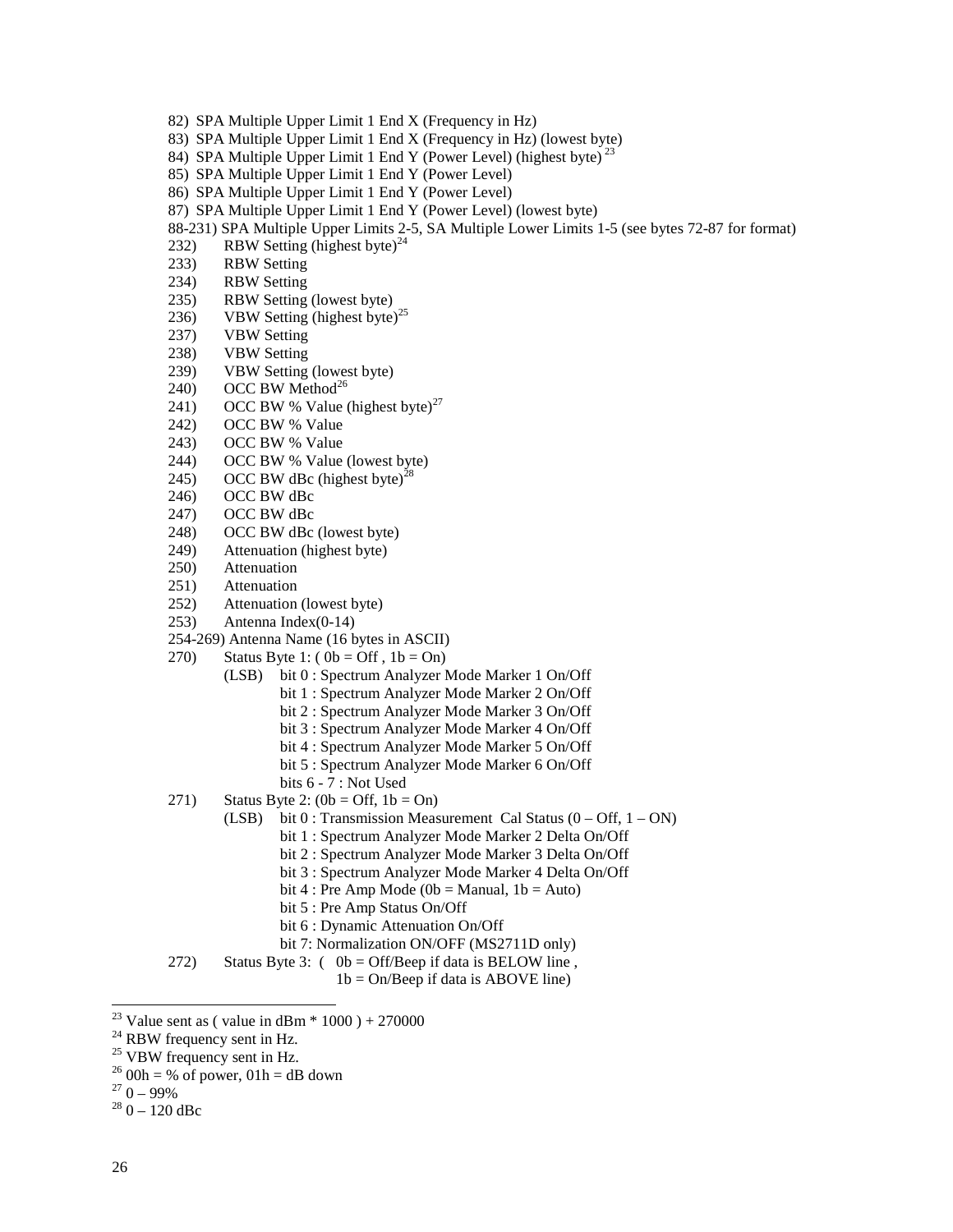- 82) SPA Multiple Upper Limit 1 End X (Frequency in Hz)
- 83) SPA Multiple Upper Limit 1 End X (Frequency in Hz) (lowest byte)
- 84) SPA Multiple Upper Limit 1 End Y (Power Level) (highest byte)<sup>23</sup>
- 85) SPA Multiple Upper Limit 1 End Y (Power Level)
- 86) SPA Multiple Upper Limit 1 End Y (Power Level)
- 87) SPA Multiple Upper Limit 1 End Y (Power Level) (lowest byte)
- 88-231) SPA Multiple Upper Limits 2-5, SA Multiple Lower Limits 1-5 (see bytes 72-87 for format)
- 232) RBW Setting (highest byte) $^{24}$
- 233) RBW Setting
- 234) RBW Setting
- 235) RBW Setting (lowest byte)
- 236) VBW Setting (highest byte)<sup>25</sup>
- 237) VBW Setting
- 238) VBW Setting
- 239) VBW Setting (lowest byte)
- 240) OCC BW Method<sup>26</sup>
- 241) OCC BW % Value (highest byte)<sup>27</sup>
- 242) OCC BW % Value
- 243) OCC BW % Value
- 244) OCC BW % Value (lowest byte)
- 245) OCC BW dBc (highest byte)<sup>28</sup>
- 246) OCC BW dBc
- 247) OCC BW dBc
- 248) OCC BW dBc (lowest byte)
- 249) Attenuation (highest byte)
- 250) Attenuation
- 251) Attenuation
- 252) Attenuation (lowest byte)
- 253) Antenna Index(0-14)
- 254-269) Antenna Name (16 bytes in ASCII)
- 270) Status Byte 1:  $(0b = \text{Off } , 1b = \text{On } )$ 
	- (LSB) bit 0 : Spectrum Analyzer Mode Marker 1 On/Off
		- bit 1 : Spectrum Analyzer Mode Marker 2 On/Off
		- bit 2 : Spectrum Analyzer Mode Marker 3 On/Off
		- bit 3 : Spectrum Analyzer Mode Marker 4 On/Off
		- bit 4 : Spectrum Analyzer Mode Marker 5 On/Off
		- bit 5 : Spectrum Analyzer Mode Marker 6 On/Off
		- bits 6 7 : Not Used
- 271) Status Byte 2:  $(0b = \text{Off}, 1b = \text{On})$ 
	- (LSB) bit  $0$ : Transmission Measurement Cal Status  $(0 Off, 1 ON)$ 
		- bit 1 : Spectrum Analyzer Mode Marker 2 Delta On/Off
		- bit 2 : Spectrum Analyzer Mode Marker 3 Delta On/Off
		- bit 3 : Spectrum Analyzer Mode Marker 4 Delta On/Off
		- bit 4 : Pre Amp Mode ( $0b$  = Manual,  $1b$  = Auto)
		- bit 5 : Pre Amp Status On/Off
		- bit 6 : Dynamic Attenuation On/Off
		- bit 7: Normalization ON/OFF (MS2711D only)
- 272) Status Byte 3:  $(0b = \text{Off/Beep if data is BELOW line})$ ,
	- $1b = On/Beep$  if data is ABOVE line)

 $\overline{a}$ 

<sup>&</sup>lt;sup>23</sup> Value sent as ( value in dBm  $*$  1000 ) + 270000

<sup>&</sup>lt;sup>24</sup> RBW frequency sent in Hz.

<sup>&</sup>lt;sup>25</sup> VBW frequency sent in Hz.

 $^{26}$  00h = % of power, 01h = dB down

 $270 - 99\%$ 

 $280 - 120$  dBc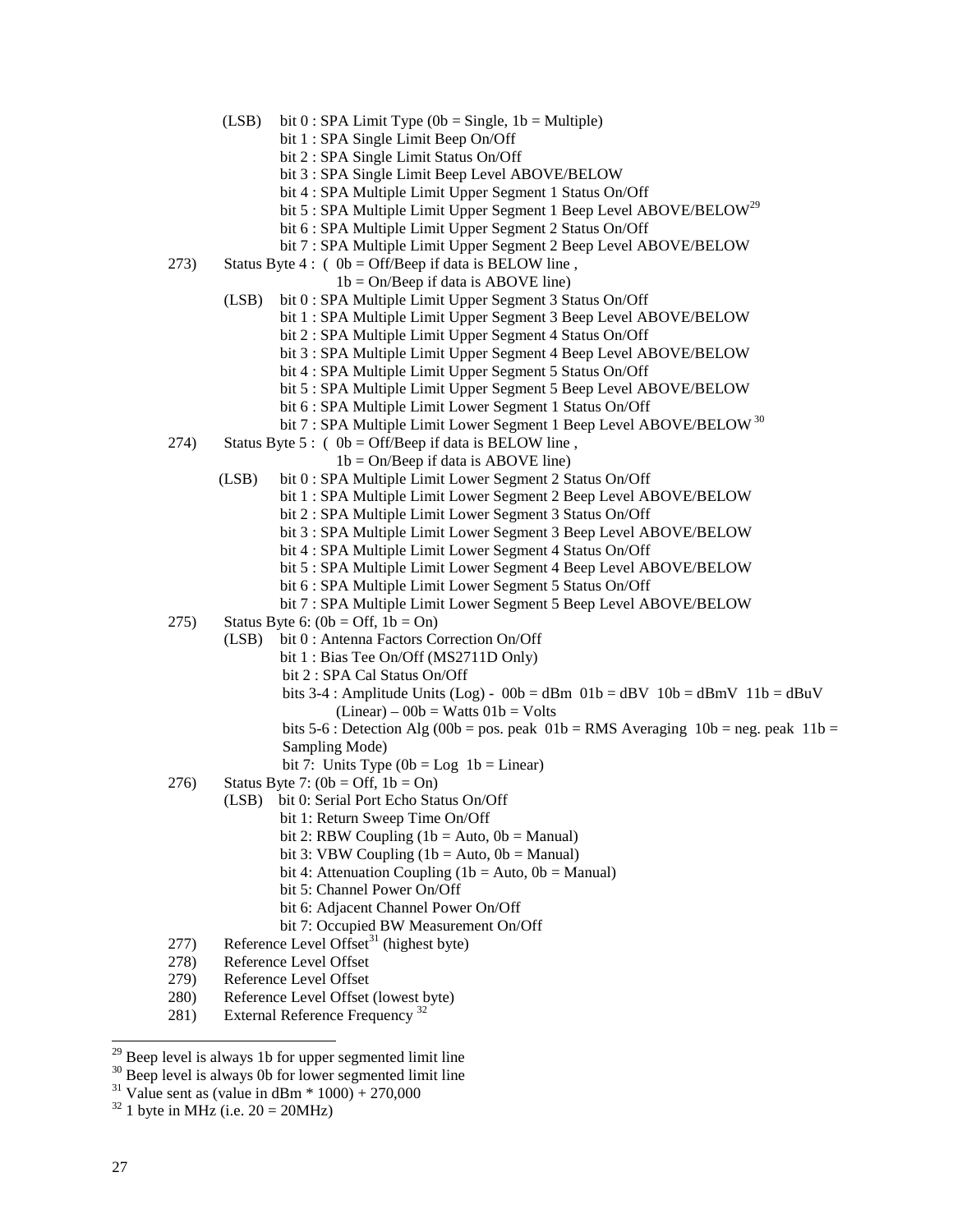- (LSB) bit  $0:$  SPA Limit Type (0b = Single, 1b = Multiple)
	- bit 1 : SPA Single Limit Beep On/Off
		- bit 2 : SPA Single Limit Status On/Off
		- bit 3 : SPA Single Limit Beep Level ABOVE/BELOW
		- bit 4 : SPA Multiple Limit Upper Segment 1 Status On/Off
		- bit 5 : SPA Multiple Limit Upper Segment 1 Beep Level ABOVE/BELOW<sup>29</sup>
		- bit 6 : SPA Multiple Limit Upper Segment 2 Status On/Off
		- bit 7 : SPA Multiple Limit Upper Segment 2 Beep Level ABOVE/BELOW
- 273) Status Byte 4 : (  $0b = \text{Off/Beep}$  if data is BELOW line,
	- $1b = On/Beep$  if data is ABOVE line)
	- (LSB) bit 0 : SPA Multiple Limit Upper Segment 3 Status On/Off
		- bit 1 : SPA Multiple Limit Upper Segment 3 Beep Level ABOVE/BELOW
			- bit 2 : SPA Multiple Limit Upper Segment 4 Status On/Off
			- bit 3 : SPA Multiple Limit Upper Segment 4 Beep Level ABOVE/BELOW
			- bit 4 : SPA Multiple Limit Upper Segment 5 Status On/Off
			- bit 5 : SPA Multiple Limit Upper Segment 5 Beep Level ABOVE/BELOW
			- bit 6 : SPA Multiple Limit Lower Segment 1 Status On/Off
		- bit 7 : SPA Multiple Limit Lower Segment 1 Beep Level ABOVE/BELOW<sup>30</sup>
- 274) Status Byte 5: (  $0b = \text{Off/Beep}$  if data is BELOW line,
	- $1b = On/Beep$  if data is ABOVE line)
	- (LSB) bit 0 : SPA Multiple Limit Lower Segment 2 Status On/Off
		- bit 1 : SPA Multiple Limit Lower Segment 2 Beep Level ABOVE/BELOW
			- bit 2 : SPA Multiple Limit Lower Segment 3 Status On/Off
			- bit 3 : SPA Multiple Limit Lower Segment 3 Beep Level ABOVE/BELOW
			- bit 4 : SPA Multiple Limit Lower Segment 4 Status On/Off
			- bit 5 : SPA Multiple Limit Lower Segment 4 Beep Level ABOVE/BELOW
			- bit 6 : SPA Multiple Limit Lower Segment 5 Status On/Off
			- bit 7 : SPA Multiple Limit Lower Segment 5 Beep Level ABOVE/BELOW
- 275) Status Byte 6:  $(0b = \text{Off}, 1b = \text{On})$ 
	- (LSB) bit 0 : Antenna Factors Correction On/Off
		- bit 1 : Bias Tee On/Off (MS2711D Only)
			- bit 2 : SPA Cal Status On/Off
			- bits 3-4 : Amplitude Units (Log) 00b = dBm  $01b =$  dBV  $10b =$  dBmV  $11b =$  dBuV  $(Linear) - 00b = Watts 01b = Volts$
			- bits 5-6 : Detection Alg (00b = pos. peak  $01b = RMS$  Averaging  $10b = neg$ . peak  $11b =$ Sampling Mode)
			- bit 7: Units Type  $(0b = Log 1b = Linear)$
- 276) Status Byte 7:  $(0b = \text{Off}, 1b = \text{On})$ 
	- (LSB) bit 0: Serial Port Echo Status On/Off
		- bit 1: Return Sweep Time On/Off
			- bit 2: RBW Coupling  $(1b = Auto, 0b = Manual)$
			- bit 3: VBW Coupling  $(1b = Auto, 0b = Manual)$
			- bit 4: Attenuation Coupling (1b = Auto,  $0b$  = Manual)
			- bit 5: Channel Power On/Off
			- bit 6: Adjacent Channel Power On/Off
		- bit 7: Occupied BW Measurement On/Off
- 277) Reference Level Offset<sup>31</sup> (highest byte)
- 278) Reference Level Offset
- 279) Reference Level Offset
- 280) Reference Level Offset (lowest byte)
- 281) External Reference Frequency<sup>32</sup>

 $29$  Beep level is always 1b for upper segmented limit line

 $30$  Beep level is always 0b for lower segmented limit line

<sup>&</sup>lt;sup>31</sup> Value sent as (value in dBm  $*$  1000) + 270,000

 $32$  1 byte in MHz (i.e.  $20 = 20$ MHz)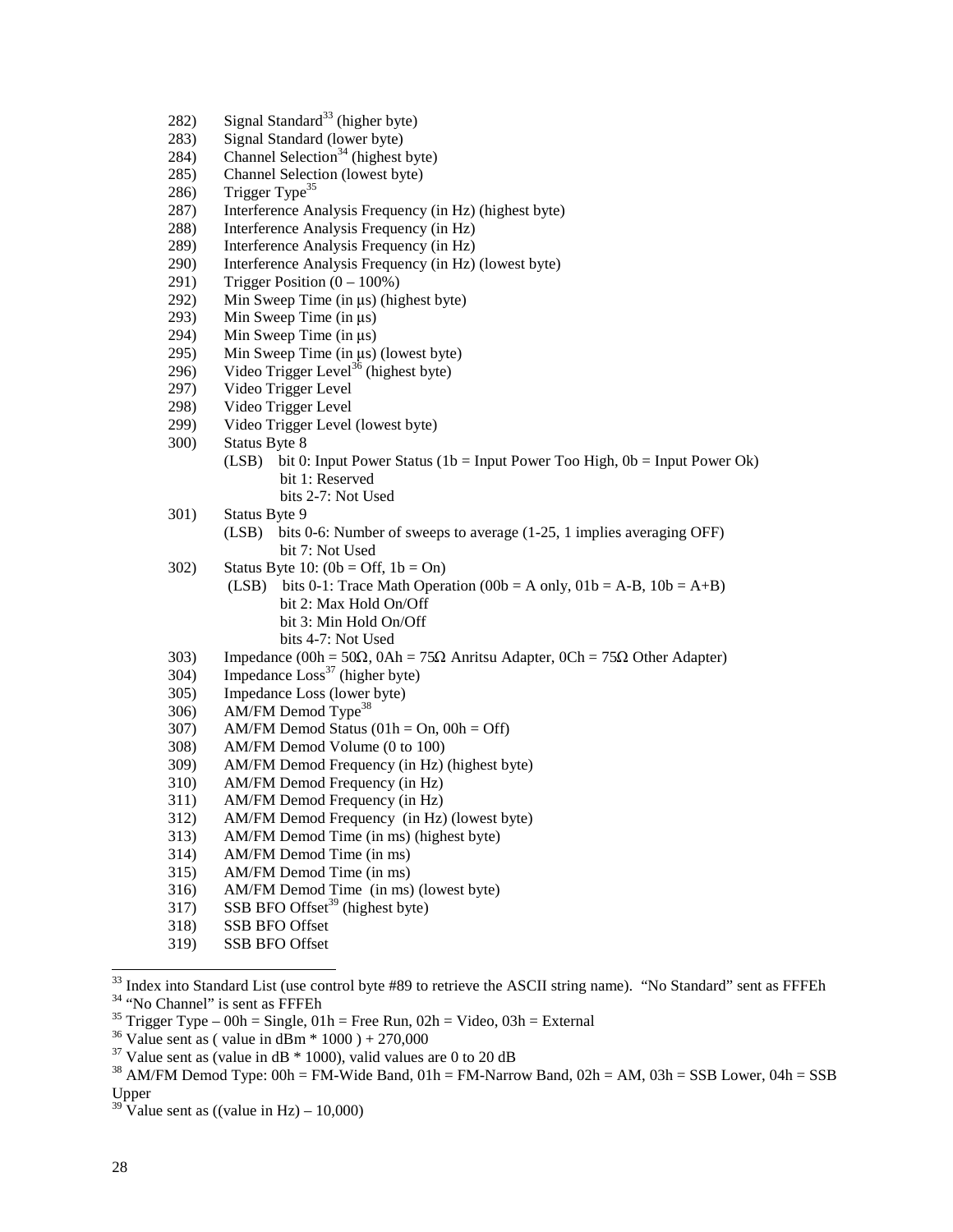- 282) Signal Standard<sup>33</sup> (higher byte)
- 283) Signal Standard (lower byte)
- 284) Channel Selection<sup>34</sup> (highest byte)
- 285) Channel Selection (lowest byte)
- 286) Trigger Type<sup>35</sup>
- 287) Interference Analysis Frequency (in Hz) (highest byte)
- 288) Interference Analysis Frequency (in Hz)
- 289) Interference Analysis Frequency (in Hz)
- 290) Interference Analysis Frequency (in Hz) (lowest byte)
- 291) Trigger Position  $(0 100\%)$
- 292) Min Sweep Time (in  $\mu$ s) (highest byte)<br>293) Min Sweep Time (in  $\mu$ s)
- 293) Min Sweep Time (in  $\mu$ s)<br>294) Min Sweep Time (in  $\mu$ s)
- 294) Min Sweep Time (in  $\mu$ s)<br>295) Min Sweep Time (in  $\mu$ s)
- 295) Min Sweep Time (in  $\mu$ s) (lowest byte)<br>296) Video Trigger Level<sup>36</sup> (highest byte)
- Video Trigger Level<sup>36</sup> (highest byte)
- 297) Video Trigger Level
- 298) Video Trigger Level
- 299) Video Trigger Level (lowest byte)
- 300) Status Byte 8
	- (LSB) bit 0: Input Power Status (1b = Input Power Too High,  $0b =$  Input Power Ok) bit 1: Reserved bits 2-7: Not Used
- 301) Status Byte 9
	- (LSB) bits 0-6: Number of sweeps to average (1-25, 1 implies averaging OFF) bit 7: Not Used
- 302) Status Byte 10:  $(0b = \text{Off}, 1b = \text{On})$ 
	- (LSB) bits 0-1: Trace Math Operation (00b = A only,  $01b = A-B$ ,  $10b = A+B$ ) bit 2: Max Hold On/Off bit 3: Min Hold On/Off bits 4-7: Not Used
- 303) Impedance  $(00h = 50\Omega, 0Ah = 75\Omega$  Anritsu Adapter,  $0Ch = 75\Omega$  Other Adapter)
- $304$ ) Impedance  $Loss<sup>37</sup>$  (higher byte)
- 305) Impedance Loss (lower byte)
- 306) AM/FM Demod Type<sup>38</sup>
- $307$  AM/FM Demod Status (01h = On, 00h = Off)
- 308) AM/FM Demod Volume (0 to 100)
- 309) AM/FM Demod Frequency (in Hz) (highest byte)
- 310) AM/FM Demod Frequency (in Hz)
- 311) AM/FM Demod Frequency (in Hz)
- 312) AM/FM Demod Frequency (in Hz) (lowest byte)
- 313) AM/FM Demod Time (in ms) (highest byte)
- 314) AM/FM Demod Time (in ms)
- 315) AM/FM Demod Time (in ms)
- 316) AM/FM Demod Time (in ms) (lowest byte)
- 317) SSB BFO Offset<sup>39</sup> (highest byte)
- 318) SSB BFO Offset
- 319) SSB BFO Offset

- <sup>35</sup> Trigger Type 00h = Single,  $01h$  = Free Run,  $02h$  = Video,  $03h$  = External
- <sup>36</sup> Value sent as ( value in dBm  $*$  1000 ) + 270,000

 $\overline{a}$ 

 $33$  Index into Standard List (use control byte #89 to retrieve the ASCII string name). "No Standard" sent as FFFEh 34 "No Channel" is sent as FFFEh

 $37$  Value sent as (value in dB  $*$  1000), valid values are 0 to 20 dB

<sup>&</sup>lt;sup>38</sup> AM/FM Demod Type:  $00h = FM-Wide$  Band,  $01h = FM-Narrow$  Band,  $02h = AM$ ,  $03h = SSB$  Lower,  $04h = SSB$ Upper

<sup>&</sup>lt;sup>39</sup> Value sent as ((value in Hz) – 10,000)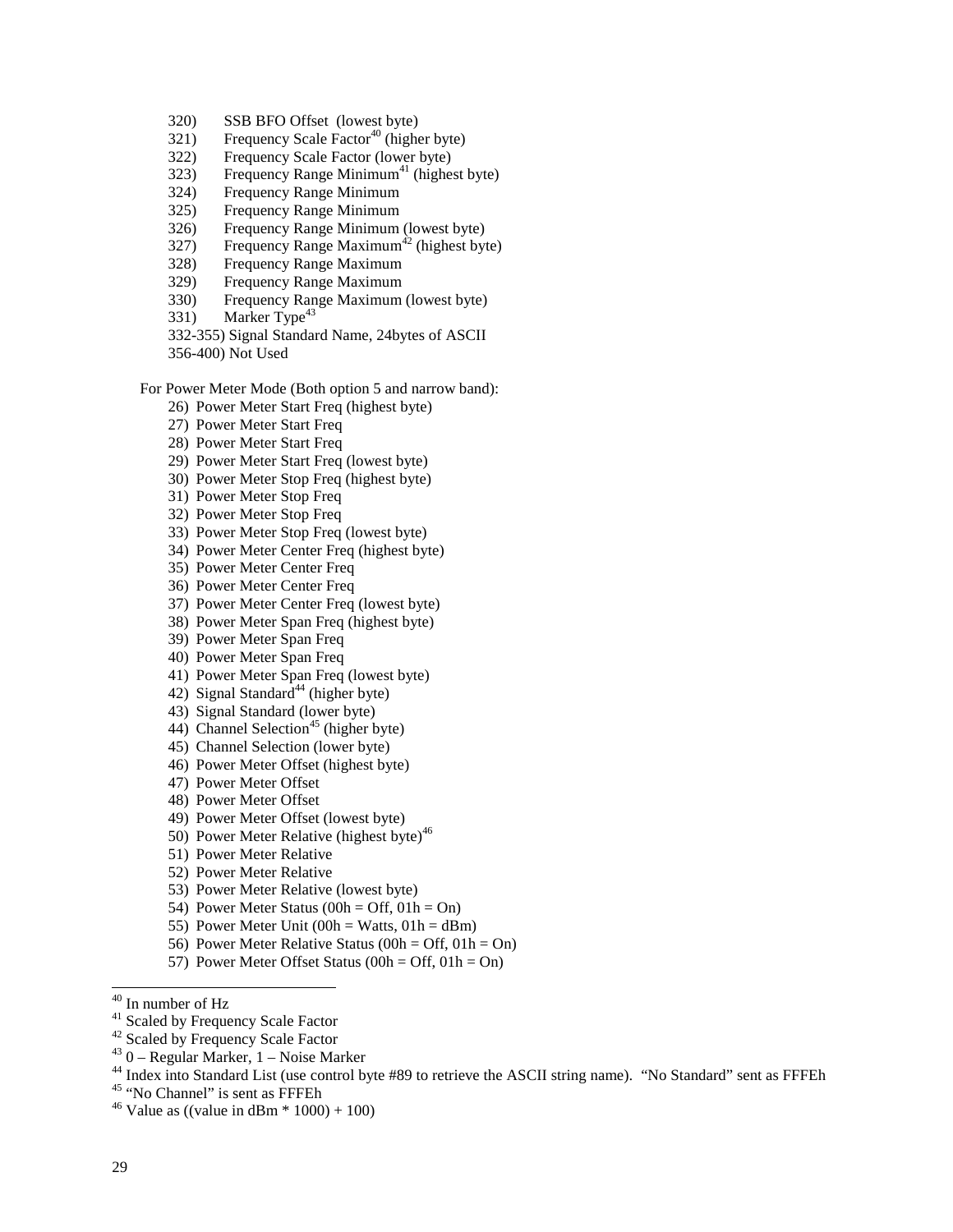- 320) SSB BFO Offset (lowest byte)
- $321)$  Frequency Scale Factor<sup>40</sup> (higher byte)
- 322) Frequency Scale Factor (lower byte)
- 323) Frequency Range Minimum<sup>41</sup> (highest byte)
- 324) Frequency Range Minimum
- 325) Frequency Range Minimum
- 326) Frequency Range Minimum (lowest byte)
- 327) Frequency Range Maximum<sup>42</sup> (highest byte)
- 328) Frequency Range Maximum
- 329) Frequency Range Maximum
- 330) Frequency Range Maximum (lowest byte)
- 331) Marker Type<sup>43</sup>
- 332-355) Signal Standard Name, 24bytes of ASCII
- 356-400) Not Used

#### For Power Meter Mode (Both option 5 and narrow band):

- 26) Power Meter Start Freq (highest byte)
- 27) Power Meter Start Freq
- 28) Power Meter Start Freq
- 29) Power Meter Start Freq (lowest byte)
- 30) Power Meter Stop Freq (highest byte)
- 31) Power Meter Stop Freq
- 32) Power Meter Stop Freq
- 33) Power Meter Stop Freq (lowest byte)
- 34) Power Meter Center Freq (highest byte)
- 35) Power Meter Center Freq
- 36) Power Meter Center Freq
- 37) Power Meter Center Freq (lowest byte)
- 38) Power Meter Span Freq (highest byte)
- 39) Power Meter Span Freq
- 40) Power Meter Span Freq
- 41) Power Meter Span Freq (lowest byte)
- 42) Signal Standard<sup>44</sup> (higher byte)
- 43) Signal Standard (lower byte)
- 44) Channel Selection<sup>45</sup> (higher byte)
- 45) Channel Selection (lower byte)
- 46) Power Meter Offset (highest byte)
- 47) Power Meter Offset
- 48) Power Meter Offset
- 49) Power Meter Offset (lowest byte)
- 50) Power Meter Relative (highest byte)<sup>46</sup>
- 51) Power Meter Relative
- 52) Power Meter Relative
- 53) Power Meter Relative (lowest byte)
- 54) Power Meter Status (00h = Off,  $01h = On$ )
- 55) Power Meter Unit (00h = Watts,  $01h = dBm$ )
- 56) Power Meter Relative Status (00h = Off,  $01h = On$ )
- 57) Power Meter Offset Status (00h = Off, 01h = On)

- 41 Scaled by Frequency Scale Factor
- <sup>42</sup> Scaled by Frequency Scale Factor
- $43$  0 Regular Marker, 1 Noise Marker
- <sup>44</sup> Index into Standard List (use control byte #89 to retrieve the ASCII string name). "No Standard" sent as FFFEh
- <sup>45</sup> "No Channel" is sent as FFFEh

<sup>40</sup> In number of Hz

<sup>&</sup>lt;sup>46</sup> Value as ((value in dBm  $*$  1000) + 100)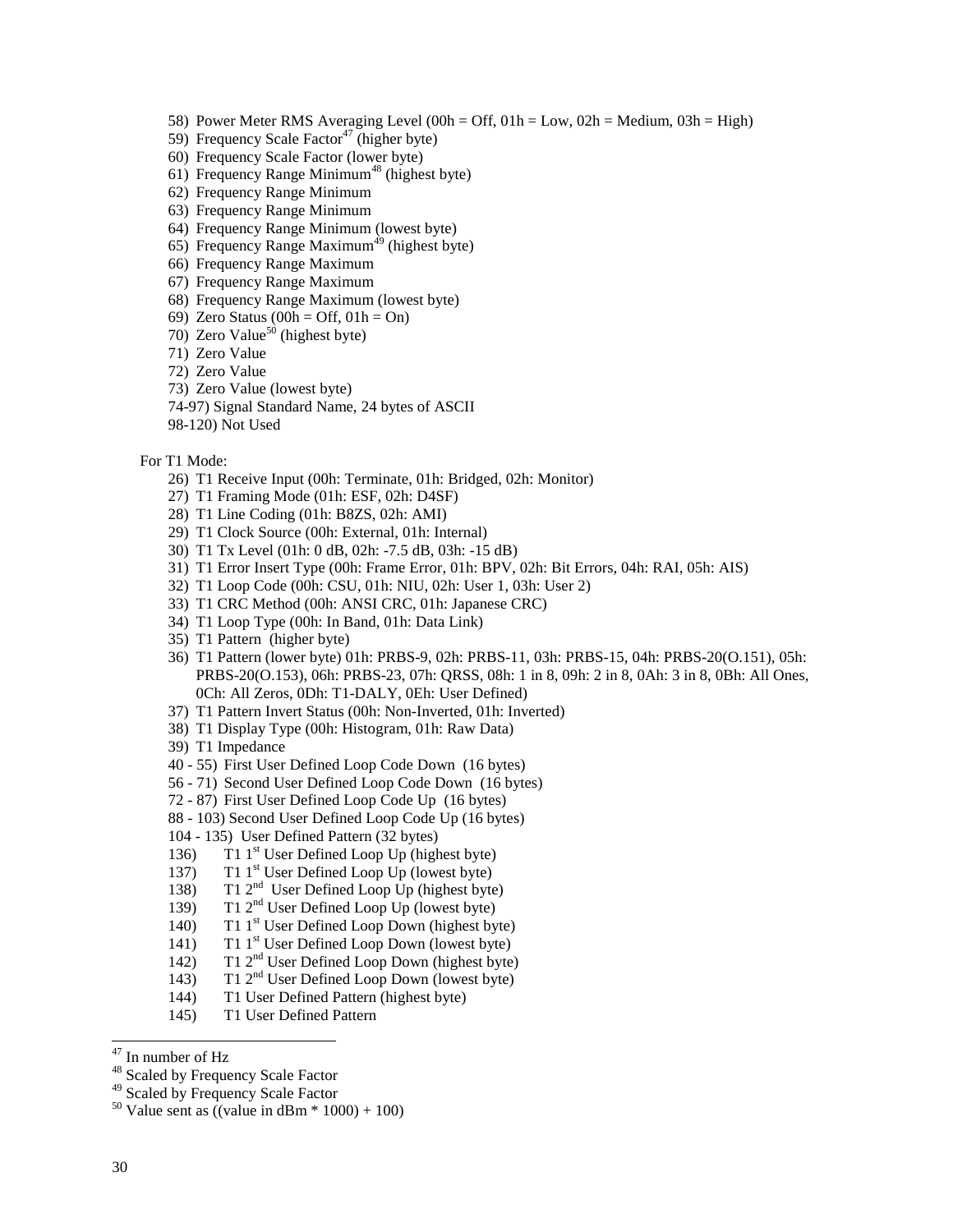- 58) Power Meter RMS Averaging Level (00h = Off,  $01h = Low$ ,  $02h = Medium$ ,  $03h = High$ )
- 59) Frequency Scale Factor<sup>47</sup> (higher byte)
- 60) Frequency Scale Factor (lower byte)
- 61) Frequency Range Minimum<sup>48</sup> (highest byte)
- 62) Frequency Range Minimum
- 63) Frequency Range Minimum
- 64) Frequency Range Minimum (lowest byte)
- 65) Frequency Range Maximum<sup>49</sup> (highest byte)
- 66) Frequency Range Maximum
- 67) Frequency Range Maximum
- 68) Frequency Range Maximum (lowest byte)
- 69) Zero Status (00h = Off,  $01h = On$ )
- 70) Zero Value<sup>50</sup> (highest byte)
- 71) Zero Value
- 72) Zero Value
- 73) Zero Value (lowest byte)
- 74-97) Signal Standard Name, 24 bytes of ASCII
- 98-120) Not Used
- For T1 Mode:
	- 26) T1 Receive Input (00h: Terminate, 01h: Bridged, 02h: Monitor)
	- 27) T1 Framing Mode (01h: ESF, 02h: D4SF)
	- 28) T1 Line Coding (01h: B8ZS, 02h: AMI)
	- 29) T1 Clock Source (00h: External, 01h: Internal)
	- 30) T1 Tx Level (01h: 0 dB, 02h: -7.5 dB, 03h: -15 dB)
	- 31) T1 Error Insert Type (00h: Frame Error, 01h: BPV, 02h: Bit Errors, 04h: RAI, 05h: AIS)
	- 32) T1 Loop Code (00h: CSU, 01h: NIU, 02h: User 1, 03h: User 2)
	- 33) T1 CRC Method (00h: ANSI CRC, 01h: Japanese CRC)
	- 34) T1 Loop Type (00h: In Band, 01h: Data Link)
	- 35) T1 Pattern (higher byte)
	- 36) T1 Pattern (lower byte) 01h: PRBS-9, 02h: PRBS-11, 03h: PRBS-15, 04h: PRBS-20(O.151), 05h: PRBS-20(O.153), 06h: PRBS-23, 07h: QRSS, 08h: 1 in 8, 09h: 2 in 8, 0Ah: 3 in 8, 0Bh: All Ones, 0Ch: All Zeros, 0Dh: T1-DALY, 0Eh: User Defined)
	- 37) T1 Pattern Invert Status (00h: Non-Inverted, 01h: Inverted)
	- 38) T1 Display Type (00h: Histogram, 01h: Raw Data)
	- 39) T1 Impedance
	- 40 55) First User Defined Loop Code Down (16 bytes)
	- 56 71) Second User Defined Loop Code Down (16 bytes)
	- 72 87) First User Defined Loop Code Up (16 bytes)
	- 88 103) Second User Defined Loop Code Up (16 bytes)
	- 104 135) User Defined Pattern (32 bytes)
	- 136) T1 1<sup>st</sup> User Defined Loop Up (highest byte)
	- 137) T1 1<sup>st</sup> User Defined Loop Up (lowest byte)
	- 138) T1  $2<sup>nd</sup>$  User Defined Loop Up (highest byte)
	- 139) T1 2<sup>nd</sup> User Defined Loop Up (lowest byte)
	- 140) T1 1<sup>st</sup> User Defined Loop Down (highest byte)
	- 141)  $T1$ <sup>st</sup> User Defined Loop Down (lowest byte)
	- 142) T1 2nd User Defined Loop Down (highest byte)
	- 143) T1 2nd User Defined Loop Down (lowest byte)
	- 144) T1 User Defined Pattern (highest byte)
	- 145) T1 User Defined Pattern

<sup>47</sup> In number of Hz

<sup>48</sup> Scaled by Frequency Scale Factor

<sup>49</sup> Scaled by Frequency Scale Factor

<sup>&</sup>lt;sup>50</sup> Value sent as ((value in dBm  $*$  1000) + 100)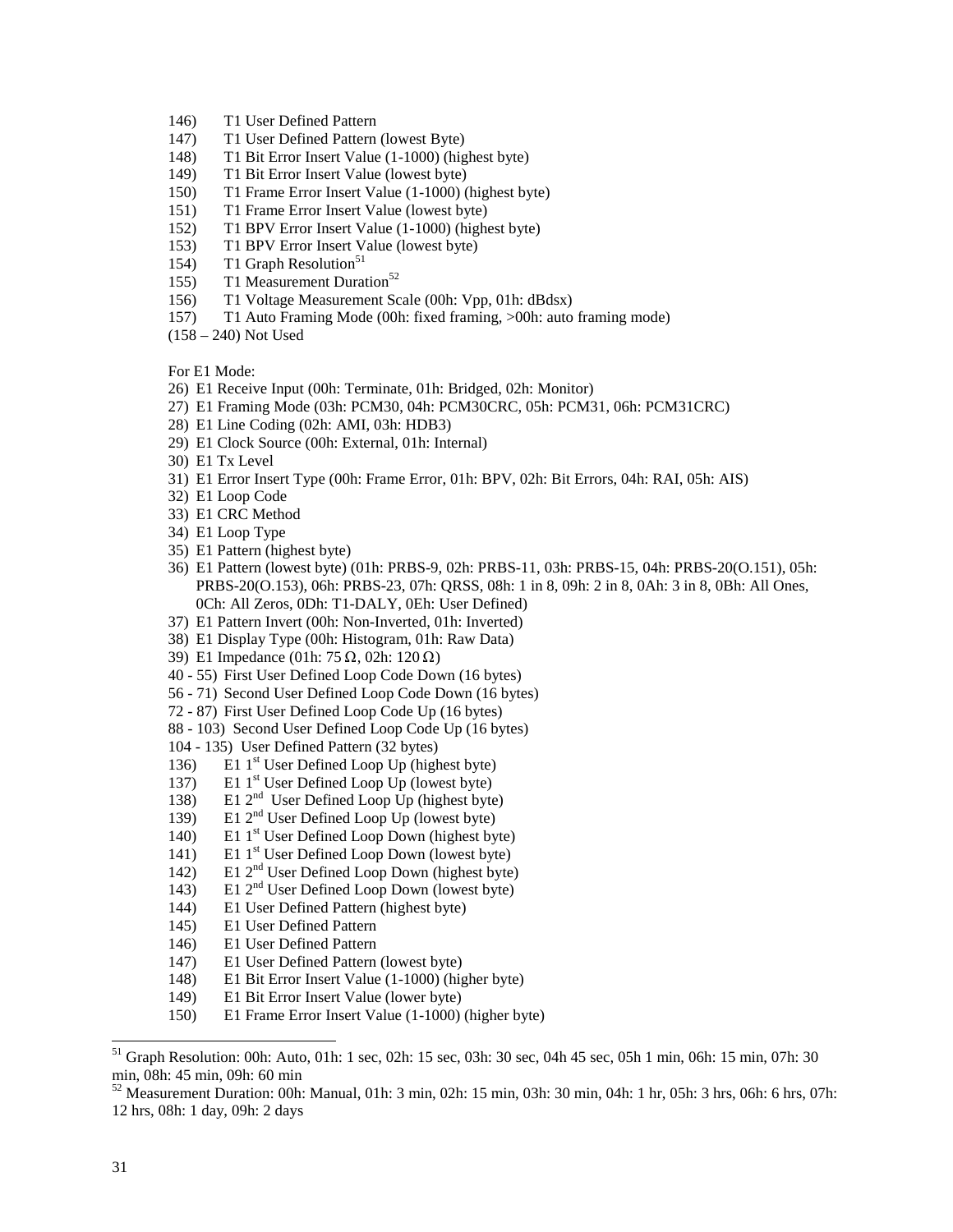- 146) T1 User Defined Pattern
- 147) T1 User Defined Pattern (lowest Byte)
- 148) T1 Bit Error Insert Value (1-1000) (highest byte)
- 149) T1 Bit Error Insert Value (lowest byte)
- 150) T1 Frame Error Insert Value (1-1000) (highest byte)
- 151) T1 Frame Error Insert Value (lowest byte)
- 152) T1 BPV Error Insert Value (1-1000) (highest byte)
- 153) T1 BPV Error Insert Value (lowest byte)
- 154) T1 Graph Resolution<sup>51</sup>
- 155) T1 Measurement Duration<sup>52</sup>
- 156) T1 Voltage Measurement Scale (00h: Vpp, 01h: dBdsx)
- 157) T1 Auto Framing Mode (00h: fixed framing, >00h: auto framing mode)
- (158 240) Not Used

For E1 Mode:

- 26) E1 Receive Input (00h: Terminate, 01h: Bridged, 02h: Monitor)
- 27) E1 Framing Mode (03h: PCM30, 04h: PCM30CRC, 05h: PCM31, 06h: PCM31CRC)
- 28) E1 Line Coding (02h: AMI, 03h: HDB3)
- 29) E1 Clock Source (00h: External, 01h: Internal)
- 30) E1 Tx Level
- 31) E1 Error Insert Type (00h: Frame Error, 01h: BPV, 02h: Bit Errors, 04h: RAI, 05h: AIS)
- 32) E1 Loop Code
- 33) E1 CRC Method
- 34) E1 Loop Type
- 35) E1 Pattern (highest byte)
- 36) E1 Pattern (lowest byte) (01h: PRBS-9, 02h: PRBS-11, 03h: PRBS-15, 04h: PRBS-20(O.151), 05h: PRBS-20(O.153), 06h: PRBS-23, 07h: QRSS, 08h: 1 in 8, 09h: 2 in 8, 0Ah: 3 in 8, 0Bh: All Ones, 0Ch: All Zeros, 0Dh: T1-DALY, 0Eh: User Defined)
- 37) E1 Pattern Invert (00h: Non-Inverted, 01h: Inverted)
- 38) E1 Display Type (00h: Histogram, 01h: Raw Data)
- 39) E1 Impedance (01h: 75  $\Omega$ , 02h: 120  $\Omega$ )
- 40 55) First User Defined Loop Code Down (16 bytes)
- 56 71) Second User Defined Loop Code Down (16 bytes)
- 72 87) First User Defined Loop Code Up (16 bytes)
- 88 103) Second User Defined Loop Code Up (16 bytes)
- 104 135) User Defined Pattern (32 bytes)
- 136) E1 1<sup>st</sup> User Defined Loop Up (highest byte)
- 137) E1  $1^{st}$  User Defined Loop Up (lowest byte)
- 138) E1  $2^{nd}$  User Defined Loop  $Up$  (highest byte)
- 139) E1  $2<sup>nd</sup>$  User Defined Loop Up (lowest byte)
- 140) E1  $1<sup>st</sup>$  User Defined Loop Down (highest byte)
- 141) E1  $1<sup>st</sup>$  User Defined Loop Down (lowest byte)
- 142) E1 2nd User Defined Loop Down (highest byte)
- 143) E1 2nd User Defined Loop Down (lowest byte)
- 144) E1 User Defined Pattern (highest byte)
- 145) E1 User Defined Pattern
- 146) E1 User Defined Pattern
- 147) E1 User Defined Pattern (lowest byte)
- 148) E1 Bit Error Insert Value (1-1000) (higher byte)
- 149) E1 Bit Error Insert Value (lower byte)
- 150) E1 Frame Error Insert Value (1-1000) (higher byte)

<sup>51</sup> Graph Resolution: 00h: Auto, 01h: 1 sec, 02h: 15 sec, 03h: 30 sec, 04h 45 sec, 05h 1 min, 06h: 15 min, 07h: 30 min, 08h: 45 min, 09h: 60 min

 $52$  Measurement Duration: 00h: Manual, 01h: 3 min, 02h: 15 min, 03h: 30 min, 04h: 1 hr, 05h: 3 hrs, 06h: 6 hrs, 07h: 12 hrs, 08h: 1 day, 09h: 2 days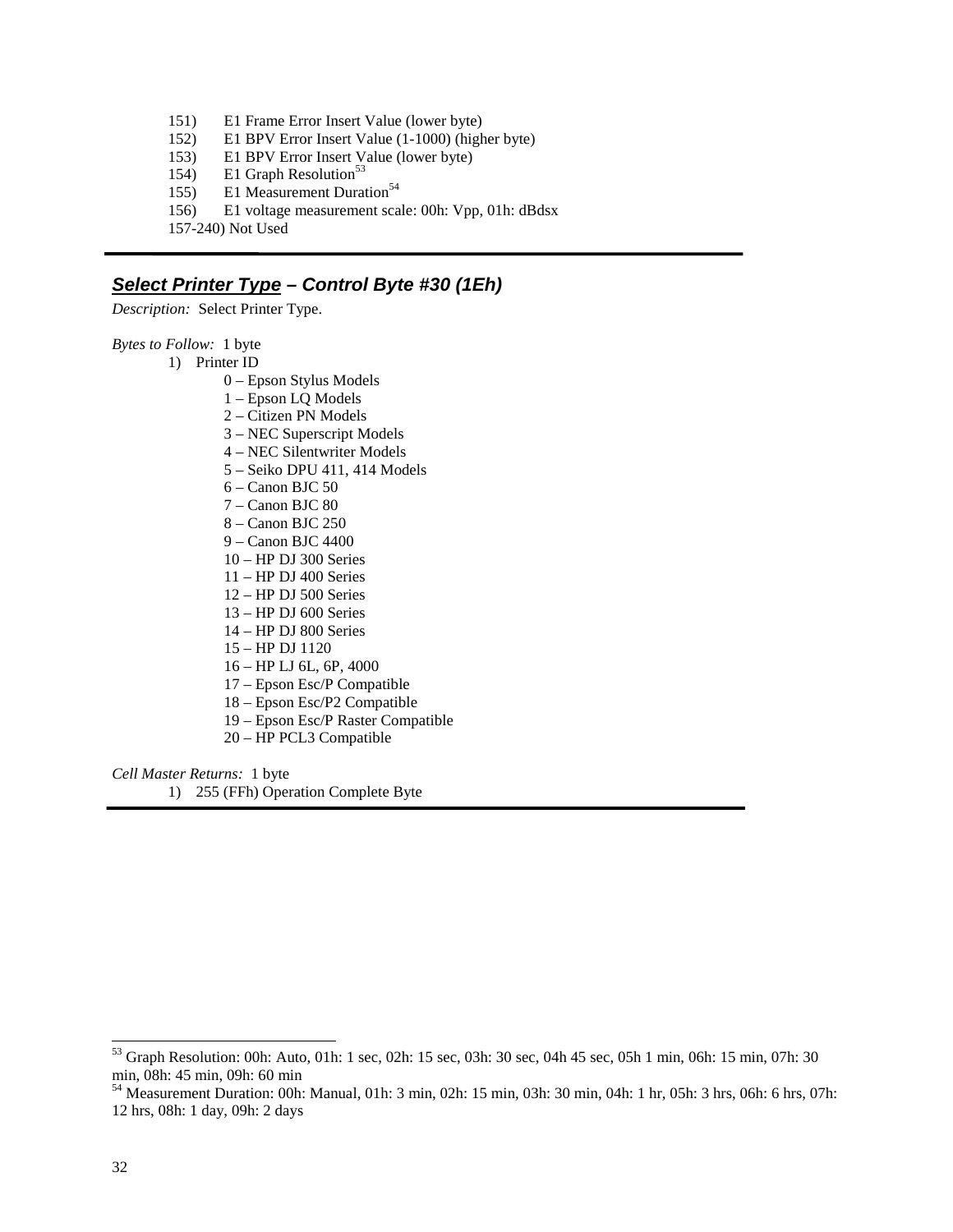- 151) E1 Frame Error Insert Value (lower byte)
- 152) E1 BPV Error Insert Value (1-1000) (higher byte)
- 153) E1 BPV Error Insert Value (lower byte)
- 154) E1 Graph Resolution<sup>53</sup>
- 155) E1 Measurement Duration<sup>54</sup>
- 156) E1 voltage measurement scale: 00h: Vpp, 01h: dBdsx
- 157-240) Not Used

#### **Select Printer Type – Control Byte #30 (1Eh)**

*Description:* Select Printer Type.

*Bytes to Follow:*1 byte

- 1) Printer ID
	- 0 Epson Stylus Models
	- 1 Epson LQ Models
	- 2 Citizen PN Models
	- 3 NEC Superscript Models
	- 4 NEC Silentwriter Models
	- 5 Seiko DPU 411, 414 Models
	- 6 Canon BJC 50
	- 7 Canon BJC 80
	- 8 Canon BJC 250
	- 9 Canon BJC 4400
	- 10 HP DJ 300 Series
	- 11 HP DJ 400 Series
	- 12 HP DJ 500 Series
	- 13 HP DJ 600 Series
	- 14 HP DJ 800 Series
	- 15 HP DJ 1120
	- 16 HP LJ 6L, 6P, 4000
	- 17 Epson Esc/P Compatible
	- 18 Epson Esc/P2 Compatible
	- 19 Epson Esc/P Raster Compatible
	- 20 HP PCL3 Compatible

*Cell Master Returns:* 1 byte 1) 255 (FFh) Operation Complete Byte

<sup>53</sup> Graph Resolution: 00h: Auto, 01h: 1 sec, 02h: 15 sec, 03h: 30 sec, 04h 45 sec, 05h 1 min, 06h: 15 min, 07h: 30 min, 08h: 45 min, 09h: 60 min

 $^{54}$  Measurement Duration: 00h: Manual, 01h: 3 min, 02h: 15 min, 03h: 30 min, 04h: 1 hr, 05h: 3 hrs, 06h: 6 hrs, 07h: 12 hrs, 08h: 1 day, 09h: 2 days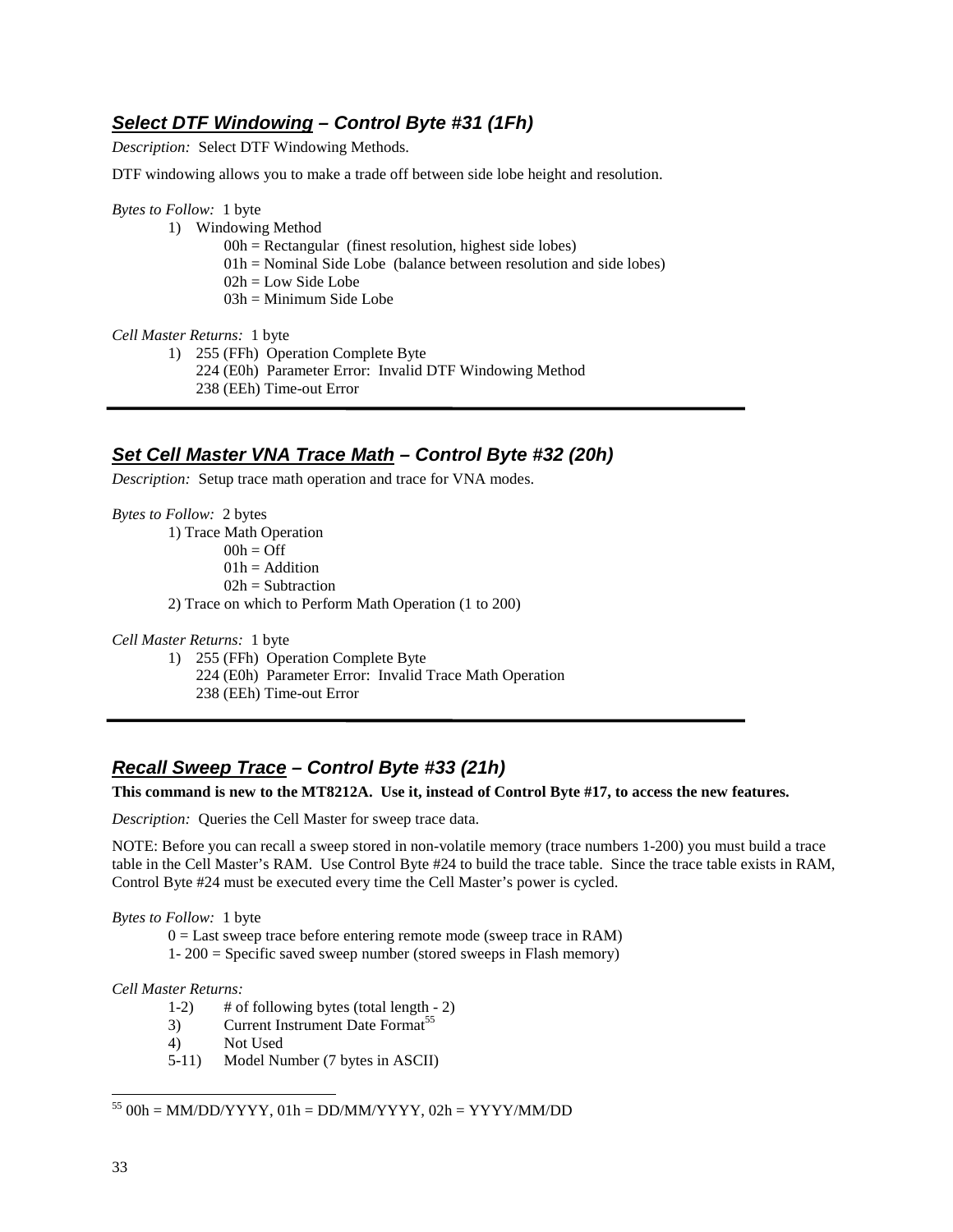## **Select DTF Windowing – Control Byte #31 (1Fh)**

*Description:* Select DTF Windowing Methods.

DTF windowing allows you to make a trade off between side lobe height and resolution.

#### *Bytes to Follow:* 1 byte

- 1) Windowing Method
	- $00h$  = Rectangular (finest resolution, highest side lobes)
	- $01h =$  Nominal Side Lobe (balance between resolution and side lobes)
	- 02h = Low Side Lobe
	- 03h = Minimum Side Lobe

*Cell Master Returns:* 1 byte

1) 255 (FFh) Operation Complete Byte 224 (E0h) Parameter Error: Invalid DTF Windowing Method

238 (EEh) Time-out Error

### **Set Cell Master VNA Trace Math – Control Byte #32 (20h)**

*Description:* Setup trace math operation and trace for VNA modes.

*Bytes to Follow:* 2 bytes 1) Trace Math Operation  $00h = \text{Off}$  $01h =$  Addition  $02h =$ Subtraction 2) Trace on which to Perform Math Operation (1 to 200)

*Cell Master Returns:* 1 byte

1) 255 (FFh) Operation Complete Byte

- 224 (E0h) Parameter Error: Invalid Trace Math Operation
- 238 (EEh) Time-out Error

## **Recall Sweep Trace – Control Byte #33 (21h)**

#### **This command is new to the MT8212A. Use it, instead of Control Byte #17, to access the new features.**

*Description:* Queries the Cell Master for sweep trace data.

NOTE: Before you can recall a sweep stored in non-volatile memory (trace numbers 1-200) you must build a trace table in the Cell Master's RAM. Use Control Byte #24 to build the trace table. Since the trace table exists in RAM, Control Byte #24 must be executed every time the Cell Master's power is cycled.

#### *Bytes to Follow:* 1 byte

 $0 =$  Last sweep trace before entering remote mode (sweep trace in RAM)

1- 200 = Specific saved sweep number (stored sweeps in Flash memory)

#### *Cell Master Returns:*

- 1-2) # of following bytes (total length 2)
- 3) Current Instrument Date Format<sup>55</sup>
- 4) Not Used
- 5-11) Model Number (7 bytes in ASCII)

-

 $\overline{a}$ 

 $^{55}$  00h = MM/DD/YYYY, 01h = DD/MM/YYYY, 02h = YYYY/MM/DD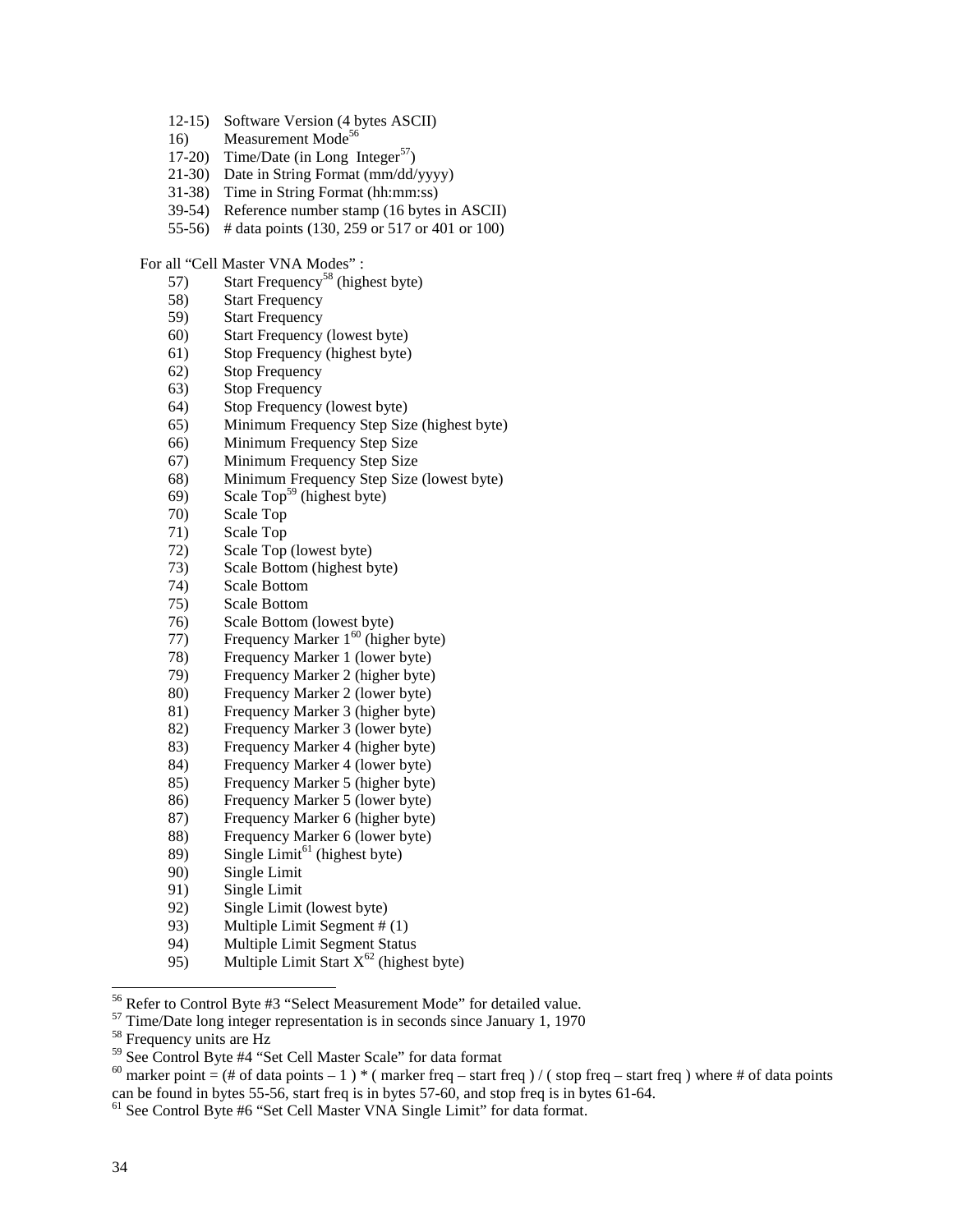- 12-15) Software Version (4 bytes ASCII)
- 16) Measurement Mode<sup>56</sup>
- 17-20) Time/Date (in Long Integer<sup>57</sup>)
- 21-30) Date in String Format (mm/dd/yyyy)
- 31-38) Time in String Format (hh:mm:ss)
- 39-54) Reference number stamp (16 bytes in ASCII)
- 55-56) # data points (130, 259 or 517 or 401 or 100)

#### For all "Cell Master VNA Modes" :

- 57) Start Frequency<sup>58</sup> (highest byte)
- 58) Start Frequency
- 59) Start Frequency
- 60) Start Frequency (lowest byte)
- 61) Stop Frequency (highest byte)
- 62) Stop Frequency
- 63) Stop Frequency
- 64) Stop Frequency (lowest byte)
- 65) Minimum Frequency Step Size (highest byte)
- 66) Minimum Frequency Step Size
- 67) Minimum Frequency Step Size
- 68) Minimum Frequency Step Size (lowest byte)
- 69) Scale Top<sup>59</sup> (highest byte)
- 70) Scale Top
- 71) Scale Top
- 72) Scale Top (lowest byte)
- 73) Scale Bottom (highest byte)
- 74) Scale Bottom
- 75) Scale Bottom
- 76) Scale Bottom (lowest byte)
- 77) Frequency Marker  $1^{60}$  (higher byte)
- 78) Frequency Marker 1 (lower byte)
- 79) Frequency Marker 2 (higher byte)
- 80) Frequency Marker 2 (lower byte)
- 81) Frequency Marker 3 (higher byte)
- 82) Frequency Marker 3 (lower byte)
- 83) Frequency Marker 4 (higher byte)
- 84) Frequency Marker 4 (lower byte)
- 85) Frequency Marker 5 (higher byte)
- 86) Frequency Marker 5 (lower byte)
- 87) Frequency Marker 6 (higher byte)
- 88) Frequency Marker 6 (lower byte)
- 89) Single Limit<sup>61</sup> (highest byte)
- 90) Single Limit
- 91) Single Limit
- 92) Single Limit (lowest byte)
- 93) Multiple Limit Segment # (1)
- 94) Multiple Limit Segment Status
- 95) Multiple Limit Start  $X^{62}$  (highest byte)

- <sup>57</sup> Time/Date long integer representation is in seconds since January 1, 1970
- <sup>58</sup> Frequency units are Hz

<sup>&</sup>lt;sup>56</sup> Refer to Control Byte #3 "Select Measurement Mode" for detailed value.

<sup>59</sup> See Control Byte #4 "Set Cell Master Scale" for data format

<sup>&</sup>lt;sup>60</sup> marker point = (# of data points - 1) \* ( marker freq - start freq ) / ( stop freq - start freq ) where # of data points can be found in bytes 55-56, start freq is in bytes 57-60, and stop freq is in bytes 61-64.

<sup>61</sup> See Control Byte #6 "Set Cell Master VNA Single Limit" for data format.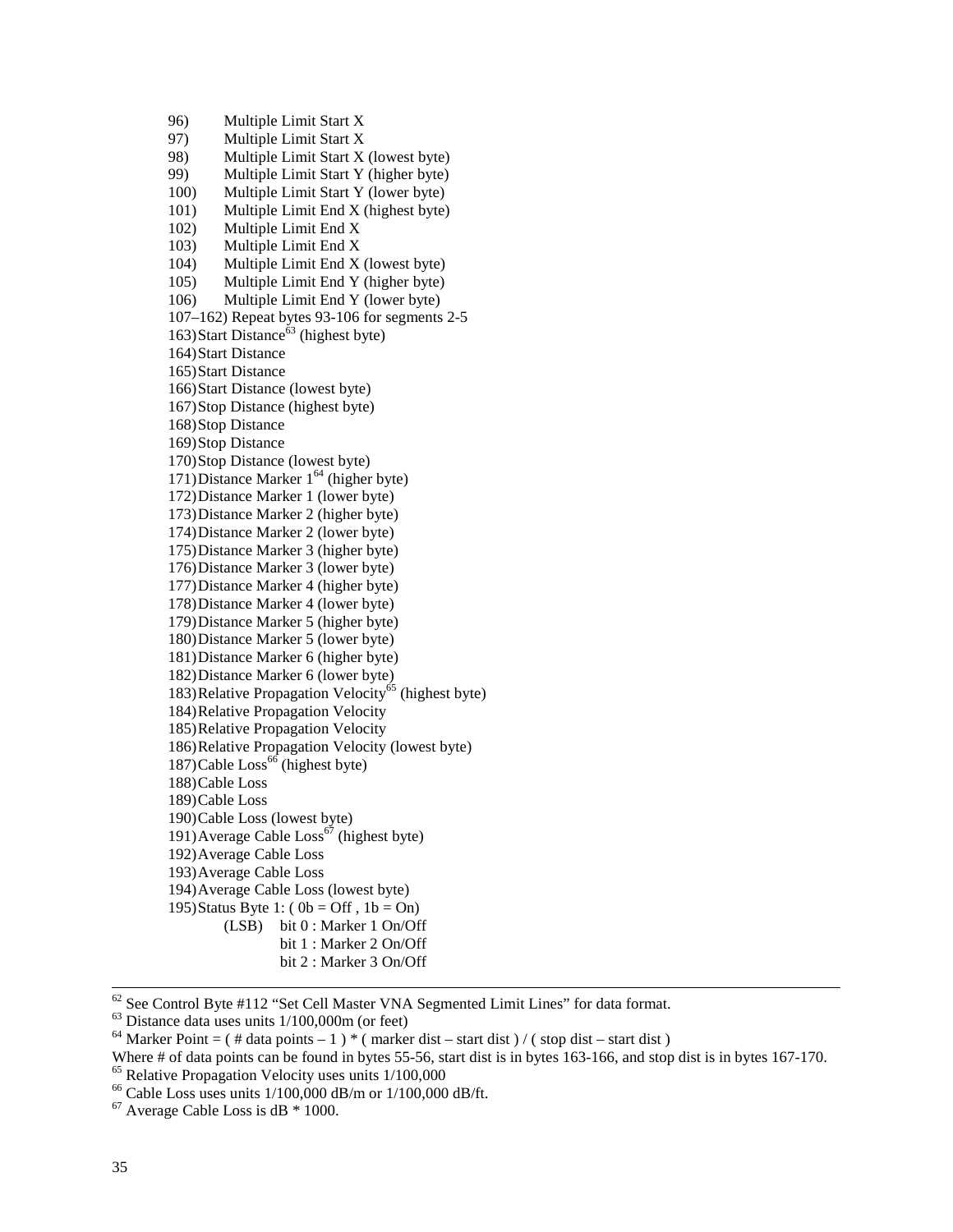96) Multiple Limit Start X 97) Multiple Limit Start X 98) Multiple Limit Start X (lowest byte) 99) Multiple Limit Start Y (higher byte) 100) Multiple Limit Start Y (lower byte) 101) Multiple Limit End X (highest byte) 102) Multiple Limit End X 103) Multiple Limit End X 104) Multiple Limit End X (lowest byte) 105) Multiple Limit End Y (higher byte) 106) Multiple Limit End Y (lower byte) 107–162) Repeat bytes 93-106 for segments 2-5 163) Start Distance<sup> $63$ </sup> (highest byte) 164)Start Distance 165)Start Distance 166)Start Distance (lowest byte) 167)Stop Distance (highest byte) 168)Stop Distance 169)Stop Distance 170)Stop Distance (lowest byte) 171)Distance Marker  $1^{64}$  (higher byte) 172)Distance Marker 1 (lower byte) 173)Distance Marker 2 (higher byte) 174)Distance Marker 2 (lower byte) 175)Distance Marker 3 (higher byte) 176)Distance Marker 3 (lower byte) 177)Distance Marker 4 (higher byte) 178)Distance Marker 4 (lower byte) 179)Distance Marker 5 (higher byte) 180)Distance Marker 5 (lower byte) 181)Distance Marker 6 (higher byte) 182)Distance Marker 6 (lower byte) 183)Relative Propagation Velocity<sup> $65$ </sup> (highest byte) 184)Relative Propagation Velocity 185)Relative Propagation Velocity 186)Relative Propagation Velocity (lowest byte)  $187)$ Cable Loss<sup>66</sup> (highest byte) 188)Cable Loss 189)Cable Loss 190)Cable Loss (lowest byte) 191)Average Cable  $\text{Loss}^{67}$  (highest byte) 192)Average Cable Loss 193)Average Cable Loss 194)Average Cable Loss (lowest byte) 195)Status Byte 1: ( $0b = \text{Off }$ ,  $1b = \text{On}$ ) (LSB) bit 0 : Marker 1 On/Off bit 1 : Marker 2 On/Off bit 2 : Marker 3 On/Off

62 See Control Byte #112 "Set Cell Master VNA Segmented Limit Lines" for data format.

 $63$  Distance data uses units  $1/100,000$ m (or feet)

<sup>&</sup>lt;sup>64</sup> Marker Point =  $($  # data points – 1  $)$  \*  $($  marker dist – start dist  $)/$   $($  stop dist – start dist  $)$ 

Where # of data points can be found in bytes 55-56, start dist is in bytes 163-166, and stop dist is in bytes 167-170. 65 Relative Propagation Velocity uses units 1/100,000

<sup>&</sup>lt;sup>66</sup> Cable Loss uses units  $1/100,000$  dB/m or  $1/100,000$  dB/ft.

 $67$  Average Cable Loss is dB  $*$  1000.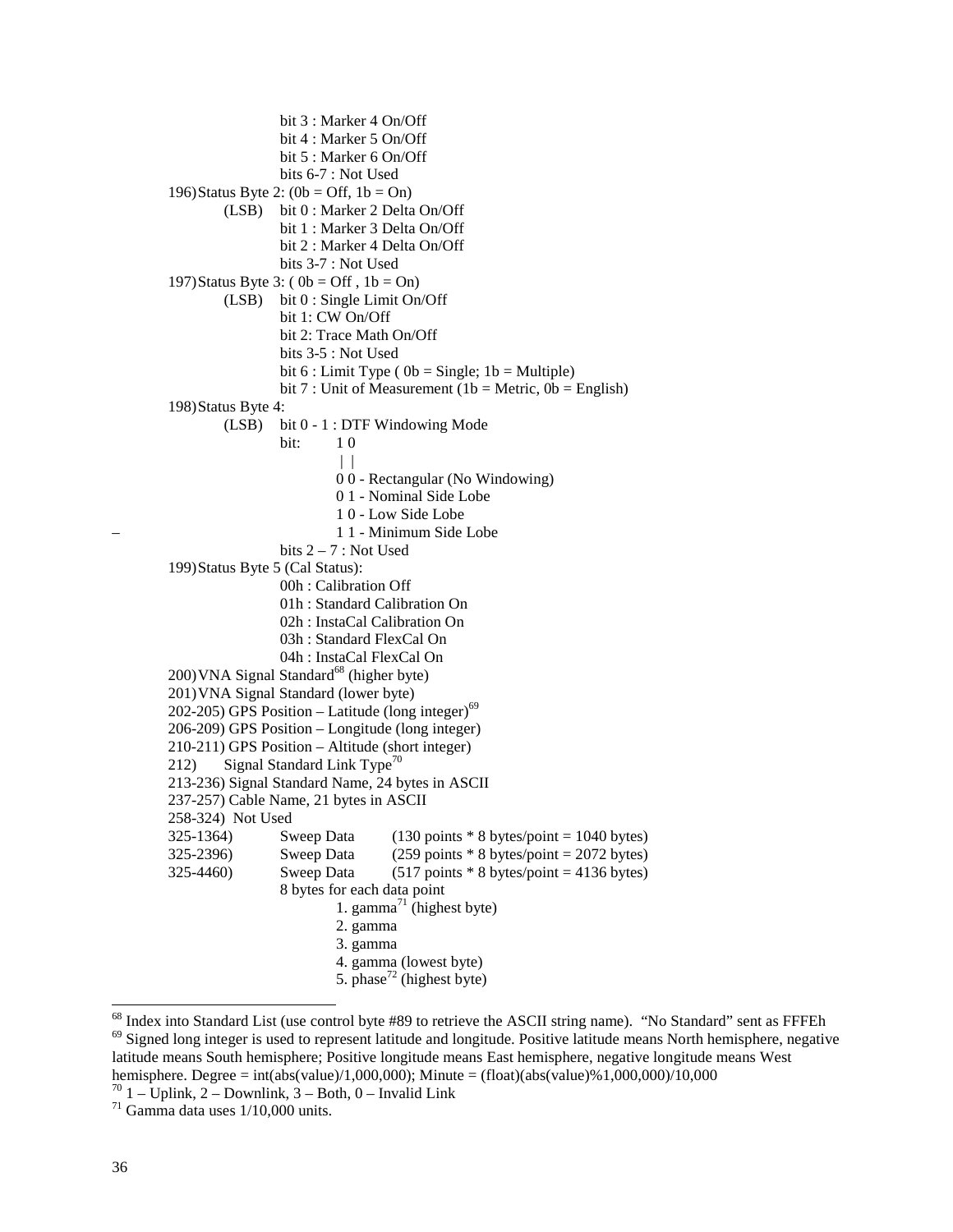bit 3 : Marker 4 On/Off bit 4 : Marker 5 On/Off bit 5 : Marker 6 On/Off bits 6-7 : Not Used 196)Status Byte 2:  $(0b = \text{Off}, 1b = \text{On})$  (LSB) bit 0 : Marker 2 Delta On/Off bit 1 : Marker 3 Delta On/Off bit 2 : Marker 4 Delta On/Off bits 3-7 : Not Used 197)Status Byte 3: ( $0b = \text{Off }$ ,  $1b = \text{On}$ ) (LSB) bit 0 : Single Limit On/Off bit 1: CW On/Off bit 2: Trace Math On/Off bits 3-5 : Not Used bit 6 : Limit Type (  $0b =$  Single; 1b = Multiple) bit 7 : Unit of Measurement (1b = Metric,  $0b =$  English) 198)Status Byte 4: (LSB) bit 0 - 1 : DTF Windowing Mode **bit:** 1 0 | | 0 0 - Rectangular (No Windowing) 0 1 - Nominal Side Lobe 1 0 - Low Side Lobe – 1 1 - Minimum Side Lobe bits  $2 - 7$ : Not Used 199)Status Byte 5 (Cal Status): 00h : Calibration Off 01h : Standard Calibration On 02h : InstaCal Calibration On 03h : Standard FlexCal On 04h : InstaCal FlexCal On 200) VNA Signal Standard<sup>68</sup> (higher byte) 201)VNA Signal Standard (lower byte) 202-205) GPS Position – Latitude (long integer) $^{69}$ 206-209) GPS Position – Longitude (long integer) 210-211) GPS Position – Altitude (short integer) 212) Signal Standard Link Type<sup>70</sup> 213-236) Signal Standard Name, 24 bytes in ASCII 237-257) Cable Name, 21 bytes in ASCII 258-324) Not Used 325-1364) Sweep Data  $(130 \text{ points} * 8 \text{ bytes} / \text{point} = 1040 \text{ bytes})$  $325-2396$  Sweep Data (259 points  $* 8$  bytes/point = 2072 bytes) 325-4460) Sweep Data  $(517 \text{ points} * 8 \text{ bytes} / \text{point} = 4136 \text{ bytes})$  8 bytes for each data point 1. gamma<sup>71</sup> (highest byte) 2. gamma 3. gamma 4. gamma (lowest byte) 5. phase<sup>72</sup> (highest byte)

<sup>&</sup>lt;sup>68</sup> Index into Standard List (use control byte #89 to retrieve the ASCII string name). "No Standard" sent as FFFEh  $69$  Signed long integer is used to represent latitude and longitude. Positive latitude means North hemisphere, negative latitude means South hemisphere; Positive longitude means East hemisphere, negative longitude means West hemisphere. Degree = int(abs(value)/1,000,000); Minute = (float)(abs(value)%1,000,000)/10,000

 $70$  1 – Uplink, 2 – Downlink, 3 – Both, 0 – Invalid Link

 $71$  Gamma data uses  $1/10,000$  units.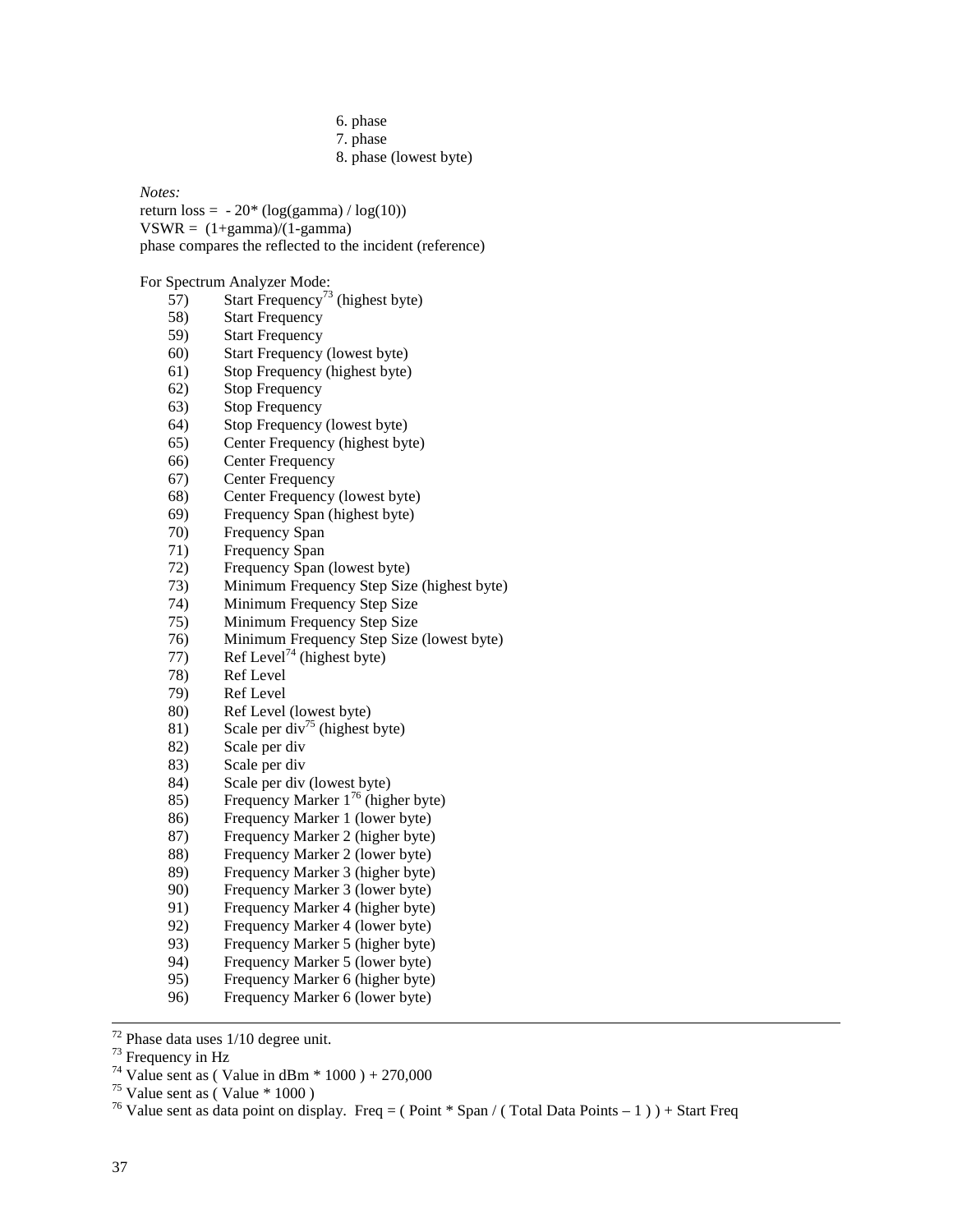- 6. phase
- 7. phase
- 8. phase (lowest byte)

*Notes:* 

return  $loss = -20*(\log(gamma) / \log(10))$  $VSWR = (1+gamma)/(1-gamma)$ phase compares the reflected to the incident (reference)

For Spectrum Analyzer Mode:

- $57$ ) Start Frequency<sup>73</sup> (highest byte)
- 58) Start Frequency<br>59) Start Frequency
- **Start Frequency**
- 60) Start Frequency (lowest byte)
- 61) Stop Frequency (highest byte)
- 62) Stop Frequency
- 63) Stop Frequency
- 64) Stop Frequency (lowest byte)
- 65) Center Frequency (highest byte)
- 66) Center Frequency
- 67) Center Frequency
- 68) Center Frequency (lowest byte)
- 69) Frequency Span (highest byte)
- 70) Frequency Span
- 71) Frequency Span
- 72) Frequency Span (lowest byte)
- 73) Minimum Frequency Step Size (highest byte)
- 74) Minimum Frequency Step Size
- 75) Minimum Frequency Step Size
- 76) Minimum Frequency Step Size (lowest byte)
- 77) Ref Level<sup>74</sup> (highest byte)
- 78) Ref Level
- 79) Ref Level
- 80) Ref Level (lowest byte)
- 81) Scale per div<sup>75</sup> (highest byte)
- 82) Scale per div<br>83) Scale per div
- Scale per div
- 84) Scale per div (lowest byte)
- 85) Frequency Marker  $1^{76}$  (higher byte)
- 86) Frequency Marker 1 (lower byte)
- 87) Frequency Marker 2 (higher byte)
- 88) Frequency Marker 2 (lower byte)
- 89) Frequency Marker 3 (higher byte)
- 90) Frequency Marker 3 (lower byte)
- 91) Frequency Marker 4 (higher byte)
- 92) Frequency Marker 4 (lower byte)
- 93) Frequency Marker 5 (higher byte)
- 94) Frequency Marker 5 (lower byte)
- 95) Frequency Marker 6 (higher byte)
- 96) Frequency Marker 6 (lower byte)

 $72$  Phase data uses  $1/10$  degree unit.

<sup>73</sup> Frequency in Hz

<sup>&</sup>lt;sup>74</sup> Value sent as ( Value in dBm  $*$  1000 ) + 270,000

 $^{75}$  Value sent as (Value  $*$  1000)

<sup>&</sup>lt;sup>76</sup> Value sent as data point on display. Freq = (Point \* Span / (Total Data Points - 1)) + Start Freq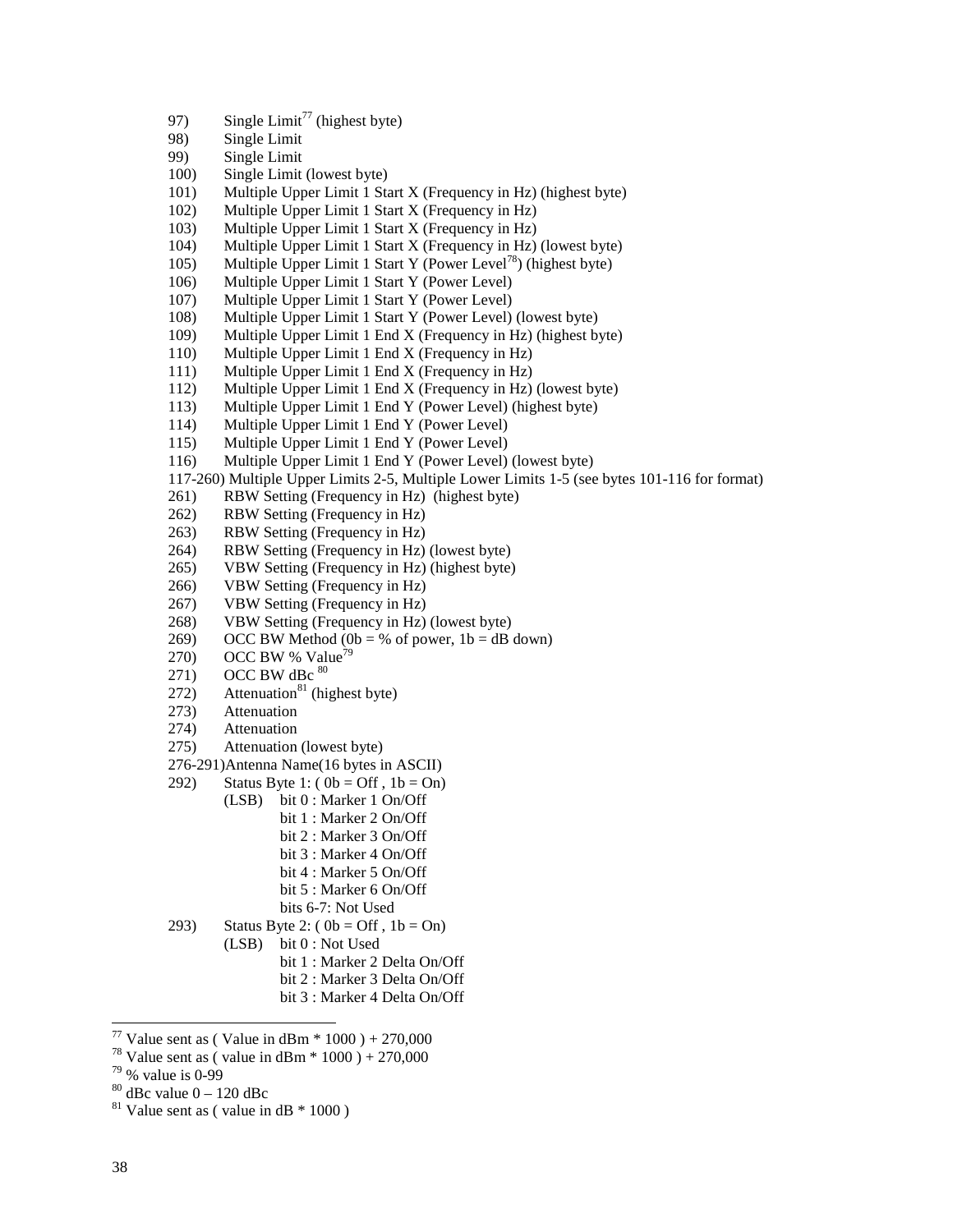- 97) Single Limit<sup>77</sup> (highest byte)
- 98) Single Limit
- 99) Single Limit
- 100) Single Limit (lowest byte)
- 101) Multiple Upper Limit 1 Start X (Frequency in Hz) (highest byte)
- 102) Multiple Upper Limit 1 Start X (Frequency in Hz)
- 103) Multiple Upper Limit 1 Start X (Frequency in Hz)
- 104) Multiple Upper Limit 1 Start X (Frequency in Hz) (lowest byte)
- 105) Multiple Upper Limit 1 Start Y (Power Level<sup>78</sup>) (highest byte)
- 106) Multiple Upper Limit 1 Start Y (Power Level)
- 107) Multiple Upper Limit 1 Start Y (Power Level)
- 108) Multiple Upper Limit 1 Start Y (Power Level) (lowest byte)
- 109) Multiple Upper Limit 1 End X (Frequency in Hz) (highest byte)
- 110) Multiple Upper Limit 1 End X (Frequency in Hz)
- 111) Multiple Upper Limit 1 End X (Frequency in Hz)
- 112) Multiple Upper Limit 1 End X (Frequency in Hz) (lowest byte)
- 113) Multiple Upper Limit 1 End Y (Power Level) (highest byte)
- 114) Multiple Upper Limit 1 End Y (Power Level)
- 115) Multiple Upper Limit 1 End Y (Power Level)
- 116) Multiple Upper Limit 1 End Y (Power Level) (lowest byte)

117-260) Multiple Upper Limits 2-5, Multiple Lower Limits 1-5 (see bytes 101-116 for format)

- 261) RBW Setting (Frequency in Hz) (highest byte)
- 262) RBW Setting (Frequency in Hz)
- 263) RBW Setting (Frequency in Hz)
- 264) RBW Setting (Frequency in Hz) (lowest byte)
- 265) VBW Setting (Frequency in Hz) (highest byte)
- 266) VBW Setting (Frequency in Hz)
- 267) VBW Setting (Frequency in Hz)
- 268) VBW Setting (Frequency in Hz) (lowest byte)
- 269) OCC BW Method (0b = % of power,  $1b = dB$  down)
- 270) OCC BW % Value<sup>7</sup>
- 271) OCC BW dBc  $80$
- $272)$  Attenuation<sup>81</sup> (highest byte)
- 273) Attenuation
- 274) Attenuation
- 275) Attenuation (lowest byte)
- 276-291)Antenna Name(16 bytes in ASCII)
- 292) Status Byte 1:  $(0b = Off, 1b = On)$ 
	- (LSB) bit 0 : Marker 1 On/Off
		- bit 1 : Marker 2 On/Off
			- bit 2 : Marker 3 On/Off
			- bit 3 : Marker 4 On/Off
			- bit 4 : Marker 5 On/Off
			- bit 5 : Marker 6 On/Off
		- bits 6-7: Not Used
- 293) Status Byte 2:  $(0b = \text{Off}, 1b = \text{On})$ 
	- (LSB) bit 0 : Not Used
		- bit 1 : Marker 2 Delta On/Off
		- bit 2 : Marker 3 Delta On/Off
		- bit 3 : Marker 4 Delta On/Off

 $80$  dBc value  $0 - 120$  dBc

 $\overline{a}$ 

<sup>&</sup>lt;sup>77</sup> Value sent as ( Value in dBm  $*$  1000 ) + 270,000

<sup>&</sup>lt;sup>78</sup> Value sent as ( value in dBm  $*$  1000 ) + 270,000

 $79\%$  value is 0-99

 $81$  Value sent as (value in dB  $*$  1000)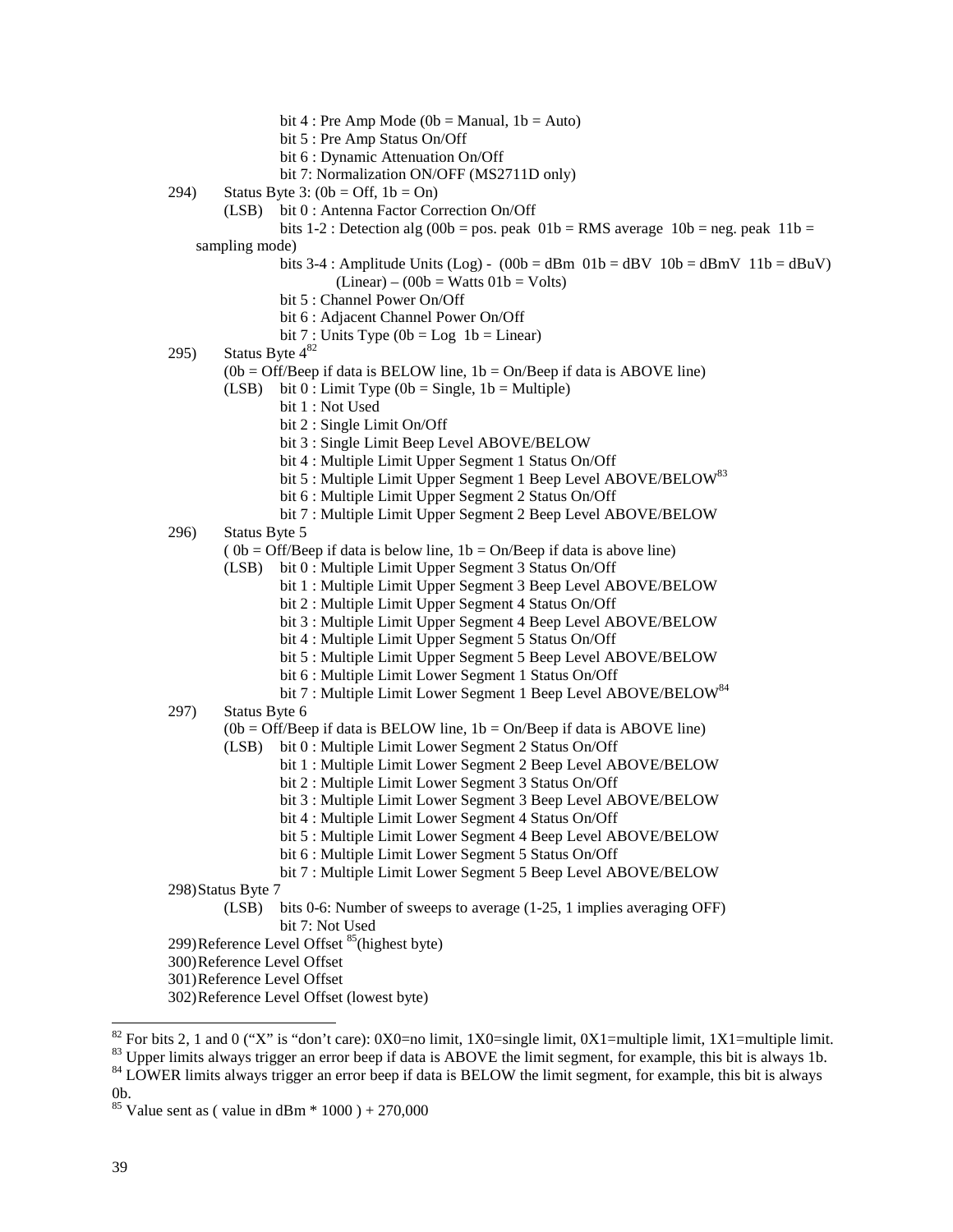- bit 4 : Pre Amp Mode ( $0b$  = Manual,  $1b$  = Auto)
- bit 5 : Pre Amp Status On/Off
- bit 6 : Dynamic Attenuation On/Off
- bit 7: Normalization ON/OFF (MS2711D only)
- 294) Status Byte 3:  $(0b = \text{Off}, 1b = \text{On})$ 
	- (LSB) bit 0 : Antenna Factor Correction On/Off
	- bits 1-2 : Detection alg (00b = pos. peak  $01b = RMS$  average  $10b = neg$ . peak  $11b =$
	- sampling mode)
		- bits 3-4 : Amplitude Units (Log)  $(00b = dBm 01b = dBv 10b = dBmV 11b = dBuV)$ 
			- $(Linear) (00b = Watts 01b = Volts)$
		- bit 5 : Channel Power On/Off
		- bit 6 : Adjacent Channel Power On/Off
		- bit 7 : Units Type  $(0b = Log 1b = Linear)$
- 295) Status Byte  $4^{82}$ 
	- $(0b = Off/Beep \text{ if } data \text{ is } BELOW \text{ line}, 1b = On/Beep \text{ if } data \text{ is } ABOVE \text{ line})$
	- (LSB) bit  $0:$  Limit Type (0b = Single, 1b = Multiple)
		- bit 1 : Not Used
			- bit 2 : Single Limit On/Off
			- bit 3 : Single Limit Beep Level ABOVE/BELOW
			- bit 4 : Multiple Limit Upper Segment 1 Status On/Off
			- bit 5 : Multiple Limit Upper Segment 1 Beep Level ABOVE/BELOW<sup>83</sup>
			- bit 6 : Multiple Limit Upper Segment 2 Status On/Off
		- bit 7 : Multiple Limit Upper Segment 2 Beep Level ABOVE/BELOW
- 296) Status Byte 5
	- $(0b = Off/Bee$  if data is below line,  $1b = On/Bee$  if data is above line)
	- (LSB) bit 0 : Multiple Limit Upper Segment 3 Status On/Off
		- bit 1 : Multiple Limit Upper Segment 3 Beep Level ABOVE/BELOW
		- bit 2 : Multiple Limit Upper Segment 4 Status On/Off
		- bit 3 : Multiple Limit Upper Segment 4 Beep Level ABOVE/BELOW
		- bit 4 : Multiple Limit Upper Segment 5 Status On/Off
		- bit 5 : Multiple Limit Upper Segment 5 Beep Level ABOVE/BELOW
		- bit 6 : Multiple Limit Lower Segment 1 Status On/Off
		- bit 7 : Multiple Limit Lower Segment 1 Beep Level ABOVE/BELOW<sup>84</sup>
- 297) Status Byte 6

 $(0b = Off/Beep \text{ if data is } BELOW \text{ line}, 1b = On/Beep \text{ if data is } ABOVE \text{ line})$ 

- (LSB) bit 0 : Multiple Limit Lower Segment 2 Status On/Off
	- bit 1 : Multiple Limit Lower Segment 2 Beep Level ABOVE/BELOW
		- bit 2 : Multiple Limit Lower Segment 3 Status On/Off
		- bit 3 : Multiple Limit Lower Segment 3 Beep Level ABOVE/BELOW
		- bit 4 : Multiple Limit Lower Segment 4 Status On/Off
		- bit 5 : Multiple Limit Lower Segment 4 Beep Level ABOVE/BELOW
		- bit 6 : Multiple Limit Lower Segment 5 Status On/Off
		- bit 7 : Multiple Limit Lower Segment 5 Beep Level ABOVE/BELOW
- 298)Status Byte 7
	- (LSB) bits 0-6: Number of sweeps to average (1-25, 1 implies averaging OFF) bit 7: Not Used
- 299)Reference Level Offset <sup>85</sup>(highest byte)
- 300)Reference Level Offset
- 301)Reference Level Offset
- 302)Reference Level Offset (lowest byte)

<sup>&</sup>lt;sup>82</sup> For bits 2, 1 and 0 ("X" is "don't care): 0X0=no limit, 1X0=single limit, 0X1=multiple limit, 1X1=multiple limit.

 $83$  Upper limits always trigger an error beep if data is ABOVE the limit segment, for example, this bit is always 1b.

<sup>&</sup>lt;sup>84</sup> LOWER limits always trigger an error beep if data is BELOW the limit segment, for example, this bit is always  $0<sub>b</sub>$ 

<sup>&</sup>lt;sup>85</sup> Value sent as ( value in dBm  $*$  1000 ) + 270,000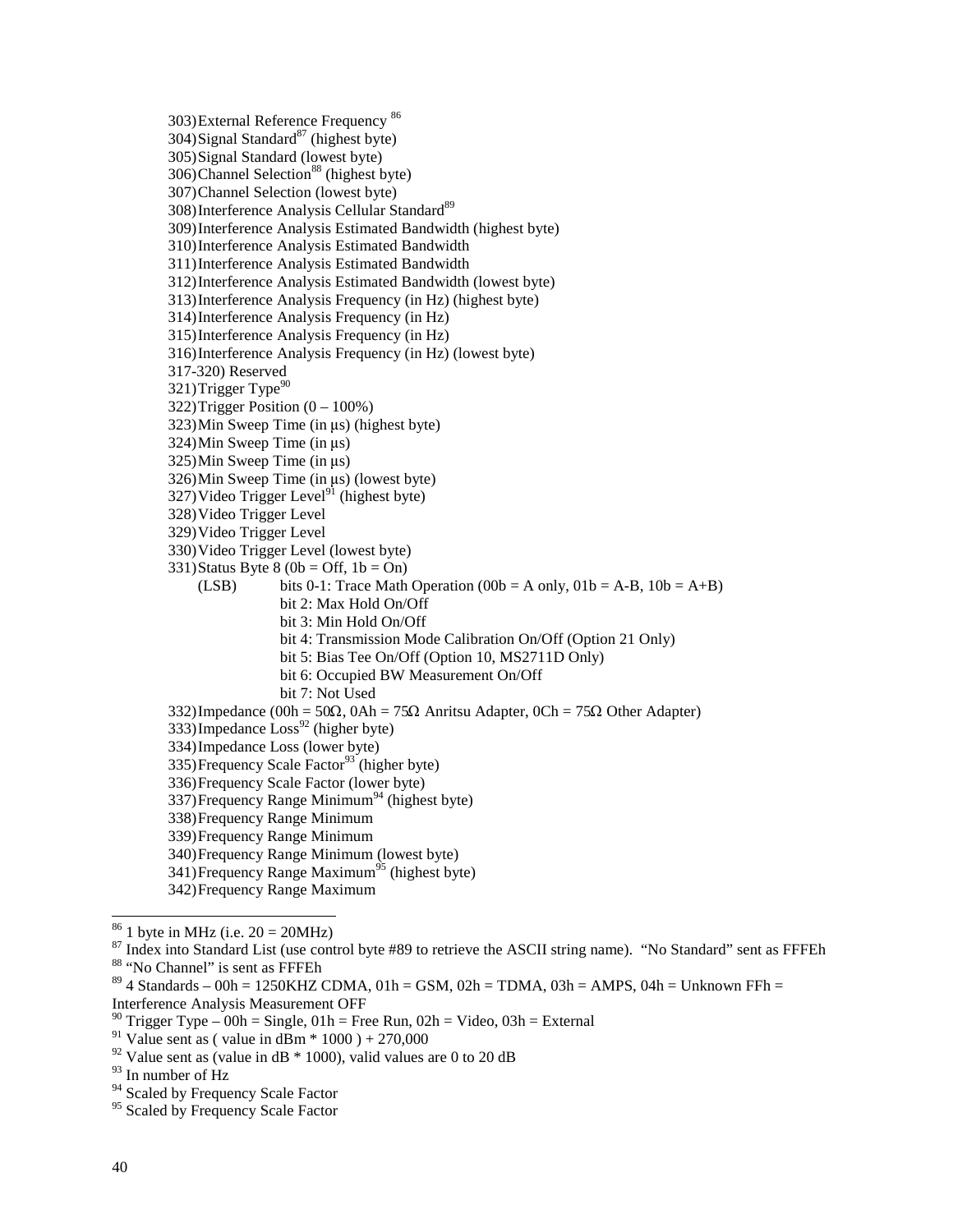303)External Reference Frequency 86  $304)$ Signal Standard<sup>87</sup> (highest byte) 305)Signal Standard (lowest byte) 306)Channel Selection<sup>88</sup> (highest byte) 307)Channel Selection (lowest byte) 308) Interference Analysis Cellular Standard<sup>89</sup> 309)Interference Analysis Estimated Bandwidth (highest byte) 310)Interference Analysis Estimated Bandwidth 311)Interference Analysis Estimated Bandwidth 312)Interference Analysis Estimated Bandwidth (lowest byte) 313)Interference Analysis Frequency (in Hz) (highest byte) 314)Interference Analysis Frequency (in Hz) 315)Interference Analysis Frequency (in Hz) 316)Interference Analysis Frequency (in Hz) (lowest byte) 317-320) Reserved 321) Trigger Type $90$ 322) Trigger Position  $(0 - 100\%)$  $323$ )Min Sweep Time (in  $\mu$ s) (highest byte)  $324$ )Min Sweep Time (in  $\mu s$ )  $325$ )Min Sweep Time (in  $\mu s$ )  $326$ )Min Sweep Time (in  $\mu s$ ) (lowest byte)  $327$ ) Video Trigger Level<sup>91</sup> (highest byte) 328)Video Trigger Level 329)Video Trigger Level 330)Video Trigger Level (lowest byte)  $331)$ Status Byte 8 (0b = Off, 1b = On) (LSB) bits 0-1: Trace Math Operation (00b = A only,  $01b = A-B$ ,  $10b = A+B$ ) bit 2: Max Hold On/Off bit 3: Min Hold On/Off bit 4: Transmission Mode Calibration On/Off (Option 21 Only) bit 5: Bias Tee On/Off (Option 10, MS2711D Only) bit 6: Occupied BW Measurement On/Off bit 7: Not Used 332)Impedance (00h =  $50\Omega$ , 0Ah =  $75\Omega$  Anritsu Adapter, 0Ch =  $75\Omega$  Other Adapter)  $333)$ Impedance  $\text{Loss}^{92}$  (higher byte) 334)Impedance Loss (lower byte)  $335)$ Frequency Scale Factor<sup>93</sup> (higher byte) 336)Frequency Scale Factor (lower byte)  $337$ )Frequency Range Minimum<sup>94</sup> (highest byte) 338)Frequency Range Minimum 339)Frequency Range Minimum 340)Frequency Range Minimum (lowest byte) 341)Frequency Range Maximum<sup>95</sup> (highest byte) 342)Frequency Range Maximum  $86$  1 byte in MHz (i.e.  $20 = 20$ MHz) <sup>87</sup> Index into Standard List (use control byte #89 to retrieve the ASCII string name). "No Standard" sent as FFFEh

<sup>88 &</sup>quot;No Channel" is sent as FFFEh

 $89$  4 Standards – 00h = 1250KHZ CDMA, 01h = GSM, 02h = TDMA, 03h = AMPS, 04h = Unknown FFh =

Interference Analysis Measurement OFF

<sup>&</sup>lt;sup>90</sup> Trigger Type – 00h = Single, 01h = Free Run, 02h = Video, 03h = External

<sup>&</sup>lt;sup>91</sup> Value sent as ( value in dBm  $*$  1000 ) + 270,000

 $92$  Value sent as (value in dB  $*$  1000), valid values are 0 to 20 dB

<sup>93</sup> In number of Hz

<sup>&</sup>lt;sup>94</sup> Scaled by Frequency Scale Factor

<sup>&</sup>lt;sup>95</sup> Scaled by Frequency Scale Factor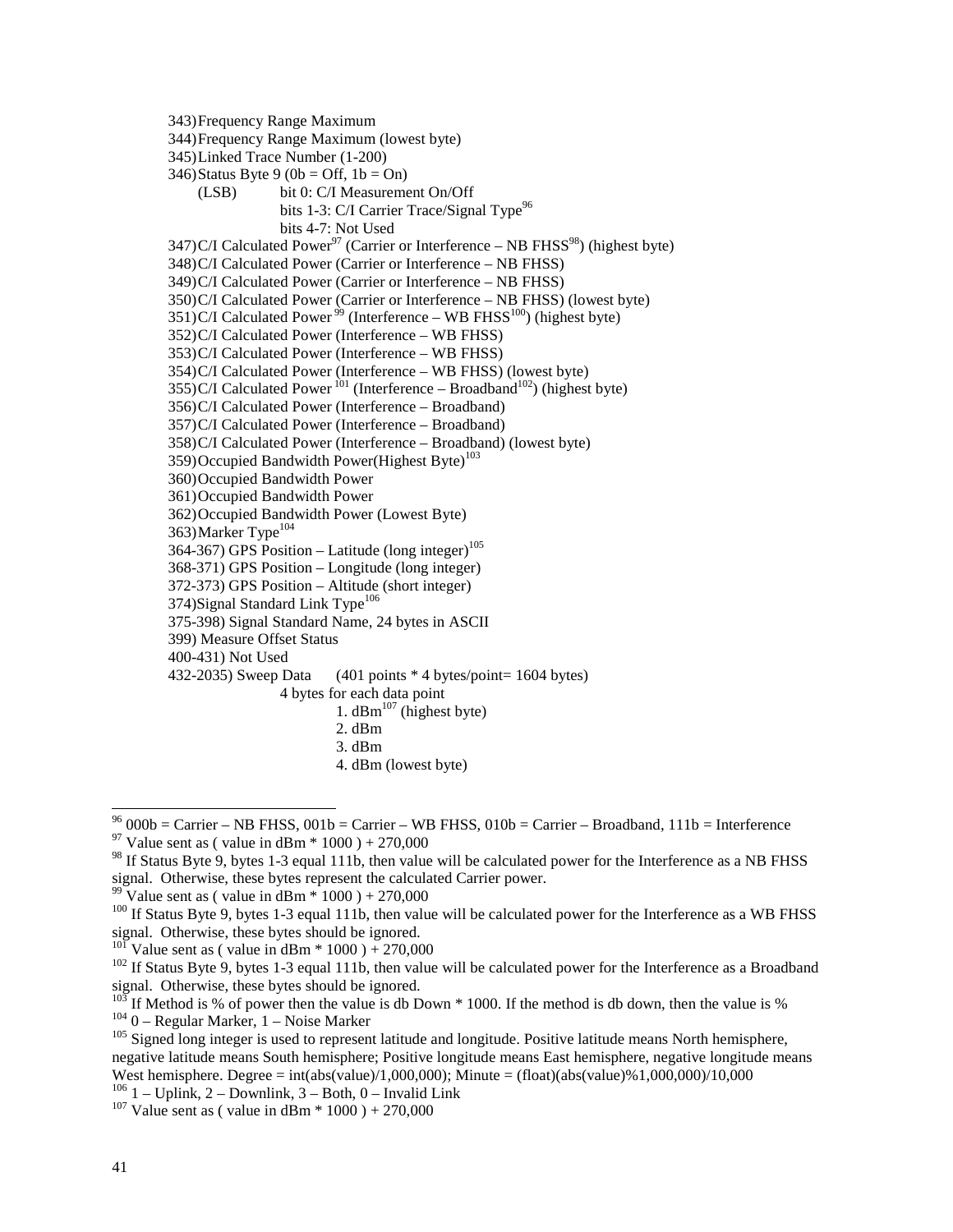343)Frequency Range Maximum

344)Frequency Range Maximum (lowest byte)

345)Linked Trace Number (1-200)

- $346$ )Status Byte 9 (0b = Off, 1b = On)
- (LSB) bit 0: C/I Measurement On/Off bits 1-3: C/I Carrier Trace/Signal Type<sup>96</sup> bits 4-7: Not Used

347)C/I Calculated Power<sup>97</sup> (Carrier or Interference – NB FHSS<sup>98</sup>) (highest byte)

348)C/I Calculated Power (Carrier or Interference – NB FHSS)

349)C/I Calculated Power (Carrier or Interference – NB FHSS)

350)C/I Calculated Power (Carrier or Interference – NB FHSS) (lowest byte)

 $351)$ C/I Calculated Power<sup>99</sup> (Interference – WB FHSS<sup>100</sup>) (highest byte)

- 352)C/I Calculated Power (Interference WB FHSS)
- 353)C/I Calculated Power (Interference WB FHSS)

354)C/I Calculated Power (Interference – WB FHSS) (lowest byte)

355)C/I Calculated Power  $^{101}$  (Interference – Broadband<sup>102</sup>) (highest byte)

356)C/I Calculated Power (Interference – Broadband)

357)C/I Calculated Power (Interference – Broadband)

358)C/I Calculated Power (Interference – Broadband) (lowest byte)

359) Occupied Bandwidth Power(Highest Byte)<sup>103</sup>

360)Occupied Bandwidth Power

361)Occupied Bandwidth Power

362)Occupied Bandwidth Power (Lowest Byte)

363) Marker Type<sup>104</sup>

364-367) GPS Position – Latitude (long integer)<sup>105</sup>

368-371) GPS Position – Longitude (long integer)

372-373) GPS Position – Altitude (short integer)

 $374$ )Signal Standard Link Type<sup>106</sup>

375-398) Signal Standard Name, 24 bytes in ASCII

399) Measure Offset Status

400-431) Not Used

432-2035) Sweep Data  $(401 \text{ points} * 4 \text{ bytes} / \text{point} = 1604 \text{ bytes})$ 

4 bytes for each data point

1.  $dBm^{107}$  (highest byte)

- 2. dBm 3. dBm
- 
- 4. dBm (lowest byte)

 $^{96}$  000b = Carrier – NB FHSS, 001b = Carrier – WB FHSS, 010b = Carrier – Broadband, 111b = Interference <sup>97</sup> Value sent as ( value in dBm  $*$  1000 ) + 270,000

<sup>&</sup>lt;sup>98</sup> If Status Byte 9, bytes 1-3 equal 111b, then value will be calculated power for the Interference as a NB FHSS signal. Otherwise, these bytes represent the calculated Carrier power.

<sup>&</sup>lt;sup>99</sup> Value sent as ( value in dBm  $*$  1000 ) + 270,000

 $100$  If Status Byte 9, bytes 1-3 equal 111b, then value will be calculated power for the Interference as a WB FHSS signal. Otherwise, these bytes should be ignored.<br><sup>101</sup> Value sent as (value in dBm  $*$  1000) + 270,000

 $102$  If Status Byte 9, bytes 1-3 equal 111b, then value will be calculated power for the Interference as a Broadband signal. Otherwise, these bytes should be ignored.<br><sup>103</sup> If Method is % of power then the value is db Down \* 1000. If the method is db down, then the value is %

 $1040 -$  Regular Marker, 1 – Noise Marker<br> $105$  Signed long integer is used to represent latitude and longitude. Positive latitude means North hemisphere, negative latitude means South hemisphere; Positive longitude means East hemisphere, negative longitude means West hemisphere. Degree = int(abs(value)/1,000,000); Minute = (float)(abs(value)%1,000,000)/10,000

<sup>&</sup>lt;sup>106</sup> 1 – Uplink, 2 – Downlink, 3 – Both, 0 – Invalid Link <sup>107</sup> Value sent as ( value in dBm \* 1000 ) + 270,000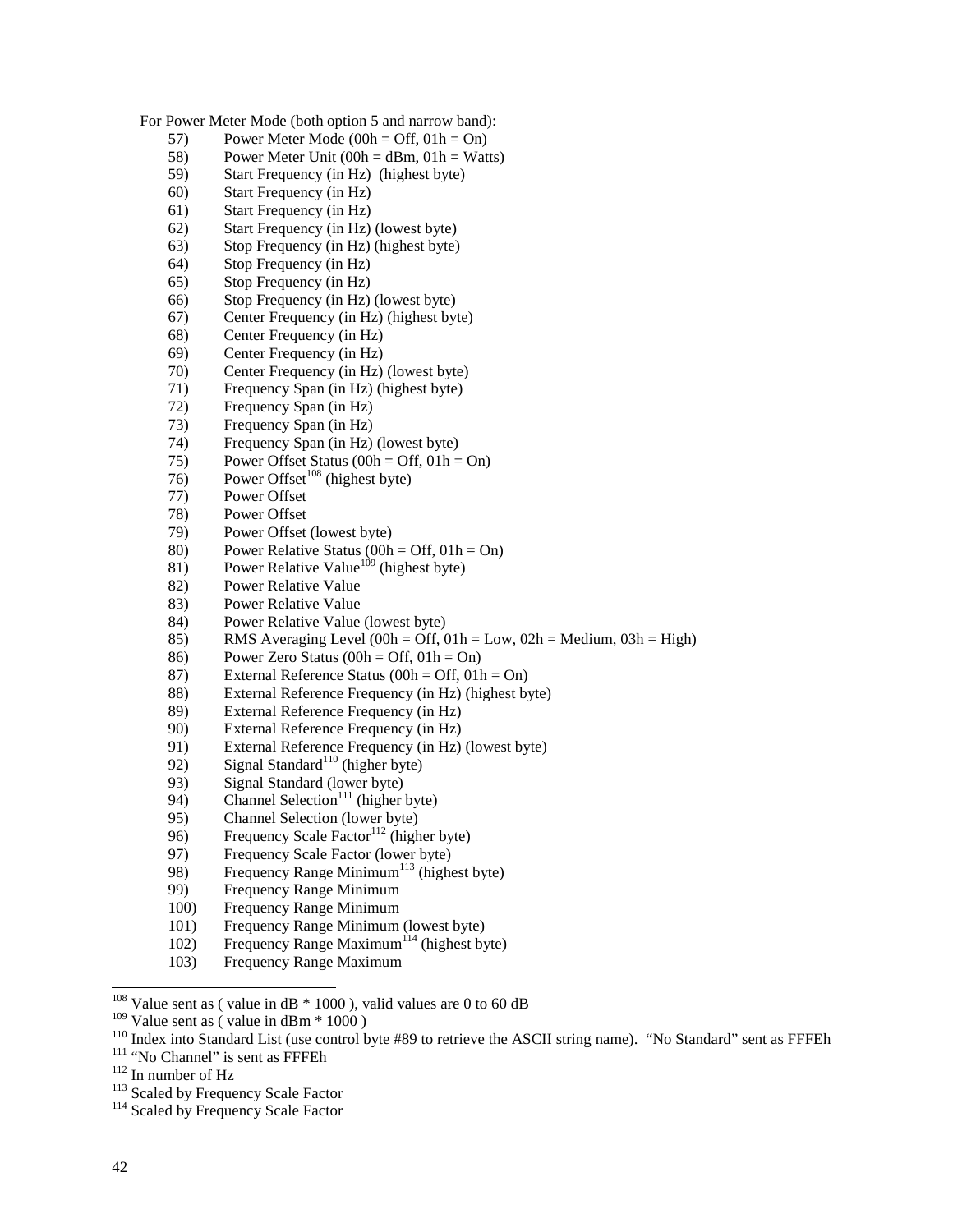For Power Meter Mode (both option 5 and narrow band):

- 57) Power Meter Mode  $(00h = \text{Off}, 01h = \text{On})$
- 58) Power Meter Unit  $(00h = dBm, 01h = Watts)$
- 59) Start Frequency (in Hz) (highest byte)
- 60) Start Frequency (in Hz)
- 61) Start Frequency (in Hz)
- 62) Start Frequency (in Hz) (lowest byte)
- 63) Stop Frequency (in Hz) (highest byte)
- 64) Stop Frequency (in Hz)
- 65) Stop Frequency (in Hz)
- 66) Stop Frequency (in Hz) (lowest byte)
- 67) Center Frequency (in Hz) (highest byte)
- 68) Center Frequency (in Hz)
- 69) Center Frequency (in Hz)
- 70) Center Frequency (in Hz) (lowest byte)
- 71) Frequency Span (in Hz) (highest byte)
- 72) Frequency Span (in Hz)
- 73) Frequency Span (in Hz)
- 74) Frequency Span (in Hz) (lowest byte)
- 75) Power Offset Status (00h = Off, 01h = On)
- 76) Power Offset<sup>108</sup> (highest byte)
- 77) Power Offset
- 78) Power Offset
- Power Offset (lowest byte)
- 80) Power Relative Status (00h = Off,  $01h = On$ )
- 81) Power Relative Value<sup>109</sup> (highest byte)
- 82) Power Relative Value
- 83) Power Relative Value
- 84) Power Relative Value (lowest byte)
- 85) RMS Averaging Level (00h = Off, 01h = Low, 02h = Medium, 03h = High)
- 86) Power Zero Status (00h = Off,  $01h = On$ )
- 87) External Reference Status (00h = Off, 01h = On)
- 88) External Reference Frequency (in Hz) (highest byte)
- 89) External Reference Frequency (in Hz)
- 90) External Reference Frequency (in Hz)
- 91) External Reference Frequency (in Hz) (lowest byte)
- 92) Signal Standard<sup>110</sup> (higher byte)
- 93) Signal Standard (lower byte)
- 94) Channel Selection<sup>111</sup> (higher byte)
- 95) Channel Selection (lower byte)
- 96) Frequency Scale Factor<sup>112</sup> (higher byte)
- 97) Frequency Scale Factor (lower byte)
- 98) Frequency Range Minimum<sup>113</sup> (highest byte)
- 99) Frequency Range Minimum
- 100) Frequency Range Minimum
- 101) Frequency Range Minimum (lowest byte)
- 102) Frequency Range Maximum<sup>114</sup> (highest byte)
- 103) Frequency Range Maximum
- <sup>108</sup> Value sent as (value in dB  $*$  1000), valid values are 0 to 60 dB

<sup>&</sup>lt;sup>109</sup> Value sent as (value in dBm \* 1000)<br><sup>110</sup> Index into Standard List (use control byte #89 to retrieve the ASCII string name). "No Standard" sent as FFFEh<br><sup>111</sup> "No Channel" is sent as FFFEh<br><sup>112</sup> In number of Hz<br><sup>113</sup>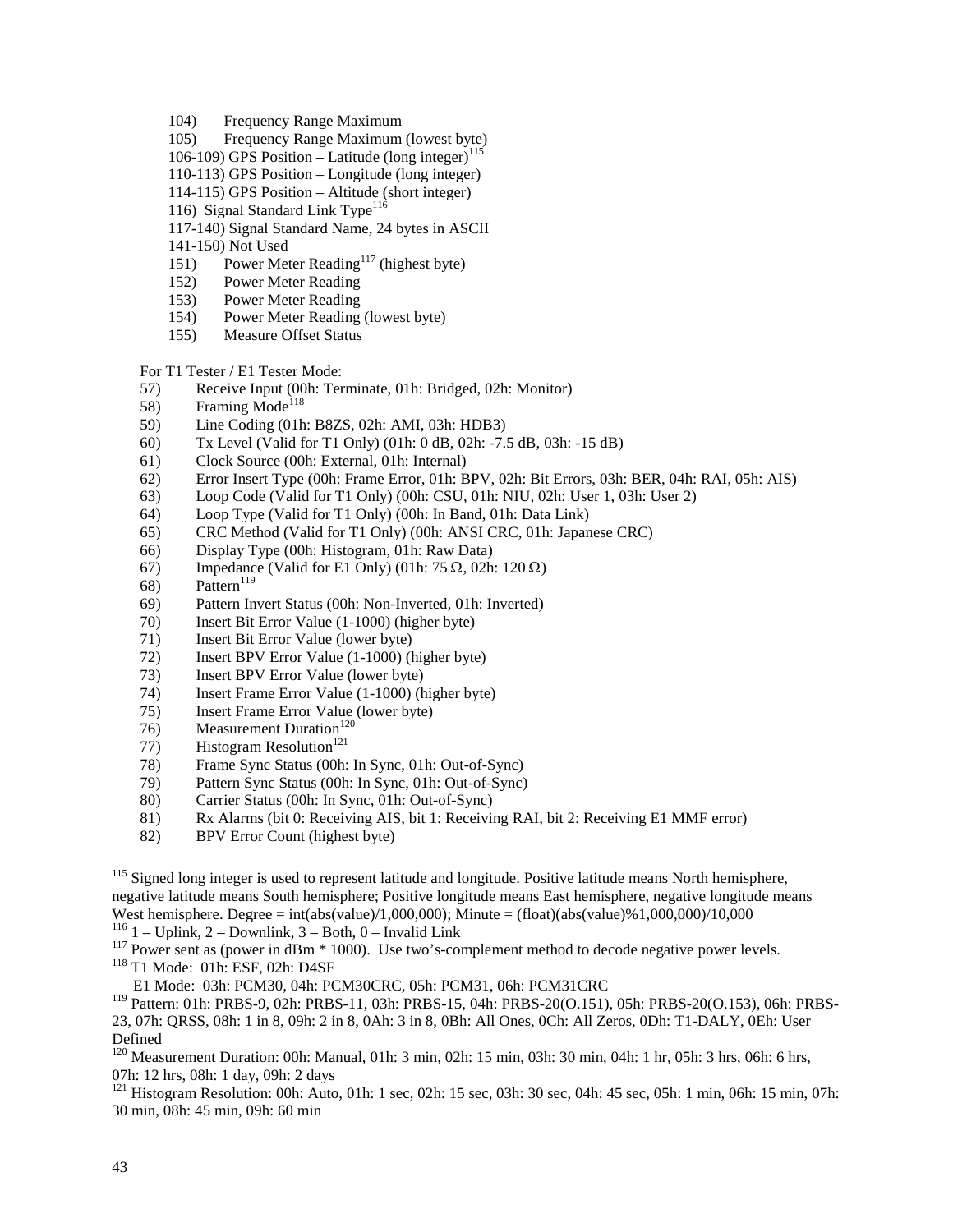- 104) Frequency Range Maximum
- 105) Frequency Range Maximum (lowest byte)
- 106-109) GPS Position Latitude (long integer)<sup>115</sup>
- 110-113) GPS Position Longitude (long integer)
- 114-115) GPS Position Altitude (short integer)
- 116) Signal Standard Link Type<sup>116</sup>
- 117-140) Signal Standard Name, 24 bytes in ASCII
- 141-150) Not Used
- 151) Power Meter Reading<sup>117</sup> (highest byte)
- 152) Power Meter Reading
- 153) Power Meter Reading
- 154) Power Meter Reading (lowest byte)
- 155) Measure Offset Status

For T1 Tester / E1 Tester Mode:

- 57) Receive Input (00h: Terminate, 01h: Bridged, 02h: Monitor)
- 58) Framing Mode<sup>118</sup>
- 59) Line Coding (01h: B8ZS, 02h: AMI, 03h: HDB3)
- 60) Tx Level (Valid for T1 Only) (01h: 0 dB, 02h: -7.5 dB, 03h: -15 dB)
- 61) Clock Source (00h: External, 01h: Internal)
- 62) Error Insert Type (00h: Frame Error, 01h: BPV, 02h: Bit Errors, 03h: BER, 04h: RAI, 05h: AIS)
- 63) Loop Code (Valid for T1 Only) (00h: CSU, 01h: NIU, 02h: User 1, 03h: User 2)
- 64) Loop Type (Valid for T1 Only) (00h: In Band, 01h: Data Link)
- 65) CRC Method (Valid for T1 Only) (00h: ANSI CRC, 01h: Japanese CRC)
- 66) Display Type (00h: Histogram, 01h: Raw Data)
- 67) Impedance (Valid for E1 Only) (01h: 75  $\Omega$ , 02h: 120  $\Omega$ )
- 68) Pattern<sup>119</sup>
- 69) Pattern Invert Status (00h: Non-Inverted, 01h: Inverted)
- 70) Insert Bit Error Value (1-1000) (higher byte)
- 71) Insert Bit Error Value (lower byte)
- 72) Insert BPV Error Value (1-1000) (higher byte)
- 73) Insert BPV Error Value (lower byte)
- 74) Insert Frame Error Value (1-1000) (higher byte)
- 75) Insert Frame Error Value (lower byte)
- 76) Measurement Duration<sup>120</sup>
- 77) Histogram Resolution<sup>121</sup>
- 78) Frame Sync Status (00h: In Sync, 01h: Out-of-Sync)
- 79) Pattern Sync Status (00h: In Sync, 01h: Out-of-Sync)
- 80) Carrier Status (00h: In Sync, 01h: Out-of-Sync)
- 81) Rx Alarms (bit 0: Receiving AIS, bit 1: Receiving RAI, bit 2: Receiving E1 MMF error)
- 82) BPV Error Count (highest byte)

<sup>121</sup> Histogram Resolution: 00h: Auto, 01h: 1 sec, 02h: 15 sec, 03h: 30 sec, 04h: 45 sec, 05h: 1 min, 06h: 15 min, 07h: 30 min, 08h: 45 min, 09h: 60 min

<sup>&</sup>lt;sup>115</sup> Signed long integer is used to represent latitude and longitude. Positive latitude means North hemisphere, negative latitude means South hemisphere; Positive longitude means East hemisphere, negative longitude means West hemisphere. Degree = int(abs(value)/1,000,000); Minute = (float)(abs(value)%1,000,000)/10,000<br><sup>116</sup> 1 – Uplink, 2 – Downlink, 3 – Both, 0 – Invalid Link

<sup>&</sup>lt;sup>117</sup> Power sent as (power in dBm  $*$  1000). Use two's-complement method to decode negative power levels. <sup>118</sup> T1 Mode: 01h: ESF, 02h: D4SF

E1 Mode: 03h: PCM30, 04h: PCM30CRC, 05h: PCM31, 06h: PCM31CRC

<sup>119</sup> Pattern: 01h: PRBS-9, 02h: PRBS-11, 03h: PRBS-15, 04h: PRBS-20(O.151), 05h: PRBS-20(O.153), 06h: PRBS-23, 07h: QRSS, 08h: 1 in 8, 09h: 2 in 8, 0Ah: 3 in 8, 0Bh: All Ones, 0Ch: All Zeros, 0Dh: T1-DALY, 0Eh: User Defined

<sup>&</sup>lt;sup>120</sup> Measurement Duration: 00h: Manual, 01h: 3 min, 02h: 15 min, 03h: 30 min, 04h: 1 hr, 05h: 3 hrs, 06h: 6 hrs, 07h: 12 hrs, 08h: 1 day, 09h: 2 days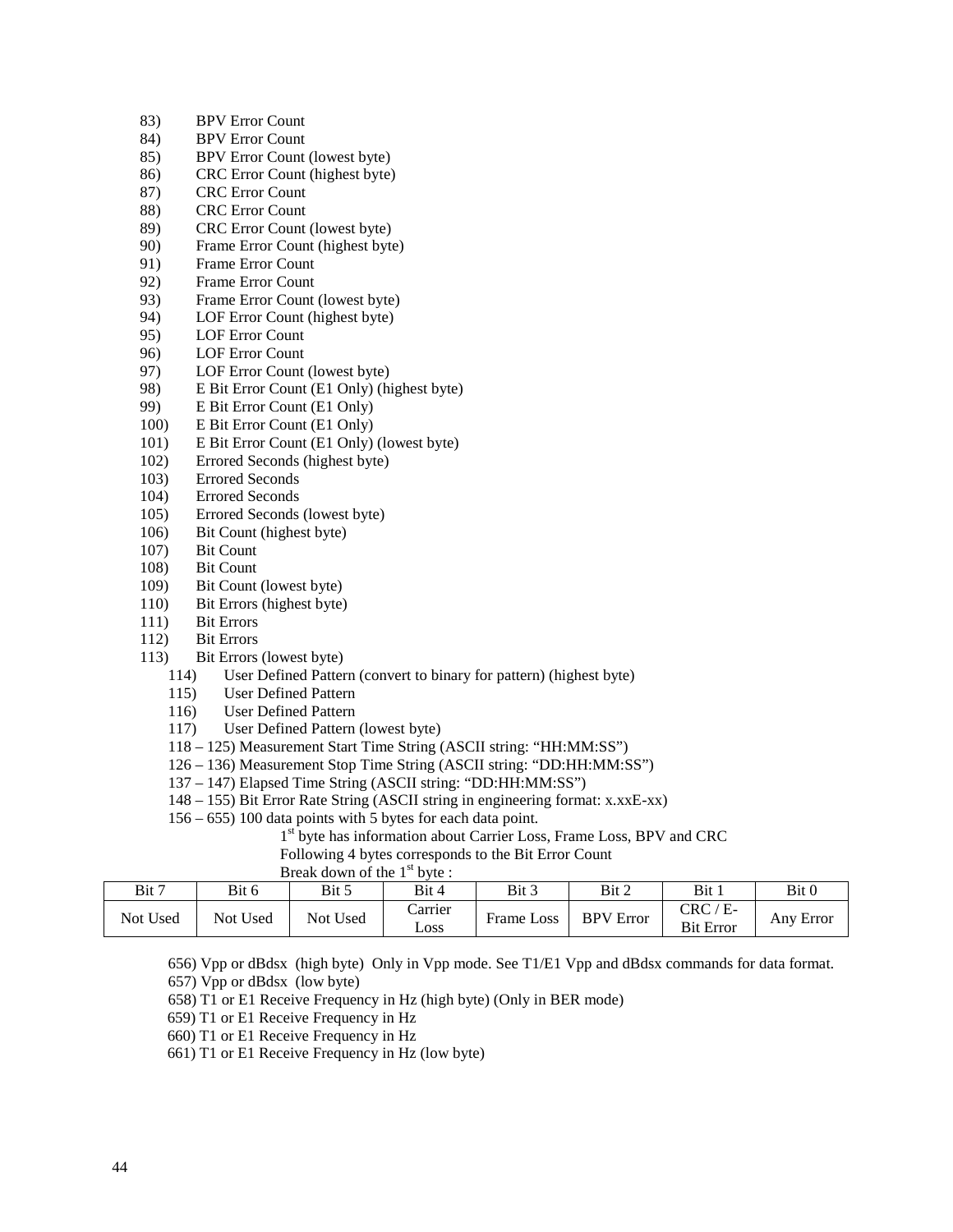- 83) BPV Error Count
- 84) BPV Error Count
- 85) BPV Error Count (lowest byte)
- 86) CRC Error Count (highest byte)
- 87) CRC Error Count
- 88) CRC Error Count
- 89) CRC Error Count (lowest byte)
- 90) Frame Error Count (highest byte)
- 91) Frame Error Count
- 92) Frame Error Count
- 93) Frame Error Count (lowest byte)
- 94) LOF Error Count (highest byte)
- 95) LOF Error Count
- 96) LOF Error Count
- 97) LOF Error Count (lowest byte)
- 98) E Bit Error Count (E1 Only) (highest byte)
- 99) E Bit Error Count (E1 Only)
- 100) E Bit Error Count (E1 Only)
- 101) E Bit Error Count (E1 Only) (lowest byte)
- 102) Errored Seconds (highest byte)
- 103) Errored Seconds
- 104) Errored Seconds
- 105) Errored Seconds (lowest byte)
- 106) Bit Count (highest byte)
- 107) Bit Count
- 108) Bit Count
- 109) Bit Count (lowest byte)
- 110) Bit Errors (highest byte)
- 111) Bit Errors
- 112) Bit Errors
- 113) Bit Errors (lowest byte)
	- 114) User Defined Pattern (convert to binary for pattern) (highest byte)
	- 115) User Defined Pattern
	- 116) User Defined Pattern
	- 117) User Defined Pattern (lowest byte)
	- 118 125) Measurement Start Time String (ASCII string: "HH:MM:SS")
	- 126 136) Measurement Stop Time String (ASCII string: "DD:HH:MM:SS")
	- 137 147) Elapsed Time String (ASCII string: "DD:HH:MM:SS")
	- 148 155) Bit Error Rate String (ASCII string in engineering format: x.xxE-xx)
	- 156 655) 100 data points with 5 bytes for each data point.
		- 1<sup>st</sup> byte has information about Carrier Loss, Frame Loss, BPV and CRC
		- Following 4 bytes corresponds to the Bit Error Count

| Break down of the 1 <sup>st</sup> byte : |  |
|------------------------------------------|--|

| Bit 7    | Bit 6           | Bit 5           | Bit 4           | Bit 3         | Bit 2            | Bit 1                          | Bit 0     |
|----------|-----------------|-----------------|-----------------|---------------|------------------|--------------------------------|-----------|
| Not Used | <b>Not Used</b> | <b>Not Used</b> | Carrier<br>Loss | Loss<br>Frame | <b>BPV</b> Error | $CRC / E-$<br><b>Bit Error</b> | Any Error |

- 656) Vpp or dBdsx (high byte) Only in Vpp mode. See T1/E1 Vpp and dBdsx commands for data format. 657) Vpp or dBdsx (low byte)
- 658) T1 or E1 Receive Frequency in Hz (high byte) (Only in BER mode)
- 659) T1 or E1 Receive Frequency in Hz
- 660) T1 or E1 Receive Frequency in Hz
- 661) T1 or E1 Receive Frequency in Hz (low byte)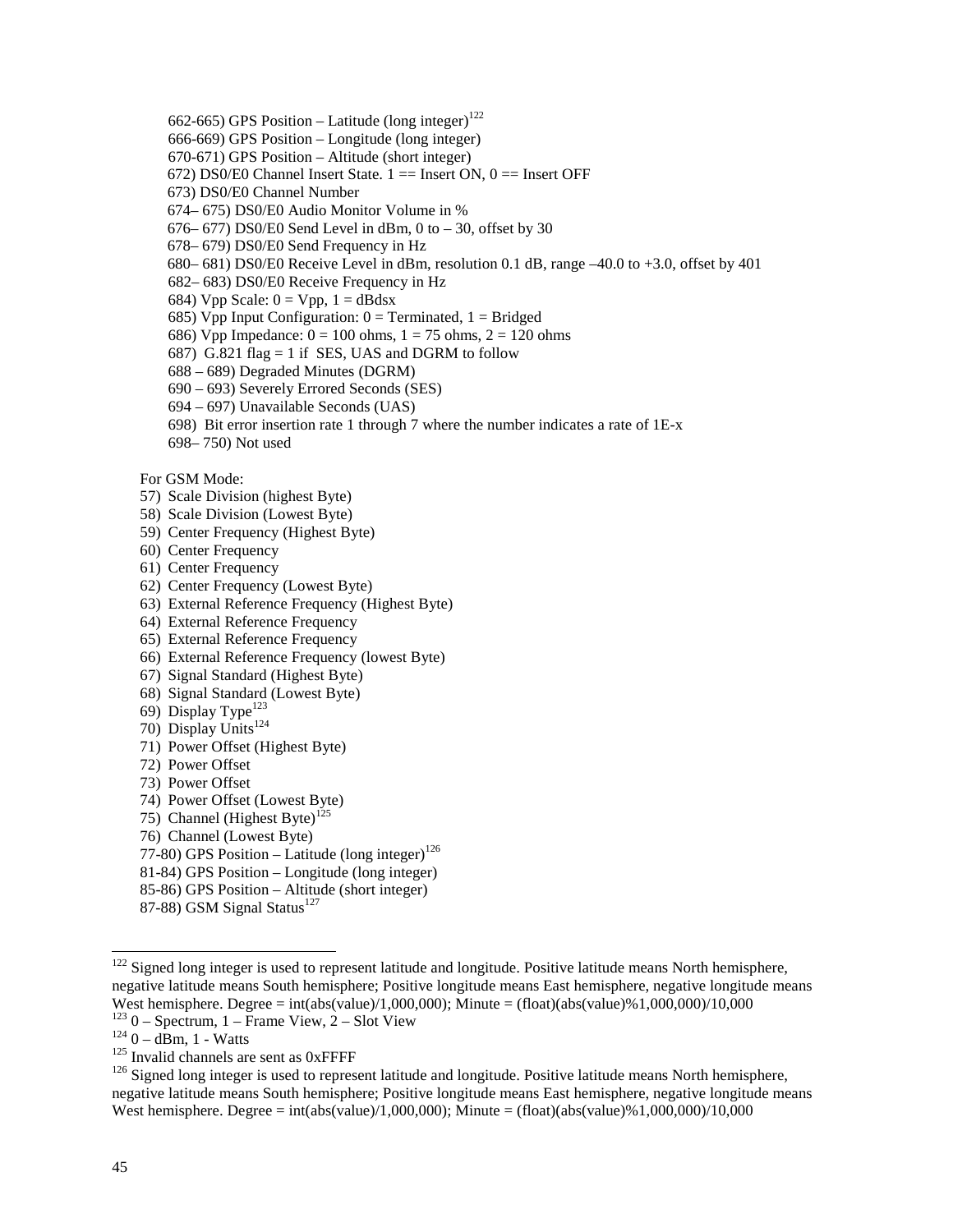- 662-665) GPS Position Latitude (long integer)<sup>122</sup>
- 666-669) GPS Position Longitude (long integer)
- 670-671) GPS Position Altitude (short integer)
- 672) DS0/E0 Channel Insert State.  $1 ==$  Insert ON,  $0 ==$  Insert OFF
- 673) DS0/E0 Channel Number
- 674– 675) DS0/E0 Audio Monitor Volume in %
- $676-677$ ) DS0/E0 Send Level in dBm, 0 to  $-30$ , offset by 30
- 678– 679) DS0/E0 Send Frequency in Hz
- 680– 681) DS0/E0 Receive Level in dBm, resolution 0.1 dB, range –40.0 to +3.0, offset by 401
- 682– 683) DS0/E0 Receive Frequency in Hz
- 684) Vpp Scale:  $0 = Vpp$ ,  $1 = dBdsx$
- 685) Vpp Input Configuration:  $0 =$  Terminated,  $1 =$  Bridged
- 686) Vpp Impedance:  $0 = 100$  ohms,  $1 = 75$  ohms,  $2 = 120$  ohms
- 687) G.821 flag = 1 if SES, UAS and DGRM to follow
- 688 689) Degraded Minutes (DGRM)
- 690 693) Severely Errored Seconds (SES)
- 694 697) Unavailable Seconds (UAS)
- 698) Bit error insertion rate 1 through 7 where the number indicates a rate of 1E-x
- 698– 750) Not used

For GSM Mode:

- 57) Scale Division (highest Byte)
- 58) Scale Division (Lowest Byte)
- 59) Center Frequency (Highest Byte)
- 60) Center Frequency
- 61) Center Frequency
- 62) Center Frequency (Lowest Byte)
- 63) External Reference Frequency (Highest Byte)
- 64) External Reference Frequency
- 65) External Reference Frequency
- 66) External Reference Frequency (lowest Byte)
- 67) Signal Standard (Highest Byte)
- 68) Signal Standard (Lowest Byte)
- 69) Display Type<sup>123</sup>
- 70) Display Units<sup>124</sup>
- 71) Power Offset (Highest Byte)
- 72) Power Offset
- 73) Power Offset
- 74) Power Offset (Lowest Byte)
- 75) Channel (Highest Byte)<sup>125</sup>
- 76) Channel (Lowest Byte)
- 77-80) GPS Position Latitude (long integer)<sup>126</sup>
- 81-84) GPS Position Longitude (long integer)
- 85-86) GPS Position Altitude (short integer)
- 87-88) GSM Signal Status<sup>127</sup>

 $122$  Signed long integer is used to represent latitude and longitude. Positive latitude means North hemisphere, negative latitude means South hemisphere; Positive longitude means East hemisphere, negative longitude means West hemisphere. Degree = int(abs(value)/1,000,000); Minute = (float)(abs(value)%1,000,000)/10,000<br><sup>123</sup> 0 – Spectrum, 1 – Frame View, 2 – Slot View

<sup>&</sup>lt;sup>124</sup> 0 – dBm, 1 - Watts<br><sup>125</sup> Invalid channels are sent as 0xFFFF<br><sup>126</sup> Signed long integer is used to represent latitude and longitude. Positive latitude means North hemisphere, negative latitude means South hemisphere; Positive longitude means East hemisphere, negative longitude means West hemisphere. Degree = int(abs(value)/1,000,000); Minute = (float)(abs(value)%1,000,000)/10,000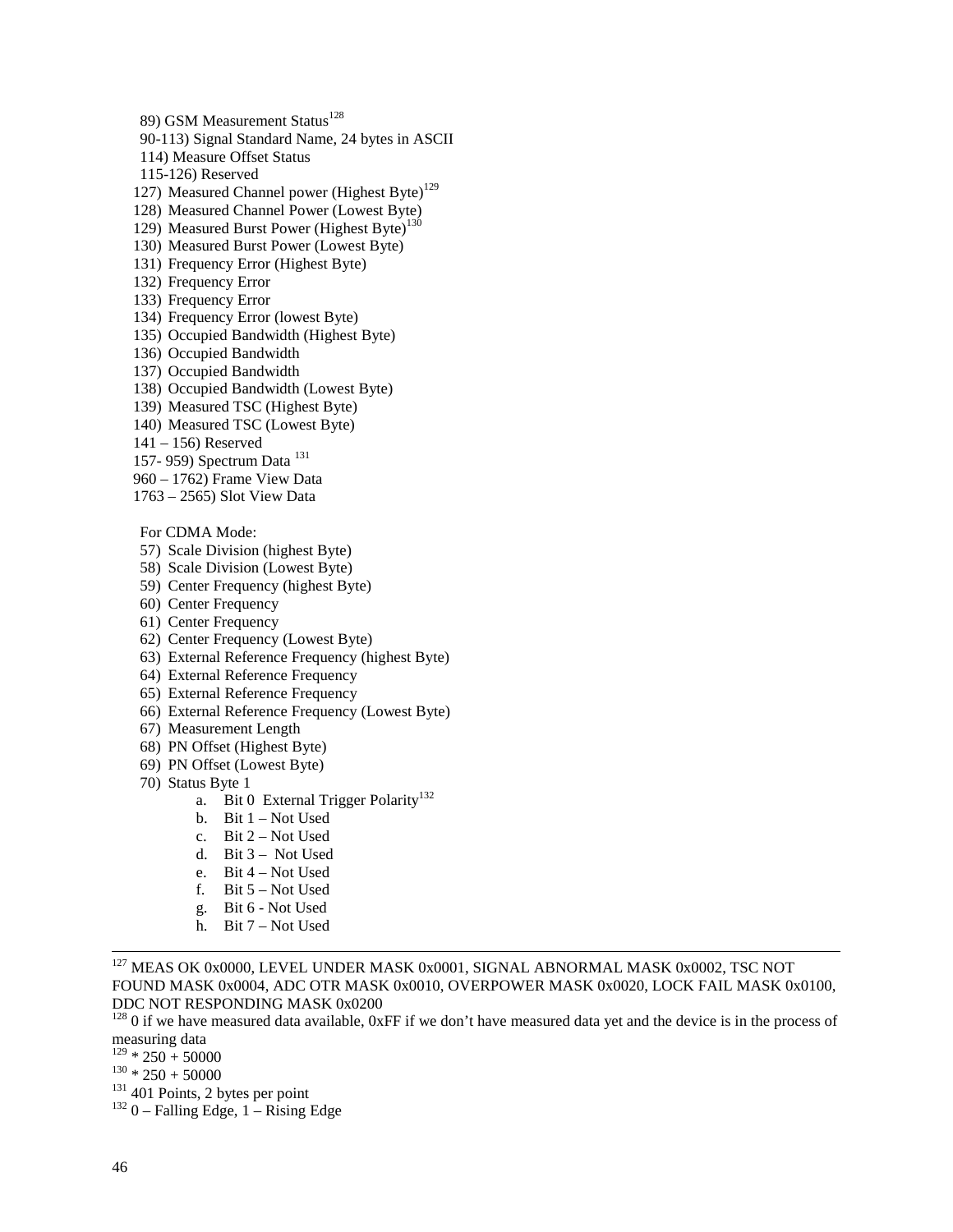89) GSM Measurement Status<sup>128</sup> 90-113) Signal Standard Name, 24 bytes in ASCII 114) Measure Offset Status 115-126) Reserved 127) Measured Channel power (Highest Byte)<sup>129</sup> 128) Measured Channel Power (Lowest Byte) 129) Measured Burst Power (Highest Byte)<sup>130</sup> 130) Measured Burst Power (Lowest Byte) 131) Frequency Error (Highest Byte) 132) Frequency Error 133) Frequency Error 134) Frequency Error (lowest Byte) 135) Occupied Bandwidth (Highest Byte) 136) Occupied Bandwidth 137) Occupied Bandwidth 138) Occupied Bandwidth (Lowest Byte) 139) Measured TSC (Highest Byte) 140) Measured TSC (Lowest Byte) 141 – 156) Reserved 157- 959) Spectrum Data <sup>131</sup> 960 – 1762) Frame View Data 1763 – 2565) Slot View Data For CDMA Mode:

- 57) Scale Division (highest Byte)
- 58) Scale Division (Lowest Byte)
- 59) Center Frequency (highest Byte)
- 60) Center Frequency
- 61) Center Frequency
- 62) Center Frequency (Lowest Byte)
- 63) External Reference Frequency (highest Byte)
- 64) External Reference Frequency
- 65) External Reference Frequency
- 66) External Reference Frequency (Lowest Byte)
- 67) Measurement Length
- 68) PN Offset (Highest Byte)
- 69) PN Offset (Lowest Byte)
- 70) Status Byte 1
	- a. Bit 0 External Trigger Polarity<sup>132</sup>
	- b. Bit 1 Not Used
	- c. Bit  $2 Not$  Used
	- d. Bit 3 Not Used
	- e. Bit 4 Not Used
	- f. Bit 5 Not Used
	- g. Bit 6 Not Used
	- h. Bit 7 Not Used

<sup>127</sup> MEAS OK 0x0000, LEVEL UNDER MASK 0x0001, SIGNAL ABNORMAL MASK 0x0002, TSC NOT FOUND MASK 0x0004, ADC OTR MASK 0x0010, OVERPOWER MASK 0x0020, LOCK FAIL MASK 0x0100, DDC NOT RESPONDING MASK 0x0200

 $128$  0 if we have measured data available, 0xFF if we don't have measured data yet and the device is in the process of measuring data<br> $129 * 250 + 50000$ 

- 
- 
- $^{130}$  \* 250 + 50000<br> $^{131}$  401 Points, 2 bytes per point<br> $^{132}$  0 Falling Edge, 1 Rising Edge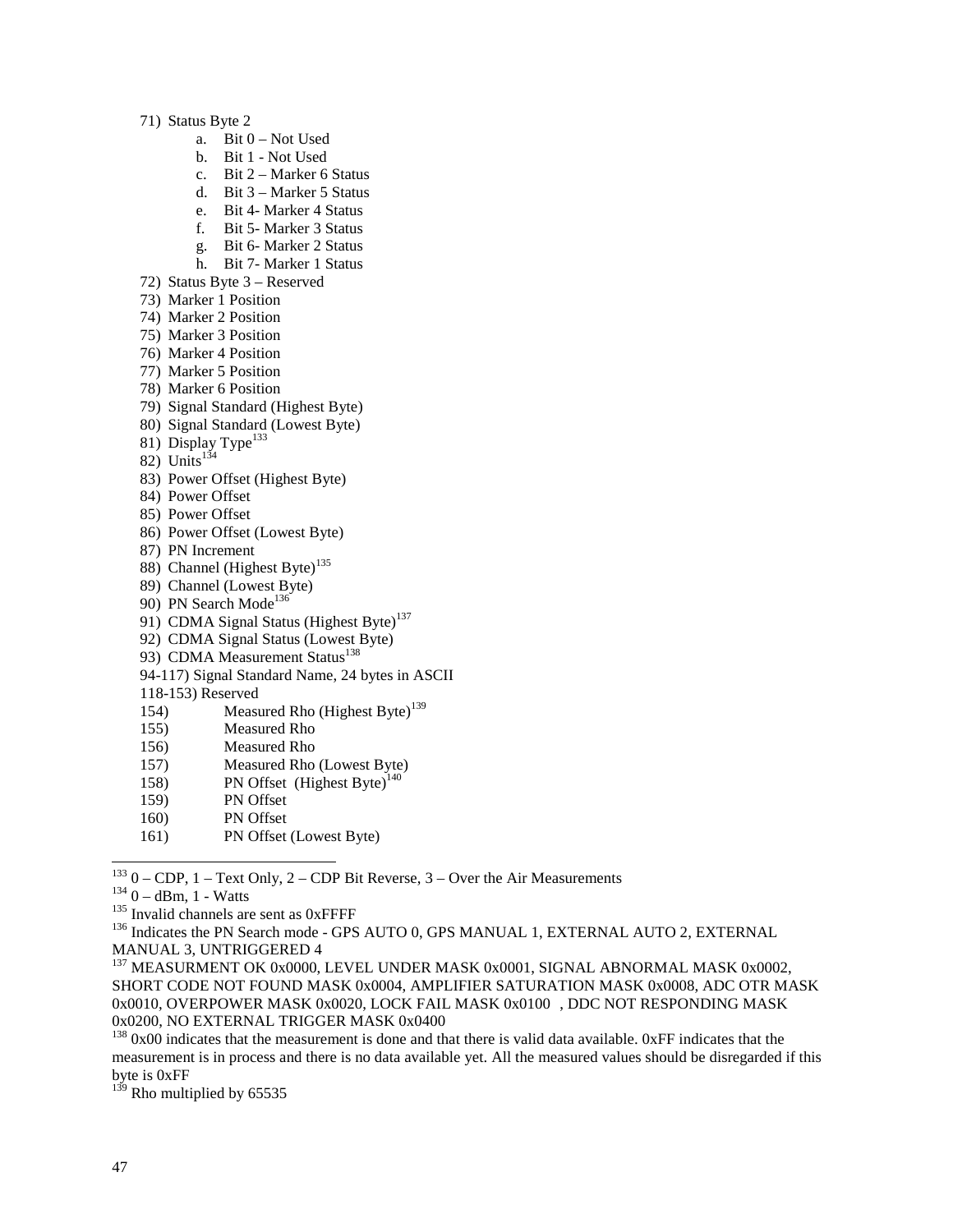71) Status Byte 2

- a. Bit 0 Not Used
- b. Bit 1 Not Used
- c. Bit 2 Marker 6 Status
- d. Bit 3 Marker 5 Status
- e. Bit 4- Marker 4 Status
- f. Bit 5- Marker 3 Status
- g. Bit 6- Marker 2 Status
- h. Bit 7- Marker 1 Status
- 72) Status Byte 3 Reserved
- 73) Marker 1 Position
- 74) Marker 2 Position
- 75) Marker 3 Position
- 76) Marker 4 Position
- 77) Marker 5 Position
- 78) Marker 6 Position
- 79) Signal Standard (Highest Byte)
- 80) Signal Standard (Lowest Byte)
- 81) Display Type<sup>133</sup>
- 82) Units $134$
- 83) Power Offset (Highest Byte)
- 84) Power Offset
- 85) Power Offset
- 86) Power Offset (Lowest Byte)
- 87) PN Increment
- 88) Channel (Highest Byte)<sup>135</sup>
- 89) Channel (Lowest Byte)
- 90) PN Search Mode<sup>136</sup>
- 91) CDMA Signal Status (Highest Byte)<sup>137</sup>
- 92) CDMA Signal Status (Lowest Byte)
- 93) CDMA Measurement Status<sup>138</sup>
- 94-117) Signal Standard Name, 24 bytes in ASCII
- 118-153) Reserved
- 154) Measured Rho  $(Highest Byte)^{139}$
- 155) Measured Rho
- 156) Measured Rho
- 157) Measured Rho (Lowest Byte)
- 158) PN Offset (Highest Byte)<sup>140</sup>
- 159) PN Offset
- 160) PN Offset
- 161) PN Offset (Lowest Byte)

 $133$  0 – CDP, 1 – Text Only, 2 – CDP Bit Reverse, 3 – Over the Air Measurements

 $^{134}$  0 – dBm, 1 - Watts<br> $^{135}$  Invalid channels are sent as 0xFFFF<br> $^{136}$  Indicates the PN Search mode - GPS AUTO 0, GPS MANUAL 1, EXTERNAL AUTO 2, EXTERNAL MANUAL 3, UNTRIGGERED 4

<sup>&</sup>lt;sup>137</sup> MEASURMENT OK 0x0000, LEVEL UNDER MASK 0x0001, SIGNAL ABNORMAL MASK 0x0002, SHORT CODE NOT FOUND MASK 0x0004, AMPLIFIER SATURATION MASK 0x0008, ADC OTR MASK 0x0010, OVERPOWER MASK 0x0020, LOCK FAIL MASK 0x0100 , DDC NOT RESPONDING MASK 0x0200, NO EXTERNAL TRIGGER MASK 0x0400

 $138$  0x00 indicates that the measurement is done and that there is valid data available. 0xFF indicates that the measurement is in process and there is no data available yet. All the measured values should be disregarded if this byte is 0xFF

 $139$  Rho multiplied by 65535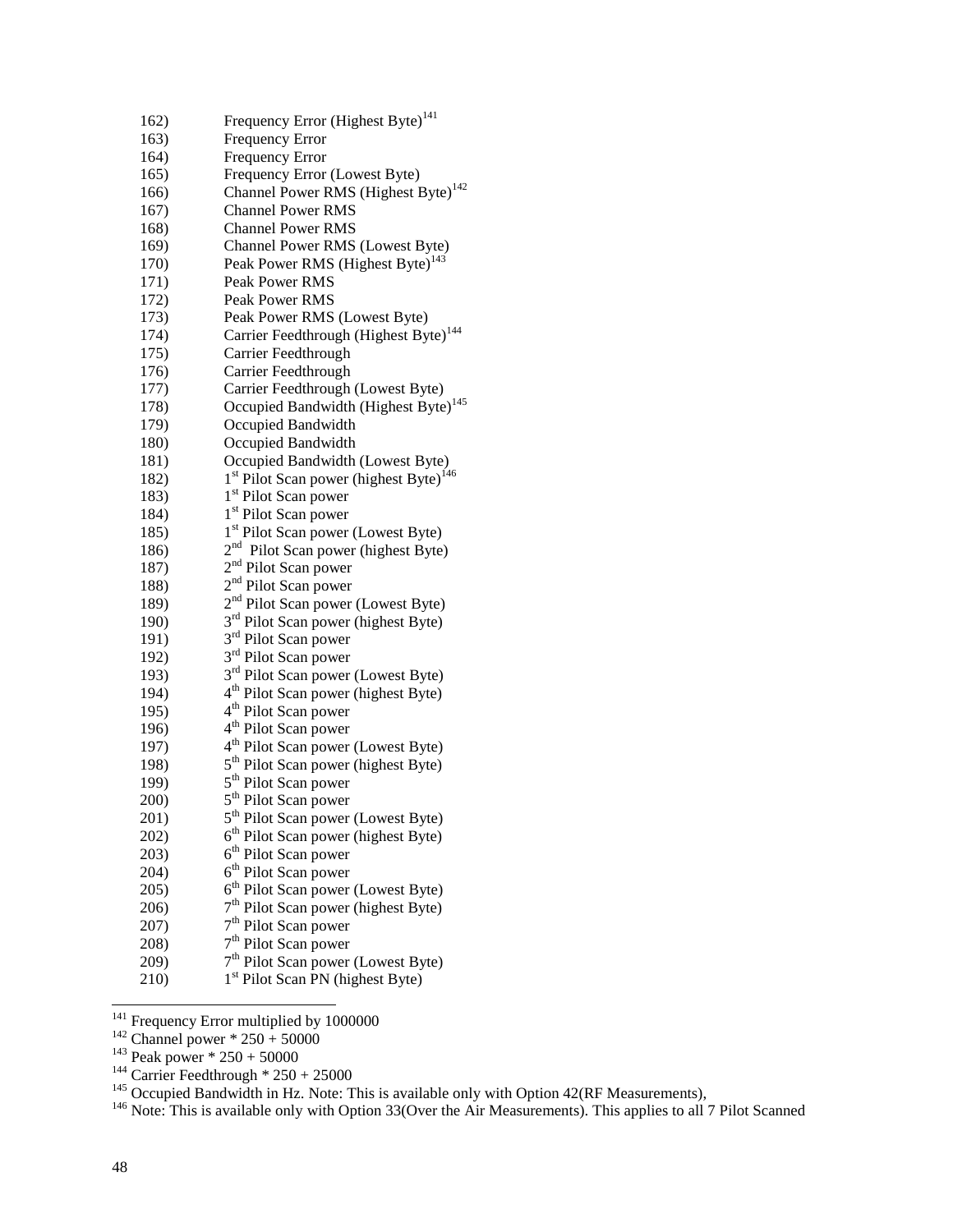| 162) | Frequency Error (Highest Byte) <sup>141</sup>                  |
|------|----------------------------------------------------------------|
| 163) | <b>Frequency Error</b>                                         |
| 164) | <b>Frequency Error</b>                                         |
| 165) | Frequency Error (Lowest Byte)                                  |
| 166) | Channel Power RMS (Highest Byte) <sup>142</sup>                |
| 167) | <b>Channel Power RMS</b>                                       |
| 168) | <b>Channel Power RMS</b>                                       |
| 169) | Channel Power RMS (Lowest Byte)                                |
| 170) | Peak Power RMS (Highest Byte) <sup>143</sup>                   |
| 171) | Peak Power RMS                                                 |
| 172) | Peak Power RMS                                                 |
| 173) | Peak Power RMS (Lowest Byte)                                   |
| 174) | Carrier Feedthrough (Highest Byte) <sup>144</sup>              |
| 175) | Carrier Feedthrough                                            |
| 176) | Carrier Feedthrough                                            |
| 177) | Carrier Feedthrough (Lowest Byte)                              |
| 178) | Occupied Bandwidth (Highest Byte) <sup>145</sup>               |
| 179) | Occupied Bandwidth                                             |
| 180) | Occupied Bandwidth                                             |
| 181) | Occupied Bandwidth (Lowest Byte)                               |
| 182) | 1 <sup>st</sup> Pilot Scan power (highest Byte) <sup>146</sup> |
| 183) | 1 <sup>st</sup> Pilot Scan power                               |
| 184) | 1 <sup>st</sup> Pilot Scan power                               |
| 185) | 1 <sup>st</sup> Pilot Scan power (Lowest Byte)                 |
| 186) | 2 <sup>nd</sup> Pilot Scan power (highest Byte)                |
| 187) | 2 <sup>nd</sup> Pilot Scan power                               |
| 188) | 2 <sup>nd</sup> Pilot Scan power                               |
| 189) | 2 <sup>nd</sup> Pilot Scan power (Lowest Byte)                 |
| 190) | 3 <sup>rd</sup> Pilot Scan power (highest Byte)                |
| 191) | 3 <sup>rd</sup> Pilot Scan power                               |
| 192) | 3 <sup>rd</sup> Pilot Scan power                               |
| 193) | 3 <sup>rd</sup> Pilot Scan power (Lowest Byte)                 |
| 194) | 4 <sup>th</sup> Pilot Scan power (highest Byte)                |
| 195) | 4 <sup>th</sup> Pilot Scan power                               |
| 196) | 4 <sup>th</sup> Pilot Scan power                               |
| 197) | 4 <sup>th</sup> Pilot Scan power (Lowest Byte)                 |
| 198) | 5 <sup>th</sup> Pilot Scan power (highest Byte)                |
| 199) | 5 <sup>th</sup> Pilot Scan power                               |
| 200) | 5 <sup>th</sup> Pilot Scan power                               |
| 201) | 5 <sup>th</sup> Pilot Scan power (Lowest Byte)                 |
| 202) | $6th$ Pilot Scan power (highest Byte)                          |
| 203) | 6 <sup>th</sup> Pilot Scan power                               |
| 204) | 6 <sup>th</sup> Pilot Scan power                               |
| 205) | 6 <sup>th</sup> Pilot Scan power (Lowest Byte)                 |
| 206) | 7 <sup>th</sup> Pilot Scan power (highest Byte)                |
| 207) | 7 <sup>th</sup> Pilot Scan power                               |
| 208) | 7 <sup>th</sup> Pilot Scan power                               |
| 209) | 7 <sup>th</sup> Pilot Scan power (Lowest Byte)                 |
| 210) | 1 <sup>st</sup> Pilot Scan PN (highest Byte)                   |

- 
- 
- 
- 

<sup>141</sup> Frequency Error multiplied by 1000000<br><sup>142</sup> Channel power \* 250 + 50000<br><sup>143</sup> Peak power \* 250 + 50000<br><sup>144</sup> Carrier Feedthrough \* 250 + 25000<br><sup>145</sup> Occupied Bandwidth in Hz. Note: This is available only with Option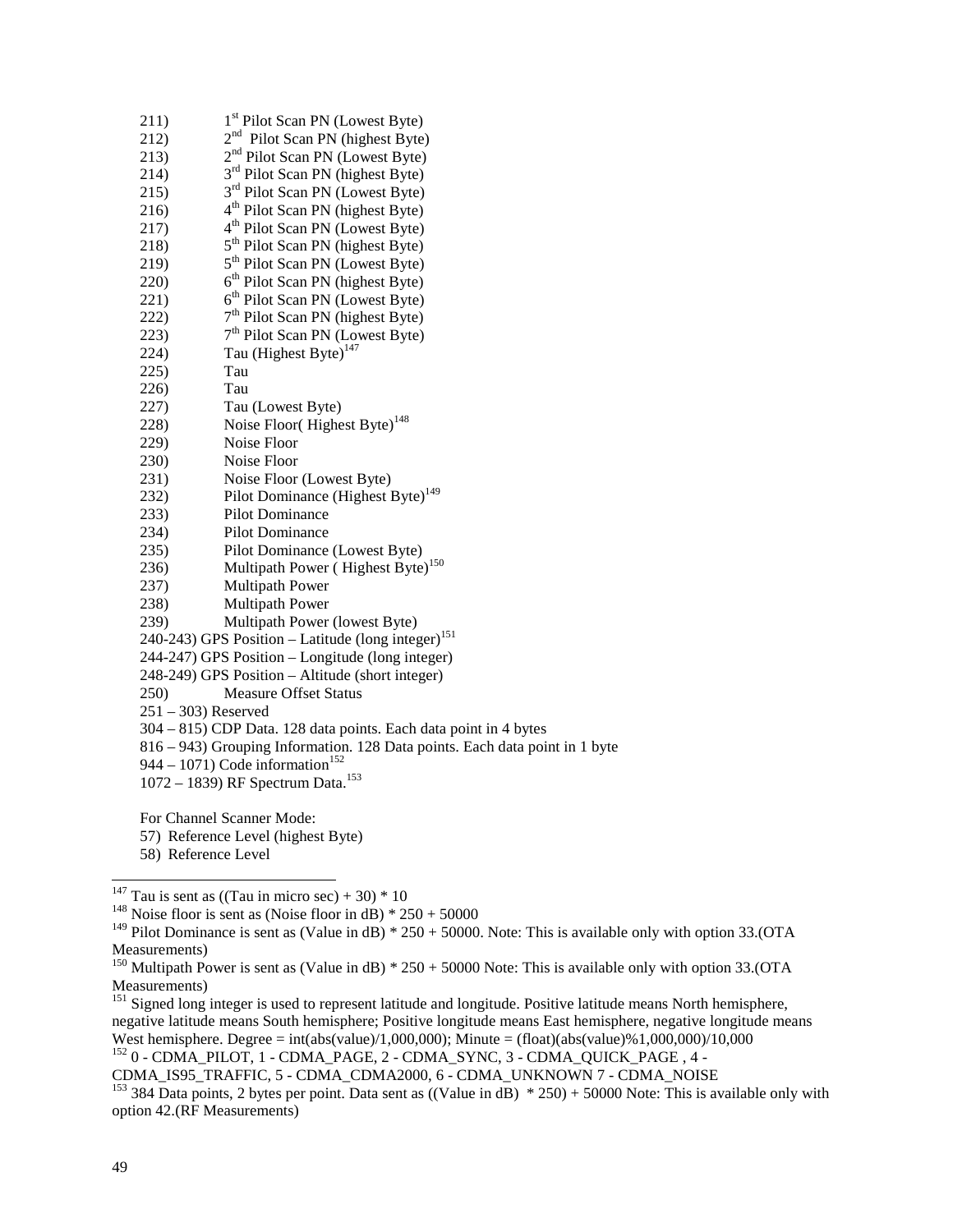| 211)                                                             | 1 <sup>st</sup> Pilot Scan PN (Lowest Byte)                                 |  |  |  |  |
|------------------------------------------------------------------|-----------------------------------------------------------------------------|--|--|--|--|
| 212)                                                             | 2 <sup>nd</sup> Pilot Scan PN (highest Byte)                                |  |  |  |  |
| 213)                                                             | 2 <sup>nd</sup> Pilot Scan PN (Lowest Byte)                                 |  |  |  |  |
| 214)                                                             | 3 <sup>rd</sup> Pilot Scan PN (highest Byte)                                |  |  |  |  |
| 215)                                                             | 3 <sup>rd</sup> Pilot Scan PN (Lowest Byte)                                 |  |  |  |  |
| 216)                                                             | 4 <sup>th</sup> Pilot Scan PN (highest Byte)                                |  |  |  |  |
| 217)                                                             | 4 <sup>th</sup> Pilot Scan PN (Lowest Byte)                                 |  |  |  |  |
| 218)                                                             | 5 <sup>th</sup> Pilot Scan PN (highest Byte)                                |  |  |  |  |
| 219)                                                             | 5 <sup>th</sup> Pilot Scan PN (Lowest Byte)                                 |  |  |  |  |
| 220)                                                             | 6 <sup>th</sup> Pilot Scan PN (highest Byte)                                |  |  |  |  |
| 221)                                                             | 6 <sup>th</sup> Pilot Scan PN (Lowest Byte)                                 |  |  |  |  |
| 222)                                                             | 7 <sup>th</sup> Pilot Scan PN (highest Byte)                                |  |  |  |  |
| 223)                                                             | 7 <sup>th</sup> Pilot Scan PN (Lowest Byte)                                 |  |  |  |  |
| 224)                                                             | Tau (Highest Byte) <sup>147</sup>                                           |  |  |  |  |
| 225)                                                             | Tau                                                                         |  |  |  |  |
| 226)                                                             | Tau                                                                         |  |  |  |  |
| 227)                                                             | Tau (Lowest Byte)                                                           |  |  |  |  |
| 228)                                                             | Noise Floor(Highest Byte) <sup>148</sup>                                    |  |  |  |  |
| 229)                                                             | Noise Floor                                                                 |  |  |  |  |
| 230)                                                             | Noise Floor                                                                 |  |  |  |  |
| 231)                                                             | Noise Floor (Lowest Byte)                                                   |  |  |  |  |
| 232)                                                             | Pilot Dominance (Highest Byte) <sup>149</sup>                               |  |  |  |  |
| 233)                                                             | <b>Pilot Dominance</b>                                                      |  |  |  |  |
| 234)                                                             | Pilot Dominance                                                             |  |  |  |  |
| 235)                                                             | Pilot Dominance (Lowest Byte)                                               |  |  |  |  |
| 236)                                                             | Multipath Power (Highest Byte) <sup>150</sup>                               |  |  |  |  |
| 237)                                                             | <b>Multipath Power</b>                                                      |  |  |  |  |
| 238)                                                             | Multipath Power                                                             |  |  |  |  |
| 239)                                                             | Multipath Power (lowest Byte)                                               |  |  |  |  |
|                                                                  | 240-243) GPS Position – Latitude (long integer) <sup>151</sup>              |  |  |  |  |
| 244-247) GPS Position – Longitude (long integer)                 |                                                                             |  |  |  |  |
|                                                                  | 248-249) GPS Position - Altitude (short integer)                            |  |  |  |  |
| 250)                                                             | <b>Measure Offset Status</b>                                                |  |  |  |  |
| $251 - 303$ ) Reserved                                           |                                                                             |  |  |  |  |
| 304 - 815) CDP Data. 128 data points. Each data point in 4 bytes |                                                                             |  |  |  |  |
|                                                                  | 816 - 943) Grouping Information. 128 Data points. Each data point in 1 byte |  |  |  |  |
| 944 – 1071) Code information <sup>152</sup>                      |                                                                             |  |  |  |  |
| 1072 – 1839) RF Spectrum Data. <sup>153</sup>                    |                                                                             |  |  |  |  |
|                                                                  |                                                                             |  |  |  |  |
|                                                                  | For Channel Scanner Mode:                                                   |  |  |  |  |
| 57) Reference Level (highest Byte)                               |                                                                             |  |  |  |  |

58) Reference Level

<sup>147</sup> Tau is sent as ((Tau in micro sec) + 30)  $*$  10

<sup>148</sup> Noise floor is sent as (Noise floor in dB)  $*$  250 + 50000

<sup>149</sup> Pilot Dominance is sent as (Value in dB) \*  $250 + 50000$ . Note: This is available only with option 33.(OTA Measurements)

<sup>151</sup> Signed long integer is used to represent latitude and longitude. Positive latitude means North hemisphere, negative latitude means South hemisphere; Positive longitude means East hemisphere, negative longitude means West hemisphere. Degree = int(abs(value)/1,000,000); Minute = (float)(abs(value)%1,000,000)/10,000

152 0 - CDMA\_PILOT, 1 - CDMA\_PAGE, 2 - CDMA\_SYNC, 3 - CDMA\_QUICK\_PAGE , 4 - CDMA\_IS95\_TRAFFIC, 5 - CDMA\_CDMA2000, 6 - CDMA\_UNKNOWN 7 - CDMA\_NOISE

<sup>153</sup> 384 Data points, 2 bytes per point. Data sent as  $((Value in dB) * 250) + 50000$  Note: This is available only with option 42.(RF Measurements)

<sup>&</sup>lt;sup>150</sup> Multipath Power is sent as (Value in dB)  $*$  250 + 50000 Note: This is available only with option 33.(OTA Measurements)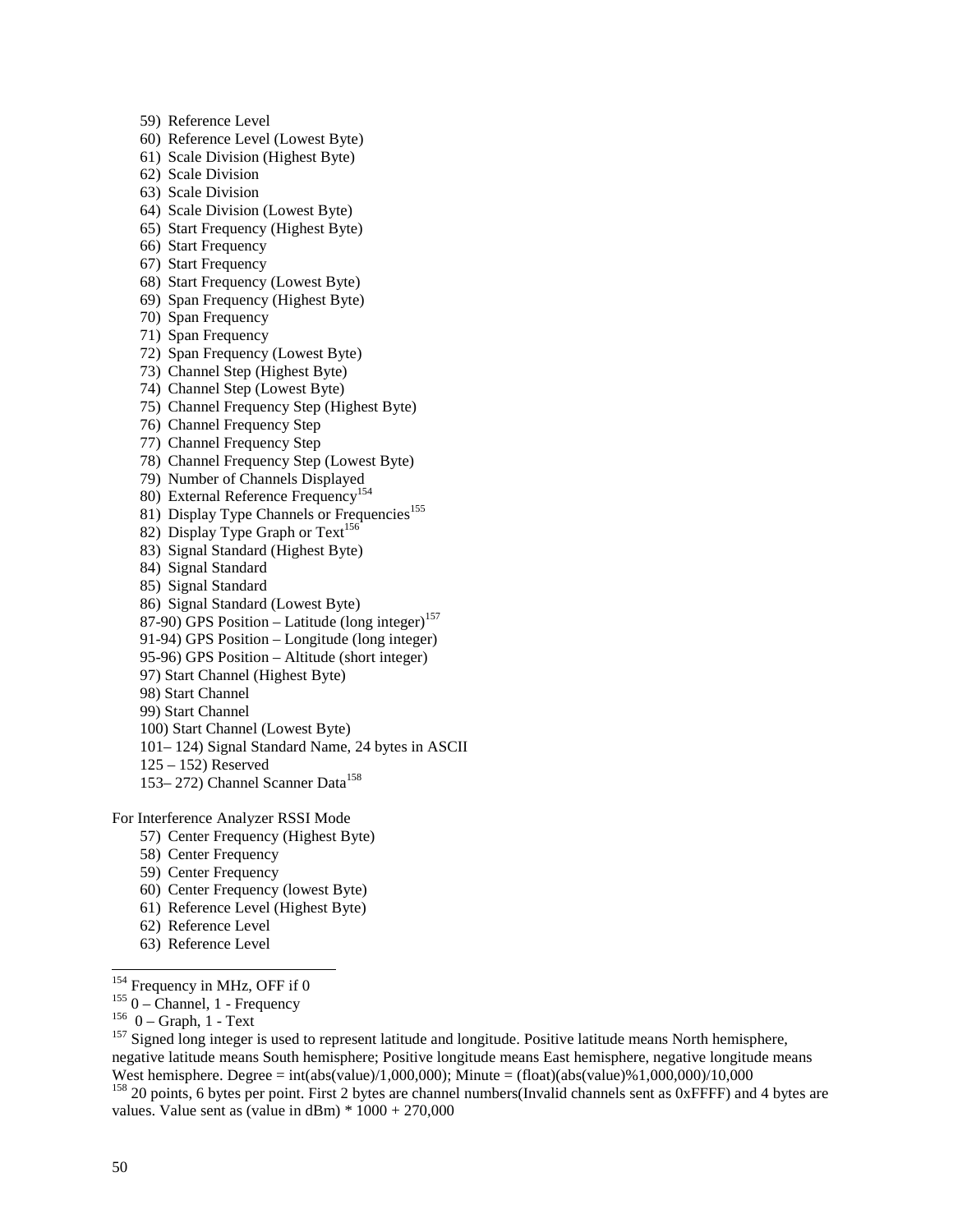59) Reference Level 60) Reference Level (Lowest Byte) 61) Scale Division (Highest Byte) 62) Scale Division 63) Scale Division 64) Scale Division (Lowest Byte) 65) Start Frequency (Highest Byte) 66) Start Frequency 67) Start Frequency 68) Start Frequency (Lowest Byte) 69) Span Frequency (Highest Byte) 70) Span Frequency 71) Span Frequency 72) Span Frequency (Lowest Byte) 73) Channel Step (Highest Byte) 74) Channel Step (Lowest Byte) 75) Channel Frequency Step (Highest Byte) 76) Channel Frequency Step 77) Channel Frequency Step 78) Channel Frequency Step (Lowest Byte) 79) Number of Channels Displayed 80) External Reference Frequency<sup>154</sup> 81) Display Type Channels or Frequencies<sup>155</sup> 82) Display Type Graph or  $Text^{156}$ 83) Signal Standard (Highest Byte) 84) Signal Standard 85) Signal Standard 86) Signal Standard (Lowest Byte) 87-90) GPS Position – Latitude (long integer)<sup>157</sup> 91-94) GPS Position – Longitude (long integer) 95-96) GPS Position – Altitude (short integer) 97) Start Channel (Highest Byte) 98) Start Channel 99) Start Channel 100) Start Channel (Lowest Byte) 101– 124) Signal Standard Name, 24 bytes in ASCII 125 – 152) Reserved 153– 272) Channel Scanner Data<sup>158</sup>

For Interference Analyzer RSSI Mode

- 57) Center Frequency (Highest Byte)
- 58) Center Frequency
- 59) Center Frequency
- 60) Center Frequency (lowest Byte)
- 61) Reference Level (Highest Byte)
- 62) Reference Level
- 63) Reference Level

155 O – Channel, 1 - Frequency<br>  $1560$  – Graph, 1 - Text<br>  $157$  Signed long integer is used to represent latitude and longitude. Positive latitude means North hemisphere, negative latitude means South hemisphere; Positive longitude means East hemisphere, negative longitude means West hemisphere. Degree = int(abs(value)/1,000,000); Minute = (float)(abs(value)%1,000,000)/10,000

 $158$  20 points, 6 bytes per point. First 2 bytes are channel numbers(Invalid channels sent as 0xFFFF) and 4 bytes are values. Value sent as (value in  $\text{dBm}$ ) \*  $1000 + 270,000$ 

 $154$  Frequency in MHz, OFF if 0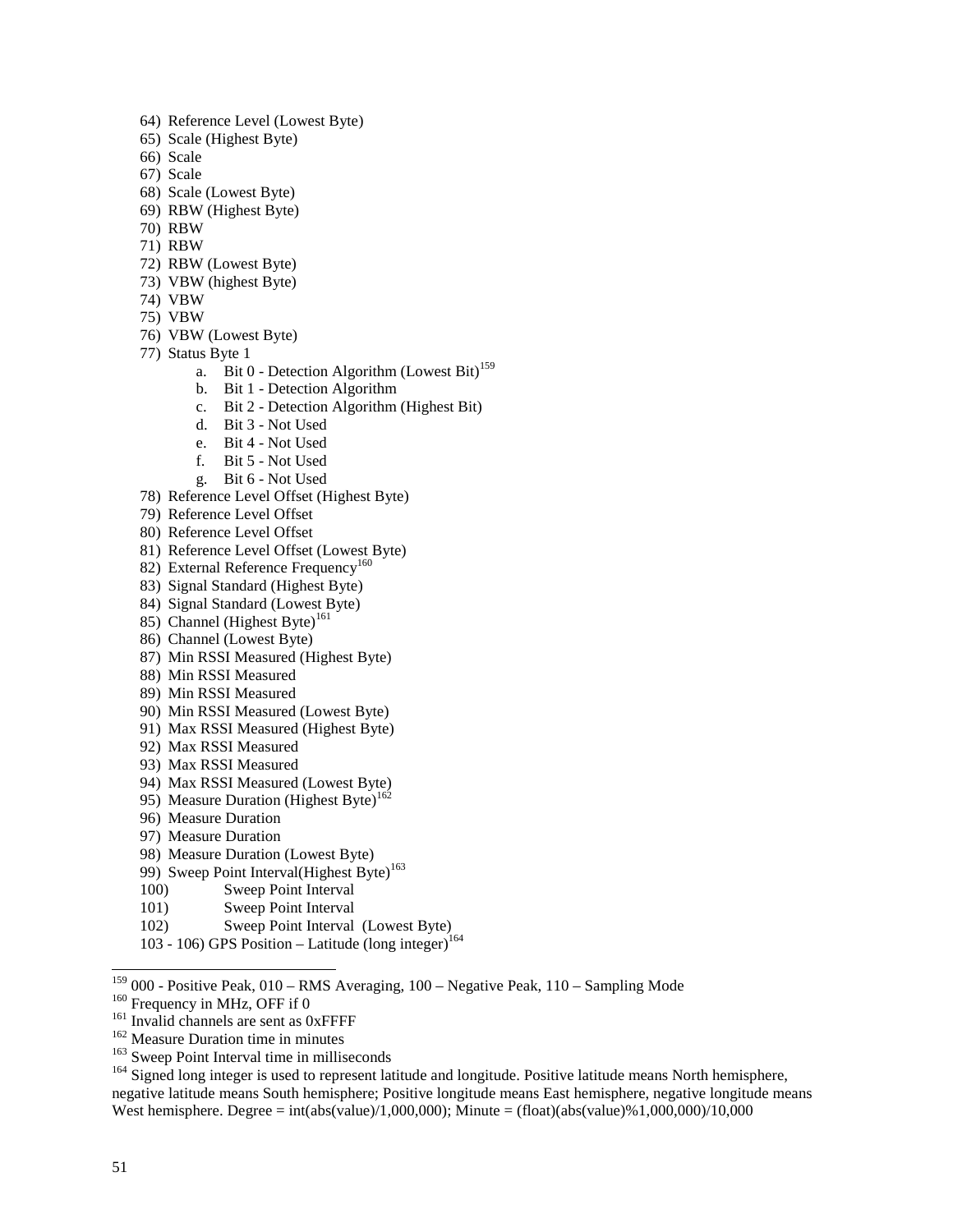- 64) Reference Level (Lowest Byte)
- 65) Scale (Highest Byte)
- 66) Scale
- 67) Scale
- 68) Scale (Lowest Byte)
- 69) RBW (Highest Byte)
- 70) RBW
- 71) RBW
- 72) RBW (Lowest Byte)
- 73) VBW (highest Byte)
- 74) VBW
- 75) VBW
- 76) VBW (Lowest Byte)
- 77) Status Byte 1
	- a. Bit 0 Detection Algorithm (Lowest Bit)<sup>159</sup>
	- b. Bit 1 Detection Algorithm
	- c. Bit 2 Detection Algorithm (Highest Bit)
	- d. Bit 3 Not Used
	- e. Bit 4 Not Used
	- f. Bit 5 Not Used
	- g. Bit 6 Not Used
- 78) Reference Level Offset (Highest Byte)
- 79) Reference Level Offset
- 80) Reference Level Offset
- 81) Reference Level Offset (Lowest Byte)
- 82) External Reference Frequency<sup>160</sup>
- 83) Signal Standard (Highest Byte)
- 84) Signal Standard (Lowest Byte)
- 85) Channel (Highest Byte)<sup>161</sup>
- 86) Channel (Lowest Byte)
- 87) Min RSSI Measured (Highest Byte)
- 88) Min RSSI Measured
- 89) Min RSSI Measured
- 90) Min RSSI Measured (Lowest Byte)
- 91) Max RSSI Measured (Highest Byte)
- 92) Max RSSI Measured
- 93) Max RSSI Measured
- 94) Max RSSI Measured (Lowest Byte)
- 95) Measure Duration (Highest Byte)<sup>162</sup>
- 96) Measure Duration
- 97) Measure Duration
- 98) Measure Duration (Lowest Byte)
- 99) Sweep Point Interval(Highest Byte)<sup>163</sup>
- 100) Sweep Point Interval
- 101) Sweep Point Interval
- 102) Sweep Point Interval (Lowest Byte)
- 103 106) GPS Position Latitude (long integer) $164$

 $159$  000 - Positive Peak, 010 – RMS Averaging, 100 – Negative Peak, 110 – Sampling Mode

<sup>&</sup>lt;sup>160</sup> Frequency in MHz, OFF if 0<br><sup>161</sup> Invalid channels are sent as 0xFFFF<br><sup>162</sup> Measure Duration time in minutes<br><sup>163</sup> Sweep Point Interval time in milliseconds<br><sup>164</sup> Signed long integer is used to represent latitude and negative latitude means South hemisphere; Positive longitude means East hemisphere, negative longitude means West hemisphere. Degree = int(abs(value)/1,000,000); Minute = (float)(abs(value)%1,000,000)/10,000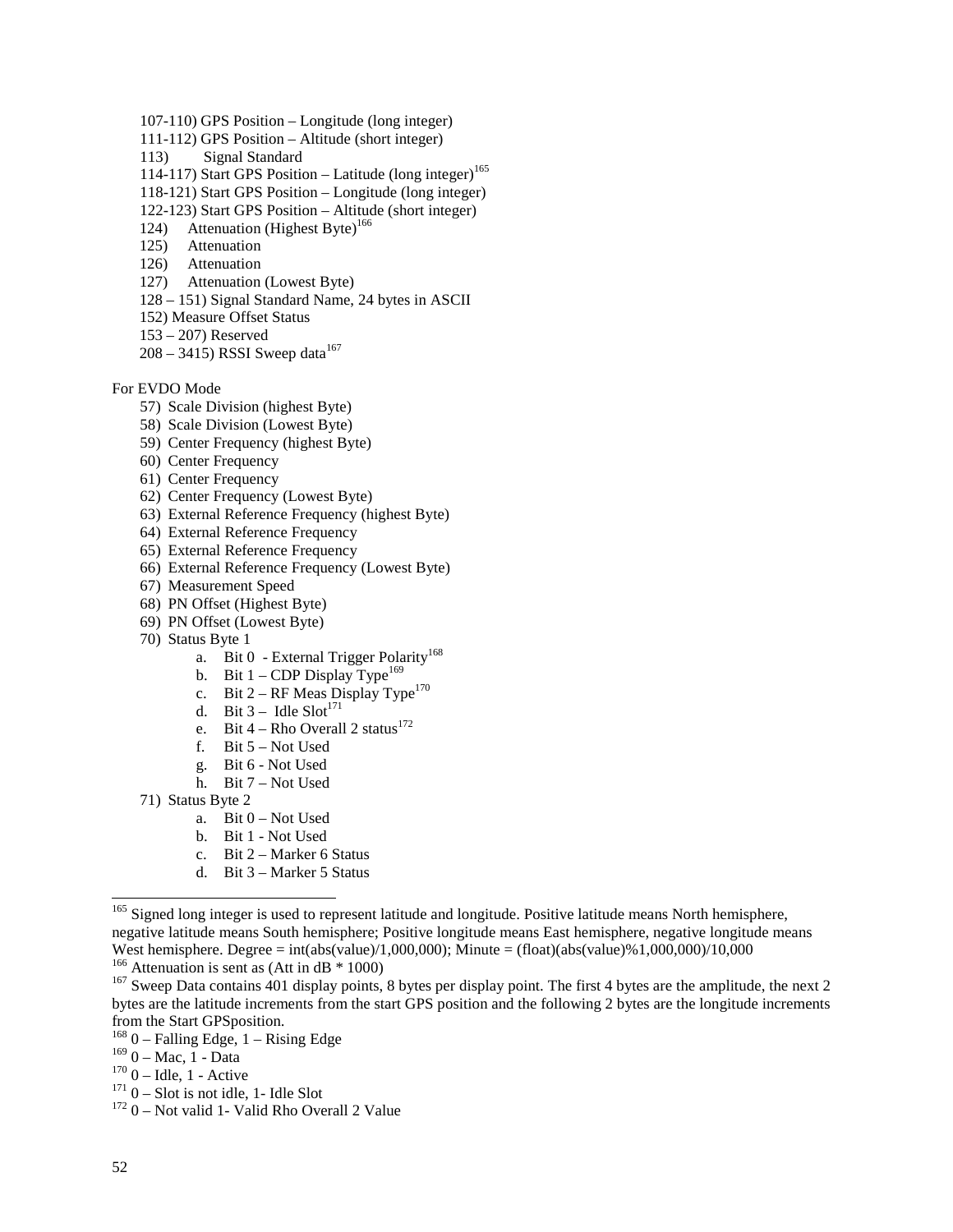- 107-110) GPS Position Longitude (long integer)
- 111-112) GPS Position Altitude (short integer)
- 113) Signal Standard
- 114-117) Start GPS Position Latitude (long integer)<sup>165</sup>
- 118-121) Start GPS Position Longitude (long integer)
- 122-123) Start GPS Position Altitude (short integer)
- 124) Attenuation (Highest Byte)<sup>166</sup>
- 125) Attenuation
- 126) Attenuation
- 127) Attenuation (Lowest Byte)
- 128 151) Signal Standard Name, 24 bytes in ASCII
- 152) Measure Offset Status
- 153 207) Reserved
- $208 3415$ ) RSSI Sweep data<sup>167</sup>

#### For EVDO Mode

- 57) Scale Division (highest Byte)
- 58) Scale Division (Lowest Byte)
- 59) Center Frequency (highest Byte)
- 60) Center Frequency
- 61) Center Frequency
- 62) Center Frequency (Lowest Byte)
- 63) External Reference Frequency (highest Byte)
- 64) External Reference Frequency
- 65) External Reference Frequency
- 66) External Reference Frequency (Lowest Byte)
- 67) Measurement Speed
- 68) PN Offset (Highest Byte)
- 69) PN Offset (Lowest Byte)
- 70) Status Byte 1
	- a. Bit 0 External Trigger Polarity<sup>168</sup>
	- b. Bit  $1$  CDP Display Type<sup>169</sup>
	- c. Bit  $2 RF$  Meas Display Type<sup>170</sup>
	- d. Bit  $3 -$  Idle Slot<sup>171</sup>
	- e. Bit 4 Rho Overall 2 status<sup>172</sup>
	- f. Bit 5 Not Used
	- g. Bit 6 Not Used
	- h. Bit 7 Not Used
- 71) Status Byte 2
	- a. Bit  $0$  Not Used
	- b. Bit 1 Not Used
	- c. Bit 2 Marker 6 Status
	- d. Bit 3 Marker 5 Status

<sup>&</sup>lt;sup>165</sup> Signed long integer is used to represent latitude and longitude. Positive latitude means North hemisphere, negative latitude means South hemisphere; Positive longitude means East hemisphere, negative longitude means West hemisphere. Degree = int(abs(value)/1,000,000); Minute = (float)(abs(value)%1,000,000)/10,000<br><sup>166</sup> Attenuation is sent as (Att in dB \* 1000)

<sup>&</sup>lt;sup>167</sup> Sweep Data contains 401 display points, 8 bytes per display point. The first 4 bytes are the amplitude, the next 2 bytes are the latitude increments from the start GPS position and the following 2 bytes are the longitude increments from the Start GPSposition.

<sup>&</sup>lt;sup>168</sup> 0 – Falling Edge, 1 – Rising Edge<br><sup>169</sup> 0 – Mac, 1 - Data

<sup>&</sup>lt;sup>170</sup> 0 – Idle, 1 - Active<br><sup>171</sup> 0 – Slot is not idle, 1- Idle Slot<br><sup>172</sup> 0 – Not valid 1- Valid Rho Overall 2 Value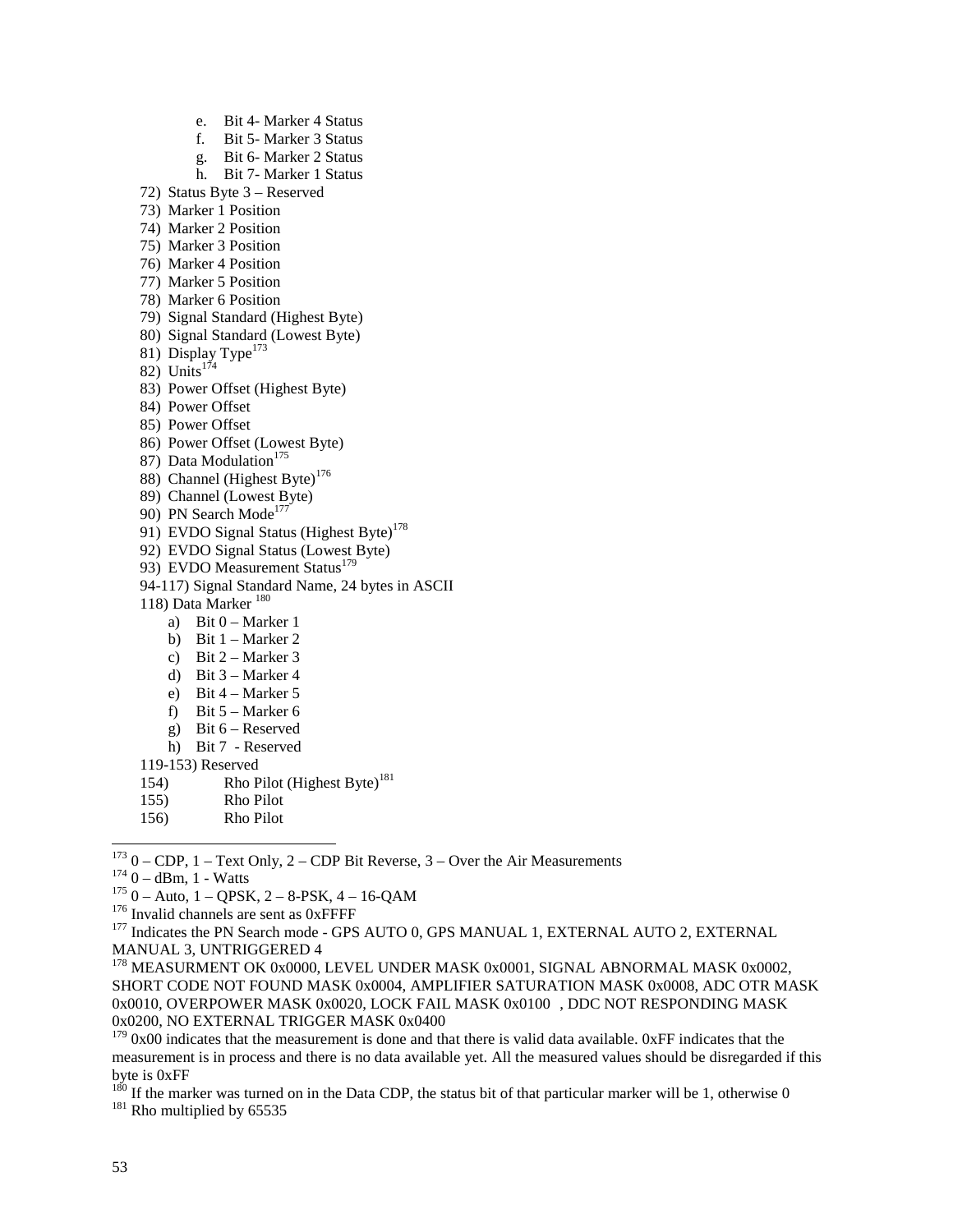e. Bit 4- Marker 4 Status f. Bit 5- Marker 3 Status g. Bit 6- Marker 2 Status h. Bit 7- Marker 1 Status 72) Status Byte 3 – Reserved 73) Marker 1 Position 74) Marker 2 Position 75) Marker 3 Position 76) Marker 4 Position 77) Marker 5 Position 78) Marker 6 Position 79) Signal Standard (Highest Byte) 80) Signal Standard (Lowest Byte) 81) Display Type<sup>173</sup> 82) Units $1^{74}$ 83) Power Offset (Highest Byte) 84) Power Offset 85) Power Offset 86) Power Offset (Lowest Byte) 87) Data Modulation<sup>175</sup> 88) Channel (Highest Byte)<sup>176</sup> 89) Channel (Lowest Byte) 90) PN Search Mode<sup>177</sup> 91) EVDO Signal Status (Highest Byte)<sup>178</sup> 92) EVDO Signal Status (Lowest Byte) 93) EVDO Measurement Status<sup>179</sup> 94-117) Signal Standard Name, 24 bytes in ASCII 118) Data Marker 180 a) Bit  $0 -$  Marker 1 b) Bit  $1 -$ Marker 2 c) Bit  $2 -$ Marker 3 d) Bit 3 – Marker 4

- e) Bit 4 Marker 5
- f) Bit 5 Marker 6
- g) Bit 6 Reserved
- h) Bit 7 Reserved
- 119-153) Reserved
- 154) Rho Pilot (Highest Byte)<sup>181</sup>
- 155) Rho Pilot
- 156) Rho Pilot

 $173$  0 – CDP, 1 – Text Only, 2 – CDP Bit Reverse, 3 – Over the Air Measurements

<sup>&</sup>lt;sup>174</sup> 0 – dBm, 1 - Watts<br>
<sup>175</sup> 0 – Auto, 1 – QPSK, 2 – 8-PSK, 4 – 16-QAM<br>
<sup>176</sup> Invalid channels are sent as 0xFFFF<br>
<sup>177</sup> Indicates the PN Search mode - GPS AUTO 0, GPS MANUAL 1, EXTERNAL AUTO 2, EXTERNAL MANUAL 3, UNTRIGGERED 4

<sup>&</sup>lt;sup>178</sup> MEASURMENT OK 0x0000, LEVEL UNDER MASK 0x0001, SIGNAL ABNORMAL MASK 0x0002, SHORT CODE NOT FOUND MASK 0x0004, AMPLIFIER SATURATION MASK 0x0008, ADC OTR MASK 0x0010, OVERPOWER MASK 0x0020, LOCK FAIL MASK 0x0100 , DDC NOT RESPONDING MASK 0x0200, NO EXTERNAL TRIGGER MASK 0x0400

 $179$  0x00 indicates that the measurement is done and that there is valid data available. 0xFF indicates that the measurement is in process and there is no data available yet. All the measured values should be disregarded if this byte is 0xFF

<sup>&</sup>lt;sup>180</sup> If the marker was turned on in the Data CDP, the status bit of that particular marker will be 1, otherwise 0  $^{181}$  Rho multiplied by 65535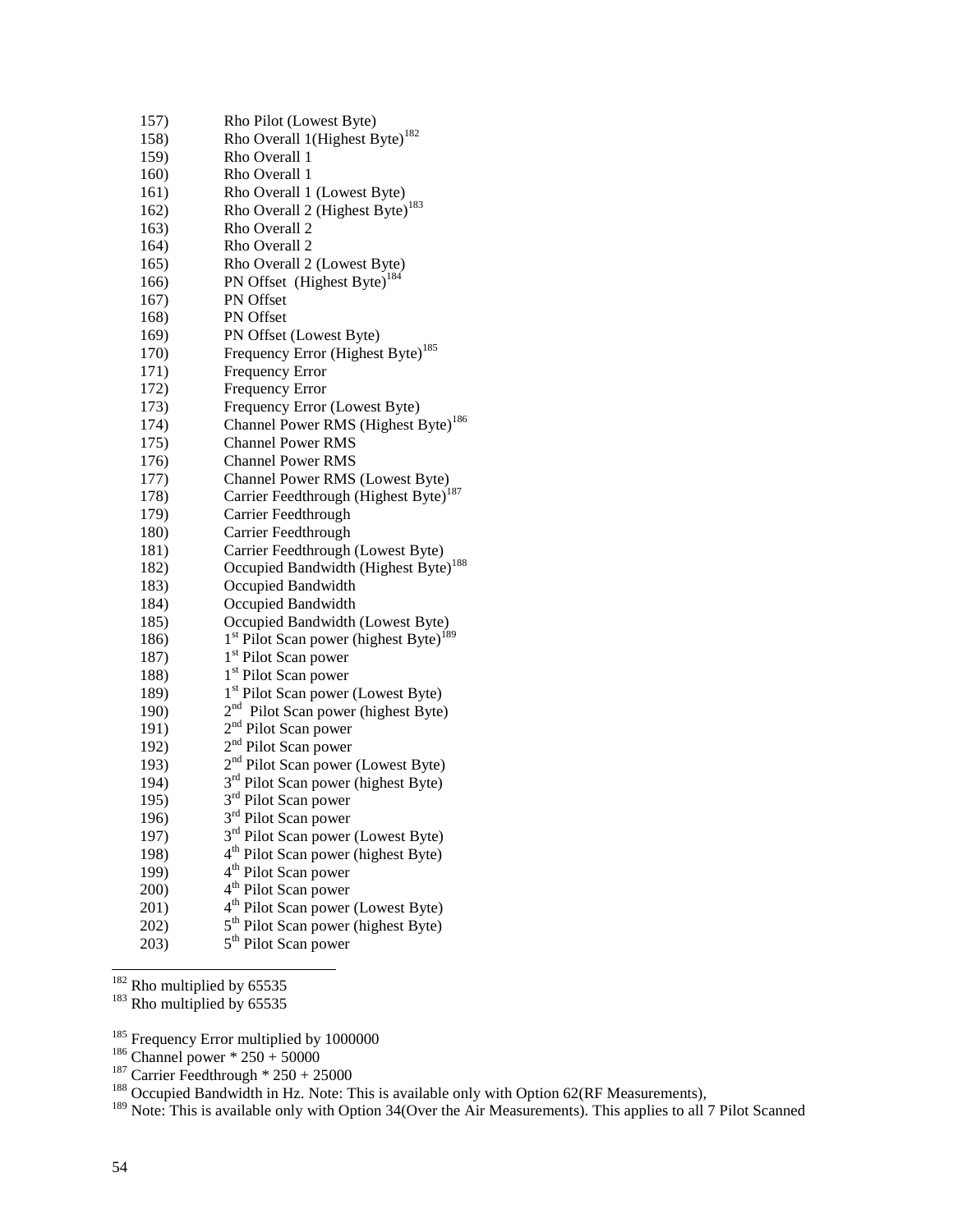| 157) | Rho Pilot (Lowest Byte)                                        |
|------|----------------------------------------------------------------|
| 158) | Rho Overall 1(Highest Byte) <sup>182</sup>                     |
| 159) | Rho Overall 1                                                  |
| 160) | Rho Overall 1                                                  |
| 161) | Rho Overall 1 (Lowest Byte)                                    |
| 162) | Rho Overall 2 (Highest Byte) <sup>183</sup>                    |
| 163) | Rho Overall 2                                                  |
| 164) | Rho Overall 2                                                  |
| 165) | Rho Overall 2 (Lowest Byte)                                    |
| 166) | PN Offset (Highest Byte) <sup>184</sup>                        |
| 167) | PN Offset                                                      |
| 168) | PN Offset                                                      |
| 169) | PN Offset (Lowest Byte)                                        |
| 170) | Frequency Error (Highest Byte) <sup>185</sup>                  |
| 171) | Frequency Error                                                |
| 172) | <b>Frequency Error</b>                                         |
| 173) | Frequency Error (Lowest Byte)                                  |
| 174) | Channel Power RMS (Highest Byte) <sup>186</sup>                |
| 175) | <b>Channel Power RMS</b>                                       |
| 176) | <b>Channel Power RMS</b>                                       |
| 177) | Channel Power RMS (Lowest Byte)                                |
| 178) | Carrier Feedthrough (Highest Byte) <sup>187</sup>              |
| 179) | Carrier Feedthrough                                            |
| 180) | Carrier Feedthrough                                            |
| 181) | Carrier Feedthrough (Lowest Byte)                              |
| 182) | Occupied Bandwidth (Highest Byte) <sup>188</sup>               |
| 183) | Occupied Bandwidth                                             |
| 184) | Occupied Bandwidth                                             |
| 185) | Occupied Bandwidth (Lowest Byte)                               |
| 186) | 1 <sup>st</sup> Pilot Scan power (highest Byte) <sup>189</sup> |
| 187) | 1 <sup>st</sup> Pilot Scan power                               |
| 188) | 1 <sup>st</sup> Pilot Scan power                               |
| 189) | 1 <sup>st</sup> Pilot Scan power (Lowest Byte)                 |
| 190) | 2 <sup>nd</sup> Pilot Scan power (highest Byte)                |
| 191) | 2 <sup>nd</sup> Pilot Scan power                               |
| 192) | 2 <sup>nd</sup> Pilot Scan power                               |
| 193) | 2 <sup>nd</sup> Pilot Scan power (Lowest Byte)                 |
| 194) | 3 <sup>rd</sup> Pilot Scan power (highest Byte)                |
| 195) | 3 <sup>rd</sup> Pilot Scan power                               |
| 196) | 3 <sup>rd</sup> Pilot Scan power                               |
| 197) | 3 <sup>rd</sup> Pilot Scan power (Lowest Byte)                 |
| 198) | 4 <sup>th</sup> Pilot Scan power (highest Byte)                |
| 199) | 4 <sup>th</sup> Pilot Scan power                               |
| 200) | 4 <sup>th</sup> Pilot Scan power                               |
| 201) | 4 <sup>th</sup> Pilot Scan power (Lowest Byte)                 |
| 202) | 5 <sup>th</sup> Pilot Scan power (highest Byte)                |
| 203) | 5 <sup>th</sup> Pilot Scan power                               |

-<sup>182</sup> Rho multiplied by 65535<br><sup>183</sup> Rho multiplied by 65535

<sup>185</sup> Frequency Error multiplied by 1000000<br><sup>186</sup> Channel power \* 250 + 50000<br><sup>187</sup> Carrier Feedthrough \* 250 + 25000<br><sup>188</sup> Occupied Bandwidth in Hz. Note: This is available only with Option 62(RF Measurements),

<sup>189</sup> Note: This is available only with Option 34(Over the Air Measurements). This applies to all 7 Pilot Scanned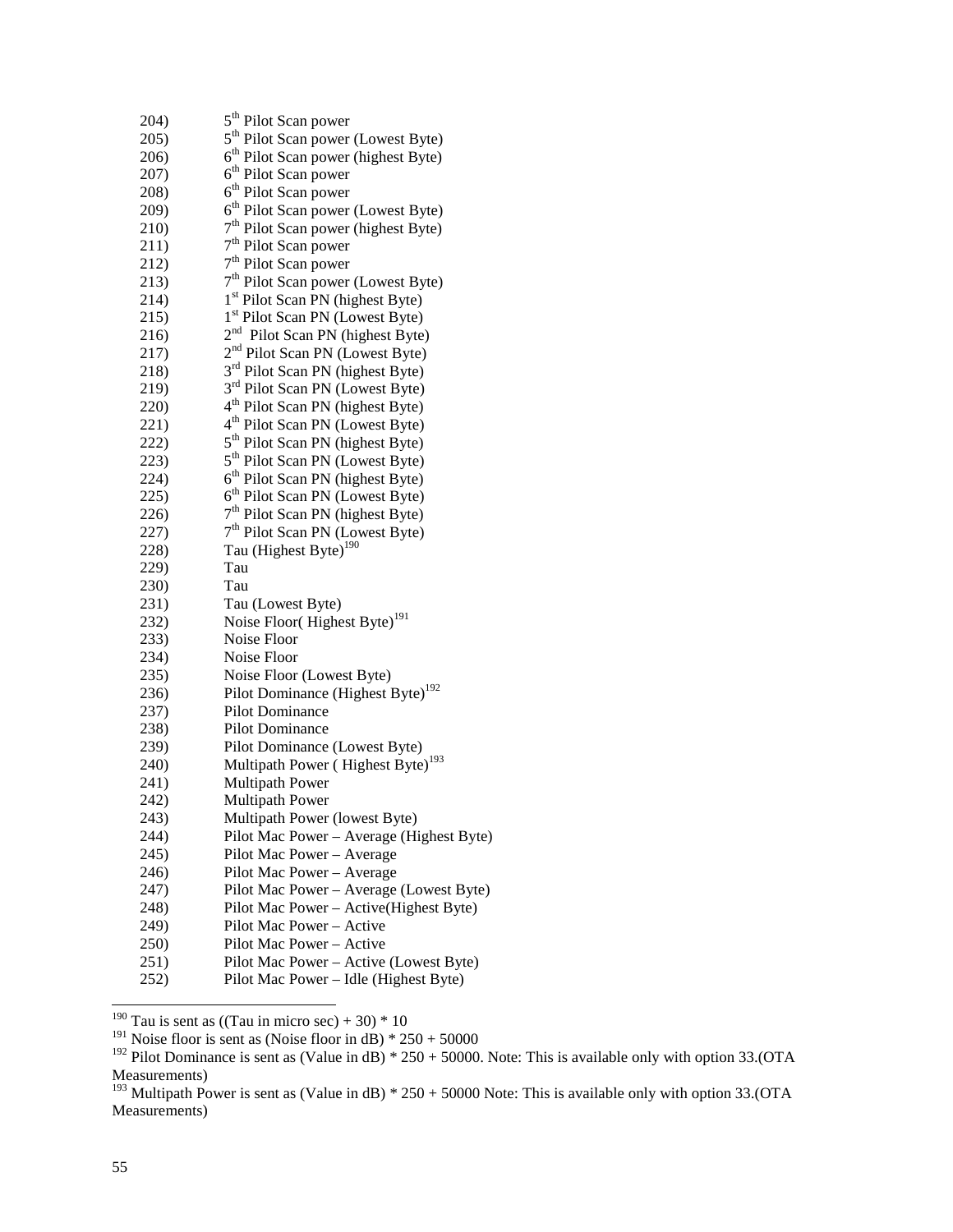| 204) | 5 <sup>th</sup> Pilot Scan power                |
|------|-------------------------------------------------|
| 205) | 5 <sup>th</sup> Pilot Scan power (Lowest Byte)  |
| 206) | 6 <sup>th</sup> Pilot Scan power (highest Byte) |
| 207) | 6 <sup>th</sup> Pilot Scan power                |
| 208) | 6 <sup>th</sup> Pilot Scan power                |
| 209) | 6 <sup>th</sup> Pilot Scan power (Lowest Byte)  |
| 210) | 7 <sup>th</sup> Pilot Scan power (highest Byte) |
| 211) | 7 <sup>th</sup> Pilot Scan power                |
| 212) | 7 <sup>th</sup> Pilot Scan power                |
| 213) | 7 <sup>th</sup> Pilot Scan power (Lowest Byte)  |
| 214) | 1 <sup>st</sup> Pilot Scan PN (highest Byte)    |
| 215) | 1 <sup>st</sup> Pilot Scan PN (Lowest Byte)     |
| 216) | 2 <sup>nd</sup> Pilot Scan PN (highest Byte)    |
| 217) | 2 <sup>nd</sup> Pilot Scan PN (Lowest Byte)     |
| 218) | 3 <sup>rd</sup> Pilot Scan PN (highest Byte)    |
| 219) | 3 <sup>rd</sup> Pilot Scan PN (Lowest Byte)     |
| 220) | 4 <sup>th</sup> Pilot Scan PN (highest Byte)    |
| 221) | 4 <sup>th</sup> Pilot Scan PN (Lowest Byte)     |
| 222) | 5 <sup>th</sup> Pilot Scan PN (highest Byte)    |
| 223) | 5 <sup>th</sup> Pilot Scan PN (Lowest Byte)     |
| 224) | 6 <sup>th</sup> Pilot Scan PN (highest Byte)    |
| 225) | 6 <sup>th</sup> Pilot Scan PN (Lowest Byte)     |
| 226) | 7 <sup>th</sup> Pilot Scan PN (highest Byte)    |
| 227) | 7 <sup>th</sup> Pilot Scan PN (Lowest Byte)     |
| 228) | Tau (Highest Byte) <sup>190</sup>               |
| 229) | Tau                                             |
| 230) | Tau                                             |
| 231) | Tau (Lowest Byte)                               |
| 232) | Noise Floor(Highest Byte) <sup>191</sup>        |
| 233) | Noise Floor                                     |
| 234) | Noise Floor                                     |
| 235) | Noise Floor (Lowest Byte)                       |
| 236) | Pilot Dominance (Highest Byte) <sup>192</sup>   |
| 237) | Pilot Dominance                                 |
| 238) | Pilot Dominance                                 |
| 239) | Pilot Dominance (Lowest Byte)                   |
| 240) | Multipath Power (Highest Byte) <sup>193</sup>   |
| 241) | <b>Multipath Power</b>                          |
| 242) | <b>Multipath Power</b>                          |
| 243) | Multipath Power (lowest Byte)                   |
| 244) | Pilot Mac Power - Average (Highest Byte)        |
| 245) | Pilot Mac Power - Average                       |
| 246) | Pilot Mac Power - Average                       |
| 247) | Pilot Mac Power - Average (Lowest Byte)         |
| 248) | Pilot Mac Power - Active(Highest Byte)          |
| 249) | Pilot Mac Power - Active                        |
| 250) | Pilot Mac Power - Active                        |
| 251) | Pilot Mac Power - Active (Lowest Byte)          |
| 252) | Pilot Mac Power - Idle (Highest Byte)           |

<sup>&</sup>lt;sup>190</sup> Tau is sent as ((Tau in micro sec) + 30)  $*$  10

<sup>&</sup>lt;sup>191</sup> Noise floor is sent as (Noise floor in dB)  $* 250 + 50000$ 

<sup>&</sup>lt;sup>192</sup> Pilot Dominance is sent as (Value in dB)  $* 250 + 50000$ . Note: This is available only with option 33.(OTA Measurements)

<sup>&</sup>lt;sup>193</sup> Multipath Power is sent as (Value in dB)  $* 250 + 50000$  Note: This is available only with option 33.(OTA Measurements)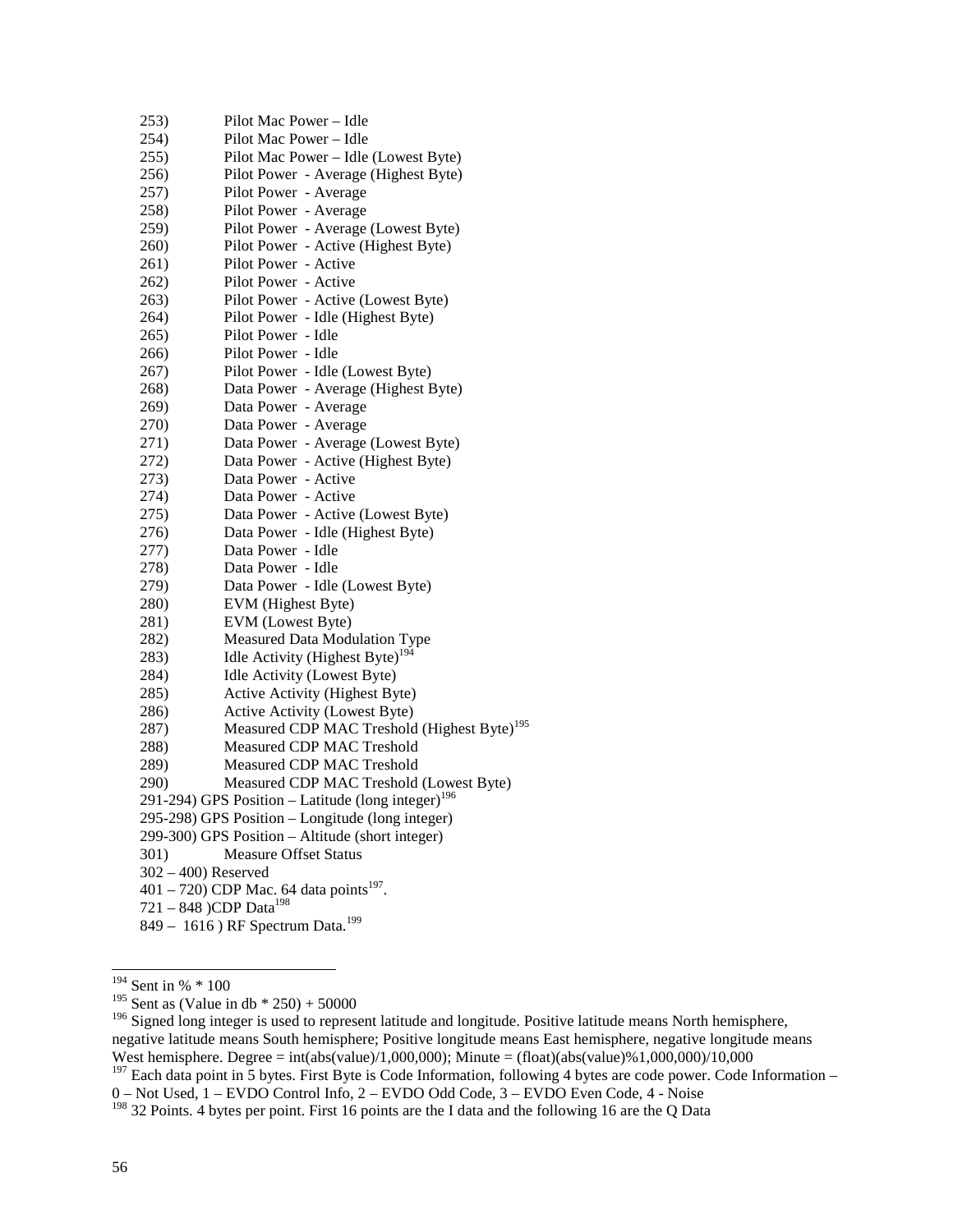| 253)                                         | Pilot Mac Power - Idle                                         |  |  |  |
|----------------------------------------------|----------------------------------------------------------------|--|--|--|
| 254)                                         | Pilot Mac Power - Idle                                         |  |  |  |
| 255)                                         | Pilot Mac Power - Idle (Lowest Byte)                           |  |  |  |
| 256)                                         | Pilot Power - Average (Highest Byte)                           |  |  |  |
| 257)                                         | Pilot Power - Average                                          |  |  |  |
| 258)                                         | Pilot Power - Average                                          |  |  |  |
| 259)                                         | Pilot Power - Average (Lowest Byte)                            |  |  |  |
| 260)                                         | Pilot Power - Active (Highest Byte)                            |  |  |  |
| 261)                                         | Pilot Power - Active                                           |  |  |  |
| 262)                                         | Pilot Power - Active                                           |  |  |  |
| 263)                                         | Pilot Power - Active (Lowest Byte)                             |  |  |  |
| 264)                                         | Pilot Power - Idle (Highest Byte)                              |  |  |  |
| 265)                                         | Pilot Power - Idle                                             |  |  |  |
| 266)                                         | Pilot Power - Idle                                             |  |  |  |
| 267)                                         | Pilot Power - Idle (Lowest Byte)                               |  |  |  |
| 268)                                         | Data Power - Average (Highest Byte)                            |  |  |  |
| 269)                                         | Data Power - Average                                           |  |  |  |
| 270)                                         | Data Power - Average                                           |  |  |  |
| 271)                                         | Data Power - Average (Lowest Byte)                             |  |  |  |
| 272)                                         | Data Power - Active (Highest Byte)                             |  |  |  |
| 273)                                         | Data Power - Active                                            |  |  |  |
| 274)                                         | Data Power - Active                                            |  |  |  |
| 275)                                         | Data Power - Active (Lowest Byte)                              |  |  |  |
| 276)                                         | Data Power - Idle (Highest Byte)                               |  |  |  |
| 277)                                         | Data Power - Idle                                              |  |  |  |
| 278)                                         | Data Power - Idle                                              |  |  |  |
| 279)                                         | Data Power - Idle (Lowest Byte)                                |  |  |  |
| 280)                                         | EVM (Highest Byte)                                             |  |  |  |
| 281)                                         | EVM (Lowest Byte)                                              |  |  |  |
| 282)                                         | Measured Data Modulation Type                                  |  |  |  |
| 283)                                         | Idle Activity (Highest Byte) <sup>194</sup>                    |  |  |  |
| 284)                                         | Idle Activity (Lowest Byte)                                    |  |  |  |
| 285)                                         | Active Activity (Highest Byte)                                 |  |  |  |
| 286)                                         | Active Activity (Lowest Byte)                                  |  |  |  |
| 287)                                         | Measured CDP MAC Treshold (Highest Byte) <sup>195</sup>        |  |  |  |
| 288)                                         | Measured CDP MAC Treshold                                      |  |  |  |
| 289)                                         | Measured CDP MAC Treshold                                      |  |  |  |
| 290)                                         | Measured CDP MAC Treshold (Lowest Byte)                        |  |  |  |
|                                              | 291-294) GPS Position – Latitude (long integer) <sup>196</sup> |  |  |  |
|                                              | 295-298) GPS Position - Longitude (long integer)               |  |  |  |
|                                              | 299-300) GPS Position - Altitude (short integer)               |  |  |  |
| 301)                                         | <b>Measure Offset Status</b>                                   |  |  |  |
| $302 - 400$ ) Reserved                       |                                                                |  |  |  |
|                                              | 401 – 720) CDP Mac. 64 data points <sup>197</sup> .            |  |  |  |
| 721 - 848 )CDP Data <sup>198</sup>           |                                                                |  |  |  |
| 849 - 1616) RF Spectrum Data. <sup>199</sup> |                                                                |  |  |  |
|                                              |                                                                |  |  |  |

 $194$  Sent in %  $*$  100

0 – Not Used, 1 – EVDO Control Info, 2 – EVDO Odd Code, 3 – EVDO Even Code, 4 - Noise

<sup>&</sup>lt;sup>195</sup> Sent as (Value in db  $*$  250) + 50000

<sup>&</sup>lt;sup>196</sup> Signed long integer is used to represent latitude and longitude. Positive latitude means North hemisphere, negative latitude means South hemisphere; Positive longitude means East hemisphere, negative longitude means West hemisphere. Degree = int(abs(value)/1,000,000); Minute = (float)(abs(value)%1,000,000)/10,000  $197$  Each data point in 5 bytes. First Byte is Code Information, following 4 bytes are code power. Code Information –

<sup>&</sup>lt;sup>198</sup> 32 Points. 4 bytes per point. First 16 points are the I data and the following 16 are the Q Data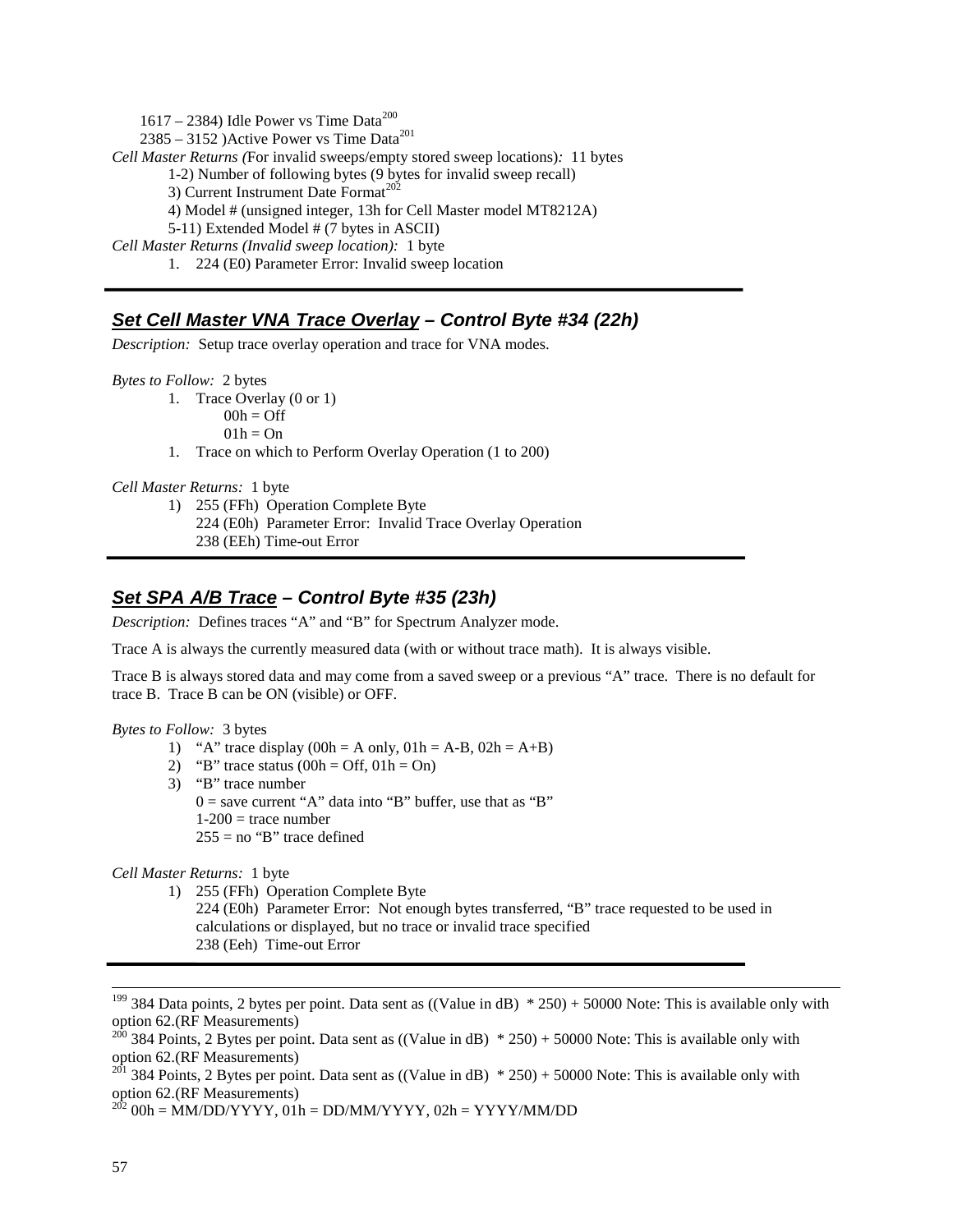$1617 - 2384$ ) Idle Power vs Time Data<sup>200</sup>  $2385 - 3152$ ) Active Power vs Time Data<sup>201</sup> *Cell Master Returns (*For invalid sweeps/empty stored sweep locations)*:* 11 bytes 1-2) Number of following bytes (9 bytes for invalid sweep recall) 3) Current Instrument Date Format<sup>202</sup> 4) Model # (unsigned integer, 13h for Cell Master model MT8212A) 5-11) Extended Model # (7 bytes in ASCII) *Cell Master Returns (Invalid sweep location):* 1 byte 1. 224 (E0) Parameter Error: Invalid sweep location

## **Set Cell Master VNA Trace Overlay – Control Byte #34 (22h)**

*Description:* Setup trace overlay operation and trace for VNA modes.

*Bytes to Follow:* 2 bytes

- 1. Trace Overlay (0 or 1)
	- $00h = \text{Off}$
	- $01h = On$
- 1. Trace on which to Perform Overlay Operation (1 to 200)

*Cell Master Returns:* 1 byte

- 1) 255 (FFh) Operation Complete Byte 224 (E0h) Parameter Error: Invalid Trace Overlay Operation
	- 238 (EEh) Time-out Error

## **Set SPA A/B Trace – Control Byte #35 (23h)**

*Description:* Defines traces "A" and "B" for Spectrum Analyzer mode.

Trace A is always the currently measured data (with or without trace math). It is always visible.

Trace B is always stored data and may come from a saved sweep or a previous "A" trace. There is no default for trace B. Trace B can be ON (visible) or OFF.

### *Bytes to Follow:* 3 bytes

- 1) "A" trace display  $(00h = A \text{ only}, 01h = A-B, 02h = A+B)$
- 2) "B" trace status  $(00h = Off, 01h = On)$
- 3) "B" trace number  $0 =$  save current "A" data into "B" buffer, use that as "B"  $1-200$  = trace number  $255 = no$  "B" trace defined

*Cell Master Returns:* 1 byte

1) 255 (FFh) Operation Complete Byte 224 (E0h) Parameter Error: Not enough bytes transferred, "B" trace requested to be used in calculations or displayed, but no trace or invalid trace specified 238 (Eeh) Time-out Error

<sup>&</sup>lt;sup>199</sup> 384 Data points, 2 bytes per point. Data sent as  $((Value in dB) * 250) + 50000$  Note: This is available only with option 62.(RF Measurements)

<sup>&</sup>lt;sup>200</sup> 384 Points, 2 Bytes per point. Data sent as ((Value in dB)  $*$  250) + 50000 Note: This is available only with option 62.(RF Measurements)

<sup>&</sup>lt;sup>201</sup> 384 Points, 2 Bytes per point. Data sent as  $((Value in dB) * 250) + 50000$  Note: This is available only with option 62.(RF Measurements)

 $^{202}$  00h = MM/DD/YYYY, 01h = DD/MM/YYYY, 02h = YYYY/MM/DD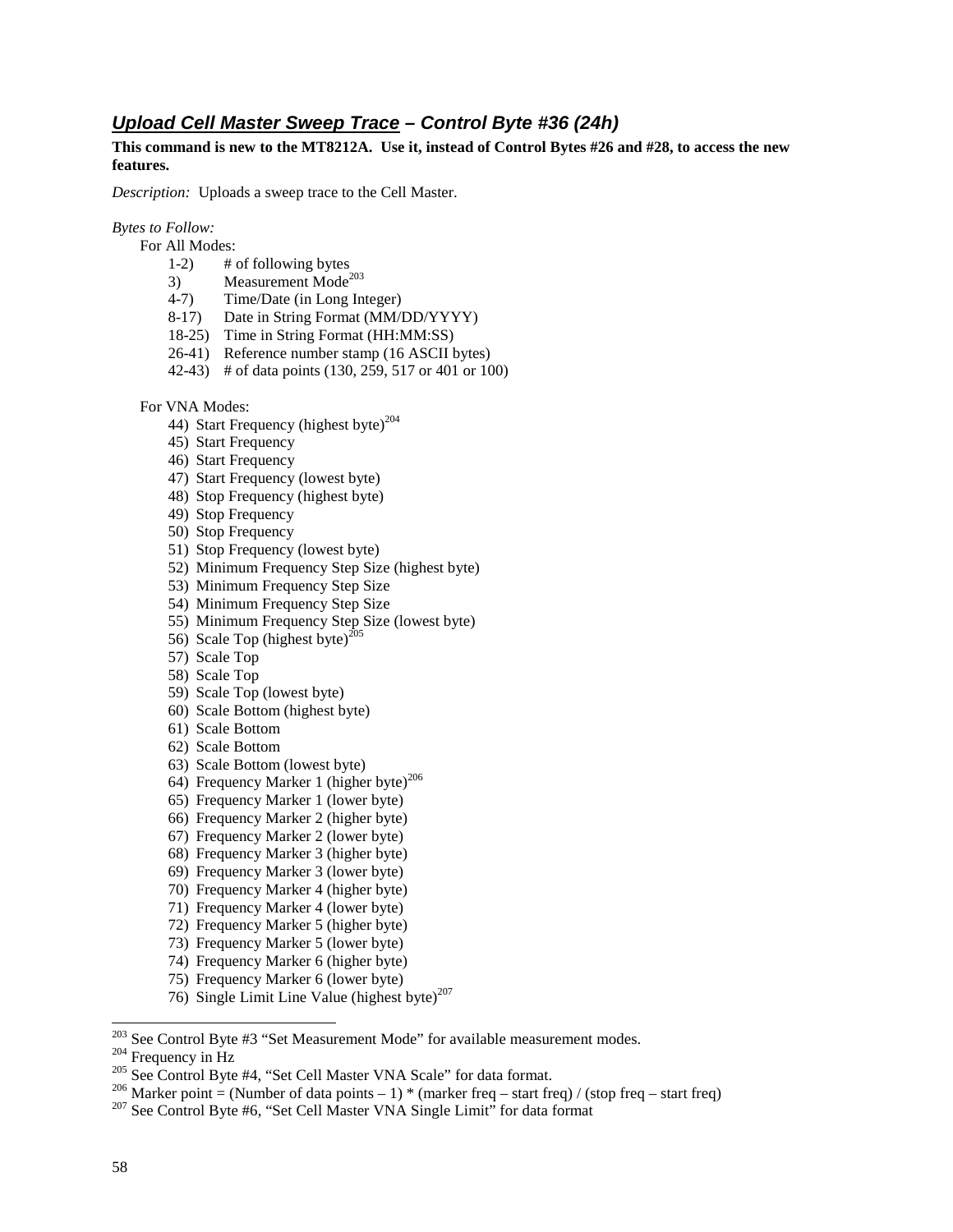## **Upload Cell Master Sweep Trace – Control Byte #36 (24h)**

**This command is new to the MT8212A. Use it, instead of Control Bytes #26 and #28, to access the new features.** 

*Description:* Uploads a sweep trace to the Cell Master.

#### *Bytes to Follow:*

- For All Modes:
	- 1-2) # of following bytes<br>3) Measurement Mode<sup>2</sup>
	- Measurement Mode<sup>203</sup>
	- 4-7) Time/Date (in Long Integer)
	- 8-17) Date in String Format (MM/DD/YYYY)
	- 18-25) Time in String Format (HH:MM:SS)
	- 26-41) Reference number stamp (16 ASCII bytes)
	- 42-43) # of data points (130, 259, 517 or 401 or 100)

For VNA Modes:

- 44) Start Frequency (highest byte) $^{204}$
- 45) Start Frequency
- 46) Start Frequency
- 47) Start Frequency (lowest byte)
- 48) Stop Frequency (highest byte)
- 49) Stop Frequency
- 50) Stop Frequency
- 51) Stop Frequency (lowest byte)
- 52) Minimum Frequency Step Size (highest byte)
- 53) Minimum Frequency Step Size
- 54) Minimum Frequency Step Size
- 55) Minimum Frequency Step Size (lowest byte)
- 56) Scale Top (highest byte)<sup>205</sup>
- 57) Scale Top
- 58) Scale Top
- 59) Scale Top (lowest byte)
- 60) Scale Bottom (highest byte)
- 61) Scale Bottom
- 62) Scale Bottom
- 63) Scale Bottom (lowest byte)
- 64) Frequency Marker 1 (higher byte)<sup>206</sup>
- 65) Frequency Marker 1 (lower byte)
- 66) Frequency Marker 2 (higher byte)
- 67) Frequency Marker 2 (lower byte)
- 68) Frequency Marker 3 (higher byte)
- 69) Frequency Marker 3 (lower byte)
- 70) Frequency Marker 4 (higher byte)
- 71) Frequency Marker 4 (lower byte)
- 72) Frequency Marker 5 (higher byte)
- 73) Frequency Marker 5 (lower byte)
- 74) Frequency Marker 6 (higher byte)
- 75) Frequency Marker 6 (lower byte)
- 76) Single Limit Line Value (highest byte) $207$

<sup>&</sup>lt;sup>203</sup> See Control Byte #3 "Set Measurement Mode" for available measurement modes.

<sup>&</sup>lt;sup>204</sup> Frequency in Hz<br><sup>205</sup> See Control Byte #4, "Set Cell Master VNA Scale" for data format.<br><sup>206</sup> Marker point = (Number of data points – 1) \* (marker freq – start freq) / (stop freq – start freq)<br><sup>207</sup> See Control Byte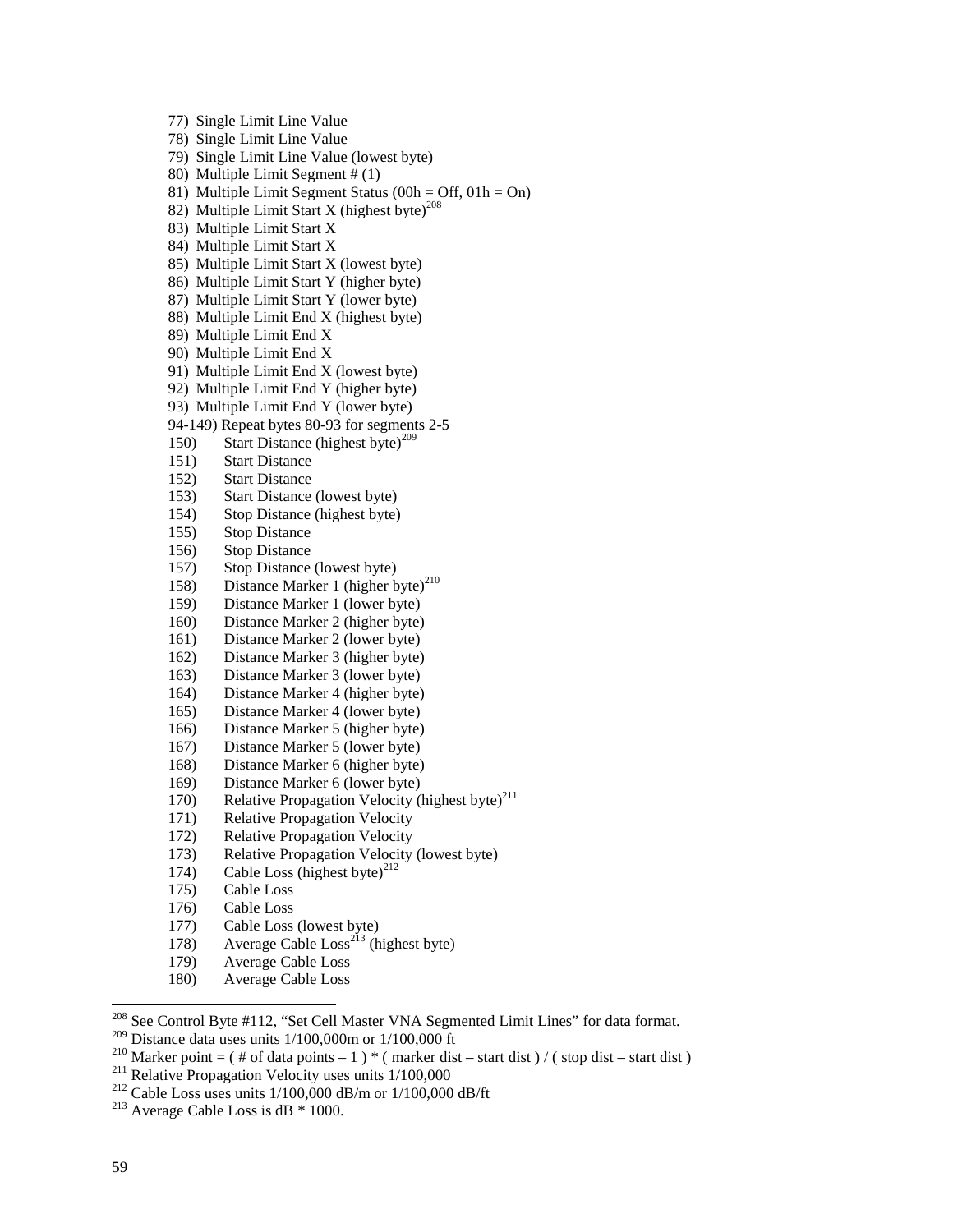77) Single Limit Line Value 78) Single Limit Line Value 79) Single Limit Line Value (lowest byte) 80) Multiple Limit Segment # (1) 81) Multiple Limit Segment Status (00h = Off,  $01h = On$ ) 82) Multiple Limit Start X (highest byte)<sup>208</sup> 83) Multiple Limit Start X 84) Multiple Limit Start X 85) Multiple Limit Start X (lowest byte) 86) Multiple Limit Start Y (higher byte) 87) Multiple Limit Start Y (lower byte) 88) Multiple Limit End X (highest byte) 89) Multiple Limit End X 90) Multiple Limit End X 91) Multiple Limit End X (lowest byte) 92) Multiple Limit End Y (higher byte) 93) Multiple Limit End Y (lower byte) 94-149) Repeat bytes 80-93 for segments 2-5 150) Start Distance (highest byte)<sup>209</sup> 151) Start Distance 152) Start Distance 153) Start Distance (lowest byte) 154) Stop Distance (highest byte) 155) Stop Distance 156) Stop Distance 157) Stop Distance (lowest byte) 158) Distance Marker 1 (higher byte)<sup>210</sup> 159) Distance Marker 1 (lower byte) 160) Distance Marker 2 (higher byte) 161) Distance Marker 2 (lower byte) 162) Distance Marker 3 (higher byte) 163) Distance Marker 3 (lower byte) 164) Distance Marker 4 (higher byte) 165) Distance Marker 4 (lower byte) 166) Distance Marker 5 (higher byte) 167) Distance Marker 5 (lower byte) 168) Distance Marker 6 (higher byte) 169) Distance Marker 6 (lower byte) 170) Relative Propagation Velocity (highest byte)<sup>211</sup> 171) Relative Propagation Velocity 172) Relative Propagation Velocity 173) Relative Propagation Velocity (lowest byte) 174) Cable Loss (highest byte)<sup>212</sup> 175) Cable Loss 176) Cable Loss 177) Cable Loss (lowest byte) 178) Average Cable  $Loss^{213}$  (highest byte) 179) Average Cable Loss 180) Average Cable Loss

<sup>208</sup> See Control Byte #112, "Set Cell Master VNA Segmented Limit Lines" for data format.

<sup>209</sup> Distance data uses units 1/100,000m or 1/100,000 ft<br><sup>210</sup> Marker point = ( # of data points - 1 ) \* ( marker dist - start dist ) / ( stop dist - start dist )<br><sup>211</sup> Relative Propagation Velocity uses units 1/100,000<br>

 $\overline{a}$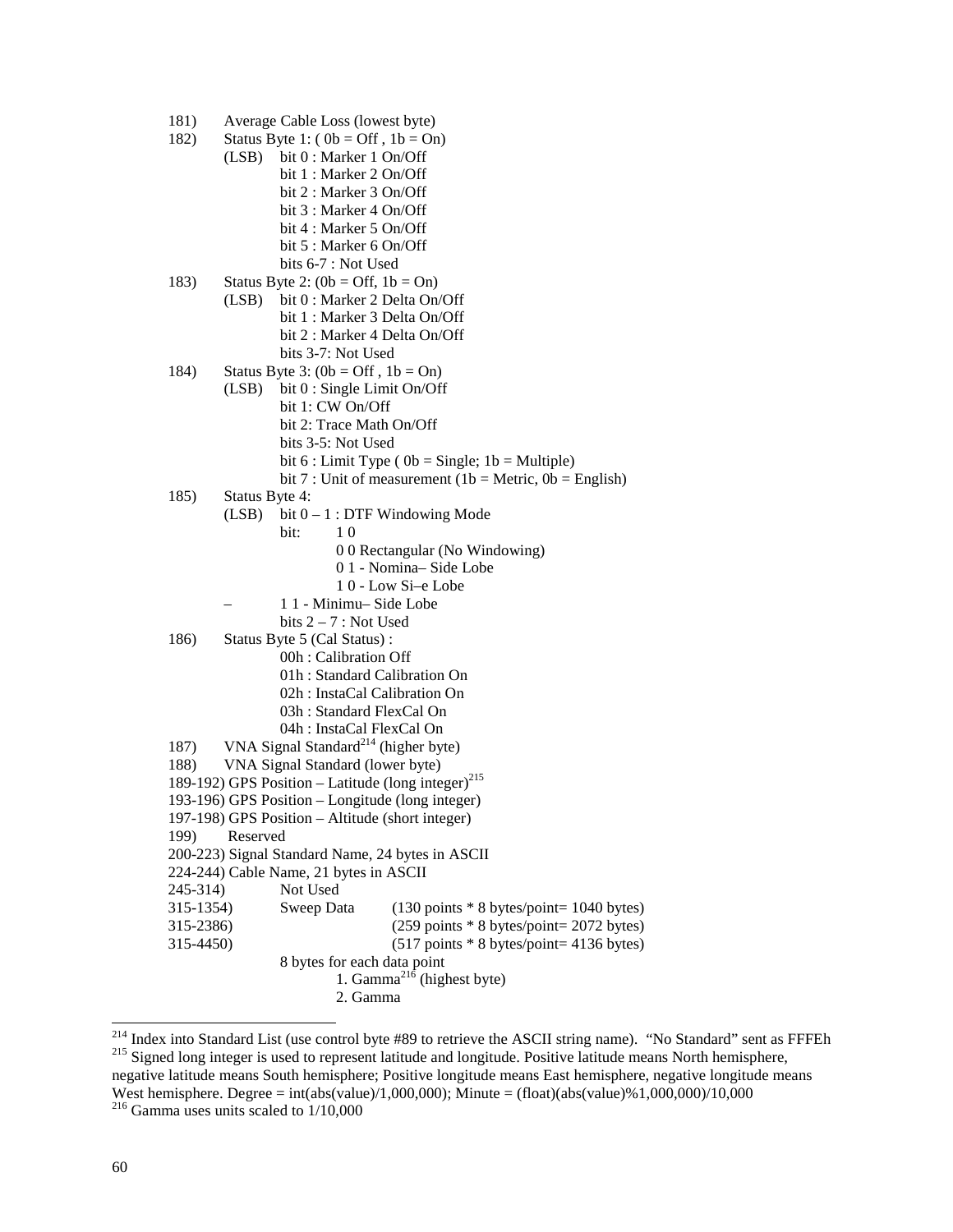- 181) Average Cable Loss (lowest byte)
- 182) Status Byte 1:  $(0b = \text{Off } , 1b = \text{On } )$ 
	- (LSB) bit 0 : Marker 1 On/Off bit 1 : Marker 2 On/Off bit 2 : Marker 3 On/Off bit 3 : Marker 4 On/Off bit 4 : Marker 5 On/Off bit 5 : Marker 6 On/Off bits 6-7 : Not Used
- 183) Status Byte 2:  $(0b = \text{Off}, 1b = \text{On})$  (LSB) bit 0 : Marker 2 Delta On/Off bit 1 : Marker 3 Delta On/Off bit 2 : Marker 4 Delta On/Off bits 3-7: Not Used
- 184) Status Byte 3:  $(0b = Off, 1b = On)$ 
	- (LSB) bit 0 : Single Limit On/Off bit 1: CW On/Off
		- bit 2: Trace Math On/Off
		- bits 3-5: Not Used
		- bit  $6:$  Limit Type ( $0b =$ Single;  $1b =$ Multiple)
		- bit 7 : Unit of measurement (1b = Metric,  $0b$  = English)
- 185) Status Byte 4:
	- (LSB) bit  $0 1$ : DTF Windowing Mode
- **bit:** 1 0
	- 0 0 Rectangular (No Windowing)
	- 0 1 Nomina– Side Lobe
	- 1 0 Low Si–e Lobe
	- 1 1 Minimu– Side Lobe
		- bits  $2 7$ : Not Used
	- 186) Status Byte 5 (Cal Status) :
		- 00h : Calibration Off
			- 01h : Standard Calibration On
		- 02h : InstaCal Calibration On
		- 03h : Standard FlexCal On
		- 04h : InstaCal FlexCal On
	- 187) VNA Signal Standard<sup>214</sup> (higher byte)
	- 188) VNA Signal Standard (lower byte)
	- 189-192) GPS Position Latitude (long integer)<sup>215</sup>
	- 193-196) GPS Position Longitude (long integer)
	- 197-198) GPS Position Altitude (short integer)
	- 199) Reserved
	- 200-223) Signal Standard Name, 24 bytes in ASCII
	- 224-244) Cable Name, 21 bytes in ASCII
	- 245-314) Not Used
	- 315-1354) Sweep Data (130 points \* 8 bytes/point= 1040 bytes)
	- 315-2386) (259 points \* 8 bytes/point= 2072 bytes) 315-4450) (517 points \* 8 bytes/point= 4136 bytes)
		-
- 8 bytes for each data point
- 1. Gamma<sup> $^{21\bar{6}}$ </sup> (highest byte)
	- 2. Gamma

<sup>&</sup>lt;sup>214</sup> Index into Standard List (use control byte #89 to retrieve the ASCII string name). "No Standard" sent as FFFEh  $^{215}$  Signed long integer is used to represent latitude and longitude. Positive latitude means North h negative latitude means South hemisphere; Positive longitude means East hemisphere, negative longitude means West hemisphere. Degree = int(abs(value)/1,000,000); Minute = (float)(abs(value)%1,000,000)/10,000

 $216$  Gamma uses units scaled to  $1/10,000$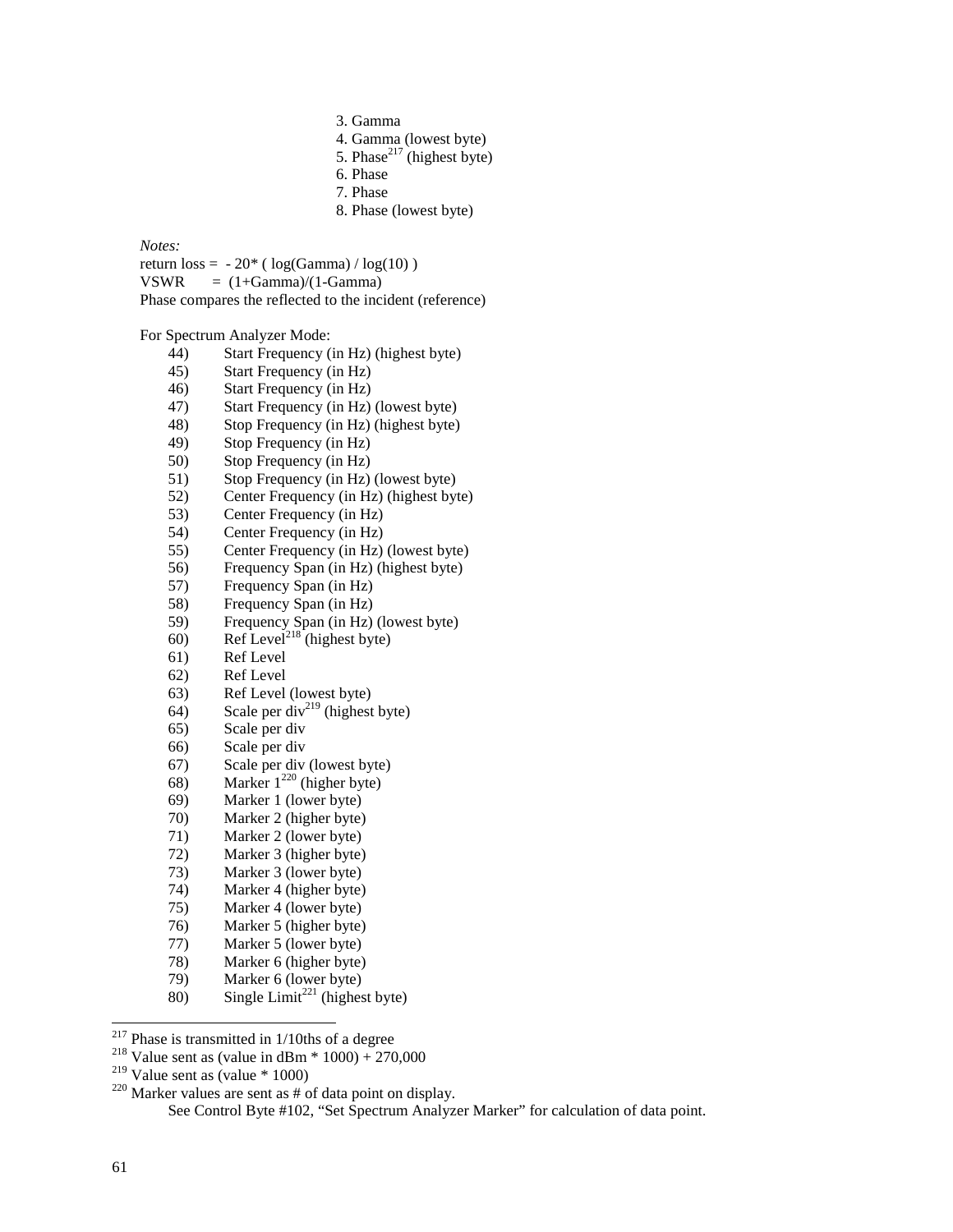- 3. Gamma
- 4. Gamma (lowest byte)
- 5. Phase<sup>217</sup> (highest byte)
- 6. Phase
- 7. Phase
- 8. Phase (lowest byte)

#### *Notes:*

return  $loss = -20^*$  (  $log(Gamma) / log(10)$  )

 $VSWR = (1 + Gamma)/(1 - Gamma)$ 

Phase compares the reflected to the incident (reference)

For Spectrum Analyzer Mode:

- 44) Start Frequency (in Hz) (highest byte)
- 45) Start Frequency (in Hz)
- 46) Start Frequency (in Hz)
- 47) Start Frequency (in Hz) (lowest byte)
- 48) Stop Frequency (in Hz) (highest byte)
- 49) Stop Frequency (in Hz)
- 50) Stop Frequency (in Hz)
- 51) Stop Frequency (in Hz) (lowest byte)
- 52) Center Frequency (in Hz) (highest byte)
- 53) Center Frequency (in Hz)<br>54) Center Frequency (in Hz)
- Center Frequency (in Hz)
- 55) Center Frequency (in Hz) (lowest byte)
- 56) Frequency Span (in Hz) (highest byte)
- 57) Frequency Span (in Hz)
- 58) Frequency Span (in Hz)
- 59) Frequency Span (in Hz) (lowest byte)
- 60) Ref Level<sup>218</sup> (highest byte)
- 61) Ref Level
- 62) Ref Level
- 63) Ref Level (lowest byte)
- 64) Scale per div<sup>219</sup> (highest byte)
- 65) Scale per div
- 66) Scale per div
- 67) Scale per div (lowest byte)
- 68) Marker  $1^{220}$  (higher byte)
- 69) Marker 1 (lower byte)
- 70) Marker 2 (higher byte)
- 71) Marker 2 (lower byte)
- 72) Marker 3 (higher byte)
- 73) Marker 3 (lower byte)
- 74) Marker 4 (higher byte)
- 75) Marker 4 (lower byte)
- 76) Marker 5 (higher byte)
- 77) Marker 5 (lower byte)
- 78) Marker 6 (higher byte)
- 79) Marker 6 (lower byte)
- 80) Single Limit<sup>221</sup> (highest byte)

 $217$  Phase is transmitted in 1/10ths of a degree

<sup>&</sup>lt;sup>218</sup> Value sent as (value in dBm \* 1000) + 270,000<br><sup>219</sup> Value sent as (value \* 1000)

<sup>&</sup>lt;sup>220</sup> Marker values are sent as  $\#$  of data point on display. See Control Byte #102, "Set Spectrum Analyzer Marker" for calculation of data point.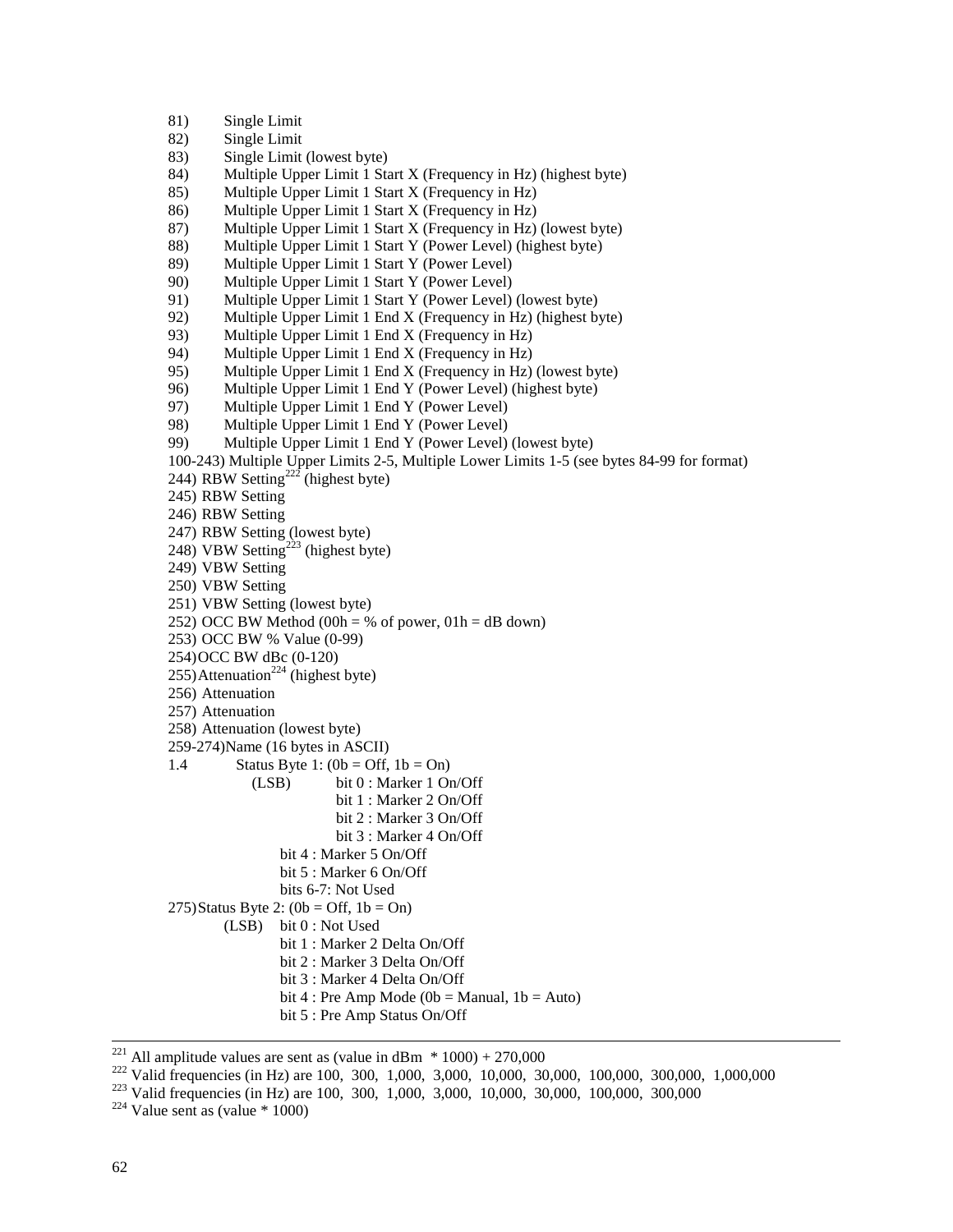```
81) Single Limit
```
82) Single Limit

83) Single Limit (lowest byte)

- 84) Multiple Upper Limit 1 Start X (Frequency in Hz) (highest byte)
- 85) Multiple Upper Limit 1 Start X (Frequency in Hz)
- 86) Multiple Upper Limit 1 Start X (Frequency in Hz)
- 87) Multiple Upper Limit 1 Start X (Frequency in Hz) (lowest byte)
- 88) Multiple Upper Limit 1 Start Y (Power Level) (highest byte)
- 89) Multiple Upper Limit 1 Start Y (Power Level)
- 90) Multiple Upper Limit 1 Start Y (Power Level)
- 91) Multiple Upper Limit 1 Start Y (Power Level) (lowest byte)
- 92) Multiple Upper Limit 1 End X (Frequency in Hz) (highest byte)
- 93) Multiple Upper Limit 1 End X (Frequency in Hz)
- 94) Multiple Upper Limit 1 End X (Frequency in Hz)
- 95) Multiple Upper Limit 1 End X (Frequency in Hz) (lowest byte)
- 96) Multiple Upper Limit 1 End Y (Power Level) (highest byte)
- 97) Multiple Upper Limit 1 End Y (Power Level)
- 98) Multiple Upper Limit 1 End Y (Power Level)
- 99) Multiple Upper Limit 1 End Y (Power Level) (lowest byte)
- 100-243) Multiple Upper Limits 2-5, Multiple Lower Limits 1-5 (see bytes 84-99 for format)
- 244) RBW Setting<sup>222</sup> (highest byte)
- 245) RBW Setting
- 246) RBW Setting
- 247) RBW Setting (lowest byte)
- 248) VBW Setting<sup>223</sup> (highest byte)
- 249) VBW Setting
- 250) VBW Setting
- 251) VBW Setting (lowest byte)
- 252) OCC BW Method (00h = % of power,  $01h = dB$  down)
- 253) OCC BW % Value (0-99)
- 254)OCC BW dBc (0-120)
- $255)$ Attenuation<sup>224</sup> (highest byte)
- 256) Attenuation
- 257) Attenuation
- 258) Attenuation (lowest byte)
- 259-274)Name (16 bytes in ASCII)
- 1.4 Status Byte 1:  $(0b = \text{Off}, 1b = \text{On})$ 
	- (LSB) bit 0 : Marker 1 On/Off
		- bit 1 : Marker 2 On/Off
			- bit 2 : Marker 3 On/Off
			- bit 3 : Marker 4 On/Off
		- bit 4 : Marker 5 On/Off bit 5 : Marker 6 On/Off
		- bits 6-7: Not Used
- 275)Status Byte 2:  $(0b = Off, 1b = On)$ (LSB) bit 0 : Not Used bit 1 : Marker 2 Delta On/Off bit 2 : Marker 3 Delta On/Off
	-
	- bit 3 : Marker 4 Delta On/Off
	- bit 4 : Pre Amp Mode (0b = Manual,  $1b = Auto$ )
	- bit 5 : Pre Amp Status On/Off

- <sup>221</sup> All amplitude values are sent as (value in dBm  $*$  1000) + 270,000<br><sup>222</sup> Valid frequencies (in Hz) are 100, 300, 1,000, 3,000, 10,000, 30,000, 100,000, 300,000, 1,000,000<br><sup>223</sup> Valid frequencies (in Hz) are 100, 300
-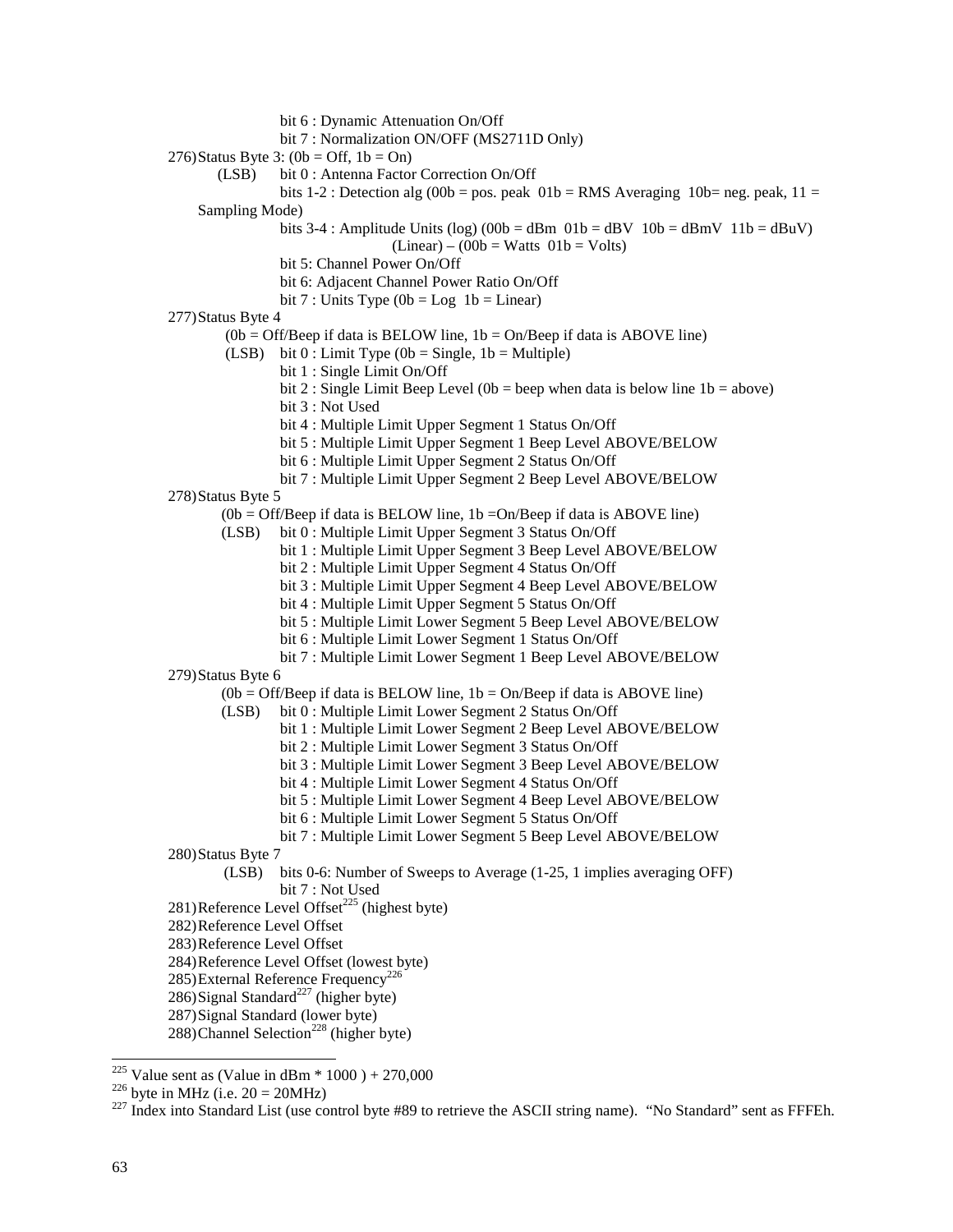- bit 6 : Dynamic Attenuation On/Off
- bit 7 : Normalization ON/OFF (MS2711D Only)
- 276)Status Byte 3:  $(0b = \text{Off}, 1b = \text{On})$ 
	- (LSB) bit 0 : Antenna Factor Correction On/Off

bits 1-2 : Detection alg (00b = pos. peak  $01b = RMS$  Averaging  $10b = neg$ . peak,  $11 =$ Sampling Mode)

bits 3-4 : Amplitude Units (log) (00b = dBm  $01b =$  dBV  $10b =$  dBmV  $11b =$  dBuV)

 $(Linear) - (00b = Watts 01b = Volts)$ 

- bit 5: Channel Power On/Off
- bit 6: Adjacent Channel Power Ratio On/Off
- bit 7 : Units Type  $(0b = Log 1b = Linear)$
- 277)Status Byte 4
	- $(0b = Off/Beep$  if data is BELOW line,  $1b = On/Beep$  if data is ABOVE line)
	- (LSB) bit  $0:$  Limit Type (0b = Single, 1b = Multiple)
		- bit 1 : Single Limit On/Off
		- bit 2 : Single Limit Beep Level (0b = beep when data is below line  $1b = above$ )
		- bit 3 : Not Used
		- bit 4 : Multiple Limit Upper Segment 1 Status On/Off
		- bit 5 : Multiple Limit Upper Segment 1 Beep Level ABOVE/BELOW
		- bit 6 : Multiple Limit Upper Segment 2 Status On/Off
		- bit 7 : Multiple Limit Upper Segment 2 Beep Level ABOVE/BELOW
- 278)Status Byte 5
	- $(0b = Off/Beep \text{ if } data \text{ is } BELOW \text{ line}, 1b = On/Beep \text{ if } data \text{ is } ABOVE \text{ line})$
	- (LSB) bit 0 : Multiple Limit Upper Segment 3 Status On/Off
		- bit 1 : Multiple Limit Upper Segment 3 Beep Level ABOVE/BELOW
			- bit 2 : Multiple Limit Upper Segment 4 Status On/Off
		- bit 3 : Multiple Limit Upper Segment 4 Beep Level ABOVE/BELOW
		- bit 4 : Multiple Limit Upper Segment 5 Status On/Off
		- bit 5 : Multiple Limit Lower Segment 5 Beep Level ABOVE/BELOW
		- bit 6 : Multiple Limit Lower Segment 1 Status On/Off
- bit 7 : Multiple Limit Lower Segment 1 Beep Level ABOVE/BELOW 279)Status Byte 6
	- $(0b = Off/Beep$  if data is BELOW line,  $1b = On/Beep$  if data is ABOVE line)
		- (LSB) bit 0 : Multiple Limit Lower Segment 2 Status On/Off
			- bit 1 : Multiple Limit Lower Segment 2 Beep Level ABOVE/BELOW
				- bit 2 : Multiple Limit Lower Segment 3 Status On/Off
				- bit 3 : Multiple Limit Lower Segment 3 Beep Level ABOVE/BELOW
				- bit 4 : Multiple Limit Lower Segment 4 Status On/Off
				- bit 5 : Multiple Limit Lower Segment 4 Beep Level ABOVE/BELOW
				- bit 6 : Multiple Limit Lower Segment 5 Status On/Off
				- bit 7 : Multiple Limit Lower Segment 5 Beep Level ABOVE/BELOW
- 280)Status Byte 7
	- (LSB) bits 0-6: Number of Sweeps to Average (1-25, 1 implies averaging OFF) bit 7 : Not Used
- 281)Reference Level Offset<sup> $225$ </sup> (highest byte)
- 282)Reference Level Offset
- 283)Reference Level Offset
- 284)Reference Level Offset (lowest byte)
- 285)External Reference Frequency<sup>226</sup>
- $286)$ Signal Standard<sup>227</sup> (higher byte)
- 287)Signal Standard (lower byte)
- 288)Channel Selection<sup>228</sup> (higher byte)

<sup>&</sup>lt;sup>225</sup> Value sent as (Value in dBm  $*$  1000) + 270,000

<sup>&</sup>lt;sup>226</sup> byte in MHz (i.e. 20 = 20MHz)<br><sup>227</sup> Index into Standard List (use control byte #89 to retrieve the ASCII string name). "No Standard" sent as FFFEh.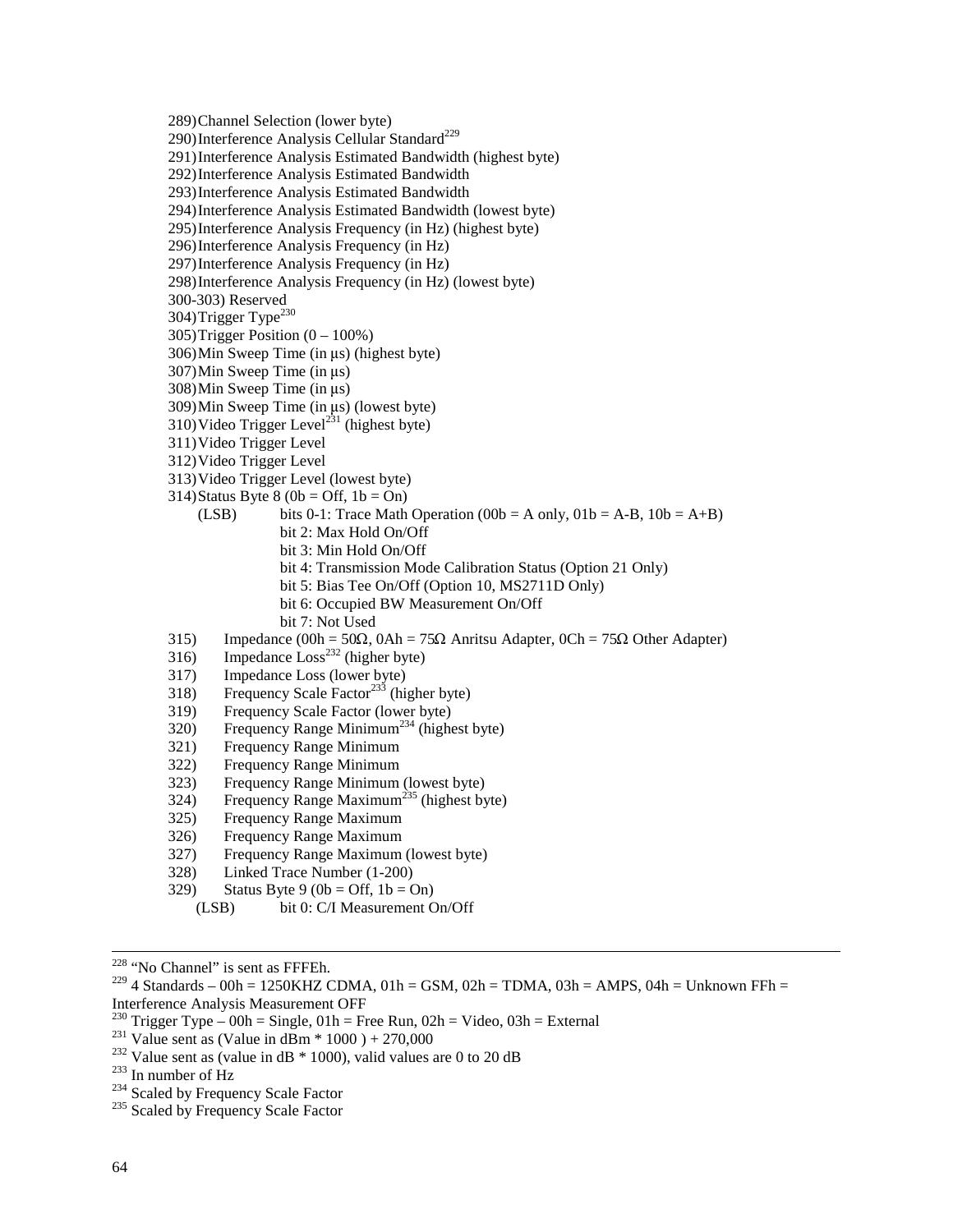289)Channel Selection (lower byte)

290) Interference Analysis Cellular Standard<sup>229</sup>

291)Interference Analysis Estimated Bandwidth (highest byte)

292)Interference Analysis Estimated Bandwidth

293)Interference Analysis Estimated Bandwidth

294)Interference Analysis Estimated Bandwidth (lowest byte)

295)Interference Analysis Frequency (in Hz) (highest byte)

296)Interference Analysis Frequency (in Hz)

297)Interference Analysis Frequency (in Hz)

298)Interference Analysis Frequency (in Hz) (lowest byte)

300-303) Reserved

304)Trigger Type<sup>230</sup>

 $305$ )Trigger Position  $(0 - 100\%)$ 

 $306$ )Min Sweep Time (in us) (highest byte)

 $307$ )Min Sweep Time (in  $\mu s$ )

 $308$ )Min Sweep Time (in  $\mu s$ )

 $309$ )Min Sweep Time (in  $\mu s$ ) (lowest byte)

310) Video Trigger Level<sup>231</sup> (highest byte)

311)Video Trigger Level

312)Video Trigger Level

313)Video Trigger Level (lowest byte)

314)Status Byte 8 (0b = Off,  $1b = On$ )

(LSB) bits 0-1: Trace Math Operation (00b = A only,  $01b = A-B$ ,  $10b = A+B$ )

bit 2: Max Hold On/Off

bit 3: Min Hold On/Off

bit 4: Transmission Mode Calibration Status (Option 21 Only)

- bit 5: Bias Tee On/Off (Option 10, MS2711D Only)
- bit 6: Occupied BW Measurement On/Off

bit 7: Not Used

315) Impedance  $(00h = 50\Omega, 0Ah = 75\Omega$  Anritsu Adapter,  $0Ch = 75\Omega$  Other Adapter)

- $316)$  Impedance  $Loss<sup>232</sup>$  (higher byte)
- 317) Impedance Loss (lower byte)
- 318) Frequency Scale Factor<sup>233</sup> (higher byte)
- 319) Frequency Scale Factor (lower byte)
- 320) Frequency Range Minimum<sup>234</sup> (highest byte)
- 321) Frequency Range Minimum
- 322) Frequency Range Minimum
- 323) Frequency Range Minimum (lowest byte)
- $324$ ) Frequency Range Maximum<sup>235</sup> (highest byte)
- 325) Frequency Range Maximum
- 326) Frequency Range Maximum
- 327) Frequency Range Maximum (lowest byte)
- 328) Linked Trace Number (1-200)
- 329) Status Byte 9 (0b = Off,  $1b = On$ )
	- (LSB) bit 0: C/I Measurement On/Off

 <sup>228 &</sup>quot;No Channel" is sent as FFFEh.

<sup>&</sup>lt;sup>229</sup> 4 Standards – 00h = 1250KHZ CDMA, 01h = GSM, 02h = TDMA, 03h = AMPS, 04h = Unknown FFh = Interference Analysis Measurement OFF

<sup>&</sup>lt;sup>230</sup> Trigger Type – 00h = Single, 01h = Free Run, 02h = Video, 03h = External<br><sup>231</sup> Value sent as (Value in dBm \* 1000) + 270,000<br><sup>232</sup> Value sent as (value in dB \* 1000), valid values are 0 to 20 dB<br><sup>233</sup> In number of H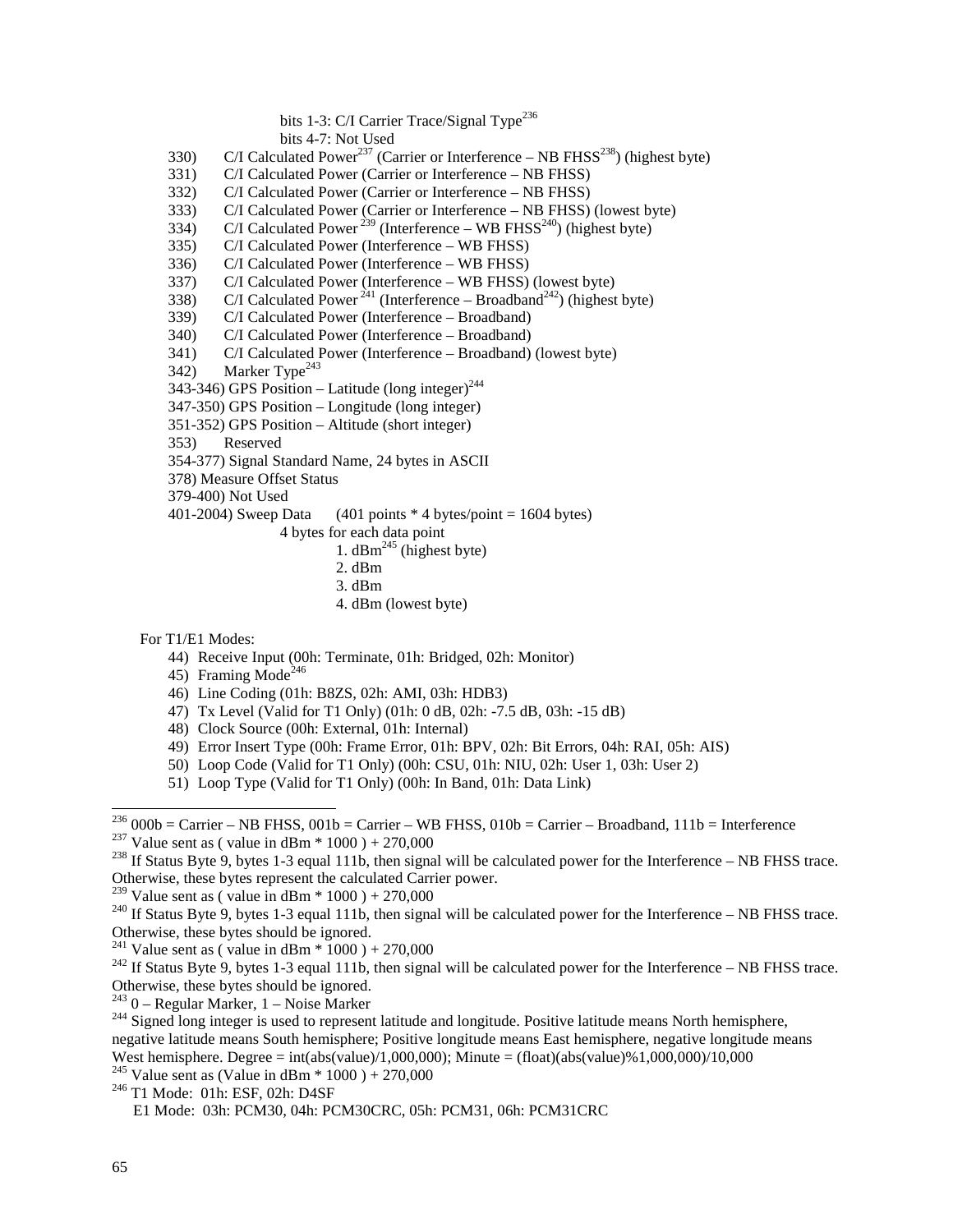## bits 1-3: C/I Carrier Trace/Signal Type<sup>236</sup>

bits 4-7: Not Used

- 330) C/I Calculated Power<sup>237</sup> (Carrier or Interference NB FHSS<sup>238</sup>) (highest byte)
- 331) C/I Calculated Power (Carrier or Interference NB FHSS)
- 332) C/I Calculated Power (Carrier or Interference NB FHSS)
- 333) C/I Calculated Power (Carrier or Interference NB FHSS) (lowest byte)
- 334) C/I Calculated Power<sup>239</sup> (Interference WB FHSS<sup>240</sup>) (highest byte)
- 335) C/I Calculated Power (Interference WB FHSS)
- 336) C/I Calculated Power (Interference WB FHSS)
- 337) C/I Calculated Power (Interference WB FHSS) (lowest byte)
- 338) C/I Calculated Power  $241$  (Interference Broadband<sup>242</sup>) (highest byte)
- 339) C/I Calculated Power (Interference Broadband)
- 340) C/I Calculated Power (Interference Broadband)
- 341) C/I Calculated Power (Interference Broadband) (lowest byte)
- 342) Marker Type<sup>243</sup>
- $343-346$ ) GPS Position Latitude (long integer)<sup>244</sup>
- 347-350) GPS Position Longitude (long integer)
- 351-352) GPS Position Altitude (short integer)
- 353) Reserved
- 354-377) Signal Standard Name, 24 bytes in ASCII
- 378) Measure Offset Status
- 379-400) Not Used

401-2004) Sweep Data  $(401 \text{ points} * 4 \text{ bytes} / \text{point} = 1604 \text{ bytes})$ 

- 4 bytes for each data point
	- 1.  $dBm^{245}$  (highest byte)
	- 2. dBm
	- 3. dBm
	- 4. dBm (lowest byte)

For T1/E1 Modes:

- 44) Receive Input (00h: Terminate, 01h: Bridged, 02h: Monitor)
- 45) Framing Mode<sup>246</sup>
- 46) Line Coding (01h: B8ZS, 02h: AMI, 03h: HDB3)
- 47) Tx Level (Valid for T1 Only) (01h: 0 dB, 02h: -7.5 dB, 03h: -15 dB)
- 48) Clock Source (00h: External, 01h: Internal)
- 49) Error Insert Type (00h: Frame Error, 01h: BPV, 02h: Bit Errors, 04h: RAI, 05h: AIS)
- 50) Loop Code (Valid for T1 Only) (00h: CSU, 01h: NIU, 02h: User 1, 03h: User 2)
- 51) Loop Type (Valid for T1 Only) (00h: In Band, 01h: Data Link)

<sup>&</sup>lt;sup>236</sup> 000b = Carrier – NB FHSS, 001b = Carrier – WB FHSS, 010b = Carrier – Broadband, 111b = Interference<br><sup>237</sup> Value sent as (value in dBm \* 1000) + 270,000<br><sup>238</sup> If Status Byte 9, bytes 1-3 equal 111b, then signal will

Otherwise, these bytes represent the calculated Carrier power.<br><sup>239</sup> Value sent as (value in dBm  $*$  1000) + 270,000

 $^{240}$  If Status Byte 9, bytes 1-3 equal 111b, then signal will be calculated power for the Interference – NB FHSS trace. Otherwise, these bytes should be ignored.<br><sup>241</sup> Value sent as (value in dBm  $*$  1000) + 270,000

<sup>&</sup>lt;sup>242</sup> If Status Byte 9, bytes 1-3 equal 111b, then signal will be calculated power for the Interference – NB FHSS trace. Otherwise, these bytes should be ignored.<br> $243$  0 – Regular Marker, 1 – Noise Marker

 $^{244}$  Signed long integer is used to represent latitude and longitude. Positive latitude means North hemisphere, negative latitude means South hemisphere; Positive longitude means East hemisphere, negative longitude means West hemisphere. Degree = int(abs(value)/1,000,000); Minute = (float)(abs(value)%1,000,000)/10,000

<sup>&</sup>lt;sup>245</sup> Value sent as (Value in dBm  $*$  1000 ) + 270,000<br><sup>246</sup> T1 Mode: 01h: ESF, 02h: D4SF

E1 Mode: 03h: PCM30, 04h: PCM30CRC, 05h: PCM31, 06h: PCM31CRC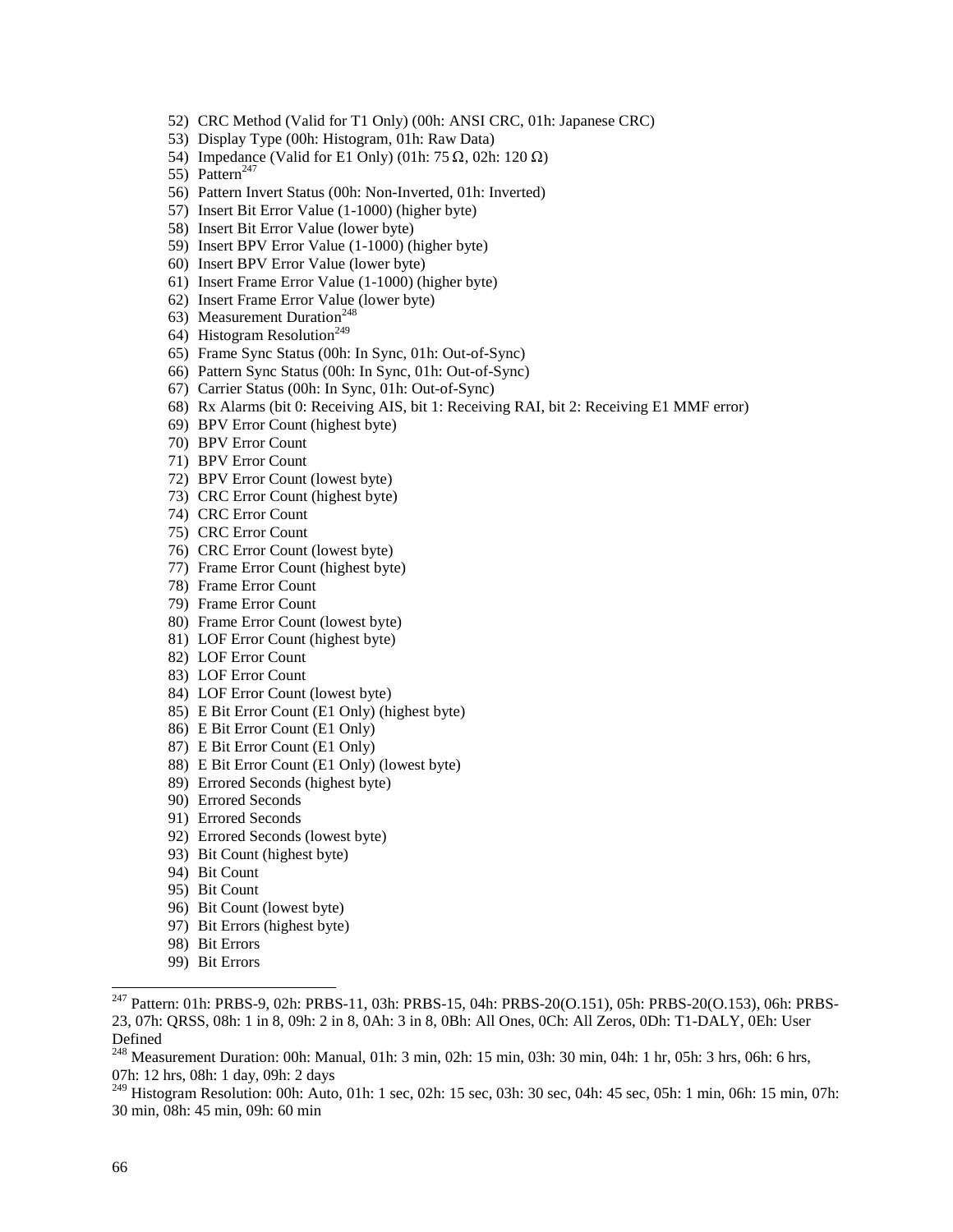- 52) CRC Method (Valid for T1 Only) (00h: ANSI CRC, 01h: Japanese CRC)
- 53) Display Type (00h: Histogram, 01h: Raw Data)
- 54) Impedance (Valid for E1 Only) (01h: 75  $\Omega$ , 02h: 120  $\Omega$ )
- 55) Pattern<sup>247</sup>
- 56) Pattern Invert Status (00h: Non-Inverted, 01h: Inverted)
- 57) Insert Bit Error Value (1-1000) (higher byte)
- 58) Insert Bit Error Value (lower byte)
- 59) Insert BPV Error Value (1-1000) (higher byte)
- 60) Insert BPV Error Value (lower byte)
- 61) Insert Frame Error Value (1-1000) (higher byte)
- 62) Insert Frame Error Value (lower byte)
- 63) Measurement Duration<sup>248</sup>
- 64) Histogram Resolution<sup>249</sup>
- 65) Frame Sync Status (00h: In Sync, 01h: Out-of-Sync)
- 66) Pattern Sync Status (00h: In Sync, 01h: Out-of-Sync)
- 67) Carrier Status (00h: In Sync, 01h: Out-of-Sync)
- 68) Rx Alarms (bit 0: Receiving AIS, bit 1: Receiving RAI, bit 2: Receiving E1 MMF error)
- 69) BPV Error Count (highest byte)
- 70) BPV Error Count
- 71) BPV Error Count
- 72) BPV Error Count (lowest byte)
- 73) CRC Error Count (highest byte)
- 74) CRC Error Count
- 75) CRC Error Count
- 76) CRC Error Count (lowest byte)
- 77) Frame Error Count (highest byte)
- 78) Frame Error Count
- 79) Frame Error Count
- 80) Frame Error Count (lowest byte)
- 81) LOF Error Count (highest byte)
- 82) LOF Error Count
- 83) LOF Error Count
- 84) LOF Error Count (lowest byte)
- 85) E Bit Error Count (E1 Only) (highest byte)
- 86) E Bit Error Count (E1 Only)
- 87) E Bit Error Count (E1 Only)
- 88) E Bit Error Count (E1 Only) (lowest byte)
- 89) Errored Seconds (highest byte)
- 90) Errored Seconds
- 91) Errored Seconds
- 92) Errored Seconds (lowest byte)
- 93) Bit Count (highest byte)
- 94) Bit Count
- 95) Bit Count
- 96) Bit Count (lowest byte)
- 97) Bit Errors (highest byte)
- 98) Bit Errors
- 99) Bit Errors

<sup>249</sup> Histogram Resolution: 00h: Auto, 01h: 1 sec, 02h: 15 sec, 03h: 30 sec, 04h: 45 sec, 05h: 1 min, 06h: 15 min, 07h: 30 min, 08h: 45 min, 09h: 60 min

<sup>&</sup>lt;sup>247</sup> Pattern: 01h: PRBS-9, 02h: PRBS-11, 03h: PRBS-15, 04h: PRBS-20(O.151), 05h: PRBS-20(O.153), 06h: PRBS-23, 07h: QRSS, 08h: 1 in 8, 09h: 2 in 8, 0Ah: 3 in 8, 0Bh: All Ones, 0Ch: All Zeros, 0Dh: T1-DALY, 0Eh: User Defined

<sup>&</sup>lt;sup>248</sup> Measurement Duration: 00h: Manual, 01h: 3 min, 02h: 15 min, 03h: 30 min, 04h: 1 hr, 05h: 3 hrs, 06h: 6 hrs, 07h: 12 hrs, 08h: 1 day, 09h: 2 days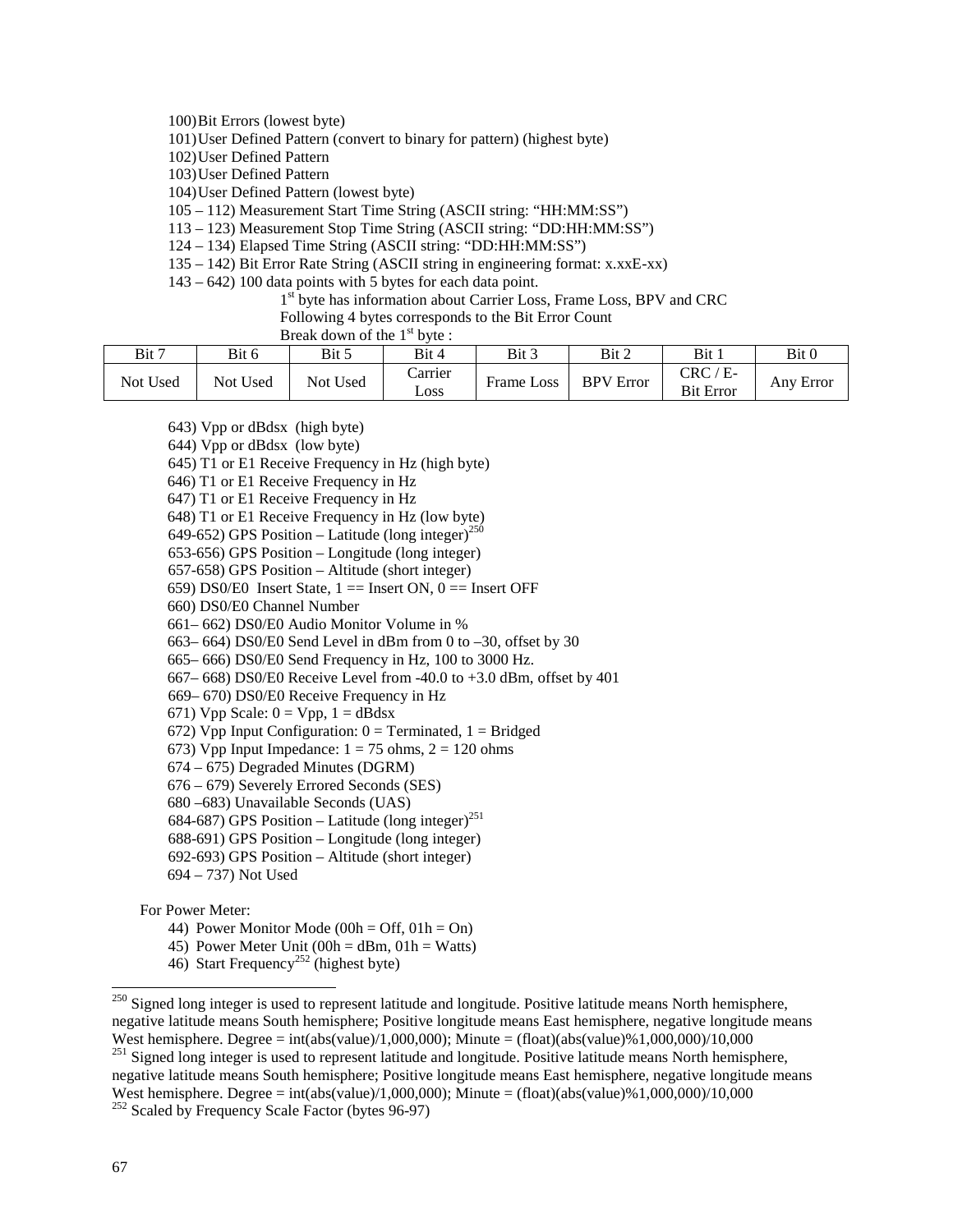100)Bit Errors (lowest byte)

101)User Defined Pattern (convert to binary for pattern) (highest byte)

102)User Defined Pattern

103)User Defined Pattern

104)User Defined Pattern (lowest byte)

105 – 112) Measurement Start Time String (ASCII string: "HH:MM:SS")

113 – 123) Measurement Stop Time String (ASCII string: "DD:HH:MM:SS")

124 – 134) Elapsed Time String (ASCII string: "DD:HH:MM:SS")

135 – 142) Bit Error Rate String (ASCII string in engineering format: x.xxE-xx)

143 – 642) 100 data points with 5 bytes for each data point.

1<sup>st</sup> byte has information about Carrier Loss, Frame Loss, BPV and CRC

Following 4 bytes corresponds to the Bit Error Count

Break down of the 1<sup>st</sup> byte :

| Bit 7    | Bit 6    | Bit 5    | Bit 4           | Bit 3                                  | Bit 2            | Bit 1                                         | Bit 0     |
|----------|----------|----------|-----------------|----------------------------------------|------------------|-----------------------------------------------|-----------|
| Not Used | Not Used | Not Used | Carrier<br>LOSS | $\overline{\phantom{a}}$<br>Frame Loss | <b>BPV</b> Error | $\mathrm{CRC}$ ,<br>$E$ -<br><b>Bit Error</b> | Any Error |

643) Vpp or dBdsx (high byte)

644) Vpp or dBdsx (low byte)

645) T1 or E1 Receive Frequency in Hz (high byte)

646) T1 or E1 Receive Frequency in Hz

647) T1 or E1 Receive Frequency in Hz

648) T1 or E1 Receive Frequency in Hz (low byte)

649-652) GPS Position – Latitude (long integer)<sup>250</sup>

653-656) GPS Position – Longitude (long integer)

657-658) GPS Position – Altitude (short integer)

659) DS0/E0 Insert State,  $1 ==$  Insert ON,  $0 ==$  Insert OFF

660) DS0/E0 Channel Number

661– 662) DS0/E0 Audio Monitor Volume in %

663– 664) DS0/E0 Send Level in dBm from 0 to –30, offset by 30

665– 666) DS0/E0 Send Frequency in Hz, 100 to 3000 Hz.

667– 668) DS0/E0 Receive Level from -40.0 to +3.0 dBm, offset by 401

669– 670) DS0/E0 Receive Frequency in Hz

671) Vpp Scale:  $0 = Vpp$ ,  $1 = dBdsx$ 

672) Vpp Input Configuration:  $0 =$  Terminated,  $1 =$  Bridged

673) Vpp Input Impedance:  $1 = 75$  ohms,  $2 = 120$  ohms

674 – 675) Degraded Minutes (DGRM)

676 – 679) Severely Errored Seconds (SES)

680 –683) Unavailable Seconds (UAS)

684-687) GPS Position – Latitude (long integer)<sup>251</sup>

688-691) GPS Position – Longitude (long integer)

692-693) GPS Position – Altitude (short integer)

694 – 737) Not Used

For Power Meter:

44) Power Monitor Mode (00h = Off,  $01h = On$ )

45) Power Meter Unit (00h = dBm,  $01h = Watts$ )

46) Start Frequency<sup>252</sup> (highest byte)

<sup>251</sup> Signed long integer is used to represent latitude and longitude. Positive latitude means North hemisphere, negative latitude means South hemisphere; Positive longitude means East hemisphere, negative longitude means West hemisphere. Degree = int(abs(value)/1,000,000); Minute = (float)(abs(value)%1,000,000)/10,000 <sup>252</sup> Scaled by Frequency Scale Factor (bytes 96-97)

 $250$  Signed long integer is used to represent latitude and longitude. Positive latitude means North hemisphere, negative latitude means South hemisphere; Positive longitude means East hemisphere, negative longitude means West hemisphere. Degree  $=$  int(abs(value)/1,000,000); Minute  $=$  (float)(abs(value)%1,000,000)/10,000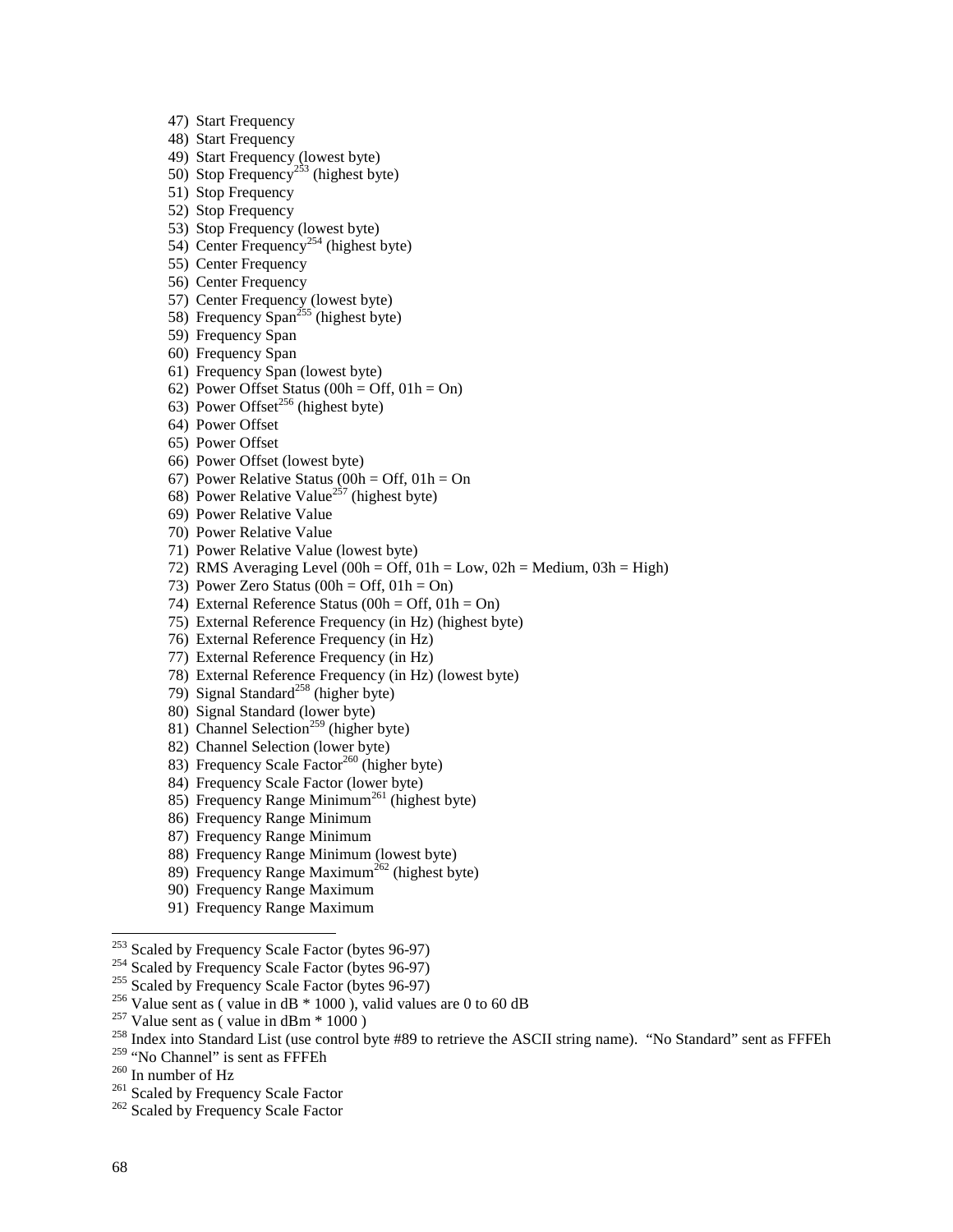- 47) Start Frequency
- 48) Start Frequency
- 49) Start Frequency (lowest byte)
- 50) Stop Frequency<sup>253</sup> (highest byte)
- 51) Stop Frequency
- 52) Stop Frequency
- 53) Stop Frequency (lowest byte)
- 54) Center Frequency<sup>254</sup> (highest byte)
- 55) Center Frequency
- 56) Center Frequency
- 57) Center Frequency (lowest byte)
- 58) Frequency Span<sup>255</sup> (highest byte)
- 59) Frequency Span
- 60) Frequency Span
- 61) Frequency Span (lowest byte)
- 62) Power Offset Status (00h = Off,  $01h = On$ )
- 63) Power Offset<sup>256</sup> (highest byte)
- 64) Power Offset
- 65) Power Offset
- 66) Power Offset (lowest byte)
- 67) Power Relative Status (00h = Off,  $01h = On$
- 68) Power Relative Value<sup>257</sup> (highest byte)
- 69) Power Relative Value
- 70) Power Relative Value
- 71) Power Relative Value (lowest byte)
- 72) RMS Averaging Level (00h = Off,  $01h = Low$ ,  $02h = Medium$ ,  $03h = High$ )
- 73) Power Zero Status (00h = Off,  $01h = On$ )
- 74) External Reference Status (00h = Off,  $01h = On$ )
- 75) External Reference Frequency (in Hz) (highest byte)
- 76) External Reference Frequency (in Hz)
- 77) External Reference Frequency (in Hz)
- 78) External Reference Frequency (in Hz) (lowest byte)
- 79) Signal Standard<sup>258</sup> (higher byte)
- 80) Signal Standard (lower byte)
- 81) Channel Selection<sup>259</sup> (higher byte)
- 82) Channel Selection (lower byte)
- 83) Frequency Scale Factor<sup>260</sup> (higher byte)
- 84) Frequency Scale Factor (lower byte)
- 85) Frequency Range Minimum<sup>261</sup> (highest byte)
- 86) Frequency Range Minimum
- 87) Frequency Range Minimum
- 88) Frequency Range Minimum (lowest byte)
- 89) Frequency Range Maximum<sup>262</sup> (highest byte)
- 90) Frequency Range Maximum
- 91) Frequency Range Maximum

- 
- 

<sup>260</sup> In number of Hz<br><sup>261</sup> Scaled by Frequency Scale Factor <sup>262</sup> Scaled by Frequency Scale Factor

<sup>&</sup>lt;sup>253</sup> Scaled by Frequency Scale Factor (bytes 96-97)<br><sup>254</sup> Scaled by Frequency Scale Factor (bytes 96-97)<br><sup>255</sup> Scaled by Frequency Scale Factor (bytes 96-97)<br><sup>256</sup> Value sent as (value in dB \* 1000), valid values are 0 t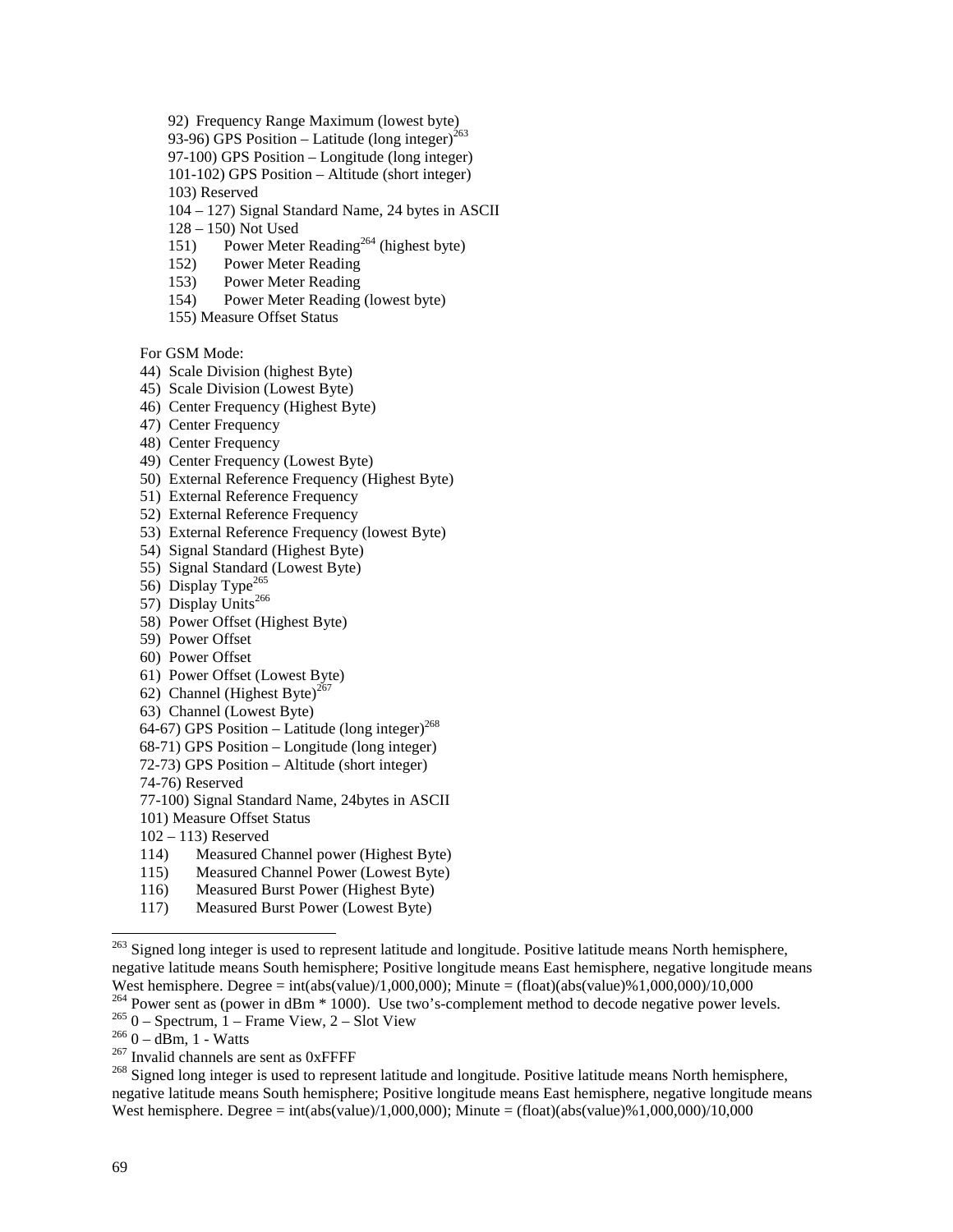92) Frequency Range Maximum (lowest byte)

93-96) GPS Position – Latitude (long integer)<sup>263</sup>

97-100) GPS Position – Longitude (long integer)

101-102) GPS Position – Altitude (short integer)

103) Reserved

104 – 127) Signal Standard Name, 24 bytes in ASCII

128 – 150) Not Used

151) Power Meter Reading<sup>264</sup> (highest byte)

- 152) Power Meter Reading
- 153) Power Meter Reading
- 154) Power Meter Reading (lowest byte)
- 155) Measure Offset Status

For GSM Mode:

- 44) Scale Division (highest Byte)
- 45) Scale Division (Lowest Byte)
- 46) Center Frequency (Highest Byte)
- 47) Center Frequency
- 48) Center Frequency
- 49) Center Frequency (Lowest Byte)
- 50) External Reference Frequency (Highest Byte)
- 51) External Reference Frequency
- 52) External Reference Frequency
- 53) External Reference Frequency (lowest Byte)
- 54) Signal Standard (Highest Byte)
- 55) Signal Standard (Lowest Byte)
- 56) Display Type<sup>265</sup>
- 57) Display Units<sup>266</sup>
- 58) Power Offset (Highest Byte)
- 59) Power Offset
- 60) Power Offset
- 61) Power Offset (Lowest Byte)
- 62) Channel (Highest Byte)<sup>2</sup>
- 63) Channel (Lowest Byte)
- 64-67) GPS Position Latitude (long integer)<sup>268</sup>
- 68-71) GPS Position Longitude (long integer)
- 72-73) GPS Position Altitude (short integer)
- 74-76) Reserved

77-100) Signal Standard Name, 24bytes in ASCII

- 101) Measure Offset Status
- 102 113) Reserved
- 114) Measured Channel power (Highest Byte)
- 115) Measured Channel Power (Lowest Byte)
- 116) Measured Burst Power (Highest Byte)
- 117) Measured Burst Power (Lowest Byte)

<sup>&</sup>lt;sup>263</sup> Signed long integer is used to represent latitude and longitude. Positive latitude means North hemisphere, negative latitude means South hemisphere; Positive longitude means East hemisphere, negative longitude means West hemisphere. Degree = int(abs(value)/1,000,000); Minute = (float)(abs(value)%1,000,000)/10,000<br><sup>264</sup> Power sent as (power in dBm \* 1000). Use two's-complement method to decode negative power levels.

<sup>&</sup>lt;sup>265</sup> 0 – Spectrum, 1 – Frame View, 2 – Slot View<br>
<sup>266</sup> 0 – dBm, 1 - Watts<br>
<sup>267</sup> Invalid channels are sent as 0xFFFF<br>
<sup>267</sup> Signed long integer is used to represent latitude and longitude. Positive latitude means North negative latitude means South hemisphere; Positive longitude means East hemisphere, negative longitude means West hemisphere. Degree = int(abs(value)/1,000,000); Minute = (float)(abs(value)%1,000,000)/10,000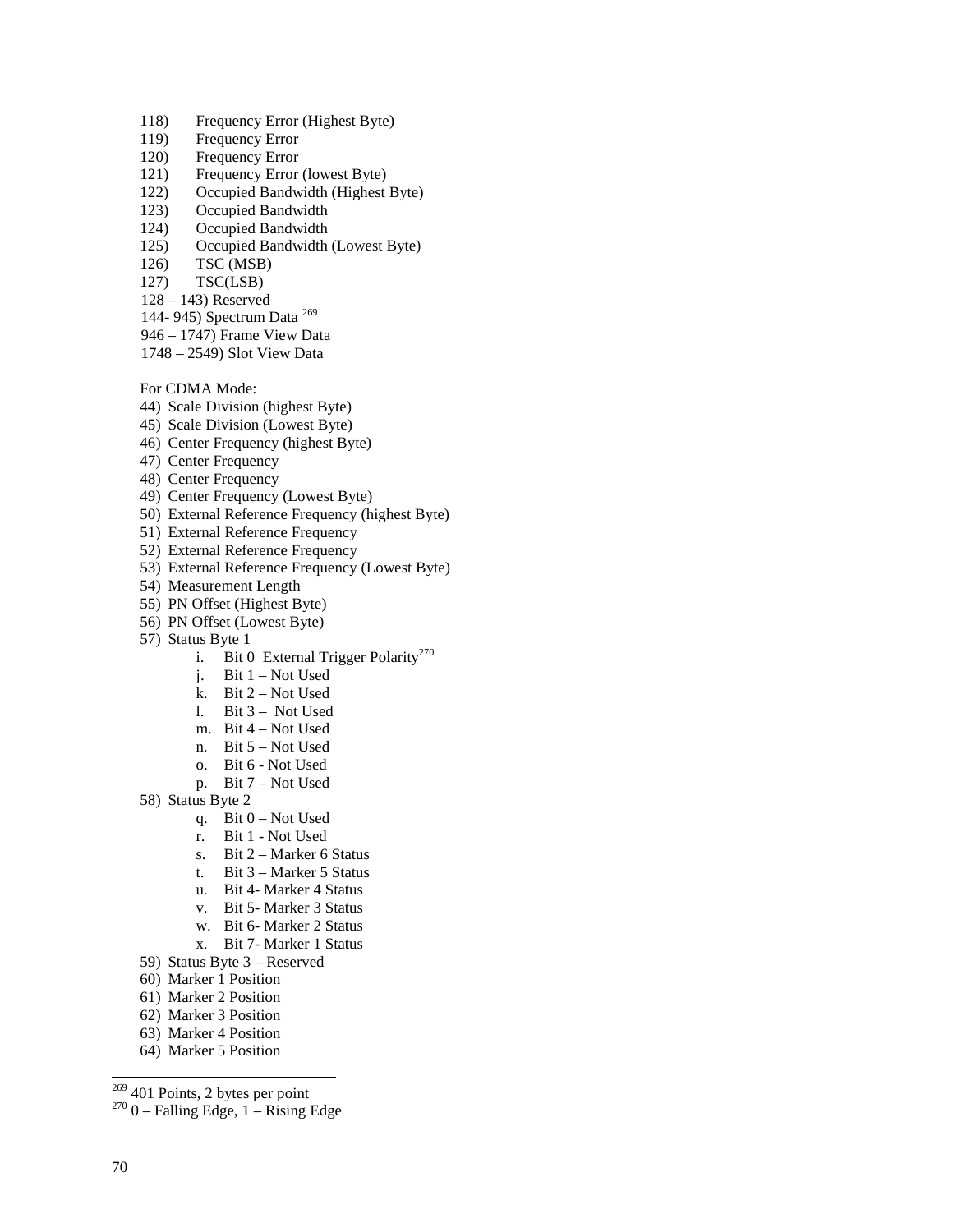- 118) Frequency Error (Highest Byte)
- 119) Frequency Error
- 120) Frequency Error
- 121) Frequency Error (lowest Byte)
- 122) Occupied Bandwidth (Highest Byte)
- 123) Occupied Bandwidth
- 124) Occupied Bandwidth
- 125) Occupied Bandwidth (Lowest Byte)
- 126) TSC (MSB)
- 127) TSC(LSB)
- 128 143) Reserved
- 144- 945) Spectrum Data <sup>269</sup>
- 946 1747) Frame View Data
- 1748 2549) Slot View Data

For CDMA Mode:

- 44) Scale Division (highest Byte)
- 45) Scale Division (Lowest Byte)
- 46) Center Frequency (highest Byte)
- 47) Center Frequency
- 48) Center Frequency
- 49) Center Frequency (Lowest Byte)
- 50) External Reference Frequency (highest Byte)
- 51) External Reference Frequency
- 52) External Reference Frequency
- 53) External Reference Frequency (Lowest Byte)
- 54) Measurement Length
- 55) PN Offset (Highest Byte)
- 56) PN Offset (Lowest Byte)
- 57) Status Byte 1
	- i. Bit 0 External Trigger Polarity<sup>270</sup>
		- j. Bit 1 Not Used
		- k. Bit 2 Not Used
		- l. Bit 3 Not Used
		- m. Bit 4 Not Used
		- n. Bit 5 Not Used
		- o. Bit 6 Not Used
		- p. Bit 7 Not Used
- 58) Status Byte 2
	- q. Bit 0 Not Used
	- r. Bit 1 Not Used
	- s. Bit 2 Marker 6 Status
	- t. Bit 3 Marker 5 Status
	- u. Bit 4- Marker 4 Status
	- v. Bit 5- Marker 3 Status
	- w. Bit 6- Marker 2 Status
	- x. Bit 7- Marker 1 Status
- 59) Status Byte 3 Reserved
- 60) Marker 1 Position
- 61) Marker 2 Position
- 62) Marker 3 Position
- 63) Marker 4 Position
- 64) Marker 5 Position

 $269$  401 Points, 2 bytes per point

 $270$  0 – Falling Edge, 1 – Rising Edge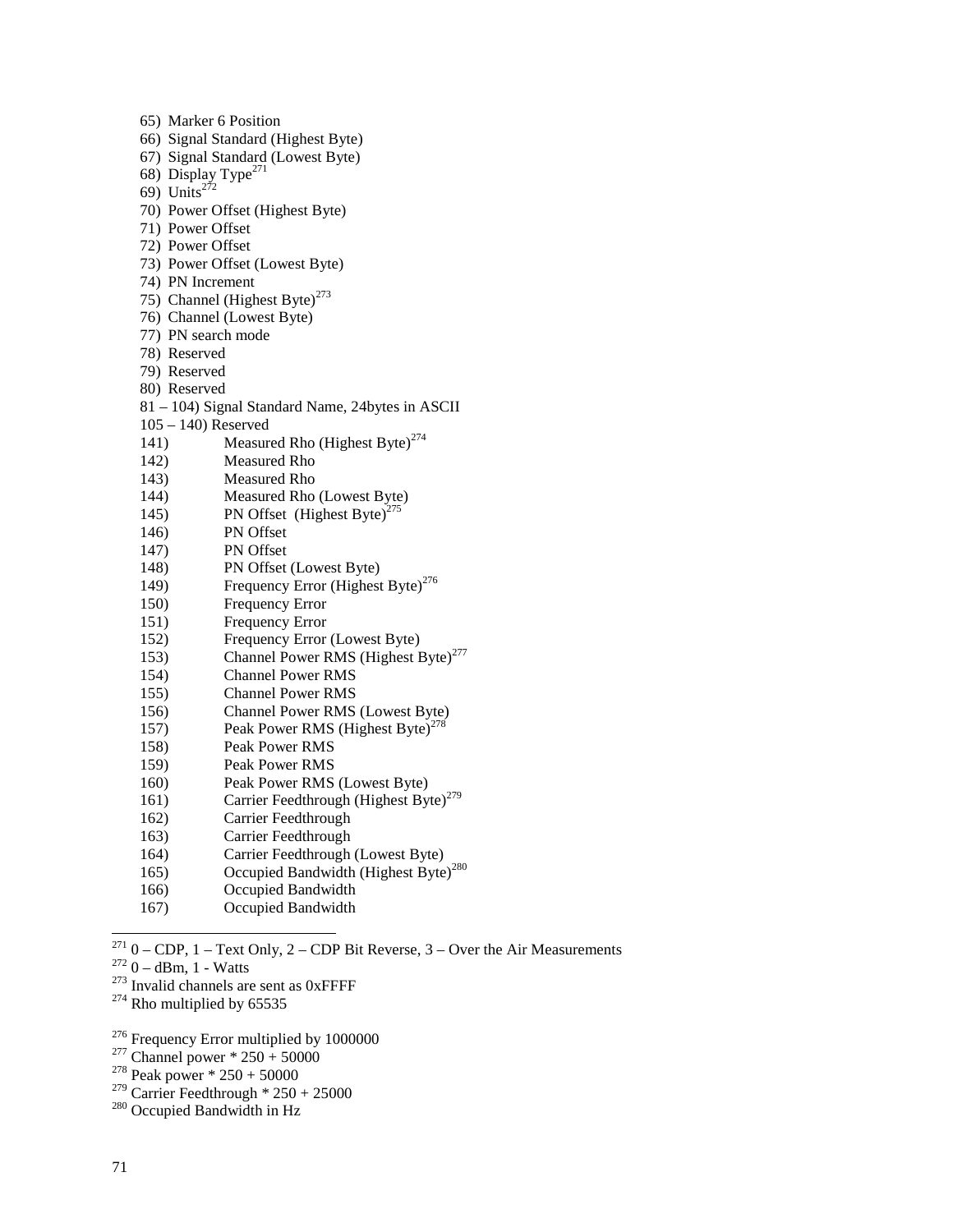| 65) Marker 6 Position              |                                                   |  |  |  |
|------------------------------------|---------------------------------------------------|--|--|--|
| 66) Signal Standard (Highest Byte) |                                                   |  |  |  |
| 67) Signal Standard (Lowest Byte)  |                                                   |  |  |  |
| 68) Display Type <sup>271</sup>    |                                                   |  |  |  |
| 69) Units <sup>272</sup>           |                                                   |  |  |  |
|                                    | 70) Power Offset (Highest Byte)                   |  |  |  |
| 71) Power Offset                   |                                                   |  |  |  |
| 72) Power Offset                   |                                                   |  |  |  |
|                                    | 73) Power Offset (Lowest Byte)                    |  |  |  |
| 74) PN Increment                   |                                                   |  |  |  |
|                                    | 75) Channel (Highest Byte) <sup>273</sup>         |  |  |  |
|                                    | 76) Channel (Lowest Byte)                         |  |  |  |
| 77) PN search mode                 |                                                   |  |  |  |
| 78) Reserved                       |                                                   |  |  |  |
| 79) Reserved                       |                                                   |  |  |  |
| 80) Reserved                       |                                                   |  |  |  |
|                                    | 81 - 104) Signal Standard Name, 24bytes in ASCII  |  |  |  |
| $105 - 140$ ) Reserved             |                                                   |  |  |  |
| 141)                               | Measured Rho (Highest Byte) <sup>274</sup>        |  |  |  |
| 142)                               | <b>Measured Rho</b>                               |  |  |  |
| 143)                               | Measured Rho                                      |  |  |  |
| 144)                               | Measured Rho (Lowest Byte)                        |  |  |  |
| 145)                               | PN Offset (Highest Byte) <sup>275</sup>           |  |  |  |
| 146)                               | PN Offset                                         |  |  |  |
| 147)                               | <b>PN</b> Offset                                  |  |  |  |
| 148)                               | PN Offset (Lowest Byte)                           |  |  |  |
| 149)                               | Frequency Error (Highest Byte) <sup>276</sup>     |  |  |  |
| 150)                               | Frequency Error                                   |  |  |  |
| 151)                               | <b>Frequency Error</b>                            |  |  |  |
| 152)                               | Frequency Error (Lowest Byte)                     |  |  |  |
| 153)                               | Channel Power RMS (Highest Byte) <sup>277</sup>   |  |  |  |
| 154)                               | <b>Channel Power RMS</b>                          |  |  |  |
| 155)                               | <b>Channel Power RMS</b>                          |  |  |  |
| 156)                               | Channel Power RMS (Lowest Byte)                   |  |  |  |
| 157)                               | Peak Power RMS (Highest Byte) <sup>278</sup>      |  |  |  |
| 158)                               | <b>Peak Power RMS</b>                             |  |  |  |
| 159)                               | <b>Peak Power RMS</b>                             |  |  |  |
| 160)                               | Peak Power RMS (Lowest Byte)                      |  |  |  |
| 161)                               | Carrier Feedthrough (Highest Byte) <sup>279</sup> |  |  |  |
| 162)                               | Carrier Feedthrough                               |  |  |  |
| 163)                               | Carrier Feedthrough                               |  |  |  |
| 164)                               | Carrier Feedthrough (Lowest Byte)                 |  |  |  |
| 165)                               | Occupied Bandwidth (Highest Byte) <sup>280</sup>  |  |  |  |
| 166)                               | Occupied Bandwidth                                |  |  |  |
|                                    |                                                   |  |  |  |

167) Occupied Bandwidth

<sup>271</sup> 0 – CDP, 1 – Text Only, 2 – CDP Bit Reverse, 3 – Over the Air Measurements  $272$  0 – dBm, 1 - Watts  $273$  Invalid channels are sent as 0xFFFF  $274$  Rho multiplied by 65535

# <sup>276</sup> Frequency Error multiplied by 1000000<br><sup>277</sup> Channel power \* 250 + 50000<br><sup>278</sup> Peak power \* 250 + 50000

<sup>279</sup> Carrier Feedthrough  $*$  250 + 25000<br><sup>280</sup> Occupied Bandwidth in Hz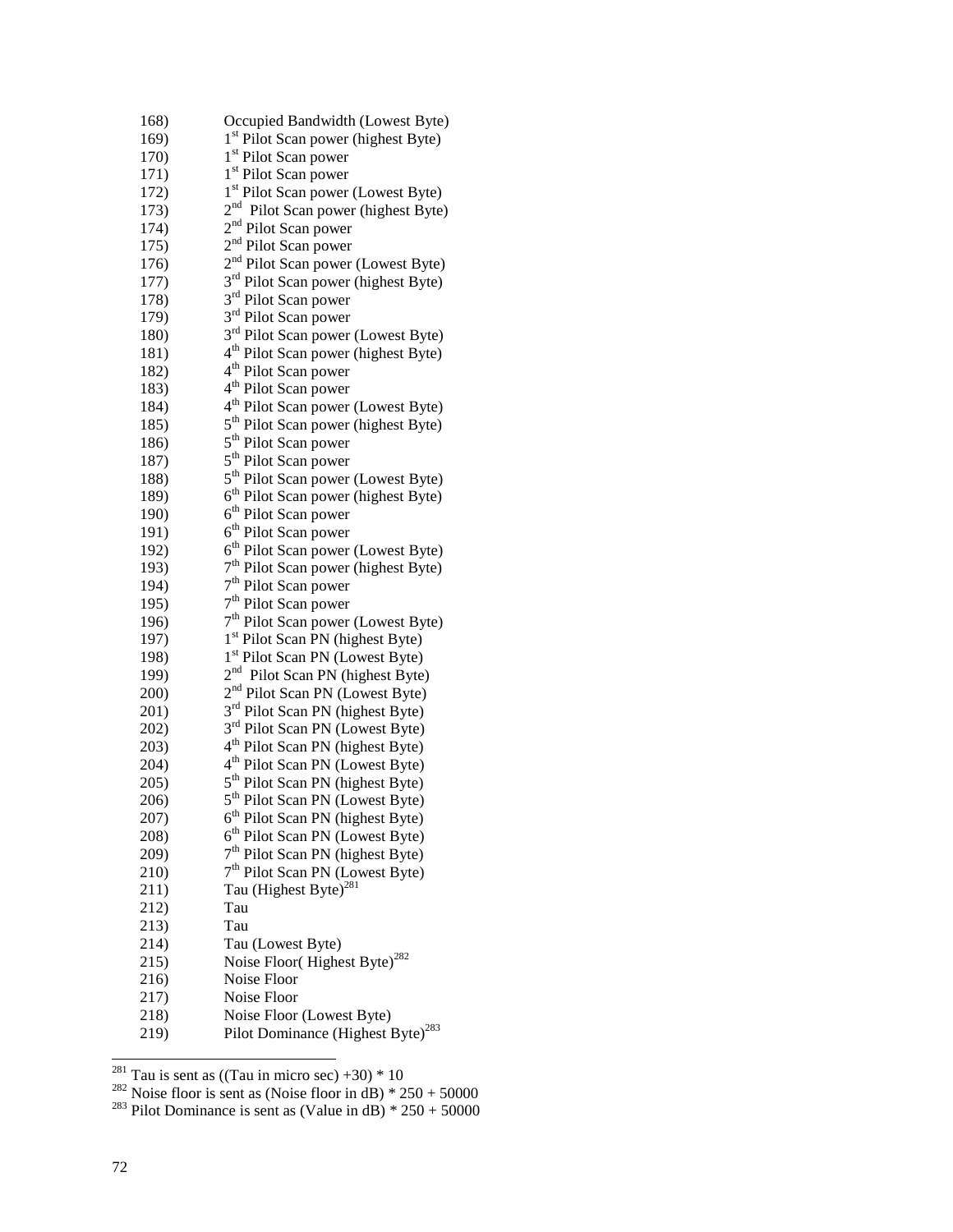| 168) | Occupied Bandwidth (Lowest Byte)                |
|------|-------------------------------------------------|
| 169) | 1 <sup>st</sup> Pilot Scan power (highest Byte) |
| 170) | 1 <sup>st</sup> Pilot Scan power                |
|      |                                                 |
| 171) | 1 <sup>st</sup> Pilot Scan power                |
| 172) | 1 <sup>st</sup> Pilot Scan power (Lowest Byte)  |
| 173) | 2 <sup>nd</sup> Pilot Scan power (highest Byte) |
| 174) | 2 <sup>nd</sup> Pilot Scan power                |
| 175) | 2 <sup>nd</sup> Pilot Scan power                |
| 176) | 2 <sup>nd</sup> Pilot Scan power (Lowest Byte)  |
| 177) | 3 <sup>rd</sup> Pilot Scan power (highest Byte) |
| 178) | 3 <sup>rd</sup> Pilot Scan power                |
| 179) | 3 <sup>rd</sup> Pilot Scan power                |
| 180) | 3 <sup>rd</sup> Pilot Scan power (Lowest Byte)  |
|      |                                                 |
| 181) | 4 <sup>th</sup> Pilot Scan power (highest Byte) |
| 182) | 4 <sup>th</sup> Pilot Scan power                |
| 183) | 4 <sup>th</sup> Pilot Scan power                |
| 184) | 4 <sup>th</sup> Pilot Scan power (Lowest Byte)  |
| 185) | 5 <sup>th</sup> Pilot Scan power (highest Byte) |
| 186) | 5 <sup>th</sup> Pilot Scan power                |
| 187) | 5 <sup>th</sup> Pilot Scan power                |
| 188) | 5 <sup>th</sup> Pilot Scan power (Lowest Byte)  |
| 189) | 6 <sup>th</sup> Pilot Scan power (highest Byte) |
| 190) | 6 <sup>th</sup> Pilot Scan power                |
| 191) | 6 <sup>th</sup> Pilot Scan power                |
| 192) | 6 <sup>th</sup> Pilot Scan power (Lowest Byte)  |
| 193) | 7 <sup>th</sup> Pilot Scan power (highest Byte) |
| 194) | 7 <sup>th</sup> Pilot Scan power                |
| 195) | $7th$ Pilot Scan power                          |
| 196) | 7 <sup>th</sup> Pilot Scan power (Lowest Byte)  |
| 197) | 1 <sup>st</sup> Pilot Scan PN (highest Byte)    |
|      | 1 <sup>st</sup> Pilot Scan PN (Lowest Byte)     |
| 198) |                                                 |
| 199) | 2 <sup>nd</sup> Pilot Scan PN (highest Byte)    |
| 200) | 2 <sup>nd</sup> Pilot Scan PN (Lowest Byte)     |
| 201) | 3 <sup>rd</sup> Pilot Scan PN (highest Byte)    |
| 202) | 3 <sup>rd</sup> Pilot Scan PN (Lowest Byte)     |
| 203) | 4 <sup>th</sup> Pilot Scan PN (highest Byte)    |
| 204) | 4 <sup>th</sup> Pilot Scan PN (Lowest Byte)     |
| 205) | 5 <sup>th</sup> Pilot Scan PN (highest Byte)    |
| 206) | 5 <sup>th</sup> Pilot Scan PN (Lowest Byte)     |
| 207) | 6 <sup>th</sup> Pilot Scan PN (highest Byte)    |
| 208) | 6 <sup>th</sup> Pilot Scan PN (Lowest Byte)     |
| 209) | 7 <sup>th</sup> Pilot Scan PN (highest Byte)    |
| 210) | 7 <sup>th</sup> Pilot Scan PN (Lowest Byte)     |
| 211) | Tau (Highest Byte) <sup>281</sup>               |
| 212) | Tau                                             |
| 213) | Tau                                             |
| 214) | Tau (Lowest Byte)                               |
|      | Noise Floor(Highest Byte) <sup>282</sup>        |
| 215) | Noise Floor                                     |
| 216) |                                                 |
| 217) | Noise Floor                                     |
| 218) | Noise Floor (Lowest Byte)                       |
| 219) | Pilot Dominance (Highest Byte) <sup>283</sup>   |

<sup>&</sup>lt;sup>281</sup> Tau is sent as ((Tau in micro sec) +30) \* 10<br><sup>282</sup> Noise floor is sent as (Noise floor in dB) \* 250 + 50000<br><sup>283</sup> Pilot Dominance is sent as (Value in dB) \* 250 + 50000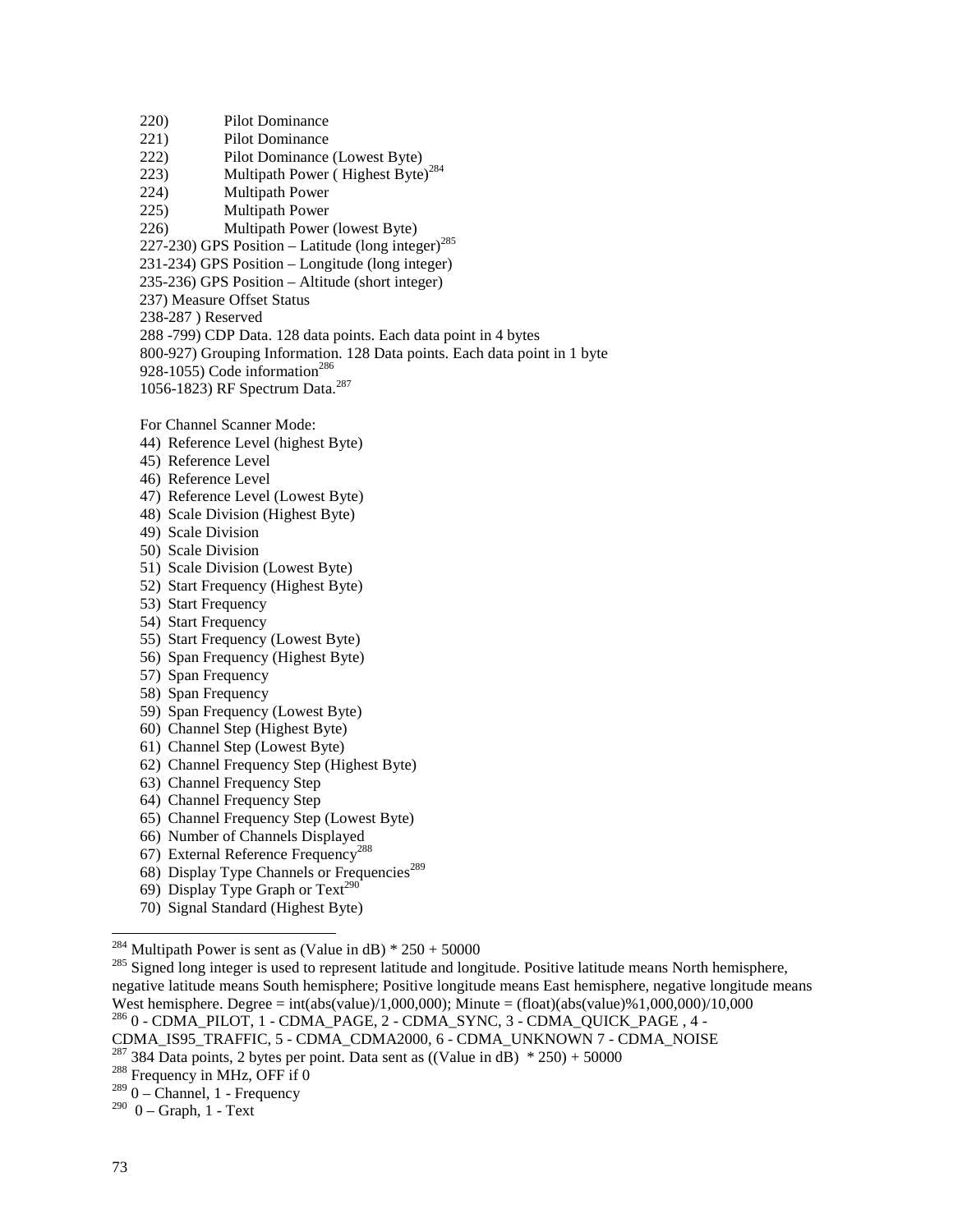220) Pilot Dominance 221) Pilot Dominance 222) Pilot Dominance (Lowest Byte) 223) Multipath Power ( Highest Byte)<sup>284</sup> 224) Multipath Power 225) Multipath Power 226) Multipath Power (lowest Byte) 227-230) GPS Position – Latitude (long integer)<sup>285</sup> 231-234) GPS Position – Longitude (long integer) 235-236) GPS Position – Altitude (short integer) 237) Measure Offset Status 238-287 ) Reserved 288 -799) CDP Data. 128 data points. Each data point in 4 bytes 800-927) Grouping Information. 128 Data points. Each data point in 1 byte 928-1055) Code information<sup>286</sup> 1056-1823) RF Spectrum Data.<sup>287</sup>

For Channel Scanner Mode:

- 44) Reference Level (highest Byte)
- 45) Reference Level
- 46) Reference Level
- 47) Reference Level (Lowest Byte)
- 48) Scale Division (Highest Byte)
- 49) Scale Division
- 50) Scale Division
- 51) Scale Division (Lowest Byte)
- 52) Start Frequency (Highest Byte)
- 53) Start Frequency
- 54) Start Frequency
- 55) Start Frequency (Lowest Byte)
- 56) Span Frequency (Highest Byte)
- 57) Span Frequency
- 58) Span Frequency
- 59) Span Frequency (Lowest Byte)
- 60) Channel Step (Highest Byte)
- 61) Channel Step (Lowest Byte)
- 62) Channel Frequency Step (Highest Byte)
- 63) Channel Frequency Step
- 64) Channel Frequency Step
- 65) Channel Frequency Step (Lowest Byte)
- 66) Number of Channels Displayed
- 67) External Reference Frequency<sup>288</sup>
- 68) Display Type Channels or Frequencies<sup>289</sup>
- 69) Display Type Graph or Text<sup>290</sup>
- 70) Signal Standard (Highest Byte)

<sup>&</sup>lt;sup>284</sup> Multipath Power is sent as (Value in dB)  $*$  250 + 50000

 $^{285}$  Signed long integer is used to represent latitude and longitude. Positive latitude means North hemisphere, negative latitude means South hemisphere; Positive longitude means East hemisphere, negative longitude means West hemisphere. Degree = int(abs(value)/1,000,000); Minute = (float)(abs(value)%1,000,000)/10,000 286 0 - CDMA\_PILOT, 1 - CDMA\_PAGE, 2 - CDMA\_SYNC, 3 - CDMA\_QUICK\_PAGE , 4 -

CDMA\_IS95\_TRAFFIC, 5 - CDMA\_CDMA2000, 6 - CDMA\_UNKNOWN 7 - CDMA\_NOISE

<sup>&</sup>lt;sup>287</sup> 384 Data points, 2 bytes per point. Data sent as ((Value in dB) \* 250) + 50000 <sup>288</sup> Frequency in MHz, OFF if 0

 $289$  0 – Channel, 1 - Frequency

 $290$  0 – Graph, 1 - Text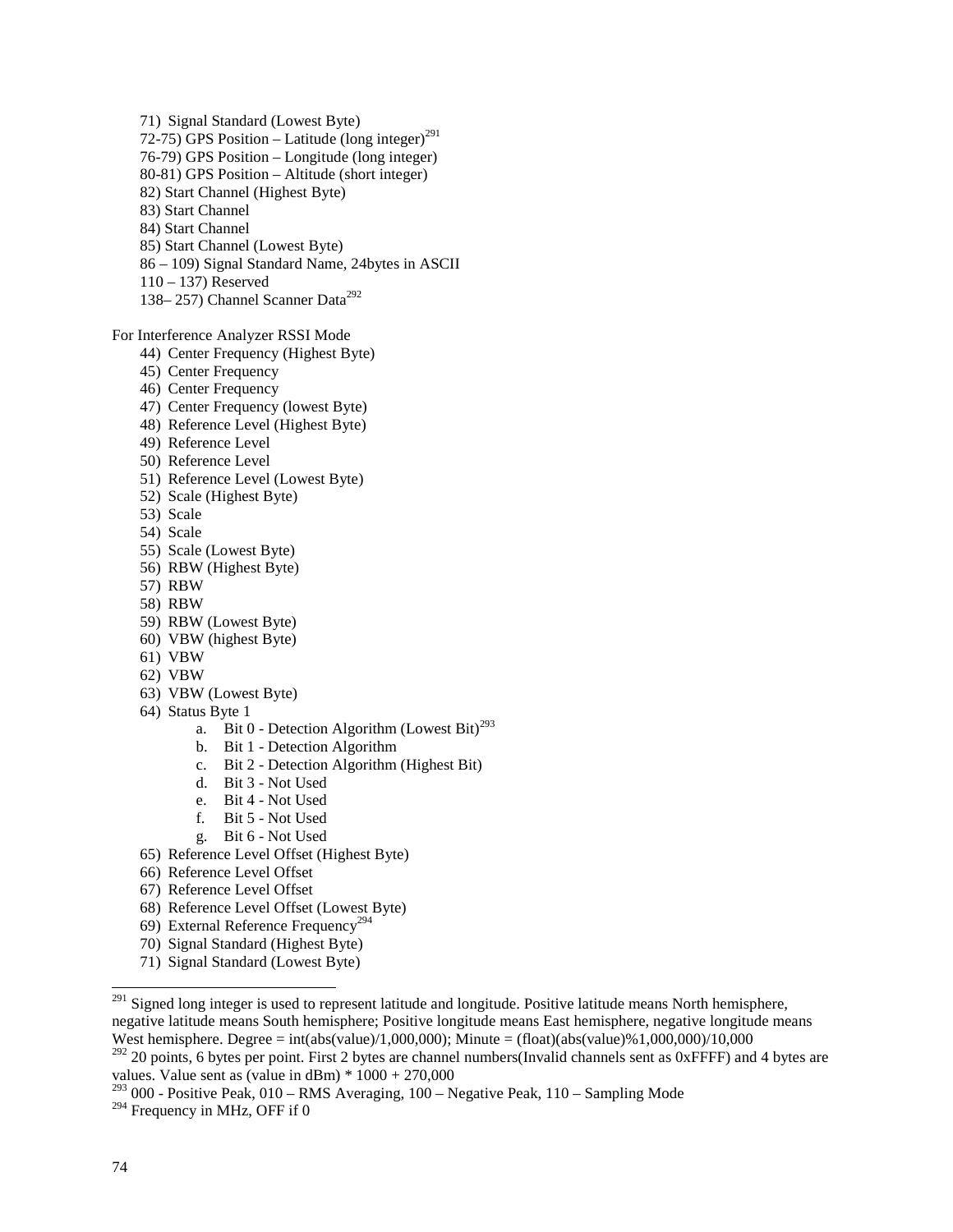71) Signal Standard (Lowest Byte) 72-75) GPS Position – Latitude (long integer)<sup>291</sup> 76-79) GPS Position – Longitude (long integer) 80-81) GPS Position – Altitude (short integer) 82) Start Channel (Highest Byte) 83) Start Channel 84) Start Channel 85) Start Channel (Lowest Byte) 86 – 109) Signal Standard Name, 24bytes in ASCII 110 – 137) Reserved 138– 257) Channel Scanner Data<sup>292</sup> For Interference Analyzer RSSI Mode 44) Center Frequency (Highest Byte) 45) Center Frequency 46) Center Frequency 47) Center Frequency (lowest Byte) 48) Reference Level (Highest Byte) 49) Reference Level 50) Reference Level 51) Reference Level (Lowest Byte) 52) Scale (Highest Byte) 53) Scale 54) Scale 55) Scale (Lowest Byte) 56) RBW (Highest Byte) 57) RBW 58) RBW 59) RBW (Lowest Byte) 60) VBW (highest Byte) 61) VBW 62) VBW 63) VBW (Lowest Byte)

- 64) Status Byte 1
	- a. Bit 0 Detection Algorithm (Lowest Bit)<sup>293</sup>
	- b. Bit 1 Detection Algorithm
	- c. Bit 2 Detection Algorithm (Highest Bit)
	- d. Bit 3 Not Used
	- e. Bit 4 Not Used
	- f. Bit 5 Not Used
	- g. Bit 6 Not Used
- 65) Reference Level Offset (Highest Byte)
- 66) Reference Level Offset
- 67) Reference Level Offset
- 68) Reference Level Offset (Lowest Byte)
- 69) External Reference Frequency<sup>294</sup>
- 70) Signal Standard (Highest Byte)
- 71) Signal Standard (Lowest Byte)

<sup>&</sup>lt;sup>291</sup> Signed long integer is used to represent latitude and longitude. Positive latitude means North hemisphere, negative latitude means South hemisphere; Positive longitude means East hemisphere, negative longitude means West hemisphere. Degree = int(abs(value)/1,000,000); Minute = (float)(abs(value)%1,000,000)/10,000

 $292$  20 points, 6 bytes per point. First 2 bytes are channel numbers(Invalid channels sent as 0xFFFF) and 4 bytes are values. Value sent as (value in  $\text{dBm}$ ) \*  $1000 + 270,000$ 

 $^{293}$  000 - Positive Peak, 010 – RMS Averaging, 100 – Negative Peak, 110 – Sampling Mode

 $294$  Frequency in MHz, OFF if 0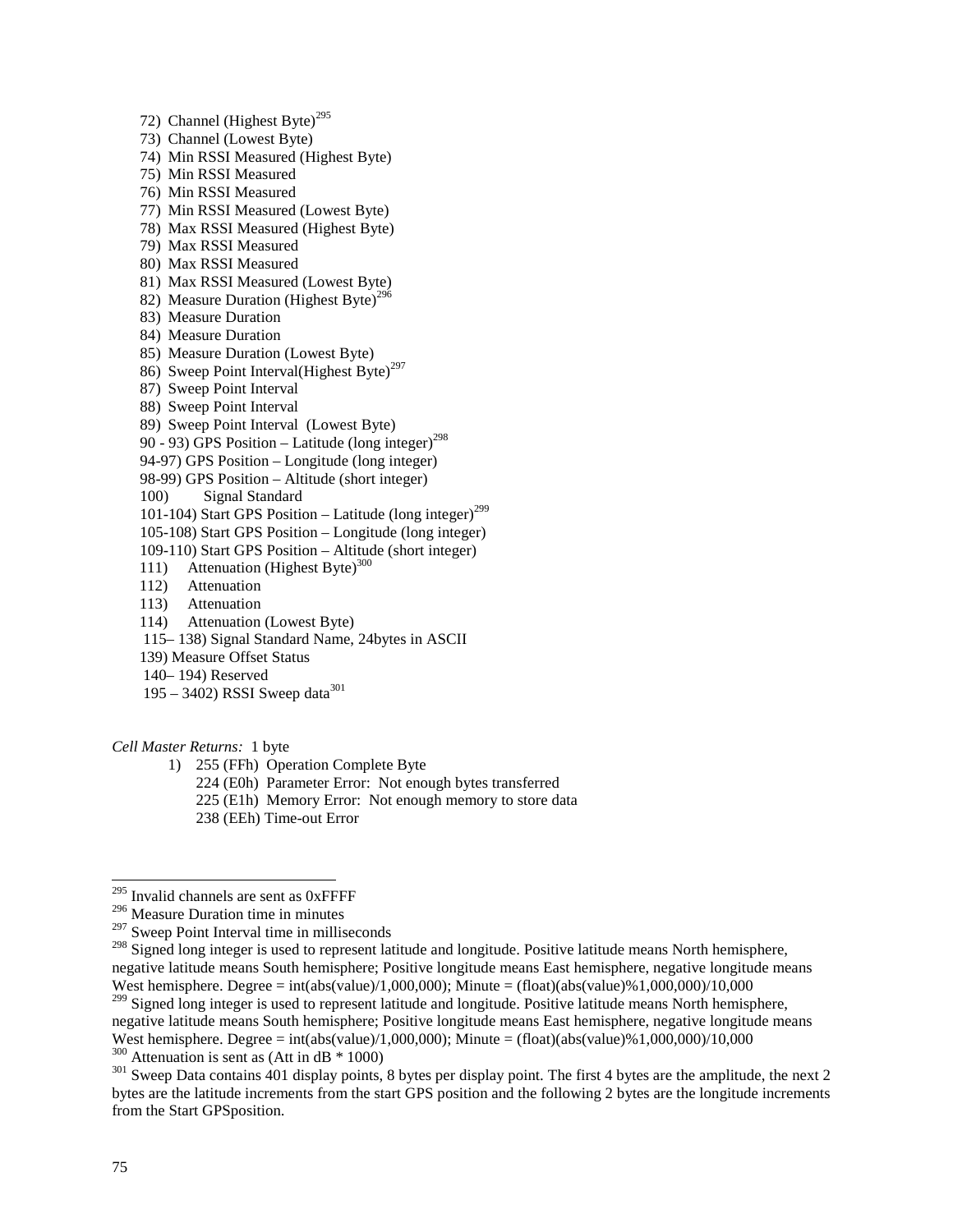72) Channel (Highest Byte)<sup>295</sup> 73) Channel (Lowest Byte) 74) Min RSSI Measured (Highest Byte) 75) Min RSSI Measured 76) Min RSSI Measured 77) Min RSSI Measured (Lowest Byte) 78) Max RSSI Measured (Highest Byte) 79) Max RSSI Measured 80) Max RSSI Measured 81) Max RSSI Measured (Lowest Byte) 82) Measure Duration (Highest Byte)<sup>296</sup> 83) Measure Duration 84) Measure Duration 85) Measure Duration (Lowest Byte) 86) Sweep Point Interval(Highest Byte)<sup>297</sup> 87) Sweep Point Interval 88) Sweep Point Interval 89) Sweep Point Interval (Lowest Byte) 90 - 93) GPS Position – Latitude (long integer)<sup>298</sup> 94-97) GPS Position – Longitude (long integer) 98-99) GPS Position – Altitude (short integer) 100) Signal Standard 101-104) Start GPS Position – Latitude (long integer)<sup>299</sup> 105-108) Start GPS Position – Longitude (long integer) 109-110) Start GPS Position – Altitude (short integer) 111) Attenuation (Highest Byte) $300$  112) Attenuation 113) Attenuation 114) Attenuation (Lowest Byte) 115– 138) Signal Standard Name, 24bytes in ASCII 139) Measure Offset Status 140– 194) Reserved 195 – 3402) RSSI Sweep data $301$ 

*Cell Master Returns:* 1 byte

1) 255 (FFh) Operation Complete Byte

224 (E0h) Parameter Error: Not enough bytes transferred

225 (E1h) Memory Error: Not enough memory to store data

238 (EEh) Time-out Error

<sup>299</sup> Signed long integer is used to represent latitude and longitude. Positive latitude means North hemisphere, negative latitude means South hemisphere; Positive longitude means East hemisphere, negative longitude means West hemisphere. Degree = int(abs(value)/1,000,000); Minute = (float)(abs(value)%1,000,000)/10,000<br><sup>300</sup> Attenuation is sent as (Att in dB \* 1000)

 $301$  Sweep Data contains 401 display points, 8 bytes per display point. The first 4 bytes are the amplitude, the next 2 bytes are the latitude increments from the start GPS position and the following 2 bytes are the longitude increments from the Start GPSposition.

<sup>&</sup>lt;sup>295</sup> Invalid channels are sent as 0xFFFF

<sup>296</sup> Measure Duration time in minutes

 $297$  Sweep Point Interval time in milliseconds

<sup>&</sup>lt;sup>298</sup> Signed long integer is used to represent latitude and longitude. Positive latitude means North hemisphere, negative latitude means South hemisphere; Positive longitude means East hemisphere, negative longitude means West hemisphere. Degree = int(abs(value)/1,000,000); Minute = (float)(abs(value)%1,000,000)/10,000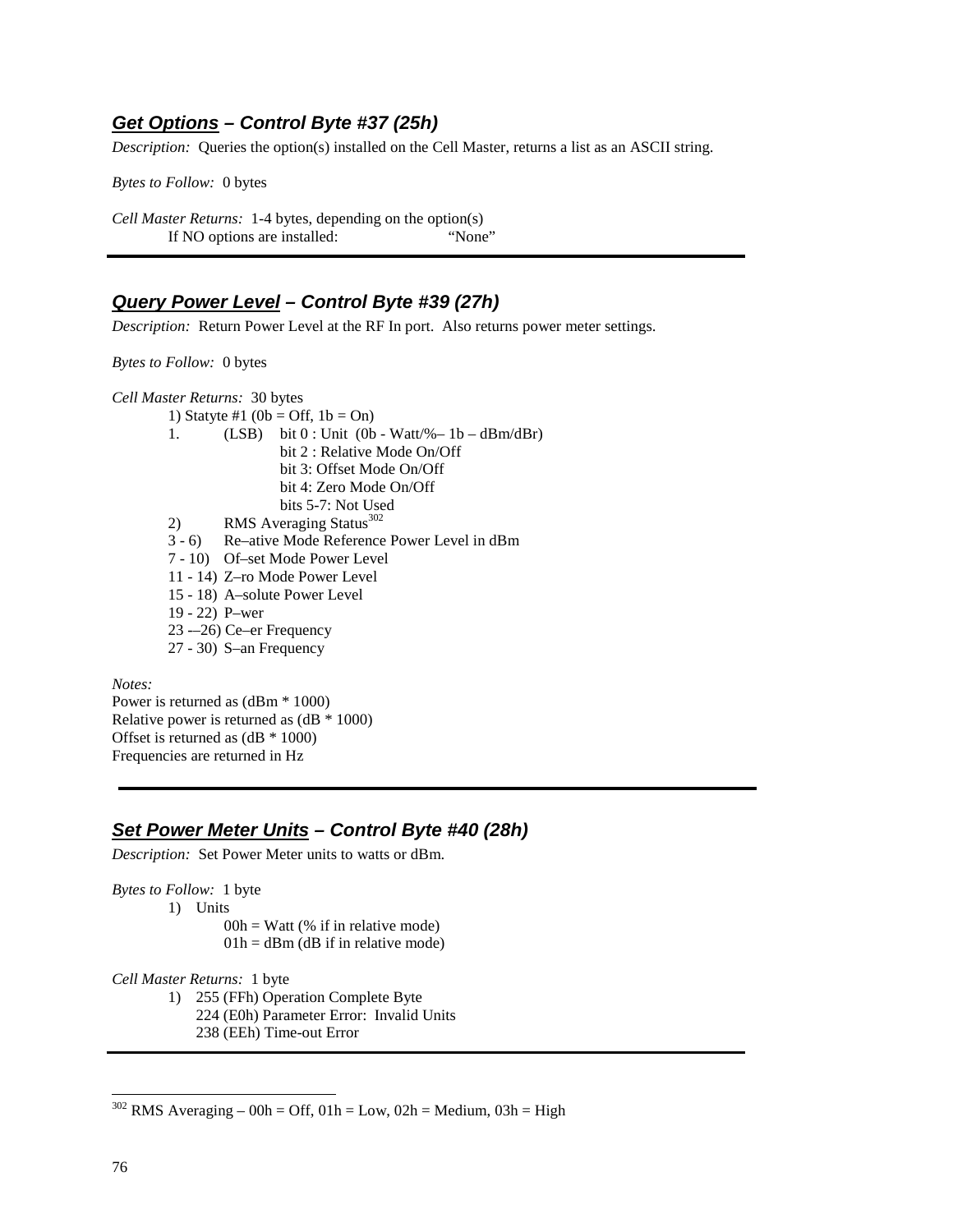### **Get Options – Control Byte #37 (25h)**

*Description:* Queries the option(s) installed on the Cell Master, returns a list as an ASCII string.

*Bytes to Follow:* 0 bytes

*Cell Master Returns:* 1-4 bytes, depending on the option(s) If NO options are installed: "None"

# **Query Power Level – Control Byte #39 (27h)**

*Description:* Return Power Level at the RF In port. Also returns power meter settings.

*Bytes to Follow:* 0 bytes

*Cell Master Returns:* 30 bytes

- 1) Statyte #1 (0b = Off,  $1b = On$ ) 1. (LSB) bit  $0:$  Unit  $(0b - Watt\% - 1b - dBm/dBr)$  bit 2 : Relative Mode On/Off bit 3: Offset Mode On/Off bit 4: Zero Mode On/Off bits 5-7: Not Used 2) RMS Averaging Status<sup>302</sup><br>3 - 6) Re–ative Mode Reference Re–ative Mode Reference Power Level in dBm 7 - 10) Of–set Mode Power Level 11 - 14) Z–ro Mode Power Level 15 - 18) A–solute Power Level 19 - 22) P–wer 23 -–26) Ce–er Frequency
	- 27 30) S–an Frequency

*Notes:* 

Power is returned as (dBm \* 1000) Relative power is returned as  $(dB * 1000)$ Offset is returned as (dB \* 1000) Frequencies are returned in Hz

## **Set Power Meter Units – Control Byte #40 (28h)**

*Description:* Set Power Meter units to watts or dBm.

*Bytes to Follow:* 1 byte

1) Units

 $00h = W$ att (% if in relative mode)  $01h = dBm$  (dB if in relative mode)

*Cell Master Returns:* 1 byte

- 1) 255 (FFh) Operation Complete Byte 224 (E0h) Parameter Error: Invalid Units
	- 238 (EEh) Time-out Error

 $302$  RMS Averaging – 00h = Off, 01h = Low, 02h = Medium, 03h = High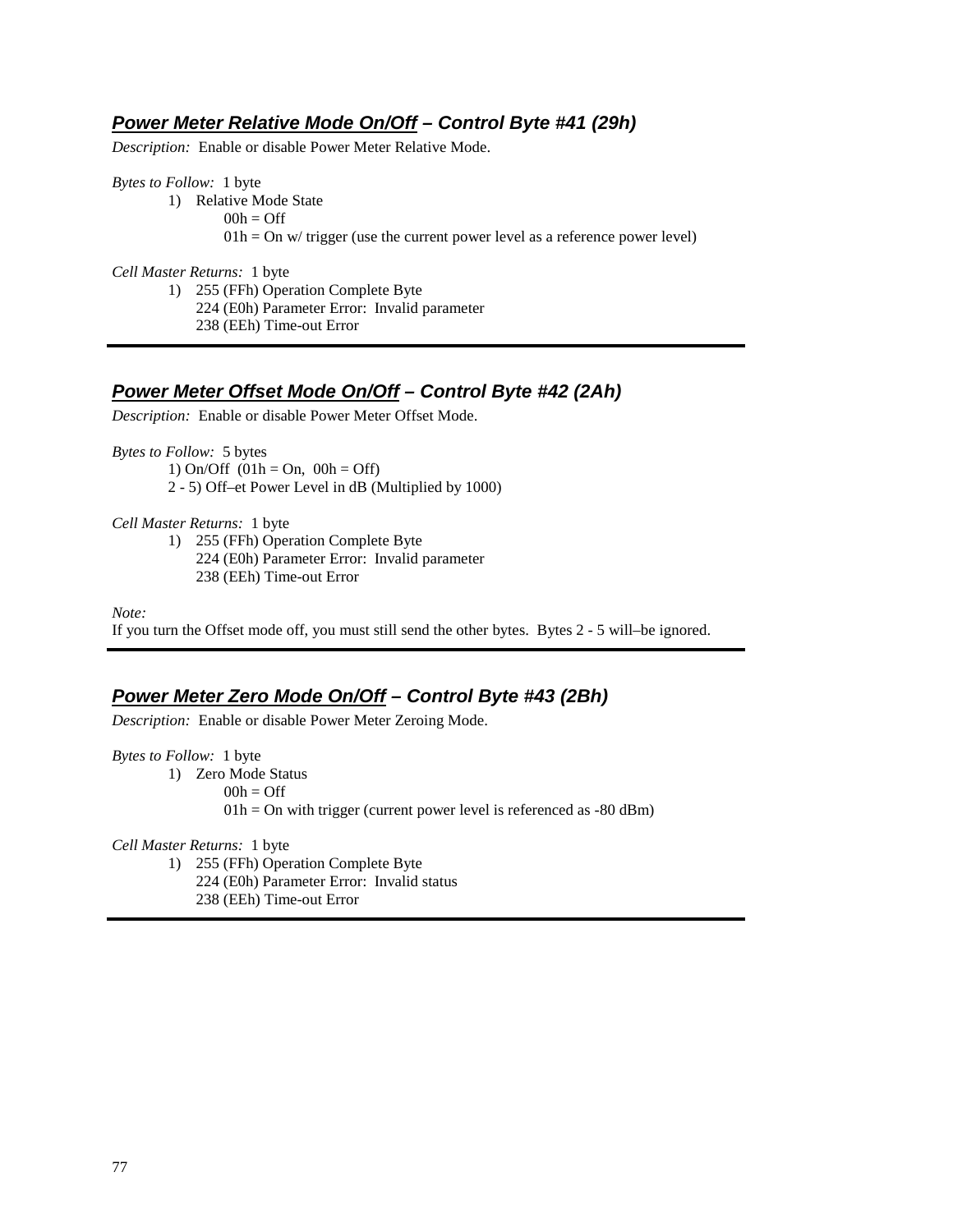### **Power Meter Relative Mode On/Off – Control Byte #41 (29h)**

*Description:* Enable or disable Power Meter Relative Mode.

*Bytes to Follow:* 1 byte

1) Relative Mode State  $00h =$ Off  $01h = On$  w/ trigger (use the current power level as a reference power level)

*Cell Master Returns:* 1 byte

1) 255 (FFh) Operation Complete Byte 224 (E0h) Parameter Error: Invalid parameter

238 (EEh) Time-out Error

# **Power Meter Offset Mode On/Off – Control Byte #42 (2Ah)**

*Description:* Enable or disable Power Meter Offset Mode.

*Bytes to Follow:* 5 bytes 1) On/Off  $(01h = On, 00h = Off)$ 2 - 5) Off–et Power Level in dB (Multiplied by 1000)

*Cell Master Returns:* 1 byte

1) 255 (FFh) Operation Complete Byte 224 (E0h) Parameter Error: Invalid parameter 238 (EEh) Time-out Error

*Note:* 

If you turn the Offset mode off, you must still send the other bytes. Bytes 2 - 5 will–be ignored.

## **Power Meter Zero Mode On/Off – Control Byte #43 (2Bh)**

*Description:* Enable or disable Power Meter Zeroing Mode.

*Bytes to Follow:* 1 byte

1) Zero Mode Status

 $00h = \text{Off}$ 

 $01h = On$  with trigger (current power level is referenced as  $-80$  dBm)

*Cell Master Returns:* 1 byte

1) 255 (FFh) Operation Complete Byte 224 (E0h) Parameter Error: Invalid status

238 (EEh) Time-out Error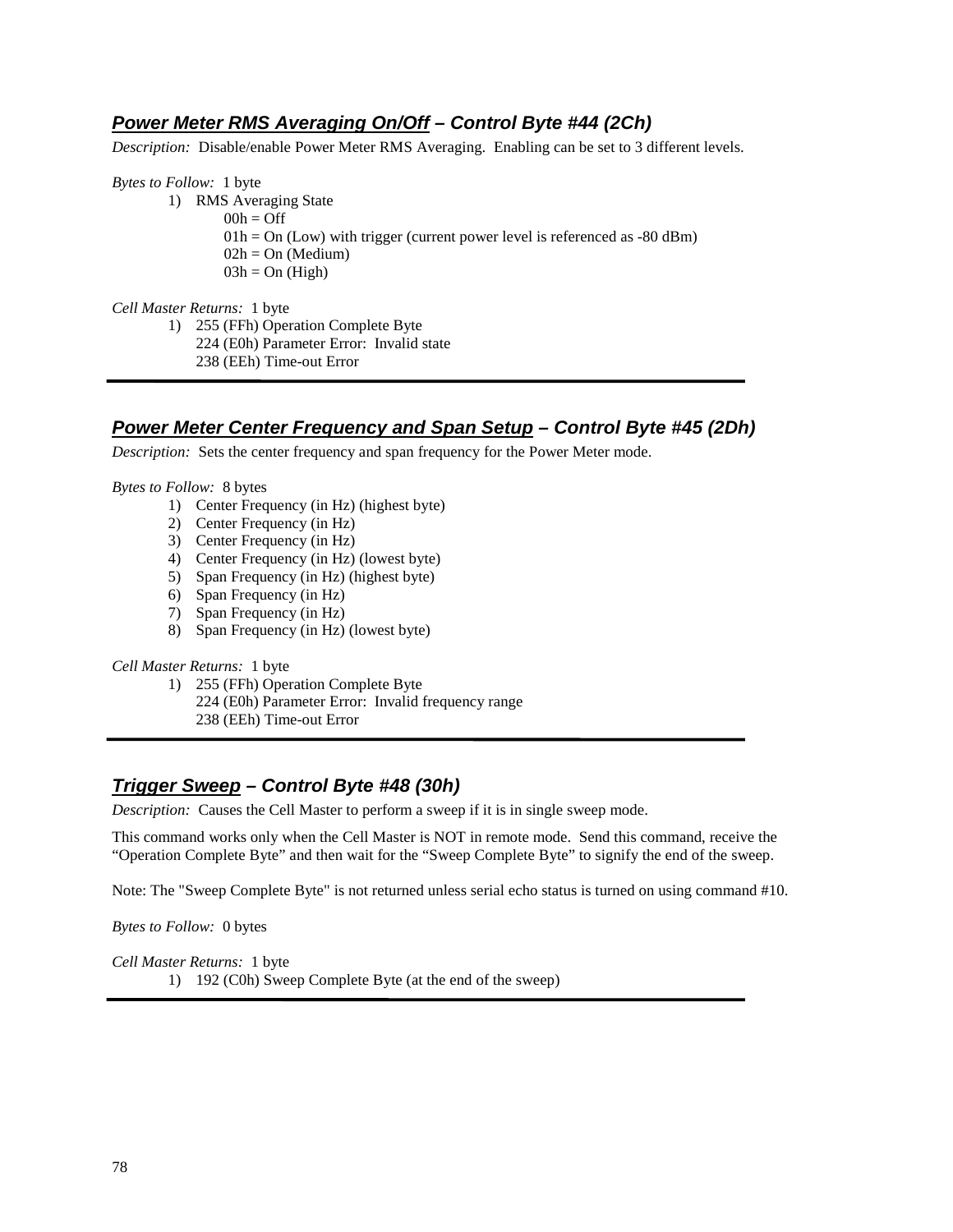# **Power Meter RMS Averaging On/Off – Control Byte #44 (2Ch)**

*Description:* Disable/enable Power Meter RMS Averaging. Enabling can be set to 3 different levels.

*Bytes to Follow:* 1 byte

- 1) RMS Averaging State
	- $00h =$ Off
		- $01h = On (Low)$  with trigger (current power level is referenced as -80 dBm)
		- $02h = On (Median)$
		- $03h = On (High)$

*Cell Master Returns:* 1 byte

1) 255 (FFh) Operation Complete Byte 224 (E0h) Parameter Error: Invalid state

238 (EEh) Time-out Error

## **Power Meter Center Frequency and Span Setup – Control Byte #45 (2Dh)**

*Description:* Sets the center frequency and span frequency for the Power Meter mode.

*Bytes to Follow:* 8 bytes

- 1) Center Frequency (in Hz) (highest byte)
- 2) Center Frequency (in Hz)
- 3) Center Frequency (in Hz)
- 4) Center Frequency (in Hz) (lowest byte)
- 5) Span Frequency (in Hz) (highest byte)
- 6) Span Frequency (in Hz)
- 7) Span Frequency (in Hz)
- 8) Span Frequency (in Hz) (lowest byte)

*Cell Master Returns:* 1 byte

- 1) 255 (FFh) Operation Complete Byte
	- 224 (E0h) Parameter Error: Invalid frequency range
		- 238 (EEh) Time-out Error

# **Trigger Sweep – Control Byte #48 (30h)**

*Description:* Causes the Cell Master to perform a sweep if it is in single sweep mode.

This command works only when the Cell Master is NOT in remote mode. Send this command, receive the "Operation Complete Byte" and then wait for the "Sweep Complete Byte" to signify the end of the sweep.

Note: The "Sweep Complete Byte" is not returned unless serial echo status is turned on using command #10.

*Bytes to Follow:* 0 bytes

*Cell Master Returns:* 1 byte 1) 192 (C0h) Sweep Complete Byte (at the end of the sweep)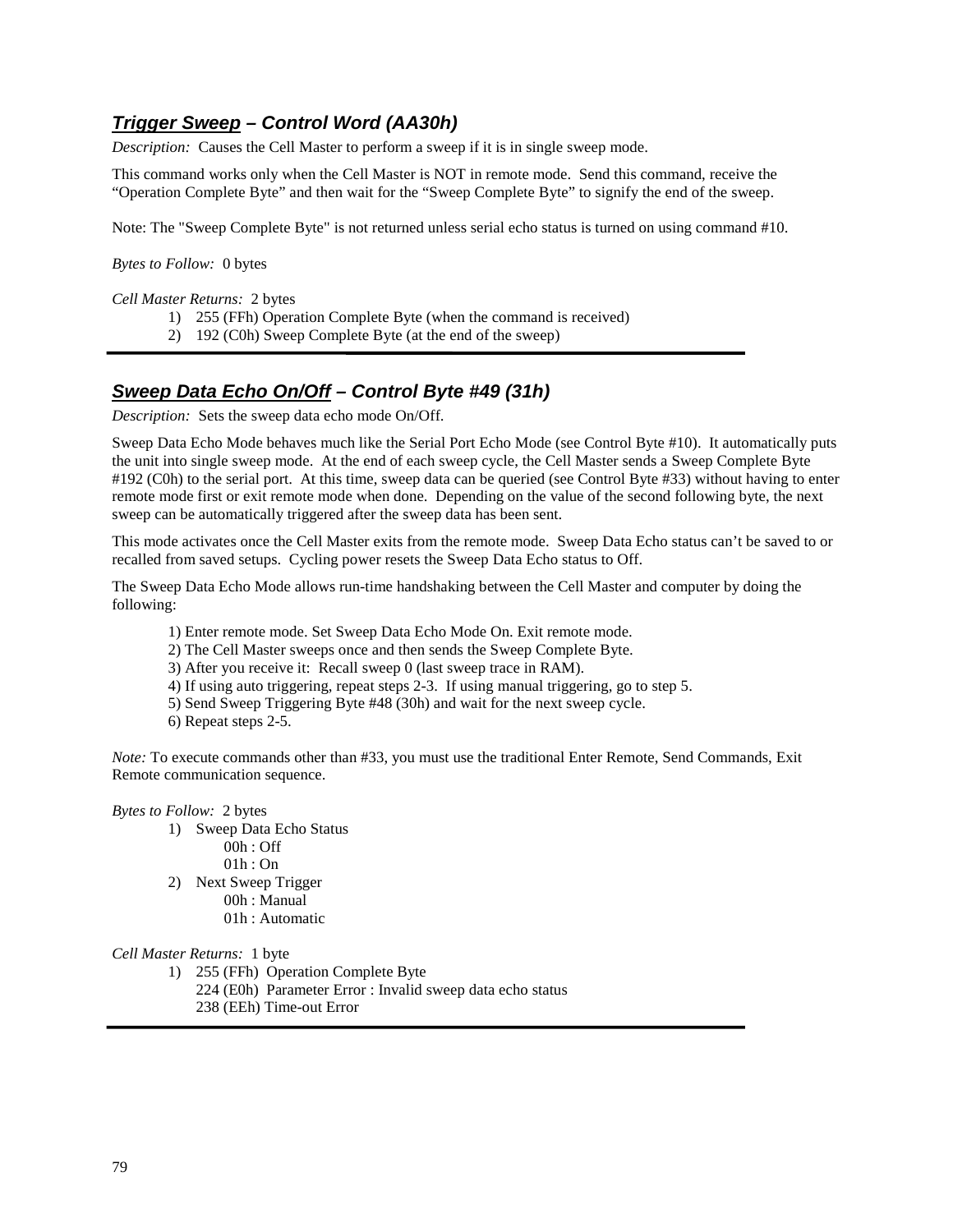# **Trigger Sweep – Control Word (AA30h)**

*Description:* Causes the Cell Master to perform a sweep if it is in single sweep mode.

This command works only when the Cell Master is NOT in remote mode. Send this command, receive the "Operation Complete Byte" and then wait for the "Sweep Complete Byte" to signify the end of the sweep.

Note: The "Sweep Complete Byte" is not returned unless serial echo status is turned on using command #10.

*Bytes to Follow:* 0 bytes

*Cell Master Returns:* 2 bytes

- 1) 255 (FFh) Operation Complete Byte (when the command is received)
- 2) 192 (C0h) Sweep Complete Byte (at the end of the sweep)

# **Sweep Data Echo On/Off – Control Byte #49 (31h)**

*Description:* Sets the sweep data echo mode On/Off.

Sweep Data Echo Mode behaves much like the Serial Port Echo Mode (see Control Byte #10). It automatically puts the unit into single sweep mode. At the end of each sweep cycle, the Cell Master sends a Sweep Complete Byte #192 (C0h) to the serial port. At this time, sweep data can be queried (see Control Byte #33) without having to enter remote mode first or exit remote mode when done. Depending on the value of the second following byte, the next sweep can be automatically triggered after the sweep data has been sent.

This mode activates once the Cell Master exits from the remote mode. Sweep Data Echo status can't be saved to or recalled from saved setups. Cycling power resets the Sweep Data Echo status to Off.

The Sweep Data Echo Mode allows run-time handshaking between the Cell Master and computer by doing the following:

- 1) Enter remote mode. Set Sweep Data Echo Mode On. Exit remote mode.
- 2) The Cell Master sweeps once and then sends the Sweep Complete Byte.
- 3) After you receive it: Recall sweep 0 (last sweep trace in RAM).
- 4) If using auto triggering, repeat steps 2-3. If using manual triggering, go to step 5.
- 5) Send Sweep Triggering Byte #48 (30h) and wait for the next sweep cycle.
- 6) Repeat steps 2-5.

*Note:* To execute commands other than #33, you must use the traditional Enter Remote, Send Commands, Exit Remote communication sequence.

*Bytes to Follow:* 2 bytes

- 1) Sweep Data Echo Status
	- 00h : Off
	- 01h : On
- 2) Next Sweep Trigger 00h : Manual
	- 01h : Automatic

*Cell Master Returns:* 1 byte

- 1) 255 (FFh) Operation Complete Byte
- 224 (E0h) Parameter Error : Invalid sweep data echo status
	- 238 (EEh) Time-out Error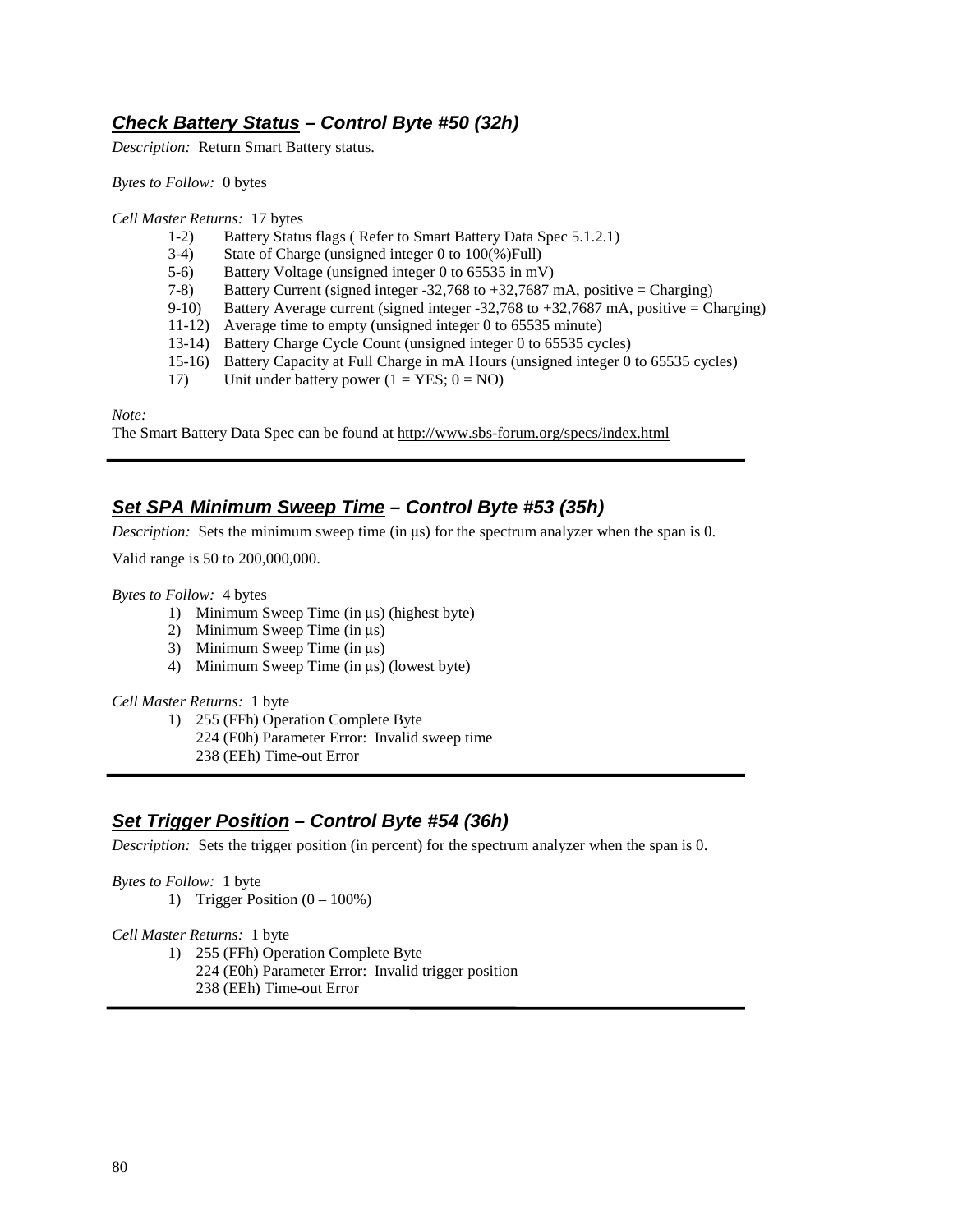# **Check Battery Status – Control Byte #50 (32h)**

*Description:* Return Smart Battery status.

*Bytes to Follow:* 0 bytes

*Cell Master Returns:* 17 bytes

- 1-2) Battery Status flags ( Refer to Smart Battery Data Spec 5.1.2.1)
- 3-4) State of Charge (unsigned integer 0 to 100(%)Full)
- 5-6) Battery Voltage (unsigned integer 0 to 65535 in mV)
- 7-8) Battery Current (signed integer -32,768 to +32,7687 mA, positive = Charging)
- 9-10) Battery Average current (signed integer -32,768 to +32,7687 mA, positive = Charging)
- 11-12) Average time to empty (unsigned integer 0 to 65535 minute)
- 13-14) Battery Charge Cycle Count (unsigned integer 0 to 65535 cycles)
- 15-16) Battery Capacity at Full Charge in mA Hours (unsigned integer 0 to 65535 cycles) Unit under battery power  $(1 = \text{YES}; 0 = \text{NO})$
- Unit under battery power ( $1 = \text{YES}$ ;  $0 = \text{NO}$ )

*Note:*

The Smart Battery Data Spec can be found at http://www.sbs-forum.org/specs/index.html

# **Set SPA Minimum Sweep Time – Control Byte #53 (35h)**

*Description:* Sets the minimum sweep time (in  $\mu$ s) for the spectrum analyzer when the span is 0.

Valid range is 50 to 200,000,000.

*Bytes to Follow:* 4 bytes

- 1) Minimum Sweep Time (in  $\mu$ s) (highest byte)
- 2) Minimum Sweep Time (in  $\mu$ s)
- 3) Minimum Sweep Time (in  $\mu$ s)
- 4) Minimum Sweep Time (in  $\mu$ s) (lowest byte)

#### *Cell Master Returns:* 1 byte

1) 255 (FFh) Operation Complete Byte 224 (E0h) Parameter Error: Invalid sweep time

238 (EEh) Time-out Error

## **Set Trigger Position – Control Byte #54 (36h)**

*Description:* Sets the trigger position (in percent) for the spectrum analyzer when the span is 0.

#### *Bytes to Follow:* 1 byte

1) Trigger Position  $(0 - 100\%)$ 

#### *Cell Master Returns:* 1 byte

- 1) 255 (FFh) Operation Complete Byte
	- 224 (E0h) Parameter Error: Invalid trigger position
		- 238 (EEh) Time-out Error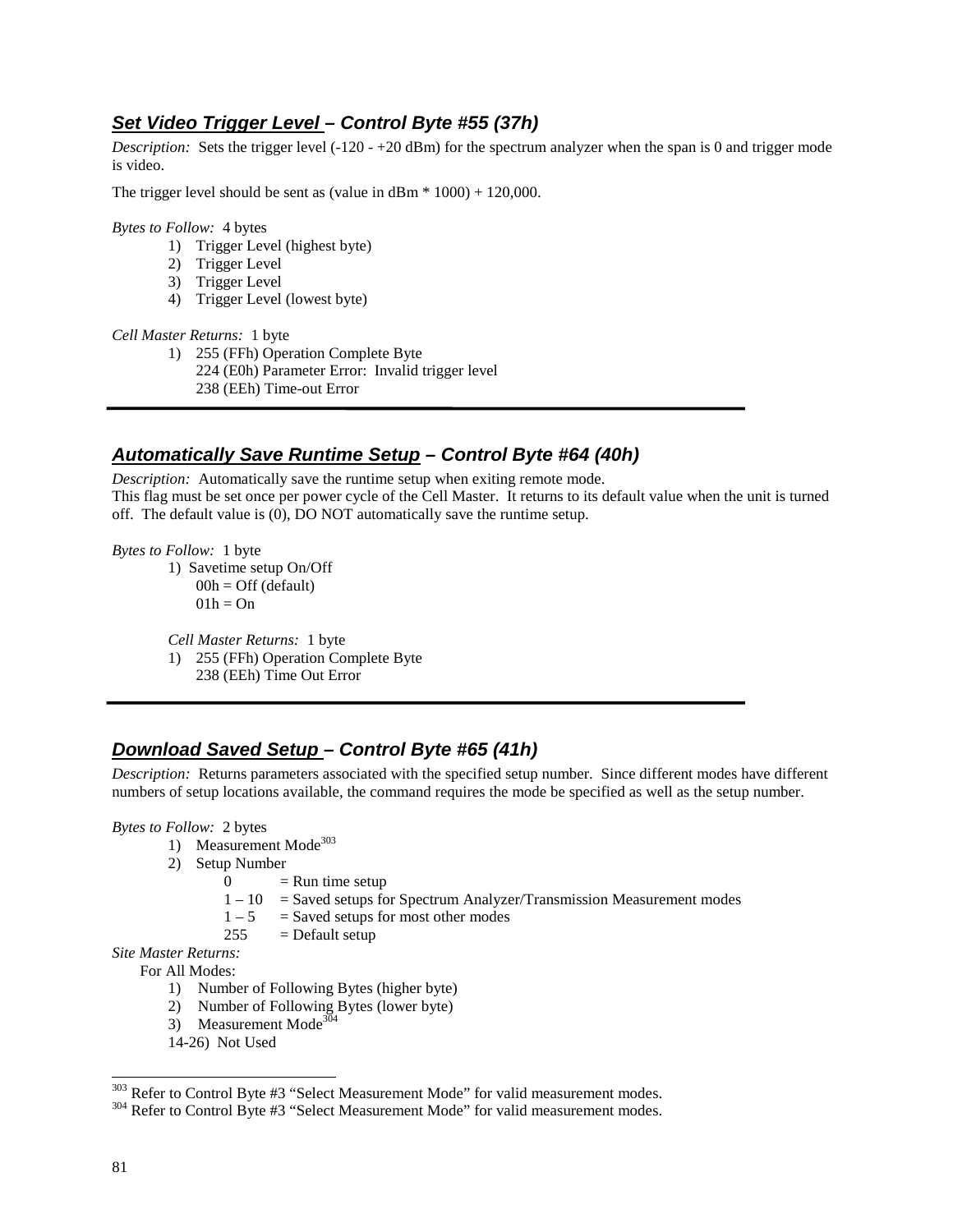# **Set Video Trigger Level – Control Byte #55 (37h)**

*Description:* Sets the trigger level (-120 - +20 dBm) for the spectrum analyzer when the span is 0 and trigger mode is video.

The trigger level should be sent as (value in  $dBm * 1000 + 120,000$ .

*Bytes to Follow:* 4 bytes

- 1) Trigger Level (highest byte)
- 2) Trigger Level
- 3) Trigger Level
- 4) Trigger Level (lowest byte)

#### *Cell Master Returns:* 1 byte

1) 255 (FFh) Operation Complete Byte 224 (E0h) Parameter Error: Invalid trigger level 238 (EEh) Time-out Error

## **Automatically Save Runtime Setup – Control Byte #64 (40h)**

*Description:* Automatically save the runtime setup when exiting remote mode. This flag must be set once per power cycle of the Cell Master. It returns to its default value when the unit is turned off. The default value is (0), DO NOT automatically save the runtime setup.

*Bytes to Follow:* 1 byte

1) Savetime setup On/Off  $00h = \text{Off}$  (default)  $01h = On$ 

*Cell Master Returns:* 1 byte 1) 255 (FFh) Operation Complete Byte 238 (EEh) Time Out Error

# **Download Saved Setup – Control Byte #65 (41h)**

*Description:* Returns parameters associated with the specified setup number. Since different modes have different numbers of setup locations available, the command requires the mode be specified as well as the setup number.

*Bytes to Follow:* 2 bytes

- 1) Measurement Mode<sup>303</sup>
- 2) Setup Number
	- $0 =$  Run time setup
	- $1 10$  = Saved setups for Spectrum Analyzer/Transmission Measurement modes<br> $1 5$  = Saved setups for most other modes
	- $=$  Saved setups for most other modes
	- $255$  = Default setup

*Site Master Returns:*

For All Modes:

- 1) Number of Following Bytes (higher byte)
- 2) Number of Following Bytes (lower byte)
- 3) Measurement Mode<sup>304</sup>
- 14-26) Not Used

<sup>&</sup>lt;sup>303</sup> Refer to Control Byte #3 "Select Measurement Mode" for valid measurement modes.

<sup>&</sup>lt;sup>304</sup> Refer to Control Byte #3 "Select Measurement Mode" for valid measurement modes.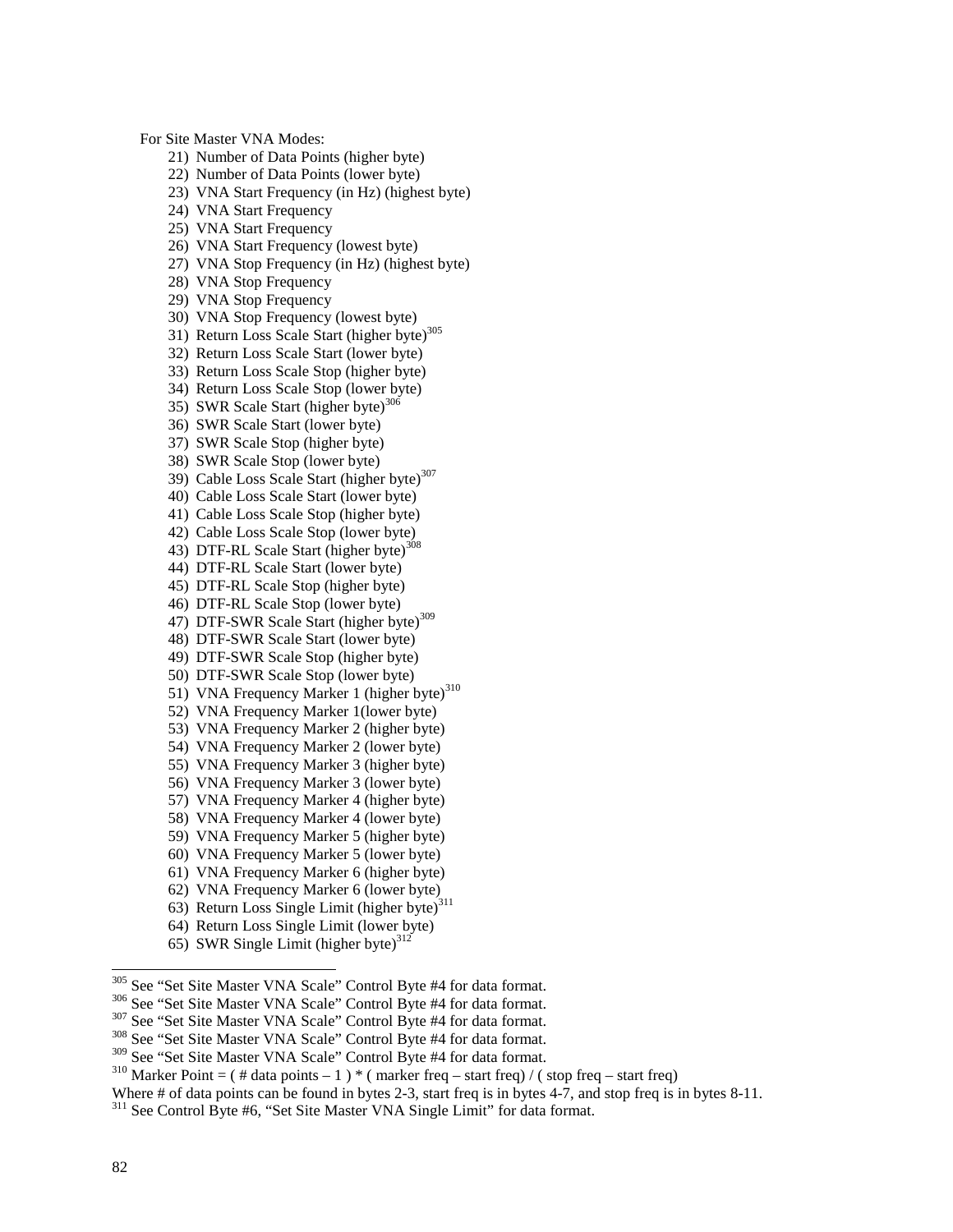For Site Master VNA Modes:

- 21) Number of Data Points (higher byte)
- 22) Number of Data Points (lower byte)
- 23) VNA Start Frequency (in Hz) (highest byte)
- 24) VNA Start Frequency
- 25) VNA Start Frequency
- 26) VNA Start Frequency (lowest byte)
- 27) VNA Stop Frequency (in Hz) (highest byte)
- 28) VNA Stop Frequency
- 29) VNA Stop Frequency
- 30) VNA Stop Frequency (lowest byte)
- 31) Return Loss Scale Start (higher byte)<sup>305</sup>
- 32) Return Loss Scale Start (lower byte)
- 33) Return Loss Scale Stop (higher byte)
- 34) Return Loss Scale Stop (lower byte)
- 35) SWR Scale Start (higher byte)<sup>306</sup>
- 36) SWR Scale Start (lower byte)
- 37) SWR Scale Stop (higher byte)
- 38) SWR Scale Stop (lower byte)
- 39) Cable Loss Scale Start (higher byte)<sup>307</sup>
- 40) Cable Loss Scale Start (lower byte)
- 41) Cable Loss Scale Stop (higher byte)
- 42) Cable Loss Scale Stop (lower byte)
- 43) DTF-RL Scale Start (higher byte)<sup>3</sup>
- 44) DTF-RL Scale Start (lower byte)
- 45) DTF-RL Scale Stop (higher byte)
- 46) DTF-RL Scale Stop (lower byte)
- 47) DTF-SWR Scale Start (higher byte)<sup>309</sup>
- 48) DTF-SWR Scale Start (lower byte)
- 49) DTF-SWR Scale Stop (higher byte)
- 50) DTF-SWR Scale Stop (lower byte)
- 51) VNA Frequency Marker 1 (higher byte)<sup>310</sup>
- 52) VNA Frequency Marker 1(lower byte)
- 53) VNA Frequency Marker 2 (higher byte)
- 54) VNA Frequency Marker 2 (lower byte)
- 55) VNA Frequency Marker 3 (higher byte)
- 56) VNA Frequency Marker 3 (lower byte)
- 57) VNA Frequency Marker 4 (higher byte)
- 58) VNA Frequency Marker 4 (lower byte)
- 59) VNA Frequency Marker 5 (higher byte)
- 60) VNA Frequency Marker 5 (lower byte)
- 61) VNA Frequency Marker 6 (higher byte)
- 62) VNA Frequency Marker 6 (lower byte)
- 63) Return Loss Single Limit (higher byte)<sup>311</sup>
- 64) Return Loss Single Limit (lower byte)
- 65) SWR Single Limit (higher byte) $312$
- <sup>305</sup> See "Set Site Master VNA Scale" Control Byte #4 for data format.
- 
- 
- <sup>306</sup> See "Set Site Master VNA Scale" Control Byte #4 for data format.<br><sup>307</sup> See "Set Site Master VNA Scale" Control Byte #4 for data format.<br><sup>308</sup> See "Set Site Master VNA Scale" Control Byte #4 for data format.<br><sup>309</sup> Se

Where # of data points can be found in bytes 2-3, start freq is in bytes 4-7, and stop freq is in bytes 8-11.

<sup>&</sup>lt;sup>310</sup> Marker Point = ( # data points – 1 ) \* ( marker freq – start freq) / ( stop freq – start freq)

<sup>&</sup>lt;sup>311</sup> See Control Byte #6, "Set Site Master VNA Single Limit" for data format.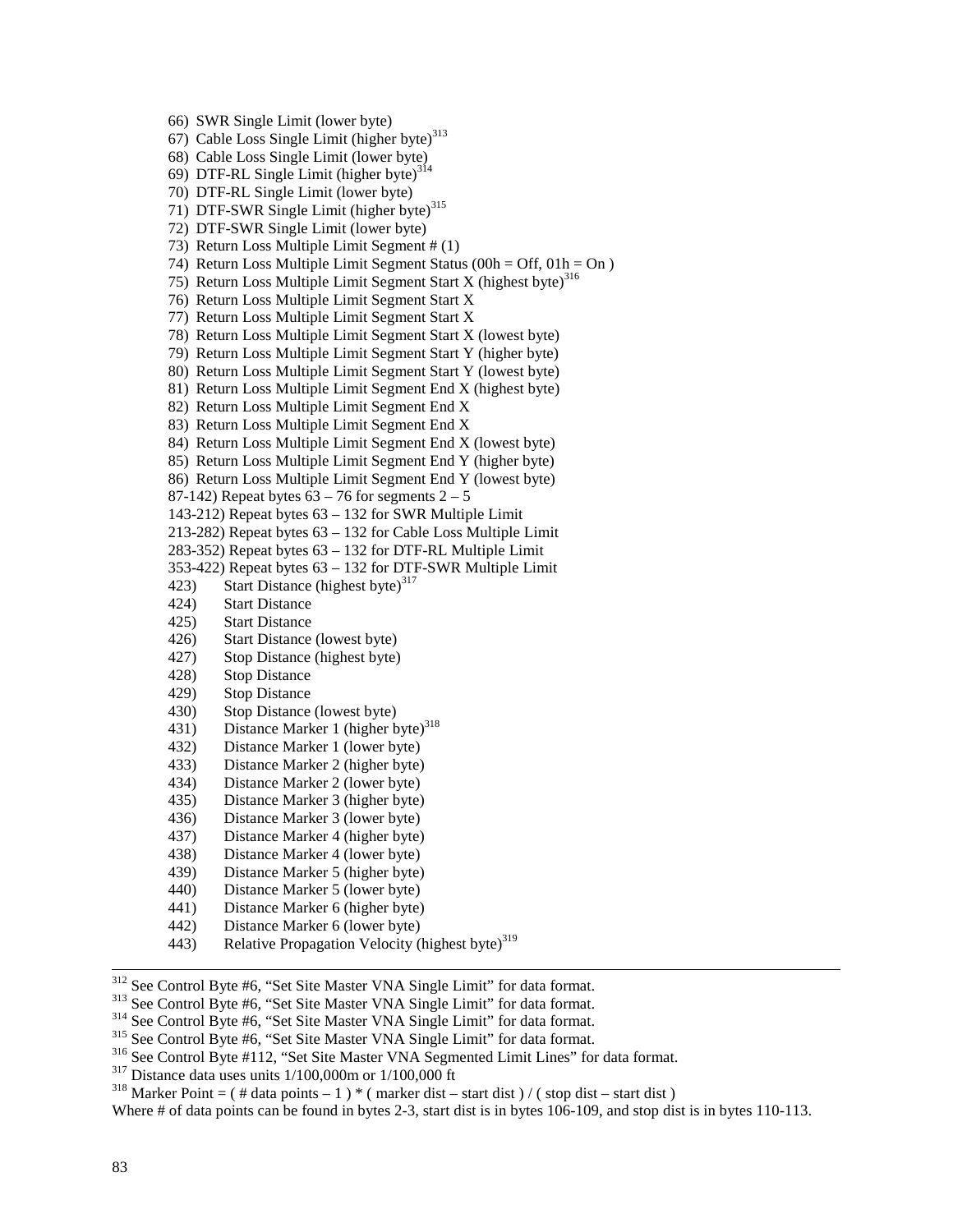66) SWR Single Limit (lower byte) 67) Cable Loss Single Limit (higher byte) $313$ 68) Cable Loss Single Limit (lower byte) 69) DTF-RL Single Limit (higher byte)<sup>314</sup> 70) DTF-RL Single Limit (lower byte) 71) DTF-SWR Single Limit (higher byte)<sup>315</sup> 72) DTF-SWR Single Limit (lower byte) 73) Return Loss Multiple Limit Segment # (1) 74) Return Loss Multiple Limit Segment Status (00h = Off, 01h = On ) 75) Return Loss Multiple Limit Segment Start X (highest byte) $316$ 76) Return Loss Multiple Limit Segment Start X 77) Return Loss Multiple Limit Segment Start X 78) Return Loss Multiple Limit Segment Start X (lowest byte) 79) Return Loss Multiple Limit Segment Start Y (higher byte) 80) Return Loss Multiple Limit Segment Start Y (lowest byte) 81) Return Loss Multiple Limit Segment End X (highest byte) 82) Return Loss Multiple Limit Segment End X 83) Return Loss Multiple Limit Segment End X 84) Return Loss Multiple Limit Segment End X (lowest byte) 85) Return Loss Multiple Limit Segment End Y (higher byte) 86) Return Loss Multiple Limit Segment End Y (lowest byte) 87-142) Repeat bytes  $63 - 76$  for segments  $2 - 5$ 143-212) Repeat bytes 63 – 132 for SWR Multiple Limit 213-282) Repeat bytes 63 – 132 for Cable Loss Multiple Limit 283-352) Repeat bytes 63 – 132 for DTF-RL Multiple Limit 353-422) Repeat bytes 63 – 132 for DTF-SWR Multiple Limit 423) Start Distance (highest byte) $317$ 424) Start Distance 425) Start Distance 426) Start Distance (lowest byte) 427) Stop Distance (highest byte) 428) Stop Distance 429) Stop Distance 430) Stop Distance (lowest byte) 431) Distance Marker 1 (higher byte)<sup>318</sup> 432) Distance Marker 1 (lower byte) 433) Distance Marker 2 (higher byte) 434) Distance Marker 2 (lower byte) 435) Distance Marker 3 (higher byte) 436) Distance Marker 3 (lower byte) 437) Distance Marker 4 (higher byte) 438) Distance Marker 4 (lower byte) 439) Distance Marker 5 (higher byte) 440) Distance Marker 5 (lower byte) 441) Distance Marker 6 (higher byte) 442) Distance Marker 6 (lower byte) 443) Relative Propagation Velocity (highest byte)<sup>319</sup>

<sup>312</sup> See Control Byte #6, "Set Site Master VNA Single Limit" for data format.<br><sup>313</sup> See Control Byte #6, "Set Site Master VNA Single Limit" for data format.<br><sup>314</sup> See Control Byte #6, "Set Site Master VNA Single Limit" f

Where # of data points can be found in bytes 2-3, start dist is in bytes 106-109, and stop dist is in bytes 110-113.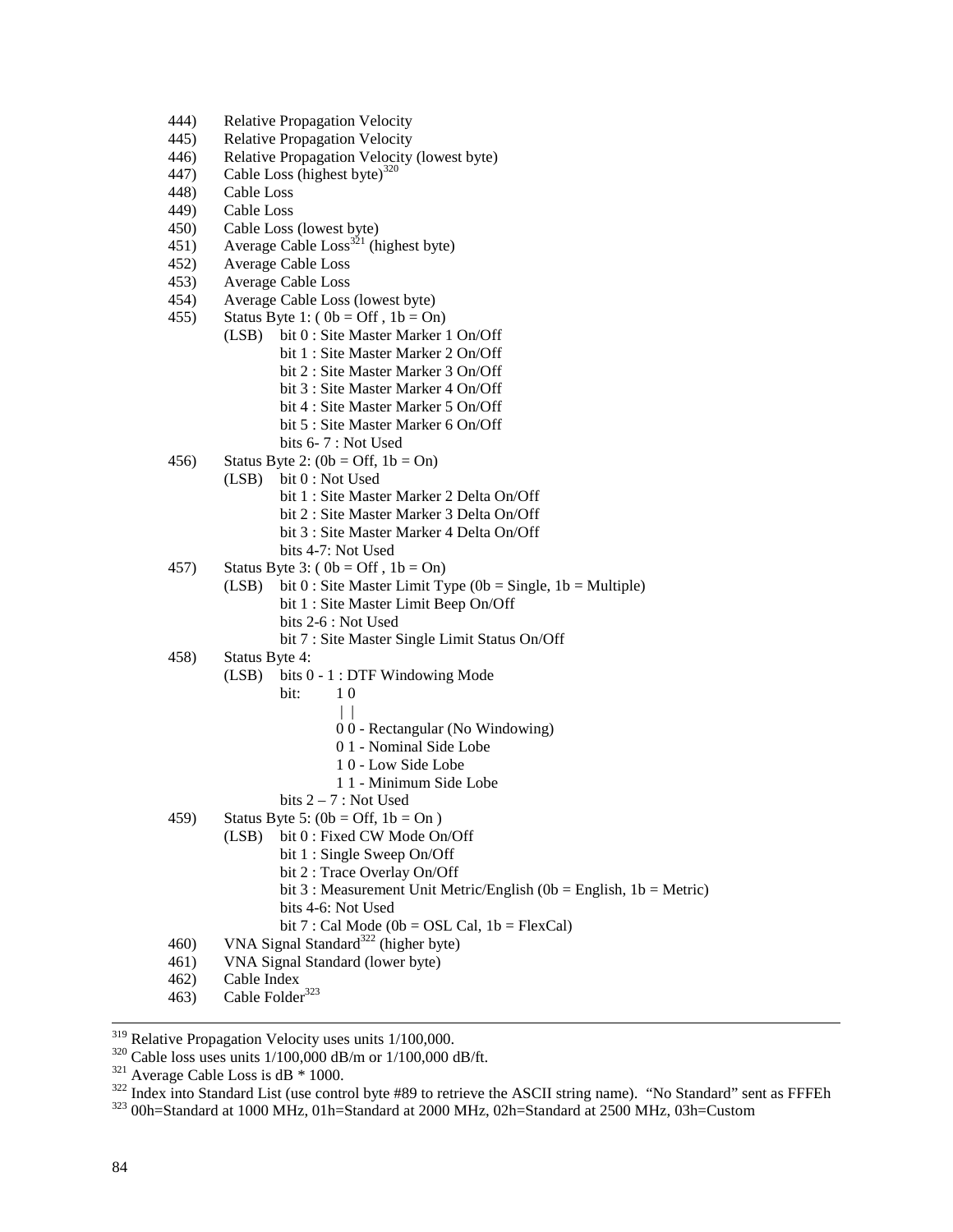- 444) Relative Propagation Velocity
- 445) Relative Propagation Velocity
- 446) Relative Propagation Velocity (lowest byte)
- 447) Cable Loss (highest byte) $320$
- 448) Cable Loss
- 449) Cable Loss
- 450) Cable Loss (lowest byte)
- 451) Average Cable Loss<sup>321</sup> (highest byte)
- 452) Average Cable Loss
- 453) Average Cable Loss
- 454) Average Cable Loss (lowest byte)
- 455) Status Byte 1:  $(0b = Off, 1b = On)$ 
	- (LSB) bit 0 : Site Master Marker 1 On/Off bit 1 : Site Master Marker 2 On/Off bit 2 : Site Master Marker 3 On/Off bit 3 : Site Master Marker 4 On/Off bit 4 : Site Master Marker 5 On/Off bit 5 : Site Master Marker 6 On/Off bits 6- 7 : Not Used
- 456) Status Byte 2:  $(0b = \text{Off}, 1b = \text{On})$ 
	- (LSB) bit 0 : Not Used
		- bit 1 : Site Master Marker 2 Delta On/Off
		- bit 2 : Site Master Marker 3 Delta On/Off
		- bit 3 : Site Master Marker 4 Delta On/Off
		- bits 4-7: Not Used
- 457) Status Byte 3: ( $0b = \text{Off }$ ,  $1b = \text{On}$ )
	- (LSB) bit  $0:$  Site Master Limit Type (0b = Single, 1b = Multiple) bit 1 : Site Master Limit Beep On/Off bits 2-6 : Not Used
		- bit 7 : Site Master Single Limit Status On/Off
- 458) Status Byte 4:
	- (LSB) bits 0 1 : DTF Windowing Mode
- **bit:** 1 0
- | |
	- 0 0 Rectangular (No Windowing)
	- 0 1 Nominal Side Lobe
	- 1 0 Low Side Lobe
	- 1 1 Minimum Side Lobe
	- bits  $2 7$ : Not Used
	- 459) Status Byte 5:  $(0b = Off, 1b = On)$ 
		- (LSB) bit 0 : Fixed CW Mode On/Off
			- bit 1 : Single Sweep On/Off
			- bit 2 : Trace Overlay On/Off
			- bit 3 : Measurement Unit Metric/English (0b = English, 1b = Metric)
			- bits 4-6: Not Used
			- bit 7 : Cal Mode (0b = OSL Cal,  $1b = FlexCal$ )
	- 460) VNA Signal Standard<sup>322</sup> (higher byte)
	- 461) VNA Signal Standard (lower byte)
	- 462) Cable Index
	- 463) Cable Folder<sup>323</sup>

<sup>&</sup>lt;sup>319</sup> Relative Propagation Velocity uses units 1/100,000.<br><sup>320</sup> Cable loss uses units 1/100,000 dB/m or 1/100,000 dB/ft.<br><sup>321</sup> Average Cable Loss is dB \* 1000.<br><sup>322</sup> Index into Standard List (use control byte #89 to retri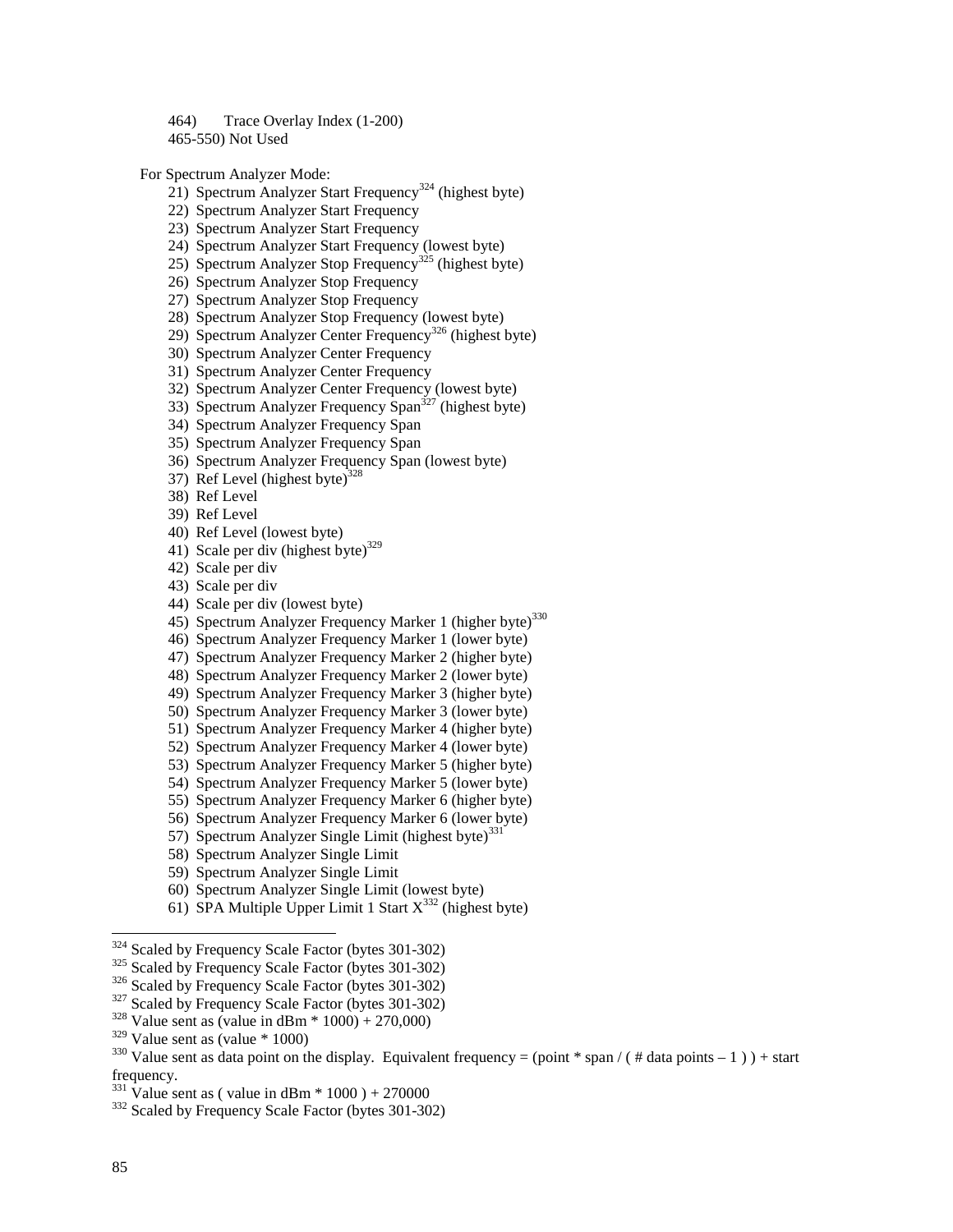464) Trace Overlay Index (1-200) 465-550) Not Used

For Spectrum Analyzer Mode:

- 21) Spectrum Analyzer Start Frequency<sup>324</sup> (highest byte)
- 22) Spectrum Analyzer Start Frequency
- 23) Spectrum Analyzer Start Frequency
- 24) Spectrum Analyzer Start Frequency (lowest byte)
- 25) Spectrum Analyzer Stop Frequency<sup>325</sup> (highest byte)
- 26) Spectrum Analyzer Stop Frequency
- 27) Spectrum Analyzer Stop Frequency
- 28) Spectrum Analyzer Stop Frequency (lowest byte)
- 29) Spectrum Analyzer Center Frequency<sup>326</sup> (highest byte)
- 30) Spectrum Analyzer Center Frequency
- 31) Spectrum Analyzer Center Frequency
- 32) Spectrum Analyzer Center Frequency (lowest byte)
- $33)$  Spectrum Analyzer Frequency Span<sup> $327$ </sup> (highest byte)
- 34) Spectrum Analyzer Frequency Span
- 35) Spectrum Analyzer Frequency Span
- 36) Spectrum Analyzer Frequency Span (lowest byte)
- 37) Ref Level (highest byte) $328$
- 38) Ref Level
- 39) Ref Level
- 40) Ref Level (lowest byte)
- 41) Scale per div (highest byte)<sup>329</sup>
- 42) Scale per div
- 43) Scale per div
- 44) Scale per div (lowest byte)
- 45) Spectrum Analyzer Frequency Marker 1 (higher byte)<sup>330</sup>
- 46) Spectrum Analyzer Frequency Marker 1 (lower byte)
- 47) Spectrum Analyzer Frequency Marker 2 (higher byte)
- 48) Spectrum Analyzer Frequency Marker 2 (lower byte)
- 49) Spectrum Analyzer Frequency Marker 3 (higher byte)
- 50) Spectrum Analyzer Frequency Marker 3 (lower byte)
- 51) Spectrum Analyzer Frequency Marker 4 (higher byte)
- 52) Spectrum Analyzer Frequency Marker 4 (lower byte)
- 53) Spectrum Analyzer Frequency Marker 5 (higher byte)
- 54) Spectrum Analyzer Frequency Marker 5 (lower byte)
- 55) Spectrum Analyzer Frequency Marker 6 (higher byte)
- 56) Spectrum Analyzer Frequency Marker 6 (lower byte)
- 57) Spectrum Analyzer Single Limit (highest byte)<sup>331</sup>
- 58) Spectrum Analyzer Single Limit
- 59) Spectrum Analyzer Single Limit
- 60) Spectrum Analyzer Single Limit (lowest byte)
- 61) SPA Multiple Upper Limit 1 Start  $X^{332}$  (highest byte)

<sup>&</sup>lt;sup>324</sup> Scaled by Frequency Scale Factor (bytes 301-302)<br><sup>325</sup> Scaled by Frequency Scale Factor (bytes 301-302)<br><sup>326</sup> Scaled by Frequency Scale Factor (bytes 301-302)<br><sup>327</sup> Scaled by Frequency Scale Factor (bytes 301-302)<br><sup></sup>

<sup>&</sup>lt;sup>330</sup> Value sent as data point on the display. Equivalent frequency = (point \* span / ( # data points – 1 ) ) + start frequency.<br> $331$  Value sent as (value in dBm  $*$  1000) + 270000

<sup>&</sup>lt;sup>332</sup> Scaled by Frequency Scale Factor (bytes 301-302)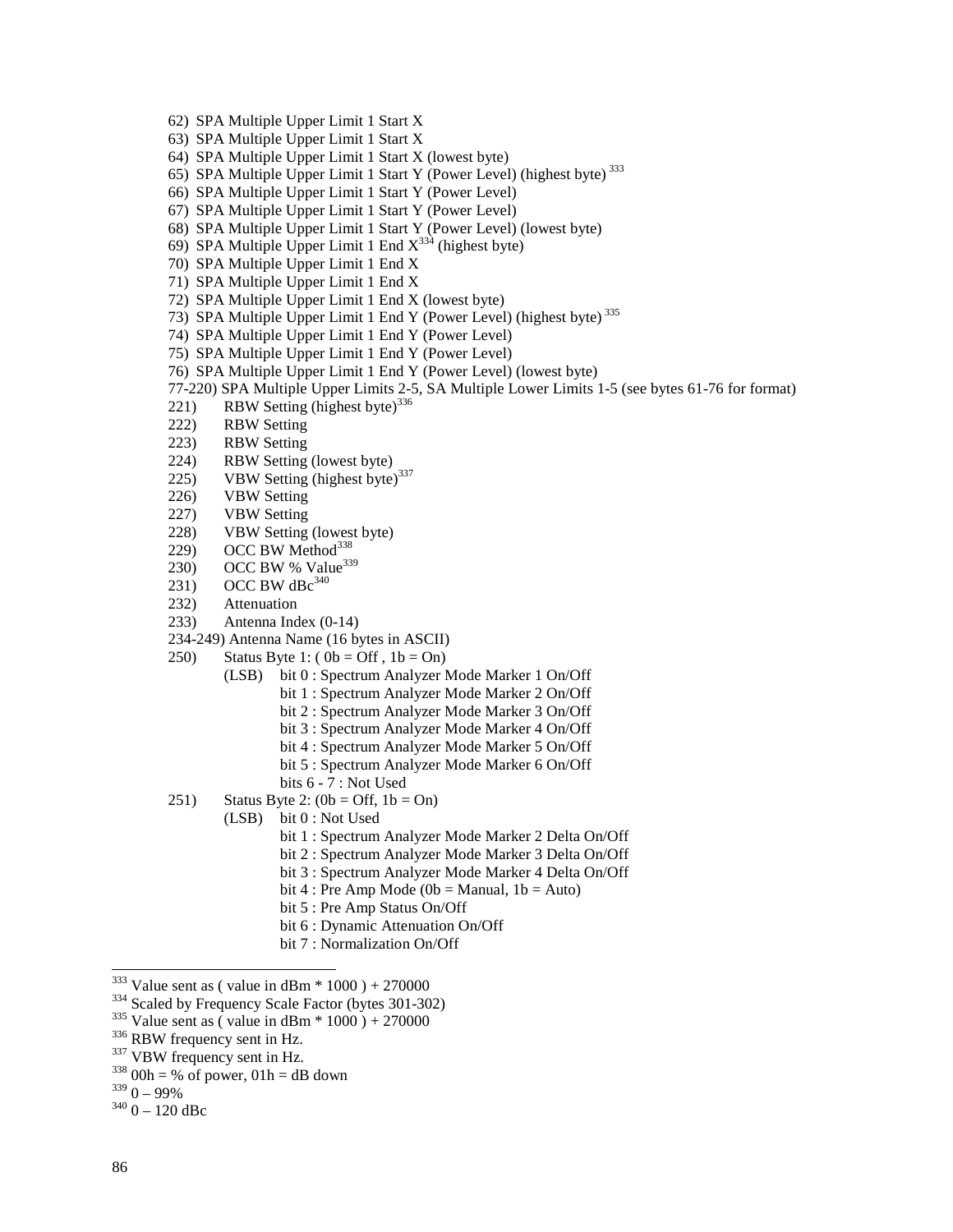- 62) SPA Multiple Upper Limit 1 Start X
- 63) SPA Multiple Upper Limit 1 Start X
- 64) SPA Multiple Upper Limit 1 Start X (lowest byte)
- 65) SPA Multiple Upper Limit 1 Start Y (Power Level) (highest byte) 333
- 66) SPA Multiple Upper Limit 1 Start Y (Power Level)
- 67) SPA Multiple Upper Limit 1 Start Y (Power Level)
- 68) SPA Multiple Upper Limit 1 Start Y (Power Level) (lowest byte)
- 69) SPA Multiple Upper Limit 1 End  $X^{334}$  (highest byte)
- 70) SPA Multiple Upper Limit 1 End X
- 71) SPA Multiple Upper Limit 1 End X
- 72) SPA Multiple Upper Limit 1 End X (lowest byte)
- 73) SPA Multiple Upper Limit 1 End Y (Power Level) (highest byte) 335
- 74) SPA Multiple Upper Limit 1 End Y (Power Level)
- 75) SPA Multiple Upper Limit 1 End Y (Power Level)
- 76) SPA Multiple Upper Limit 1 End Y (Power Level) (lowest byte)
- 77-220) SPA Multiple Upper Limits 2-5, SA Multiple Lower Limits 1-5 (see bytes 61-76 for format)
- 221) RBW Setting (highest byte)<sup>336</sup>
- 222) RBW Setting
- 223) RBW Setting
- 224) RBW Setting (lowest byte)
- 225) VBW Setting (highest byte) $337$
- 226) VBW Setting
- 227) VBW Setting
- 228) VBW Setting (lowest byte)
- 229) OCC BW Method<sup>338</sup>
- 230) OCC BW % Value<sup>339</sup>
- 231) OCC BW dBc $340$
- 232) Attenuation
- 233) Antenna Index (0-14)
- 234-249) Antenna Name (16 bytes in ASCII)
- 250) Status Byte 1:  $(0b = \text{Off } , 1b = \text{On } )$ 
	- (LSB) bit 0 : Spectrum Analyzer Mode Marker 1 On/Off
		- bit 1 : Spectrum Analyzer Mode Marker 2 On/Off
		- bit 2 : Spectrum Analyzer Mode Marker 3 On/Off
		- bit 3 : Spectrum Analyzer Mode Marker 4 On/Off
		- bit 4 : Spectrum Analyzer Mode Marker 5 On/Off
		- bit 5 : Spectrum Analyzer Mode Marker 6 On/Off
		- bits 6 7 : Not Used
- 251) Status Byte 2:  $(0b = \text{Off}, 1b = \text{On})$ 
	- (LSB) bit 0 : Not Used
		- bit 1 : Spectrum Analyzer Mode Marker 2 Delta On/Off
		- bit 2 : Spectrum Analyzer Mode Marker 3 Delta On/Off
		- bit 3 : Spectrum Analyzer Mode Marker 4 Delta On/Off
		- bit  $4$ : Pre Amp Mode (0b = Manual, 1b = Auto)
		- bit 5 : Pre Amp Status On/Off
		- bit 6 : Dynamic Attenuation On/Off
		- bit 7 : Normalization On/Off
- $333$  Value sent as (value in dBm  $*$  1000) + 270000
- <sup>334</sup> Scaled by Frequency Scale Factor (bytes 301-302)<br><sup>335</sup> Value sent as ( value in dBm \* 1000 ) + 270000<br><sup>336</sup> RBW frequency sent in Hz.<br><sup>337</sup> VBW frequency sent in Hz.<br><sup>338</sup> 00h = % of power, 01h = dB down<br><sup>339</sup> 0 9
- 
- 
- 
- 
- 
- $340$  0 120 dBc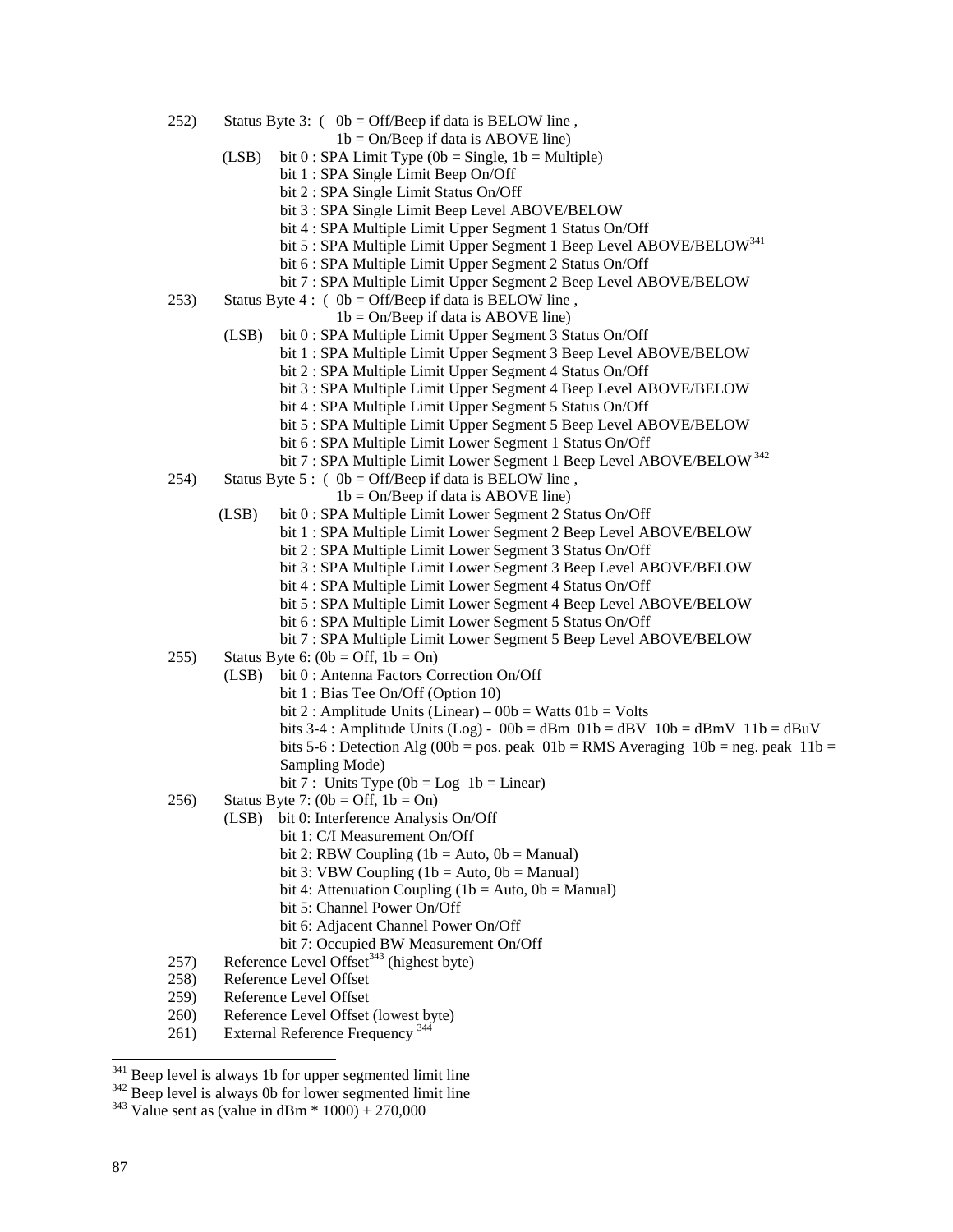252) Status Byte 3:  $(0b = \text{Off/Beep if data is BELOW line})$ ,

 $1b = On/Beep$  if data is ABOVE line)

- (LSB) bit  $0:$  SPA Limit Type (0b = Single, 1b = Multiple)
	- bit 1 : SPA Single Limit Beep On/Off
	- bit 2 : SPA Single Limit Status On/Off
	- bit 3 : SPA Single Limit Beep Level ABOVE/BELOW
	- bit 4 : SPA Multiple Limit Upper Segment 1 Status On/Off
	- bit 5 : SPA Multiple Limit Upper Segment 1 Beep Level ABOVE/BELOW<sup>341</sup>
	- bit 6 : SPA Multiple Limit Upper Segment 2 Status On/Off
	- bit 7 : SPA Multiple Limit Upper Segment 2 Beep Level ABOVE/BELOW
- 253) Status Byte 4 : ( $0b = \text{Off/Beep}$  if data is BELOW line,
	- $1b = On/Beep$  if data is ABOVE line)
	- (LSB) bit 0 : SPA Multiple Limit Upper Segment 3 Status On/Off
		- bit 1 : SPA Multiple Limit Upper Segment 3 Beep Level ABOVE/BELOW
			- bit 2 : SPA Multiple Limit Upper Segment 4 Status On/Off
			- bit 3 : SPA Multiple Limit Upper Segment 4 Beep Level ABOVE/BELOW
			- bit 4 : SPA Multiple Limit Upper Segment 5 Status On/Off
			- bit 5 : SPA Multiple Limit Upper Segment 5 Beep Level ABOVE/BELOW
			- bit 6 : SPA Multiple Limit Lower Segment 1 Status On/Off
		- bit 7 : SPA Multiple Limit Lower Segment 1 Beep Level ABOVE/BELOW<sup>342</sup>
- 254) Status Byte 5: ( $0b = \text{Off/Beep}$  if data is BELOW line,
	- $1b = On/Beep$  if data is ABOVE line)
	- (LSB) bit 0 : SPA Multiple Limit Lower Segment 2 Status On/Off
		- bit 1 : SPA Multiple Limit Lower Segment 2 Beep Level ABOVE/BELOW
			- bit 2 : SPA Multiple Limit Lower Segment 3 Status On/Off
			- bit 3 : SPA Multiple Limit Lower Segment 3 Beep Level ABOVE/BELOW
			- bit 4 : SPA Multiple Limit Lower Segment 4 Status On/Off
			- bit 5 : SPA Multiple Limit Lower Segment 4 Beep Level ABOVE/BELOW
			- bit 6 : SPA Multiple Limit Lower Segment 5 Status On/Off
		- bit 7 : SPA Multiple Limit Lower Segment 5 Beep Level ABOVE/BELOW
- 255) Status Byte 6:  $(0b = \text{Off}, 1b = \text{On})$ 
	- (LSB) bit 0 : Antenna Factors Correction On/Off
		- bit 1 : Bias Tee On/Off (Option 10)
		- bit 2 : Amplitude Units (Linear)  $00b$  = Watts  $01b$  = Volts
		- bits 3-4 : Amplitude Units (Log) 00b = dBm  $01b =$  dBV  $10b =$  dBmV  $11b =$  dBuV
		- bits 5-6 : Detection Alg (00b = pos. peak  $01b = RMS$  Averaging  $10b = neg$ . peak  $11b =$ Sampling Mode)
		- bit 7 : Units Type  $(0b = Log 1b = Linear)$
- 256) Status Byte 7:  $(0b = \text{Off}, 1b = \text{On})$ 
	- (LSB) bit 0: Interference Analysis On/Off
		- bit 1: C/I Measurement On/Off
			- bit 2: RBW Coupling  $(1b = Auto, 0b = Manual)$
			- bit 3: VBW Coupling  $(1b = Auto, 0b = Manual)$
			- bit 4: Attenuation Coupling (1b = Auto,  $0b$  = Manual)
			- bit 5: Channel Power On/Off
			- bit 6: Adjacent Channel Power On/Off
			- bit 7: Occupied BW Measurement On/Off
- 257) Reference Level Offset<sup>343</sup> (highest byte)
- 258) Reference Level Offset
- 259) Reference Level Offset
- 260) Reference Level Offset (lowest byte)
- 261) External Reference Frequency<sup>344</sup>

<sup>&</sup>lt;sup>341</sup> Beep level is always 1b for upper segmented limit line  $343$  Beep level is always 0b for lower segmented limit line  $343$  Value sent as (value in dBm  $*$  1000) + 270,000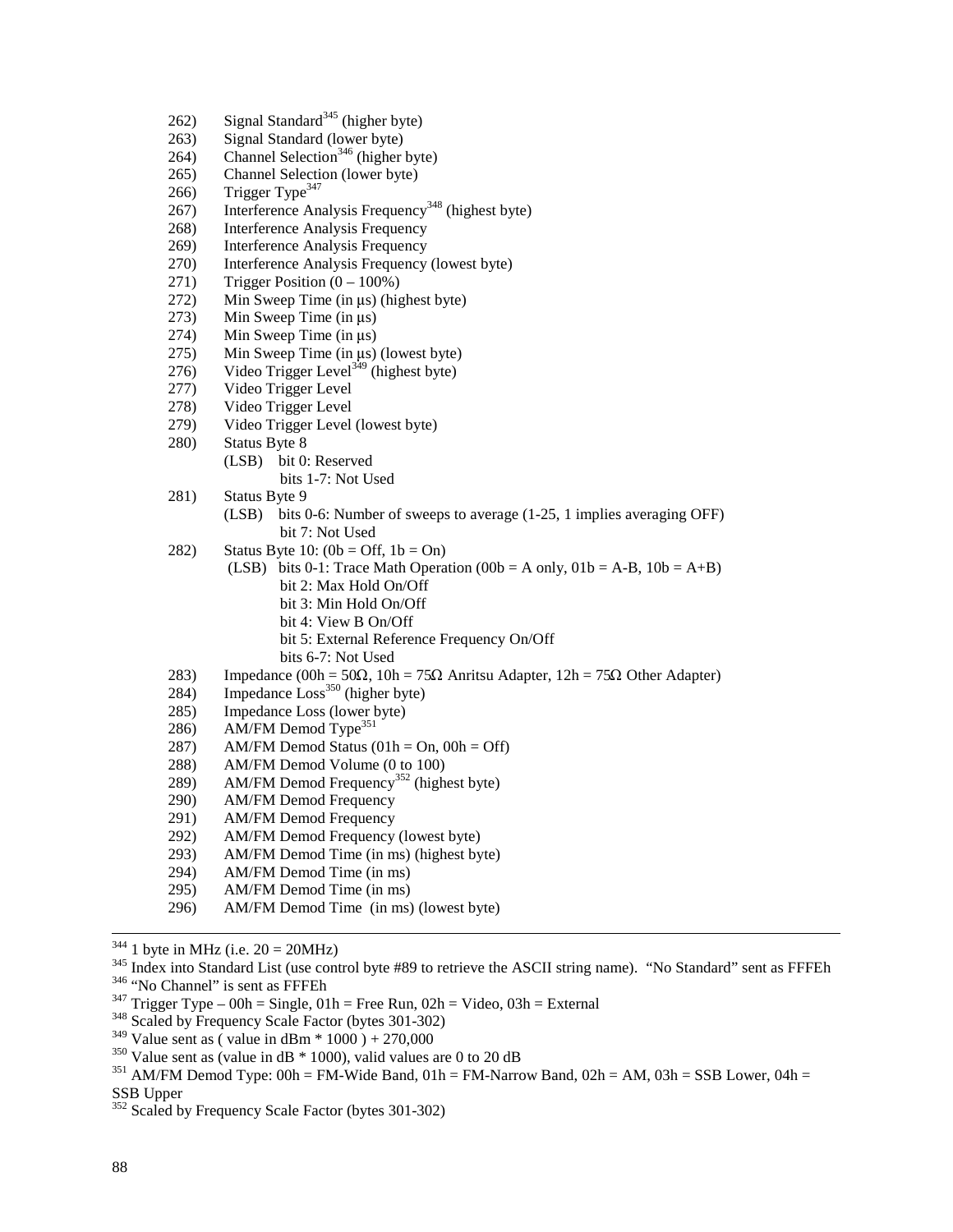- 262) Signal Standard<sup>345</sup> (higher byte)
- 263) Signal Standard (lower byte)
- 264) Channel Selection<sup>346</sup> (higher byte)
- 265) Channel Selection (lower byte)
- 266) Trigger Type<sup>347</sup>
- 267) Interference Analysis Frequency<sup>348</sup> (highest byte)
- 268) Interference Analysis Frequency
- 269) Interference Analysis Frequency
- 270) Interference Analysis Frequency (lowest byte)
- 271) Trigger Position  $(0 100\%)$
- 272) Min Sweep Time (in  $\mu$ s) (highest byte)<br>273) Min Sweep Time (in  $\mu$ s)
- 273) Min Sweep Time (in  $\mu$ s)<br>274) Min Sweep Time (in  $\mu$ s)
- 274) Min Sweep Time (in  $\mu$ s)<br>275) Min Sweep Time (in  $\mu$ s)
- 275) Min Sweep Time (in  $\mu$ s) (lowest byte)<br>276) Video Trigger Level<sup>349</sup> (highest byte)
- Video Trigger Level<sup>349</sup> (highest byte)
- 277) Video Trigger Level
- 278) Video Trigger Level
- 279) Video Trigger Level (lowest byte)
- 280) Status Byte 8
	- (LSB) bit 0: Reserved bits 1-7: Not Used
- 281) Status Byte 9
	- (LSB) bits 0-6: Number of sweeps to average (1-25, 1 implies averaging OFF) bit 7: Not Used
- 282) Status Byte 10:  $(0b = \text{Off. } 1b = \text{On})$ 
	- (LSB) bits 0-1: Trace Math Operation (00b = A only,  $01b = A-B$ ,  $10b = A+B$ ) bit 2: Max Hold On/Off bit 3: Min Hold On/Off bit 4: View B On/Off bit 5: External Reference Frequency On/Off
		- bits 6-7: Not Used
- 283) Impedance  $(00h = 50\Omega, 10h = 75\Omega$  Anritsu Adapter,  $12h = 75\Omega$  Other Adapter)
- $284$ ) Impedance  $Loss<sup>350</sup>$  (higher byte)
- 285) Impedance Loss (lower byte)
- 286) AM/FM Demod Type<sup>351</sup>
- 287) AM/FM Demod Status  $(01h = On, 00h = Off)$
- 288) AM/FM Demod Volume (0 to 100)
- $289$  AM/FM Demod Frequency<sup>352</sup> (highest byte)
- 290) AM/FM Demod Frequency
- 291) AM/FM Demod Frequency
- 292) AM/FM Demod Frequency (lowest byte)
- 293) AM/FM Demod Time (in ms) (highest byte)
- 294) AM/FM Demod Time (in ms)
- 295) AM/FM Demod Time (in ms)
- 296) AM/FM Demod Time (in ms) (lowest byte)

<sup>&</sup>lt;sup>344</sup> 1 byte in MHz (i.e. 20 = 20MHz)<br><sup>345</sup> Index into Standard List (use control byte #89 to retrieve the ASCII string name). "No Standard" sent as FFFEh<br><sup>346</sup> "No Channel" is sent as FFFEh<br><sup>346</sup> "Trigger Type – 00h = Si

<sup>&</sup>lt;sup>350</sup> Value sent as (value in dB \* 1000), valid values are 0 to 20 dB<br><sup>351</sup> AM/FM Demod Type: 00h = FM-Wide Band, 01h = FM-Narrow Band, 02h = AM, 03h = SSB Lower, 04h = SSB Upper

<sup>352</sup> Scaled by Frequency Scale Factor (bytes 301-302)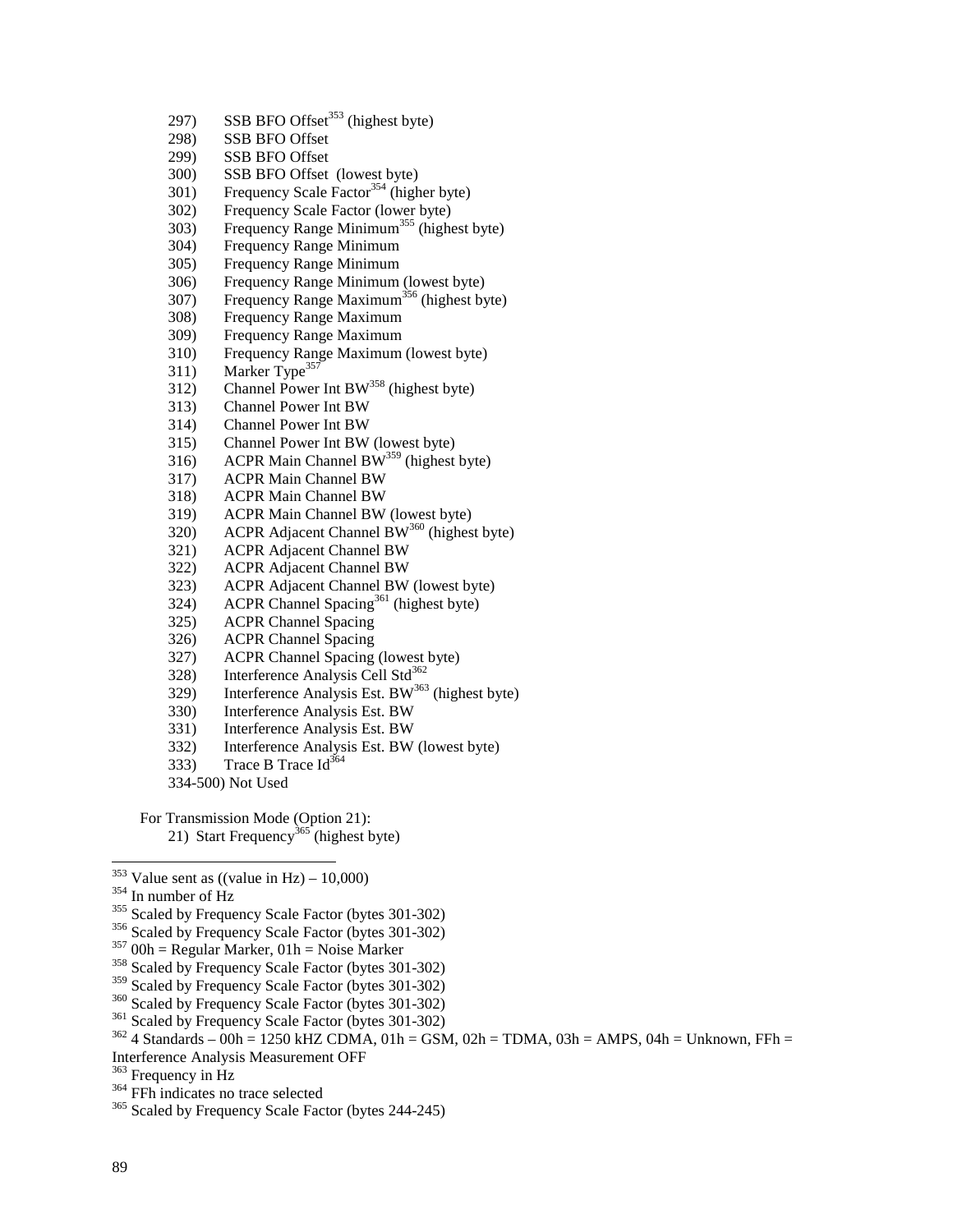- 297) SSB BFO Offset<sup>353</sup> (highest byte)
- 298) SSB BFO Offset
- 299) SSB BFO Offset
- 300) SSB BFO Offset (lowest byte)
- $301$ ) Frequency Scale Factor<sup>354</sup> (higher byte)
- 302) Frequency Scale Factor (lower byte)
- 303) Frequency Range Minimum<sup>355</sup> (highest byte)
- 304) Frequency Range Minimum
- 305) Frequency Range Minimum
- 306) Frequency Range Minimum (lowest byte)
- 307) Frequency Range Maximum<sup>356</sup> (highest byte)
- 308) Frequency Range Maximum
- 309) Frequency Range Maximum
- 310) Frequency Range Maximum (lowest byte)
- 311) Marker Type<sup>357</sup>
- $312)$  Channel Power Int BW<sup>358</sup> (highest byte)
- 313) Channel Power Int BW
- 314) Channel Power Int BW
- 315) Channel Power Int BW (lowest byte)
- 316) ACPR Main Channel BW<sup>359</sup> (highest byte)
- 317) ACPR Main Channel BW
- 318) ACPR Main Channel BW
- 319) ACPR Main Channel BW (lowest byte)
- 320) ACPR Adjacent Channel BW<sup>360</sup> (highest byte)
- 321) ACPR Adjacent Channel BW
- 322) ACPR Adjacent Channel BW
- 323) ACPR Adjacent Channel BW (lowest byte)
- 324) ACPR Channel Spacing<sup>361</sup> (highest byte)
- 325) ACPR Channel Spacing
- 326) ACPR Channel Spacing
- 327) ACPR Channel Spacing (lowest byte)
- 328) Interference Analysis Cell Std<sup>362</sup>
- $329)$  Interference Analysis Est. BW<sup>363</sup> (highest byte)
- 330) Interference Analysis Est. BW
- 331) Interference Analysis Est. BW
- 332) Interference Analysis Est. BW (lowest byte)
- 333) Trace B Trace  $Id^{364}$
- 334-500) Not Used

For Transmission Mode (Option 21): 21) Start Frequency<sup>365</sup> (highest byte)

- 
- 
- 
- 
- <sup>354</sup> In number of Hz<br><sup>355</sup> Scaled by Frequency Scale Factor (bytes 301-302)<br><sup>356</sup> Scaled by Frequency Scale Factor (bytes 301-302)<br><sup>357</sup> 00h = Regular Marker, 01h = Noise Marker<br><sup>358</sup> Scaled by Frequency Scale Factor (by
- 
- 
- 

Interference Analysis Measurement OFF<br>
<sup>363</sup> Frequency in Hz

<sup>&</sup>lt;sup>353</sup> Value sent as ((value in Hz) – 10,000)

<sup>&</sup>lt;sup>360</sup> Scaled by Frequency Scale Factor (bytes 301-302)<br><sup>361</sup> Scaled by Frequency Scale Factor (bytes 301-302)<br><sup>362</sup> 4 Standards – 00h = 1250 kHZ CDMA, 01h = GSM, 02h = TDMA, 03h = AMPS, 04h = Unknown, FFh =

<sup>&</sup>lt;sup>364</sup> FFh indicates no trace selected<br><sup>365</sup> Scaled by Frequency Scale Factor (bytes 244-245)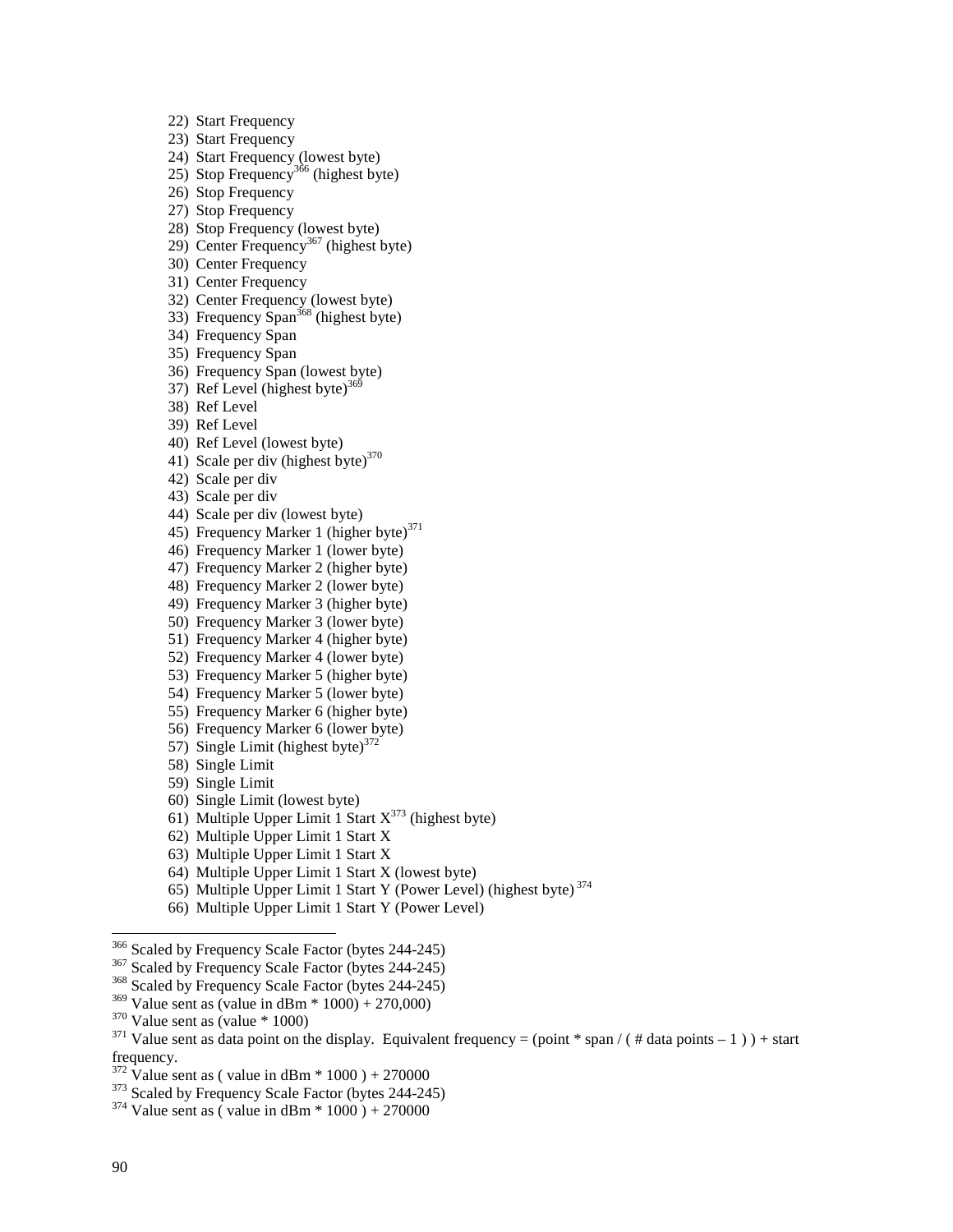22) Start Frequency 23) Start Frequency 24) Start Frequency (lowest byte) 25) Stop Frequency<sup>366</sup> (highest byte) 26) Stop Frequency 27) Stop Frequency 28) Stop Frequency (lowest byte) 29) Center Frequency<sup>367</sup> (highest byte) 30) Center Frequency 31) Center Frequency 32) Center Frequency (lowest byte) 33) Frequency Span<sup>368</sup> (highest byte) 34) Frequency Span 35) Frequency Span 36) Frequency Span (lowest byte) 37) Ref Level (highest byte) $369$ 38) Ref Level 39) Ref Level 40) Ref Level (lowest byte) 41) Scale per div (highest byte) $370$ 42) Scale per div 43) Scale per div 44) Scale per div (lowest byte) 45) Frequency Marker 1 (higher byte) $371$ 46) Frequency Marker 1 (lower byte) 47) Frequency Marker 2 (higher byte) 48) Frequency Marker 2 (lower byte) 49) Frequency Marker 3 (higher byte) 50) Frequency Marker 3 (lower byte) 51) Frequency Marker 4 (higher byte) 52) Frequency Marker 4 (lower byte) 53) Frequency Marker 5 (higher byte) 54) Frequency Marker 5 (lower byte) 55) Frequency Marker 6 (higher byte) 56) Frequency Marker 6 (lower byte)

57) Single Limit (highest byte) $372$ 

58) Single Limit

59) Single Limit

60) Single Limit (lowest byte)

- 61) Multiple Upper Limit 1 Start  $X^{373}$  (highest byte)
- 62) Multiple Upper Limit 1 Start X
- 63) Multiple Upper Limit 1 Start X
- 64) Multiple Upper Limit 1 Start X (lowest byte)
- 65) Multiple Upper Limit 1 Start Y (Power Level) (highest byte) 374
- 66) Multiple Upper Limit 1 Start Y (Power Level)

<sup>&</sup>lt;sup>366</sup> Scaled by Frequency Scale Factor (bytes 244-245)<br><sup>367</sup> Scaled by Frequency Scale Factor (bytes 244-245)<br><sup>368</sup> Scaled by Frequency Scale Factor (bytes 244-245)<br><sup>369</sup> Value sent as (value in dBm \* 1000) + 270,000)

<sup>&</sup>lt;sup>370</sup> Value sent as (value \* 1000)<br><sup>371</sup> Value sent as data point on the display. Equivalent frequency = (point \* span / ( # data points – 1 ) ) + start frequency.<br> $372$  Value sent as (value in dBm  $*$  1000) + 270000

<sup>&</sup>lt;sup>373</sup> Scaled by Frequency Scale Factor (bytes 244-245) <sup>374</sup> Value sent as ( value in dBm  $*$  1000 ) + 270000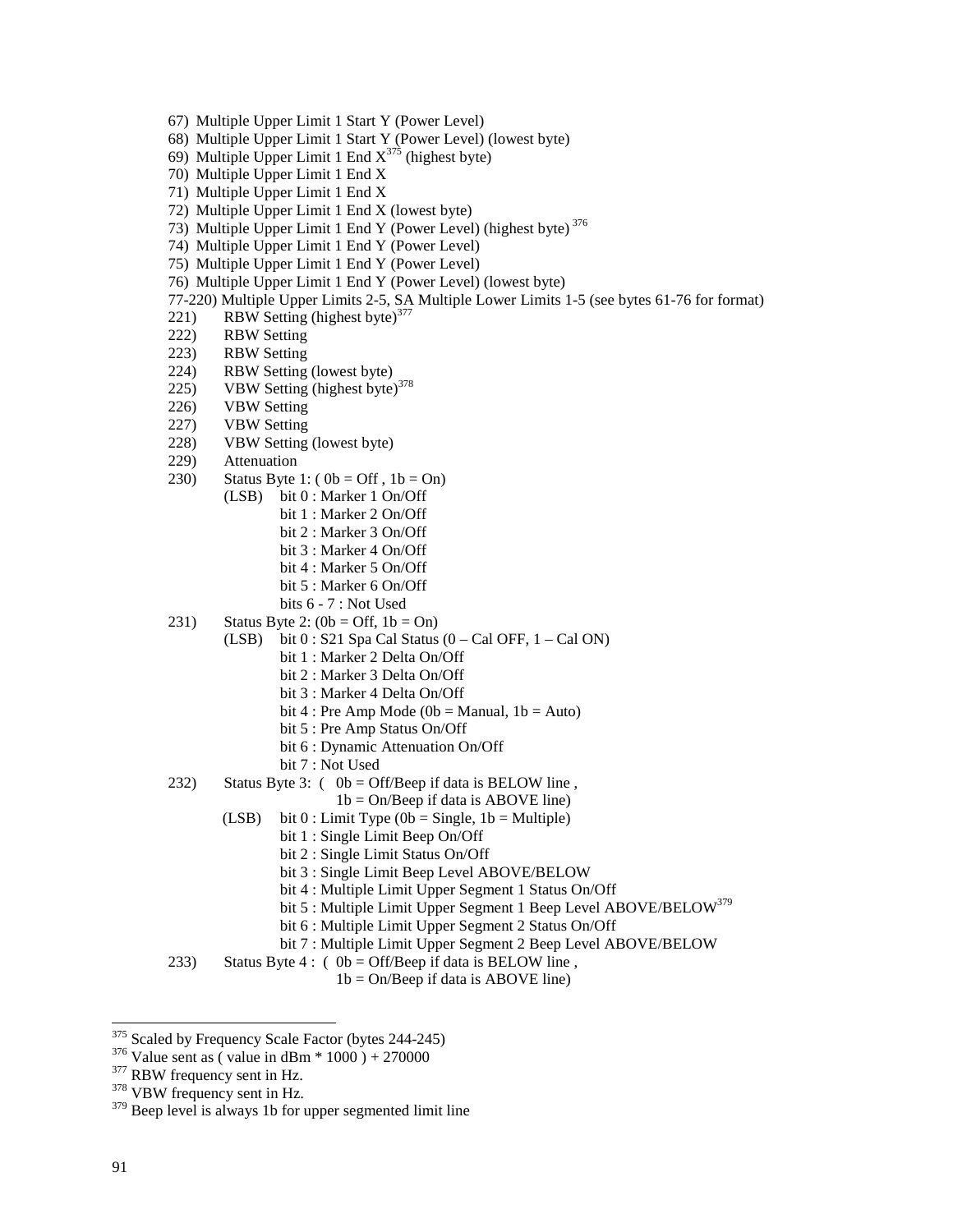- 67) Multiple Upper Limit 1 Start Y (Power Level)
- 68) Multiple Upper Limit 1 Start Y (Power Level) (lowest byte)
- 69) Multiple Upper Limit 1 End  $X^{375}$  (highest byte)
- 70) Multiple Upper Limit 1 End X
- 71) Multiple Upper Limit 1 End X
- 72) Multiple Upper Limit 1 End X (lowest byte)
- 73) Multiple Upper Limit 1 End Y (Power Level) (highest byte) 376
- 74) Multiple Upper Limit 1 End Y (Power Level)
- 75) Multiple Upper Limit 1 End Y (Power Level)
- 76) Multiple Upper Limit 1 End Y (Power Level) (lowest byte)
- 77-220) Multiple Upper Limits 2-5, SA Multiple Lower Limits 1-5 (see bytes 61-76 for format)
- 221) RBW Setting (highest byte) $377$
- 222) RBW Setting
- 223) RBW Setting
- 224) RBW Setting (lowest byte)
- 225) VBW Setting (highest byte)<sup>378</sup>
- 226) VBW Setting
- 227) VBW Setting
- 228) VBW Setting (lowest byte)
- 229) Attenuation
- 230) Status Byte 1:  $(0b = Off, 1b = On)$ 
	- (LSB) bit 0 : Marker 1 On/Off
		- bit 1 : Marker 2 On/Off
		- bit 2 : Marker 3 On/Off
		- bit 3 : Marker 4 On/Off
		- bit 4 : Marker 5 On/Off
		- bit 5 : Marker 6 On/Off
		- bits 6 7 : Not Used
- 231) Status Byte 2:  $(0b = \text{Off}, 1b = \text{On})$ 
	- (LSB) bit  $0:$  S21 Spa Cal Status  $(0 Cal$  OFF,  $1 Cal$  ON)
		- bit 1 : Marker 2 Delta On/Off
		- bit 2 : Marker 3 Delta On/Off
		- bit 3 : Marker 4 Delta On/Off
		- bit 4 : Pre Amp Mode ( $0b$  = Manual,  $1b$  = Auto)
		- bit 5 : Pre Amp Status On/Off
		- bit 6 : Dynamic Attenuation On/Off
		- bit 7 : Not Used
- 232) Status Byte 3:  $(0b = \text{Off/Beep if data is BELOW line)}$ ,
	- $1b = On/Beep$  if data is ABOVE line)
	- (LSB) bit  $0:$  Limit Type (0b = Single, 1b = Multiple)
		- bit 1 : Single Limit Beep On/Off
		- bit 2 : Single Limit Status On/Off
		- bit 3 : Single Limit Beep Level ABOVE/BELOW
		- bit 4 : Multiple Limit Upper Segment 1 Status On/Off
		- bit 5 : Multiple Limit Upper Segment 1 Beep Level ABOVE/BELOW<sup>379</sup>
		- bit 6 : Multiple Limit Upper Segment 2 Status On/Off
		- bit 7 : Multiple Limit Upper Segment 2 Beep Level ABOVE/BELOW
- 233) Status Byte 4 : ( $0b = \text{Off/Beep}$  if data is BELOW line,

 $1b = On/Beep$  if data is ABOVE line)

<sup>&</sup>lt;sup>375</sup> Scaled by Frequency Scale Factor (bytes 244-245)

<sup>&</sup>lt;sup>376</sup> Value sent as ( value in dBm \* 1000 ) + 270000<br><sup>377</sup> RBW frequency sent in Hz.<br><sup>378</sup> VBW frequency sent in Hz.

<sup>&</sup>lt;sup>379</sup> Beep level is always 1b for upper segmented limit line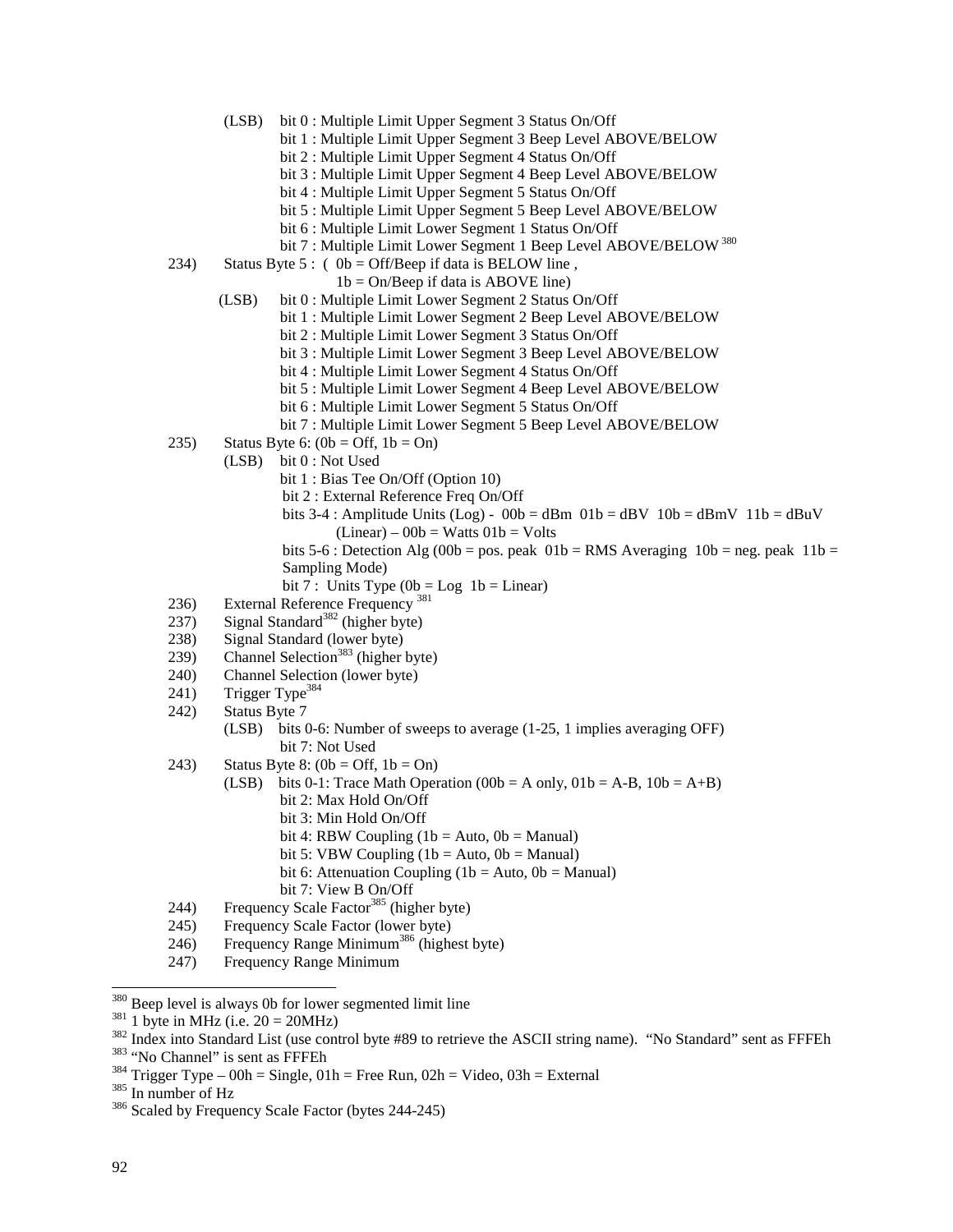- (LSB) bit 0 : Multiple Limit Upper Segment 3 Status On/Off
	- bit 1 : Multiple Limit Upper Segment 3 Beep Level ABOVE/BELOW
		- bit 2 : Multiple Limit Upper Segment 4 Status On/Off
	- bit 3 : Multiple Limit Upper Segment 4 Beep Level ABOVE/BELOW
	- bit 4 : Multiple Limit Upper Segment 5 Status On/Off
	- bit 5 : Multiple Limit Upper Segment 5 Beep Level ABOVE/BELOW
	- bit 6 : Multiple Limit Lower Segment 1 Status On/Off
	- bit 7 : Multiple Limit Lower Segment 1 Beep Level ABOVE/BELOW<sup>380</sup>
- 234) Status Byte 5 : (  $0b = \text{Off/Beep}$  if data is BELOW line,
	- $1b = On/Beep$  if data is ABOVE line)
	- (LSB) bit 0 : Multiple Limit Lower Segment 2 Status On/Off
		- bit 1 : Multiple Limit Lower Segment 2 Beep Level ABOVE/BELOW
			- bit 2 : Multiple Limit Lower Segment 3 Status On/Off
			- bit 3 : Multiple Limit Lower Segment 3 Beep Level ABOVE/BELOW
			- bit 4 : Multiple Limit Lower Segment 4 Status On/Off
			- bit 5 : Multiple Limit Lower Segment 4 Beep Level ABOVE/BELOW
			- bit 6 : Multiple Limit Lower Segment 5 Status On/Off
			- bit 7 : Multiple Limit Lower Segment 5 Beep Level ABOVE/BELOW
- 235) Status Byte 6:  $(0b = \text{Off}, 1b = \text{On})$ 
	- (LSB) bit 0 : Not Used
		- bit 1 : Bias Tee On/Off (Option 10)
		- bit 2 : External Reference Freq On/Off
		- bits 3-4 : Amplitude Units (Log) 00b = dBm 01b = dBV 10b = dBmV 11b = dBuV  $(Linear) - 00b = Watts 01b = Volts$
		- bits 5-6 : Detection Alg (00b = pos. peak  $01b = RMS$  Averaging  $10b = neg$ . peak  $11b =$ Sampling Mode)
		- bit 7 : Units Type  $(0b = Log 1b = Linear)$
- 236) External Reference Frequency<sup>381</sup>
- $237$  Signal Standard<sup>382</sup> (higher byte)
- 238) Signal Standard (lower byte)
- $239)$  Channel Selection<sup>383</sup> (higher byte)
- 240) Channel Selection (lower byte)
- 241) Trigger Type<sup>384</sup>
- 242) Status Byte 7
	- (LSB) bits 0-6: Number of sweeps to average (1-25, 1 implies averaging OFF) bit 7: Not Used
- 243) Status Byte 8:  $(0b = \text{Off}, 1b = \text{On})$ 
	- (LSB) bits 0-1: Trace Math Operation (00b = A only,  $01b = A-B$ ,  $10b = A+B$ ) bit 2: Max Hold On/Off bit 3: Min Hold On/Off
		-
		- bit 4: RBW Coupling  $(1b = Auto, 0b = Manual)$
		- bit 5: VBW Coupling  $(1b = Auto, 0b = Manual)$ bit 6: Attenuation Coupling (1b = Auto,  $0b$  = Manual)
		-
		- bit 7: View B On/Off
- 244) Frequency Scale Factor<sup>385</sup> (higher byte)
- 245) Frequency Scale Factor (lower byte)
- 246) Frequency Range Minimum386 (highest byte)
- 247) Frequency Range Minimum

 $380$  Beep level is always 0b for lower segmented limit line

<sup>&</sup>lt;sup>381</sup> 1 byte in MHz (i.e. 20 = 20MHz)<br><sup>382</sup> Index into Standard List (use control byte #89 to retrieve the ASCII string name). "No Standard" sent as FFFEh<br><sup>383</sup> "No Channel" is sent as FFFEh<br><sup>383</sup> Trigger Type – 00h = Sin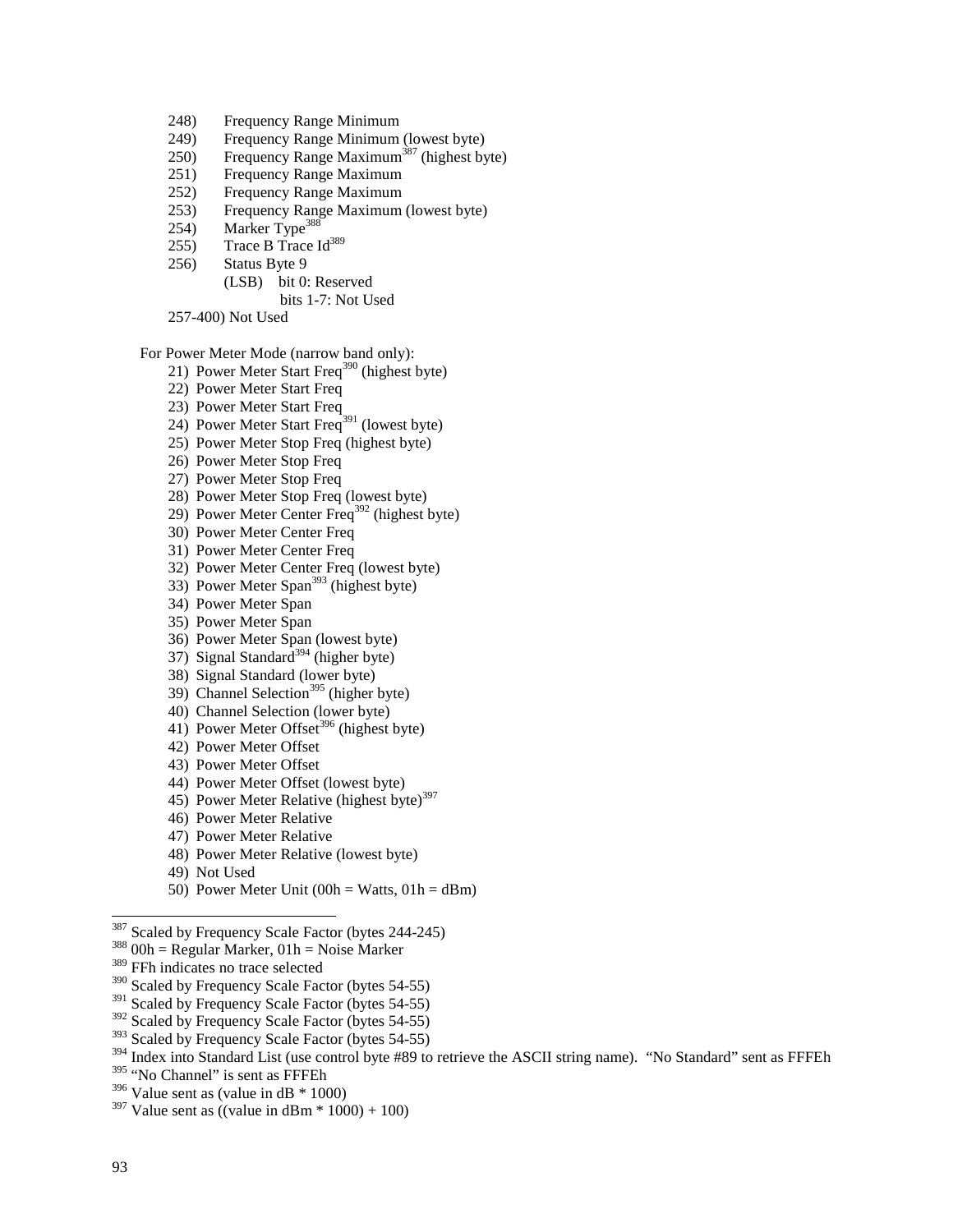- 248) Frequency Range Minimum
- 249) Frequency Range Minimum (lowest byte)
- 250) Frequency Range Maximum<sup>387</sup> (highest byte)
- 251) Frequency Range Maximum
- 252) Frequency Range Maximum
- 253) Frequency Range Maximum (lowest byte)
- 254) Marker Type<sup>388</sup>
- 255) Trace B Trace  $Id^{389}$
- 256) Status Byte 9
	- (LSB) bit 0: Reserved bits 1-7: Not Used
- 257-400) Not Used

For Power Meter Mode (narrow band only):

- 21) Power Meter Start Freq<sup>390</sup> (highest byte)
- 22) Power Meter Start Freq
- 23) Power Meter Start Freq
- 24) Power Meter Start Freq<sup>391</sup> (lowest byte)
- 25) Power Meter Stop Freq (highest byte)
- 26) Power Meter Stop Freq
- 27) Power Meter Stop Freq
- 28) Power Meter Stop Freq (lowest byte)
- 29) Power Meter Center Freq392 (highest byte)
- 30) Power Meter Center Freq
- 31) Power Meter Center Freq
- 32) Power Meter Center Freq (lowest byte)
- 33) Power Meter Span<sup>393</sup> (highest byte)
- 34) Power Meter Span
- 35) Power Meter Span
- 36) Power Meter Span (lowest byte)
- 37) Signal Standard<sup>394</sup> (higher byte)
- 38) Signal Standard (lower byte)
- 39) Channel Selection<sup>395</sup> (higher byte)
- 40) Channel Selection (lower byte)
- 41) Power Meter Offset<sup>396</sup> (highest byte)
- 42) Power Meter Offset
- 43) Power Meter Offset
- 44) Power Meter Offset (lowest byte)
- 45) Power Meter Relative (highest byte)<sup>397</sup>
- 46) Power Meter Relative
- 47) Power Meter Relative
- 48) Power Meter Relative (lowest byte)
- 49) Not Used
- 50) Power Meter Unit  $(00h = Watts, 01h = dBm)$

- $388$  O0h = Regular Marker, 01h = Noise Marker
- 389 FFh indicates no trace selected
- <sup>390</sup> Scaled by Frequency Scale Factor (bytes 54-55)
- <sup>391</sup> Scaled by Frequency Scale Factor (bytes 54-55)
- <sup>392</sup> Scaled by Frequency Scale Factor (bytes 54-55)
- <sup>393</sup> Scaled by Frequency Scale Factor (bytes 54-55)

<sup>&</sup>lt;sup>387</sup> Scaled by Frequency Scale Factor (bytes 244-245)

<sup>&</sup>lt;sup>394</sup> Index into Standard List (use control byte #89 to retrieve the ASCII string name). "No Standard" sent as FFFEh

<sup>395 &</sup>quot;No Channel" is sent as FFFEh

 $396$  Value sent as (value in dB  $*$  1000)

 $397$  Value sent as ((value in dBm  $*$  1000) + 100)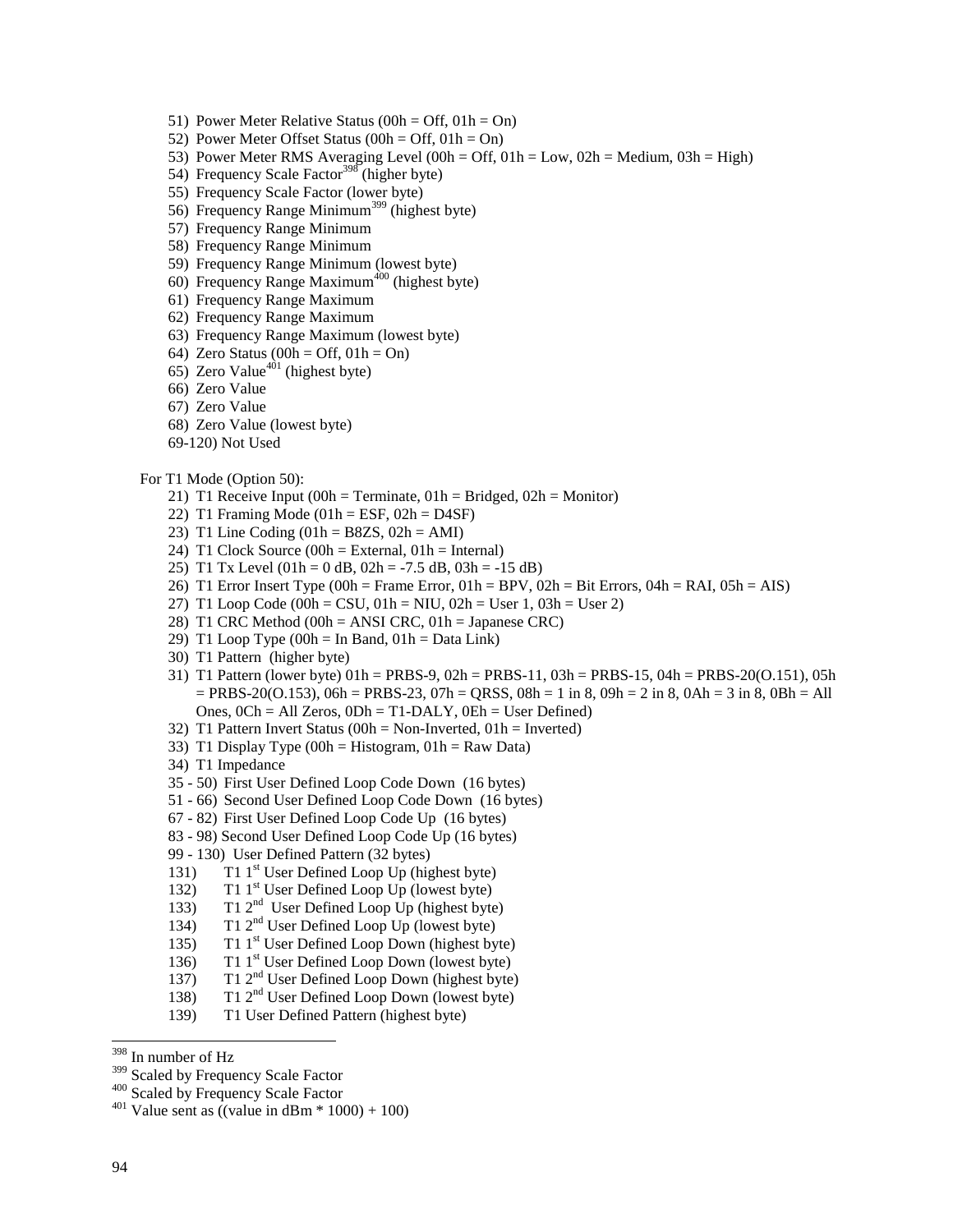- 51) Power Meter Relative Status (00h = Off,  $01h = On$ )
- 52) Power Meter Offset Status  $(00h = \text{Off}, 01h = \text{On})$
- 53) Power Meter RMS Averaging Level (00h = Off,  $01h = Low$ ,  $02h = Medium$ ,  $03h = High$ )
- 54) Frequency Scale Factor<sup>398</sup> (higher byte)
- 55) Frequency Scale Factor (lower byte)
- 56) Frequency Range Minimum<sup>399</sup> (highest byte)
- 57) Frequency Range Minimum
- 58) Frequency Range Minimum
- 59) Frequency Range Minimum (lowest byte)
- 60) Frequency Range Maximum<sup>400</sup> (highest byte)
- 61) Frequency Range Maximum
- 62) Frequency Range Maximum
- 63) Frequency Range Maximum (lowest byte)
- 64) Zero Status (00h = Off,  $01h = On$ )
- 65) Zero Value<sup>401</sup> (highest byte)
- 66) Zero Value
- 67) Zero Value
- 68) Zero Value (lowest byte)
- 69-120) Not Used

#### For T1 Mode (Option 50):

- 21) T1 Receive Input (00h = Terminate,  $01h = Bridged$ ,  $02h = Monitor$ )
- 22) T1 Framing Mode  $(01h = ESF, 02h = D4SF)$
- 23) T1 Line Coding  $(01h = B8ZS, 02h = AMI)$
- 24) T1 Clock Source  $(00h = External, 01h = Internal)$
- 25) T1 Tx Level  $(01h = 0$  dB,  $02h = -7.5$  dB,  $03h = -15$  dB)
- 26) T1 Error Insert Type (00h = Frame Error, 01h = BPV, 02h = Bit Errors, 04h = RAI, 05h = AIS)
- 27) T1 Loop Code (00h = CSU, 01h = NIU, 02h = User 1, 03h = User 2)
- 28) T1 CRC Method (00h = ANSI CRC, 01h = Japanese CRC)
- 29) T1 Loop Type  $(00h = In Band, 01h = Data Link)$
- 30) T1 Pattern (higher byte)
- 31) T1 Pattern (lower byte) 01h = PRBS-9, 02h = PRBS-11, 03h = PRBS-15, 04h = PRBS-20(O.151), 05h  $=$  PRBS-20(O.153), 06h = PRBS-23, 07h = QRSS, 08h = 1 in 8, 09h = 2 in 8, 0Ah = 3 in 8, 0Bh = All Ones, 0Ch = All Zeros, 0Dh = T1-DALY, 0Eh = User Defined)
- 32) T1 Pattern Invert Status ( $00h = Non-Inverted$ ,  $01h = Inverted$ )
- 33) T1 Display Type (00h = Histogram,  $01h = Raw Data$ )
- 34) T1 Impedance
- 35 50) First User Defined Loop Code Down (16 bytes)
- 51 66) Second User Defined Loop Code Down (16 bytes)
- 67 82) First User Defined Loop Code Up (16 bytes)
- 83 98) Second User Defined Loop Code Up (16 bytes)
- 99 130) User Defined Pattern (32 bytes)
- 131) T1 1<sup>st</sup> User Defined Loop Up (highest byte)
- 132) T1 1<sup>st</sup> User Defined Loop Up (lowest byte)
- 133) T1 2<sup>nd</sup> User Defined Loop Up (highest byte)
- 134) T1  $2<sup>nd</sup>$  User Defined Loop Up (lowest byte)
- 135) T1  $1<sup>st</sup>$  User Defined Loop Down (highest byte)
- 136) T1 1<sup>st</sup> User Defined Loop Down (lowest byte)
- 137) T1 2<sup>nd</sup> User Defined Loop Down (highest byte)
- 138) T1 2nd User Defined Loop Down (lowest byte)
- 139) T1 User Defined Pattern (highest byte)

<sup>&</sup>lt;sup>398</sup> In number of Hz<br><sup>399</sup> Scaled by Frequency Scale Factor

<sup>&</sup>lt;sup>400</sup> Scaled by Frequency Scale Factor  $^{401}$  Value sent as ((value in dBm  $*$  1000) + 100)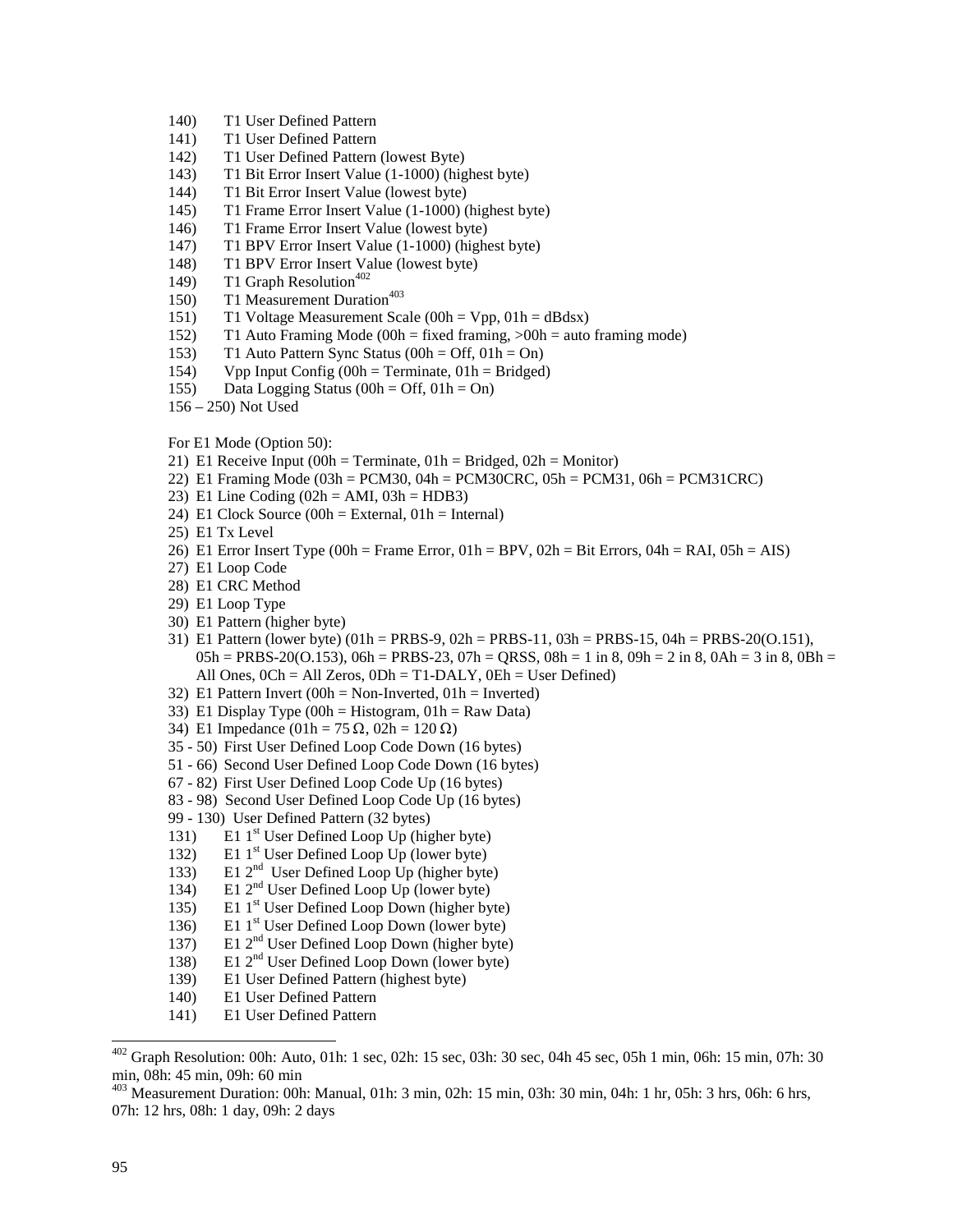- 140) T1 User Defined Pattern
- 141) T1 User Defined Pattern
- 142) T1 User Defined Pattern (lowest Byte)
- 143) T1 Bit Error Insert Value (1-1000) (highest byte)
- 144) T1 Bit Error Insert Value (lowest byte)
- 145) T1 Frame Error Insert Value (1-1000) (highest byte)
- 146) T1 Frame Error Insert Value (lowest byte)
- 147) T1 BPV Error Insert Value (1-1000) (highest byte)
- 148) T1 BPV Error Insert Value (lowest byte)
- 149) T1 Graph Resolution<sup>402</sup>
- 150) T1 Measurement Duration<sup>403</sup>
- 151) T1 Voltage Measurement Scale (00h = Vpp, 01h = dBdsx)
- 152) T1 Auto Framing Mode (00h = fixed framing, >00h = auto framing mode)
- 153) T1 Auto Pattern Sync Status (00h = Off,  $01h = On$ )
- 154) Vpp Input Config (00h = Terminate, 01h = Bridged)
- 155) Data Logging Status (00h = Off,  $01h = On$ )
- 156 250) Not Used

For E1 Mode (Option 50):

- 21) E1 Receive Input (00h = Terminate,  $01h = Bridged$ ,  $02h = Monitor$ )
- 22) E1 Framing Mode (03h = PCM30, 04h = PCM30CRC, 05h = PCM31, 06h = PCM31CRC)
- 23) E1 Line Coding  $(02h = AMI, 03h = HDB3)$
- 24) E1 Clock Source  $(00h = External, 01h = Internal)$
- 25) E1 Tx Level
- 26) E1 Error Insert Type (00h = Frame Error, 01h = BPV, 02h = Bit Errors, 04h = RAI, 05h = AIS)
- 27) E1 Loop Code
- 28) E1 CRC Method
- 29) E1 Loop Type
- 30) E1 Pattern (higher byte)
- 31) E1 Pattern (lower byte) (01h = PRBS-9, 02h = PRBS-11, 03h = PRBS-15, 04h = PRBS-20(O.151),  $05h = PRBS-20(0.153), 06h = PRBS-23, 07h = QRSS, 08h = 1$  in 8,  $09h = 2$  in 8,  $0Ah = 3$  in 8,  $0Bh = 1$ All Ones, 0Ch = All Zeros, 0Dh = T1-DALY, 0Eh = User Defined)
- 32) E1 Pattern Invert (00h = Non-Inverted, 01h = Inverted)
- 33) E1 Display Type (00h = Histogram,  $01h = Raw Data$ )
- 34) E1 Impedance  $(01h = 75 \Omega, 02h = 120 \Omega)$
- 35 50) First User Defined Loop Code Down (16 bytes)
- 51 66) Second User Defined Loop Code Down (16 bytes)
- 67 82) First User Defined Loop Code Up (16 bytes)
- 83 98) Second User Defined Loop Code Up (16 bytes)
- 99 130) User Defined Pattern (32 bytes)
- 131) E1  $1<sup>st</sup>$  User Defined Loop Up (higher byte)
- 132) E1 1<sup>st</sup> User Defined Loop Up (lower byte)
- 133) E1 2nd User Defined Loop Up (higher byte)
- 134) E1 2<sup>nd</sup> User Defined Loop Up (lower byte)
- 135) E1 1<sup>st</sup> User Defined Loop Down (higher byte)
- 136) E1 1<sup>st</sup> User Defined Loop Down (lower byte)
- 137) E1  $2<sup>nd</sup>$  User Defined Loop Down (higher byte)
- 138) E1 2nd User Defined Loop Down (lower byte)
- 139) E1 User Defined Pattern (highest byte)
- 140) E1 User Defined Pattern
- 141) E1 User Defined Pattern

 $402$  Graph Resolution: 00h: Auto, 01h: 1 sec, 02h: 15 sec, 03h: 30 sec, 04h 45 sec, 05h 1 min, 06h: 15 min, 07h: 30 min, 08h: 45 min, 09h: 60 min

<sup>403</sup> Measurement Duration: 00h: Manual, 01h: 3 min, 02h: 15 min, 03h: 30 min, 04h: 1 hr, 05h: 3 hrs, 06h: 6 hrs, 07h: 12 hrs, 08h: 1 day, 09h: 2 days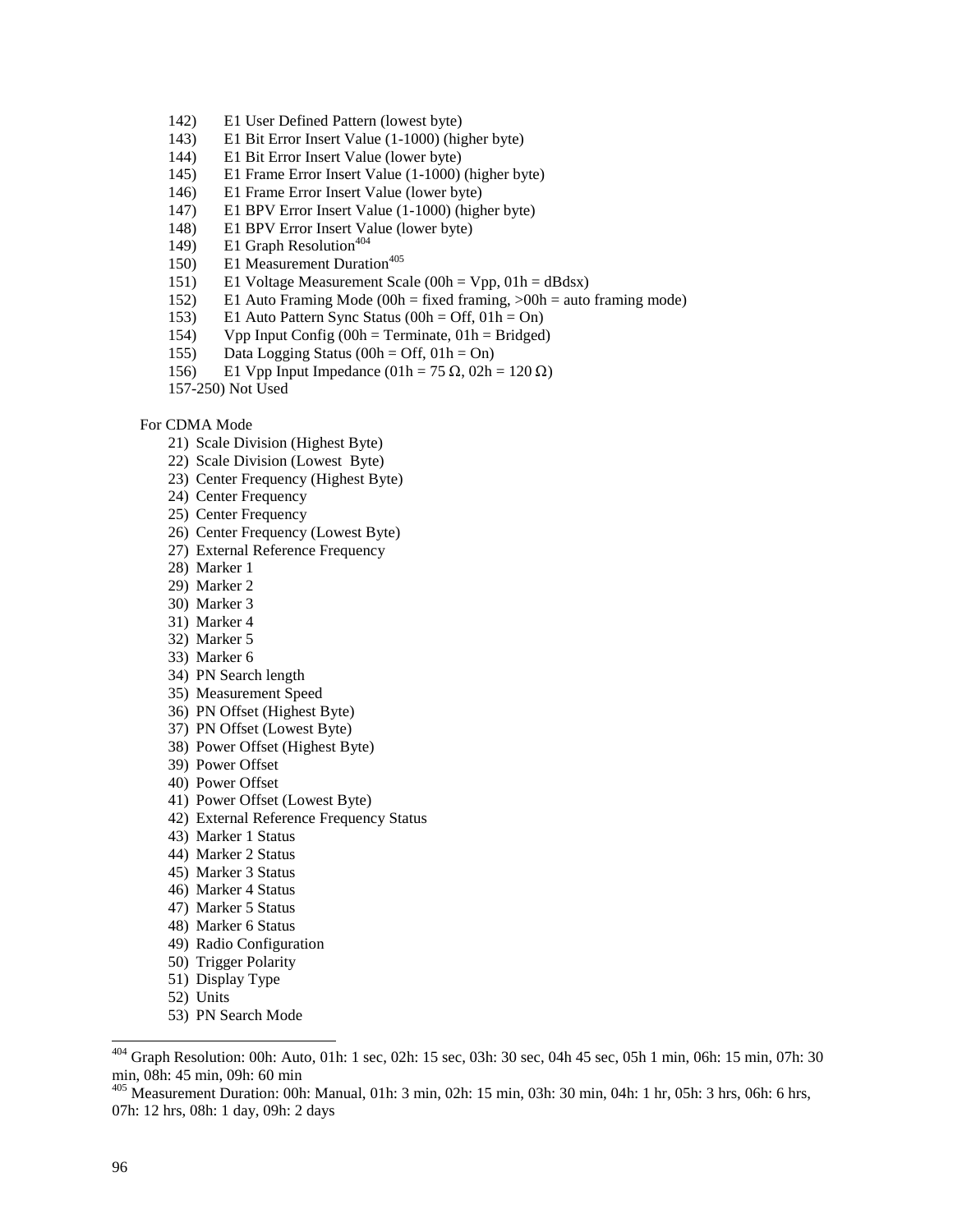- 142) E1 User Defined Pattern (lowest byte)
- 143) E1 Bit Error Insert Value (1-1000) (higher byte)
- 144) E1 Bit Error Insert Value (lower byte)
- 145) E1 Frame Error Insert Value (1-1000) (higher byte)
- 146) E1 Frame Error Insert Value (lower byte)
- 147) E1 BPV Error Insert Value (1-1000) (higher byte)
- 148) E1 BPV Error Insert Value (lower byte)
- 149) E1 Graph Resolution<sup>404</sup>
- 150) E1 Measurement Duration<sup>405</sup>
- 151) E1 Voltage Measurement Scale (00h = Vpp, 01h = dBdsx)
- 152) E1 Auto Framing Mode (00h = fixed framing, >00h = auto framing mode)
- 153) E1 Auto Pattern Sync Status (00h = Off, 01h = On)
- 154) Vpp Input Config  $(00h = Terminate, 01h = Bridged)$
- 155) Data Logging Status (00h = Off,  $01h = On$ )
- 156) E1 Vpp Input Impedance (01h = 75 Ω, 02h = 120 Ω)<br>157.350) Net Used
- 157-250) Not Used

#### For CDMA Mode

- 21) Scale Division (Highest Byte)
- 22) Scale Division (Lowest Byte)
- 23) Center Frequency (Highest Byte)
- 24) Center Frequency
- 25) Center Frequency
- 26) Center Frequency (Lowest Byte)
- 27) External Reference Frequency
- 28) Marker 1
- 29) Marker 2
- 30) Marker 3
- 31) Marker 4
- 32) Marker 5
- 33) Marker 6
- 34) PN Search length
- 35) Measurement Speed
- 36) PN Offset (Highest Byte)
- 37) PN Offset (Lowest Byte)
- 38) Power Offset (Highest Byte)
- 39) Power Offset
- 40) Power Offset
- 41) Power Offset (Lowest Byte)
- 42) External Reference Frequency Status
- 43) Marker 1 Status
- 44) Marker 2 Status
- 45) Marker 3 Status
- 46) Marker 4 Status
- 47) Marker 5 Status
- 48) Marker 6 Status
- 49) Radio Configuration
- 50) Trigger Polarity
- 51) Display Type
- 52) Units
- 53) PN Search Mode

 $404$  Graph Resolution: 00h: Auto, 01h: 1 sec, 02h: 15 sec, 03h: 30 sec, 04h 45 sec, 05h 1 min, 06h: 15 min, 07h: 30 min, 08h: 45 min, 09h: 60 min

<sup>405</sup> Measurement Duration: 00h: Manual, 01h: 3 min, 02h: 15 min, 03h: 30 min, 04h: 1 hr, 05h: 3 hrs, 06h: 6 hrs, 07h: 12 hrs, 08h: 1 day, 09h: 2 days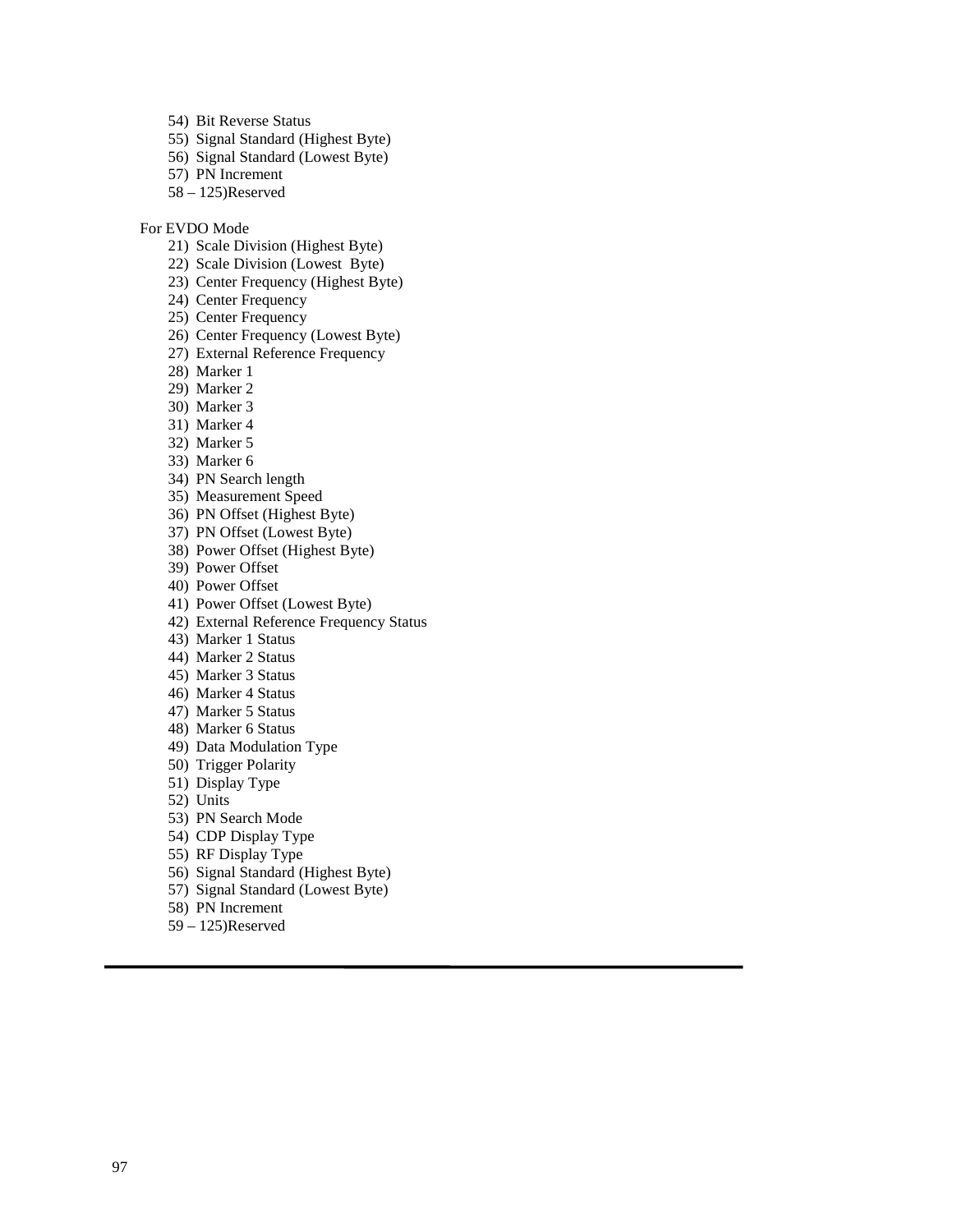54) Bit Reverse Status

- 55) Signal Standard (Highest Byte)
- 56) Signal Standard (Lowest Byte)
- 57) PN Increment
- 58 125)Reserved

For EVDO Mode

- 21) Scale Division (Highest Byte)
- 22) Scale Division (Lowest Byte)
- 23) Center Frequency (Highest Byte)
- 24) Center Frequency
- 25) Center Frequency
- 26) Center Frequency (Lowest Byte)
- 27) External Reference Frequency
- 28) Marker 1
- 29) Marker 2
- 30) Marker 3
- 31) Marker 4
- 32) Marker 5
- 33) Marker 6
- 34) PN Search length
- 35) Measurement Speed
- 36) PN Offset (Highest Byte)
- 37) PN Offset (Lowest Byte)
- 38) Power Offset (Highest Byte)
- 39) Power Offset
- 40) Power Offset
- 41) Power Offset (Lowest Byte)
- 42) External Reference Frequency Status
- 43) Marker 1 Status
- 44) Marker 2 Status
- 45) Marker 3 Status
- 46) Marker 4 Status
- 47) Marker 5 Status
- 48) Marker 6 Status
- 49) Data Modulation Type
- 50) Trigger Polarity
- 51) Display Type
- 52) Units
- 53) PN Search Mode
- 54) CDP Display Type
- 55) RF Display Type
- 56) Signal Standard (Highest Byte)
- 57) Signal Standard (Lowest Byte)
- 58) PN Increment
- 59 125)Reserved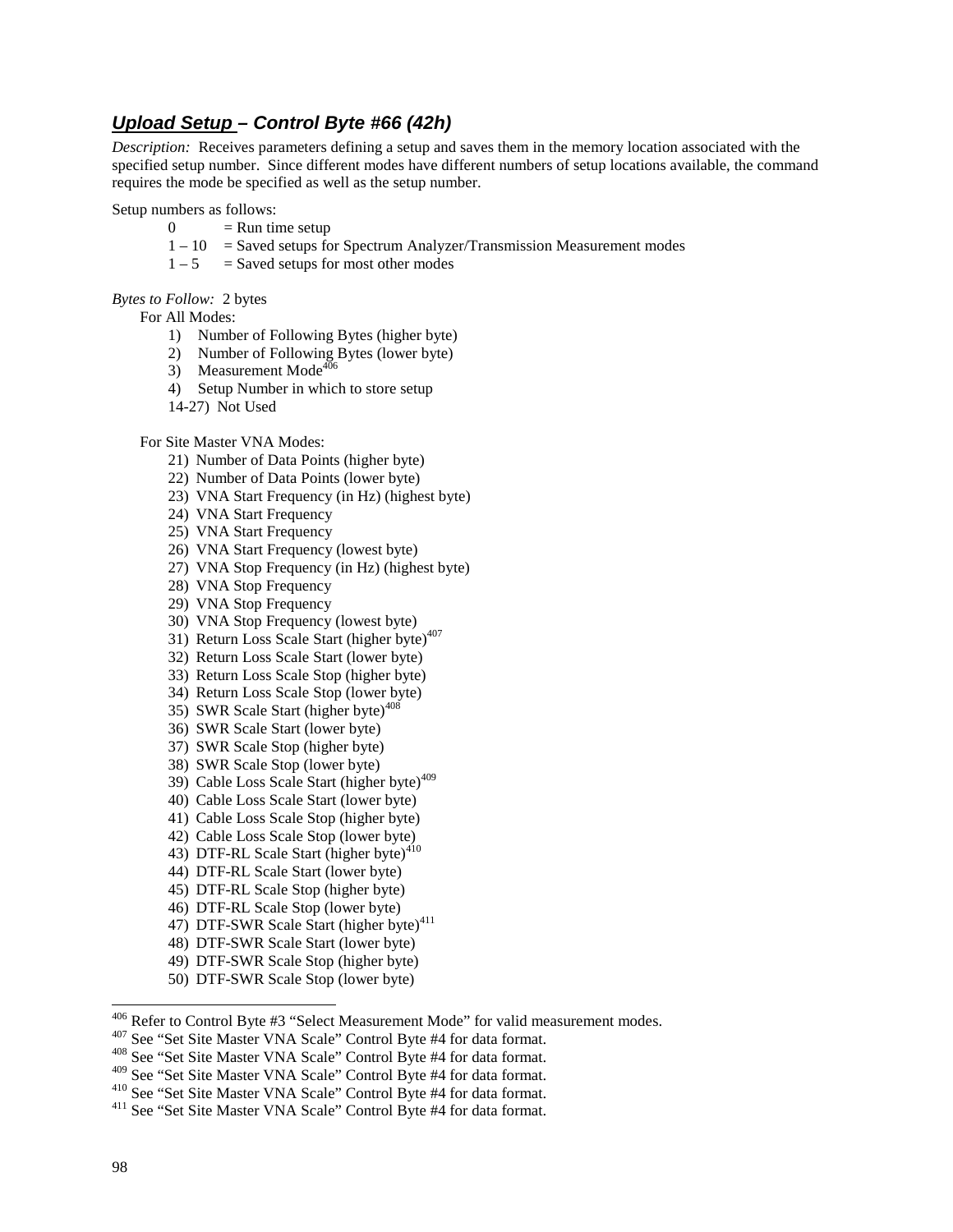# **Upload Setup – Control Byte #66 (42h)**

*Description:* Receives parameters defining a setup and saves them in the memory location associated with the specified setup number. Since different modes have different numbers of setup locations available, the command requires the mode be specified as well as the setup number.

Setup numbers as follows:

- $0 =$  Run time setup
- $1 10$  = Saved setups for Spectrum Analyzer/Transmission Measurement modes
- $1 5$  = Saved setups for most other modes

*Bytes to Follow:* 2 bytes

For All Modes:

- 1) Number of Following Bytes (higher byte)
- 2) Number of Following Bytes (lower byte)
- 3) Measurement Mode<sup>406</sup>
- 4) Setup Number in which to store setup
- 14-27) Not Used

For Site Master VNA Modes:

- 21) Number of Data Points (higher byte)
- 22) Number of Data Points (lower byte)
- 23) VNA Start Frequency (in Hz) (highest byte)
- 24) VNA Start Frequency
- 25) VNA Start Frequency
- 26) VNA Start Frequency (lowest byte)
- 27) VNA Stop Frequency (in Hz) (highest byte)
- 28) VNA Stop Frequency
- 29) VNA Stop Frequency
- 30) VNA Stop Frequency (lowest byte)
- 31) Return Loss Scale Start (higher byte)<sup>407</sup>
- 32) Return Loss Scale Start (lower byte)
- 33) Return Loss Scale Stop (higher byte)
- 34) Return Loss Scale Stop (lower byte)
- 35) SWR Scale Start (higher byte)<sup> $408$ </sup>
- 36) SWR Scale Start (lower byte)
- 37) SWR Scale Stop (higher byte)
- 38) SWR Scale Stop (lower byte)
- 39) Cable Loss Scale Start (higher byte)<sup>409</sup>
- 40) Cable Loss Scale Start (lower byte)
- 41) Cable Loss Scale Stop (higher byte)
- 42) Cable Loss Scale Stop (lower byte)
- 43) DTF-RL Scale Start (higher byte)<sup>410</sup>
- 44) DTF-RL Scale Start (lower byte)
- 45) DTF-RL Scale Stop (higher byte)
- 46) DTF-RL Scale Stop (lower byte)
- 47) DTF-SWR Scale Start (higher byte)<sup>411</sup>
- 48) DTF-SWR Scale Start (lower byte)
- 49) DTF-SWR Scale Stop (higher byte)
- 50) DTF-SWR Scale Stop (lower byte)
- <sup>406</sup> Refer to Control Byte #3 "Select Measurement Mode" for valid measurement modes.<br><sup>407</sup> See "Set Site Master VNA Scale" Control Byte #4 for data format.<br><sup>408</sup> See "Set Site Master VNA Scale" Control Byte #4 for data f
- 

<sup>&</sup>lt;sup>408</sup> See "Set Site Master VNA Scale" Control Byte #4 for data format.<br><sup>409</sup> See "Set Site Master VNA Scale" Control Byte #4 for data format.<br><sup>410</sup> See "Set Site Master VNA Scale" Control Byte #4 for data format.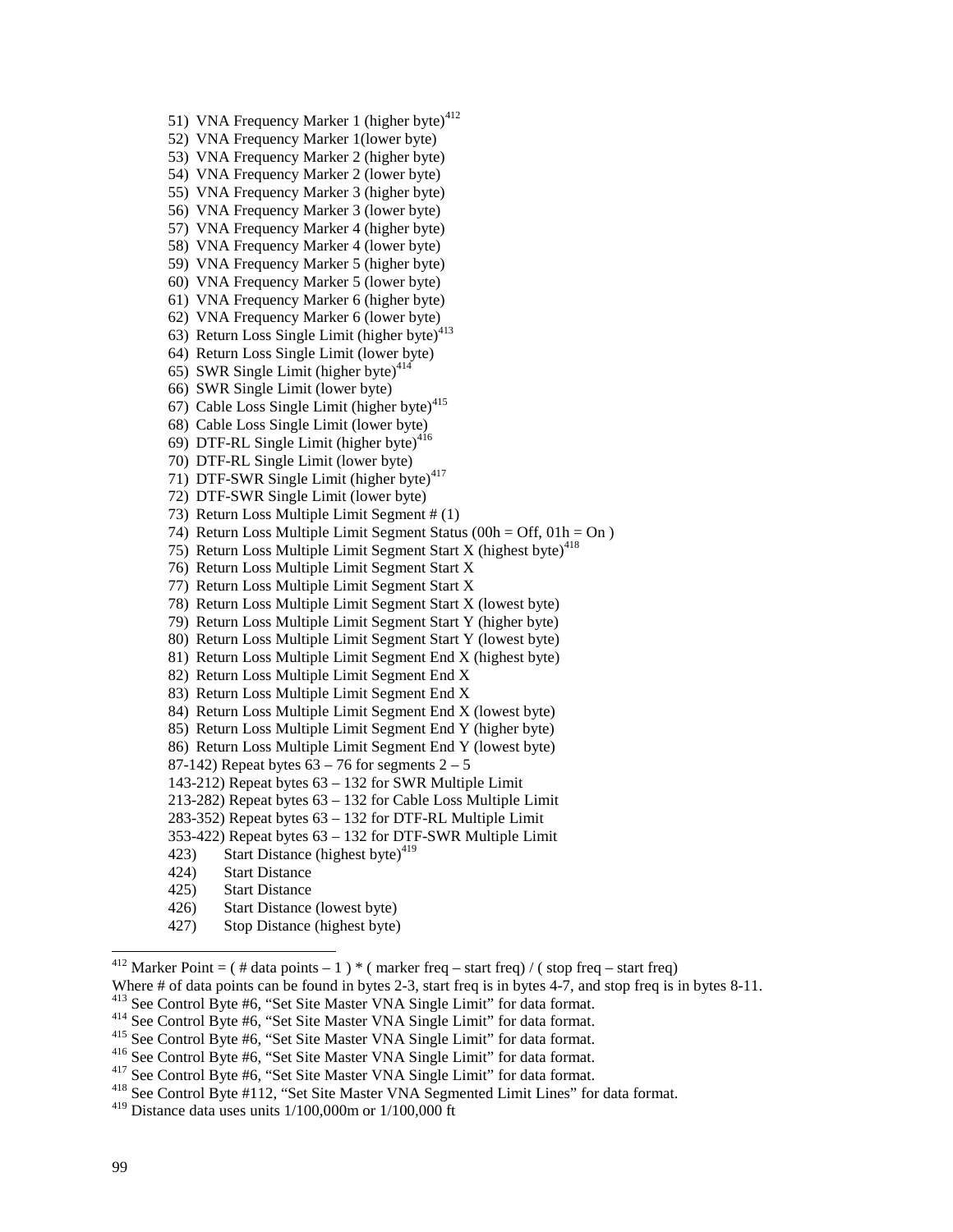51) VNA Frequency Marker 1 (higher byte) $412$ 52) VNA Frequency Marker 1(lower byte) 53) VNA Frequency Marker 2 (higher byte) 54) VNA Frequency Marker 2 (lower byte) 55) VNA Frequency Marker 3 (higher byte) 56) VNA Frequency Marker 3 (lower byte) 57) VNA Frequency Marker 4 (higher byte) 58) VNA Frequency Marker 4 (lower byte) 59) VNA Frequency Marker 5 (higher byte) 60) VNA Frequency Marker 5 (lower byte) 61) VNA Frequency Marker 6 (higher byte) 62) VNA Frequency Marker 6 (lower byte) 63) Return Loss Single Limit (higher byte)<sup>413</sup> 64) Return Loss Single Limit (lower byte) 65) SWR Single Limit (higher byte) $414$ 66) SWR Single Limit (lower byte) 67) Cable Loss Single Limit (higher byte) $415$ 68) Cable Loss Single Limit (lower byte) 69) DTF-RL Single Limit (higher byte) $416$ 70) DTF-RL Single Limit (lower byte) 71) DTF-SWR Single Limit (higher byte)<sup>417</sup> 72) DTF-SWR Single Limit (lower byte) 73) Return Loss Multiple Limit Segment # (1) 74) Return Loss Multiple Limit Segment Status ( $00h = \text{Off}, 01h = \text{On}$ ) 75) Return Loss Multiple Limit Segment Start X (highest byte)<sup>418</sup> 76) Return Loss Multiple Limit Segment Start X 77) Return Loss Multiple Limit Segment Start X 78) Return Loss Multiple Limit Segment Start X (lowest byte) 79) Return Loss Multiple Limit Segment Start Y (higher byte) 80) Return Loss Multiple Limit Segment Start Y (lowest byte) 81) Return Loss Multiple Limit Segment End X (highest byte) 82) Return Loss Multiple Limit Segment End X 83) Return Loss Multiple Limit Segment End X 84) Return Loss Multiple Limit Segment End X (lowest byte) 85) Return Loss Multiple Limit Segment End Y (higher byte) 86) Return Loss Multiple Limit Segment End Y (lowest byte) 87-142) Repeat bytes  $63 - 76$  for segments  $2 - 5$ 143-212) Repeat bytes 63 – 132 for SWR Multiple Limit 213-282) Repeat bytes 63 – 132 for Cable Loss Multiple Limit 283-352) Repeat bytes 63 – 132 for DTF-RL Multiple Limit 353-422) Repeat bytes 63 – 132 for DTF-SWR Multiple Limit 423) Start Distance (highest byte)<sup>419</sup> 424) Start Distance 425) Start Distance 426) Start Distance (lowest byte) 427) Stop Distance (highest byte)

<sup>412</sup> Marker Point =  $($  # data points - 1  $)$  \*  $($  marker freq – start freq)  $/$   $($  stop freq – start freq)

Where # of data points can be found in bytes 2-3, start freq is in bytes 4-7, and stop freq is in bytes 8-11.<br><sup>413</sup> See Control Byte #6, "Set Site Master VNA Single Limit" for data format.

<sup>414</sup> See Control Byte #6, "Set Site Master VNA Single Limit" for data format.<br><sup>415</sup> See Control Byte #6, "Set Site Master VNA Single Limit" for data format.<br><sup>416</sup> See Control Byte #6, "Set Site Master VNA Single Limit" f

 $419$  Distance data uses units  $1/100,000$  m or  $1/100,000$  ft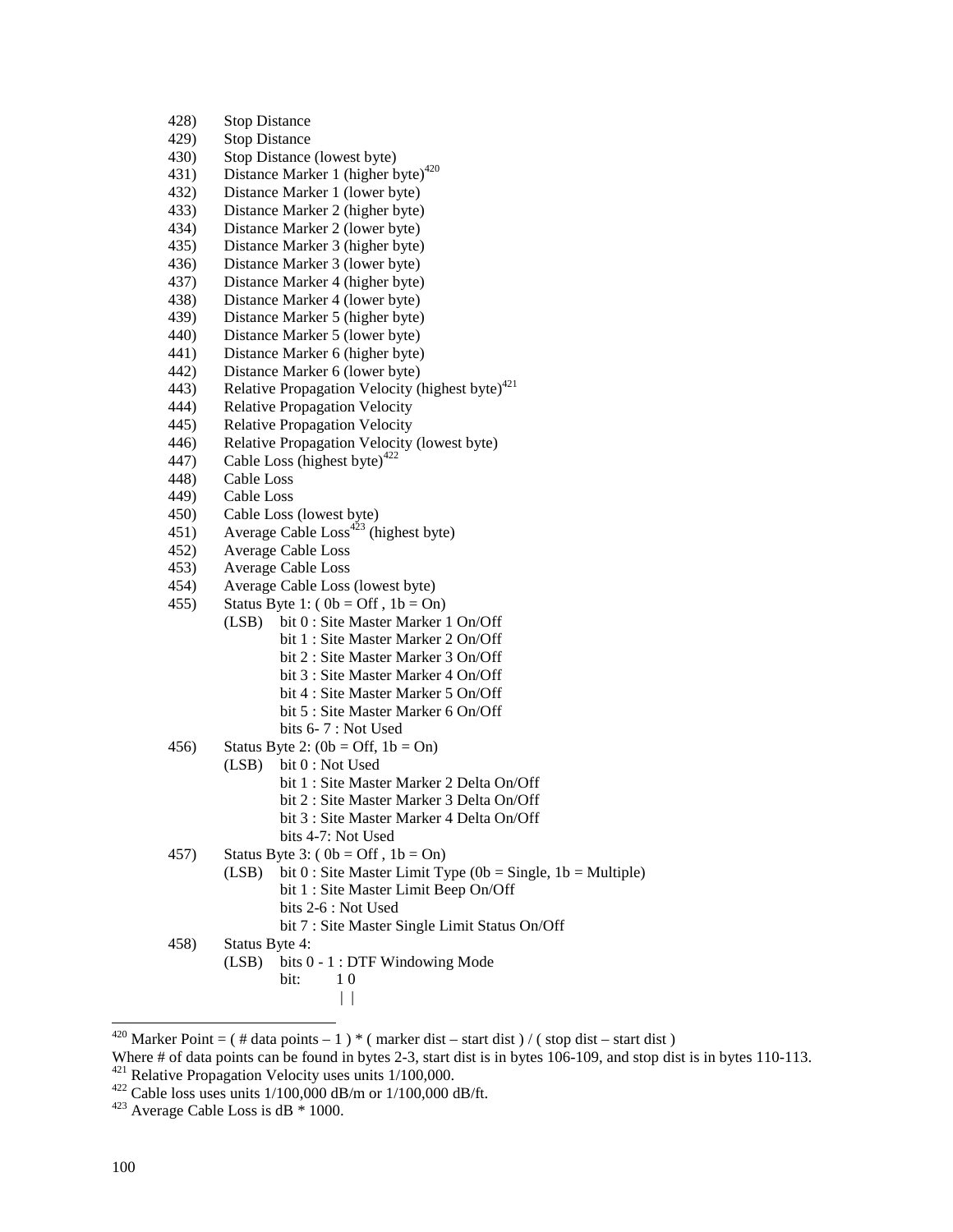| 428) | <b>Stop Distance</b>                                                        |
|------|-----------------------------------------------------------------------------|
| 429) | <b>Stop Distance</b>                                                        |
| 430) | Stop Distance (lowest byte)                                                 |
| 431) | Distance Marker 1 (higher byte) <sup>420</sup>                              |
| 432) | Distance Marker 1 (lower byte)                                              |
| 433) | Distance Marker 2 (higher byte)                                             |
| 434) | Distance Marker 2 (lower byte)                                              |
| 435) | Distance Marker 3 (higher byte)                                             |
| 436) | Distance Marker 3 (lower byte)                                              |
| 437) | Distance Marker 4 (higher byte)                                             |
| 438) | Distance Marker 4 (lower byte)                                              |
| 439) | Distance Marker 5 (higher byte)                                             |
| 440) | Distance Marker 5 (lower byte)                                              |
| 441) | Distance Marker 6 (higher byte)                                             |
| 442) | Distance Marker 6 (lower byte)                                              |
| 443) | Relative Propagation Velocity (highest byte) <sup>421</sup>                 |
| 444) | <b>Relative Propagation Velocity</b>                                        |
| 445) | <b>Relative Propagation Velocity</b>                                        |
| 446) | Relative Propagation Velocity (lowest byte)                                 |
| 447) | Cable Loss (highest byte) <sup>422</sup>                                    |
| 448) | Cable Loss                                                                  |
| 449) | Cable Loss                                                                  |
| 450) | Cable Loss (lowest byte)                                                    |
| 451) | Average Cable $Loss423$ (highest byte)                                      |
| 452) | Average Cable Loss                                                          |
| 453) | Average Cable Loss                                                          |
| 454) | Average Cable Loss (lowest byte)                                            |
| 455) | Status Byte 1: $(0b = Off, 1b = On)$                                        |
|      | bit 0 : Site Master Marker 1 On/Off<br>(LSB)                                |
|      | bit 1 : Site Master Marker 2 On/Off                                         |
|      | bit 2 : Site Master Marker 3 On/Off                                         |
|      | bit 3 : Site Master Marker 4 On/Off                                         |
|      | bit 4 : Site Master Marker 5 On/Off                                         |
|      | bit 5 : Site Master Marker 6 On/Off                                         |
|      | bits 6-7: Not Used                                                          |
| 456) | Status Byte 2: $(0b = Off, 1b = On)$                                        |
|      | bit 0 : Not Used<br>(LSB)                                                   |
|      | bit 1 : Site Master Marker 2 Delta On/Off                                   |
|      | bit 2 : Site Master Marker 3 Delta On/Off                                   |
|      | bit 3 : Site Master Marker 4 Delta On/Off                                   |
|      | bits 4-7: Not Used                                                          |
| 457) | Status Byte 3: $(0b = Off, 1b = On)$                                        |
|      | bit 0 : Site Master Limit Type ( $0b = Single$ , $1b = Multiple$ )<br>(LSB) |
|      | bit 1 : Site Master Limit Beep On/Off                                       |
|      | bits 2-6 : Not Used                                                         |
|      | bit 7 : Site Master Single Limit Status On/Off                              |
| 458) | Status Byte 4:                                                              |
|      | bits 0 - 1 : DTF Windowing Mode<br>(LSB)<br>bit:<br>10                      |
|      |                                                                             |
|      | $\Box$                                                                      |

 $\overline{a}$ 

<sup>&</sup>lt;sup>420</sup> Marker Point =  $($  # data points - 1  $)$  \*  $($  marker dist – start dist  $)/$   $($  stop dist – start dist  $)$ 

Where # of data points can be found in bytes 2-3, start dist is in bytes 106-109, and stop dist is in bytes 110-113. <sup>421</sup> Relative Propagation Velocity uses units 1/100,000.<br><sup>422</sup> Cable loss uses units 1/100,000 dB/m or 1/100,000 dB/ft.<br><sup>423</sup> Average Cable Loss is dB \* 1000.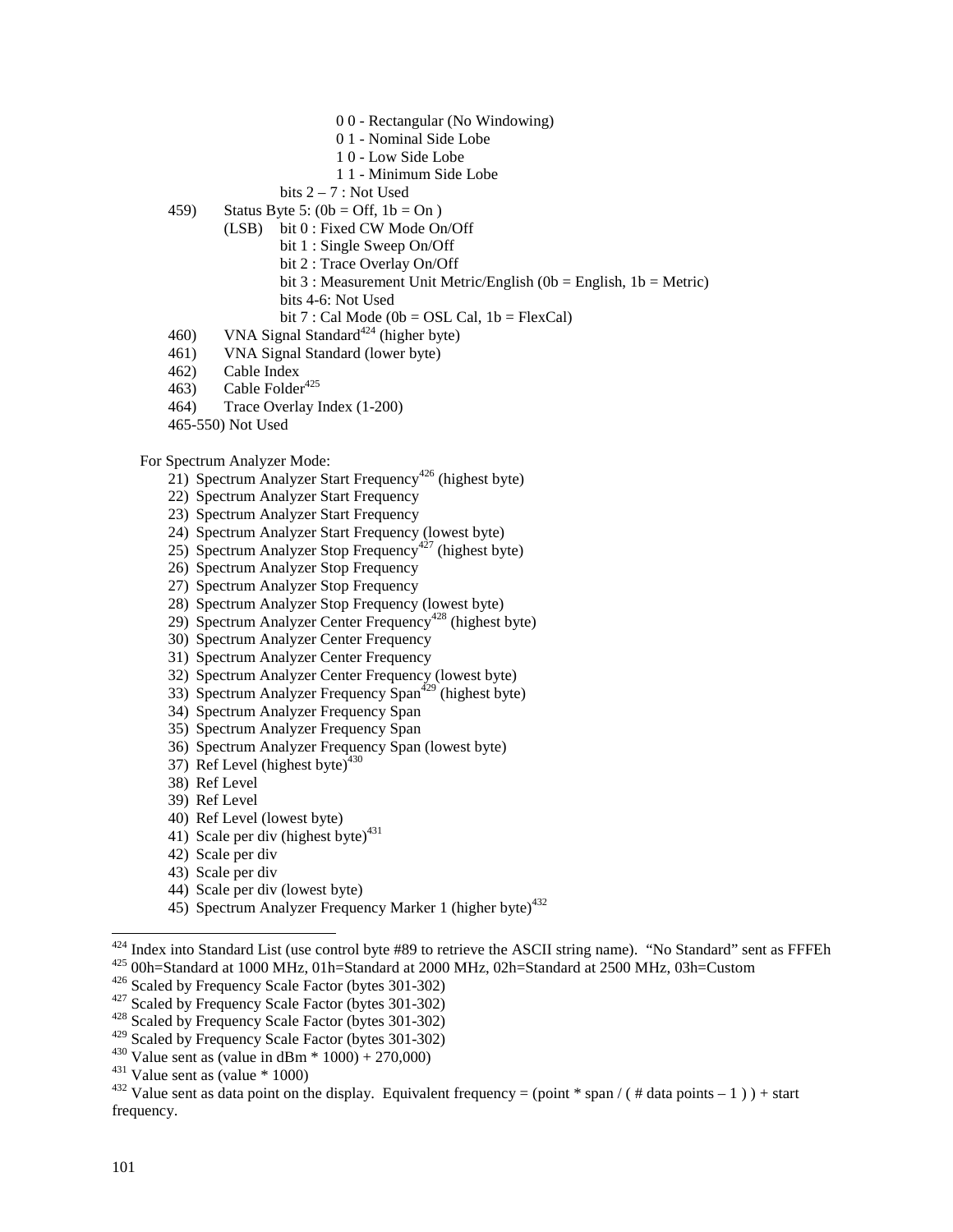- 0 0 Rectangular (No Windowing)
- 0 1 Nominal Side Lobe
- 1 0 Low Side Lobe
- 1 1 Minimum Side Lobe
- bits  $2 7$ : Not Used
- 459) Status Byte 5:  $(0b = Off, 1b = On)$ 
	- (LSB) bit 0 : Fixed CW Mode On/Off
		- bit 1 : Single Sweep On/Off
		- bit 2 : Trace Overlay On/Off
		- bit 3 : Measurement Unit Metric/English (0b = English, 1b = Metric)
		- bits 4-6: Not Used
		- bit  $7:$  Cal Mode (0b = OSL Cal, 1b = FlexCal)
- 460) VNA Signal Standard<sup>424</sup> (higher byte)
- 461) VNA Signal Standard (lower byte)
- 462) Cable Index
- 463) Cable Folder<sup>425</sup>
- 464) Trace Overlay Index (1-200)
- 465-550) Not Used

### For Spectrum Analyzer Mode:

- 21) Spectrum Analyzer Start Frequency<sup>426</sup> (highest byte)
- 22) Spectrum Analyzer Start Frequency
- 23) Spectrum Analyzer Start Frequency
- 24) Spectrum Analyzer Start Frequency (lowest byte)
- 25) Spectrum Analyzer Stop Frequency<sup>427</sup> (highest byte)
- 26) Spectrum Analyzer Stop Frequency
- 27) Spectrum Analyzer Stop Frequency
- 28) Spectrum Analyzer Stop Frequency (lowest byte)
- 29) Spectrum Analyzer Center Frequency<sup>428</sup> (highest byte)
- 30) Spectrum Analyzer Center Frequency
- 31) Spectrum Analyzer Center Frequency
- 32) Spectrum Analyzer Center Frequency (lowest byte)
- 33) Spectrum Analyzer Frequency Span<sup> $429$ </sup> (highest byte)
- 34) Spectrum Analyzer Frequency Span
- 35) Spectrum Analyzer Frequency Span
- 36) Spectrum Analyzer Frequency Span (lowest byte)
- 37) Ref Level (highest byte) $430$
- 38) Ref Level
- 39) Ref Level
- 40) Ref Level (lowest byte)
- 41) Scale per div (highest byte) $431$
- 42) Scale per div
- 43) Scale per div
- 44) Scale per div (lowest byte)
- 45) Spectrum Analyzer Frequency Marker 1 (higher byte)<sup>432</sup>

<sup>&</sup>lt;sup>424</sup> Index into Standard List (use control byte #89 to retrieve the ASCII string name). "No Standard" sent as FFFEh<br><sup>425</sup> 00h=Standard at 1000 MHz, 01h=Standard at 2000 MHz, 02h=Standard at 2500 MHz, 03h=Custom<br><sup>426</sup> Sca

<sup>&</sup>lt;sup>429</sup> Scaled by Frequency Scale Factor (bytes 301-302)<br><sup>430</sup> Value sent as (value in dBm \* 1000) + 270,000)<br><sup>431</sup> Value sent as (value \* 1000)<br><sup>432</sup> Value sent as data point on the display. Equivalent frequency = (point \* frequency.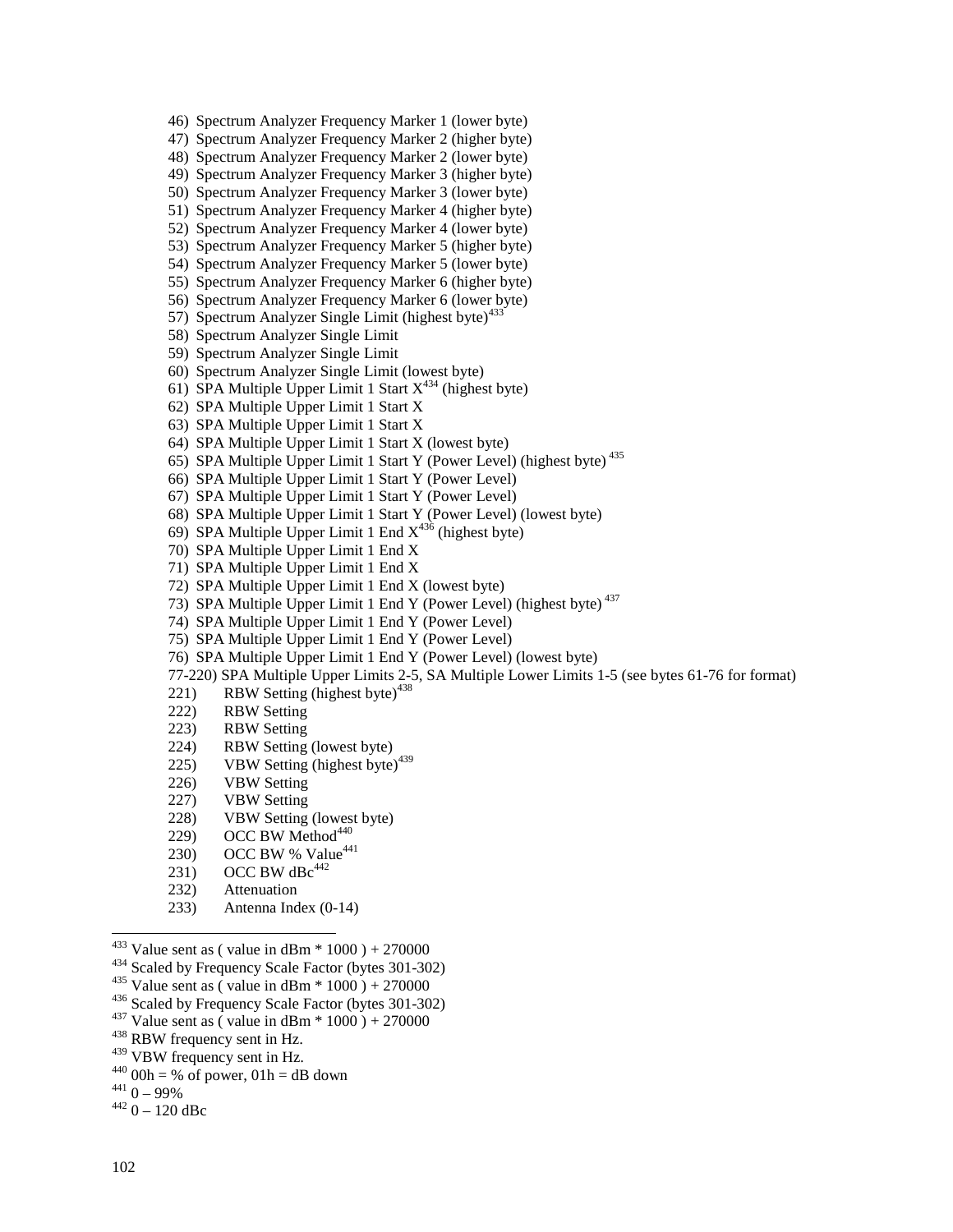46) Spectrum Analyzer Frequency Marker 1 (lower byte)

47) Spectrum Analyzer Frequency Marker 2 (higher byte)

48) Spectrum Analyzer Frequency Marker 2 (lower byte)

49) Spectrum Analyzer Frequency Marker 3 (higher byte)

50) Spectrum Analyzer Frequency Marker 3 (lower byte)

51) Spectrum Analyzer Frequency Marker 4 (higher byte)

52) Spectrum Analyzer Frequency Marker 4 (lower byte)

53) Spectrum Analyzer Frequency Marker 5 (higher byte)

54) Spectrum Analyzer Frequency Marker 5 (lower byte)

55) Spectrum Analyzer Frequency Marker 6 (higher byte)

56) Spectrum Analyzer Frequency Marker 6 (lower byte)

57) Spectrum Analyzer Single Limit (highest byte) $433$ 

58) Spectrum Analyzer Single Limit

59) Spectrum Analyzer Single Limit

60) Spectrum Analyzer Single Limit (lowest byte)

61) SPA Multiple Upper Limit 1 Start  $X^{434}$  (highest byte)

62) SPA Multiple Upper Limit 1 Start X

63) SPA Multiple Upper Limit 1 Start X

64) SPA Multiple Upper Limit 1 Start X (lowest byte)

65) SPA Multiple Upper Limit 1 Start Y (Power Level) (highest byte) 435

66) SPA Multiple Upper Limit 1 Start Y (Power Level)

67) SPA Multiple Upper Limit 1 Start Y (Power Level)

68) SPA Multiple Upper Limit 1 Start Y (Power Level) (lowest byte)

69) SPA Multiple Upper Limit 1 End  $X^{436}$  (highest byte)

70) SPA Multiple Upper Limit 1 End X

71) SPA Multiple Upper Limit 1 End X

72) SPA Multiple Upper Limit 1 End X (lowest byte)

73) SPA Multiple Upper Limit 1 End Y (Power Level) (highest byte) 437

74) SPA Multiple Upper Limit 1 End Y (Power Level)

75) SPA Multiple Upper Limit 1 End Y (Power Level)

76) SPA Multiple Upper Limit 1 End Y (Power Level) (lowest byte)

77-220) SPA Multiple Upper Limits 2-5, SA Multiple Lower Limits 1-5 (see bytes 61-76 for format)

221) RBW Setting (highest byte) $438$ 

222) RBW Setting

223) RBW Setting

224) RBW Setting (lowest byte)

225) VBW Setting (highest byte) $439$ 

226) VBW Setting

227) VBW Setting

228) VBW Setting (lowest byte)

229) OCC BW Method<sup>440</sup>

230) OCC BW % Value<sup>441</sup>

231) OCC BW dBc $442$ 

232) Attenuation

233) Antenna Index (0-14)

<sup>433</sup> Value sent as (value in dBm \* 1000 ) + 270000<br><sup>434</sup> Scaled by Frequency Scale Factor (bytes 301-302)<br><sup>435</sup> Value sent as (value in dBm \* 1000 ) + 270000<br><sup>436</sup> Scaled by Frequency Scale Factor (bytes 301-302)<br><sup>437</sup> V

440 00h = % of power, 01h = dB down<br>  $^{441}$  0 – 99%<br>  $^{442}$  0 – 120 dBc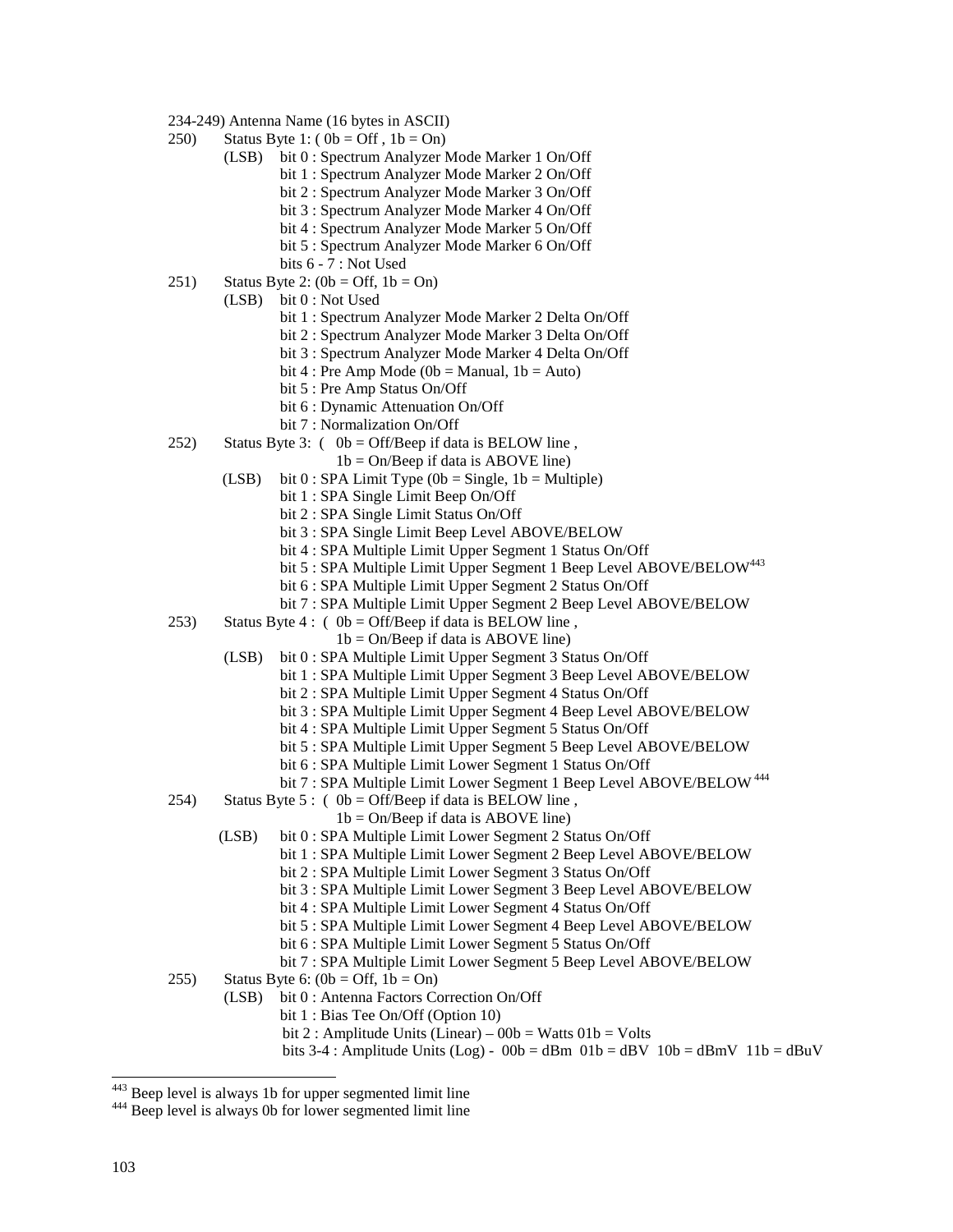- 234-249) Antenna Name (16 bytes in ASCII)
- 250) Status Byte 1:  $(0b = \text{Off } , 1b = \text{On})$ 
	- (LSB) bit 0 : Spectrum Analyzer Mode Marker 1 On/Off
		- bit 1 : Spectrum Analyzer Mode Marker 2 On/Off
		- bit 2 : Spectrum Analyzer Mode Marker 3 On/Off
		- bit 3 : Spectrum Analyzer Mode Marker 4 On/Off
		- bit 4 : Spectrum Analyzer Mode Marker 5 On/Off
		- bit 5 : Spectrum Analyzer Mode Marker 6 On/Off
		- bits 6 7 : Not Used
- 251) Status Byte 2:  $(0b = \text{Off}, 1b = \text{On})$ 
	- (LSB) bit 0 : Not Used
		- bit 1 : Spectrum Analyzer Mode Marker 2 Delta On/Off
		- bit 2 : Spectrum Analyzer Mode Marker 3 Delta On/Off
		- bit 3 : Spectrum Analyzer Mode Marker 4 Delta On/Off
		- bit 4 : Pre Amp Mode (0b = Manual,  $1b = Auto$ )
		- bit 5 : Pre Amp Status On/Off
		- bit 6 : Dynamic Attenuation On/Off
		- bit 7 : Normalization On/Off
- 252) Status Byte 3:  $(0b = \text{Off/Beep if data is BELOW line})$ ,
	- $1b = On/Beep$  if data is ABOVE line)
	- (LSB) bit  $0:$  SPA Limit Type (0b = Single, 1b = Multiple)
		- bit 1 : SPA Single Limit Beep On/Off
		- bit 2 : SPA Single Limit Status On/Off
		- bit 3 : SPA Single Limit Beep Level ABOVE/BELOW
		- bit 4 : SPA Multiple Limit Upper Segment 1 Status On/Off
		- bit 5 : SPA Multiple Limit Upper Segment 1 Beep Level ABOVE/BELOW<sup>443</sup>
			- bit 6 : SPA Multiple Limit Upper Segment 2 Status On/Off
			- bit 7 : SPA Multiple Limit Upper Segment 2 Beep Level ABOVE/BELOW
- 253) Status Byte 4 : (  $0b = \text{Off/Beep}$  if data is BELOW line,
	- $1b = On/Beep$  if data is ABOVE line)
	- (LSB) bit 0 : SPA Multiple Limit Upper Segment 3 Status On/Off
		- bit 1 : SPA Multiple Limit Upper Segment 3 Beep Level ABOVE/BELOW
			- bit 2 : SPA Multiple Limit Upper Segment 4 Status On/Off
			- bit 3 : SPA Multiple Limit Upper Segment 4 Beep Level ABOVE/BELOW
			- bit 4 : SPA Multiple Limit Upper Segment 5 Status On/Off
			- bit 5 : SPA Multiple Limit Upper Segment 5 Beep Level ABOVE/BELOW
		- bit 6 : SPA Multiple Limit Lower Segment 1 Status On/Off
			- bit 7 : SPA Multiple Limit Lower Segment 1 Beep Level ABOVE/BELOW<sup>444</sup>
- 254) Status Byte 5 : (  $0b = \text{Off/Beep}$  if data is BELOW line,
	- $1b = On/Beep$  if data is ABOVE line)
	- (LSB) bit 0 : SPA Multiple Limit Lower Segment 2 Status On/Off
		- bit 1 : SPA Multiple Limit Lower Segment 2 Beep Level ABOVE/BELOW
			- bit 2 : SPA Multiple Limit Lower Segment 3 Status On/Off
			- bit 3 : SPA Multiple Limit Lower Segment 3 Beep Level ABOVE/BELOW
			- bit 4 : SPA Multiple Limit Lower Segment 4 Status On/Off
		- bit 5 : SPA Multiple Limit Lower Segment 4 Beep Level ABOVE/BELOW
			- bit 6 : SPA Multiple Limit Lower Segment 5 Status On/Off
		- bit 7 : SPA Multiple Limit Lower Segment 5 Beep Level ABOVE/BELOW
- 255) Status Byte 6:  $(0b = \text{Off}, 1b = \text{On})$ 
	- (LSB) bit 0 : Antenna Factors Correction On/Off
		- bit 1 : Bias Tee On/Off (Option 10)
		- bit 2 : Amplitude Units (Linear)  $00b = W$ atts  $01b = Vol$ ts
		- bits 3-4 : Amplitude Units (Log)  $00b = dBm 01b = dBv 10b = dBmV 11b = dBuV$

 $443$  Beep level is always 1b for upper segmented limit line

<sup>&</sup>lt;sup>444</sup> Beep level is always 0b for lower segmented limit line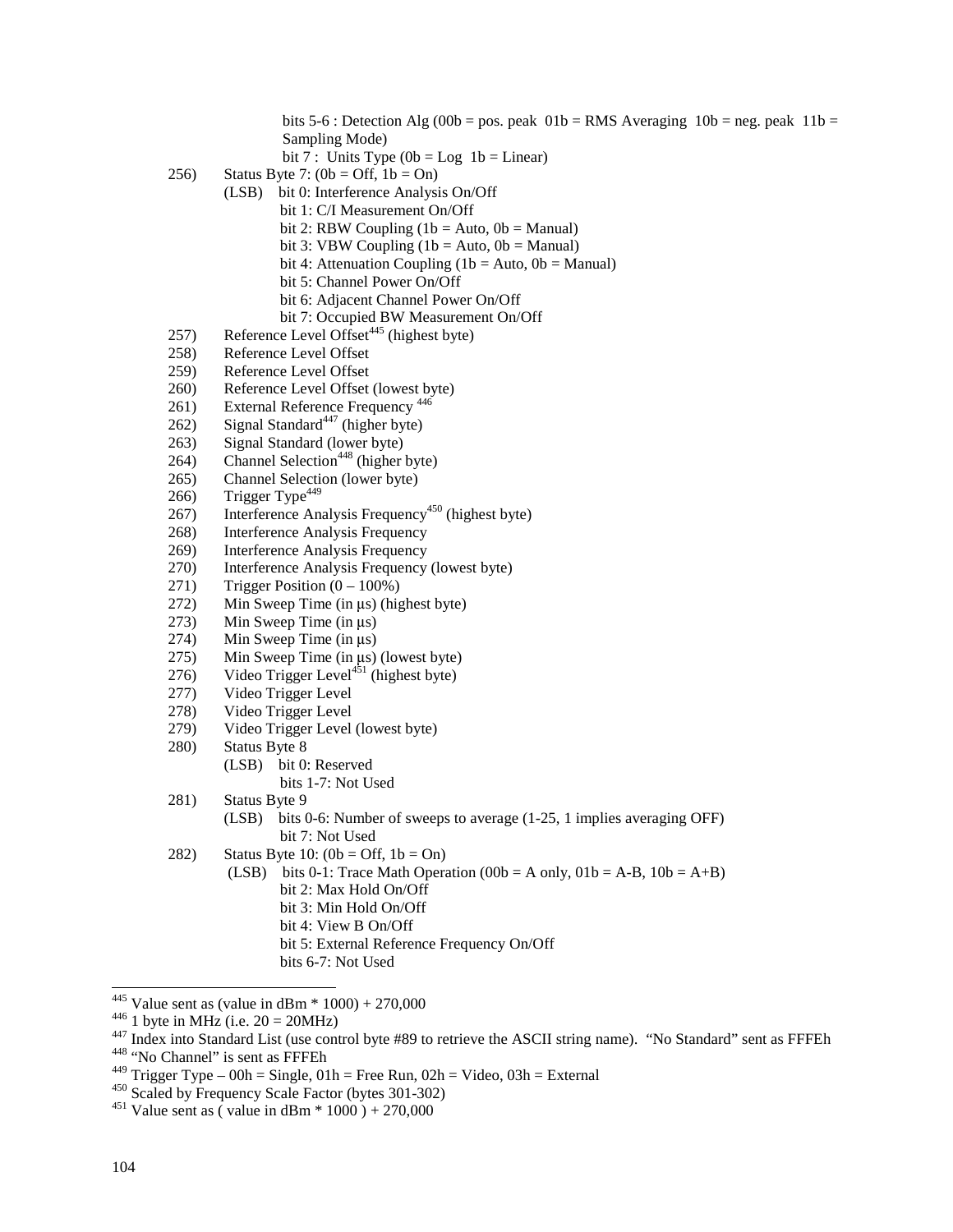bits 5-6 : Detection Alg (00b = pos. peak  $01b = RMS$  Averaging  $10b = neg$ . peak  $11b =$ Sampling Mode)

bit 7 : Units Type  $(0b = Log 1b = Linear)$ 

- 256) Status Byte 7:  $(0b = \text{Off}, 1b = \text{On})$ 
	- (LSB) bit 0: Interference Analysis On/Off
		- bit 1: C/I Measurement On/Off
			- bit 2: RBW Coupling  $(1b = Auto, 0b = Manual)$
			- bit 3: VBW Coupling  $(1b = Auto, 0b = Manual)$
			- bit 4: Attenuation Coupling (1b = Auto,  $0b$  = Manual)
		- bit 5: Channel Power On/Off
		- bit 6: Adjacent Channel Power On/Off
		- bit 7: Occupied BW Measurement On/Off
- 257) Reference Level Offset<sup> $445$ </sup> (highest byte)
- 258) Reference Level Offset
- 259) Reference Level Offset
- 260) Reference Level Offset (lowest byte)
- 261) External Reference Frequency<sup>446</sup>
- $262$ ) Signal Standard<sup>447</sup> (higher byte)
- 263) Signal Standard (lower byte)
- $264$  Channel Selection<sup>448</sup> (higher byte)
- 265) Channel Selection (lower byte)
- 266) Trigger Type<sup>449</sup>
- 267) Interference Analysis Frequency<sup>450</sup> (highest byte)
- 268) Interference Analysis Frequency
- 269) Interference Analysis Frequency
- 270) Interference Analysis Frequency (lowest byte)
- 271) Trigger Position  $(0 100\%)$
- 272) Min Sweep Time (in  $\mu$ s) (highest byte)<br>273) Min Sweep Time (in  $\mu$ s)
- 273) Min Sweep Time (in  $\mu$ s)<br>274) Min Sweep Time (in  $\mu$ s)
- 274) Min Sweep Time (in  $\mu$ s)<br>275) Min Sweep Time (in  $\mu$ s)
- 275) Min Sweep Time (in  $\mu$ s) (lowest byte)<br>276) Video Trigger Level<sup>451</sup> (highest byte)
- Video Trigger Level<sup>451</sup> (highest byte)
- 277) Video Trigger Level
- 278) Video Trigger Level
- 279) Video Trigger Level (lowest byte)
- 280) Status Byte 8
	- (LSB) bit 0: Reserved bits 1-7: Not Used
- 281) Status Byte 9
	- (LSB) bits 0-6: Number of sweeps to average (1-25, 1 implies averaging OFF) bit 7: Not Used
- 282) Status Byte 10:  $(0b = \text{Off}, 1b = \text{On})$ 
	- (LSB) bits 0-1: Trace Math Operation (00b = A only,  $01b = A-B$ ,  $10b = A+B$ ) bit 2: Max Hold On/Off bit 3: Min Hold On/Off
		- bit 4: View B On/Off
		- bit 5: External Reference Frequency On/Off
		- bits 6-7: Not Used

<sup>&</sup>lt;sup>445</sup> Value sent as (value in dBm  $*$  1000) + 270,000

<sup>&</sup>lt;sup>446</sup> 1 byte in MHz (i.e.  $20 = 20$ MHz)<br><sup>447</sup> Index into Standard List (use control byte #89 to retrieve the ASCII string name). "No Standard" sent as FFFEh<br><sup>448</sup> "No Channel" is sent as FFFEh

<sup>&</sup>lt;sup>449</sup> Trigger Type – 00h = Single, 01h = Free Run, 02h = Video, 03h = External <sup>450</sup> Scaled by Frequency Scale Factor (bytes 301-302) <sup>451</sup> Value sent as ( value in dBm \* 1000 ) + 270,000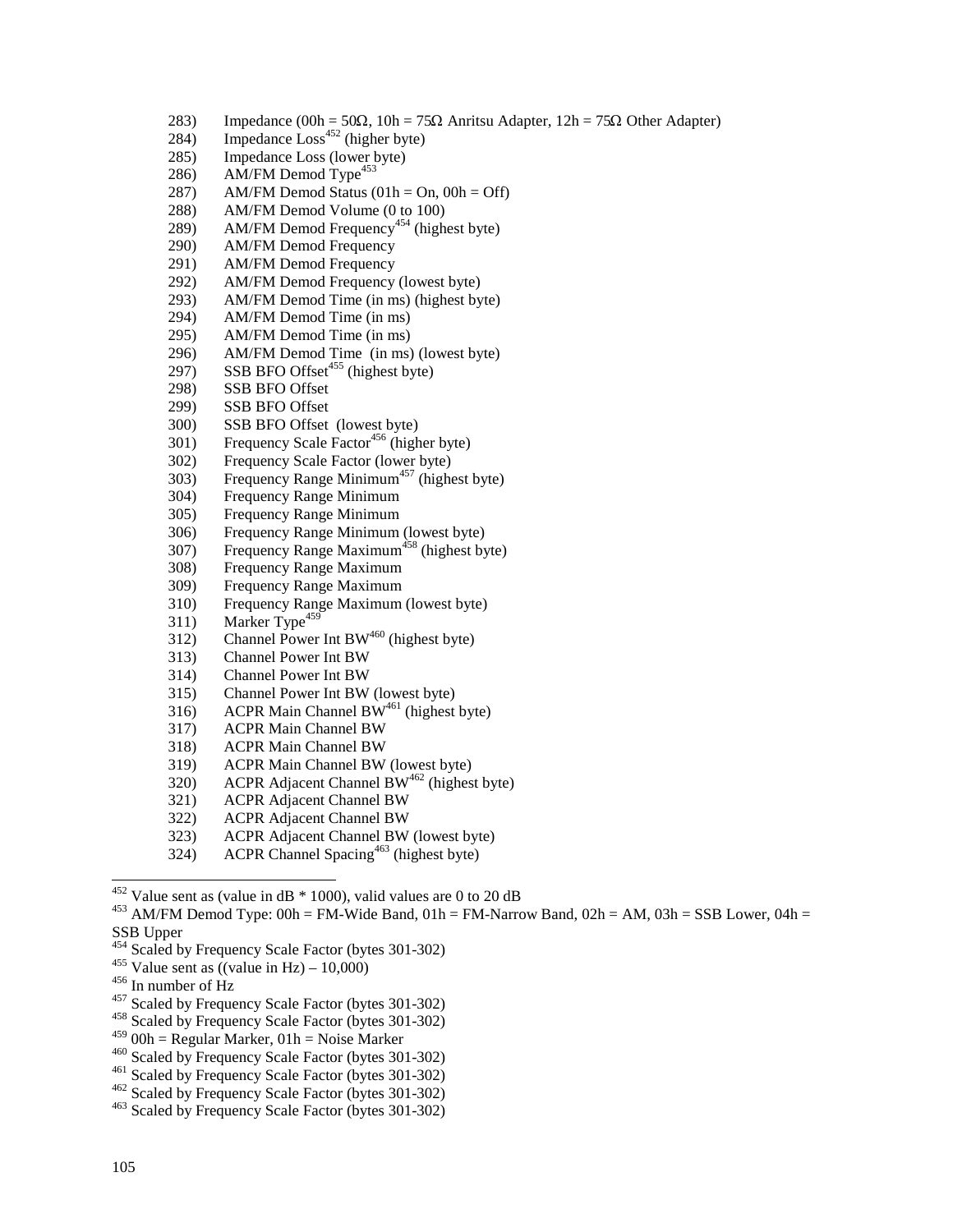- 283) Impedance  $(00h = 50\Omega, 10h = 75\Omega$  Anritsu Adapter,  $12h = 75\Omega$  Other Adapter)
- 284) Impedance  $\text{Loss}^{452}$  (higher byte)
- 285) Impedance Loss (lower byte)
- 286) AM/FM Demod Type<sup>453</sup>
- 287) AM/FM Demod Status  $(01h = On, 00h = Off)$
- 288) AM/FM Demod Volume (0 to 100)
- 289) AM/FM Demod Frequency<sup>454</sup> (highest byte)
- 290) AM/FM Demod Frequency
- 291) AM/FM Demod Frequency<br>292) AM/FM Demod Frequency
- AM/FM Demod Frequency (lowest byte)
- 293) AM/FM Demod Time (in ms) (highest byte)
- 294) AM/FM Demod Time (in ms)
- 295) AM/FM Demod Time (in ms)
- 296) AM/FM Demod Time (in ms) (lowest byte)
- 297) SSB BFO Offset<sup>455</sup> (highest byte)
- 298) SSB BFO Offset
- 299) SSB BFO Offset
- 300) SSB BFO Offset (lowest byte)
- $301)$  Frequency Scale Factor<sup>456</sup> (higher byte)
- 302) Frequency Scale Factor (lower byte)
- 303) Frequency Range Minimum<sup>457</sup> (highest byte)
- 304) Frequency Range Minimum
- 305) Frequency Range Minimum
- 306) Frequency Range Minimum (lowest byte)
- $307$ ) Frequency Range Maximum<sup>458</sup> (highest byte)
- 308) Frequency Range Maximum
- 309) Frequency Range Maximum
- 310) Frequency Range Maximum (lowest byte)
- 311) Marker Type<sup>459</sup>
- 312) Channel Power Int BW<sup>460</sup> (highest byte)
- 313) Channel Power Int BW
- 314) Channel Power Int BW
- 315) Channel Power Int BW (lowest byte)
- 316) ACPR Main Channel BW<sup>461</sup> (highest byte)
- 317) ACPR Main Channel BW
- 318) ACPR Main Channel BW
- 319) ACPR Main Channel BW (lowest byte)
- 320) ACPR Adjacent Channel BW462 (highest byte)
- 321) ACPR Adjacent Channel BW
- 322) ACPR Adjacent Channel BW
- 323) ACPR Adjacent Channel BW (lowest byte)
- 324) ACPR Channel Spacing<sup>463</sup> (highest byte)

- 
- 
- <sup>455</sup> Value sent as ((value in Hz) 10,000)<br><sup>456</sup> In number of Hz<br><sup>457</sup> Scaled by Frequency Scale Factor (bytes 301-302)<br><sup>458</sup> Scaled by Frequency Scale Factor (bytes 301-302)<br><sup>459</sup> 00h = Regular Marker, 01h = Noise Mark
- 
- 

- 
- 

 $452$  Value sent as (value in dB  $*$  1000), valid values are 0 to 20 dB

<sup>&</sup>lt;sup>453</sup> AM/FM Demod Type: 00h = FM-Wide Band, 01h = FM-Narrow Band, 02h = AM, 03h = SSB Lower, 04h = SSB Upper<br><sup>454</sup> Scaled by Frequency Scale Factor (bytes 301-302)

 $^{460}$  Scaled by Frequency Scale Factor (bytes 301-302)<br> $^{461}$  Scaled by Frequency Scale Factor (bytes 301-302)<br> $^{462}$  Scaled by Frequency Scale Factor (bytes 301-302)<br> $^{462}$  Scaled by Frequency Scale Factor (bytes 30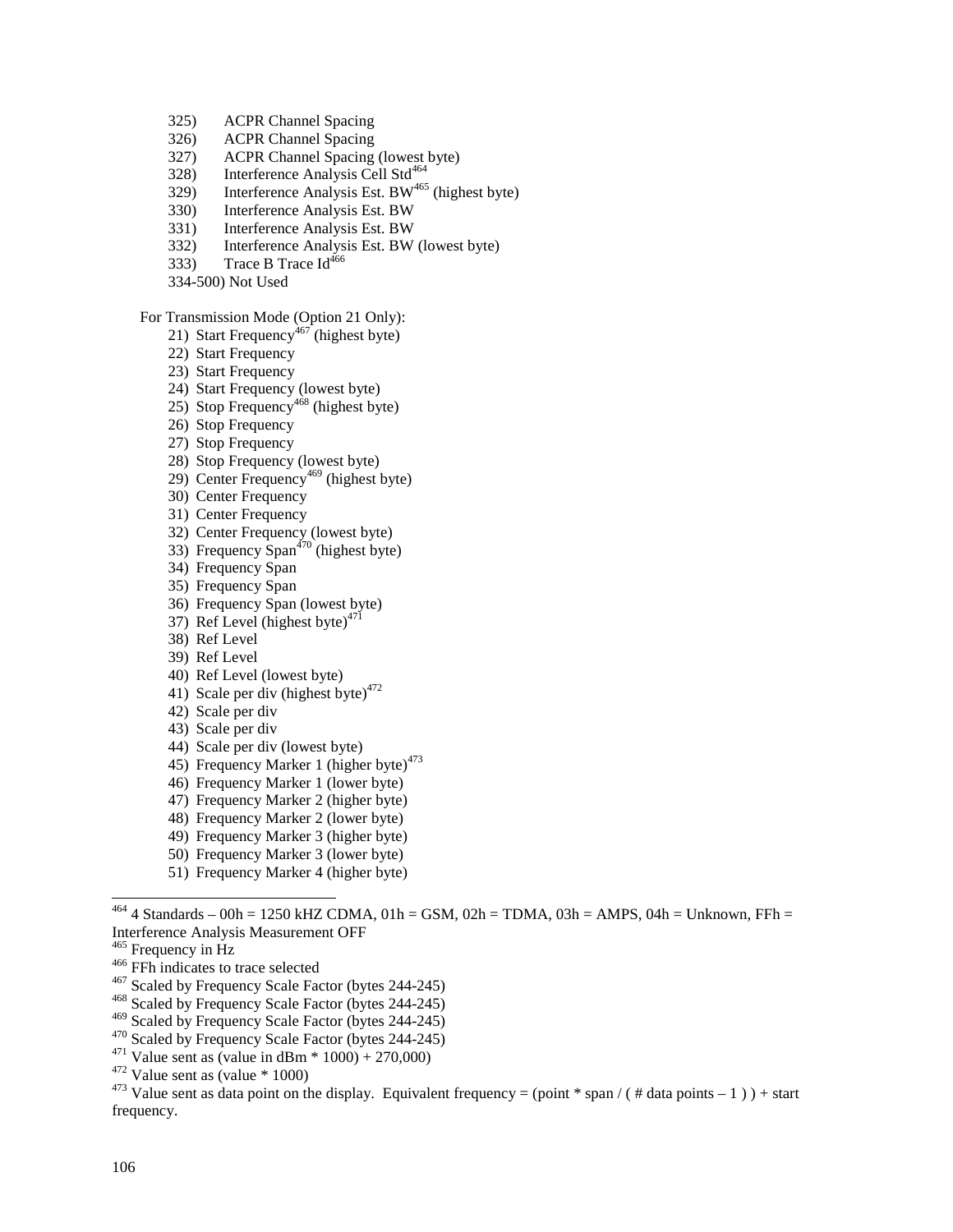- 325) ACPR Channel Spacing
- 326) ACPR Channel Spacing
- 327) ACPR Channel Spacing (lowest byte)
- 328) Interference Analysis Cell Std<sup>464</sup>
- $329$  Interference Analysis Est. BW<sup>465</sup> (highest byte)
- 330) Interference Analysis Est. BW
- 331) Interference Analysis Est. BW
- 332) Interference Analysis Est. BW (lowest byte)
- 333) Trace B Trace  $Id^{466}$
- 334-500) Not Used

### For Transmission Mode (Option 21 Only):

- 21) Start Frequency<sup> $467$ </sup> (highest byte)
- 22) Start Frequency
- 23) Start Frequency
- 24) Start Frequency (lowest byte)
- 25) Stop Frequency<sup>468</sup> (highest byte)
- 26) Stop Frequency
- 27) Stop Frequency
- 28) Stop Frequency (lowest byte)
- 29) Center Frequency<sup>469</sup> (highest byte)
- 30) Center Frequency
- 31) Center Frequency
- 32) Center Frequency (lowest byte)
- 33) Frequency  $Span<sup>470</sup>$  (highest byte)
- 34) Frequency Span
- 35) Frequency Span
- 36) Frequency Span (lowest byte)
- 37) Ref Level (highest byte) $471$
- 38) Ref Level
- 39) Ref Level
- 40) Ref Level (lowest byte)
- 41) Scale per div (highest byte) $472$
- 42) Scale per div
- 43) Scale per div
- 44) Scale per div (lowest byte)
- 45) Frequency Marker 1 (higher byte) $473$
- 46) Frequency Marker 1 (lower byte)
- 47) Frequency Marker 2 (higher byte)
- 48) Frequency Marker 2 (lower byte)
- 49) Frequency Marker 3 (higher byte)
- 50) Frequency Marker 3 (lower byte)
- 51) Frequency Marker 4 (higher byte)

- 
- <sup>466</sup> FFh indicates to trace selected<br><sup>467</sup> Scaled by Frequency Scale Factor (bytes 244-245)<br><sup>468</sup> Scaled by Frequency Scale Factor (bytes 244-245)<br><sup>469</sup> Scaled by Frequency Scale Factor (bytes 244-245)
- 
- 
- 
- 
- 

<sup>470</sup> Scaled by Frequency Scale Factor (bytes 244-245)<br><sup>471</sup> Value sent as (value in dBm \* 1000) + 270,000)<br><sup>472</sup> Value sent as (value \* 1000)<br><sup>473</sup> Value sent as data point on the display. Equivalent frequency = (point \* frequency.

 $^{464}$  4 Standards – 00h = 1250 kHZ CDMA, 01h = GSM, 02h = TDMA, 03h = AMPS, 04h = Unknown, FFh = Interference Analysis Measurement OFF<br><sup>465</sup> Frequency in Hz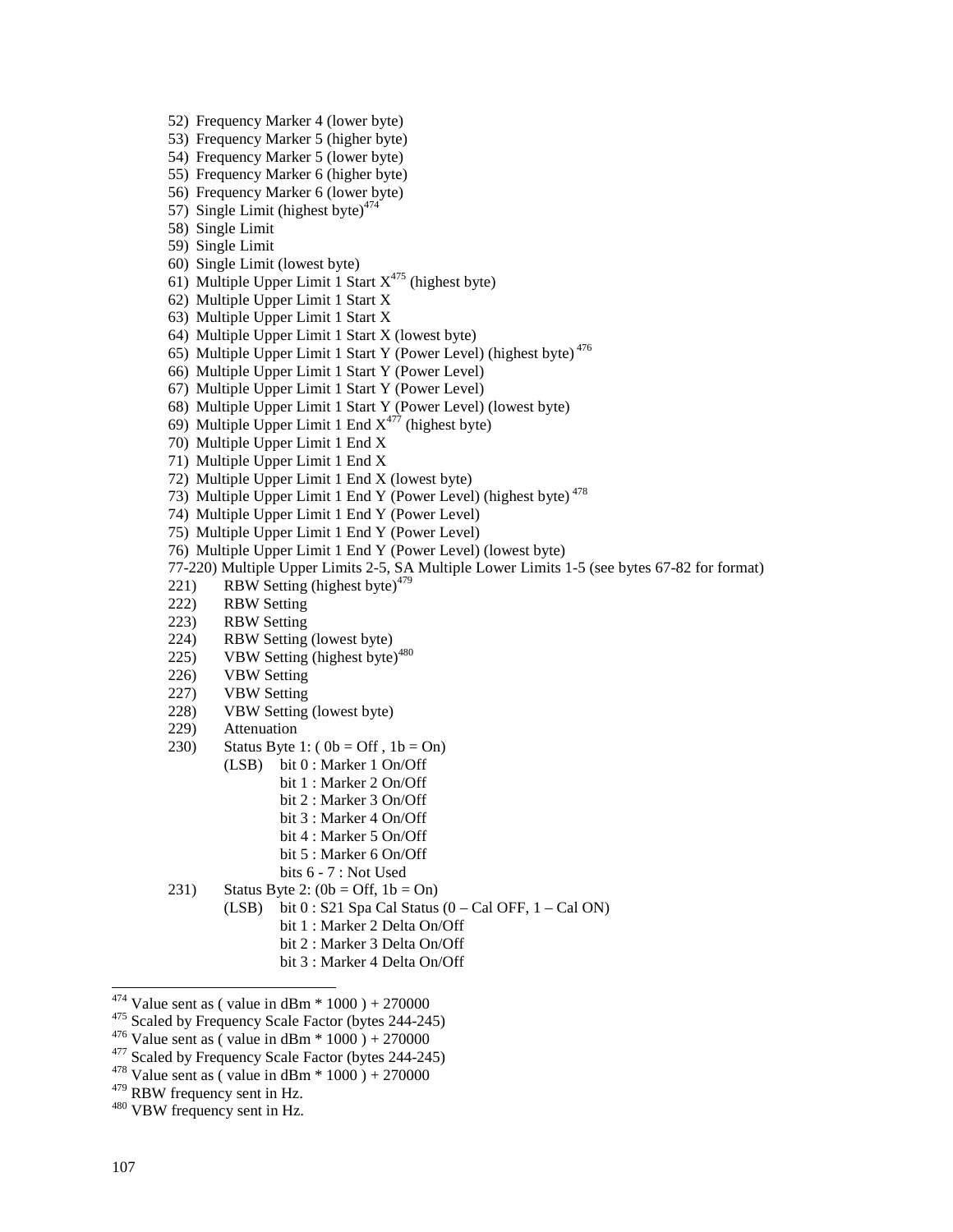- 52) Frequency Marker 4 (lower byte)
- 53) Frequency Marker 5 (higher byte)
- 54) Frequency Marker 5 (lower byte)
- 55) Frequency Marker 6 (higher byte)
- 56) Frequency Marker 6 (lower byte)
- 57) Single Limit (highest byte) $474$
- 58) Single Limit
- 59) Single Limit
- 60) Single Limit (lowest byte)
- 61) Multiple Upper Limit 1 Start  $X^{475}$  (highest byte)
- 62) Multiple Upper Limit 1 Start X
- 63) Multiple Upper Limit 1 Start X
- 64) Multiple Upper Limit 1 Start X (lowest byte)
- 65) Multiple Upper Limit 1 Start Y (Power Level) (highest byte) 476
- 66) Multiple Upper Limit 1 Start Y (Power Level)
- 67) Multiple Upper Limit 1 Start Y (Power Level)
- 68) Multiple Upper Limit 1 Start Y (Power Level) (lowest byte)
- 69) Multiple Upper Limit 1 End  $X^{477}$  (highest byte)
- 70) Multiple Upper Limit 1 End X
- 71) Multiple Upper Limit 1 End X
- 72) Multiple Upper Limit 1 End X (lowest byte)
- 73) Multiple Upper Limit 1 End Y (Power Level) (highest byte) 478
- 74) Multiple Upper Limit 1 End Y (Power Level)
- 75) Multiple Upper Limit 1 End Y (Power Level)
- 76) Multiple Upper Limit 1 End Y (Power Level) (lowest byte)
- 77-220) Multiple Upper Limits 2-5, SA Multiple Lower Limits 1-5 (see bytes 67-82 for format)
- 221) RBW Setting (highest byte) $479$
- 222) RBW Setting
- 223) RBW Setting
- 224) RBW Setting (lowest byte)
- 225) VBW Setting (highest byte) $480$
- 226) VBW Setting
- 227) VBW Setting
- 228) VBW Setting (lowest byte)
- 229) Attenuation
- 230) Status Byte 1:  $(0b = Off, 1b = On)$ 
	- (LSB) bit 0 : Marker 1 On/Off
		- bit 1 : Marker 2 On/Off
		- bit 2 : Marker 3 On/Off
		- bit 3 : Marker 4 On/Off
		- bit 4 : Marker 5 On/Off
		- bit 5 : Marker 6 On/Off
	- bits 6 7 : Not Used
- 231) Status Byte 2:  $(0b = \text{Off}, 1b = \text{On})$ 
	- (LSB) bit  $0:$  S21 Spa Cal Status  $(0 Cal$  OFF,  $1 Cal$  ON)
		- bit 1 : Marker 2 Delta On/Off
		- bit 2 : Marker 3 Delta On/Off
		- bit 3 : Marker 4 Delta On/Off

- 
- $^{479}$  RBW frequency sent in Hz.<br> $^{480}$  VBW frequency sent in Hz.

<sup>&</sup>lt;sup>474</sup> Value sent as (value in dBm  $*$  1000) + 270000

<sup>&</sup>lt;sup>475</sup> Scaled by Frequency Scale Factor (bytes 244-245)<br><sup>476</sup> Value sent as ( value in dBm \* 1000 ) + 270000<br><sup>477</sup> Scaled by Frequency Scale Factor (bytes 244-245)<br><sup>478</sup> Value sent as ( value in dBm \* 1000 ) + 270000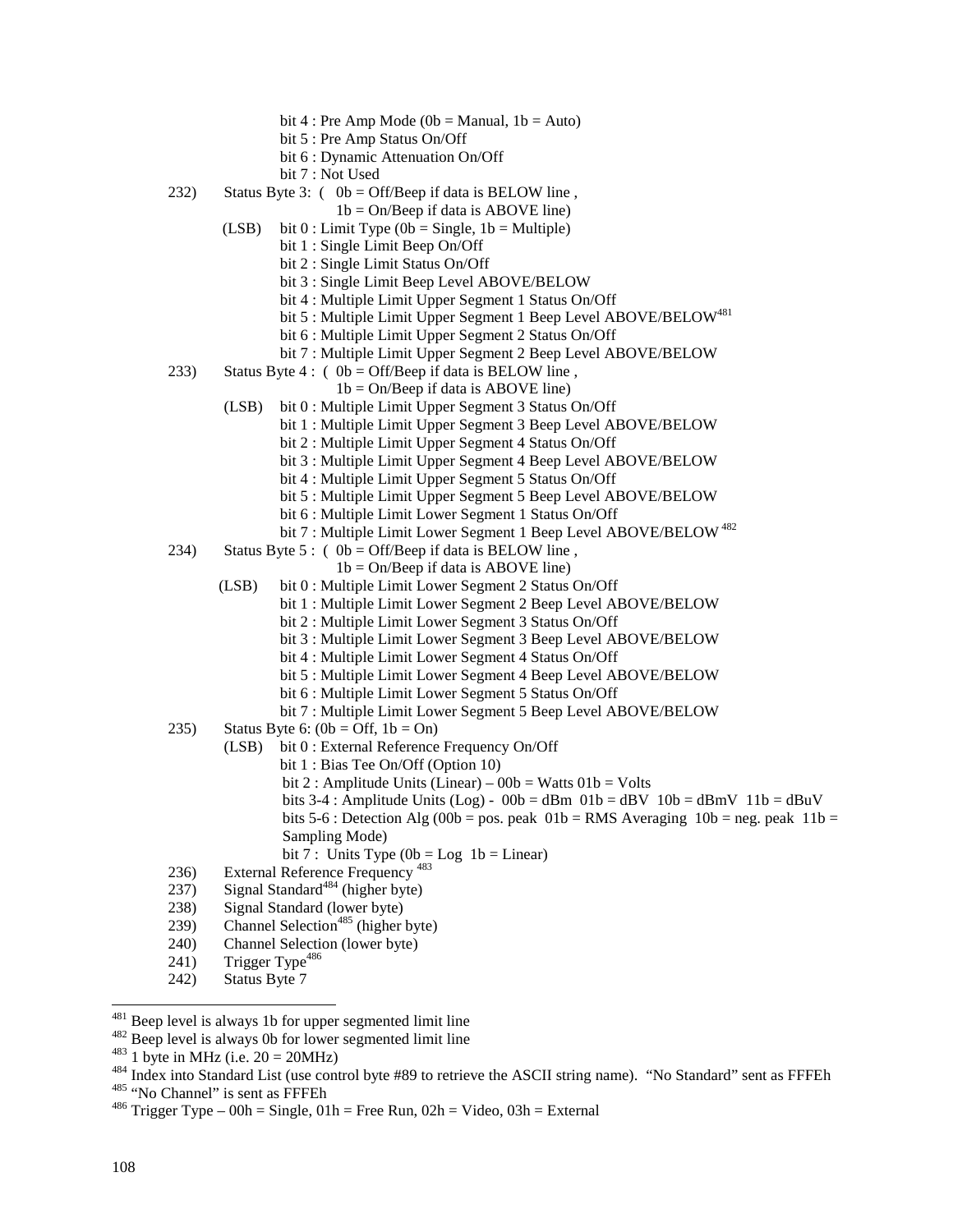- bit 4 : Pre Amp Mode ( $0b$  = Manual,  $1b$  = Auto)
- bit 5 : Pre Amp Status On/Off
- bit 6 : Dynamic Attenuation On/Off
- bit 7 : Not Used
- 232) Status Byte 3:  $(0b = \text{Off/Beep if data is BELOW line})$ ,
	- $1b = On/Beep$  if data is ABOVE line)
	- (LSB) bit  $0:$  Limit Type (0b = Single, 1b = Multiple)
		- bit 1 : Single Limit Beep On/Off
		- bit 2 : Single Limit Status On/Off
		- bit 3 : Single Limit Beep Level ABOVE/BELOW
		- bit 4 : Multiple Limit Upper Segment 1 Status On/Off
		- bit 5 : Multiple Limit Upper Segment 1 Beep Level ABOVE/BELOW<sup>481</sup>
		- bit 6 : Multiple Limit Upper Segment 2 Status On/Off
		- bit 7 : Multiple Limit Upper Segment 2 Beep Level ABOVE/BELOW
- 233) Status Byte 4 : ( $0b = \text{Off/Beep}$  if data is BELOW line,
	- $1b = On/Beep$  if data is ABOVE line)
	- (LSB) bit 0 : Multiple Limit Upper Segment 3 Status On/Off
		- bit 1 : Multiple Limit Upper Segment 3 Beep Level ABOVE/BELOW
			- bit 2 : Multiple Limit Upper Segment 4 Status On/Off
			- bit 3 : Multiple Limit Upper Segment 4 Beep Level ABOVE/BELOW
			- bit 4 : Multiple Limit Upper Segment 5 Status On/Off
			- bit 5 : Multiple Limit Upper Segment 5 Beep Level ABOVE/BELOW
			- bit 6 : Multiple Limit Lower Segment 1 Status On/Off
			- bit 7 : Multiple Limit Lower Segment 1 Beep Level ABOVE/BELOW<sup>482</sup>
- 234) Status Byte 5 : (  $0b = \text{Off/Beep}$  if data is BELOW line,
	- $1b = On/Beep$  if data is ABOVE line)
	- (LSB) bit 0 : Multiple Limit Lower Segment 2 Status On/Off
		- bit 1 : Multiple Limit Lower Segment 2 Beep Level ABOVE/BELOW
			- bit 2 : Multiple Limit Lower Segment 3 Status On/Off
			- bit 3 : Multiple Limit Lower Segment 3 Beep Level ABOVE/BELOW
			- bit 4 : Multiple Limit Lower Segment 4 Status On/Off
			- bit 5 : Multiple Limit Lower Segment 4 Beep Level ABOVE/BELOW
			- bit 6 : Multiple Limit Lower Segment 5 Status On/Off
			- bit 7 : Multiple Limit Lower Segment 5 Beep Level ABOVE/BELOW
- 235) Status Byte 6:  $(0b = \text{Off}, 1b = \text{On})$ 
	- (LSB) bit 0 : External Reference Frequency On/Off
		- bit 1 : Bias Tee On/Off (Option 10)
		- bit 2 : Amplitude Units (Linear)  $00b = W$ atts  $01b = Vol$ ts
		- bits 3-4 : Amplitude Units (Log)  $00b = dBm$   $01b = dBv$   $10b = dBmV$   $11b = dBuV$
		- bits 5-6 : Detection Alg (00b = pos. peak  $01b = RMS$  Averaging  $10b = neg$ . peak  $11b =$ Sampling Mode)
		- bit 7 : Units Type  $(0b = Log 1b = Linear)$
- 236) External Reference Frequency<sup>483</sup>
- $237)$  Signal Standard<sup>484</sup> (higher byte)
- 238) Signal Standard (lower byte)
- 239) Channel Selection<sup>485</sup> (higher byte)
- 240) Channel Selection (lower byte)
- 241) Trigger Type<sup>486</sup>
- 242) Status Byte 7

 $481$  Beep level is always 1b for upper segmented limit line

<sup>&</sup>lt;sup>482</sup> Beep level is always 0b for lower segmented limit line<br><sup>483</sup> 1 byte in MHz (i.e. 20 = 20MHz)<br><sup>484</sup> Index into Standard List (use control byte #89 to retrieve the ASCII string name). "No Standard" sent as FFFEh<br><sup>485</sup>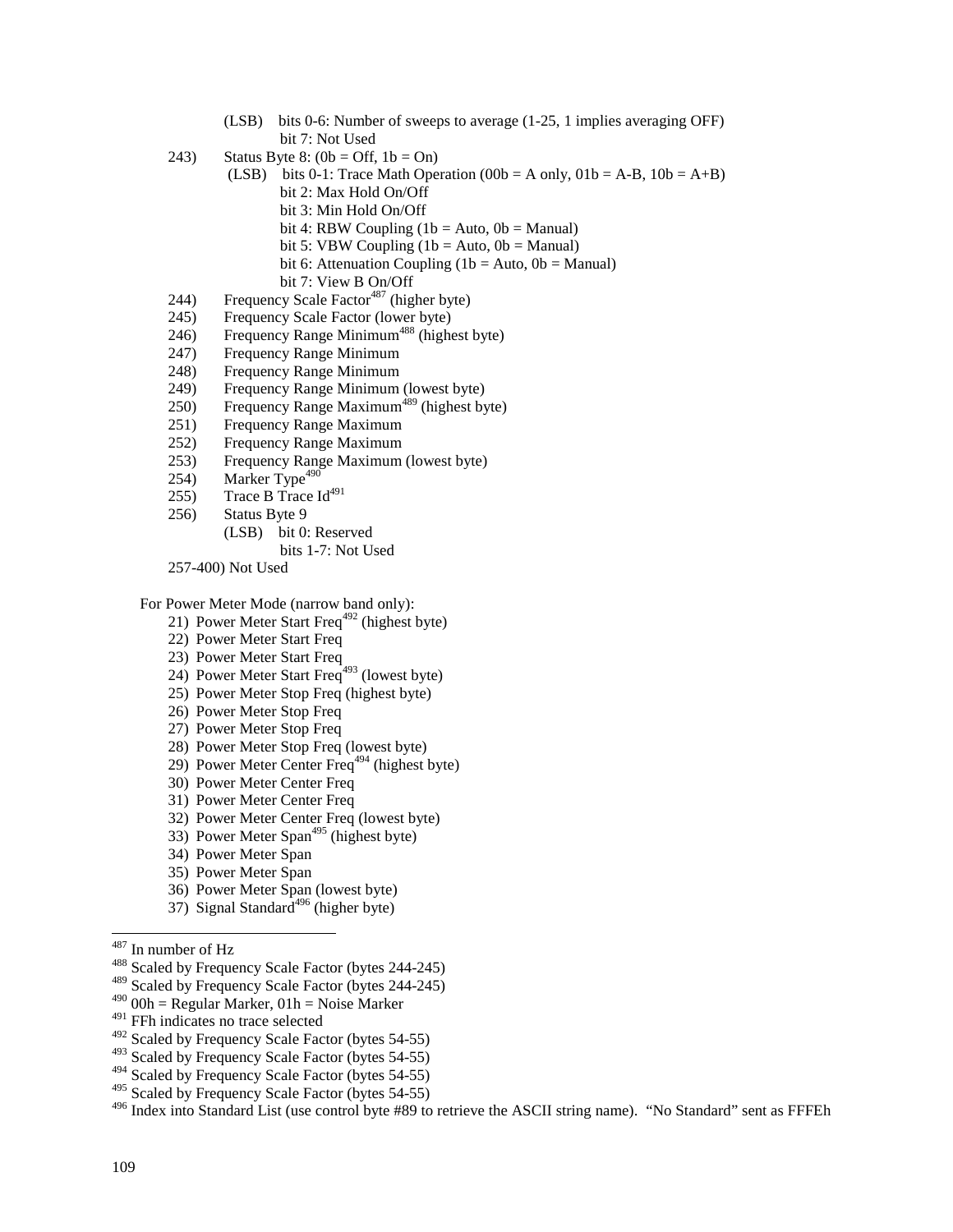- (LSB) bits 0-6: Number of sweeps to average (1-25, 1 implies averaging OFF) bit 7: Not Used
- 243) Status Byte 8:  $(0b = \text{Off}, 1b = \text{On})$ 
	- (LSB) bits 0-1: Trace Math Operation (00b = A only,  $01b = A-B$ ,  $10b = A+B$ ) bit 2: Max Hold On/Off
		- bit 3: Min Hold On/Off
		- bit 4: RBW Coupling  $(1b = Auto, 0b = Manual)$
		- bit 5: VBW Coupling  $(1b = Auto, 0b = Manual)$
		- bit 6: Attenuation Coupling (1b = Auto,  $0b$  = Manual)
		- bit 7: View B On/Off
- 244) Frequency Scale Factor<sup>487</sup> (higher byte)
- 245) Frequency Scale Factor (lower byte)
- 246) Frequency Range Minimum<sup>488</sup> (highest byte)
- 247) Frequency Range Minimum
- 248) Frequency Range Minimum
- 249) Frequency Range Minimum (lowest byte)
- 250) Frequency Range Maximum<sup>489</sup> (highest byte)
- 251) Frequency Range Maximum
- 252) Frequency Range Maximum
- 253) Frequency Range Maximum (lowest byte)
- $254$ ) Marker Type<sup>490</sup>
- 255) Trace B Trace  $Id^{491}$
- 256) Status Byte 9
	- (LSB) bit 0: Reserved

bits 1-7: Not Used

257-400) Not Used

For Power Meter Mode (narrow band only):

- 21) Power Meter Start Freq<sup>492</sup> (highest byte)
- 22) Power Meter Start Freq
- 23) Power Meter Start Freq
- 24) Power Meter Start Freq<sup>493</sup> (lowest byte)
- 25) Power Meter Stop Freq (highest byte)
- 26) Power Meter Stop Freq
- 27) Power Meter Stop Freq
- 28) Power Meter Stop Freq (lowest byte)
- 29) Power Meter Center Freq<sup> $494$ </sup> (highest byte)
- 30) Power Meter Center Freq
- 31) Power Meter Center Freq
- 32) Power Meter Center Freq (lowest byte)
- 33) Power Meter Span<sup>495</sup> (highest byte)
- 34) Power Meter Span
- 35) Power Meter Span
- 36) Power Meter Span (lowest byte)
- 37) Signal Standard<sup>496</sup> (higher byte)
- $^{487}$  In number of Hz
- <sup>488</sup> Scaled by Frequency Scale Factor (bytes 244-245)
- 489 Scaled by Frequency Scale Factor (bytes 244-245)
- $490$  00h = Regular Marker, 01h = Noise Marker
- <sup>491</sup> FFh indicates no trace selected

493 Scaled by Frequency Scale Factor (bytes 54-55)

 $495$  Scaled by Frequency Scale Factor (bytes 54-55)

<sup>496</sup> Index into Standard List (use control byte #89 to retrieve the ASCII string name). "No Standard" sent as FFFEh

<sup>&</sup>lt;sup>492</sup> Scaled by Frequency Scale Factor (bytes 54-55)

<sup>&</sup>lt;sup>494</sup> Scaled by Frequency Scale Factor (bytes 54-55)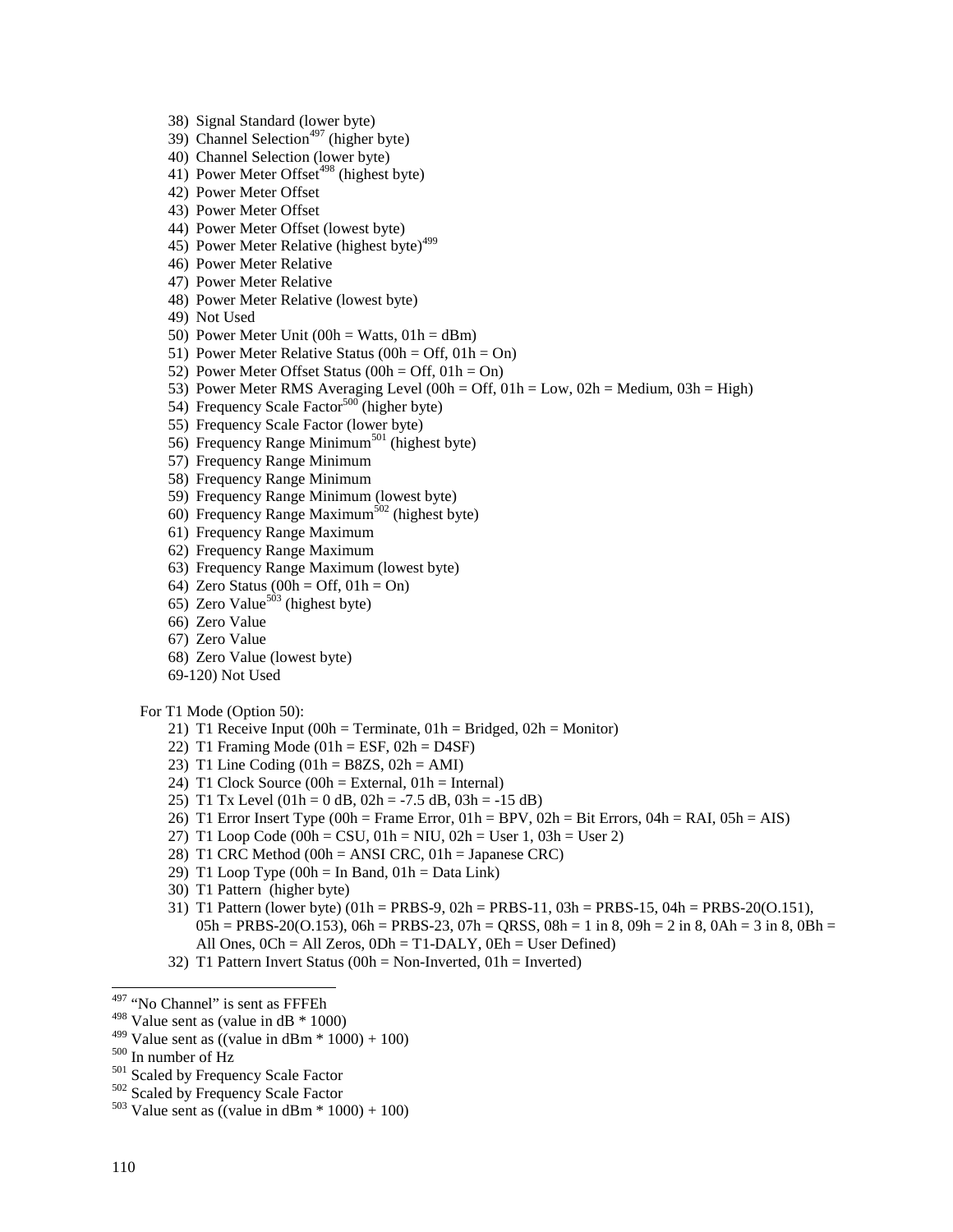38) Signal Standard (lower byte)

- 39) Channel Selection<sup>497</sup> (higher byte)
- 40) Channel Selection (lower byte)
- 41) Power Meter Offset<sup>498</sup> (highest byte)
- 42) Power Meter Offset
- 43) Power Meter Offset
- 44) Power Meter Offset (lowest byte)
- 45) Power Meter Relative (highest byte)<sup>499</sup>
- 46) Power Meter Relative
- 47) Power Meter Relative
- 48) Power Meter Relative (lowest byte)
- 49) Not Used
- 50) Power Meter Unit (00h = Watts,  $01h = dBm$ )
- 51) Power Meter Relative Status (00h = Off,  $01h = On$ )
- 52) Power Meter Offset Status (00h = Off, 01h = On)
- 53) Power Meter RMS Averaging Level (00h = Off,  $01h = Low$ ,  $02h = Medium$ ,  $03h = High$ )
- 54) Frequency Scale Factor<sup>500</sup> (higher byte)
- 55) Frequency Scale Factor (lower byte)
- 56) Frequency Range Minimum<sup>501</sup> (highest byte)
- 57) Frequency Range Minimum
- 58) Frequency Range Minimum
- 59) Frequency Range Minimum (lowest byte)
- 60) Frequency Range Maximum<sup>502</sup> (highest byte)
- 61) Frequency Range Maximum
- 62) Frequency Range Maximum
- 63) Frequency Range Maximum (lowest byte)
- 64) Zero Status  $(00h = Off, 01h = On)$
- $65)$  Zero Value<sup>503</sup> (highest byte)
- 66) Zero Value
- 67) Zero Value
- 68) Zero Value (lowest byte)
- 69-120) Not Used

### For T1 Mode (Option 50):

- 21) T1 Receive Input (00h = Terminate,  $01h = Bridged$ ,  $02h = Monitor$ )
- 22) T1 Framing Mode  $(01h = ESF, 02h = D4SF)$
- 23) T1 Line Coding  $(01h = B8ZS, 02h = AMI)$
- 24) T1 Clock Source  $(00h = External, 01h = Internal)$
- 25) T1 Tx Level  $(01h = 0$  dB,  $02h = -7.5$  dB,  $03h = -15$  dB)
- 26) T1 Error Insert Type (00h = Frame Error, 01h = BPV, 02h = Bit Errors, 04h = RAI, 05h = AIS)
- 27) T1 Loop Code (00h = CSU, 01h = NIU, 02h = User 1, 03h = User 2)
- 28) T1 CRC Method (00h = ANSI CRC, 01h = Japanese CRC)
- 29) T1 Loop Type  $(00h = In Band, 01h = Data Link)$
- 30) T1 Pattern (higher byte)
- 31) T1 Pattern (lower byte) (01h = PRBS-9, 02h = PRBS-11, 03h = PRBS-15, 04h = PRBS-20(O.151),  $05h = PRBS-20(0.153), 06h = PRBS-23, 07h = QRSS, 08h = 1$  in 8,  $09h = 2$  in 8,  $0Ah = 3$  in 8,  $0Bh = 1$ All Ones,  $0Ch = All Zeros$ ,  $0Dh = T1-DALY$ ,  $0Eh = User Defined)$
- 32) T1 Pattern Invert Status (00h = Non-Inverted, 01h = Inverted)

- 
- 

-

<sup>&</sup>lt;sup>497</sup> "No Channel" is sent as FFFEh

 $498$  Value sent as (value in dB  $*$  1000)

<sup>&</sup>lt;sup>499</sup> Value sent as ((value in dBm \* 1000) + 100)<br><sup>500</sup> In number of Hz<br><sup>501</sup> Scaled by Frequency Scale Factor<br><sup>502</sup> Scaled by Frequency Scale Factor<br><sup>503</sup> Value sent as ((value in dBm \* 1000) + 100)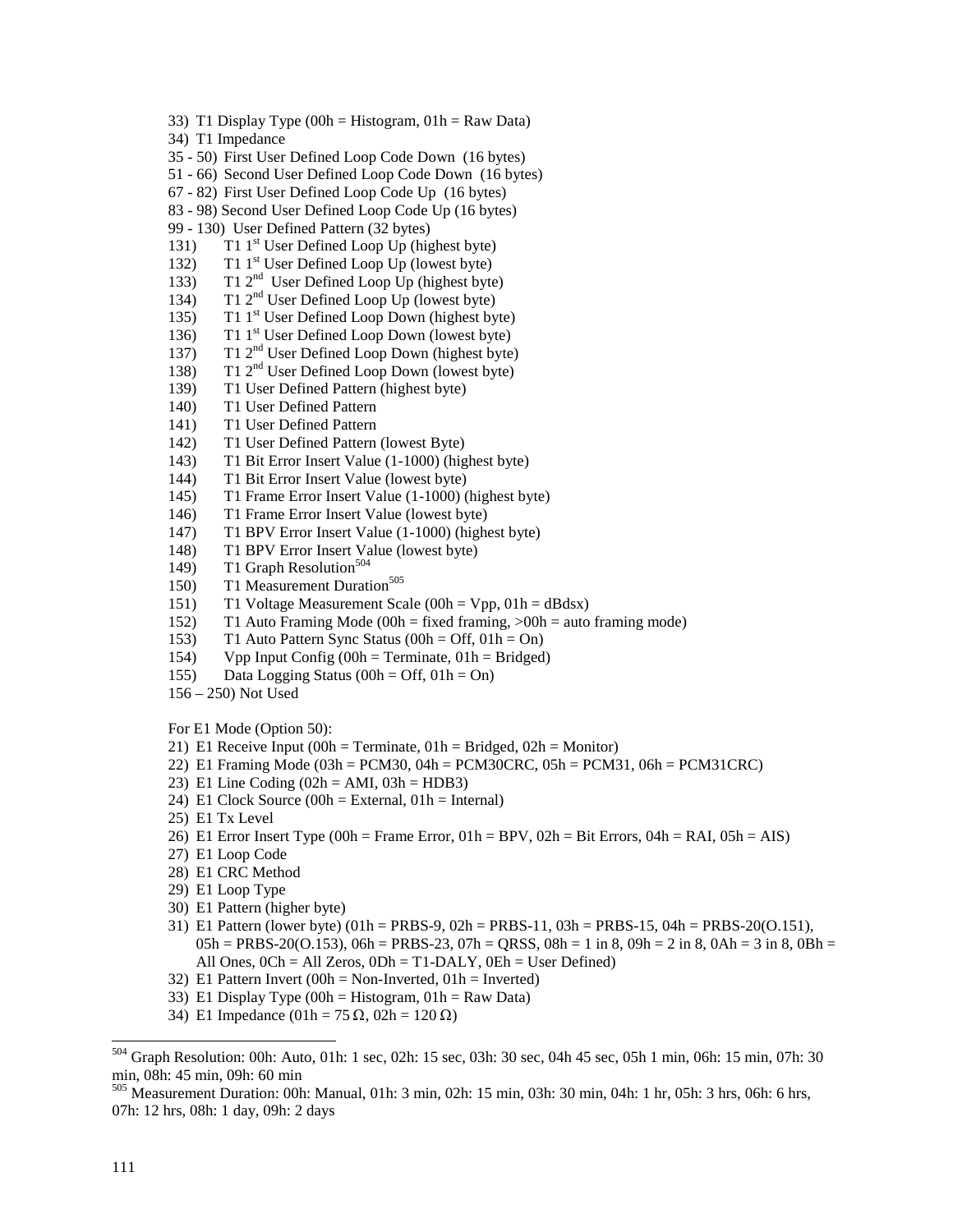- 33) T1 Display Type (00h = Histogram,  $01h = Raw Data$ )
- 34) T1 Impedance
- 35 50) First User Defined Loop Code Down (16 bytes)
- 51 66) Second User Defined Loop Code Down (16 bytes)
- 67 82) First User Defined Loop Code Up (16 bytes)
- 83 98) Second User Defined Loop Code Up (16 bytes)
- 99 130) User Defined Pattern (32 bytes)
- 131) T1 1<sup>st</sup> User Defined Loop Up (highest byte)
- 132) T1 1<sup>st</sup> User Defined Loop Up (lowest byte)
- 133) T1  $2<sup>nd</sup>$  User Defined Loop Up (highest byte)
- 134) T1  $2<sup>nd</sup>$  User Defined Loop Up (lowest byte)
- 135) T1 1<sup>st</sup> User Defined Loop Down (highest byte)
- 136) T1 1<sup>st</sup> User Defined Loop Down (lowest byte)
- 137) T1 2nd User Defined Loop Down (highest byte)
- 138) T1  $2<sup>nd</sup>$  User Defined Loop Down (lowest byte)
- 139) T1 User Defined Pattern (highest byte)
- 140) T1 User Defined Pattern
- 141) T1 User Defined Pattern
- 142) T1 User Defined Pattern (lowest Byte)
- 143) T1 Bit Error Insert Value (1-1000) (highest byte)
- 144) T1 Bit Error Insert Value (lowest byte)
- 145) T1 Frame Error Insert Value (1-1000) (highest byte)
- 146) T1 Frame Error Insert Value (lowest byte)
- 147) T1 BPV Error Insert Value (1-1000) (highest byte)
- 148) T1 BPV Error Insert Value (lowest byte)
- 149) T1 Graph Resolution<sup>504</sup>
- 150) T1 Measurement Duration<sup>505</sup>
- 151) T1 Voltage Measurement Scale (00h = Vpp, 01h = dBdsx)
- 152) T1 Auto Framing Mode (00h = fixed framing, >00h = auto framing mode)
- 153) T1 Auto Pattern Sync Status (00h = Off, 01h = On)
- 154) Vpp Input Config  $(00h = Terminate, 01h = Bridged)$
- 155) Data Logging Status (00h = Off,  $01h = On$ )
- 156 250) Not Used

For E1 Mode (Option 50):

- 21) E1 Receive Input  $(00h = Terminate, 01h = Bridged, 02h = Monitor)$
- 22) E1 Framing Mode (03h = PCM30, 04h = PCM30CRC, 05h = PCM31, 06h = PCM31CRC)
- 23) E1 Line Coding  $(02h = AMI, 03h = HDB3)$
- 24) E1 Clock Source  $(00h = External, 01h = Internal)$
- 25) E1 Tx Level
- 26) E1 Error Insert Type (00h = Frame Error, 01h = BPV, 02h = Bit Errors, 04h = RAI, 05h = AIS)
- 27) E1 Loop Code
- 28) E1 CRC Method
- 29) E1 Loop Type
- 30) E1 Pattern (higher byte)
- 31) E1 Pattern (lower byte) (01h = PRBS-9, 02h = PRBS-11, 03h = PRBS-15, 04h = PRBS-20(O.151),  $0.05h = PRBS-20(0.153), 0.06h = PRBS-23, 0.07h = ORSS$ ,  $0.08h = 1$  in 8,  $0.09h = 2$  in 8,  $0.06h = 3$  in 8,  $0.08h = 3$ All Ones,  $0Ch = All Zeros$ ,  $0Dh = T1-DALY$ ,  $0Eh = User Defined)$
- 32) E1 Pattern Invert  $(00h = Non-Inverted, 01h = Inverted)$
- 33) E1 Display Type  $(00h = Histogram, 01h = Raw Data)$
- 34) E1 Impedance  $(01h = 75 \Omega, 02h = 120 \Omega)$

1

<sup>504</sup> Graph Resolution: 00h: Auto, 01h: 1 sec, 02h: 15 sec, 03h: 30 sec, 04h 45 sec, 05h 1 min, 06h: 15 min, 07h: 30 min, 08h: 45 min, 09h: 60 min

<sup>505</sup> Measurement Duration: 00h: Manual, 01h: 3 min, 02h: 15 min, 03h: 30 min, 04h: 1 hr, 05h: 3 hrs, 06h: 6 hrs, 07h: 12 hrs, 08h: 1 day, 09h: 2 days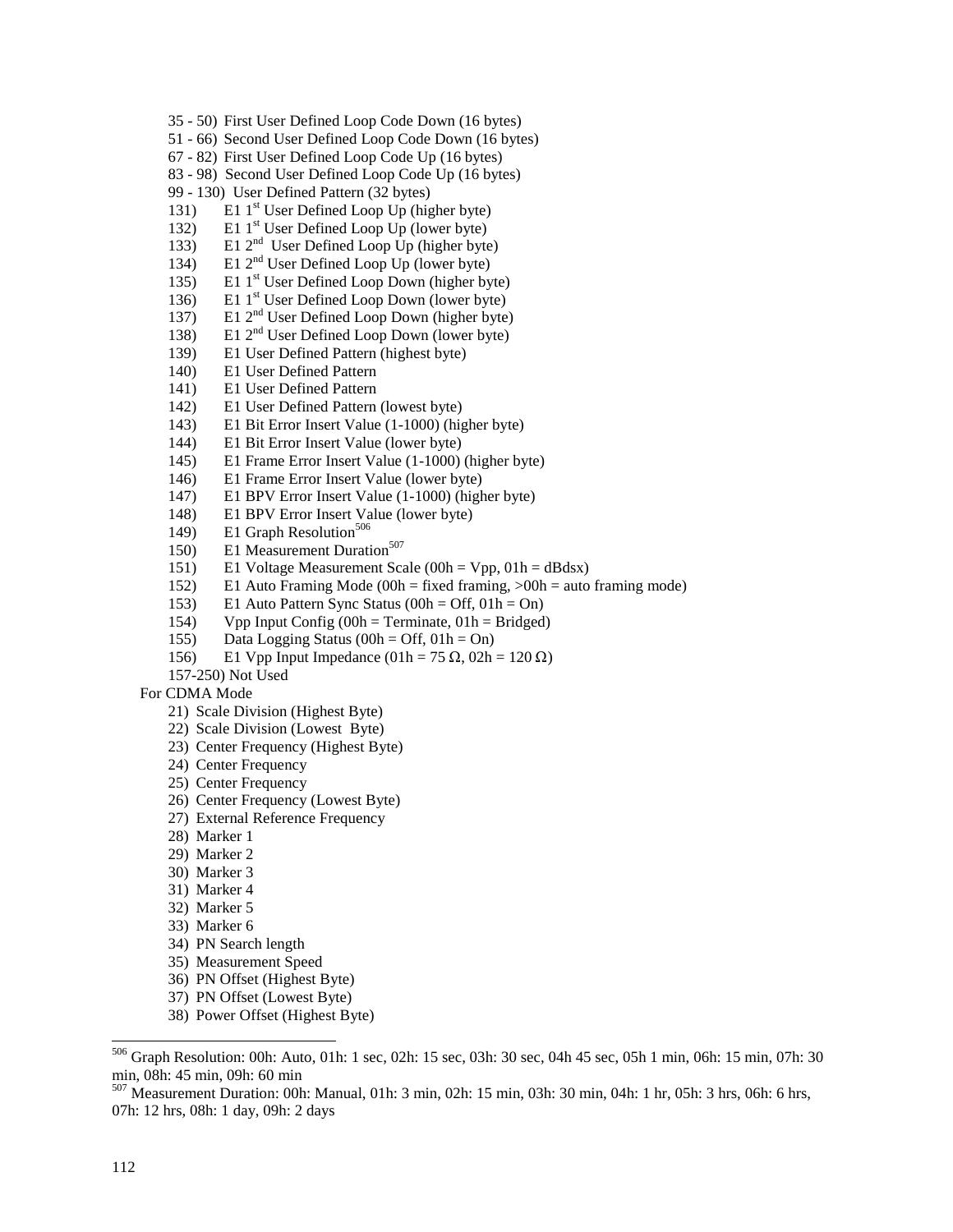- 35 50) First User Defined Loop Code Down (16 bytes)
- 51 66) Second User Defined Loop Code Down (16 bytes)
- 67 82) First User Defined Loop Code Up (16 bytes)
- 83 98) Second User Defined Loop Code Up (16 bytes)
- 99 130) User Defined Pattern (32 bytes)
- 131) E1  $1<sup>st</sup>$  User Defined Loop Up (higher byte)
- 132) E1  $1^{st}$  User Defined Loop Up (lower byte)
- 133) E1  $2<sup>nd</sup>$  User Defined Loop Up (higher byte)
- 134) E1 2<sup>nd</sup> User Defined Loop Up (lower byte)
- 135) E1 1<sup>st</sup> User Defined Loop Down (higher byte)
- 136) E1  $1^{\text{st}}$  User Defined Loop Down (lower byte)
- 137) E1 2<sup>nd</sup> User Defined Loop Down (higher byte)
- 138) E1 2<sup>nd</sup> User Defined Loop Down (lower byte)
- 139) E1 User Defined Pattern (highest byte)
- 140) E1 User Defined Pattern
- 141) E1 User Defined Pattern
- 142) E1 User Defined Pattern (lowest byte)
- 143) E1 Bit Error Insert Value (1-1000) (higher byte)
- 144) E1 Bit Error Insert Value (lower byte)
- 145) E1 Frame Error Insert Value (1-1000) (higher byte)
- 146) E1 Frame Error Insert Value (lower byte)
- 147) E1 BPV Error Insert Value (1-1000) (higher byte)
- 148) E1 BPV Error Insert Value (lower byte)
- 149) E1 Graph Resolution<sup>506</sup>
- 150) E1 Measurement Duration<sup>507</sup>
- 151) E1 Voltage Measurement Scale (00h = Vpp, 01h = dBdsx)
- 152) E1 Auto Framing Mode (00h = fixed framing, >00h = auto framing mode)
- 153) E1 Auto Pattern Sync Status (00h = Off, 01h = On)
- 154) Vpp Input Config (00h = Terminate, 01h = Bridged)
- 155) Data Logging Status (00h = Off,  $01h = On$ )
- 156) E1 Vpp Input Impedance (01h = 75 Ω, 02h = 120 Ω)<br>157.350) Net Used

157-250) Not Used

#### For CDMA Mode

- 21) Scale Division (Highest Byte)
- 22) Scale Division (Lowest Byte)
- 23) Center Frequency (Highest Byte)
- 24) Center Frequency
- 25) Center Frequency
- 26) Center Frequency (Lowest Byte)
- 27) External Reference Frequency
- 28) Marker 1
- 29) Marker 2
- 30) Marker 3
- 31) Marker 4
- 32) Marker 5
- 33) Marker 6
- 34) PN Search length
- 35) Measurement Speed
- 36) PN Offset (Highest Byte)
- 37) PN Offset (Lowest Byte)
- 38) Power Offset (Highest Byte)

1

<sup>506</sup> Graph Resolution: 00h: Auto, 01h: 1 sec, 02h: 15 sec, 03h: 30 sec, 04h 45 sec, 05h 1 min, 06h: 15 min, 07h: 30 min, 08h: 45 min, 09h: 60 min

<sup>507</sup> Measurement Duration: 00h: Manual, 01h: 3 min, 02h: 15 min, 03h: 30 min, 04h: 1 hr, 05h: 3 hrs, 06h: 6 hrs, 07h: 12 hrs, 08h: 1 day, 09h: 2 days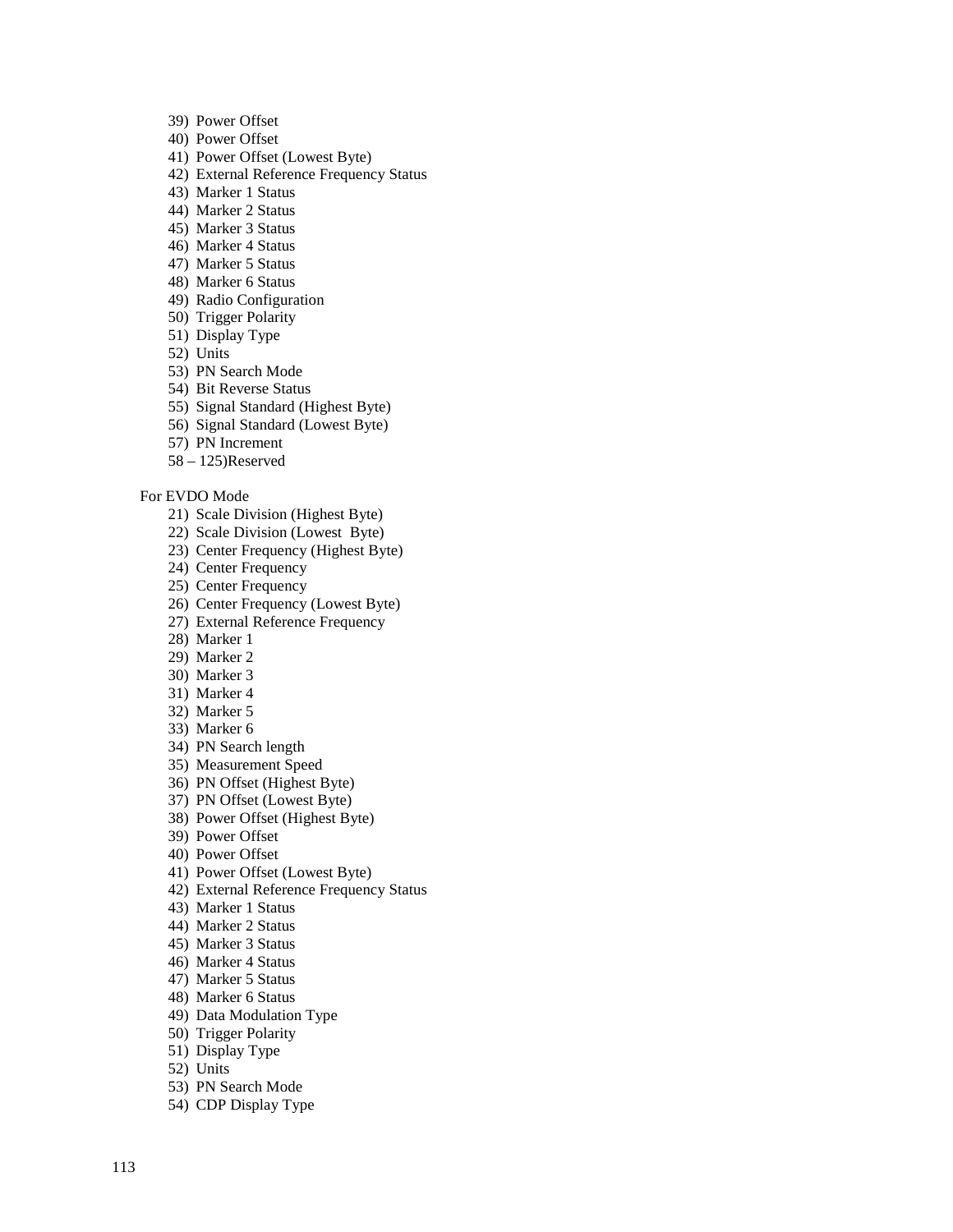- 39) Power Offset
- 40) Power Offset
- 41) Power Offset (Lowest Byte)
- 42) External Reference Frequency Status
- 43) Marker 1 Status
- 44) Marker 2 Status
- 45) Marker 3 Status
- 46) Marker 4 Status
- 47) Marker 5 Status
- 48) Marker 6 Status
- 49) Radio Configuration
- 50) Trigger Polarity
- 51) Display Type
- 52) Units
- 53) PN Search Mode
- 54) Bit Reverse Status
- 55) Signal Standard (Highest Byte)
- 56) Signal Standard (Lowest Byte)
- 57) PN Increment
- 58 125)Reserved

#### For EVDO Mode

- 21) Scale Division (Highest Byte)
- 22) Scale Division (Lowest Byte)
- 23) Center Frequency (Highest Byte)
- 24) Center Frequency
- 25) Center Frequency
- 26) Center Frequency (Lowest Byte)
- 27) External Reference Frequency
- 28) Marker 1
- 29) Marker 2
- 30) Marker 3
- 31) Marker 4
- 32) Marker 5
- 33) Marker 6
- 34) PN Search length
- 35) Measurement Speed
- 36) PN Offset (Highest Byte)
- 37) PN Offset (Lowest Byte)
- 38) Power Offset (Highest Byte)
- 39) Power Offset
- 40) Power Offset
- 41) Power Offset (Lowest Byte)
- 42) External Reference Frequency Status
- 43) Marker 1 Status
- 44) Marker 2 Status
- 45) Marker 3 Status
- 46) Marker 4 Status
- 47) Marker 5 Status
- 48) Marker 6 Status
- 49) Data Modulation Type
- 50) Trigger Polarity
- 51) Display Type
- 52) Units
- 53) PN Search Mode
- 54) CDP Display Type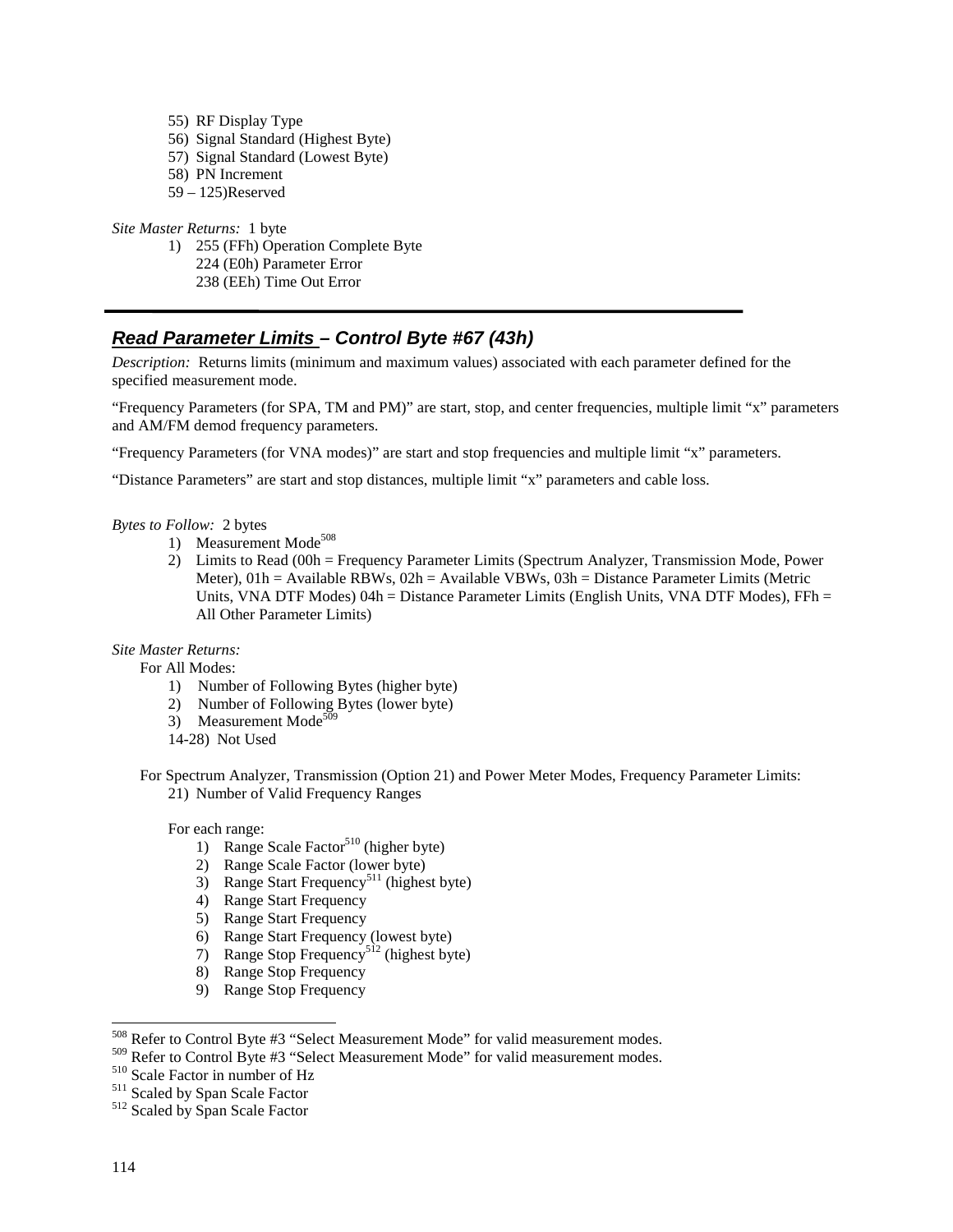55) RF Display Type 56) Signal Standard (Highest Byte) 57) Signal Standard (Lowest Byte) 58) PN Increment 59 – 125)Reserved

*Site Master Returns:* 1 byte

- 1) 255 (FFh) Operation Complete Byte
	- 224 (E0h) Parameter Error
	- 238 (EEh) Time Out Error

# **Read Parameter Limits – Control Byte #67 (43h)**

*Description:* Returns limits (minimum and maximum values) associated with each parameter defined for the specified measurement mode.

"Frequency Parameters (for SPA, TM and PM)" are start, stop, and center frequencies, multiple limit "x" parameters and AM/FM demod frequency parameters.

"Frequency Parameters (for VNA modes)" are start and stop frequencies and multiple limit "x" parameters.

"Distance Parameters" are start and stop distances, multiple limit "x" parameters and cable loss.

#### *Bytes to Follow:* 2 bytes

- 1) Measurement Mode<sup>508</sup>
- 2) Limits to Read (00h = Frequency Parameter Limits (Spectrum Analyzer, Transmission Mode, Power Meter),  $01h =$  Available RBWs,  $02h =$  Available VBWs,  $03h =$  Distance Parameter Limits (Metric Units, VNA DTF Modes)  $04h = Distance$  Parameter Limits (English Units, VNA DTF Modes), FFh = All Other Parameter Limits)

*Site Master Returns:*

For All Modes:

- 1) Number of Following Bytes (higher byte)
- 2) Number of Following Bytes (lower byte)
- 3) Measurement Mode<sup>509</sup>
- 14-28) Not Used

For Spectrum Analyzer, Transmission (Option 21) and Power Meter Modes, Frequency Parameter Limits: 21) Number of Valid Frequency Ranges

For each range:

- 1) Range Scale Factor<sup>510</sup> (higher byte)
- 2) Range Scale Factor (lower byte)
- 3) Range Start Frequency<sup>511</sup> (highest byte)
- 4) Range Start Frequency
- 5) Range Start Frequency
- 6) Range Start Frequency (lowest byte)
- 7) Range Stop Frequency<sup>512</sup> (highest byte)
- 8) Range Stop Frequency
- 9) Range Stop Frequency

1

<sup>&</sup>lt;sup>508</sup> Refer to Control Byte #3 "Select Measurement Mode" for valid measurement modes.

<sup>&</sup>lt;sup>509</sup> Refer to Control Byte #3 "Select Measurement Mode" for valid measurement modes.<br><sup>510</sup> Scale Factor in number of Hz<br><sup>511</sup> Scaled by Span Scale Factor<br><sup>512</sup> Scaled by Span Scale Factor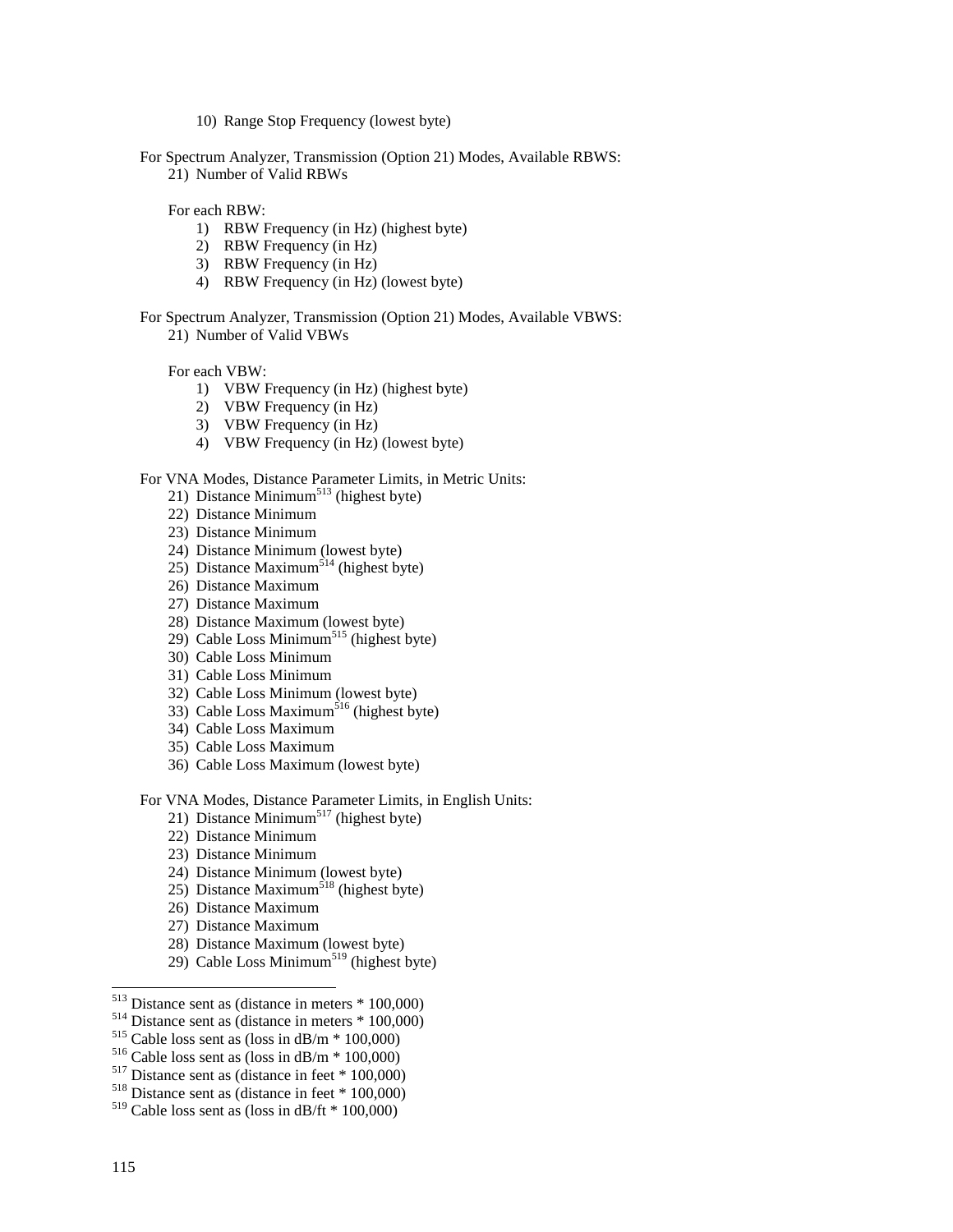10) Range Stop Frequency (lowest byte)

For Spectrum Analyzer, Transmission (Option 21) Modes, Available RBWS:

21) Number of Valid RBWs

For each RBW:

- 1) RBW Frequency (in Hz) (highest byte)
- 2) RBW Frequency (in Hz)
- 3) RBW Frequency (in Hz)
- 4) RBW Frequency (in Hz) (lowest byte)

For Spectrum Analyzer, Transmission (Option 21) Modes, Available VBWS: 21) Number of Valid VBWs

For each VBW:

- 1) VBW Frequency (in Hz) (highest byte)
- 2) VBW Frequency (in Hz)
- 3) VBW Frequency (in Hz)
- 4) VBW Frequency (in Hz) (lowest byte)

### For VNA Modes, Distance Parameter Limits, in Metric Units:

- 21) Distance Minimum<sup>513</sup> (highest byte)
- 22) Distance Minimum
- 23) Distance Minimum
- 24) Distance Minimum (lowest byte)
- 25) Distance Maximum<sup>514</sup> (highest byte)
- 26) Distance Maximum
- 27) Distance Maximum
- 28) Distance Maximum (lowest byte)
- 29) Cable Loss Minimum<sup>515</sup> (highest byte)
- 30) Cable Loss Minimum
- 31) Cable Loss Minimum
- 32) Cable Loss Minimum (lowest byte)
- 33) Cable Loss Maximum<sup>516</sup> (highest byte)
- 34) Cable Loss Maximum
- 35) Cable Loss Maximum
- 36) Cable Loss Maximum (lowest byte)

For VNA Modes, Distance Parameter Limits, in English Units:

- 21) Distance Minimum<sup>517</sup> (highest byte)
- 22) Distance Minimum
- 23) Distance Minimum
- 24) Distance Minimum (lowest byte)
- 25) Distance Maximum<sup>518</sup> (highest byte)
- 26) Distance Maximum
- 27) Distance Maximum
- 28) Distance Maximum (lowest byte)
- 29) Cable Loss Minimum<sup>519</sup> (highest byte)
- $513$  Distance sent as (distance in meters  $*100,000$ )
- <sup>514</sup> Distance sent as (distance in meters \* 100,000)<br><sup>515</sup> Cable loss sent as (loss in dB/m \* 100,000)<br><sup>516</sup> Cable loss sent as (loss in dB/m \* 100,000)<br><sup>516</sup> Distance sent as (distance in feet \* 100,000)<br><sup>518</sup> Distance
- 
- 
- 
- 
- $519$  Cable loss sent as (loss in dB/ft  $*$  100,000)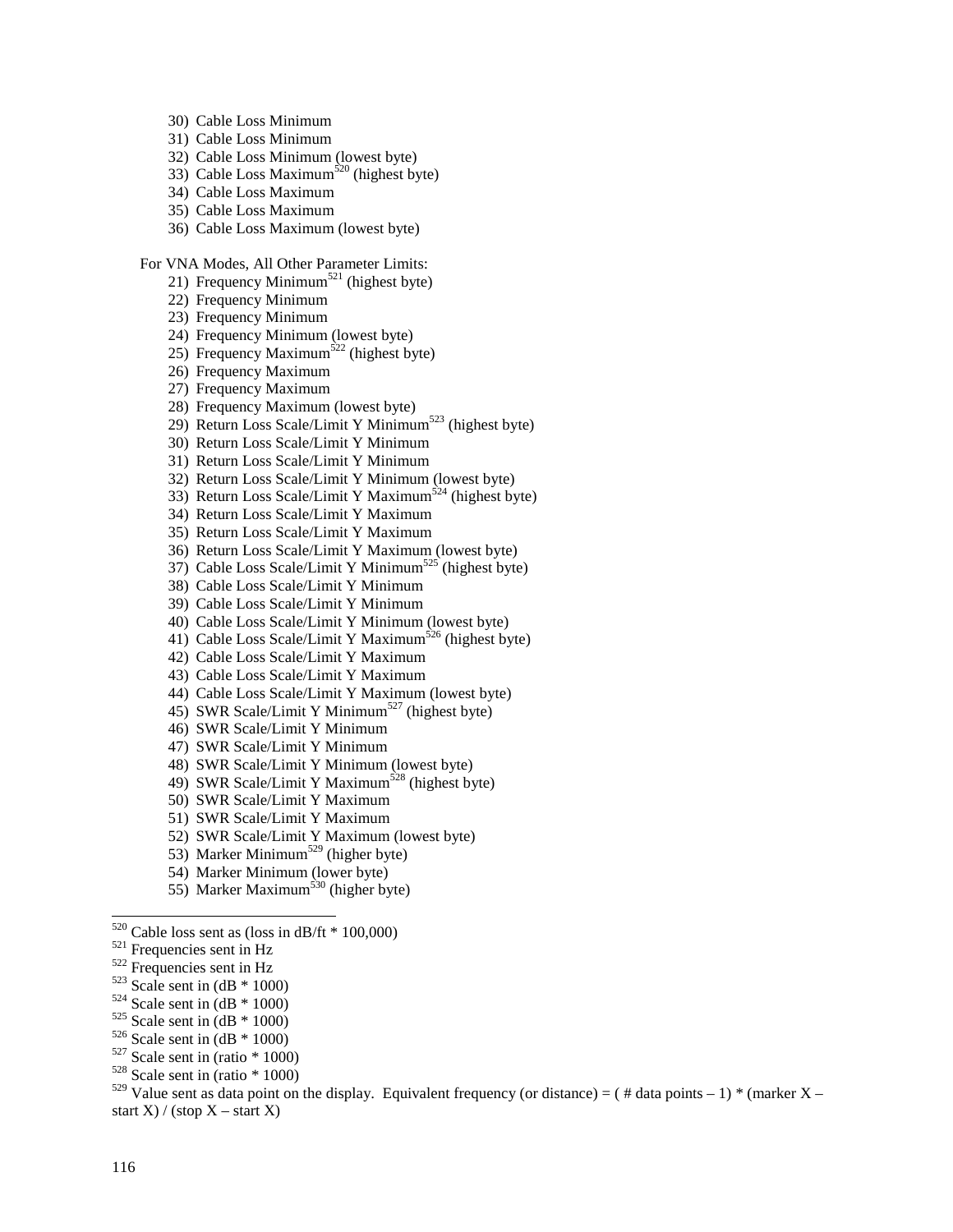- 30) Cable Loss Minimum
- 31) Cable Loss Minimum
- 32) Cable Loss Minimum (lowest byte)
- 33) Cable Loss Maximum<sup>520</sup> (highest byte)
- 34) Cable Loss Maximum
- 35) Cable Loss Maximum
- 36) Cable Loss Maximum (lowest byte)

#### For VNA Modes, All Other Parameter Limits:

- 21) Frequency Minimum<sup>521</sup> (highest byte)
- 22) Frequency Minimum
- 23) Frequency Minimum
- 24) Frequency Minimum (lowest byte)
- 25) Frequency Maximum<sup>522</sup> (highest byte)
- 26) Frequency Maximum
- 27) Frequency Maximum
- 28) Frequency Maximum (lowest byte)
- 29) Return Loss Scale/Limit Y Minimum<sup>523</sup> (highest byte)
- 30) Return Loss Scale/Limit Y Minimum
- 31) Return Loss Scale/Limit Y Minimum
- 32) Return Loss Scale/Limit Y Minimum (lowest byte)
- 33) Return Loss Scale/Limit Y Maximum<sup>524</sup> (highest byte)
- 34) Return Loss Scale/Limit Y Maximum
- 35) Return Loss Scale/Limit Y Maximum
- 36) Return Loss Scale/Limit Y Maximum (lowest byte)
- $37)$  Cable Loss Scale/Limit Y Minimum<sup>525</sup> (highest byte)
- 38) Cable Loss Scale/Limit Y Minimum
- 39) Cable Loss Scale/Limit Y Minimum
- 40) Cable Loss Scale/Limit Y Minimum (lowest byte)
- 41) Cable Loss Scale/Limit Y Maximum<sup>526</sup> (highest byte)
- 42) Cable Loss Scale/Limit Y Maximum
- 43) Cable Loss Scale/Limit Y Maximum
- 44) Cable Loss Scale/Limit Y Maximum (lowest byte)
- 45) SWR Scale/Limit Y Minimum<sup>527</sup> (highest byte)
- 46) SWR Scale/Limit Y Minimum
- 47) SWR Scale/Limit Y Minimum
- 48) SWR Scale/Limit Y Minimum (lowest byte)
- 49) SWR Scale/Limit Y Maximum<sup>528</sup> (highest byte)
- 50) SWR Scale/Limit Y Maximum
- 51) SWR Scale/Limit Y Maximum
- 52) SWR Scale/Limit Y Maximum (lowest byte)
- 53) Marker Minimum<sup>529</sup> (higher byte)
- 54) Marker Minimum (lower byte)
- 55) Marker Maximum<sup>530</sup> (higher byte)
- <sup>520</sup> Cable loss sent as (loss in dB/ft \* 100,000)<br><sup>521</sup> Frequencies sent in Hz<br><sup>522</sup> Frequencies sent in Hz<br><sup>523</sup> Scale sent in (dB \* 1000)<br><sup>524</sup> Scale sent in (dB \* 1000)<br><sup>525</sup> Scale sent in (dB \* 1000)<br><sup>525</sup> Scale sent
- 
- 
- 
- 
- 
- 
- 
- 

<sup>529</sup> Value sent as data point on the display. Equivalent frequency (or distance) = ( # data points – 1) \* (marker X – start X) / (stop  $X$  – start X)

1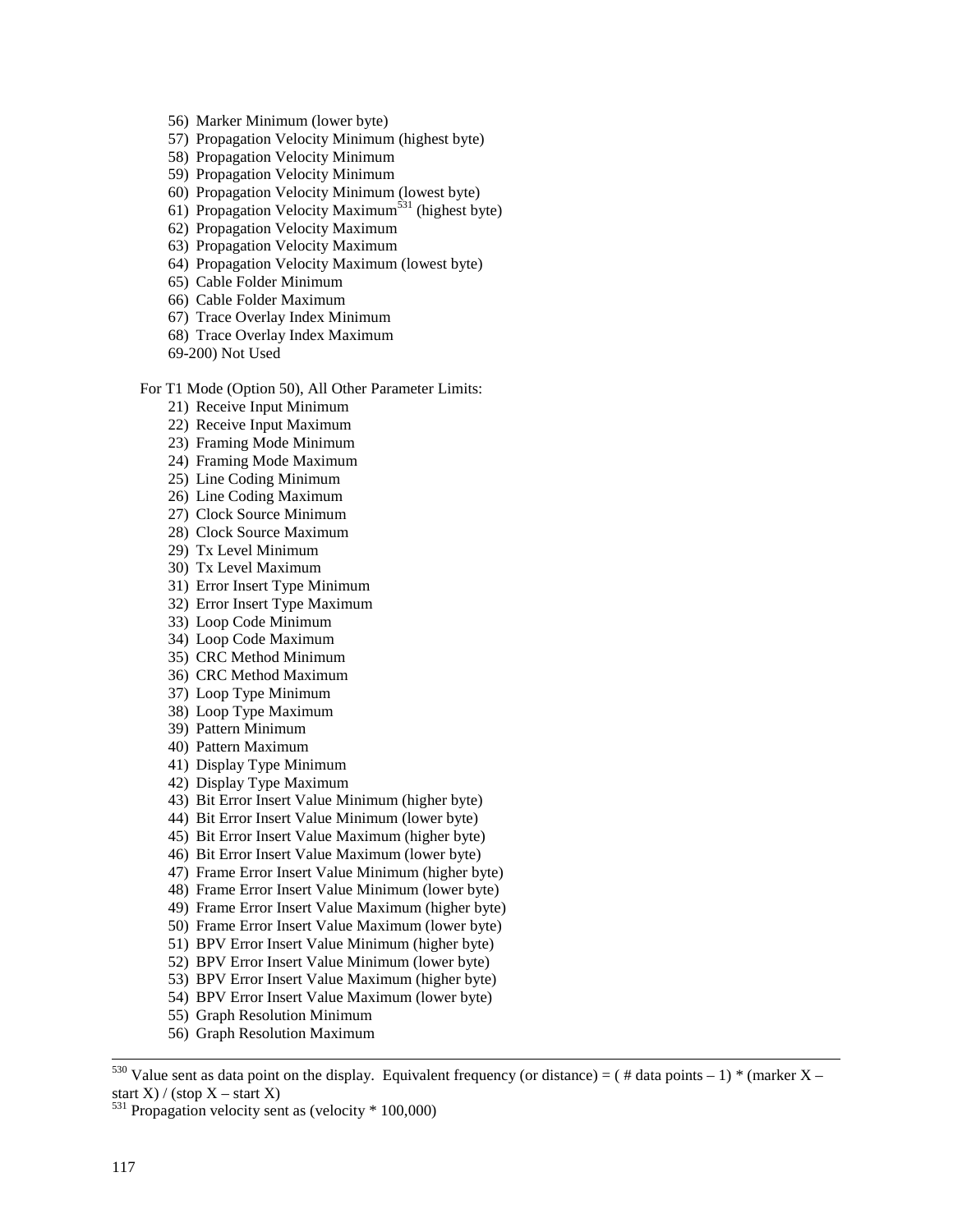- 56) Marker Minimum (lower byte)
- 57) Propagation Velocity Minimum (highest byte)
- 58) Propagation Velocity Minimum
- 59) Propagation Velocity Minimum
- 60) Propagation Velocity Minimum (lowest byte)
- 61) Propagation Velocity Maximum<sup>531</sup> (highest byte)
- 62) Propagation Velocity Maximum
- 63) Propagation Velocity Maximum
- 64) Propagation Velocity Maximum (lowest byte)
- 65) Cable Folder Minimum
- 66) Cable Folder Maximum
- 67) Trace Overlay Index Minimum
- 68) Trace Overlay Index Maximum
- 69-200) Not Used

#### For T1 Mode (Option 50), All Other Parameter Limits:

- 21) Receive Input Minimum
- 22) Receive Input Maximum
- 23) Framing Mode Minimum
- 24) Framing Mode Maximum
- 25) Line Coding Minimum
- 26) Line Coding Maximum
- 27) Clock Source Minimum
- 28) Clock Source Maximum
- 29) Tx Level Minimum
- 30) Tx Level Maximum
- 31) Error Insert Type Minimum
- 32) Error Insert Type Maximum
- 33) Loop Code Minimum
- 34) Loop Code Maximum
- 35) CRC Method Minimum
- 36) CRC Method Maximum
- 37) Loop Type Minimum
- 38) Loop Type Maximum
- 39) Pattern Minimum
- 40) Pattern Maximum
- 41) Display Type Minimum
- 42) Display Type Maximum
- 43) Bit Error Insert Value Minimum (higher byte)
- 44) Bit Error Insert Value Minimum (lower byte)
- 45) Bit Error Insert Value Maximum (higher byte)
- 46) Bit Error Insert Value Maximum (lower byte)
- 47) Frame Error Insert Value Minimum (higher byte)
- 48) Frame Error Insert Value Minimum (lower byte)
- 49) Frame Error Insert Value Maximum (higher byte)
- 50) Frame Error Insert Value Maximum (lower byte)
- 51) BPV Error Insert Value Minimum (higher byte)
- 52) BPV Error Insert Value Minimum (lower byte)
- 53) BPV Error Insert Value Maximum (higher byte)
- 54) BPV Error Insert Value Maximum (lower byte)
- 55) Graph Resolution Minimum
- 56) Graph Resolution Maximum

<sup>&</sup>lt;sup>530</sup> Value sent as data point on the display. Equivalent frequency (or distance) = (# data points – 1) \* (marker X – start X) / (stop  $X - start X$ )

 $531$  Propagation velocity sent as (velocity  $*100,000$ )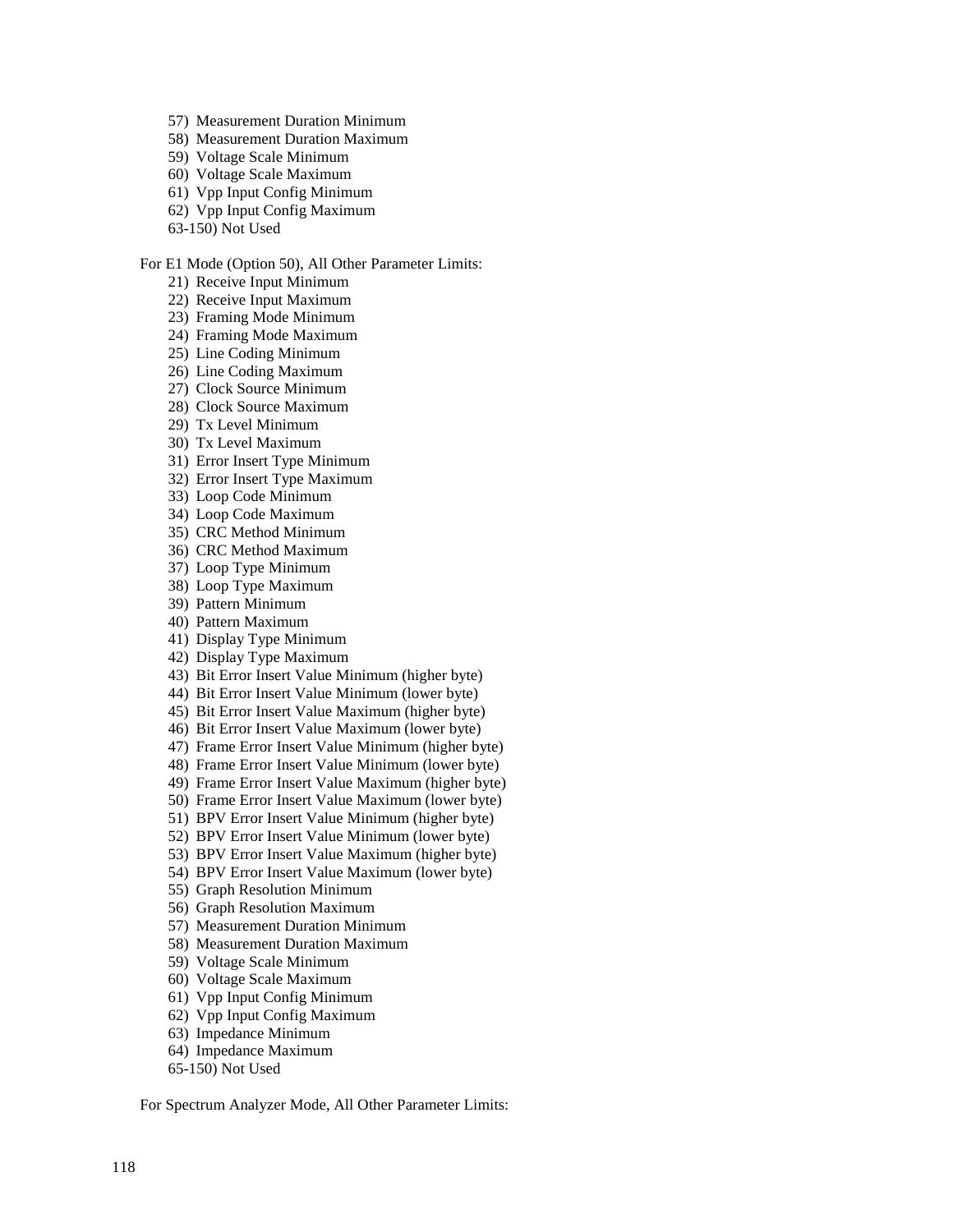- 57) Measurement Duration Minimum
- 58) Measurement Duration Maximum
- 59) Voltage Scale Minimum
- 60) Voltage Scale Maximum
- 61) Vpp Input Config Minimum
- 62) Vpp Input Config Maximum
- 63-150) Not Used

#### For E1 Mode (Option 50), All Other Parameter Limits:

- 21) Receive Input Minimum
- 22) Receive Input Maximum
- 23) Framing Mode Minimum
- 24) Framing Mode Maximum
- 25) Line Coding Minimum
- 26) Line Coding Maximum
- 27) Clock Source Minimum
- 28) Clock Source Maximum
- 29) Tx Level Minimum
- 30) Tx Level Maximum
- 31) Error Insert Type Minimum
- 32) Error Insert Type Maximum
- 33) Loop Code Minimum
- 34) Loop Code Maximum
- 35) CRC Method Minimum
- 36) CRC Method Maximum
- 37) Loop Type Minimum
- 38) Loop Type Maximum
- 39) Pattern Minimum
- 40) Pattern Maximum
- 41) Display Type Minimum
- 42) Display Type Maximum
- 43) Bit Error Insert Value Minimum (higher byte)
- 44) Bit Error Insert Value Minimum (lower byte)
- 45) Bit Error Insert Value Maximum (higher byte)
- 46) Bit Error Insert Value Maximum (lower byte)
- 47) Frame Error Insert Value Minimum (higher byte)
- 48) Frame Error Insert Value Minimum (lower byte)
- 49) Frame Error Insert Value Maximum (higher byte)
- 50) Frame Error Insert Value Maximum (lower byte)
- 51) BPV Error Insert Value Minimum (higher byte)
- 52) BPV Error Insert Value Minimum (lower byte)
- 53) BPV Error Insert Value Maximum (higher byte)
- 54) BPV Error Insert Value Maximum (lower byte)
- 55) Graph Resolution Minimum
- 56) Graph Resolution Maximum
- 57) Measurement Duration Minimum
- 58) Measurement Duration Maximum
- 59) Voltage Scale Minimum
- 60) Voltage Scale Maximum
- 61) Vpp Input Config Minimum
- 62) Vpp Input Config Maximum
- 63) Impedance Minimum
- 64) Impedance Maximum
- 65-150) Not Used

For Spectrum Analyzer Mode, All Other Parameter Limits: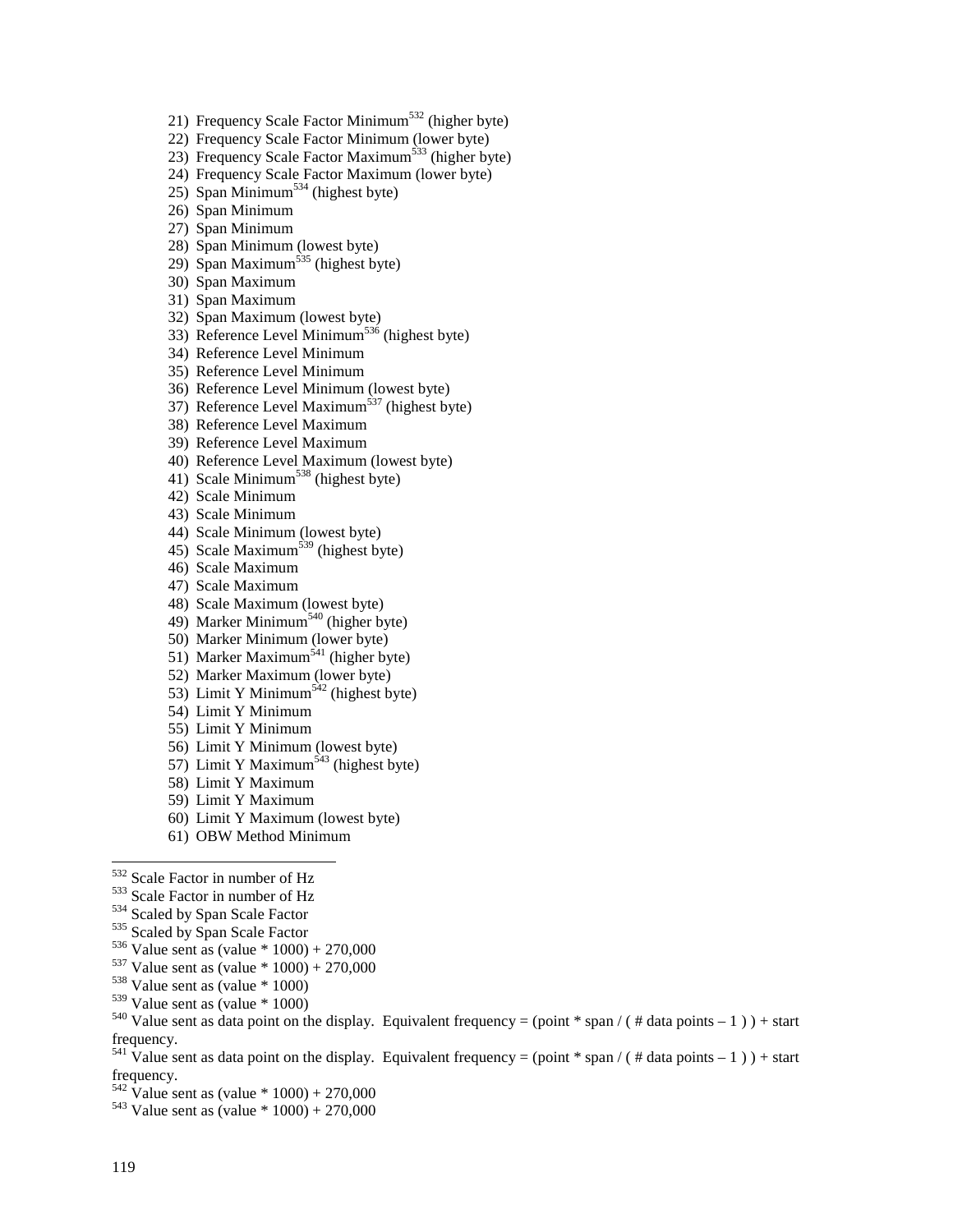21) Frequency Scale Factor Minimum<sup>532</sup> (higher byte)

22) Frequency Scale Factor Minimum (lower byte)

23) Frequency Scale Factor Maximum<sup>533</sup> (higher byte)

24) Frequency Scale Factor Maximum (lower byte)

 $25)$  Span Minimum<sup>534</sup> (highest byte)

26) Span Minimum

27) Span Minimum

28) Span Minimum (lowest byte)

29) Span Maximum<sup>535</sup> (highest byte)

30) Span Maximum

31) Span Maximum

32) Span Maximum (lowest byte)

33) Reference Level Minimum536 (highest byte)

34) Reference Level Minimum

35) Reference Level Minimum

36) Reference Level Minimum (lowest byte)

37) Reference Level Maximum<sup>537</sup> (highest byte)

38) Reference Level Maximum

39) Reference Level Maximum

40) Reference Level Maximum (lowest byte)

41) Scale Minimum<sup>538</sup> (highest byte)

42) Scale Minimum

43) Scale Minimum

44) Scale Minimum (lowest byte)

45) Scale Maximum<sup>539</sup> (highest byte)

46) Scale Maximum

47) Scale Maximum

48) Scale Maximum (lowest byte)

49) Marker Minimum<sup>540</sup> (higher byte)

50) Marker Minimum (lower byte)

51) Marker Maximum<sup>541</sup> (higher byte)

52) Marker Maximum (lower byte)

53) Limit Y Minimum<sup>542</sup> (highest byte)

54) Limit Y Minimum

55) Limit Y Minimum

56) Limit Y Minimum (lowest byte)

57) Limit Y Maximum<sup>543</sup> (highest byte)

58) Limit Y Maximum

59) Limit Y Maximum

60) Limit Y Maximum (lowest byte)

61) OBW Method Minimum

532 Scale Factor in number of Hz

<sup>533</sup> Scale Factor in number of Hz<br><sup>534</sup> Scaled by Span Scale Factor<br><sup>535</sup> Scaled by Span Scale Factor<br><sup>536</sup> Value sent as (value \* 1000) + 270,000<br><sup>537</sup> Value sent as (value \* 1000) + 270,000<br><sup>538</sup> Value sent as (value \*

<sup>540</sup> Value sent as data point on the display. Equivalent frequency = (point \* span / ( # data points – 1 ) ) + start frequency.

<sup>541</sup> Value sent as data point on the display. Equivalent frequency = (point \* span / ( # data points – 1 ) ) + start frequency.

 $\frac{542}{542}$  Value sent as (value \* 1000) + 270,000<br> $\frac{543}{543}$  Value sent as (value \* 1000) + 270,000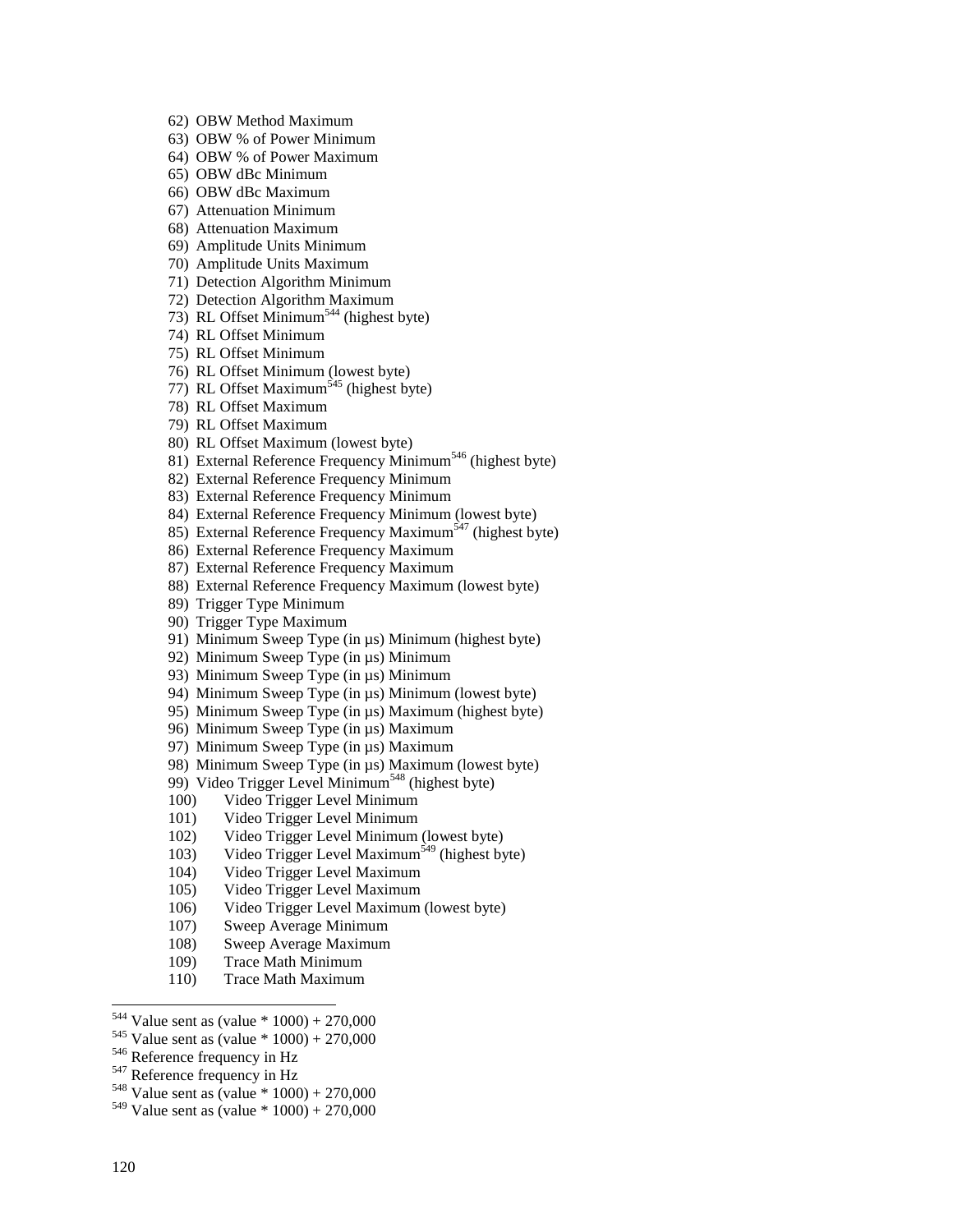- 62) OBW Method Maximum
- 63) OBW % of Power Minimum
- 64) OBW % of Power Maximum
- 65) OBW dBc Minimum
- 66) OBW dBc Maximum
- 67) Attenuation Minimum
- 68) Attenuation Maximum
- 69) Amplitude Units Minimum
- 70) Amplitude Units Maximum
- 71) Detection Algorithm Minimum
- 72) Detection Algorithm Maximum
- 73) RL Offset Minimum<sup>544</sup> (highest byte)
- 74) RL Offset Minimum
- 75) RL Offset Minimum
- 76) RL Offset Minimum (lowest byte)
- 77) RL Offset Maximum<sup>545</sup> (highest byte)
- 78) RL Offset Maximum
- 79) RL Offset Maximum
- 80) RL Offset Maximum (lowest byte)
- 81) External Reference Frequency Minimum<sup>546</sup> (highest byte)
- 82) External Reference Frequency Minimum
- 83) External Reference Frequency Minimum
- 84) External Reference Frequency Minimum (lowest byte)
- 85) External Reference Frequency Maximum<sup>547</sup> (highest byte)
- 86) External Reference Frequency Maximum
- 87) External Reference Frequency Maximum
- 88) External Reference Frequency Maximum (lowest byte)
- 89) Trigger Type Minimum
- 90) Trigger Type Maximum
- 91) Minimum Sweep Type (in µs) Minimum (highest byte)
- 92) Minimum Sweep Type (in  $\mu$ s) Minimum
- 93) Minimum Sweep Type (in µs) Minimum
- 94) Minimum Sweep Type (in µs) Minimum (lowest byte)
- 95) Minimum Sweep Type (in µs) Maximum (highest byte)
- 96) Minimum Sweep Type (in µs) Maximum
- 97) Minimum Sweep Type (in µs) Maximum
- 98) Minimum Sweep Type (in µs) Maximum (lowest byte)
- 99) Video Trigger Level Minimum<sup>548</sup> (highest byte)
- 100) Video Trigger Level Minimum
- 101) Video Trigger Level Minimum
- 102) Video Trigger Level Minimum (lowest byte)
- 103) Video Trigger Level Maximum<sup>549</sup> (highest byte)
- 104) Video Trigger Level Maximum
- 105) Video Trigger Level Maximum
- 106) Video Trigger Level Maximum (lowest byte)
- 107) Sweep Average Minimum
- 108) Sweep Average Maximum
- 109) Trace Math Minimum
- 110) Trace Math Maximum
- <sup>544</sup> Value sent as (value \* 1000) + 270,000
- <sup>545</sup> Value sent as (value \* 1000) + 270,000<br><sup>546</sup> Reference frequency in Hz<br><sup>547</sup> Reference frequency in Hz<br><sup>548</sup> Value sent as (value \* 1000) + 270,000
- 
- 
- 
- $549$  Value sent as (value \* 1000) + 270,000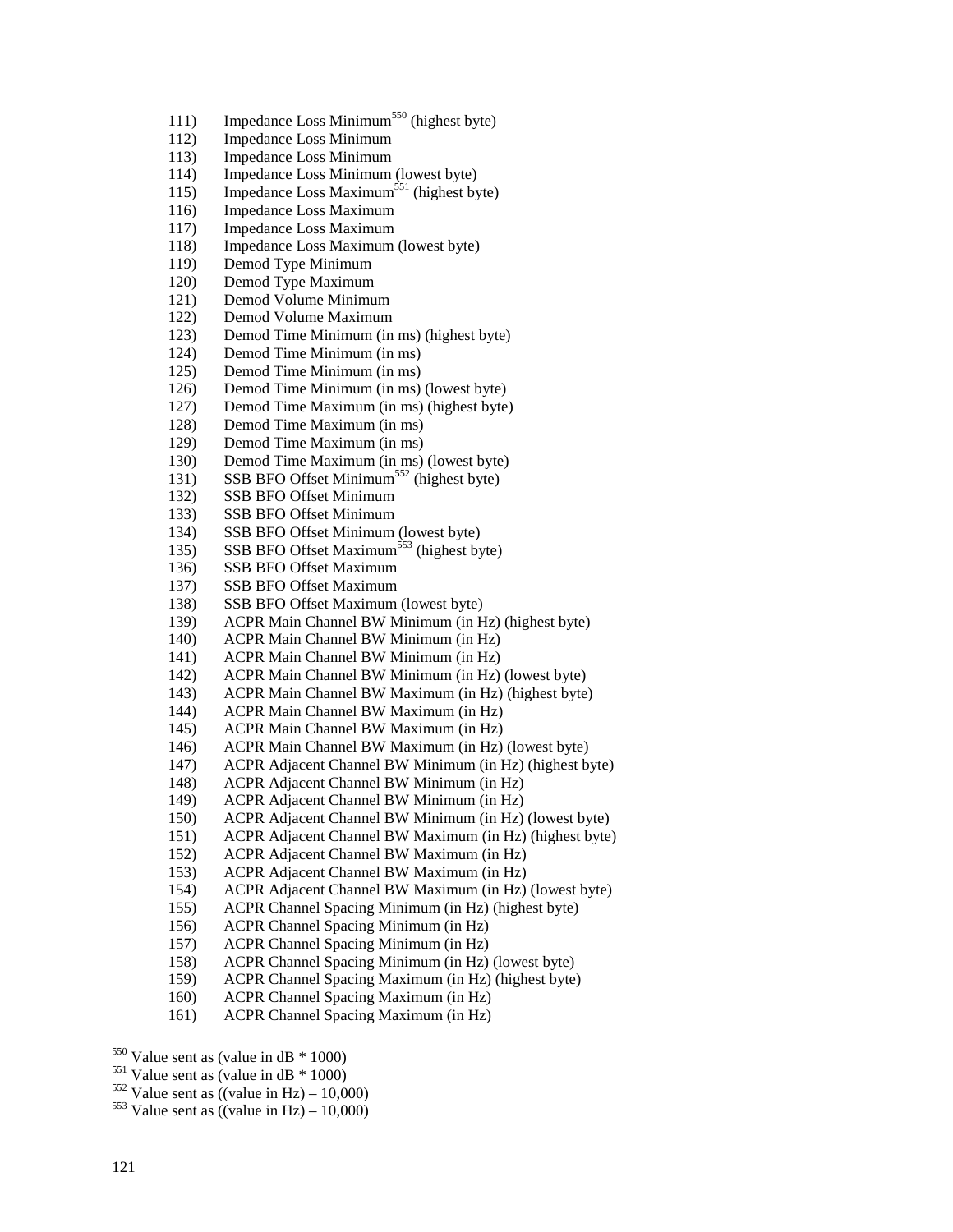- 111) Impedance Loss Minimum<sup>550</sup> (highest byte)
- 112) Impedance Loss Minimum
- 113) Impedance Loss Minimum
- 114) Impedance Loss Minimum (lowest byte)
- 115) Impedance Loss Maximum<sup>551</sup> (highest byte)
- 116) Impedance Loss Maximum
- 117) Impedance Loss Maximum
- 118) Impedance Loss Maximum (lowest byte)
- 119) Demod Type Minimum
- 120) Demod Type Maximum
- 121) Demod Volume Minimum
- 122) Demod Volume Maximum
- 123) Demod Time Minimum (in ms) (highest byte)
- 124) Demod Time Minimum (in ms)
- 125) Demod Time Minimum (in ms)
- 126) Demod Time Minimum (in ms) (lowest byte)
- 127) Demod Time Maximum (in ms) (highest byte)
- 128) Demod Time Maximum (in ms)
- 129) Demod Time Maximum (in ms)
- 130) Demod Time Maximum (in ms) (lowest byte)
- 131) SSB BFO Offset Minimum<sup>552</sup> (highest byte)
- 132) SSB BFO Offset Minimum
- 133) SSB BFO Offset Minimum
- 134) SSB BFO Offset Minimum (lowest byte)
- 135) SSB BFO Offset Maximum<sup>553</sup> (highest byte)
- 136) SSB BFO Offset Maximum
- 137) SSB BFO Offset Maximum
- 138) SSB BFO Offset Maximum (lowest byte)
- 139) ACPR Main Channel BW Minimum (in Hz) (highest byte)
- 140) ACPR Main Channel BW Minimum (in Hz)
- 141) ACPR Main Channel BW Minimum (in Hz)
- 142) ACPR Main Channel BW Minimum (in Hz) (lowest byte)
- 143) ACPR Main Channel BW Maximum (in Hz) (highest byte)
- 144) ACPR Main Channel BW Maximum (in Hz)
- 145) ACPR Main Channel BW Maximum (in Hz)
- 146) ACPR Main Channel BW Maximum (in Hz) (lowest byte)
- 147) ACPR Adjacent Channel BW Minimum (in Hz) (highest byte)
- 148) ACPR Adjacent Channel BW Minimum (in Hz)
- 149) ACPR Adjacent Channel BW Minimum (in Hz)
- 150) ACPR Adjacent Channel BW Minimum (in Hz) (lowest byte)
- 151) ACPR Adjacent Channel BW Maximum (in Hz) (highest byte)
- 152) ACPR Adjacent Channel BW Maximum (in Hz)
- 153) ACPR Adjacent Channel BW Maximum (in Hz)
- 154) ACPR Adjacent Channel BW Maximum (in Hz) (lowest byte)
- 155) ACPR Channel Spacing Minimum (in Hz) (highest byte)
- 156) ACPR Channel Spacing Minimum (in Hz)
- 157) ACPR Channel Spacing Minimum (in Hz)
- 158) ACPR Channel Spacing Minimum (in Hz) (lowest byte)
- 159) ACPR Channel Spacing Maximum (in Hz) (highest byte)
- 160) ACPR Channel Spacing Maximum (in Hz)
- 161) ACPR Channel Spacing Maximum (in Hz)

<sup>1</sup> 

<sup>&</sup>lt;sup>550</sup> Value sent as (value in dB \* 1000)<br><sup>551</sup> Value sent as (value in dB \* 1000)<br><sup>552</sup> Value sent as ((value in Hz) – 10,000)<br><sup>553</sup> Value sent as ((value in Hz) – 10,000)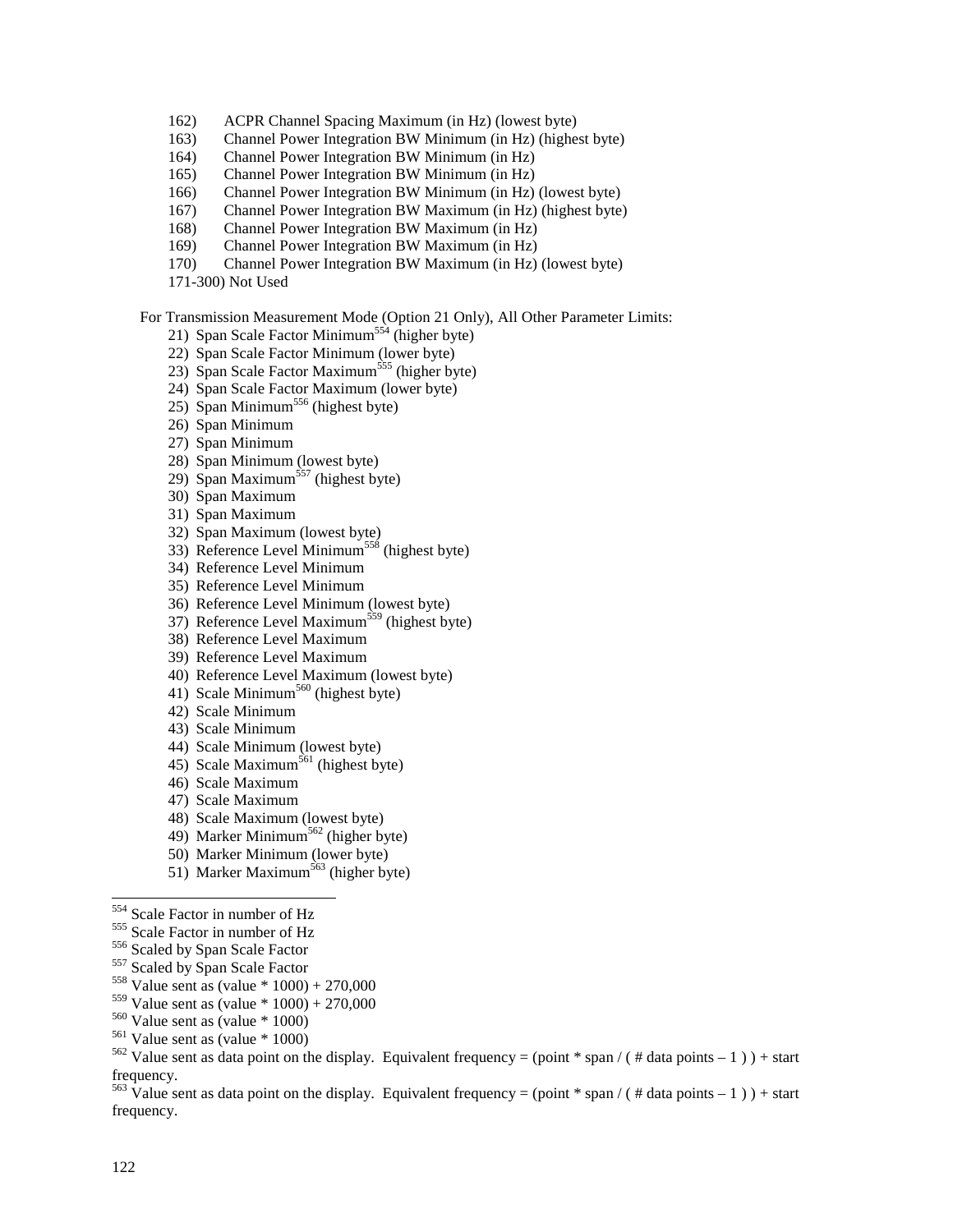- 162) ACPR Channel Spacing Maximum (in Hz) (lowest byte)
- 163) Channel Power Integration BW Minimum (in Hz) (highest byte)
- 164) Channel Power Integration BW Minimum (in Hz)
- 165) Channel Power Integration BW Minimum (in Hz)
- 166) Channel Power Integration BW Minimum (in Hz) (lowest byte)
- 167) Channel Power Integration BW Maximum (in Hz) (highest byte)
- 168) Channel Power Integration BW Maximum (in Hz)
- 169) Channel Power Integration BW Maximum (in Hz)
- 170) Channel Power Integration BW Maximum (in Hz) (lowest byte)
- 171-300) Not Used

For Transmission Measurement Mode (Option 21 Only), All Other Parameter Limits:

- 21) Span Scale Factor Minimum<sup>554</sup> (higher byte)
- 22) Span Scale Factor Minimum (lower byte)
- 23) Span Scale Factor Maximum<sup>555</sup> (higher byte)
- 24) Span Scale Factor Maximum (lower byte)
- 25) Span Minimum<sup>556</sup> (highest byte)
- 26) Span Minimum
- 27) Span Minimum
- 28) Span Minimum (lowest byte)
- 29) Span Maximum<sup>557</sup> (highest byte)
- 30) Span Maximum
- 31) Span Maximum
- 32) Span Maximum (lowest byte)
- 33) Reference Level Minimum558 (highest byte)
- 34) Reference Level Minimum
- 35) Reference Level Minimum
- 36) Reference Level Minimum (lowest byte)
- 37) Reference Level Maximum<sup>559</sup> (highest byte)
- 38) Reference Level Maximum
- 39) Reference Level Maximum
- 40) Reference Level Maximum (lowest byte)
- 41) Scale Minimum<sup>560</sup> (highest byte)
- 42) Scale Minimum
- 43) Scale Minimum
- 44) Scale Minimum (lowest byte)
- 45) Scale Maximum<sup>561</sup> (highest byte)
- 46) Scale Maximum
- 47) Scale Maximum
- 48) Scale Maximum (lowest byte)
- 49) Marker Minimum<sup>562</sup> (higher byte)
- 50) Marker Minimum (lower byte)
- 51) Marker Maximum<sup>563</sup> (higher byte)

- 
- 
- 
- <sup>555</sup> Scale Factor in number of Hz<br><sup>556</sup> Scaled by Span Scale Factor<br><sup>557</sup> Scaled by Span Scale Factor<br><sup>558</sup> Value sent as (value \* 1000) + 270,000<br><sup>559</sup> Value sent as (value \* 1000) + 270,000
- 
- 
- 

 $\frac{563}{63}$  Value sent as data point on the display. Equivalent frequency = (point \* span / ( # data points – 1 ) ) + start frequency.

<sup>554</sup> Scale Factor in number of Hz

<sup>&</sup>lt;sup>560</sup> Value sent as (value \* 1000)<br><sup>561</sup> Value sent as (value \* 1000)<br><sup>562</sup> Value sent as data point on the display. Equivalent frequency = (point \* span / ( # data points – 1 ) ) + start frequency.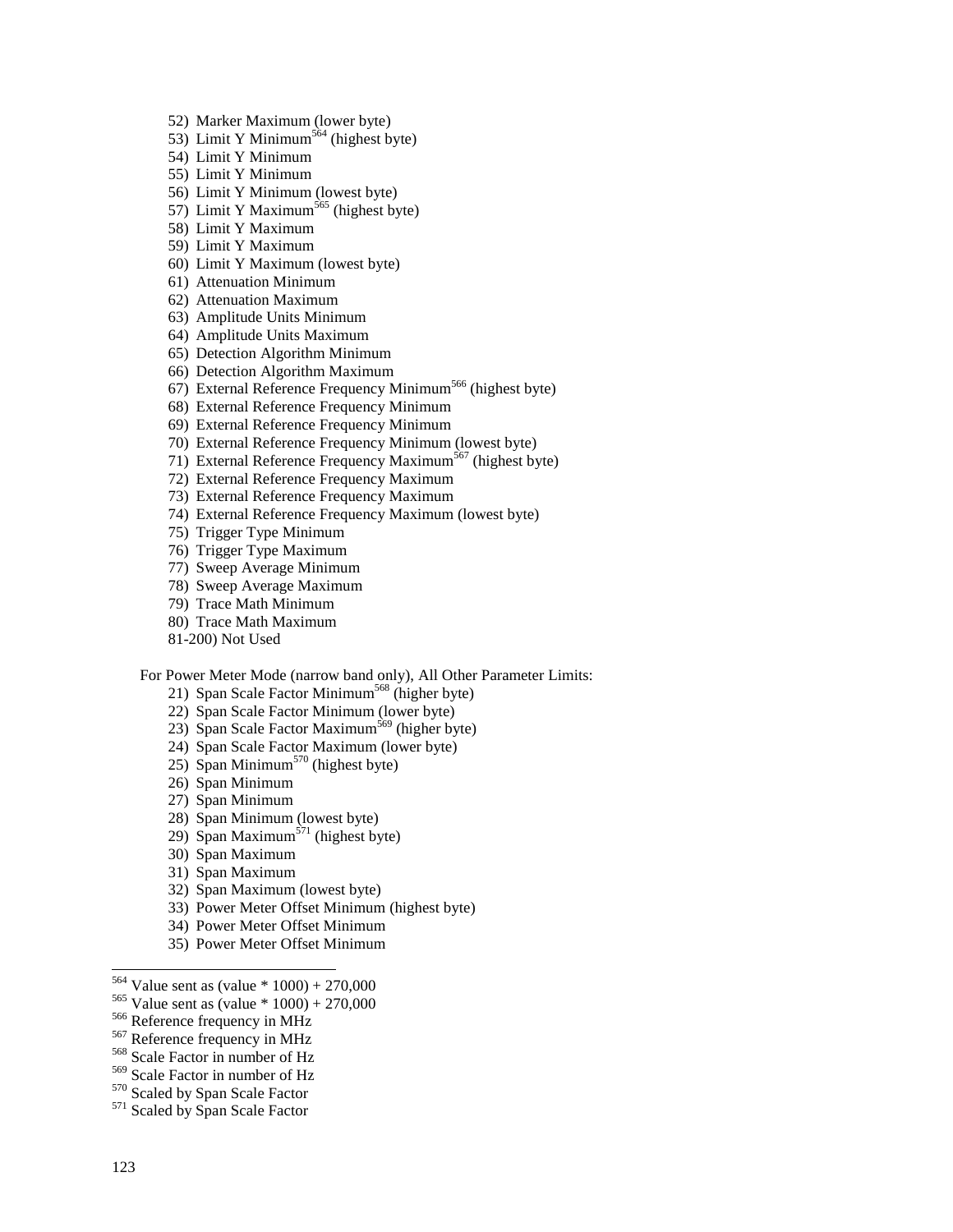- 52) Marker Maximum (lower byte)
- 53) Limit Y Minimum<sup>564</sup> (highest byte)
- 54) Limit Y Minimum
- 55) Limit Y Minimum
- 56) Limit Y Minimum (lowest byte)
- 57) Limit Y Maximum<sup>565</sup> (highest byte)
- 58) Limit Y Maximum
- 59) Limit Y Maximum
- 60) Limit Y Maximum (lowest byte)
- 61) Attenuation Minimum
- 62) Attenuation Maximum
- 63) Amplitude Units Minimum
- 64) Amplitude Units Maximum
- 65) Detection Algorithm Minimum
- 66) Detection Algorithm Maximum
- 67) External Reference Frequency Minimum566 (highest byte)
- 68) External Reference Frequency Minimum
- 69) External Reference Frequency Minimum
- 70) External Reference Frequency Minimum (lowest byte)
- 71) External Reference Frequency Maximum<sup>567</sup> (highest byte)
- 72) External Reference Frequency Maximum
- 73) External Reference Frequency Maximum
- 74) External Reference Frequency Maximum (lowest byte)
- 75) Trigger Type Minimum
- 76) Trigger Type Maximum
- 77) Sweep Average Minimum
- 78) Sweep Average Maximum
- 79) Trace Math Minimum
- 80) Trace Math Maximum
- 81-200) Not Used

### For Power Meter Mode (narrow band only), All Other Parameter Limits:

- 21) Span Scale Factor Minimum<sup>568</sup> (higher byte)
- 22) Span Scale Factor Minimum (lower byte)
- 23) Span Scale Factor Maximum<sup>569</sup> (higher byte)
- 24) Span Scale Factor Maximum (lower byte)
- $25)$  Span Minimum<sup>570</sup> (highest byte)
- 26) Span Minimum
- 27) Span Minimum
- 28) Span Minimum (lowest byte)
- 29) Span Maximum<sup>571</sup> (highest byte)
- 30) Span Maximum
- 31) Span Maximum
- 32) Span Maximum (lowest byte)
- 33) Power Meter Offset Minimum (highest byte)
- 34) Power Meter Offset Minimum
- 35) Power Meter Offset Minimum
- <sup>564</sup> Value sent as (value  $* 1000$ ) + 270,000
- <sup>565</sup> Value sent as (value \* 1000) + 270,000<br><sup>566</sup> Reference frequency in MHz<br><sup>567</sup> Reference frequency in MHz<br><sup>568</sup> Scale Factor in number of Hz<br><sup>569</sup> Scale Factor in number of Hz
- 
- 
- 
- 
- 
- 570 Scaled by Span Scale Factor 571 Scaled by Span Scale Factor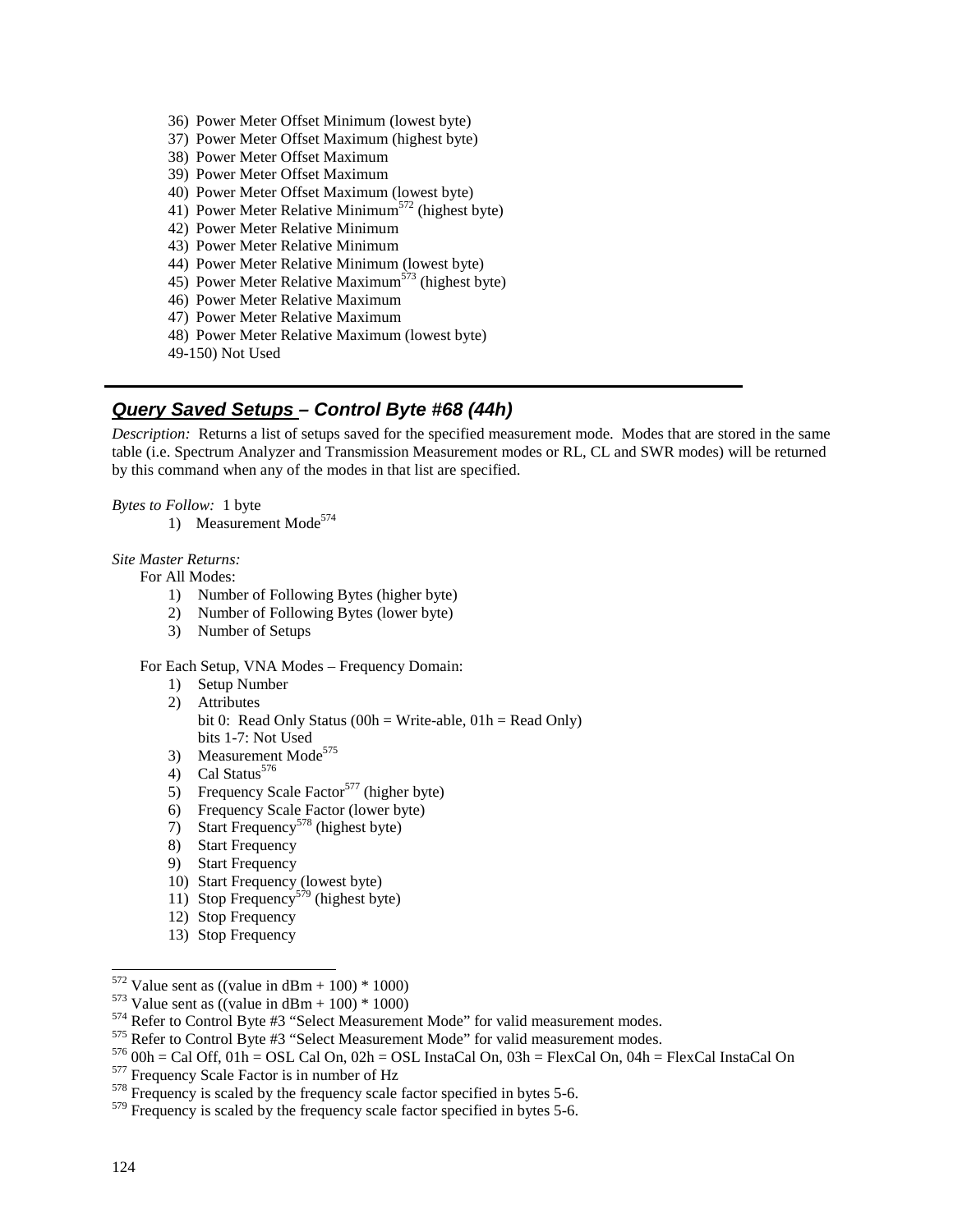- 36) Power Meter Offset Minimum (lowest byte)
- 37) Power Meter Offset Maximum (highest byte)
- 38) Power Meter Offset Maximum
- 39) Power Meter Offset Maximum
- 40) Power Meter Offset Maximum (lowest byte)
- 41) Power Meter Relative Minimum<sup>572</sup> (highest byte)
- 42) Power Meter Relative Minimum
- 43) Power Meter Relative Minimum
- 44) Power Meter Relative Minimum (lowest byte)
- 45) Power Meter Relative Maximum<sup>573</sup> (highest byte)
- 46) Power Meter Relative Maximum
- 47) Power Meter Relative Maximum
- 48) Power Meter Relative Maximum (lowest byte)
- 49-150) Not Used

# **Query Saved Setups – Control Byte #68 (44h)**

*Description:* Returns a list of setups saved for the specified measurement mode. Modes that are stored in the same table (i.e. Spectrum Analyzer and Transmission Measurement modes or RL, CL and SWR modes) will be returned by this command when any of the modes in that list are specified.

#### *Bytes to Follow:* 1 byte

1) Measurement Mode<sup>574</sup>

#### *Site Master Returns:*

For All Modes:

- 1) Number of Following Bytes (higher byte)
- 2) Number of Following Bytes (lower byte)
- 3) Number of Setups

### For Each Setup, VNA Modes – Frequency Domain:

- 1) Setup Number 2) Attributes bit 0: Read Only Status (00h = Write-able,  $01h$  = Read Only) bits 1-7: Not Used
- 3) Measurement Mode<sup>575</sup>
- 4) Cal Status $576$
- 5) Frequency Scale Factor<sup>577</sup> (higher byte)
- 6) Frequency Scale Factor (lower byte)
- 7) Start Frequency<sup>578</sup> (highest byte)
- 8) Start Frequency
- 9) Start Frequency
- 10) Start Frequency (lowest byte)
- 11) Stop Frequency<sup>579</sup> (highest byte)
- 12) Stop Frequency
- 13) Stop Frequency

<sup>&</sup>lt;sup>572</sup> Value sent as ((value in dBm + 100) \* 1000)

<sup>&</sup>lt;sup>573</sup> Value sent as ((value in dBm + 100) \* 1000)<br><sup>574</sup> Refer to Control Byte #3 "Select Measurement Mode" for valid measurement modes.<br><sup>575</sup> Refer to Control Byte #3 "Select Measurement Mode" for valid measurement modes.

<sup>&</sup>lt;sup>579</sup> Frequency is scaled by the frequency scale factor specified in bytes 5-6.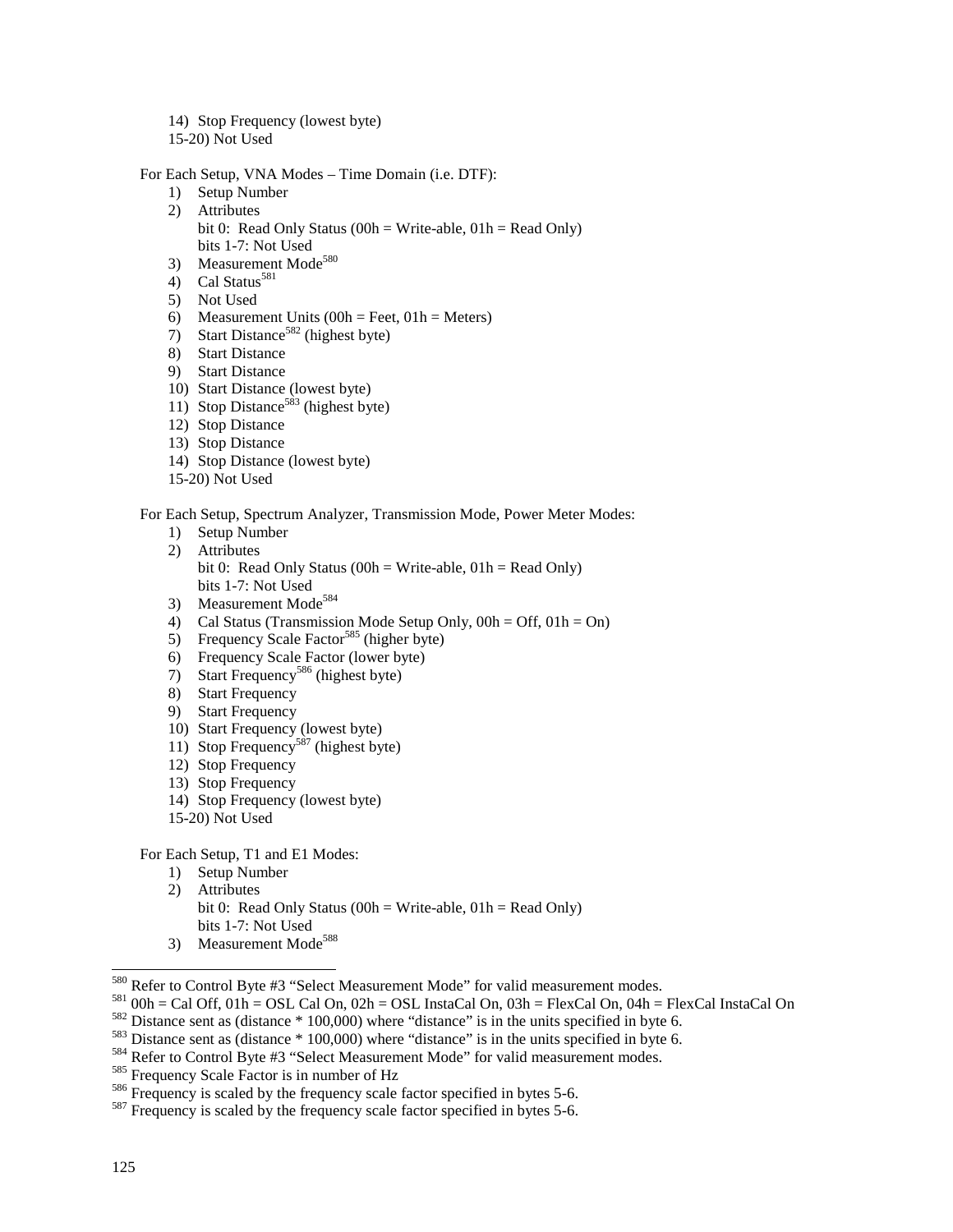- 14) Stop Frequency (lowest byte)
- 15-20) Not Used

For Each Setup, VNA Modes – Time Domain (i.e. DTF):

- 1) Setup Number
- 2) Attributes
	- bit 0: Read Only Status (00h = Write-able,  $01h$  = Read Only) bits 1-7: Not Used
- 3) Measurement Mode<sup>580</sup>
- 4) Cal Status $581$
- 5) Not Used
- 6) Measurement Units  $(00h = \text{Feet}, 01h = \text{Meters})$
- 7) Start Distance<sup>582</sup> (highest byte)
- 8) Start Distance
- 9) Start Distance
- 10) Start Distance (lowest byte)
- 11) Stop Distance<sup>583</sup> (highest byte)
- 12) Stop Distance
- 13) Stop Distance
- 14) Stop Distance (lowest byte)
- 15-20) Not Used

### For Each Setup, Spectrum Analyzer, Transmission Mode, Power Meter Modes:

- 1) Setup Number
- 2) Attributes bit 0: Read Only Status (00h = Write-able,  $01h$  = Read Only) bits 1-7: Not Used
- 3) Measurement Mode<sup>584</sup>
- 4) Cal Status (Transmission Mode Setup Only, 00h = Off, 01h = On)
- 5) Frequency Scale Factor<sup>585</sup> (higher byte)
- 6) Frequency Scale Factor (lower byte)
- $7)$  Start Frequency<sup>586</sup> (highest byte)
- 8) Start Frequency
- 9) Start Frequency
- 10) Start Frequency (lowest byte)
- 11) Stop Frequency<sup>587</sup> (highest byte)
- 12) Stop Frequency
- 13) Stop Frequency
- 14) Stop Frequency (lowest byte)
- 15-20) Not Used

For Each Setup, T1 and E1 Modes:

- 1) Setup Number 2) Attributes bit 0: Read Only Status (00h = Write-able,  $01h$  = Read Only) bits 1-7: Not Used
- 3) Measurement Mode<sup>588</sup>

<sup>&</sup>lt;sup>580</sup> Refer to Control Byte #3 "Select Measurement Mode" for valid measurement modes.

<sup>&</sup>lt;sup>581</sup> 00h = Cal Off, 01h = OSL Cal On, 02h = OSL InstaCal On, 03h = FlexCal On, 04h = FlexCal InstaCal On<br><sup>582</sup> Distance sent as (distance \* 100,000) where "distance" is in the units specified in byte 6.<br><sup>583</sup> Distance se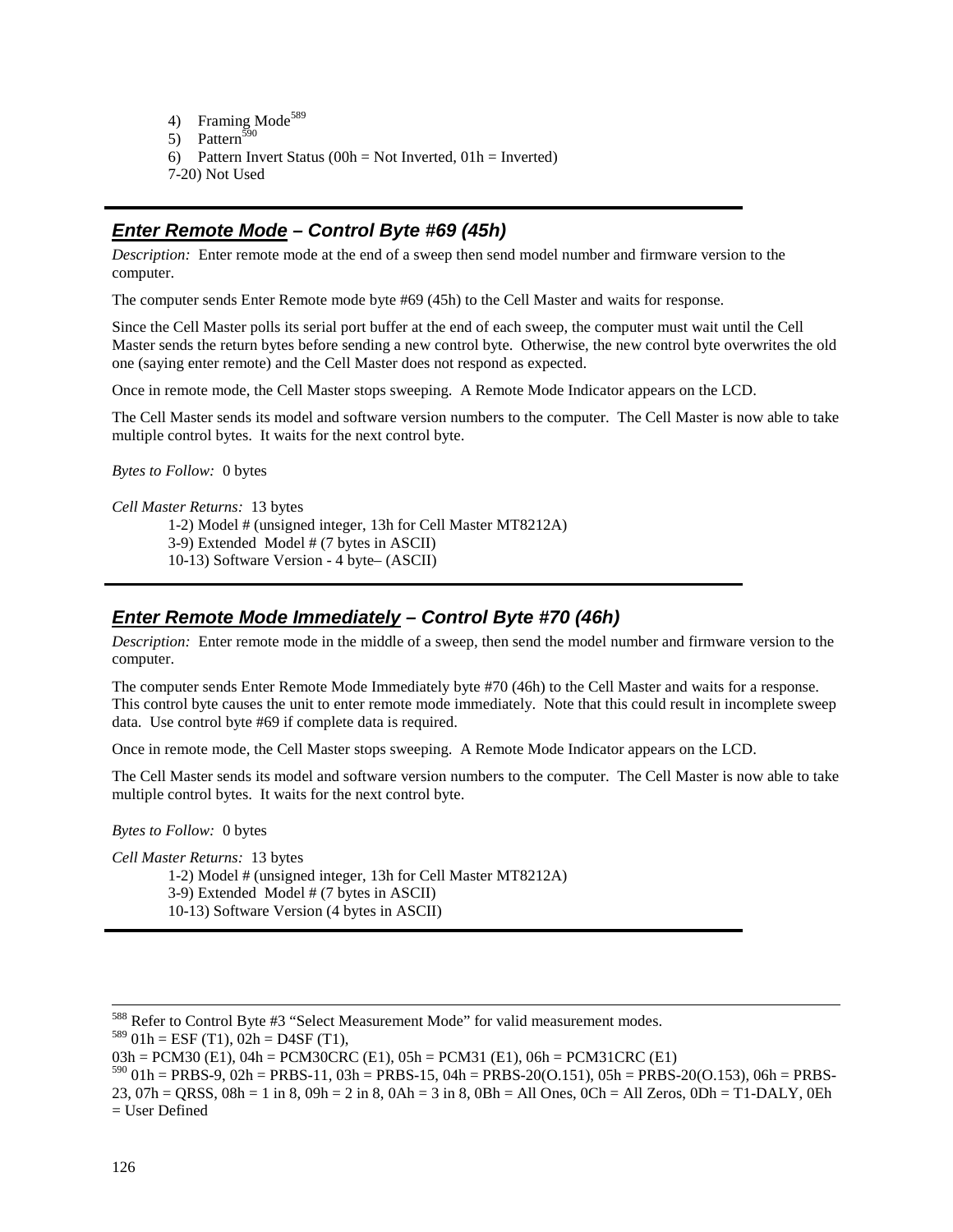4) Framing Mode<sup>589</sup> 5) Pattern<sup>590</sup> 6) Pattern Invert Status ( $00h = Not\ Inverted, 01h = Inverted)$ 7-20) Not Used

# **Enter Remote Mode – Control Byte #69 (45h)**

*Description:* Enter remote mode at the end of a sweep then send model number and firmware version to the computer.

The computer sends Enter Remote mode byte #69 (45h) to the Cell Master and waits for response.

Since the Cell Master polls its serial port buffer at the end of each sweep, the computer must wait until the Cell Master sends the return bytes before sending a new control byte. Otherwise, the new control byte overwrites the old one (saying enter remote) and the Cell Master does not respond as expected.

Once in remote mode, the Cell Master stops sweeping. A Remote Mode Indicator appears on the LCD.

The Cell Master sends its model and software version numbers to the computer. The Cell Master is now able to take multiple control bytes. It waits for the next control byte.

*Bytes to Follow:* 0 bytes

*Cell Master Returns:* 13 bytes

1-2) Model # (unsigned integer, 13h for Cell Master MT8212A)

3-9) Extended Model # (7 bytes in ASCII)

10-13) Software Version - 4 byte– (ASCII)

## **Enter Remote Mode Immediately – Control Byte #70 (46h)**

*Description:* Enter remote mode in the middle of a sweep, then send the model number and firmware version to the computer.

The computer sends Enter Remote Mode Immediately byte #70 (46h) to the Cell Master and waits for a response. This control byte causes the unit to enter remote mode immediately. Note that this could result in incomplete sweep data. Use control byte #69 if complete data is required.

Once in remote mode, the Cell Master stops sweeping. A Remote Mode Indicator appears on the LCD.

The Cell Master sends its model and software version numbers to the computer. The Cell Master is now able to take multiple control bytes. It waits for the next control byte.

*Bytes to Follow:* 0 bytes

*Cell Master Returns:* 13 bytes

1-2) Model # (unsigned integer, 13h for Cell Master MT8212A)

3-9) Extended Model # (7 bytes in ASCII)

10-13) Software Version (4 bytes in ASCII)

 $589$  01h = ESF (T1), 02h = D4SF (T1),

 $03h = PCM30$  (E1),  $04h = PCM30CRC$  (E1),  $05h = PCM31$  (E1),  $06h = PCM31CRC$  (E1)

 $590\ 01h = PRBS-9$ ,  $02h = PRBS-11$ ,  $03h = PRBS-15$ ,  $04h = PRBS-20(O.151)$ ,  $05h = PRBS-20(O.153)$ ,  $06h = PRBS-15$ 23, 07h = QRSS, 08h = 1 in 8, 09h = 2 in 8, 0Ah = 3 in 8, 0Bh = All Ones, 0Ch = All Zeros, 0Dh = T1-DALY, 0Eh = User Defined

 <sup>588</sup> Refer to Control Byte #3 "Select Measurement Mode" for valid measurement modes.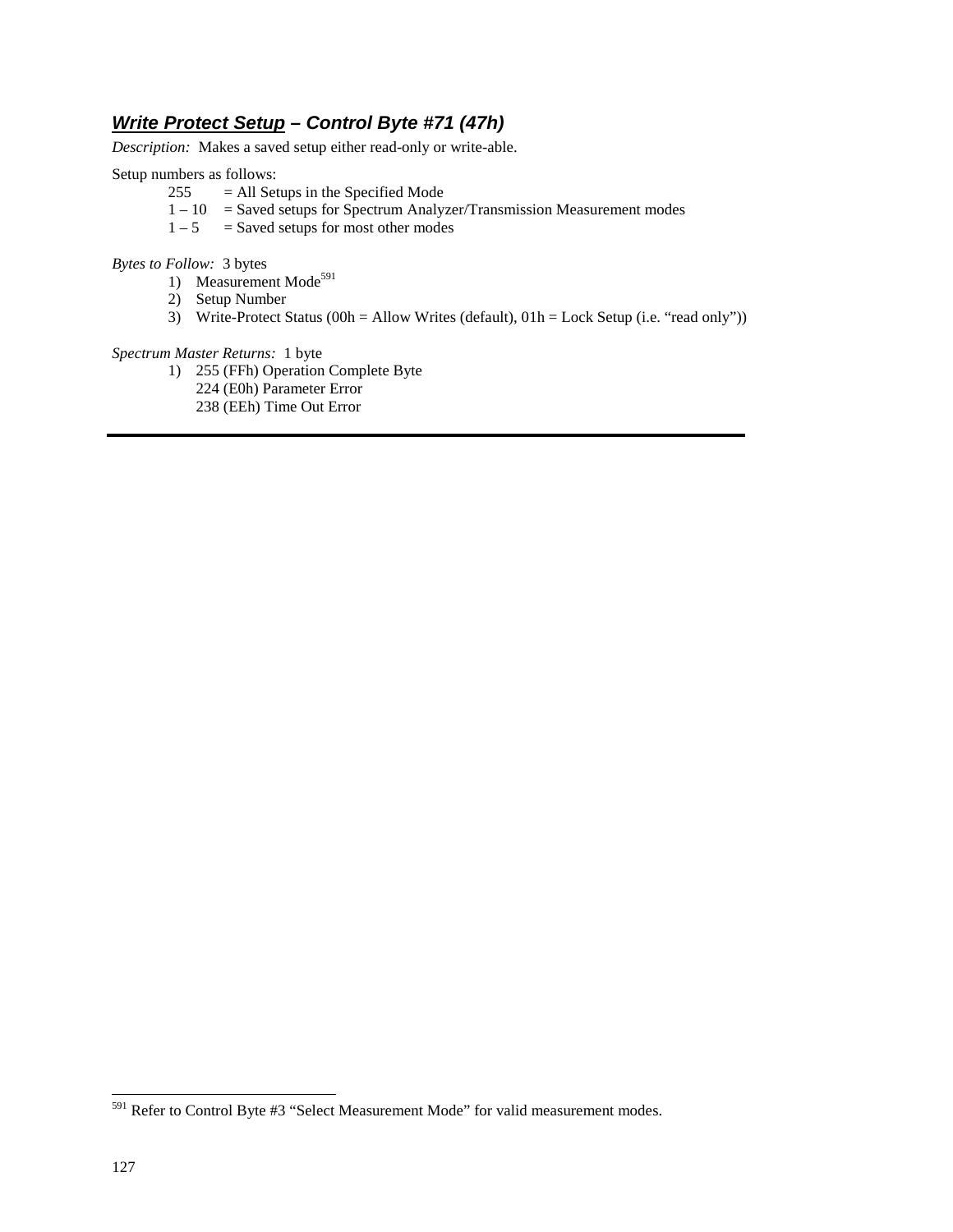# **Write Protect Setup – Control Byte #71 (47h)**

*Description:* Makes a saved setup either read-only or write-able.

Setup numbers as follows:

- $255 = All$  Setups in the Specified Mode
- $1 10$  = Saved setups for Spectrum Analyzer/Transmission Measurement modes
- $1 5$  = Saved setups for most other modes

*Bytes to Follow:* 3 bytes

- 1) Measurement Mode<sup>591</sup>
- 2) Setup Number
- 3) Write-Protect Status (00h = Allow Writes (default),  $01h =$  Lock Setup (i.e. "read only"))

### *Spectrum Master Returns:* 1 byte

- 1) 255 (FFh) Operation Complete Byte
	- 224 (E0h) Parameter Error
	- 238 (EEh) Time Out Error

-

<sup>&</sup>lt;sup>591</sup> Refer to Control Byte #3 "Select Measurement Mode" for valid measurement modes.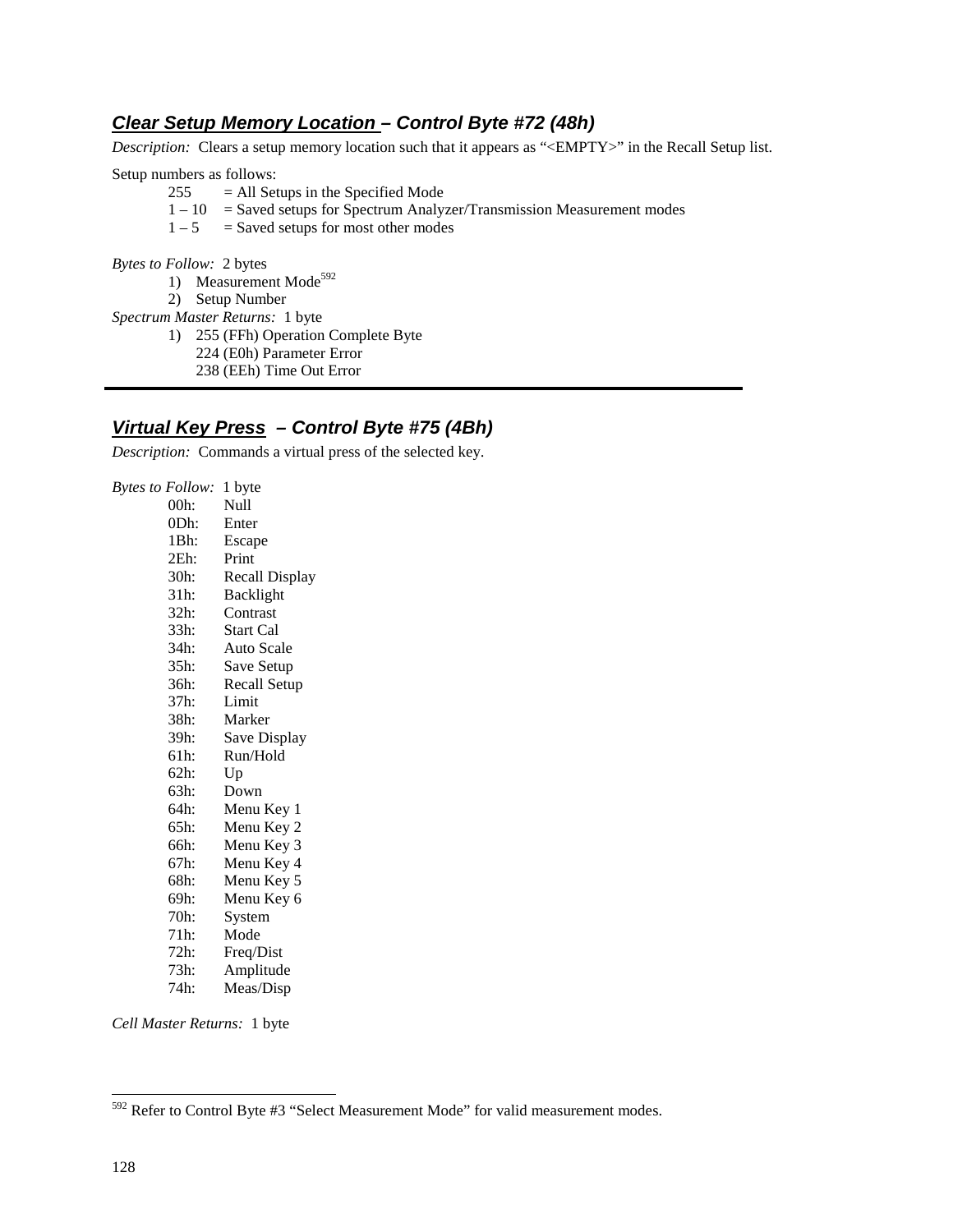# **Clear Setup Memory Location – Control Byte #72 (48h)**

*Description:* Clears a setup memory location such that it appears as "<EMPTY>" in the Recall Setup list.

Setup numbers as follows:

- $255 = All \text{Setups in the Specific Mode}$
- $1 10$  = Saved setups for Spectrum Analyzer/Transmission Measurement modes
- $1 5$  = Saved setups for most other modes

*Bytes to Follow:* 2 bytes

- 1) Measurement Mode<sup>592</sup>
- 2) Setup Number

*Spectrum Master Returns:* 1 byte

- 1) 255 (FFh) Operation Complete Byte
- 224 (E0h) Parameter Error
	- 238 (EEh) Time Out Error

# **Virtual Key Press – Control Byte #75 (4Bh)**

*Description:* Commands a virtual press of the selected key.

*Bytes to Follow:* 1 byte Null 0Dh: Enter 1Bh: Escape 2Eh: Print 30h: Recall Display 31h: Backlight 32h: Contrast 33h: Start Cal 34h: Auto Scale<br>35h: Save Setun Save Setup 36h: Recall Setup 37h: Limit<br>38h: Marke **Marker** 39h: Save Display 61h: Run/Hold 62h: Up 63h: Down 64h: Menu Key 1 65h: Menu Key 2 66h: Menu Key 3 67h: Menu Key 4 Menu Key 5 69h: Menu Key 6 70h: System<br>71h: Mode Mode 72h: Freq/Dist 73h: Amplitude 74h: Meas/Disp

*Cell Master Returns:* 1 byte

-

<sup>592</sup> Refer to Control Byte #3 "Select Measurement Mode" for valid measurement modes.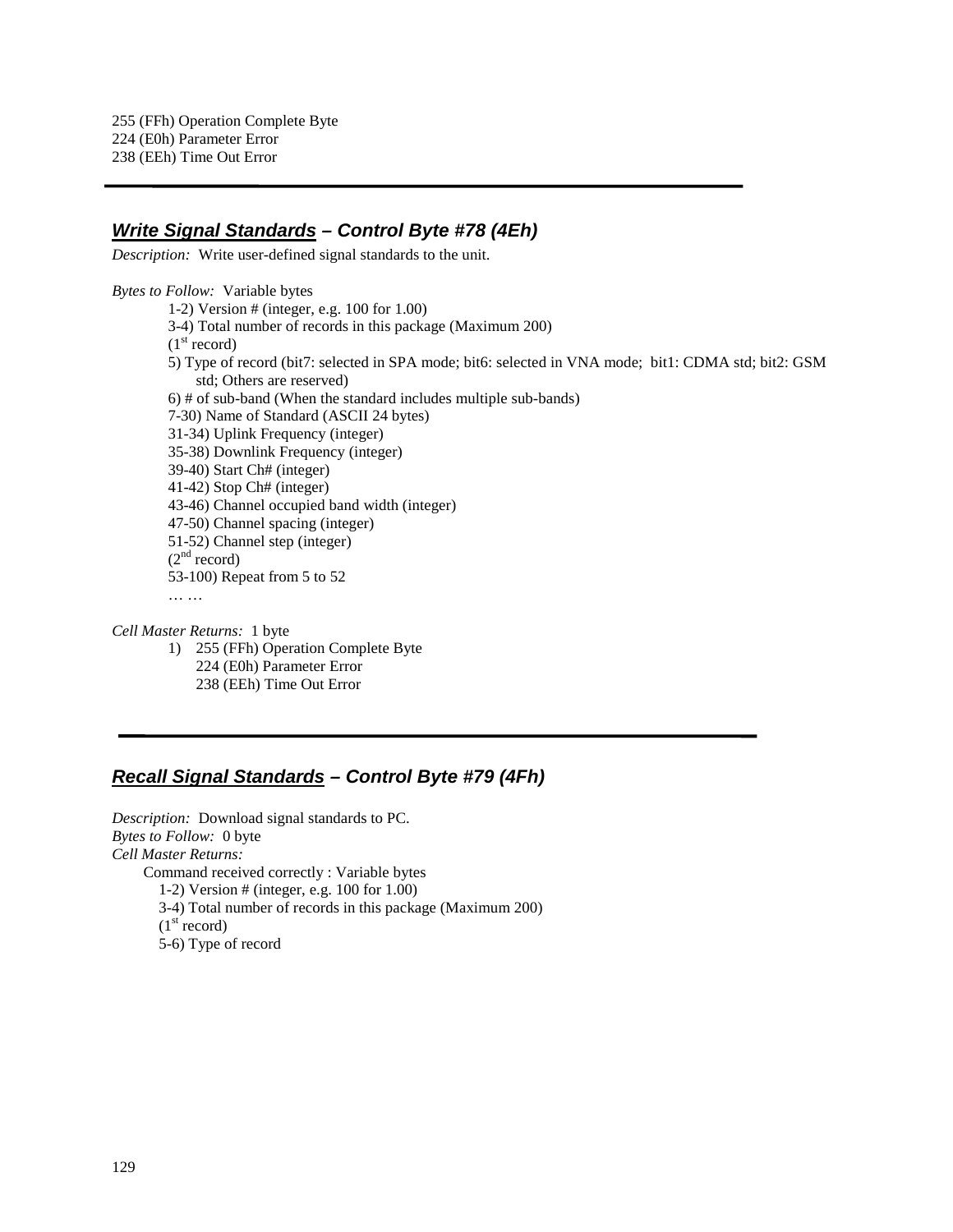### **Write Signal Standards – Control Byte #78 (4Eh)**

*Description:* Write user-defined signal standards to the unit.

*Bytes to Follow:* Variable bytes 1-2) Version # (integer, e.g. 100 for 1.00) 3-4) Total number of records in this package (Maximum 200)  $(1<sup>st</sup> record)$ 5) Type of record (bit7: selected in SPA mode; bit6: selected in VNA mode; bit1: CDMA std; bit2: GSM std; Others are reserved) 6) # of sub-band (When the standard includes multiple sub-bands) 7-30) Name of Standard (ASCII 24 bytes) 31-34) Uplink Frequency (integer) 35-38) Downlink Frequency (integer) 39-40) Start Ch# (integer) 41-42) Stop Ch# (integer) 43-46) Channel occupied band width (integer) 47-50) Channel spacing (integer) 51-52) Channel step (integer)  $(2<sup>nd</sup> record)$ 53-100) Repeat from 5 to 52 … …

*Cell Master Returns:* 1 byte 1) 255 (FFh) Operation Complete Byte 224 (E0h) Parameter Error 238 (EEh) Time Out Error

# **Recall Signal Standards – Control Byte #79 (4Fh)**

*Description:* Download signal standards to PC. *Bytes to Follow:* 0 byte *Cell Master Returns:* Command received correctly : Variable bytes 1-2) Version # (integer, e.g. 100 for 1.00) 3-4) Total number of records in this package (Maximum 200)  $(1<sup>st</sup> record)$ 5-6) Type of record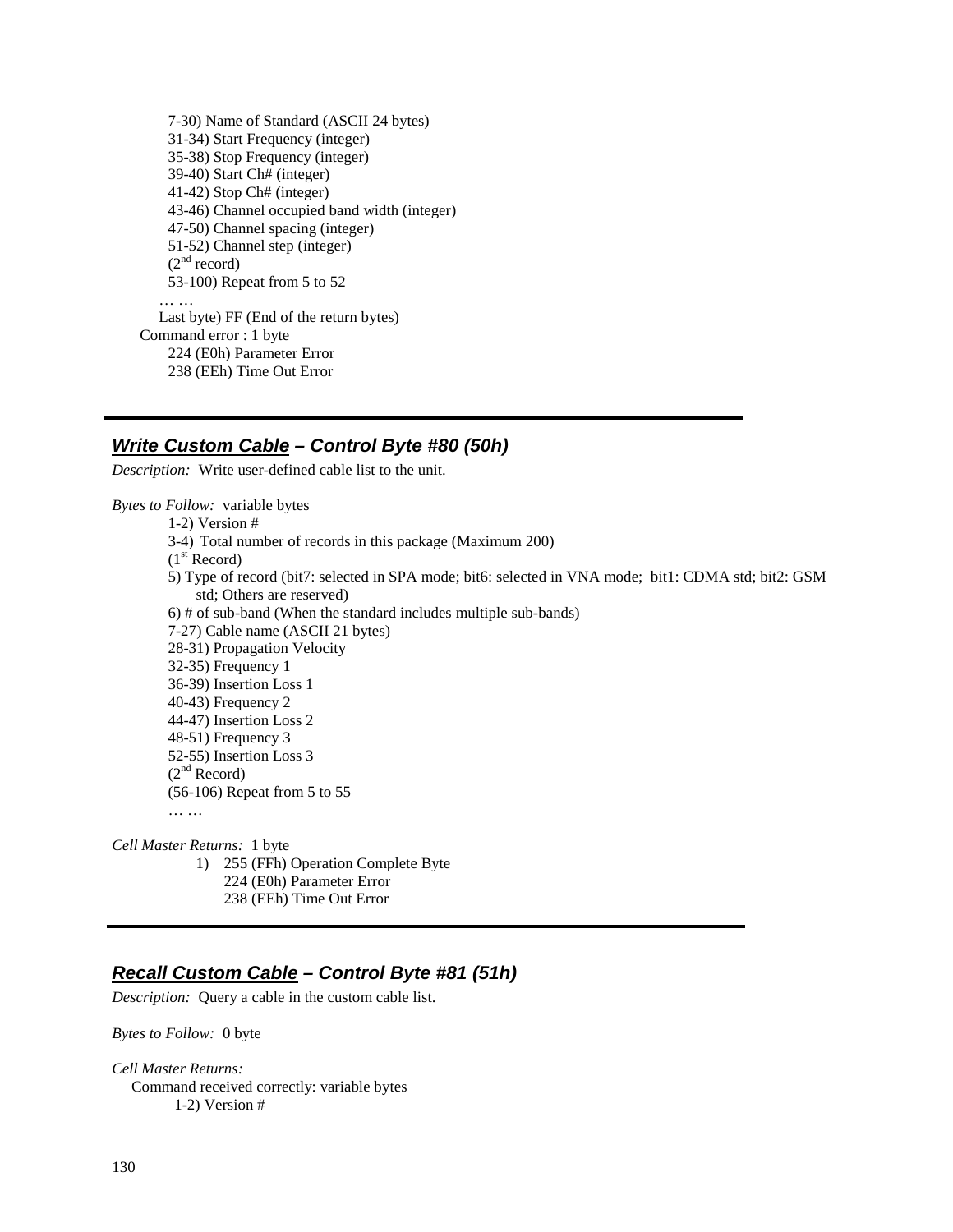7-30) Name of Standard (ASCII 24 bytes) 31-34) Start Frequency (integer) 35-38) Stop Frequency (integer) 39-40) Start Ch# (integer) 41-42) Stop Ch# (integer) 43-46) Channel occupied band width (integer) 47-50) Channel spacing (integer) 51-52) Channel step (integer)  $(2<sup>nd</sup> record)$ 53-100) Repeat from 5 to 52 … … Last byte) FF (End of the return bytes) Command error : 1 byte 224 (E0h) Parameter Error 238 (EEh) Time Out Error

## **Write Custom Cable – Control Byte #80 (50h)**

*Description:* Write user-defined cable list to the unit.

*Bytes to Follow:* variable bytes

1-2) Version # 3-4) Total number of records in this package (Maximum 200)  $(1<sup>st</sup> Record)$ 5) Type of record (bit7: selected in SPA mode; bit6: selected in VNA mode; bit1: CDMA std; bit2: GSM std; Others are reserved) 6) # of sub-band (When the standard includes multiple sub-bands) 7-27) Cable name (ASCII 21 bytes) 28-31) Propagation Velocity 32-35) Frequency 1 36-39) Insertion Loss 1 40-43) Frequency 2 44-47) Insertion Loss 2 48-51) Frequency 3 52-55) Insertion Loss 3  $(2<sup>nd</sup> Record)$ (56-106) Repeat from 5 to 55

*Cell Master Returns:* 1 byte 1) 255 (FFh) Operation Complete Byte

- 224 (E0h) Parameter Error
- 238 (EEh) Time Out Error

## **Recall Custom Cable – Control Byte #81 (51h)**

*Description:* Query a cable in the custom cable list.

*Bytes to Follow:* 0 byte

*Cell Master Returns:* Command received correctly: variable bytes 1-2) Version #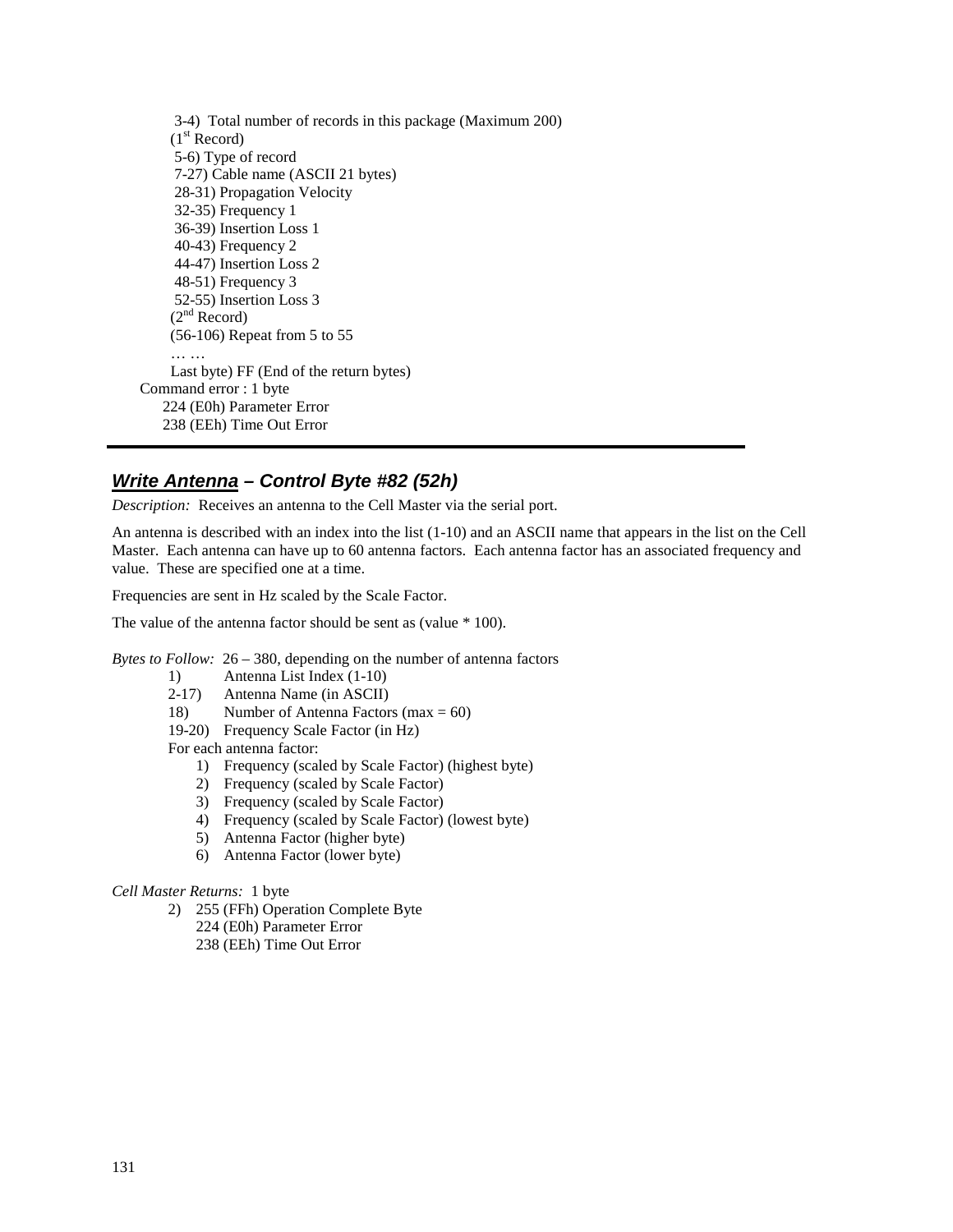3-4) Total number of records in this package (Maximum 200)  $(1<sup>st</sup> Record)$  5-6) Type of record 7-27) Cable name (ASCII 21 bytes) 28-31) Propagation Velocity 32-35) Frequency 1 36-39) Insertion Loss 1 40-43) Frequency 2 44-47) Insertion Loss 2 48-51) Frequency 3 52-55) Insertion Loss 3  $(2<sup>nd</sup> Record)$  (56-106) Repeat from 5 to 55 … … Last byte) FF (End of the return bytes) Command error : 1 byte 224 (E0h) Parameter Error 238 (EEh) Time Out Error

# **Write Antenna – Control Byte #82 (52h)**

*Description:* Receives an antenna to the Cell Master via the serial port.

An antenna is described with an index into the list (1-10) and an ASCII name that appears in the list on the Cell Master. Each antenna can have up to 60 antenna factors. Each antenna factor has an associated frequency and value. These are specified one at a time.

Frequencies are sent in Hz scaled by the Scale Factor.

The value of the antenna factor should be sent as (value \* 100).

*Bytes to Follow:* 26 – 380, depending on the number of antenna factors

- 1) Antenna List Index (1-10)
- 2-17) Antenna Name (in ASCII)<br>18) Number of Antenna Factor
- Number of Antenna Factors (max  $= 60$ )
- 19-20) Frequency Scale Factor (in Hz)

For each antenna factor:

- 1) Frequency (scaled by Scale Factor) (highest byte)
- 2) Frequency (scaled by Scale Factor)
- 3) Frequency (scaled by Scale Factor)
- 4) Frequency (scaled by Scale Factor) (lowest byte)
- 5) Antenna Factor (higher byte)
- 6) Antenna Factor (lower byte)

#### *Cell Master Returns:* 1 byte

- 2) 255 (FFh) Operation Complete Byte
	- 224 (E0h) Parameter Error
	- 238 (EEh) Time Out Error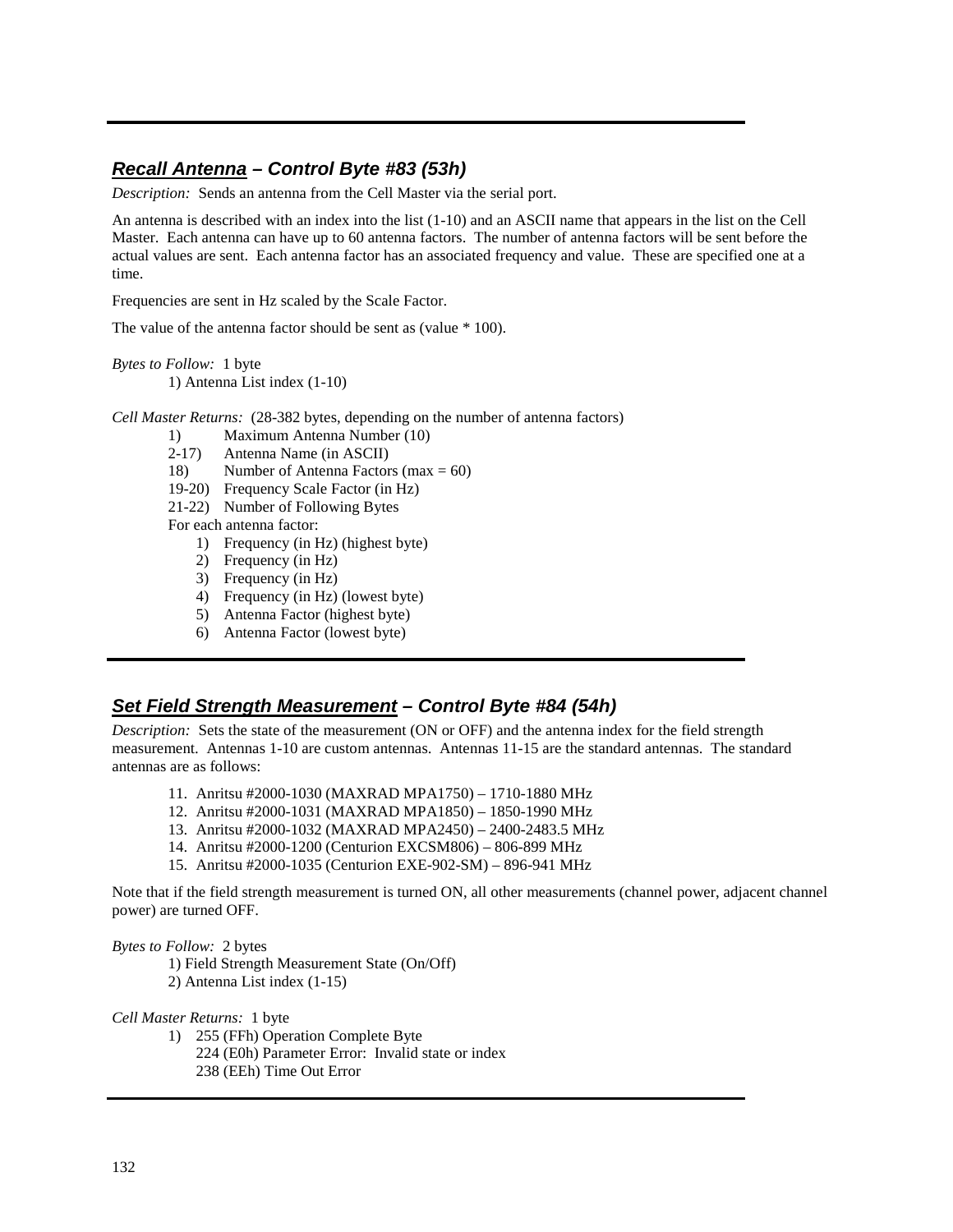## **Recall Antenna – Control Byte #83 (53h)**

*Description:* Sends an antenna from the Cell Master via the serial port.

An antenna is described with an index into the list (1-10) and an ASCII name that appears in the list on the Cell Master. Each antenna can have up to 60 antenna factors. The number of antenna factors will be sent before the actual values are sent. Each antenna factor has an associated frequency and value. These are specified one at a time.

Frequencies are sent in Hz scaled by the Scale Factor.

The value of the antenna factor should be sent as (value \* 100).

*Bytes to Follow:* 1 byte

1) Antenna List index (1-10)

*Cell Master Returns:* (28-382 bytes, depending on the number of antenna factors)

- 1) Maximum Antenna Number (10)
- 2-17) Antenna Name (in ASCII)
- 18) Number of Antenna Factors (max  $= 60$ )
- 19-20) Frequency Scale Factor (in Hz)
- 21-22) Number of Following Bytes
- For each antenna factor:
	- 1) Frequency (in Hz) (highest byte)
	- 2) Frequency (in Hz)
	- 3) Frequency (in Hz)
	- 4) Frequency (in Hz) (lowest byte)
	- 5) Antenna Factor (highest byte)
	- 6) Antenna Factor (lowest byte)

### **Set Field Strength Measurement – Control Byte #84 (54h)**

*Description:* Sets the state of the measurement (ON or OFF) and the antenna index for the field strength measurement. Antennas 1-10 are custom antennas. Antennas 11-15 are the standard antennas. The standard antennas are as follows:

- 11. Anritsu #2000-1030 (MAXRAD MPA1750) 1710-1880 MHz
- 12. Anritsu #2000-1031 (MAXRAD MPA1850) 1850-1990 MHz
- 13. Anritsu #2000-1032 (MAXRAD MPA2450) 2400-2483.5 MHz
- 14. Anritsu #2000-1200 (Centurion EXCSM806) 806-899 MHz
- 15. Anritsu #2000-1035 (Centurion EXE-902-SM) 896-941 MHz

Note that if the field strength measurement is turned ON, all other measurements (channel power, adjacent channel power) are turned OFF.

#### *Bytes to Follow:* 2 bytes

- 1) Field Strength Measurement State (On/Off)
- 2) Antenna List index (1-15)

*Cell Master Returns:* 1 byte

- 1) 255 (FFh) Operation Complete Byte 224 (E0h) Parameter Error: Invalid state or index
	- 238 (EEh) Time Out Error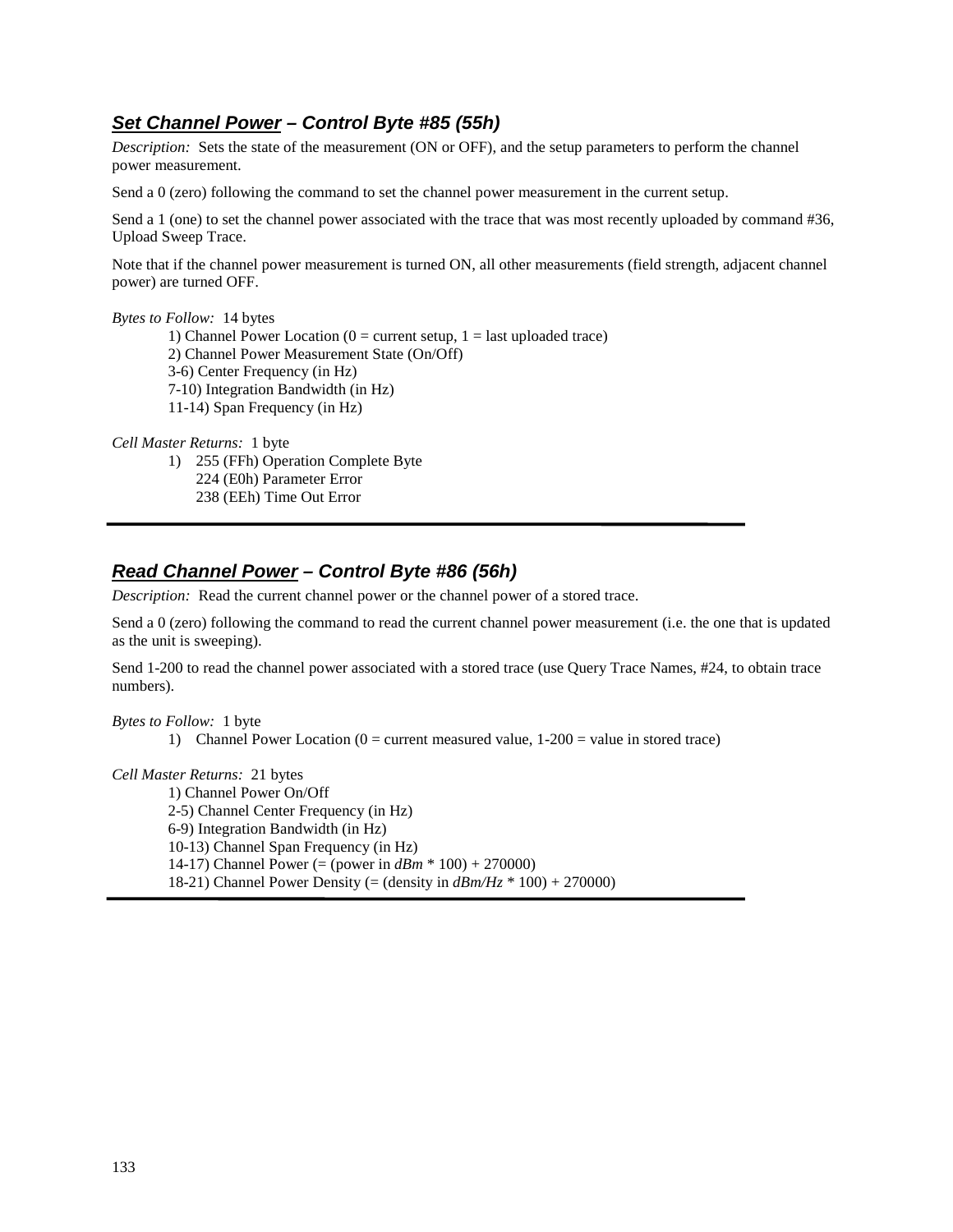# **Set Channel Power – Control Byte #85 (55h)**

*Description:* Sets the state of the measurement (ON or OFF), and the setup parameters to perform the channel power measurement.

Send a 0 (zero) following the command to set the channel power measurement in the current setup.

Send a 1 (one) to set the channel power associated with the trace that was most recently uploaded by command #36, Upload Sweep Trace.

Note that if the channel power measurement is turned ON, all other measurements (field strength, adjacent channel power) are turned OFF.

#### *Bytes to Follow:* 14 bytes

1) Channel Power Location ( $0 =$  current setup,  $1 =$  last uploaded trace) 2) Channel Power Measurement State (On/Off) 3-6) Center Frequency (in Hz) 7-10) Integration Bandwidth (in Hz) 11-14) Span Frequency (in Hz)

*Cell Master Returns:* 1 byte

1) 255 (FFh) Operation Complete Byte 224 (E0h) Parameter Error 238 (EEh) Time Out Error

## **Read Channel Power – Control Byte #86 (56h)**

*Description:* Read the current channel power or the channel power of a stored trace.

Send a 0 (zero) following the command to read the current channel power measurement (i.e. the one that is updated as the unit is sweeping).

Send 1-200 to read the channel power associated with a stored trace (use Query Trace Names, #24, to obtain trace numbers).

#### *Bytes to Follow:* 1 byte

1) Channel Power Location ( $0 =$  current measured value,  $1-200 =$  value in stored trace)

#### *Cell Master Returns:* 21 bytes

 1) Channel Power On/Off 2-5) Channel Center Frequency (in Hz) 6-9) Integration Bandwidth (in Hz) 10-13) Channel Span Frequency (in Hz) 14-17) Channel Power (= (power in *dBm* \* 100) + 270000) 18-21) Channel Power Density (= (density in *dBm/Hz* \* 100) + 270000)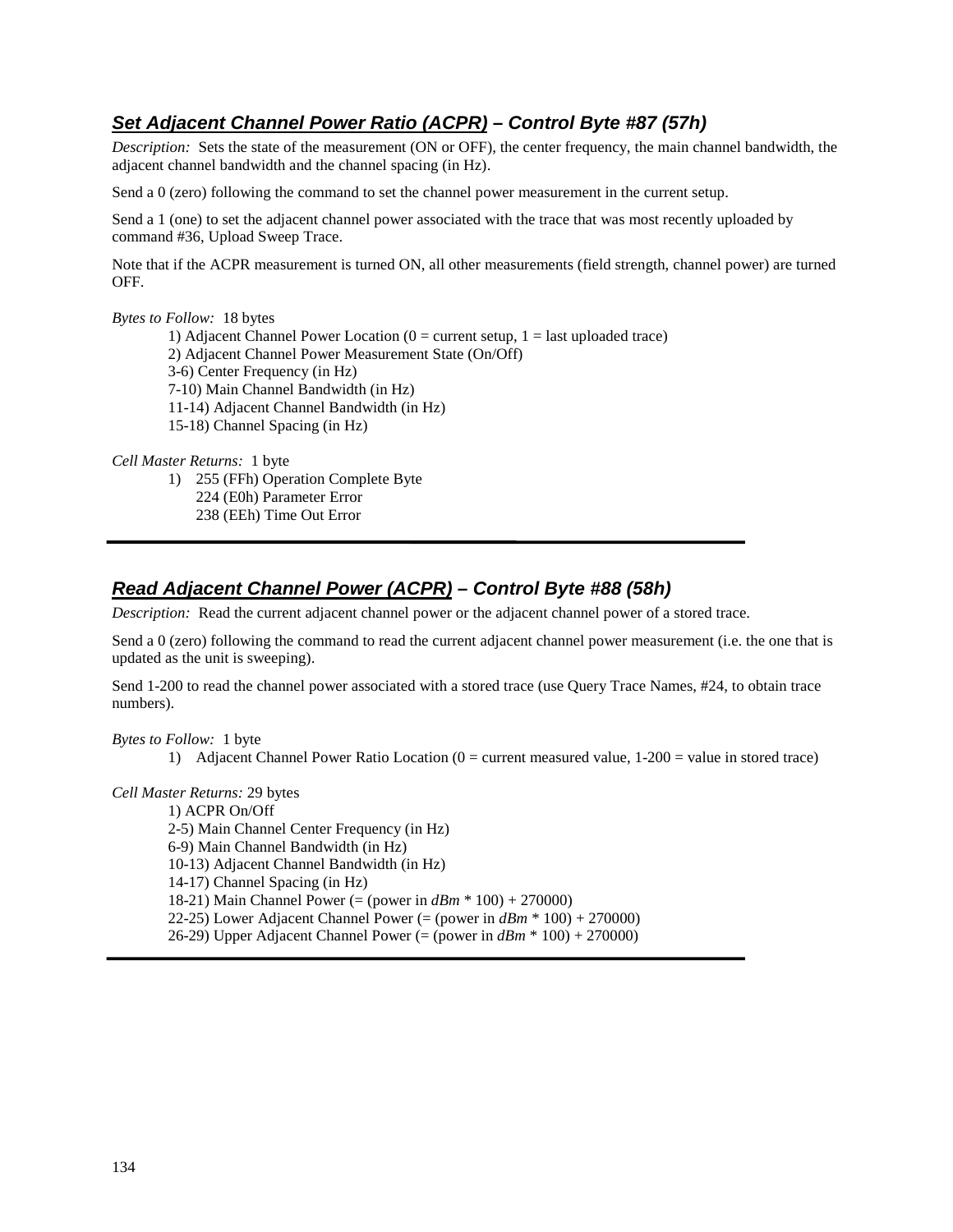# **Set Adjacent Channel Power Ratio (ACPR) – Control Byte #87 (57h)**

*Description:* Sets the state of the measurement (ON or OFF), the center frequency, the main channel bandwidth, the adjacent channel bandwidth and the channel spacing (in Hz).

Send a 0 (zero) following the command to set the channel power measurement in the current setup.

Send a 1 (one) to set the adjacent channel power associated with the trace that was most recently uploaded by command #36, Upload Sweep Trace.

Note that if the ACPR measurement is turned ON, all other measurements (field strength, channel power) are turned OFF.

### *Bytes to Follow:* 18 bytes

- 1) Adjacent Channel Power Location ( $0 =$  current setup,  $1 =$  last uploaded trace)
- 2) Adjacent Channel Power Measurement State (On/Off)
- 3-6) Center Frequency (in Hz)
- 7-10) Main Channel Bandwidth (in Hz)
- 11-14) Adjacent Channel Bandwidth (in Hz)
- 15-18) Channel Spacing (in Hz)

*Cell Master Returns:* 1 byte

- 1) 255 (FFh) Operation Complete Byte 224 (E0h) Parameter Error
	- 238 (EEh) Time Out Error

# **Read Adjacent Channel Power (ACPR) – Control Byte #88 (58h)**

*Description:* Read the current adjacent channel power or the adjacent channel power of a stored trace.

Send a 0 (zero) following the command to read the current adjacent channel power measurement (i.e. the one that is updated as the unit is sweeping).

Send 1-200 to read the channel power associated with a stored trace (use Query Trace Names, #24, to obtain trace numbers).

*Bytes to Follow:* 1 byte

1) Adjacent Channel Power Ratio Location ( $0 =$  current measured value,  $1-200 =$  value in stored trace)

### *Cell Master Returns:* 29 bytes

 1) ACPR On/Off 2-5) Main Channel Center Frequency (in Hz) 6-9) Main Channel Bandwidth (in Hz) 10-13) Adjacent Channel Bandwidth (in Hz) 14-17) Channel Spacing (in Hz) 18-21) Main Channel Power (= (power in *dBm* \* 100) + 270000) 22-25) Lower Adjacent Channel Power (= (power in *dBm* \* 100) + 270000) 26-29) Upper Adjacent Channel Power (= (power in *dBm* \* 100) + 270000)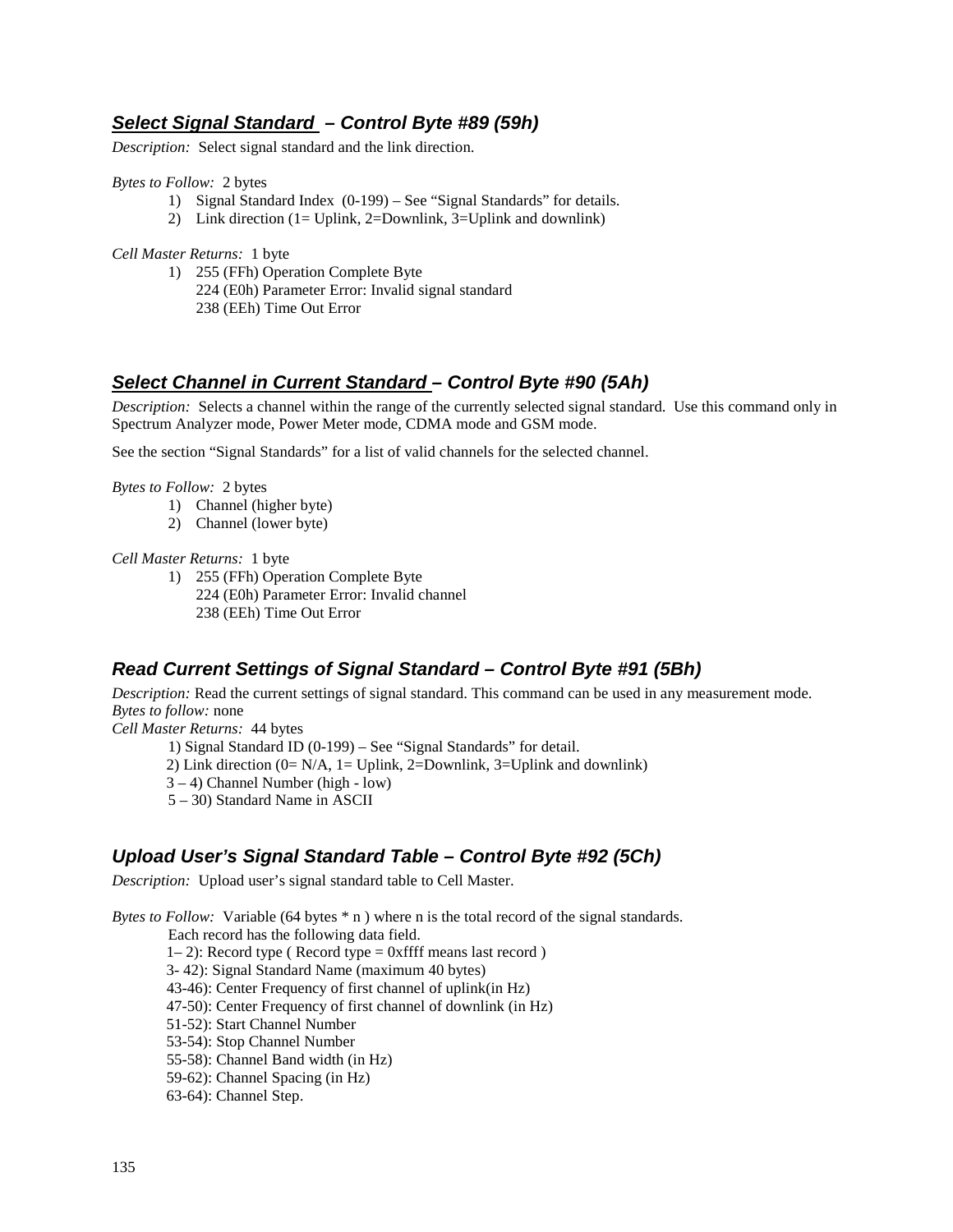# **Select Signal Standard – Control Byte #89 (59h)**

*Description:* Select signal standard and the link direction.

*Bytes to Follow:* 2 bytes

- 1) Signal Standard Index (0-199) See "Signal Standards" for details.
	- 2) Link direction (1= Uplink, 2=Downlink, 3=Uplink and downlink)

*Cell Master Returns:* 1 byte

- 1) 255 (FFh) Operation Complete Byte
	- 224 (E0h) Parameter Error: Invalid signal standard 238 (EEh) Time Out Error

# **Select Channel in Current Standard – Control Byte #90 (5Ah)**

*Description:* Selects a channel within the range of the currently selected signal standard. Use this command only in Spectrum Analyzer mode, Power Meter mode, CDMA mode and GSM mode.

See the section "Signal Standards" for a list of valid channels for the selected channel.

*Bytes to Follow:* 2 bytes

- 1) Channel (higher byte)
- 2) Channel (lower byte)

*Cell Master Returns:* 1 byte

1) 255 (FFh) Operation Complete Byte 224 (E0h) Parameter Error: Invalid channel 238 (EEh) Time Out Error

## **Read Current Settings of Signal Standard – Control Byte #91 (5Bh)**

*Description:* Read the current settings of signal standard. This command can be used in any measurement mode. *Bytes to follow:* none

*Cell Master Returns:* 44 bytes

1) Signal Standard ID (0-199) – See "Signal Standards" for detail.

2) Link direction  $(0= N/A, 1= Uplink, 2=Downlink, 3=Uplink and downlink)$ 

3 – 4) Channel Number (high - low)

5 – 30) Standard Name in ASCII

## **Upload User's Signal Standard Table – Control Byte #92 (5Ch)**

*Description:* Upload user's signal standard table to Cell Master.

*Bytes to Follow:* Variable (64 bytes  $*$  n) where n is the total record of the signal standards.

Each record has the following data field.

 $1-2$ ): Record type ( Record type = 0xffff means last record )

3- 42): Signal Standard Name (maximum 40 bytes)

43-46): Center Frequency of first channel of uplink(in Hz)

47-50): Center Frequency of first channel of downlink (in Hz)

51-52): Start Channel Number

53-54): Stop Channel Number

55-58): Channel Band width (in Hz)

59-62): Channel Spacing (in Hz)

63-64): Channel Step.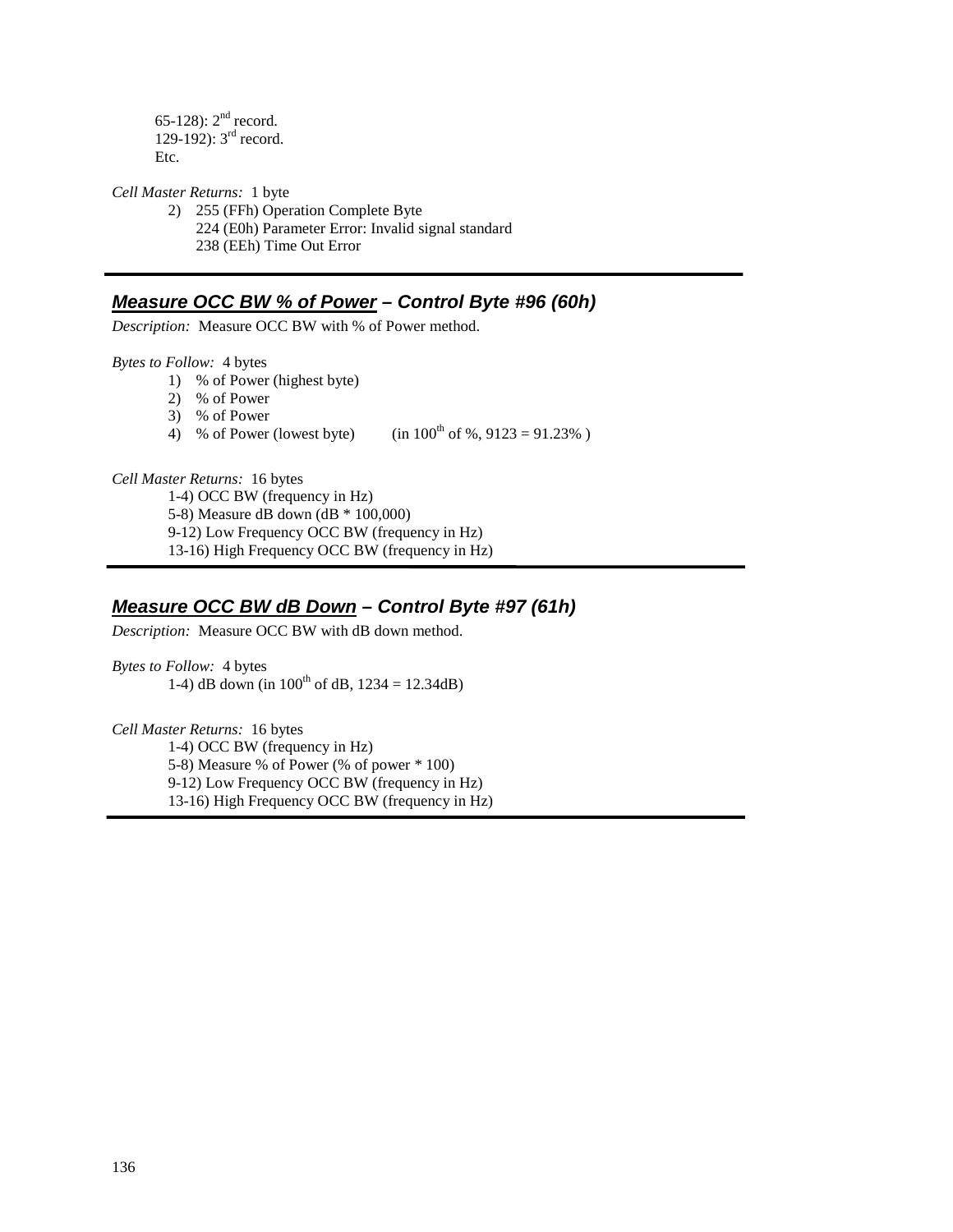65-128): 2nd record. 129-192):  $3^{rd}$  record. Etc.

*Cell Master Returns:* 1 byte

2) 255 (FFh) Operation Complete Byte 224 (E0h) Parameter Error: Invalid signal standard 238 (EEh) Time Out Error

## **Measure OCC BW % of Power – Control Byte #96 (60h)**

*Description:* Measure OCC BW with % of Power method.

*Bytes to Follow:* 4 bytes

- 1) % of Power (highest byte)
	- 2) % of Power
	- 3) % of Power
	- 4) % of Power (lowest byte) (in  $100^{th}$  of %,  $9123 = 91.23%$ )

*Cell Master Returns:* 16 bytes

1-4) OCC BW (frequency in Hz)

5-8) Measure dB down (dB \* 100,000)

9-12) Low Frequency OCC BW (frequency in Hz)

13-16) High Frequency OCC BW (frequency in Hz)

# **Measure OCC BW dB Down – Control Byte #97 (61h)**

*Description:* Measure OCC BW with dB down method.

*Bytes to Follow:* 4 bytes 1-4) dB down (in  $100^{th}$  of dB,  $1234 = 12.34$ dB)

*Cell Master Returns:* 16 bytes

 1-4) OCC BW (frequency in Hz) 5-8) Measure % of Power (% of power \* 100) 9-12) Low Frequency OCC BW (frequency in Hz) 13-16) High Frequency OCC BW (frequency in Hz)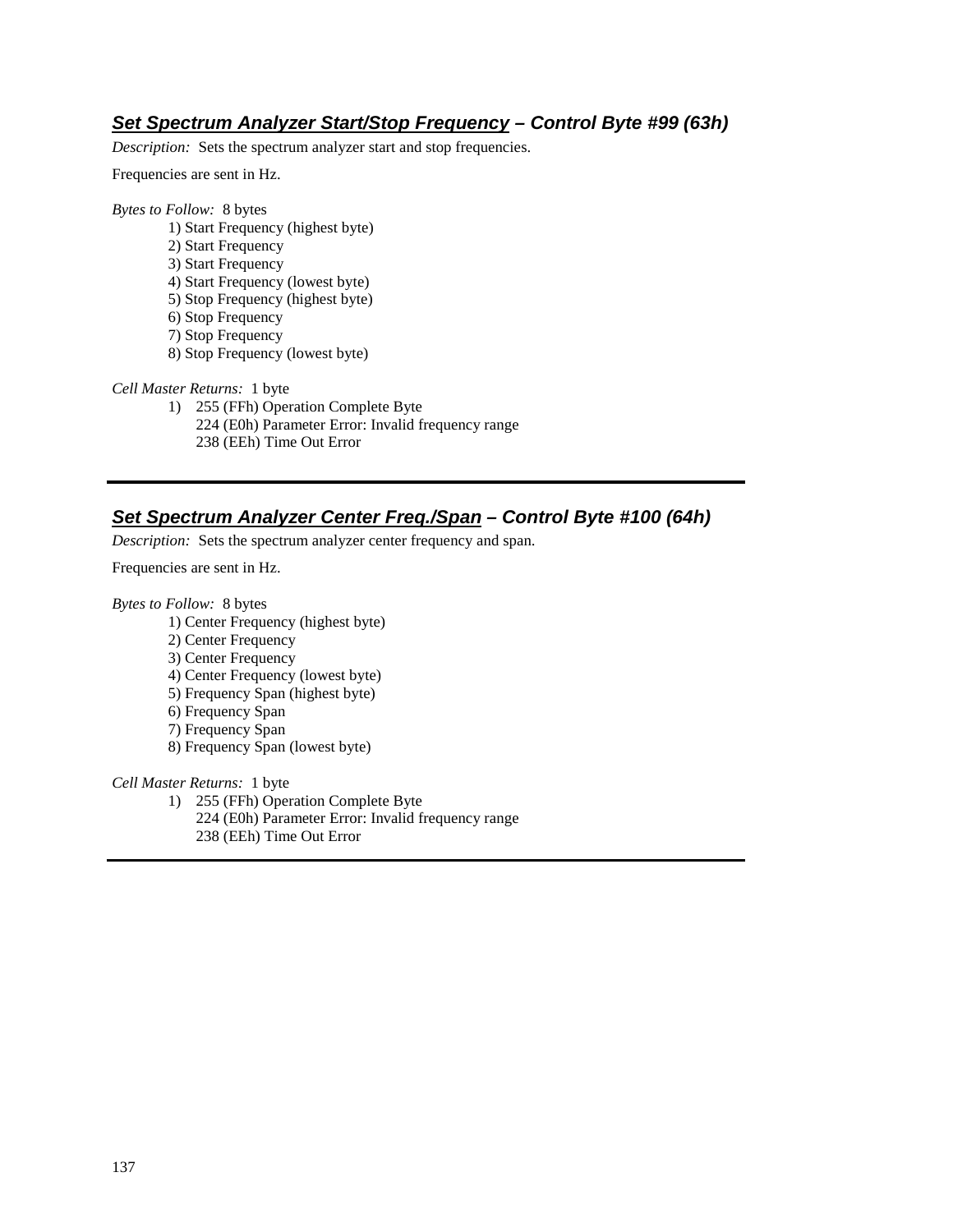## **Set Spectrum Analyzer Start/Stop Frequency – Control Byte #99 (63h)**

*Description:* Sets the spectrum analyzer start and stop frequencies.

Frequencies are sent in Hz.

#### *Bytes to Follow:* 8 bytes

- 1) Start Frequency (highest byte)
- 2) Start Frequency
- 3) Start Frequency
- 4) Start Frequency (lowest byte)
- 5) Stop Frequency (highest byte)
- 6) Stop Frequency
- 7) Stop Frequency
- 8) Stop Frequency (lowest byte)

#### *Cell Master Returns:* 1 byte

1) 255 (FFh) Operation Complete Byte 224 (E0h) Parameter Error: Invalid frequency range 238 (EEh) Time Out Error

# **Set Spectrum Analyzer Center Freq./Span – Control Byte #100 (64h)**

*Description:* Sets the spectrum analyzer center frequency and span.

Frequencies are sent in Hz.

*Bytes to Follow:* 8 bytes

- 1) Center Frequency (highest byte)
- 2) Center Frequency
- 3) Center Frequency
- 4) Center Frequency (lowest byte)
- 5) Frequency Span (highest byte)
- 6) Frequency Span
- 7) Frequency Span
- 8) Frequency Span (lowest byte)

*Cell Master Returns:* 1 byte

1) 255 (FFh) Operation Complete Byte

224 (E0h) Parameter Error: Invalid frequency range 238 (EEh) Time Out Error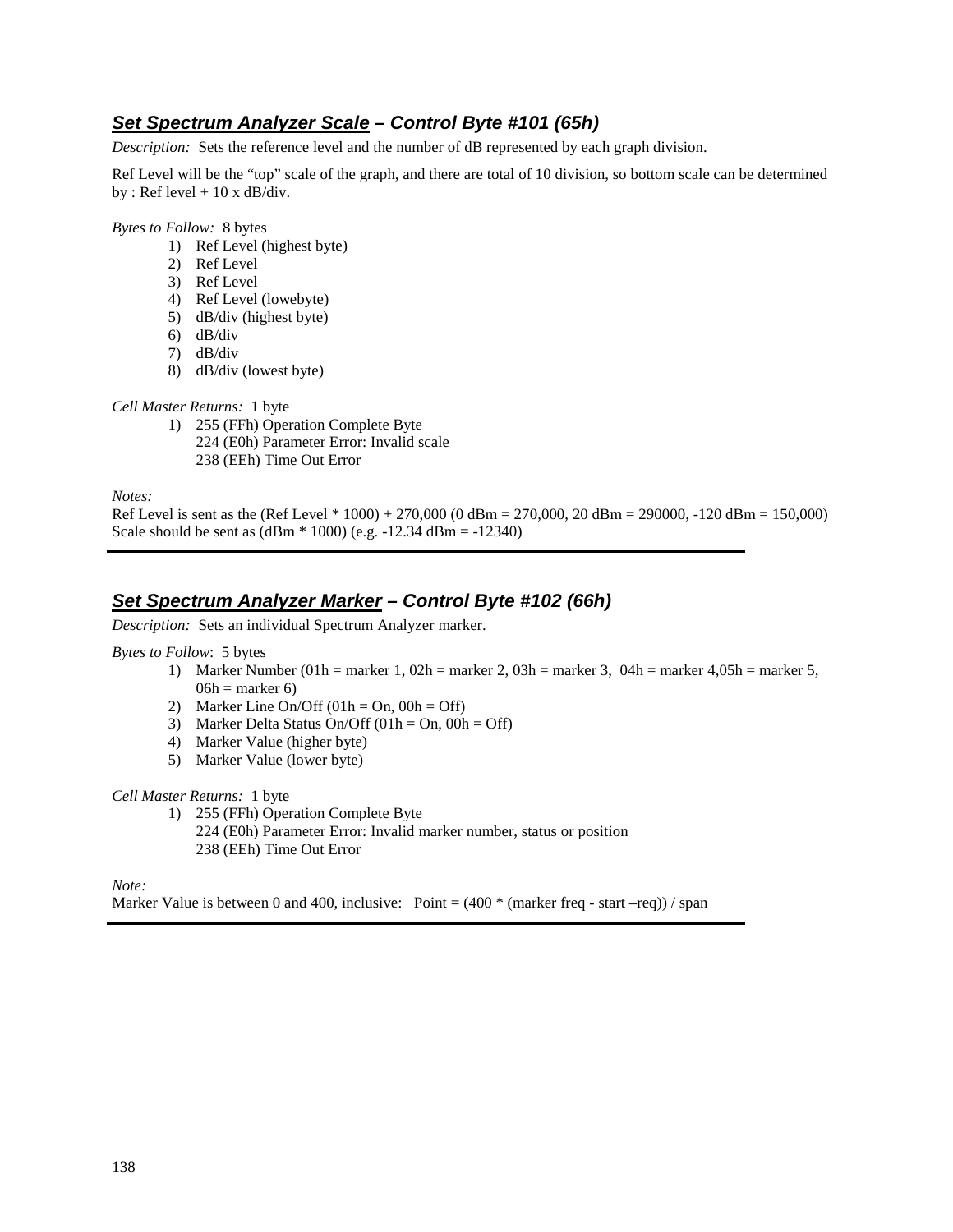# **Set Spectrum Analyzer Scale – Control Byte #101 (65h)**

*Description:* Sets the reference level and the number of dB represented by each graph division.

Ref Level will be the "top" scale of the graph, and there are total of 10 division, so bottom scale can be determined by : Ref level  $+10 \times dB/div$ .

*Bytes to Follow:* 8 bytes

- 1) Ref Level (highest byte)
- 2) Ref Level
- 3) Ref Level
- 4) Ref Level (lowebyte)
- 5) dB/div (highest byte)
- 6) dB/div
- 7) dB/div
- 8) dB/div (lowest byte)

*Cell Master Returns:* 1 byte

- 1) 255 (FFh) Operation Complete Byte
	- 224 (E0h) Parameter Error: Invalid scale
	- 238 (EEh) Time Out Error

*Notes:* 

Ref Level is sent as the (Ref Level \* 1000) + 270,000 (0 dBm = 270,000, 20 dBm = 290000, -120 dBm = 150,000) Scale should be sent as  $(dBm * 1000)$  (e.g.  $-12.34$  dBm =  $-12340$ )

# **Set Spectrum Analyzer Marker – Control Byte #102 (66h)**

*Description:* Sets an individual Spectrum Analyzer marker.

#### *Bytes to Follow*: 5 bytes

- 1) Marker Number (01h = marker 1, 02h = marker 2, 03h = marker 3, 04h = marker 4,05h = marker 5,  $06h =$  marker 6)
- 2) Marker Line On/Off  $(01h = On, 00h = Off)$
- 3) Marker Delta Status On/Off  $(01h = On, 00h = Off)$
- 4) Marker Value (higher byte)
- 5) Marker Value (lower byte)

### *Cell Master Returns:* 1 byte

1) 255 (FFh) Operation Complete Byte 224 (E0h) Parameter Error: Invalid marker number, status or position 238 (EEh) Time Out Error

*Note:* 

Marker Value is between 0 and 400, inclusive: Point =  $(400 * (marker freq - start -req)) / span$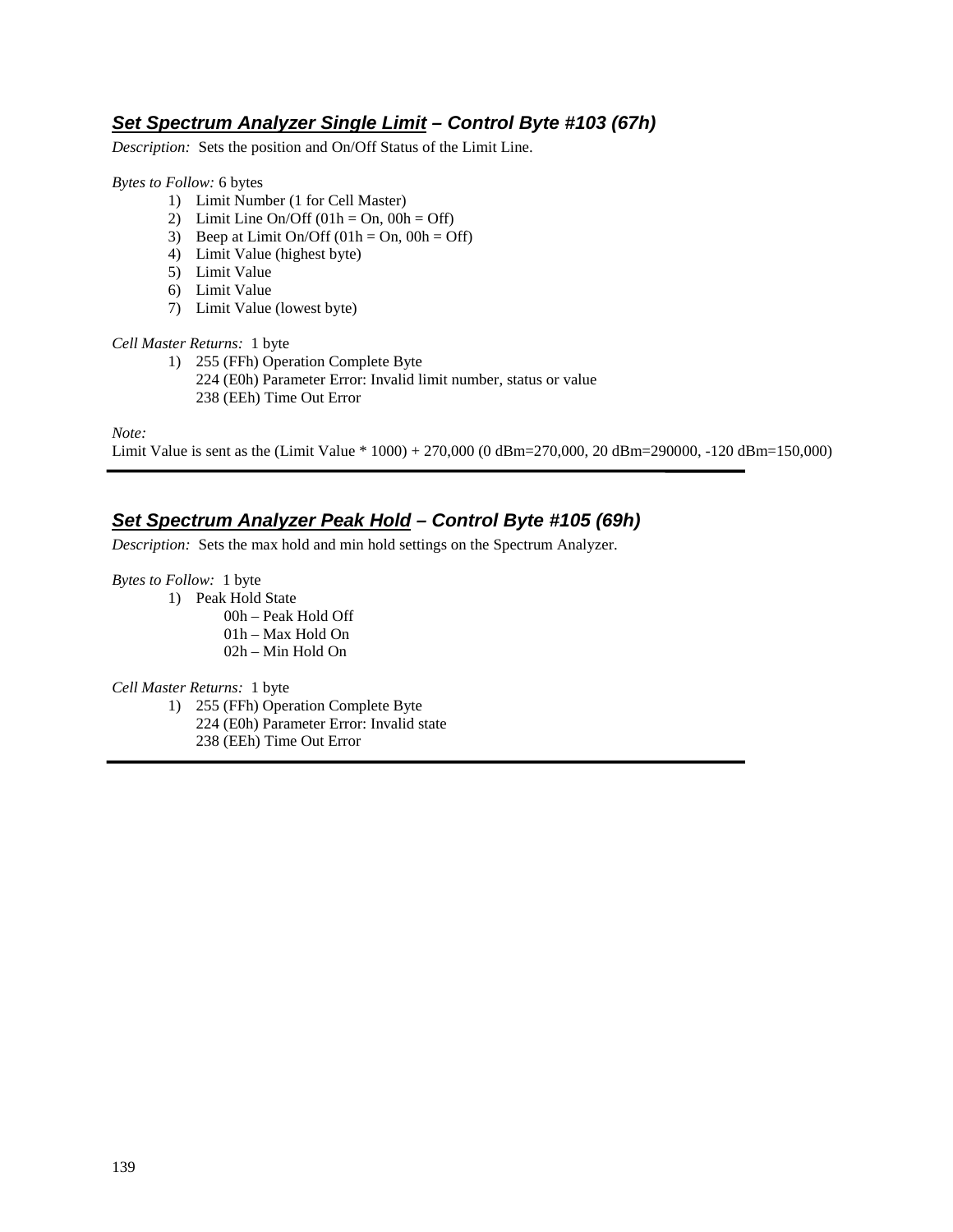## **Set Spectrum Analyzer Single Limit – Control Byte #103 (67h)**

*Description:* Sets the position and On/Off Status of the Limit Line.

#### *Bytes to Follow:* 6 bytes

- 1) Limit Number (1 for Cell Master)
- 2) Limit Line On/Off  $(01h = On, 00h = Off)$
- 3) Beep at Limit On/Off  $(01h = On, 00h = Off)$
- 4) Limit Value (highest byte)
- 5) Limit Value
- 6) Limit Value
- 7) Limit Value (lowest byte)

### *Cell Master Returns:* 1 byte

1) 255 (FFh) Operation Complete Byte 224 (E0h) Parameter Error: Invalid limit number, status or value 238 (EEh) Time Out Error

*Note:* 

Limit Value is sent as the (Limit Value \* 1000) + 270,000 (0 dBm=270,000, 20 dBm=290000, -120 dBm=150,000)

# **Set Spectrum Analyzer Peak Hold – Control Byte #105 (69h)**

*Description:* Sets the max hold and min hold settings on the Spectrum Analyzer.

*Bytes to Follow:* 1 byte

- 1) Peak Hold State
	- 00h Peak Hold Off 01h – Max Hold On 02h – Min Hold On

### *Cell Master Returns:* 1 byte

- 1) 255 (FFh) Operation Complete Byte
	- 224 (E0h) Parameter Error: Invalid state
	- 238 (EEh) Time Out Error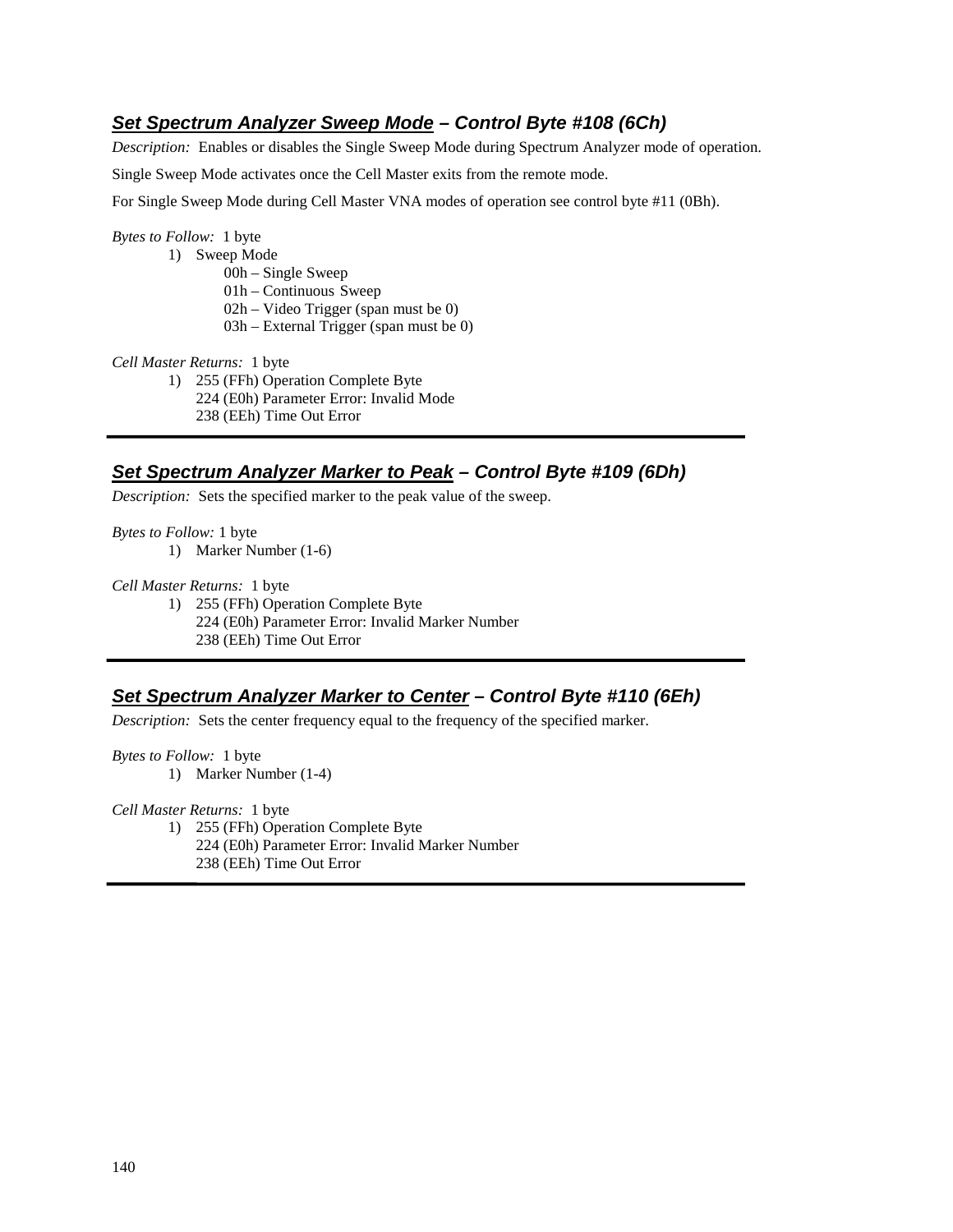# **Set Spectrum Analyzer Sweep Mode – Control Byte #108 (6Ch)**

*Description:* Enables or disables the Single Sweep Mode during Spectrum Analyzer mode of operation.

Single Sweep Mode activates once the Cell Master exits from the remote mode.

For Single Sweep Mode during Cell Master VNA modes of operation see control byte #11 (0Bh).

#### *Bytes to Follow:* 1 byte

1) Sweep Mode

00h – Single Sweep

01h – Continuous Sweep

02h – Video Trigger (span must be 0)

03h – External Trigger (span must be 0)

*Cell Master Returns:* 1 byte

1) 255 (FFh) Operation Complete Byte

224 (E0h) Parameter Error: Invalid Mode

238 (EEh) Time Out Error

## **Set Spectrum Analyzer Marker to Peak – Control Byte #109 (6Dh)**

*Description:* Sets the specified marker to the peak value of the sweep.

*Bytes to Follow:* 1 byte

1) Marker Number (1-6)

*Cell Master Returns:* 1 byte

1) 255 (FFh) Operation Complete Byte

224 (E0h) Parameter Error: Invalid Marker Number 238 (EEh) Time Out Error

## **Set Spectrum Analyzer Marker to Center – Control Byte #110 (6Eh)**

*Description:* Sets the center frequency equal to the frequency of the specified marker.

*Bytes to Follow:* 1 byte

1) Marker Number (1-4)

*Cell Master Returns:* 1 byte

1) 255 (FFh) Operation Complete Byte 224 (E0h) Parameter Error: Invalid Marker Number 238 (EEh) Time Out Error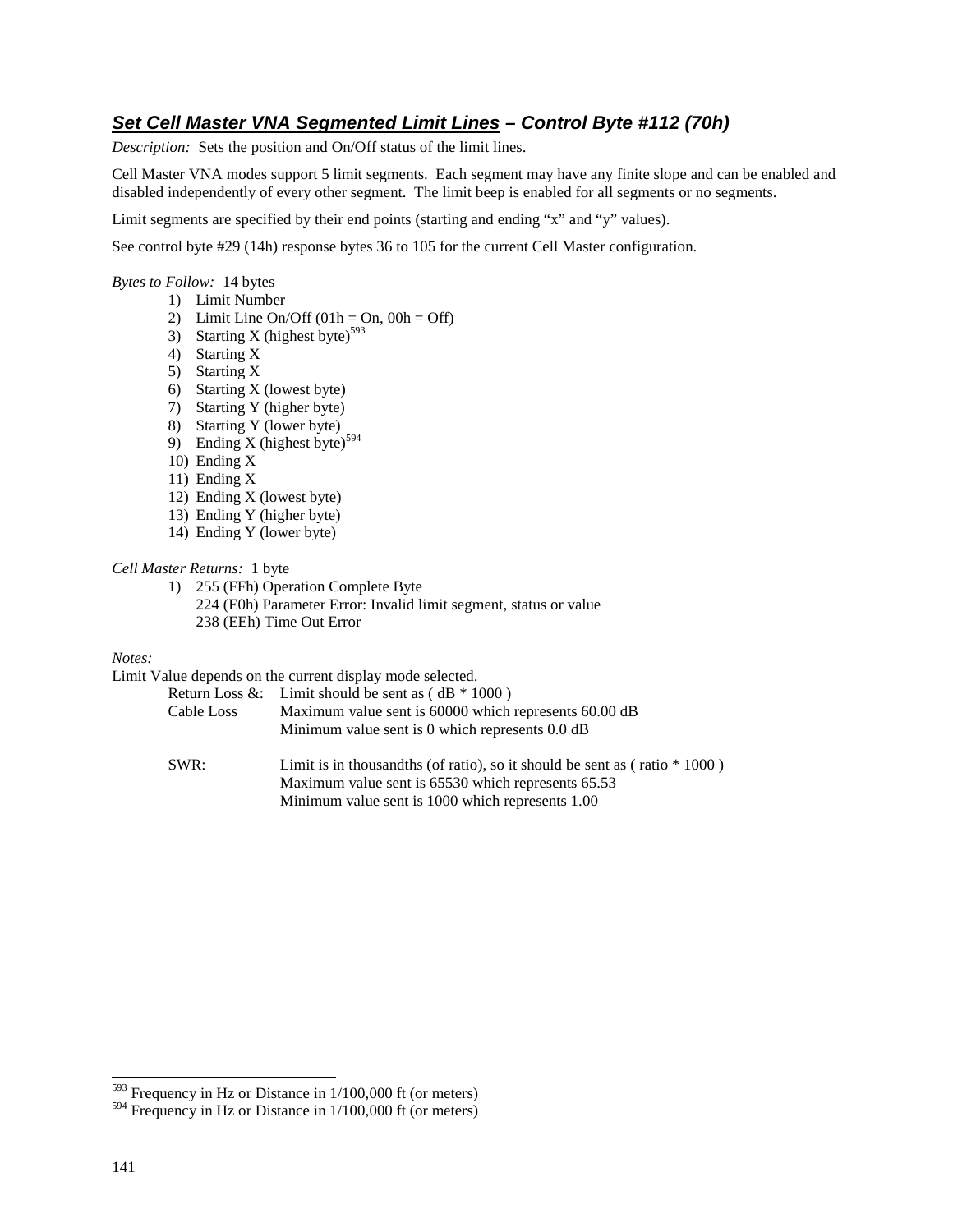# **Set Cell Master VNA Segmented Limit Lines – Control Byte #112 (70h)**

*Description:* Sets the position and On/Off status of the limit lines.

Cell Master VNA modes support 5 limit segments. Each segment may have any finite slope and can be enabled and disabled independently of every other segment. The limit beep is enabled for all segments or no segments.

Limit segments are specified by their end points (starting and ending "x" and "y" values).

See control byte #29 (14h) response bytes 36 to 105 for the current Cell Master configuration.

*Bytes to Follow:* 14 bytes

- 1) Limit Number
	- 2) Limit Line On/Off  $(01h = On, 00h = Off)$
- 3) Starting X (highest byte) $593$
- 4) Starting X
- 5) Starting X
- 6) Starting X (lowest byte)
- 7) Starting Y (higher byte)
- 8) Starting Y (lower byte)
- 9) Ending X (highest byte)<sup>594</sup>
- 10) Ending X
- 11) Ending X
- 12) Ending X (lowest byte)
- 13) Ending Y (higher byte)
- 14) Ending Y (lower byte)

#### *Cell Master Returns:* 1 byte

1) 255 (FFh) Operation Complete Byte 224 (E0h) Parameter Error: Invalid limit segment, status or value 238 (EEh) Time Out Error

### *Notes:*

Limit Value depends on the current display mode selected.

| Cable Loss | Return Loss &: Limit should be sent as $(dB * 1000)$<br>Maximum value sent is 60000 which represents 60.00 dB<br>Minimum value sent is 0 which represents 0.0 dB |
|------------|------------------------------------------------------------------------------------------------------------------------------------------------------------------|
| SWR:       | Limit is in thousand ths (of ratio), so it should be sent as (ratio $*1000$ )<br>Maximum value sent is 65530 which represents 65.53                              |

Minimum value sent is 1000 which represents 1.00

-

 $593$  Frequency in Hz or Distance in  $1/100,000$  ft (or meters)

<sup>594</sup> Frequency in Hz or Distance in 1/100,000 ft (or meters)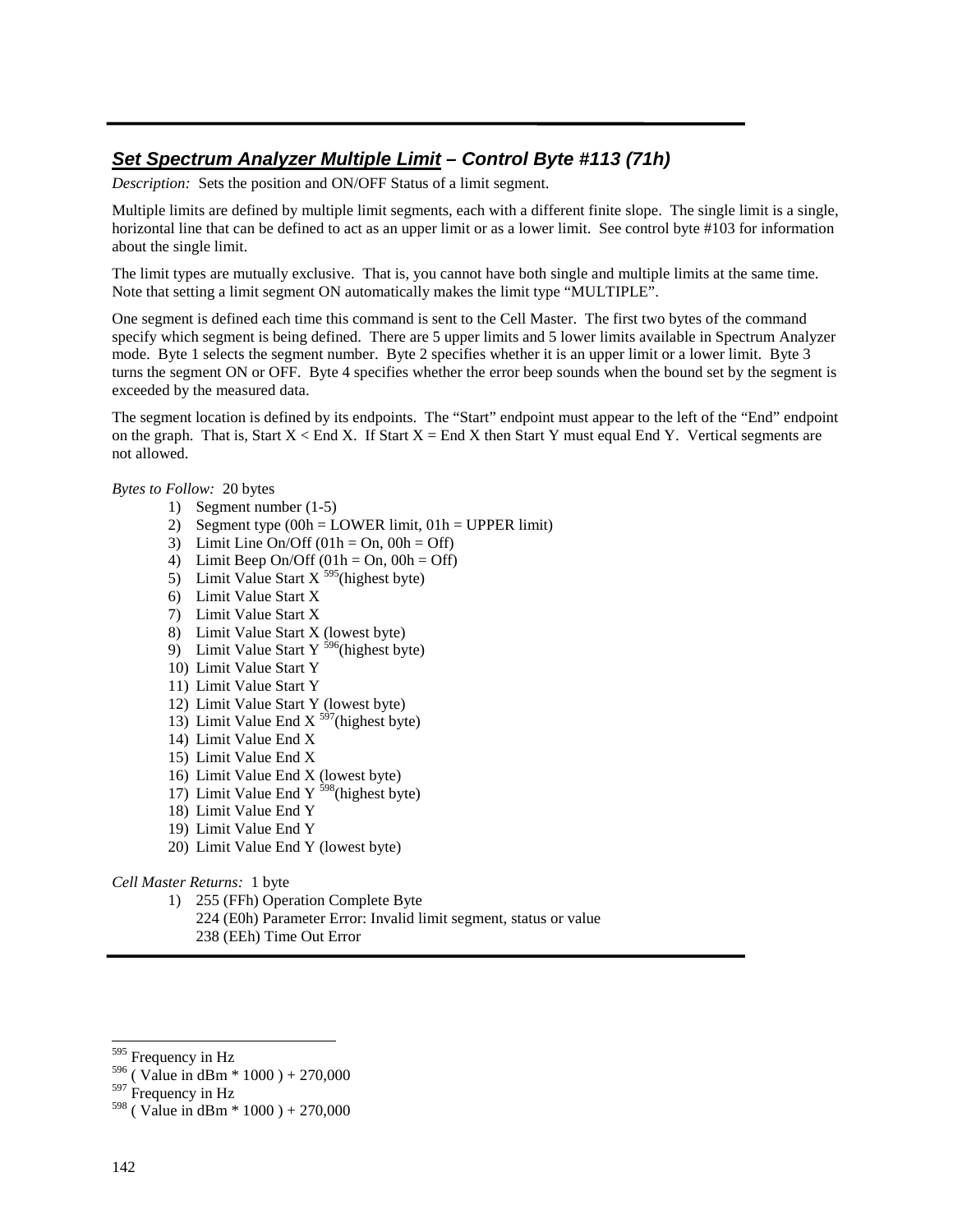# **Set Spectrum Analyzer Multiple Limit – Control Byte #113 (71h)**

*Description:* Sets the position and ON/OFF Status of a limit segment.

Multiple limits are defined by multiple limit segments, each with a different finite slope. The single limit is a single, horizontal line that can be defined to act as an upper limit or as a lower limit. See control byte #103 for information about the single limit.

The limit types are mutually exclusive. That is, you cannot have both single and multiple limits at the same time. Note that setting a limit segment ON automatically makes the limit type "MULTIPLE".

One segment is defined each time this command is sent to the Cell Master. The first two bytes of the command specify which segment is being defined. There are 5 upper limits and 5 lower limits available in Spectrum Analyzer mode. Byte 1 selects the segment number. Byte 2 specifies whether it is an upper limit or a lower limit. Byte 3 turns the segment ON or OFF. Byte 4 specifies whether the error beep sounds when the bound set by the segment is exceeded by the measured data.

The segment location is defined by its endpoints. The "Start" endpoint must appear to the left of the "End" endpoint on the graph. That is, Start  $X \leq End X$ . If Start  $X = End X$  then Start Y must equal End Y. Vertical segments are not allowed.

### *Bytes to Follow:* 20 bytes

- 1) Segment number (1-5)
- 2) Segment type  $(00h = LOWER limit, 01h = UPPER limit)$
- 3) Limit Line On/Off  $(01h = On, 00h = Off)$
- 4) Limit Beep On/Off  $(01h = On, 00h = Off)$
- 5) Limit Value Start  $X^{595}$ (highest byte)
- 6) Limit Value Start X
- 7) Limit Value Start X
- 8) Limit Value Start X (lowest byte)
- 9) Limit Value Start Y<sup>596</sup>(highest byte)
- 10) Limit Value Start Y
- 11) Limit Value Start Y
- 12) Limit Value Start Y (lowest byte)
- 13) Limit Value End X  $\frac{597}{12}$ (highest byte)
- 14) Limit Value End X
- 15) Limit Value End X
- 16) Limit Value End X (lowest byte)
- 17) Limit Value End Y  $^{598}$ (highest byte)
- 18) Limit Value End Y
- 19) Limit Value End Y
- 20) Limit Value End Y (lowest byte)

#### *Cell Master Returns:* 1 byte

- 1) 255 (FFh) Operation Complete Byte
	- 224 (E0h) Parameter Error: Invalid limit segment, status or value
	- 238 (EEh) Time Out Error

1

<sup>595</sup> Frequency in Hz

 $596$  ( Value in dBm  $*$  1000 ) + 270,000

 $597$  Frequency in Hz

 $598$  ( Value in dBm  $*$  1000 ) + 270,000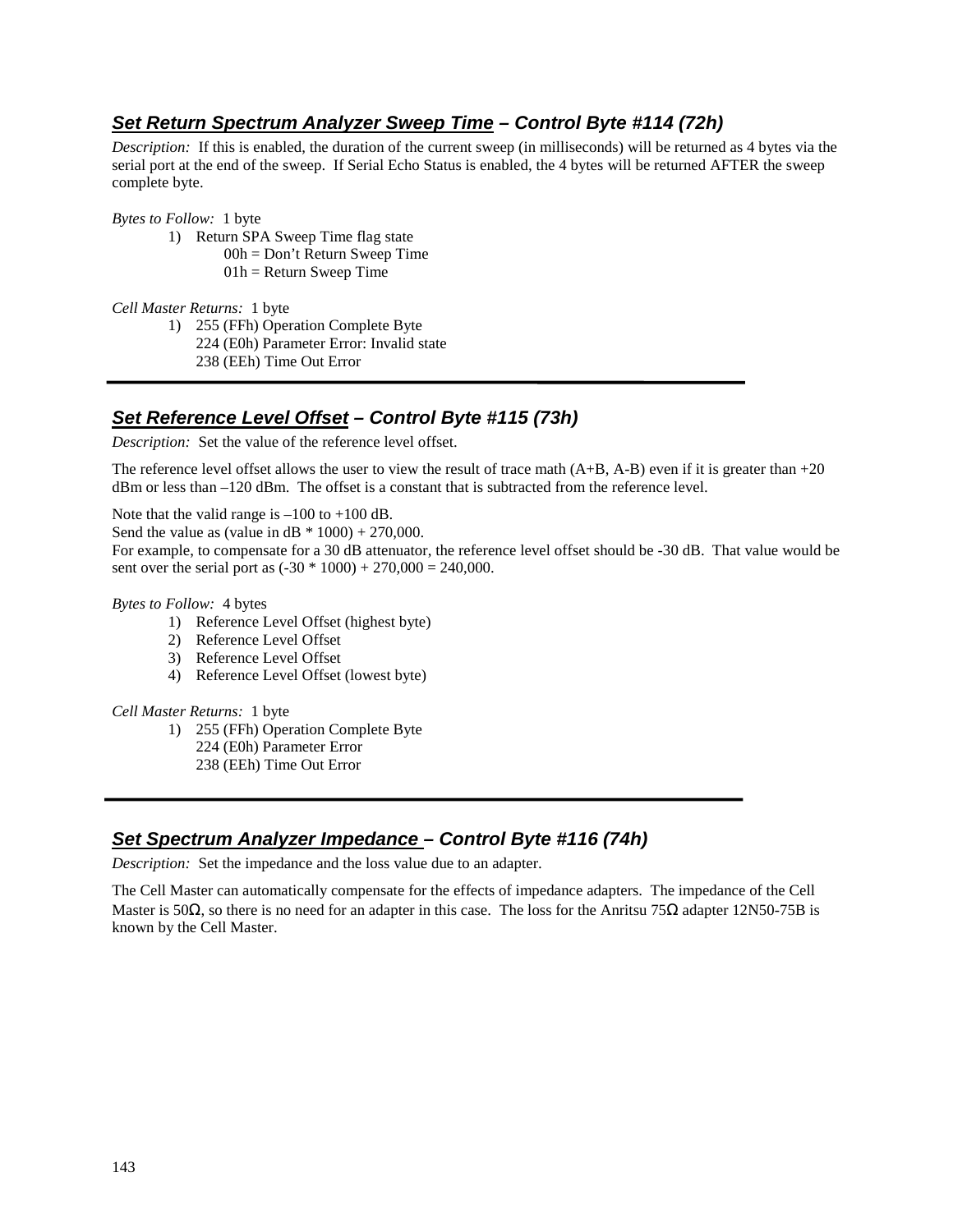# **Set Return Spectrum Analyzer Sweep Time – Control Byte #114 (72h)**

*Description:* If this is enabled, the duration of the current sweep (in milliseconds) will be returned as 4 bytes via the serial port at the end of the sweep. If Serial Echo Status is enabled, the 4 bytes will be returned AFTER the sweep complete byte.

*Bytes to Follow:* 1 byte

- 1) Return SPA Sweep Time flag state
	- 00h = Don't Return Sweep Time
	- $01h =$  Return Sweep Time

*Cell Master Returns:* 1 byte

- 1) 255 (FFh) Operation Complete Byte
	- 224 (E0h) Parameter Error: Invalid state
		- 238 (EEh) Time Out Error

# **Set Reference Level Offset – Control Byte #115 (73h)**

*Description:* Set the value of the reference level offset.

The reference level offset allows the user to view the result of trace math  $(A+B, A-B)$  even if it is greater than  $+20$ dBm or less than –120 dBm. The offset is a constant that is subtracted from the reference level.

Note that the valid range is  $-100$  to  $+100$  dB.

Send the value as (value in  $dB * 1000$ ) + 270,000.

For example, to compensate for a 30 dB attenuator, the reference level offset should be -30 dB. That value would be sent over the serial port as  $(-30 * 1000) + 270,000 = 240,000$ .

#### *Bytes to Follow:* 4 bytes

- 1) Reference Level Offset (highest byte)
- 2) Reference Level Offset
- 3) Reference Level Offset
- 4) Reference Level Offset (lowest byte)

*Cell Master Returns:* 1 byte

- 1) 255 (FFh) Operation Complete Byte
	- 224 (E0h) Parameter Error
	- 238 (EEh) Time Out Error

## **Set Spectrum Analyzer Impedance – Control Byte #116 (74h)**

*Description:* Set the impedance and the loss value due to an adapter.

The Cell Master can automatically compensate for the effects of impedance adapters. The impedance of the Cell Master is 50 $\Omega$ , so there is no need for an adapter in this case. The loss for the Anritsu 75 $\Omega$  adapter 12N50-75B is known by the Cell Master.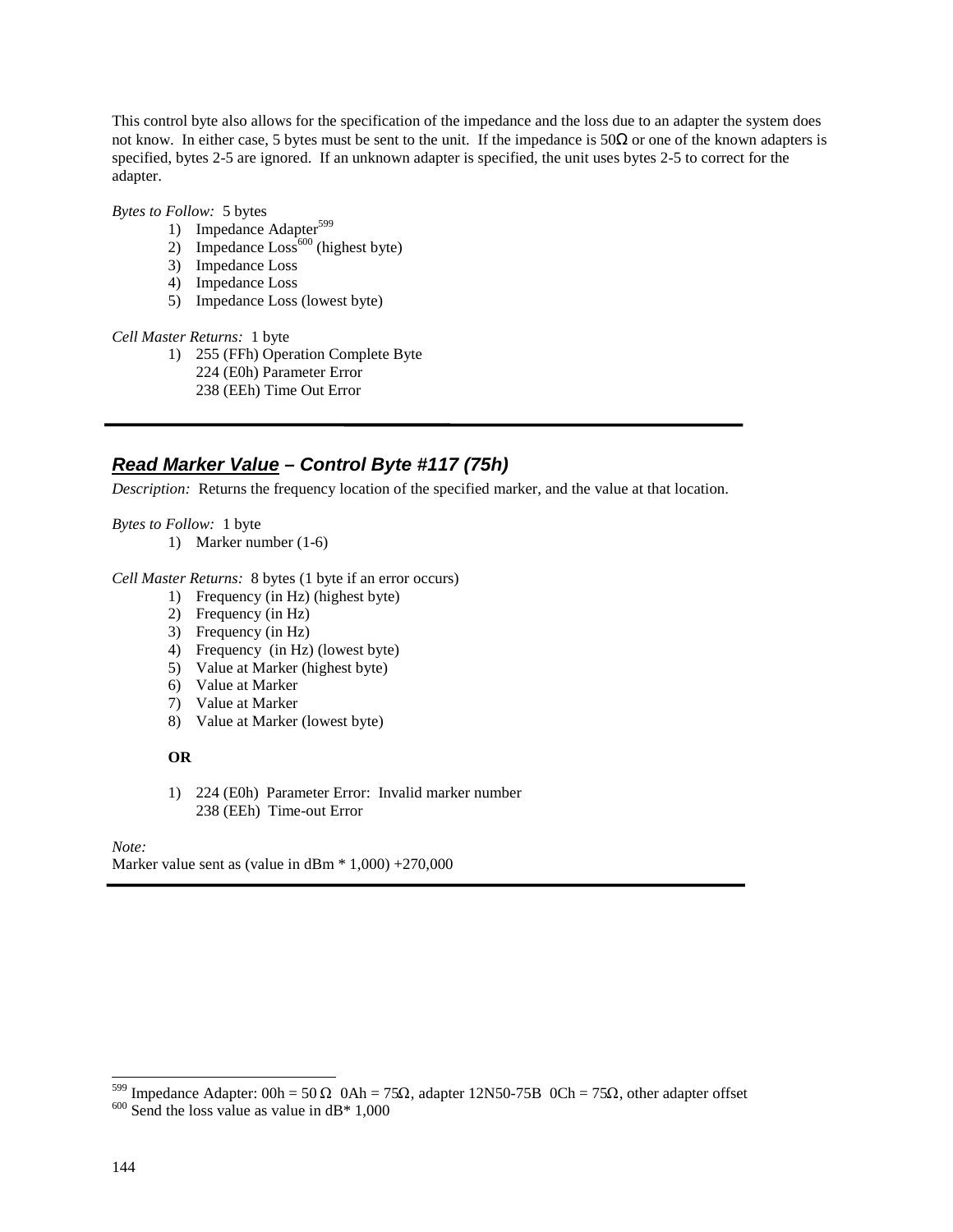This control byte also allows for the specification of the impedance and the loss due to an adapter the system does not know. In either case, 5 bytes must be sent to the unit. If the impedance is  $50\Omega$  or one of the known adapters is specified, bytes 2-5 are ignored. If an unknown adapter is specified, the unit uses bytes 2-5 to correct for the adapter.

*Bytes to Follow:* 5 bytes

- 1) Impedance Adapter<sup>599</sup>
- 2) Impedance  $\text{Loss}^{600}$  (highest byte)
- 3) Impedance Loss
- 4) Impedance Loss
- 5) Impedance Loss (lowest byte)

*Cell Master Returns:* 1 byte

1) 255 (FFh) Operation Complete Byte 224 (E0h) Parameter Error 238 (EEh) Time Out Error

## **Read Marker Value – Control Byte #117 (75h)**

*Description:* Returns the frequency location of the specified marker, and the value at that location.

*Bytes to Follow:* 1 byte

1) Marker number (1-6)

#### *Cell Master Returns:* 8 bytes (1 byte if an error occurs)

- 1) Frequency (in Hz) (highest byte)
- 2) Frequency (in Hz)
- 3) Frequency (in Hz)
- 4) Frequency (in Hz) (lowest byte)
- 5) Value at Marker (highest byte)
- 6) Value at Marker
- 7) Value at Marker
- 8) Value at Marker (lowest byte)

#### **OR**

1) 224 (E0h) Parameter Error: Invalid marker number 238 (EEh) Time-out Error

#### *Note:*

Marker value sent as (value in  $dBm * 1,000$ ) +270,000

-

<sup>&</sup>lt;sup>599</sup> Impedance Adapter: 00h = 50  $\Omega$  0Ah = 75 $\Omega$ , adapter 12N50-75B 0Ch = 75 $\Omega$ , other adapter offset 6<sup>600</sup> Send the loss value as value in dB<sup>\*</sup> 1,000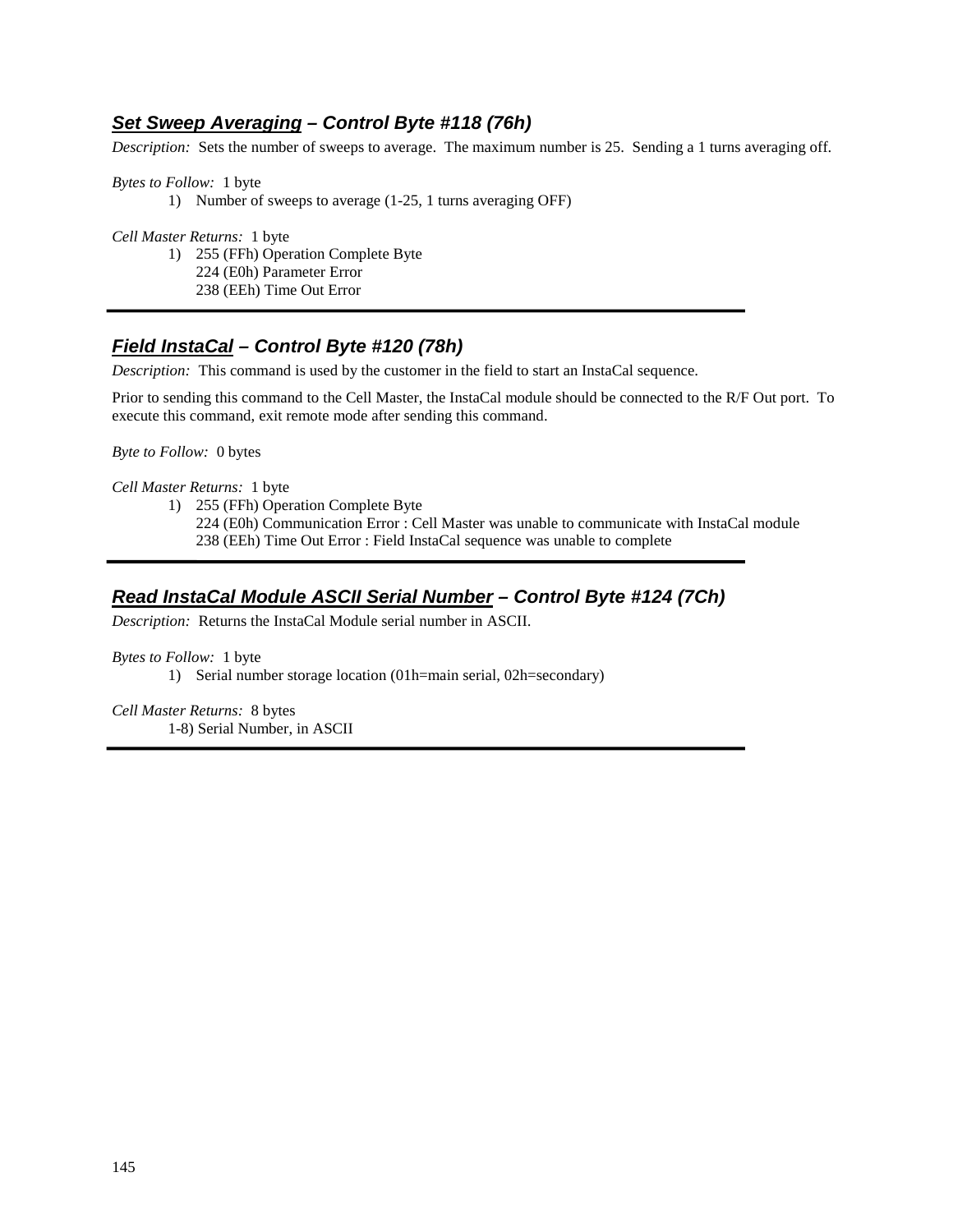## **Set Sweep Averaging – Control Byte #118 (76h)**

*Description:* Sets the number of sweeps to average. The maximum number is 25. Sending a 1 turns averaging off.

*Bytes to Follow:* 1 byte 1) Number of sweeps to average (1-25, 1 turns averaging OFF)

*Cell Master Returns:* 1 byte

1) 255 (FFh) Operation Complete Byte 224 (E0h) Parameter Error 238 (EEh) Time Out Error

## **Field InstaCal – Control Byte #120 (78h)**

*Description:* This command is used by the customer in the field to start an InstaCal sequence.

Prior to sending this command to the Cell Master, the InstaCal module should be connected to the R/F Out port. To execute this command, exit remote mode after sending this command.

*Byte to Follow:* 0 bytes

*Cell Master Returns:* 1 byte

1) 255 (FFh) Operation Complete Byte

224 (E0h) Communication Error : Cell Master was unable to communicate with InstaCal module 238 (EEh) Time Out Error : Field InstaCal sequence was unable to complete

## **Read InstaCal Module ASCII Serial Number – Control Byte #124 (7Ch)**

*Description:* Returns the InstaCal Module serial number in ASCII.

*Bytes to Follow:* 1 byte

1) Serial number storage location (01h=main serial, 02h=secondary)

*Cell Master Returns:* 8 bytes 1-8) Serial Number, in ASCII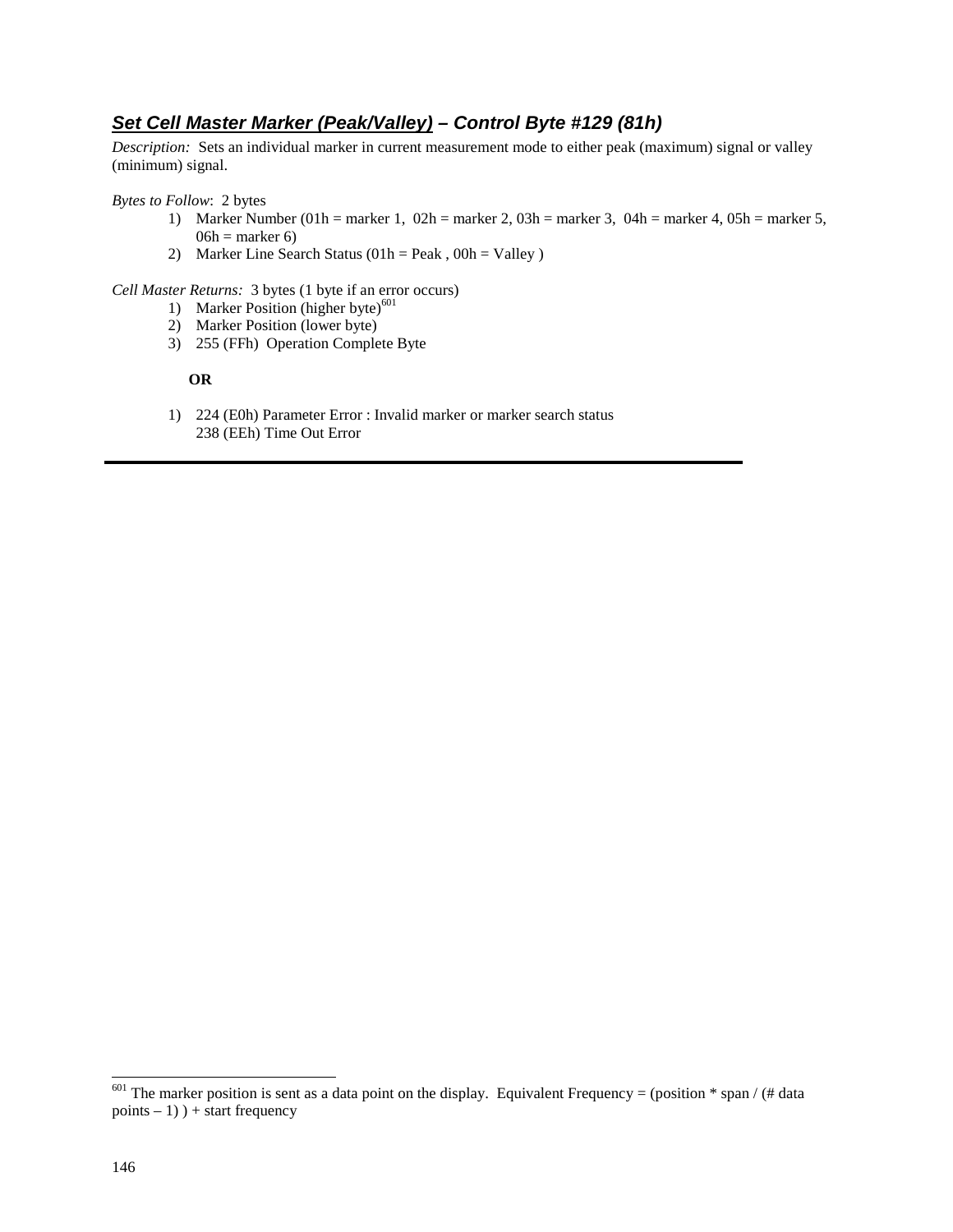## **Set Cell Master Marker (Peak/Valley) – Control Byte #129 (81h)**

*Description:* Sets an individual marker in current measurement mode to either peak (maximum) signal or valley (minimum) signal.

*Bytes to Follow*: 2 bytes

- 1) Marker Number (01h = marker 1, 02h = marker 2, 03h = marker 3, 04h = marker 4, 05h = marker 5,  $06h =$  marker 6)
- 2) Marker Line Search Status  $(01h = Peak, 00h = Valley)$

*Cell Master Returns:* 3 bytes (1 byte if an error occurs)

- 1) Marker Position (higher byte) $^{601}$
- 2) Marker Position (lower byte)
- 3) 255 (FFh) Operation Complete Byte

#### **OR**

1) 224 (E0h) Parameter Error : Invalid marker or marker search status 238 (EEh) Time Out Error

-

<sup>&</sup>lt;sup>601</sup> The marker position is sent as a data point on the display. Equivalent Frequency = (position  $*$  span / (# data  $points - 1)$  ) + start frequency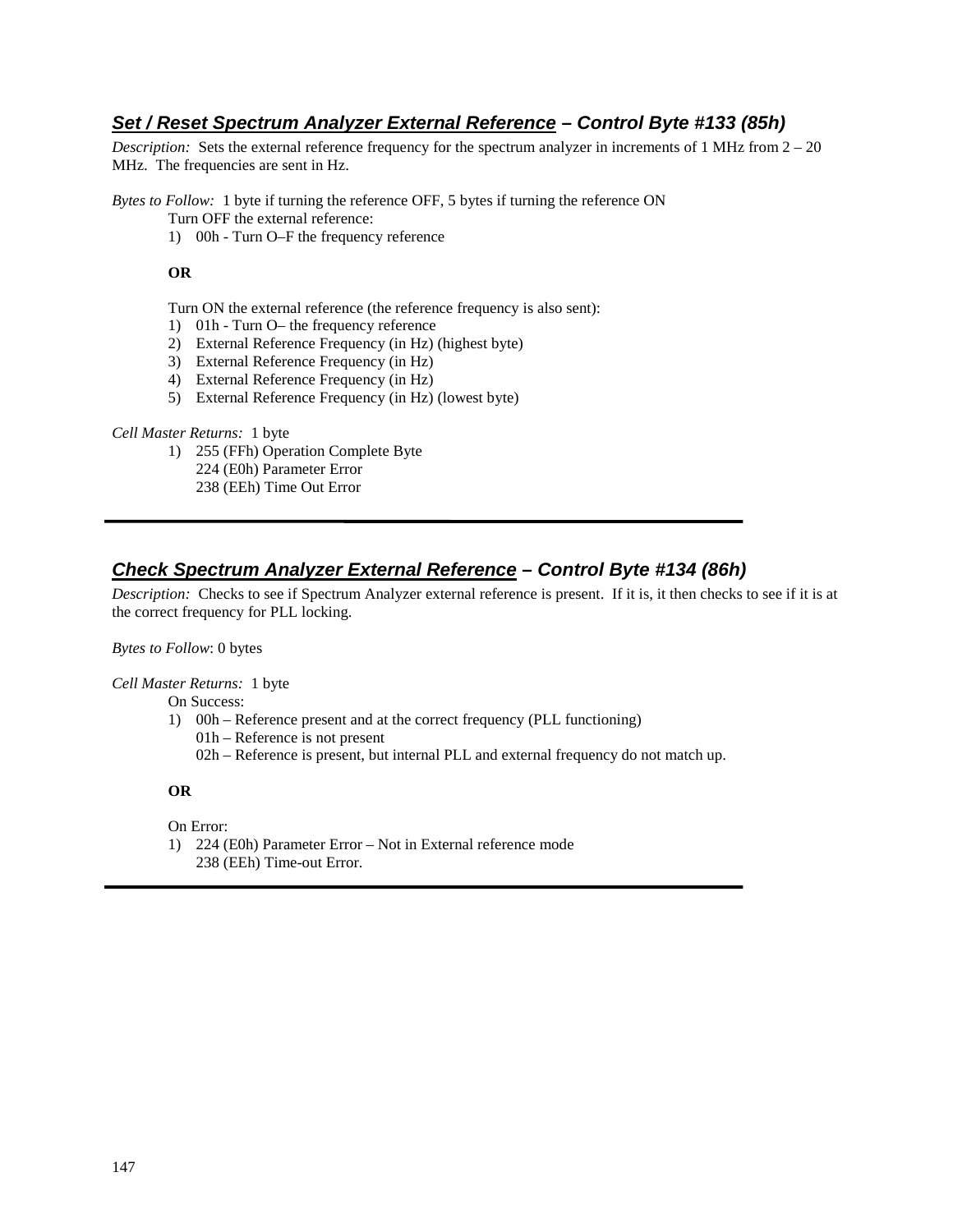## **Set / Reset Spectrum Analyzer External Reference – Control Byte #133 (85h)**

*Description:* Sets the external reference frequency for the spectrum analyzer in increments of 1 MHz from  $2 - 20$ MHz. The frequencies are sent in Hz.

*Bytes to Follow:* 1 byte if turning the reference OFF, 5 bytes if turning the reference ON

Turn OFF the external reference:

1) 00h - Turn O–F the frequency reference

#### **OR**

Turn ON the external reference (the reference frequency is also sent):

- 1) 01h Turn O– the frequency reference
- 2) External Reference Frequency (in Hz) (highest byte)
- 3) External Reference Frequency (in Hz)
- 4) External Reference Frequency (in Hz)
- 5) External Reference Frequency (in Hz) (lowest byte)

#### *Cell Master Returns:* 1 byte

- 1) 255 (FFh) Operation Complete Byte
	- 224 (E0h) Parameter Error
	- 238 (EEh) Time Out Error

## **Check Spectrum Analyzer External Reference – Control Byte #134 (86h)**

*Description:* Checks to see if Spectrum Analyzer external reference is present. If it is, it then checks to see if it is at the correct frequency for PLL locking.

#### *Bytes to Follow*: 0 bytes

*Cell Master Returns:* 1 byte

On Success:

- 1) 00h Reference present and at the correct frequency (PLL functioning) 01h – Reference is not present
	- 02h Reference is present, but internal PLL and external frequency do not match up.

#### **OR**

On Error:

1) 224 (E0h) Parameter Error – Not in External reference mode 238 (EEh) Time-out Error.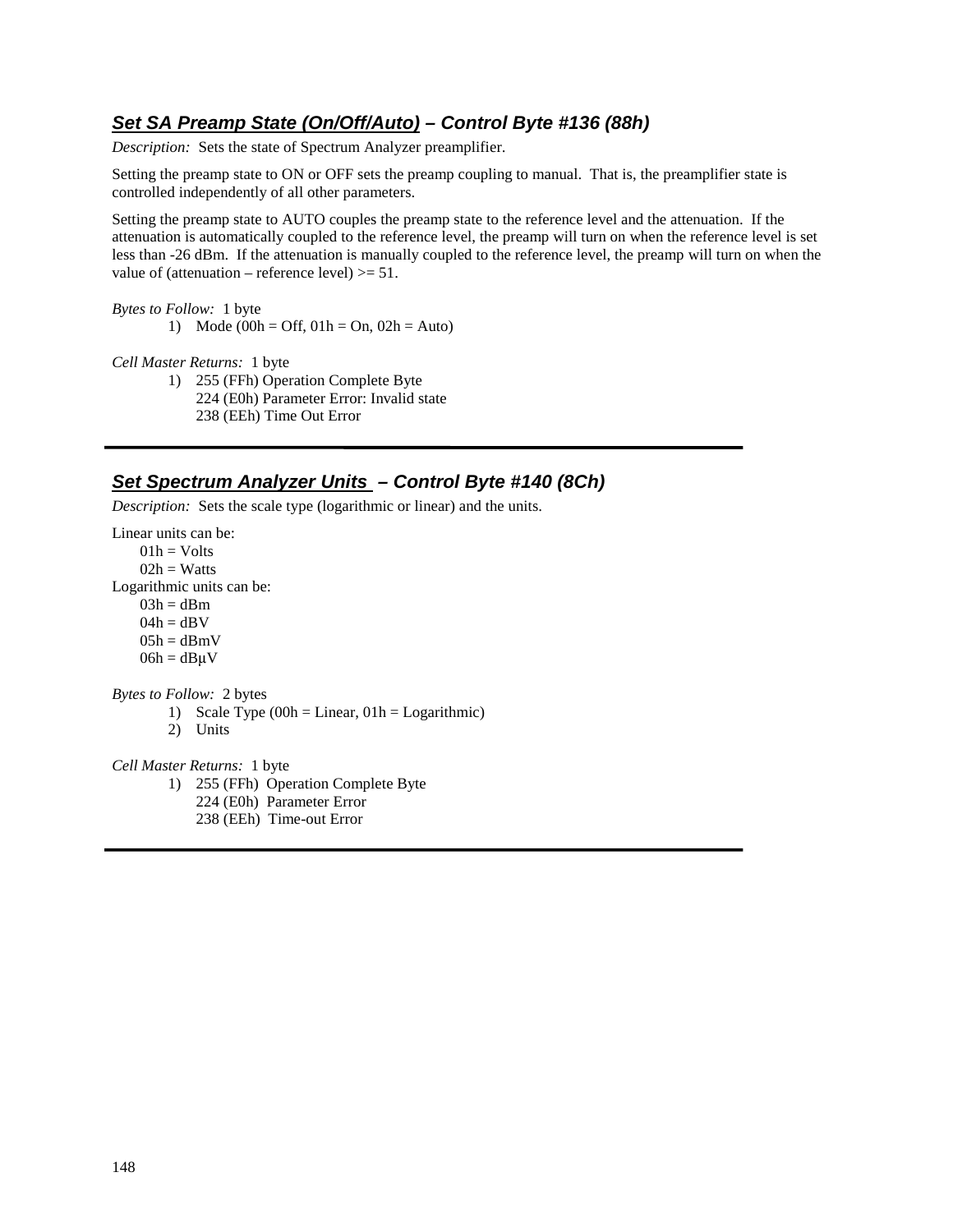## **Set SA Preamp State (On/Off/Auto) – Control Byte #136 (88h)**

*Description:* Sets the state of Spectrum Analyzer preamplifier.

Setting the preamp state to ON or OFF sets the preamp coupling to manual. That is, the preamplifier state is controlled independently of all other parameters.

Setting the preamp state to AUTO couples the preamp state to the reference level and the attenuation. If the attenuation is automatically coupled to the reference level, the preamp will turn on when the reference level is set less than -26 dBm. If the attenuation is manually coupled to the reference level, the preamp will turn on when the value of (attenuation – reference level)  $>= 51$ .

*Bytes to Follow:* 1 byte

1) Mode (00h = Off,  $01h = On$ ,  $02h = Auto$ )

*Cell Master Returns:* 1 byte

1) 255 (FFh) Operation Complete Byte 224 (E0h) Parameter Error: Invalid state 238 (EEh) Time Out Error

#### **Set Spectrum Analyzer Units – Control Byte #140 (8Ch)**

*Description:* Sets the scale type (logarithmic or linear) and the units.

Linear units can be:  $01h = Volts$  $02h = Watts$ Logarithmic units can be:  $03h = dBm$  $04h = dBV$  $05h = dBmV$  $06h = dB\mu V$ *Bytes to Follow:* 2 bytes 1) Scale Type  $(00h = Linear, 01h = Logarithmic)$ 2) Units *Cell Master Returns:* 1 byte 1) 255 (FFh) Operation Complete Byte 224 (E0h) Parameter Error 238 (EEh) Time-out Error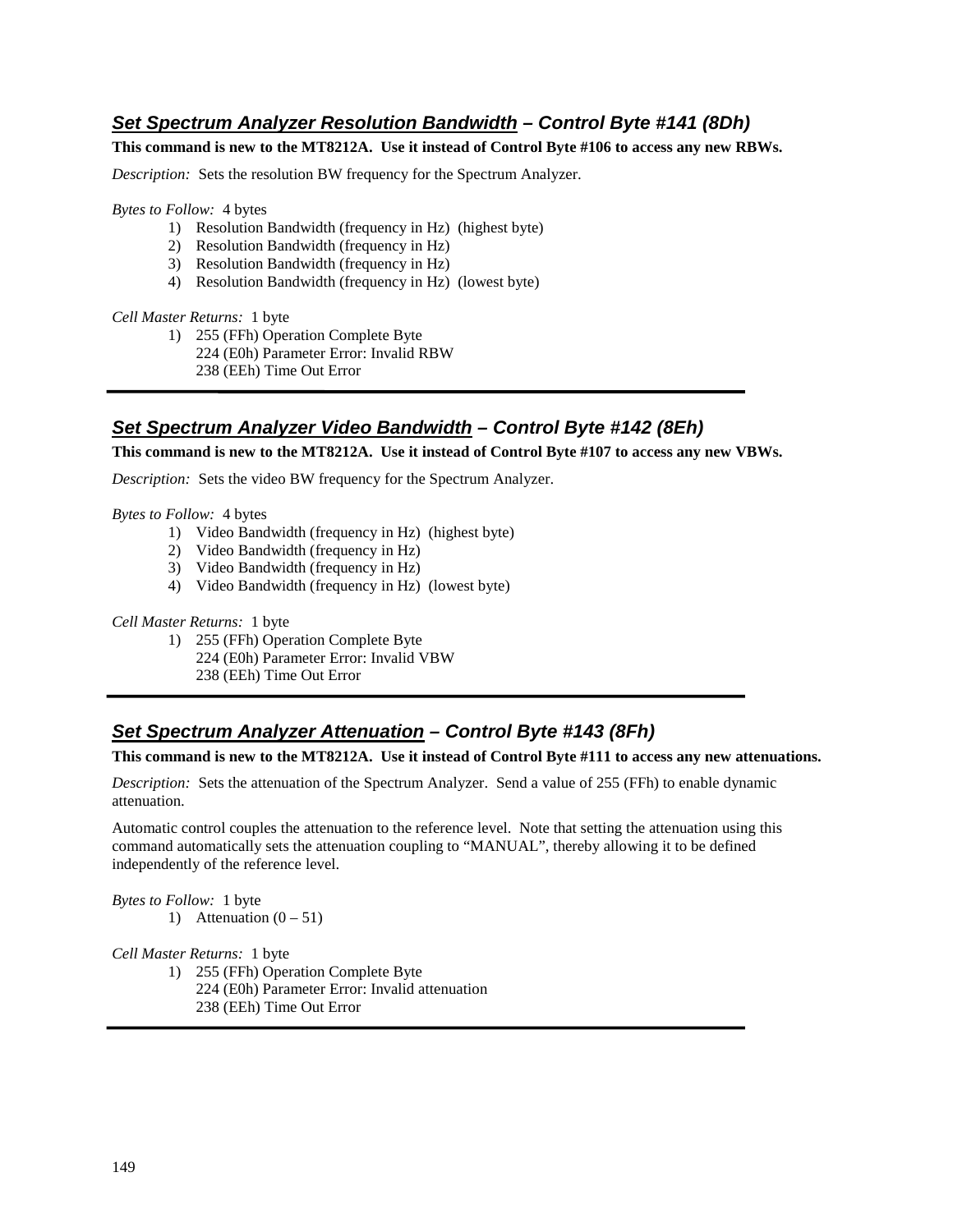## **Set Spectrum Analyzer Resolution Bandwidth – Control Byte #141 (8Dh)**

**This command is new to the MT8212A. Use it instead of Control Byte #106 to access any new RBWs.** 

*Description:* Sets the resolution BW frequency for the Spectrum Analyzer.

*Bytes to Follow:* 4 bytes

- 1) Resolution Bandwidth (frequency in Hz) (highest byte)
- 2) Resolution Bandwidth (frequency in Hz)
- 3) Resolution Bandwidth (frequency in Hz)
- 4) Resolution Bandwidth (frequency in Hz) (lowest byte)

#### *Cell Master Returns:* 1 byte

- 1) 255 (FFh) Operation Complete Byte
	- 224 (E0h) Parameter Error: Invalid RBW
		- 238 (EEh) Time Out Error

#### **Set Spectrum Analyzer Video Bandwidth – Control Byte #142 (8Eh)**

**This command is new to the MT8212A. Use it instead of Control Byte #107 to access any new VBWs.** 

*Description:* Sets the video BW frequency for the Spectrum Analyzer.

*Bytes to Follow:* 4 bytes

- 1) Video Bandwidth (frequency in Hz) (highest byte)
- 2) Video Bandwidth (frequency in Hz)
- 3) Video Bandwidth (frequency in Hz)
- 4) Video Bandwidth (frequency in Hz) (lowest byte)

*Cell Master Returns:* 1 byte

1) 255 (FFh) Operation Complete Byte 224 (E0h) Parameter Error: Invalid VBW 238 (EEh) Time Out Error

#### **Set Spectrum Analyzer Attenuation – Control Byte #143 (8Fh)**

#### **This command is new to the MT8212A. Use it instead of Control Byte #111 to access any new attenuations.**

*Description:* Sets the attenuation of the Spectrum Analyzer. Send a value of 255 (FFh) to enable dynamic attenuation.

Automatic control couples the attenuation to the reference level. Note that setting the attenuation using this command automatically sets the attenuation coupling to "MANUAL", thereby allowing it to be defined independently of the reference level.

*Bytes to Follow:* 1 byte 1) Attenuation  $(0 - 51)$ 

*Cell Master Returns:* 1 byte

1) 255 (FFh) Operation Complete Byte 224 (E0h) Parameter Error: Invalid attenuation 238 (EEh) Time Out Error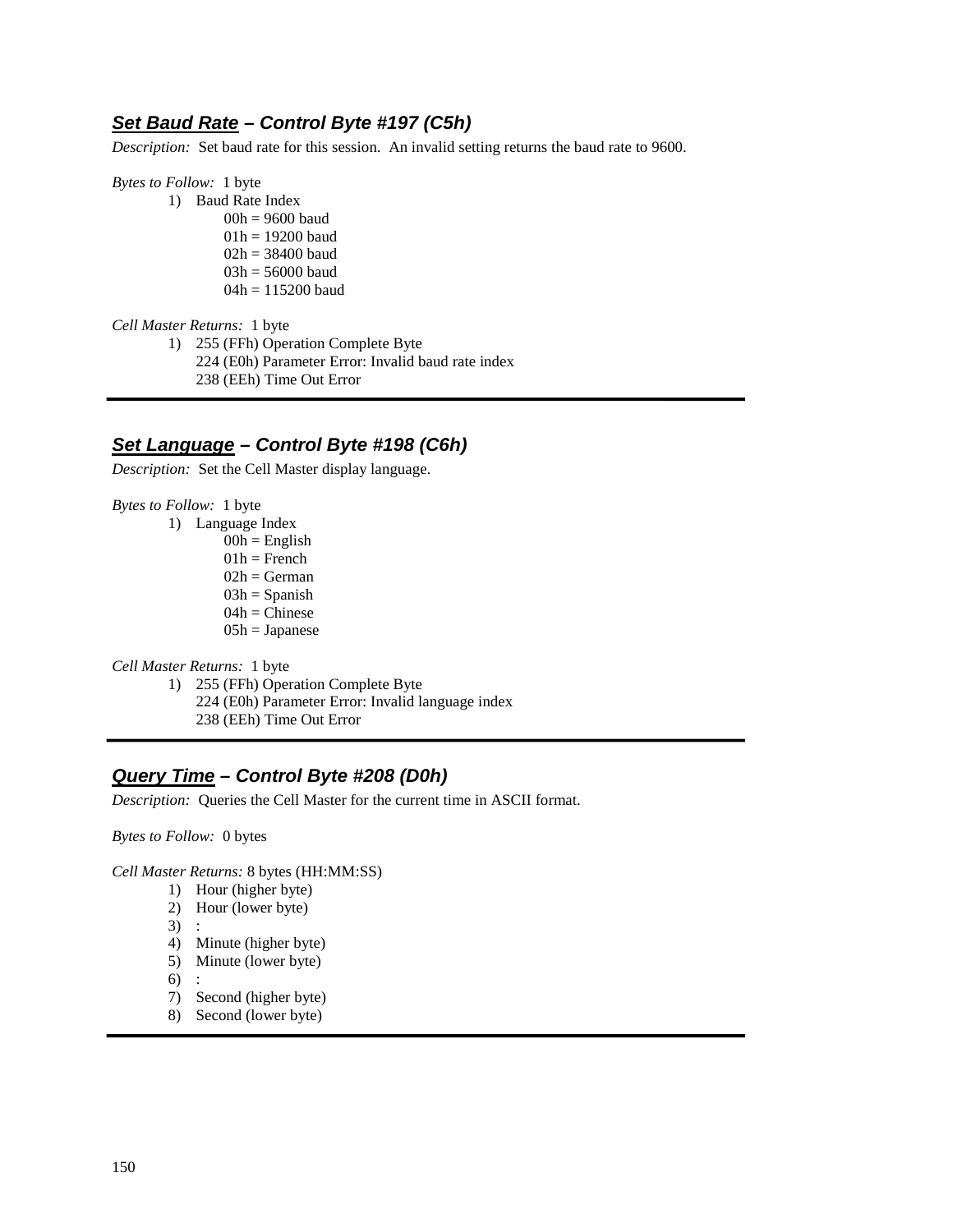#### **Set Baud Rate – Control Byte #197 (C5h)**

*Description:* Set baud rate for this session. An invalid setting returns the baud rate to 9600.

*Bytes to Follow:* 1 byte

- 1) Baud Rate Index
	- 00h = 9600 baud 01h = 19200 baud 02h = 38400 baud 03h = 56000 baud 04h = 115200 baud

*Cell Master Returns:* 1 byte

1) 255 (FFh) Operation Complete Byte 224 (E0h) Parameter Error: Invalid baud rate index

238 (EEh) Time Out Error

## **Set Language – Control Byte #198 (C6h)**

*Description:* Set the Cell Master display language.

*Bytes to Follow:* 1 byte

- 1) Language Index
	- $00h =$ English
	- $01h$  = French
	- $02h = German$
	- $03h =$ Spanish  $04h =$ Chinese
	- $05h = Japanese$

*Cell Master Returns:* 1 byte

- 1) 255 (FFh) Operation Complete Byte
	- 224 (E0h) Parameter Error: Invalid language index
	- 238 (EEh) Time Out Error

## **Query Time – Control Byte #208 (D0h)**

*Description:* Queries the Cell Master for the current time in ASCII format.

*Bytes to Follow:* 0 bytes

*Cell Master Returns:* 8 bytes (HH:MM:SS)

- 1) Hour (higher byte)
- 2) Hour (lower byte)
- 3) :
- 4) Minute (higher byte)
- 5) Minute (lower byte)
- 6) :
- 7) Second (higher byte)
- 8) Second (lower byte)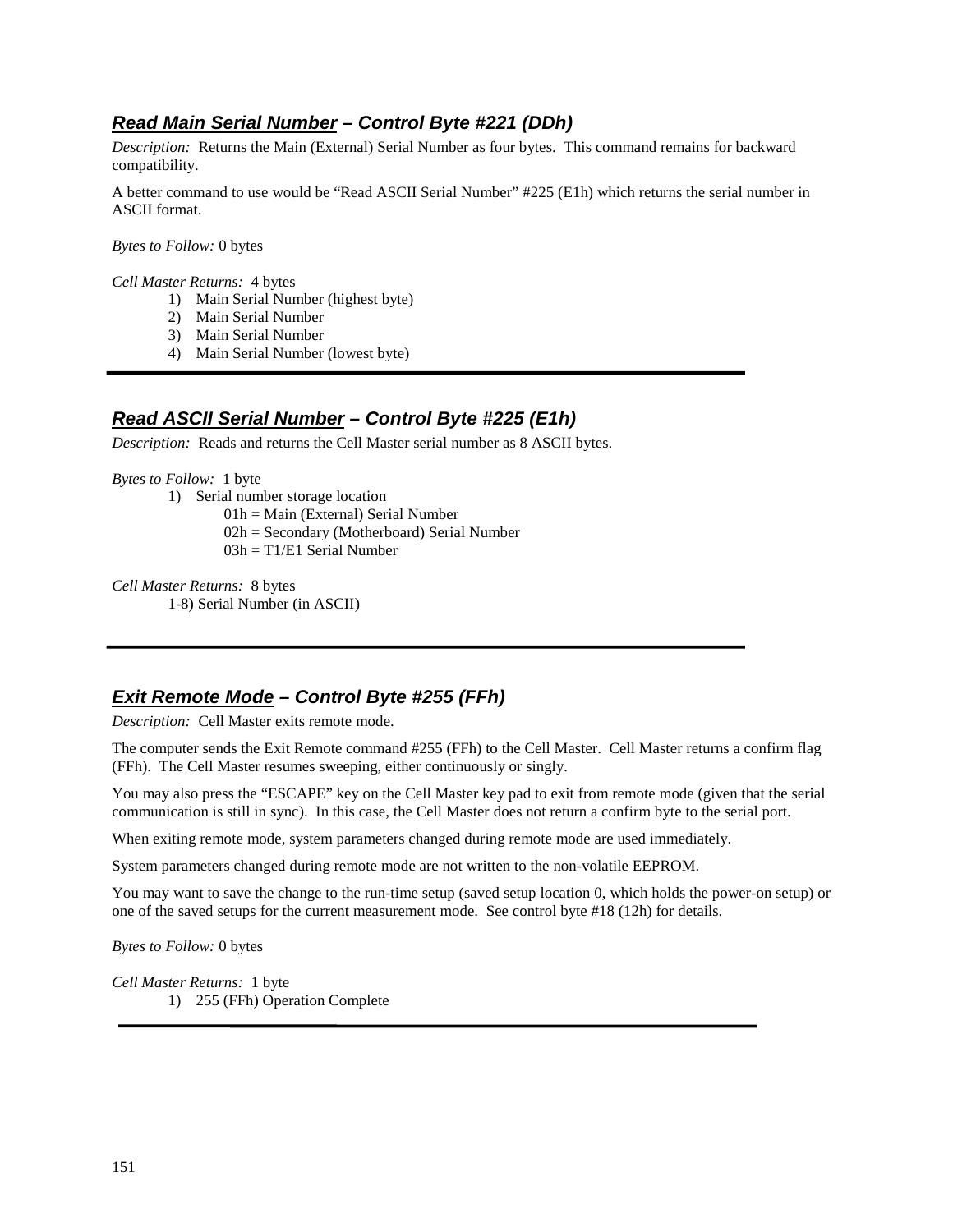# **Read Main Serial Number – Control Byte #221 (DDh)**

*Description:* Returns the Main (External) Serial Number as four bytes. This command remains for backward compatibility.

A better command to use would be "Read ASCII Serial Number" #225 (E1h) which returns the serial number in ASCII format.

*Bytes to Follow:* 0 bytes

*Cell Master Returns:* 4 bytes

- 1) Main Serial Number (highest byte)
- 2) Main Serial Number
- 3) Main Serial Number
- 4) Main Serial Number (lowest byte)

## **Read ASCII Serial Number – Control Byte #225 (E1h)**

*Description:* Reads and returns the Cell Master serial number as 8 ASCII bytes.

#### *Bytes to Follow:* 1 byte

- 1) Serial number storage location
	- 01h = Main (External) Serial Number
	- 02h = Secondary (Motherboard) Serial Number
	- $03h = T1/E1$  Serial Number

*Cell Master Returns:* 8 bytes 1-8) Serial Number (in ASCII)

## **Exit Remote Mode – Control Byte #255 (FFh)**

*Description:* Cell Master exits remote mode.

The computer sends the Exit Remote command #255 (FFh) to the Cell Master. Cell Master returns a confirm flag (FFh). The Cell Master resumes sweeping, either continuously or singly.

You may also press the "ESCAPE" key on the Cell Master key pad to exit from remote mode (given that the serial communication is still in sync). In this case, the Cell Master does not return a confirm byte to the serial port.

When exiting remote mode, system parameters changed during remote mode are used immediately.

System parameters changed during remote mode are not written to the non-volatile EEPROM.

You may want to save the change to the run-time setup (saved setup location 0, which holds the power-on setup) or one of the saved setups for the current measurement mode. See control byte #18 (12h) for details.

*Bytes to Follow:* 0 bytes

*Cell Master Returns:* 1 byte 1) 255 (FFh) Operation Complete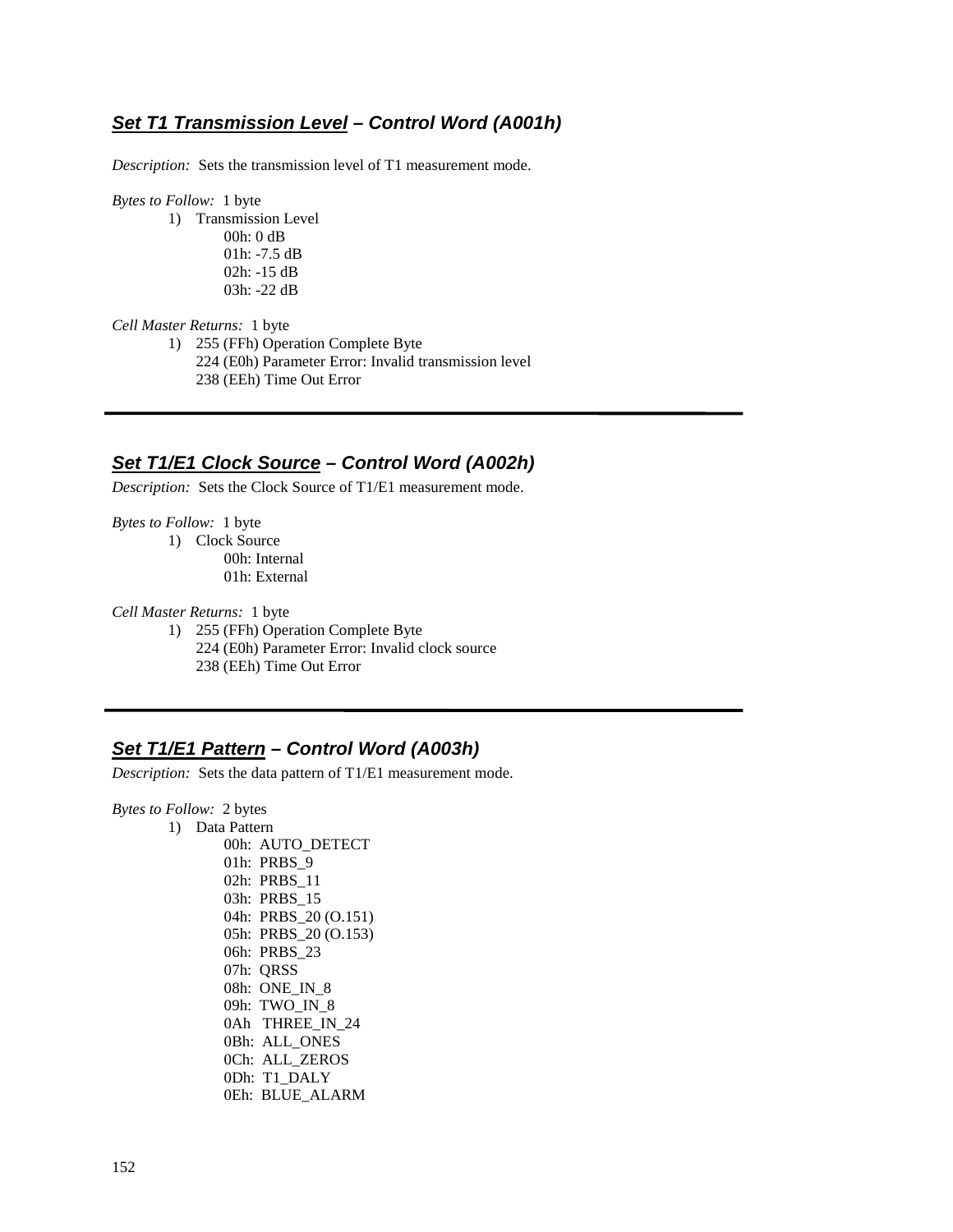#### **Set T1 Transmission Level – Control Word (A001h)**

*Description:* Sets the transmission level of T1 measurement mode.

*Bytes to Follow:*1 byte

1) Transmission Level 00h: 0 dB 01h: -7.5 dB 02h: -15 dB 03h: -22 dB

*Cell Master Returns:* 1 byte

1) 255 (FFh) Operation Complete Byte

- 224 (E0h) Parameter Error: Invalid transmission level 238 (EEh) Time Out Error
- 

## **Set T1/E1 Clock Source – Control Word (A002h)**

*Description:* Sets the Clock Source of T1/E1 measurement mode.

*Bytes to Follow:* 1 byte

1) Clock Source 00h: Internal 01h: External

*Cell Master Returns:* 1 byte

1) 255 (FFh) Operation Complete Byte 224 (E0h) Parameter Error: Invalid clock source 238 (EEh) Time Out Error

# **Set T1/E1 Pattern – Control Word (A003h)**

*Description:* Sets the data pattern of T1/E1 measurement mode.

*Bytes to Follow:* 2 bytes

1) Data Pattern 00h: AUTO\_DETECT 01h: PRBS\_9 02h: PRBS\_11 03h: PRBS\_15 04h: PRBS\_20 (O.151) 05h: PRBS\_20 (O.153) 06h: PRBS\_23 07h: QRSS 08h: ONE\_IN\_8 09h: TWO\_IN\_8 0Ah THREE\_IN\_24 0Bh: ALL\_ONES 0Ch: ALL\_ZEROS 0Dh: T1\_DALY 0Eh: BLUE\_ALARM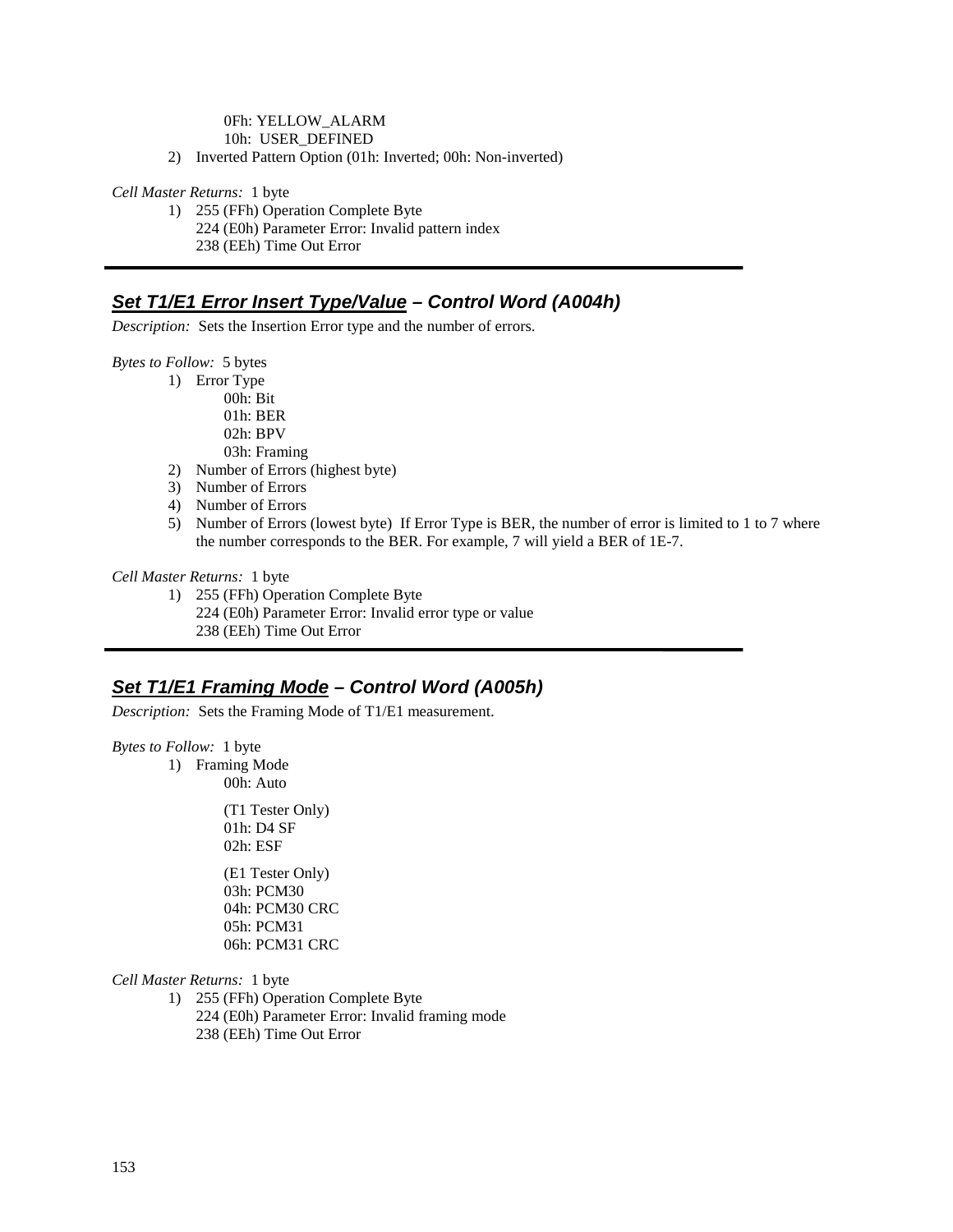#### 0Fh: YELLOW\_ALARM

10h: USER\_DEFINED

2) Inverted Pattern Option (01h: Inverted; 00h: Non-inverted)

#### *Cell Master Returns:* 1 byte

1) 255 (FFh) Operation Complete Byte 224 (E0h) Parameter Error: Invalid pattern index 238 (EEh) Time Out Error

# **Set T1/E1 Error Insert Type/Value – Control Word (A004h)**

*Description:* Sets the Insertion Error type and the number of errors.

*Bytes to Follow:* 5 bytes

- 1) Error Type 00h: Bit 01h: BER
	- 02h: BPV
	- 03h: Framing
- 2) Number of Errors (highest byte)
- 3) Number of Errors
- 4) Number of Errors
- 5) Number of Errors (lowest byte) If Error Type is BER, the number of error is limited to 1 to 7 where the number corresponds to the BER. For example, 7 will yield a BER of 1E-7.

#### *Cell Master Returns:* 1 byte

1) 255 (FFh) Operation Complete Byte 224 (E0h) Parameter Error: Invalid error type or value 238 (EEh) Time Out Error

#### **Set T1/E1 Framing Mode – Control Word (A005h)**

*Description:* Sets the Framing Mode of T1/E1 measurement.

*Bytes to Follow:* 1 byte

1) Framing Mode

00h: Auto

 (T1 Tester Only) 01h: D4 SF 02h: ESF

 (E1 Tester Only) 03h: PCM30 04h: PCM30 CRC 05h: PCM31 06h: PCM31 CRC

*Cell Master Returns:* 1 byte

1) 255 (FFh) Operation Complete Byte 224 (E0h) Parameter Error: Invalid framing mode 238 (EEh) Time Out Error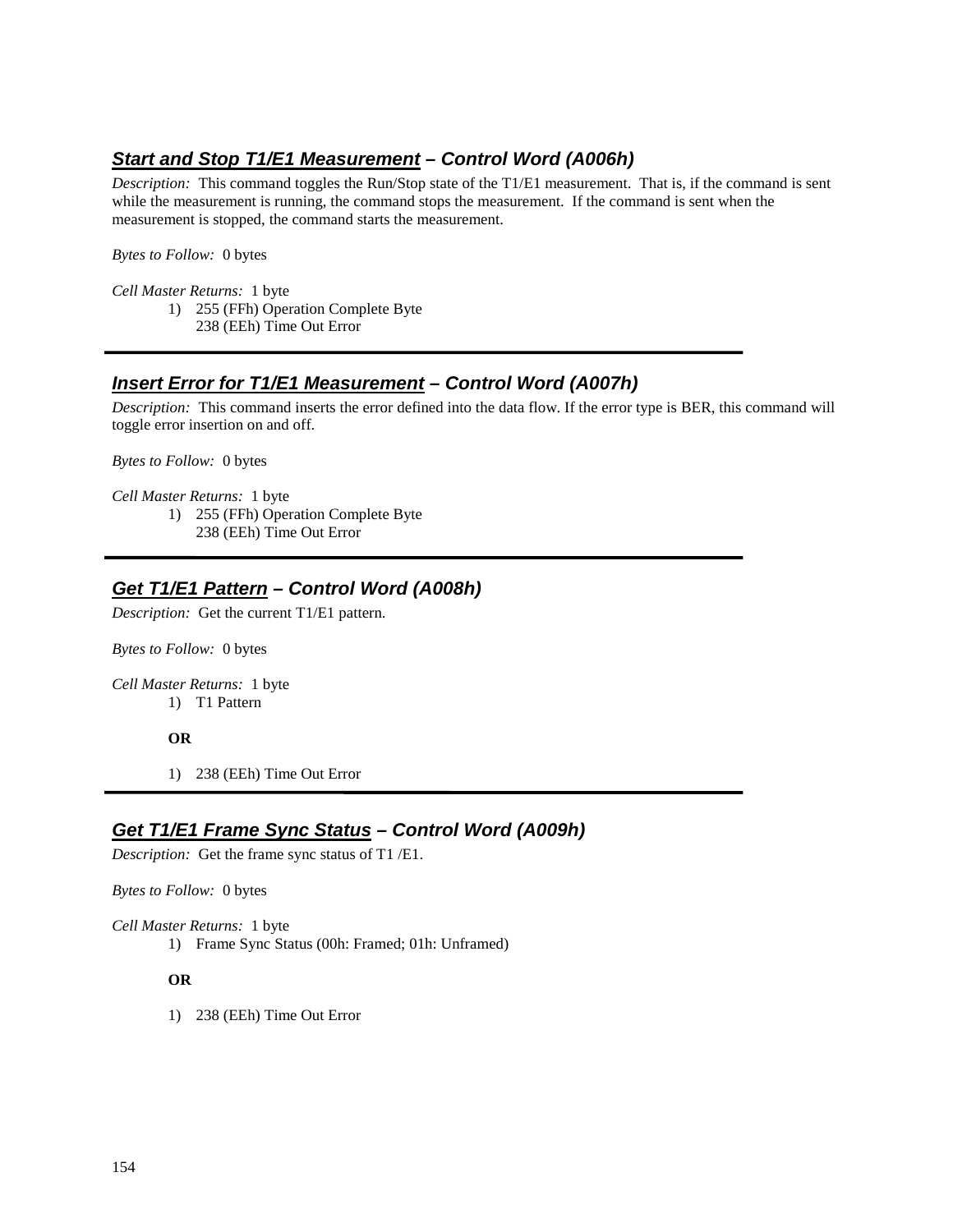# **Start and Stop T1/E1 Measurement – Control Word (A006h)**

*Description:* This command toggles the Run/Stop state of the T1/E1 measurement. That is, if the command is sent while the measurement is running, the command stops the measurement. If the command is sent when the measurement is stopped, the command starts the measurement.

*Bytes to Follow:* 0 bytes

*Cell Master Returns:* 1 byte

- 1) 255 (FFh) Operation Complete Byte
	- 238 (EEh) Time Out Error

## **Insert Error for T1/E1 Measurement – Control Word (A007h)**

*Description:* This command inserts the error defined into the data flow. If the error type is BER, this command will toggle error insertion on and off.

*Bytes to Follow:* 0 bytes

*Cell Master Returns:* 1 byte

- 1) 255 (FFh) Operation Complete Byte
	- 238 (EEh) Time Out Error

## **Get T1/E1 Pattern – Control Word (A008h)**

*Description:* Get the current T1/E1 pattern.

*Bytes to Follow:* 0 bytes

*Cell Master Returns:* 1 byte 1) T1 Pattern

#### **OR**

1) 238 (EEh) Time Out Error

## **Get T1/E1 Frame Sync Status – Control Word (A009h)**

*Description:* Get the frame sync status of T1 /E1.

*Bytes to Follow:* 0 bytes

*Cell Master Returns:* 1 byte

1) Frame Sync Status (00h: Framed; 01h: Unframed)

#### **OR**

1) 238 (EEh) Time Out Error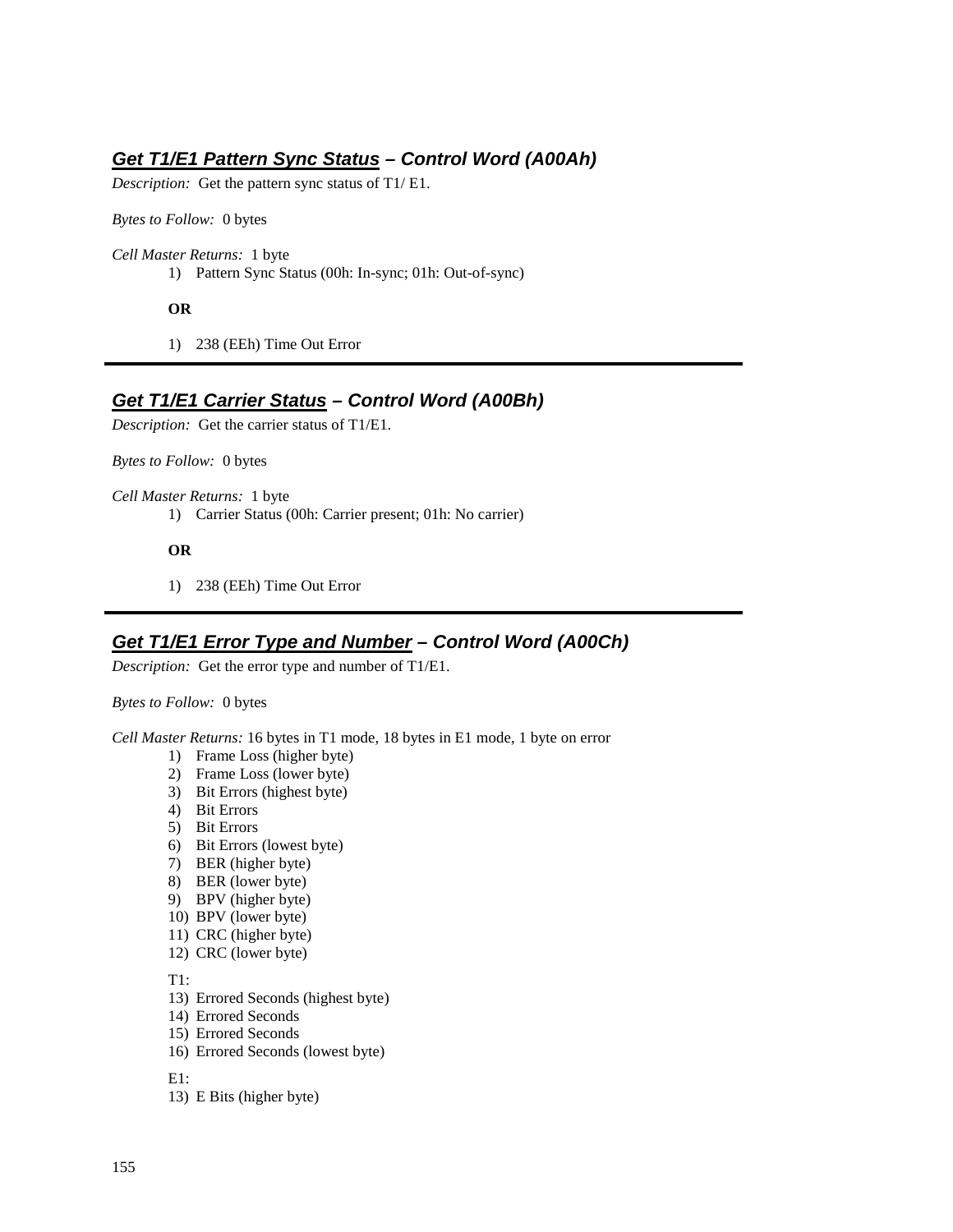## **Get T1/E1 Pattern Sync Status – Control Word (A00Ah)**

*Description:* Get the pattern sync status of T1/ E1.

*Bytes to Follow:* 0 bytes

*Cell Master Returns:* 1 byte

1) Pattern Sync Status (00h: In-sync; 01h: Out-of-sync)

**OR** 

1) 238 (EEh) Time Out Error

## **Get T1/E1 Carrier Status – Control Word (A00Bh)**

*Description:* Get the carrier status of T1/E1.

*Bytes to Follow:* 0 bytes

*Cell Master Returns:* 1 byte 1) Carrier Status (00h: Carrier present; 01h: No carrier)

**OR** 

1) 238 (EEh) Time Out Error

#### **Get T1/E1 Error Type and Number – Control Word (A00Ch)**

*Description:* Get the error type and number of T1/E1.

*Bytes to Follow:* 0 bytes

*Cell Master Returns:* 16 bytes in T1 mode, 18 bytes in E1 mode, 1 byte on error

- 1) Frame Loss (higher byte)
- 2) Frame Loss (lower byte)
- 3) Bit Errors (highest byte)
- 4) Bit Errors
- 5) Bit Errors
- 6) Bit Errors (lowest byte)
- 7) BER (higher byte)
- 8) BER (lower byte)
- 9) BPV (higher byte)
- 10) BPV (lower byte)
- 11) CRC (higher byte)
- 12) CRC (lower byte)

T1:

- 13) Errored Seconds (highest byte)
- 14) Errored Seconds
- 15) Errored Seconds
- 16) Errored Seconds (lowest byte)

E1:

13) E Bits (higher byte)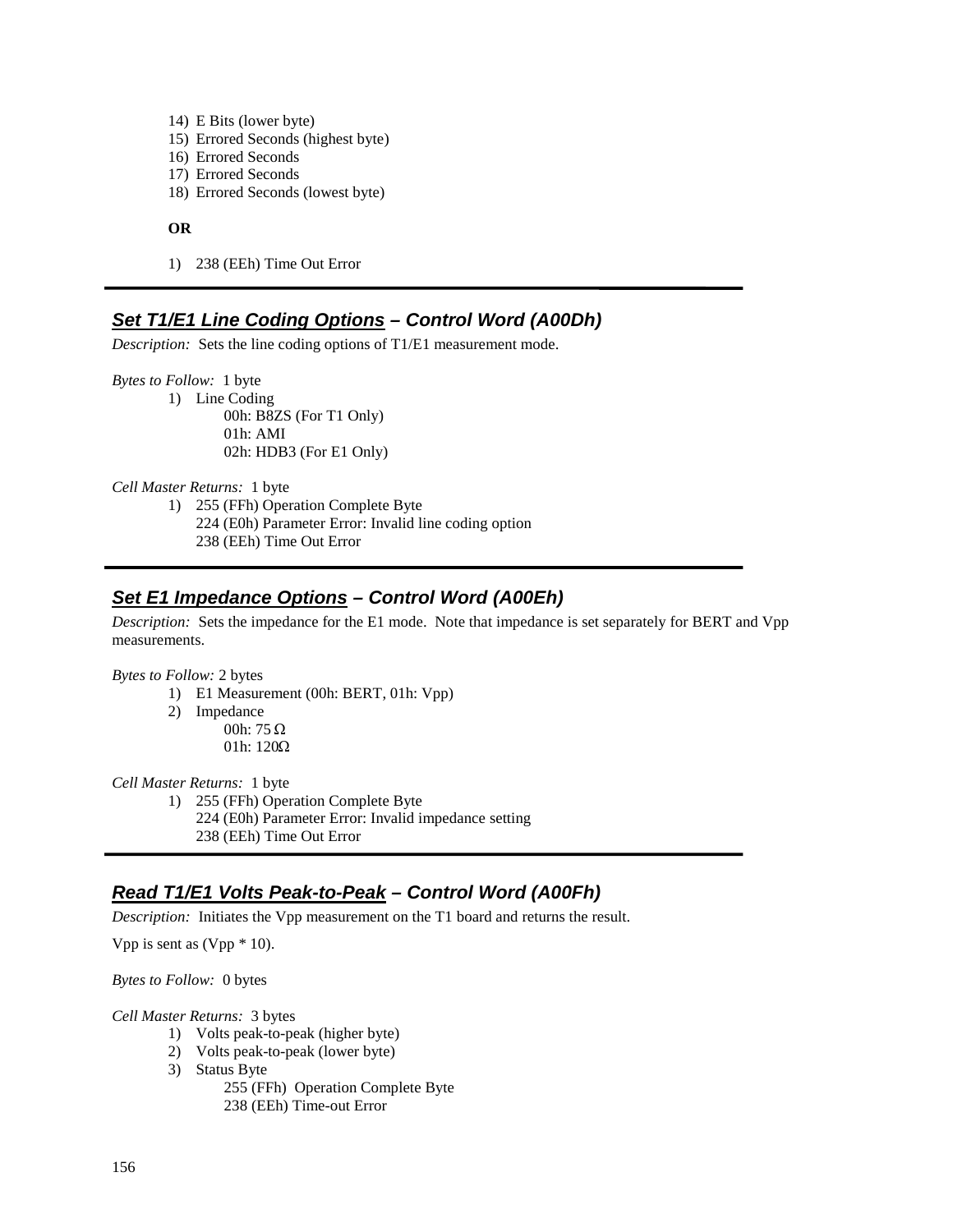- 14) E Bits (lower byte)
- 15) Errored Seconds (highest byte)
- 16) Errored Seconds
- 17) Errored Seconds
- 18) Errored Seconds (lowest byte)

#### **OR**

1) 238 (EEh) Time Out Error

## **Set T1/E1 Line Coding Options – Control Word (A00Dh)**

*Description:* Sets the line coding options of T1/E1 measurement mode.

*Bytes to Follow:* 1 byte

1) Line Coding 00h: B8ZS (For T1 Only) 01h: AMI 02h: HDB3 (For E1 Only)

*Cell Master Returns:* 1 byte

1) 255 (FFh) Operation Complete Byte 224 (E0h) Parameter Error: Invalid line coding option 238 (EEh) Time Out Error

#### **Set E1 Impedance Options – Control Word (A00Eh)**

*Description:* Sets the impedance for the E1 mode. Note that impedance is set separately for BERT and Vpp measurements.

*Bytes to Follow:* 2 bytes

- 1) E1 Measurement (00h: BERT, 01h: Vpp)
- 2) Impedance
- 00h: 75 Ω<br>011 120C 01h:  $120\Omega$

*Cell Master Returns:* 1 byte

- 1) 255 (FFh) Operation Complete Byte 224 (E0h) Parameter Error: Invalid impedance setting
	- 238 (EEh) Time Out Error

## **Read T1/E1 Volts Peak-to-Peak – Control Word (A00Fh)**

*Description:* Initiates the Vpp measurement on the T1 board and returns the result.

Vpp is sent as (Vpp \* 10).

*Bytes to Follow:* 0 bytes

*Cell Master Returns:* 3 bytes

- 1) Volts peak-to-peak (higher byte)
- 2) Volts peak-to-peak (lower byte)
- 3) Status Byte
	- 255 (FFh) Operation Complete Byte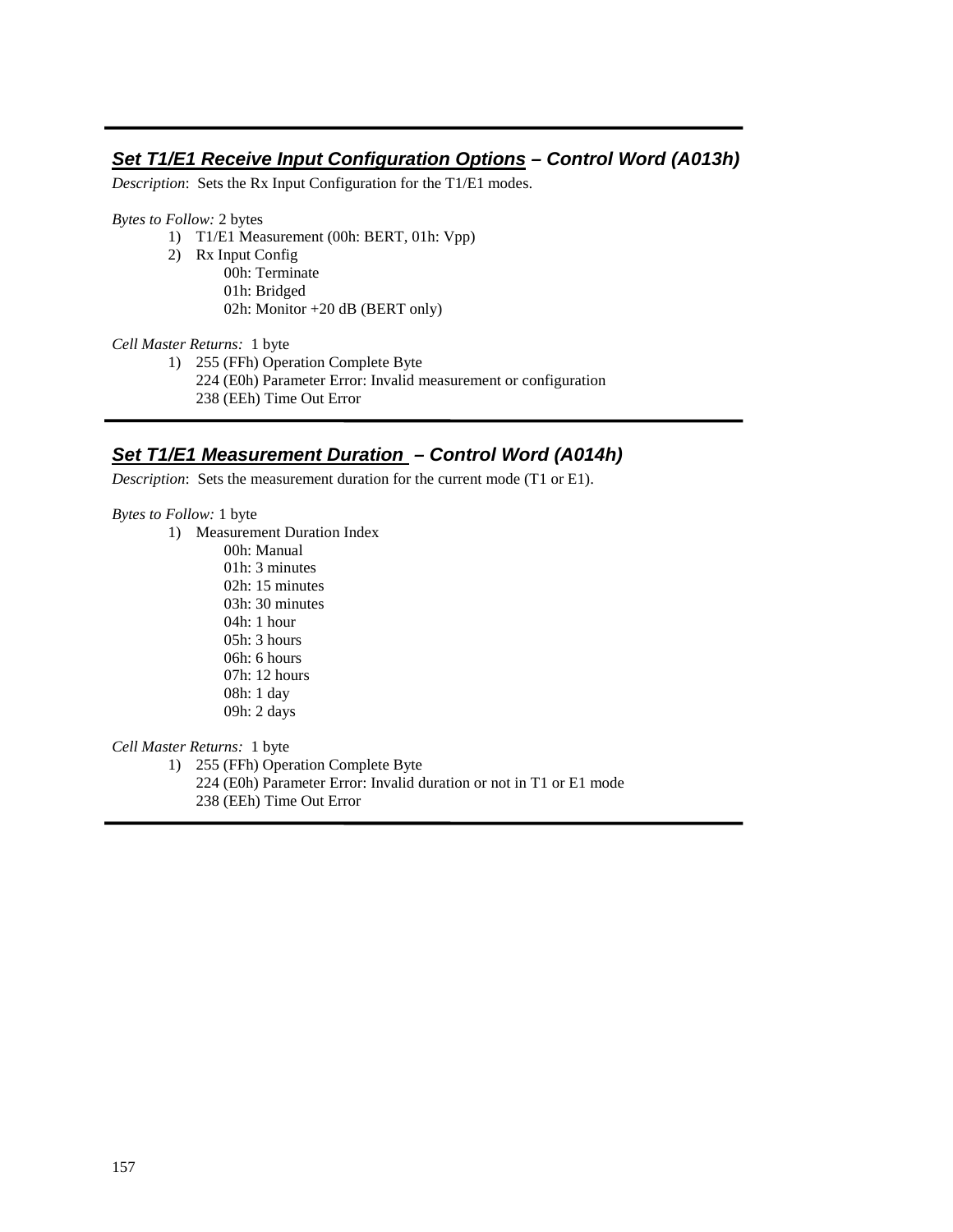## **Set T1/E1 Receive Input Configuration Options – Control Word (A013h)**

*Description*: Sets the Rx Input Configuration for the T1/E1 modes.

*Bytes to Follow:* 2 bytes

- 1) T1/E1 Measurement (00h: BERT, 01h: Vpp)
- 2) Rx Input Config
	- 00h: Terminate 01h: Bridged 02h: Monitor +20 dB (BERT only)

*Cell Master Returns:* 1 byte

1) 255 (FFh) Operation Complete Byte

224 (E0h) Parameter Error: Invalid measurement or configuration

238 (EEh) Time Out Error

#### **Set T1/E1 Measurement Duration – Control Word (A014h)**

*Description*: Sets the measurement duration for the current mode (T1 or E1).

*Bytes to Follow:* 1 byte

L

- 1) Measurement Duration Index
	- 00h: Manual 01h: 3 minutes 02h: 15 minutes 03h: 30 minutes 04h: 1 hour 05h: 3 hours 06h: 6 hours 07h: 12 hours 08h: 1 day 09h: 2 days

*Cell Master Returns:* 1 byte

1) 255 (FFh) Operation Complete Byte

224 (E0h) Parameter Error: Invalid duration or not in T1 or E1 mode

238 (EEh) Time Out Error

L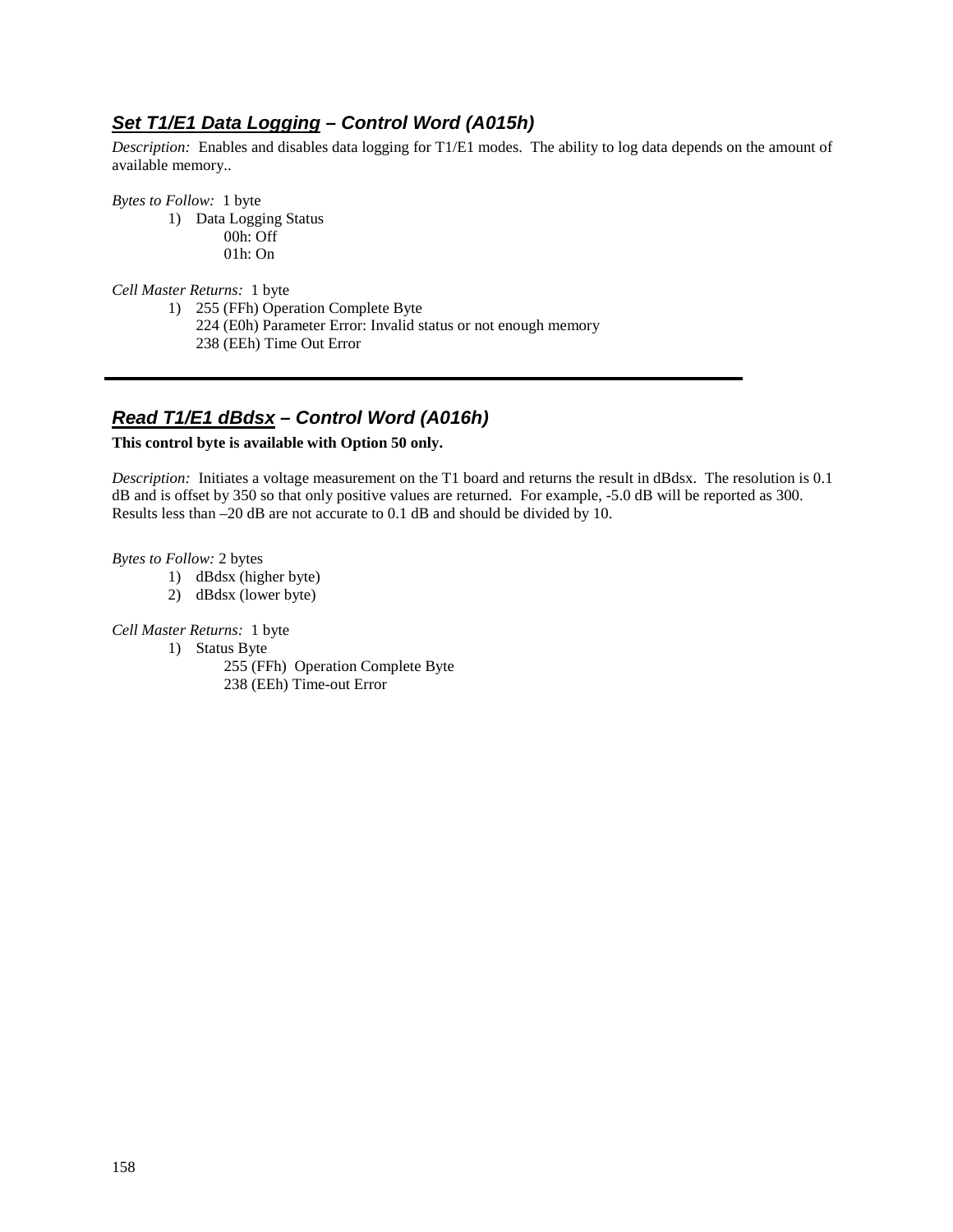# **Set T1/E1 Data Logging – Control Word (A015h)**

*Description:* Enables and disables data logging for T1/E1 modes. The ability to log data depends on the amount of available memory..

*Bytes to Follow:* 1 byte

1) Data Logging Status 00h: Off 01h: On

*Cell Master Returns:* 1 byte

- 1) 255 (FFh) Operation Complete Byte
	- 224 (E0h) Parameter Error: Invalid status or not enough memory 238 (EEh) Time Out Error

# **Read T1/E1 dBdsx – Control Word (A016h)**

#### **This control byte is available with Option 50 only.**

*Description:* Initiates a voltage measurement on the T1 board and returns the result in dBdsx. The resolution is 0.1 dB and is offset by 350 so that only positive values are returned. For example, -5.0 dB will be reported as 300. Results less than –20 dB are not accurate to 0.1 dB and should be divided by 10.

*Bytes to Follow:* 2 bytes

- 1) dBdsx (higher byte)
- 2) dBdsx (lower byte)

*Cell Master Returns:* 1 byte

- 1) Status Byte
	- 255 (FFh) Operation Complete Byte 238 (EEh) Time-out Error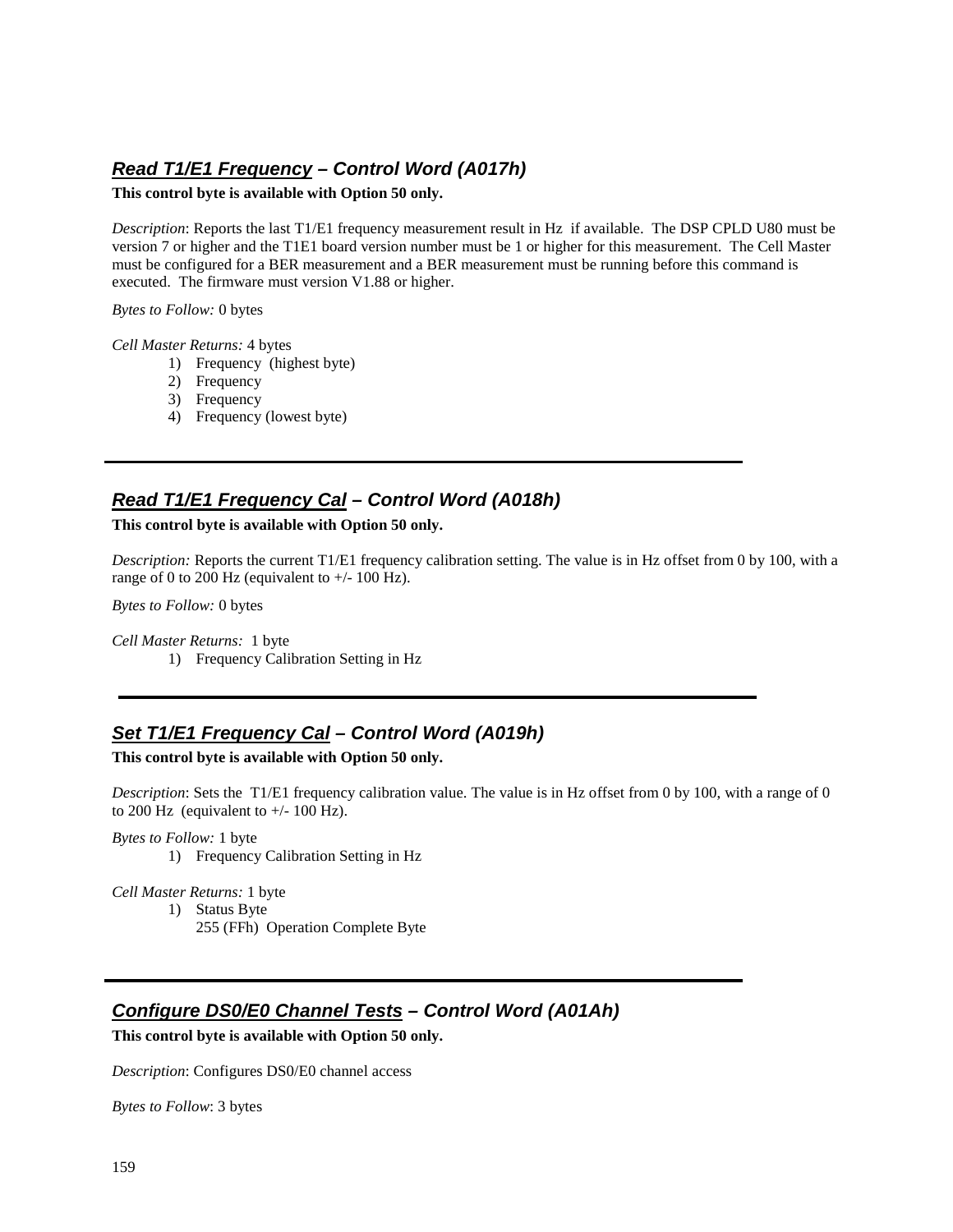# **Read T1/E1 Frequency – Control Word (A017h)**

#### **This control byte is available with Option 50 only.**

*Description*: Reports the last T1/E1 frequency measurement result in Hz if available. The DSP CPLD U80 must be version 7 or higher and the T1E1 board version number must be 1 or higher for this measurement. The Cell Master must be configured for a BER measurement and a BER measurement must be running before this command is executed. The firmware must version V1.88 or higher.

*Bytes to Follow:* 0 bytes

*Cell Master Returns:* 4 bytes

- 1) Frequency (highest byte)
- 2) Frequency
- 3) Frequency
- 4) Frequency (lowest byte)

## **Read T1/E1 Frequency Cal – Control Word (A018h)**

**This control byte is available with Option 50 only.** 

*Description:* Reports the current T1/E1 frequency calibration setting. The value is in Hz offset from 0 by 100, with a range of 0 to 200 Hz (equivalent to  $+/- 100$  Hz).

*Bytes to Follow:* 0 bytes

*Cell Master Returns:* 1 byte 1) Frequency Calibration Setting in Hz

## **Set T1/E1 Frequency Cal – Control Word (A019h)**

**This control byte is available with Option 50 only.** 

*Description*: Sets the T1/E1 frequency calibration value. The value is in Hz offset from 0 by 100, with a range of 0 to 200 Hz (equivalent to  $+/- 100$  Hz).

*Bytes to Follow:* 1 byte

1) Frequency Calibration Setting in Hz

*Cell Master Returns:* 1 byte

1) Status Byte

255 (FFh) Operation Complete Byte

#### **Configure DS0/E0 Channel Tests – Control Word (A01Ah)**

**This control byte is available with Option 50 only.** 

*Description*: Configures DS0/E0 channel access

*Bytes to Follow*: 3 bytes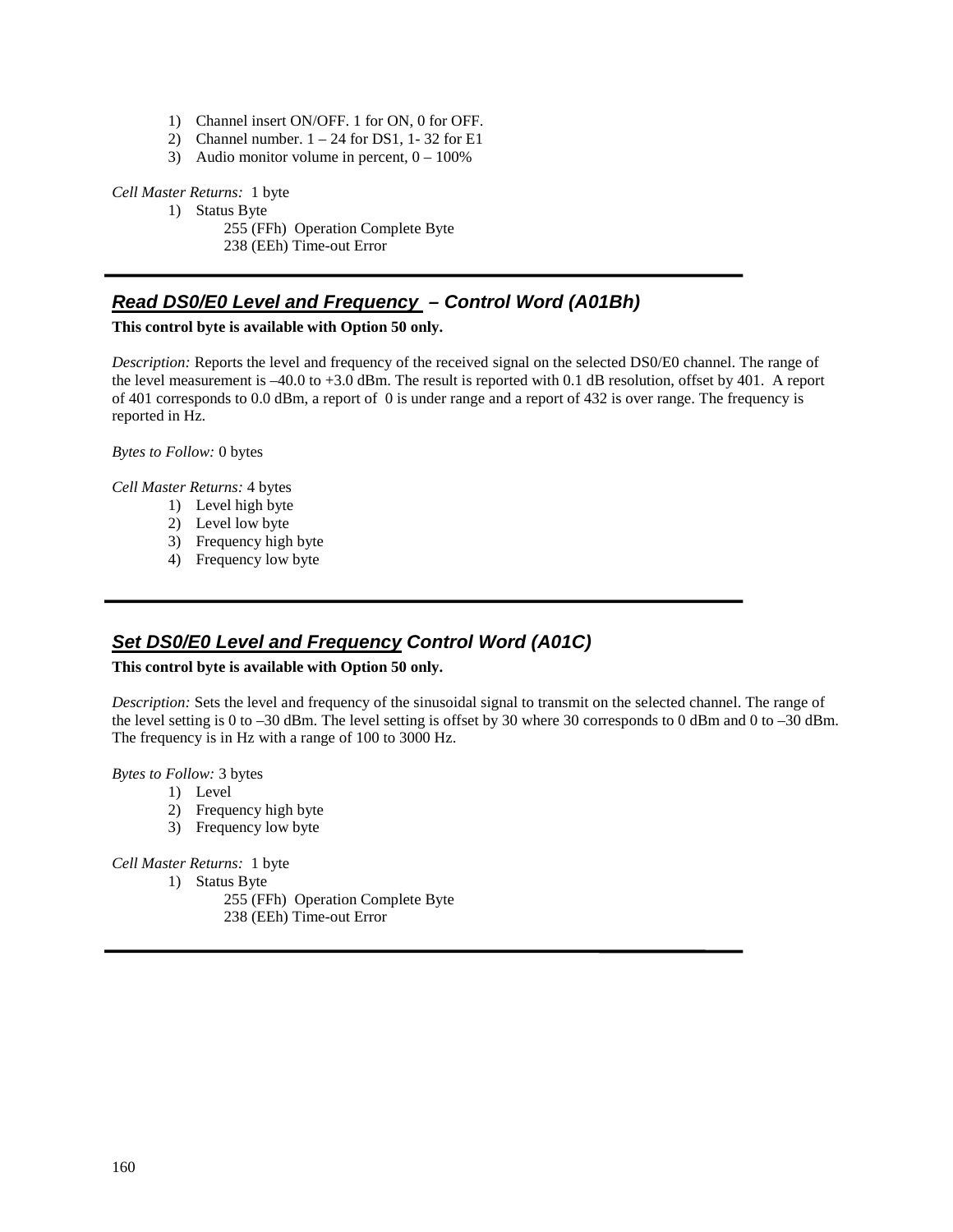- 1) Channel insert ON/OFF. 1 for ON, 0 for OFF.
- 2) Channel number.  $1 24$  for DS1, 1-32 for E1
- 3) Audio monitor volume in percent,  $0 100\%$

*Cell Master Returns:* 1 byte

1) Status Byte

255 (FFh) Operation Complete Byte 238 (EEh) Time-out Error

## **Read DS0/E0 Level and Frequency – Control Word (A01Bh)**

#### **This control byte is available with Option 50 only.**

*Description:* Reports the level and frequency of the received signal on the selected DS0/E0 channel. The range of the level measurement is –40.0 to +3.0 dBm. The result is reported with 0.1 dB resolution, offset by 401. A report of 401 corresponds to 0.0 dBm, a report of 0 is under range and a report of 432 is over range. The frequency is reported in Hz.

*Bytes to Follow:* 0 bytes

*Cell Master Returns:* 4 bytes

- 1) Level high byte
- 2) Level low byte
- 3) Frequency high byte
- 4) Frequency low byte

## **Set DS0/E0 Level and Frequency Control Word (A01C)**

#### **This control byte is available with Option 50 only.**

*Description:* Sets the level and frequency of the sinusoidal signal to transmit on the selected channel. The range of the level setting is 0 to –30 dBm. The level setting is offset by 30 where 30 corresponds to 0 dBm and 0 to –30 dBm. The frequency is in Hz with a range of 100 to 3000 Hz.

*Bytes to Follow:* 3 bytes

- 1) Level
- 2) Frequency high byte
- 3) Frequency low byte

*Cell Master Returns:* 1 byte

- 1) Status Byte
	- 255 (FFh) Operation Complete Byte 238 (EEh) Time-out Error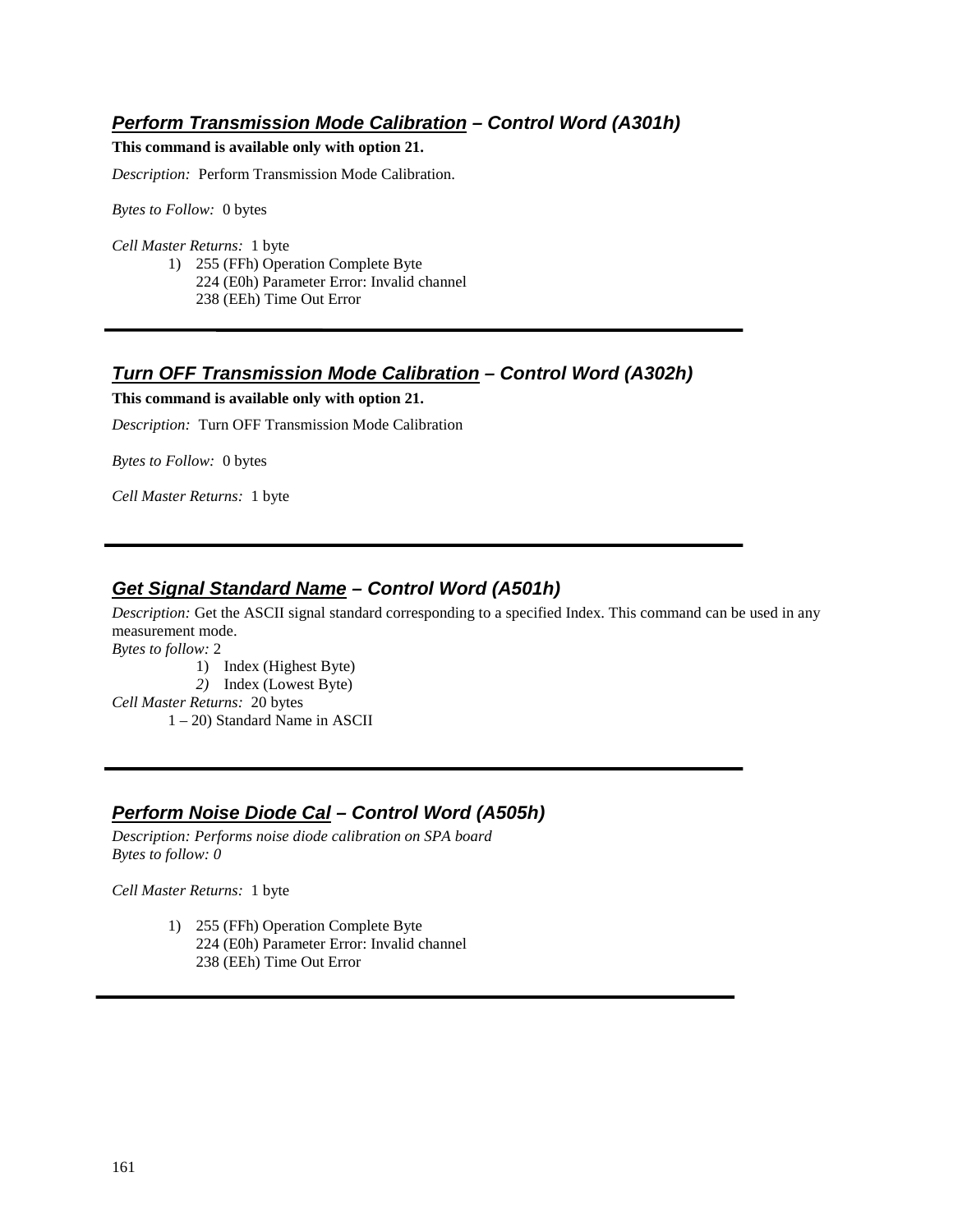## **Perform Transmission Mode Calibration – Control Word (A301h)**

**This command is available only with option 21.** 

*Description:* Perform Transmission Mode Calibration.

*Bytes to Follow:* 0 bytes

*Cell Master Returns:* 1 byte

1) 255 (FFh) Operation Complete Byte 224 (E0h) Parameter Error: Invalid channel 238 (EEh) Time Out Error

#### **Turn OFF Transmission Mode Calibration – Control Word (A302h)**

**This command is available only with option 21.** 

*Description:* Turn OFF Transmission Mode Calibration

*Bytes to Follow:* 0 bytes

*Cell Master Returns:* 1 byte

## **Get Signal Standard Name – Control Word (A501h)**

*Description:* Get the ASCII signal standard corresponding to a specified Index. This command can be used in any measurement mode.

*Bytes to follow:* 2

- 1) Index (Highest Byte)
- *2)* Index (Lowest Byte)
- *Cell Master Returns:* 20 bytes 1 – 20) Standard Name in ASCII

## **Perform Noise Diode Cal – Control Word (A505h)**

*Description: Performs noise diode calibration on SPA board Bytes to follow: 0*

*Cell Master Returns:* 1 byte

1) 255 (FFh) Operation Complete Byte 224 (E0h) Parameter Error: Invalid channel 238 (EEh) Time Out Error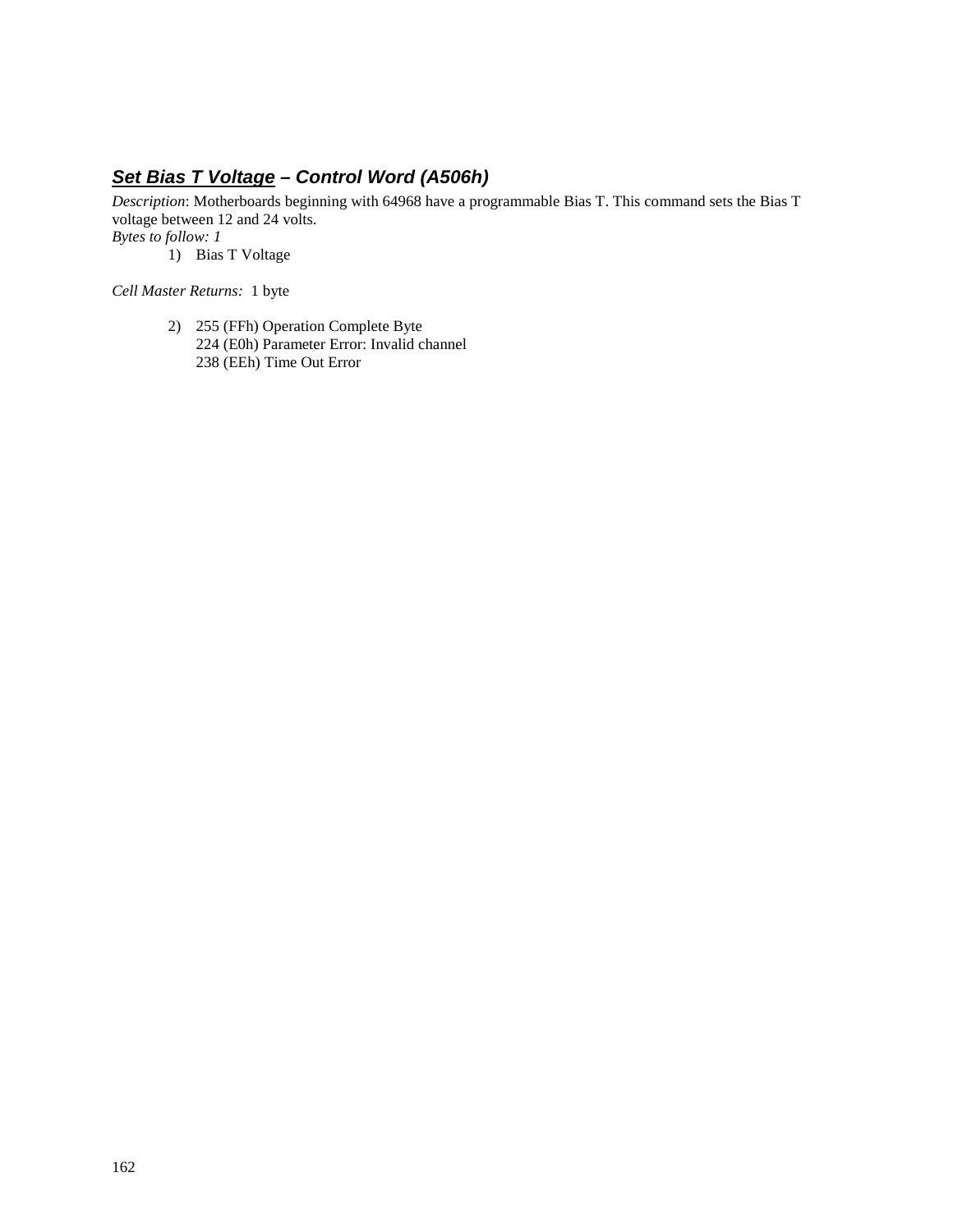# **Set Bias T Voltage – Control Word (A506h)**

*Description*: Motherboards beginning with 64968 have a programmable Bias T. This command sets the Bias T voltage between 12 and 24 volts.

*Bytes to follow: 1*

1) Bias T Voltage

*Cell Master Returns:* 1 byte

2) 255 (FFh) Operation Complete Byte 224 (E0h) Parameter Error: Invalid channel 238 (EEh) Time Out Error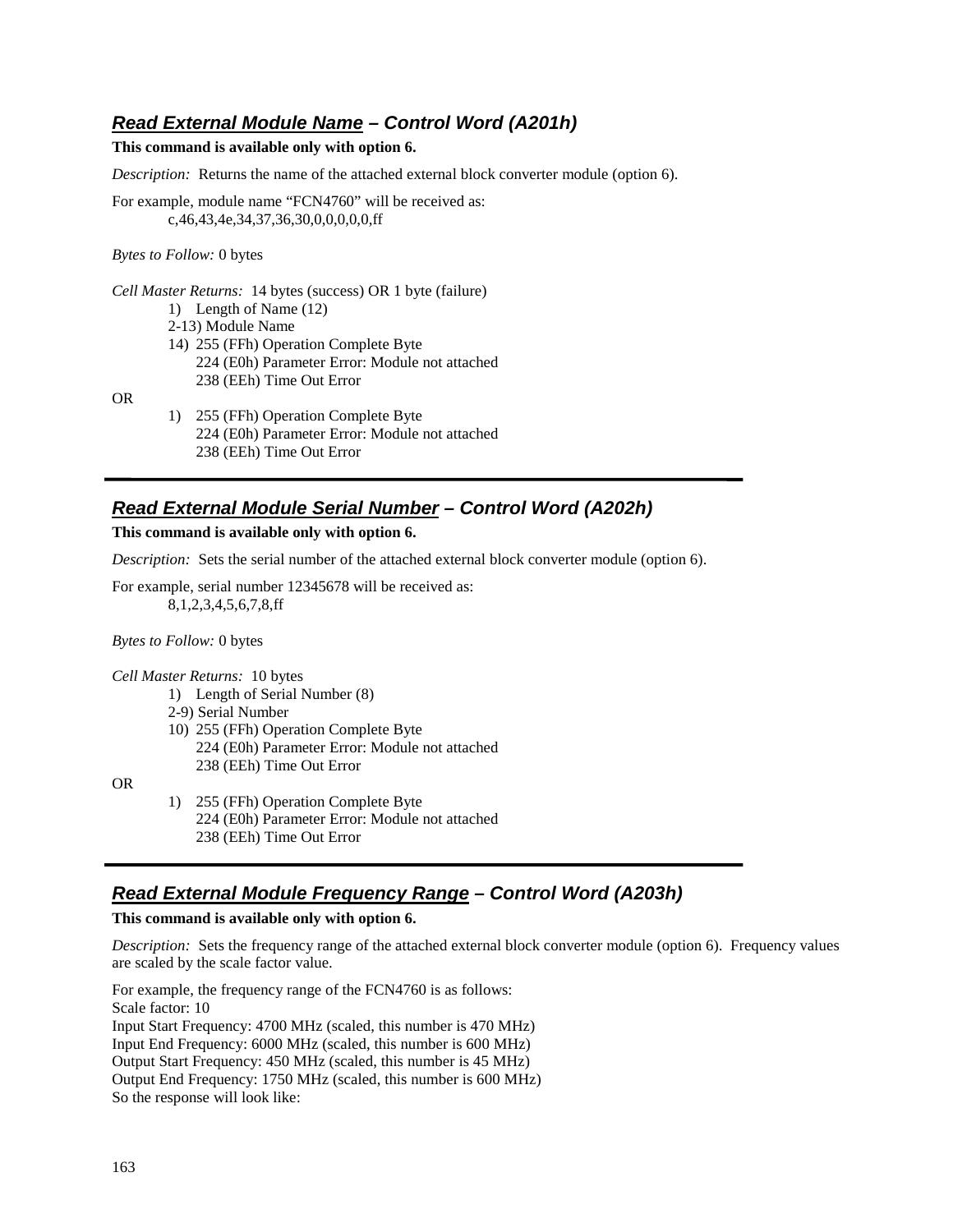## **Read External Module Name – Control Word (A201h)**

#### **This command is available only with option 6.**

*Description:* Returns the name of the attached external block converter module (option 6).

For example, module name "FCN4760" will be received as: c,46,43,4e,34,37,36,30,0,0,0,0,0,ff

*Bytes to Follow:* 0 bytes

*Cell Master Returns:* 14 bytes (success) OR 1 byte (failure) 1) Length of Name (12) 2-13) Module Name 14) 255 (FFh) Operation Complete Byte 224 (E0h) Parameter Error: Module not attached 238 (EEh) Time Out Error

OR

1) 255 (FFh) Operation Complete Byte 224 (E0h) Parameter Error: Module not attached 238 (EEh) Time Out Error

## **Read External Module Serial Number – Control Word (A202h)**

**This command is available only with option 6.** 

*Description:* Sets the serial number of the attached external block converter module (option 6).

For example, serial number 12345678 will be received as: 8,1,2,3,4,5,6,7,8,ff

*Bytes to Follow:* 0 bytes

*Cell Master Returns:* 10 bytes

- 1) Length of Serial Number (8)
- 2-9) Serial Number
- 10) 255 (FFh) Operation Complete Byte 224 (E0h) Parameter Error: Module not attached 238 (EEh) Time Out Error

OR

1) 255 (FFh) Operation Complete Byte 224 (E0h) Parameter Error: Module not attached 238 (EEh) Time Out Error

#### **Read External Module Frequency Range – Control Word (A203h)**

**This command is available only with option 6.** 

*Description:* Sets the frequency range of the attached external block converter module (option 6). Frequency values are scaled by the scale factor value.

For example, the frequency range of the FCN4760 is as follows: Scale factor: 10 Input Start Frequency: 4700 MHz (scaled, this number is 470 MHz) Input End Frequency: 6000 MHz (scaled, this number is 600 MHz) Output Start Frequency: 450 MHz (scaled, this number is 45 MHz) Output End Frequency: 1750 MHz (scaled, this number is 600 MHz) So the response will look like: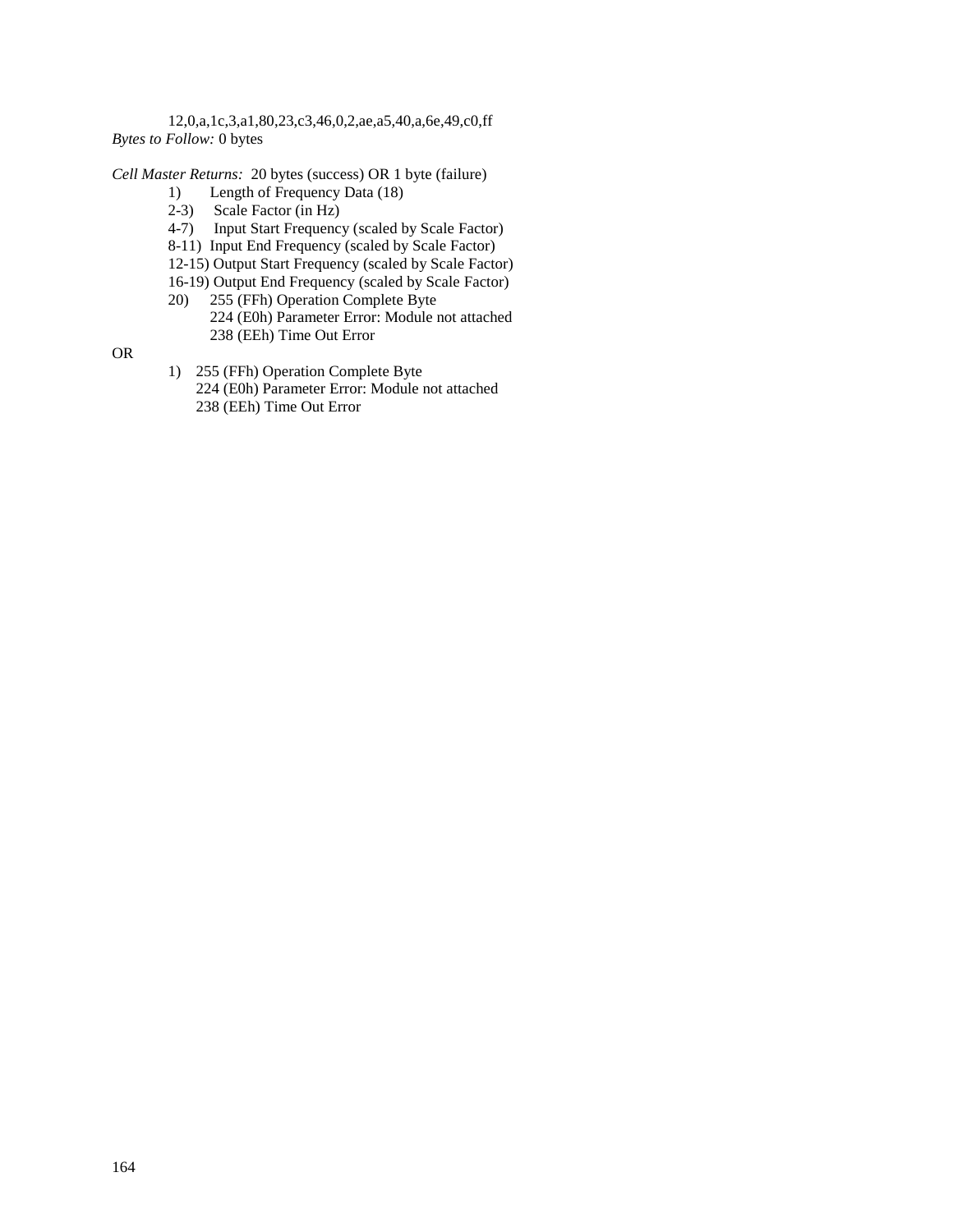12,0,a,1c,3,a1,80,23,c3,46,0,2,ae,a5,40,a,6e,49,c0,ff *Bytes to Follow:* 0 bytes

*Cell Master Returns:* 20 bytes (success) OR 1 byte (failure)

- 1) Length of Frequency Data (18)
- 2-3) Scale Factor (in Hz)
- 4-7) Input Start Frequency (scaled by Scale Factor)
- 8-11) Input End Frequency (scaled by Scale Factor)
- 12-15) Output Start Frequency (scaled by Scale Factor)
- 16-19) Output End Frequency (scaled by Scale Factor)
- 20) 255 (FFh) Operation Complete Byte
	- 224 (E0h) Parameter Error: Module not attached 238 (EEh) Time Out Error

OR

1) 255 (FFh) Operation Complete Byte 224 (E0h) Parameter Error: Module not attached 238 (EEh) Time Out Error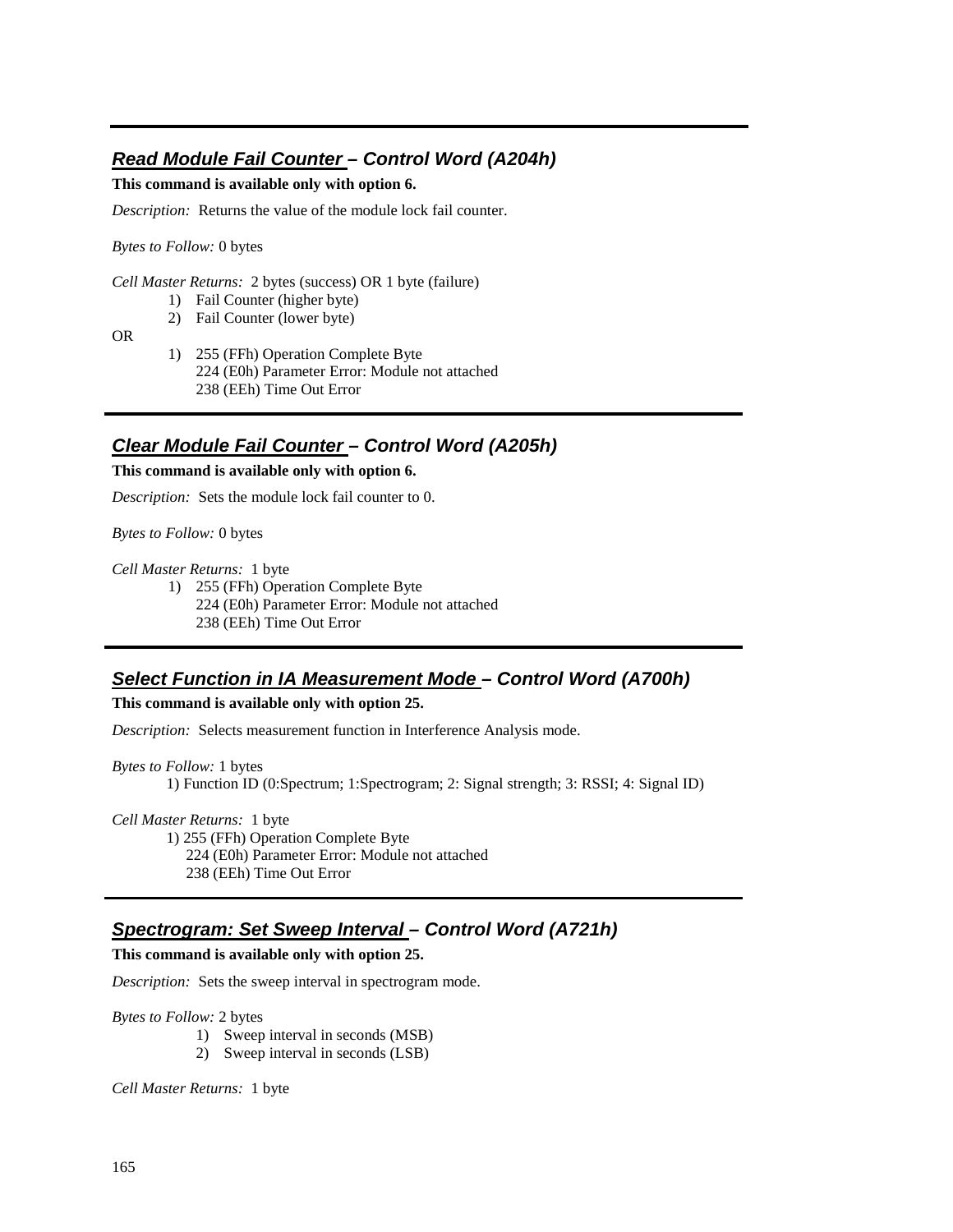# **Read Module Fail Counter – Control Word (A204h)**

**This command is available only with option 6.** 

*Description:* Returns the value of the module lock fail counter.

*Bytes to Follow:* 0 bytes

*Cell Master Returns:* 2 bytes (success) OR 1 byte (failure)

1) Fail Counter (higher byte)

2) Fail Counter (lower byte)

OR

1) 255 (FFh) Operation Complete Byte 224 (E0h) Parameter Error: Module not attached 238 (EEh) Time Out Error

## **Clear Module Fail Counter – Control Word (A205h)**

#### **This command is available only with option 6.**

*Description:* Sets the module lock fail counter to 0.

*Bytes to Follow:* 0 bytes

*Cell Master Returns:* 1 byte

1) 255 (FFh) Operation Complete Byte 224 (E0h) Parameter Error: Module not attached 238 (EEh) Time Out Error

#### **Select Function in IA Measurement Mode – Control Word (A700h)**

**This command is available only with option 25.** 

*Description:* Selects measurement function in Interference Analysis mode.

*Bytes to Follow:* 1 bytes 1) Function ID (0:Spectrum; 1:Spectrogram; 2: Signal strength; 3: RSSI; 4: Signal ID)

*Cell Master Returns:* 1 byte

 1) 255 (FFh) Operation Complete Byte 224 (E0h) Parameter Error: Module not attached 238 (EEh) Time Out Error

## **Spectrogram: Set Sweep Interval – Control Word (A721h)**

**This command is available only with option 25.** 

*Description:* Sets the sweep interval in spectrogram mode.

*Bytes to Follow:* 2 bytes

- 1) Sweep interval in seconds (MSB)
- 2) Sweep interval in seconds (LSB)

*Cell Master Returns:* 1 byte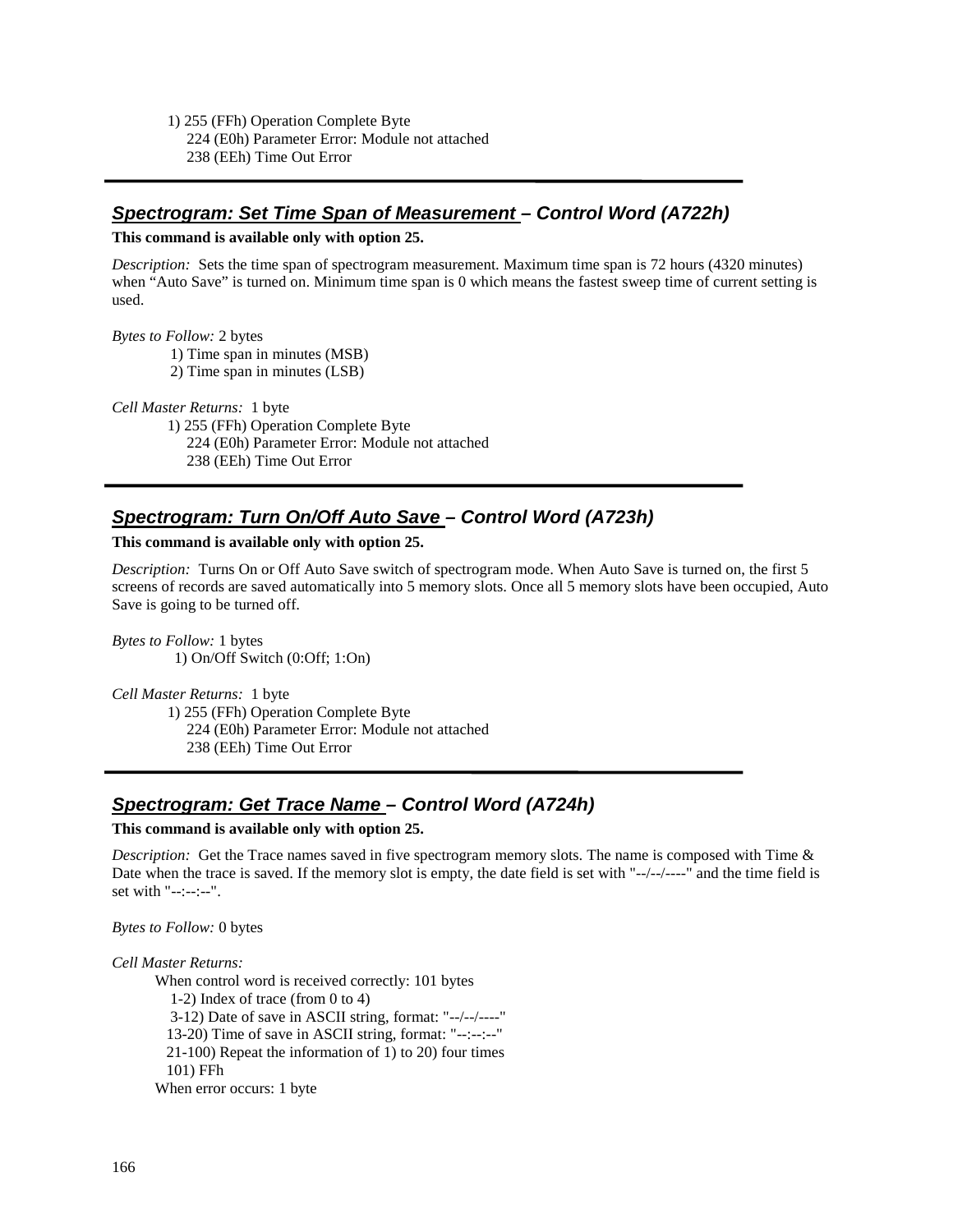1) 255 (FFh) Operation Complete Byte 224 (E0h) Parameter Error: Module not attached 238 (EEh) Time Out Error

## **Spectrogram: Set Time Span of Measurement – Control Word (A722h)**

#### **This command is available only with option 25.**

*Description:* Sets the time span of spectrogram measurement. Maximum time span is 72 hours (4320 minutes) when "Auto Save" is turned on. Minimum time span is 0 which means the fastest sweep time of current setting is used.

*Bytes to Follow:* 2 bytes

1) Time span in minutes (MSB)

2) Time span in minutes (LSB)

*Cell Master Returns:* 1 byte

 1) 255 (FFh) Operation Complete Byte 224 (E0h) Parameter Error: Module not attached 238 (EEh) Time Out Error

# **Spectrogram: Turn On/Off Auto Save – Control Word (A723h)**

#### **This command is available only with option 25.**

*Description:* Turns On or Off Auto Save switch of spectrogram mode. When Auto Save is turned on, the first 5 screens of records are saved automatically into 5 memory slots. Once all 5 memory slots have been occupied, Auto Save is going to be turned off.

*Bytes to Follow:* 1 bytes 1) On/Off Switch (0:Off; 1:On)

*Cell Master Returns:* 1 byte

 1) 255 (FFh) Operation Complete Byte 224 (E0h) Parameter Error: Module not attached 238 (EEh) Time Out Error

#### **Spectrogram: Get Trace Name – Control Word (A724h)**

#### **This command is available only with option 25.**

*Description:* Get the Trace names saved in five spectrogram memory slots. The name is composed with Time & Date when the trace is saved. If the memory slot is empty, the date field is set with "--/--/----" and the time field is set with "--:--:--".

#### *Bytes to Follow:* 0 bytes

#### *Cell Master Returns:*

When control word is received correctly: 101 bytes

 1-2) Index of trace (from 0 to 4) 3-12) Date of save in ASCII string, format: "--/--/----" 13-20) Time of save in ASCII string, format: "--:--:--" 21-100) Repeat the information of 1) to 20) four times 101) FFh When error occurs: 1 byte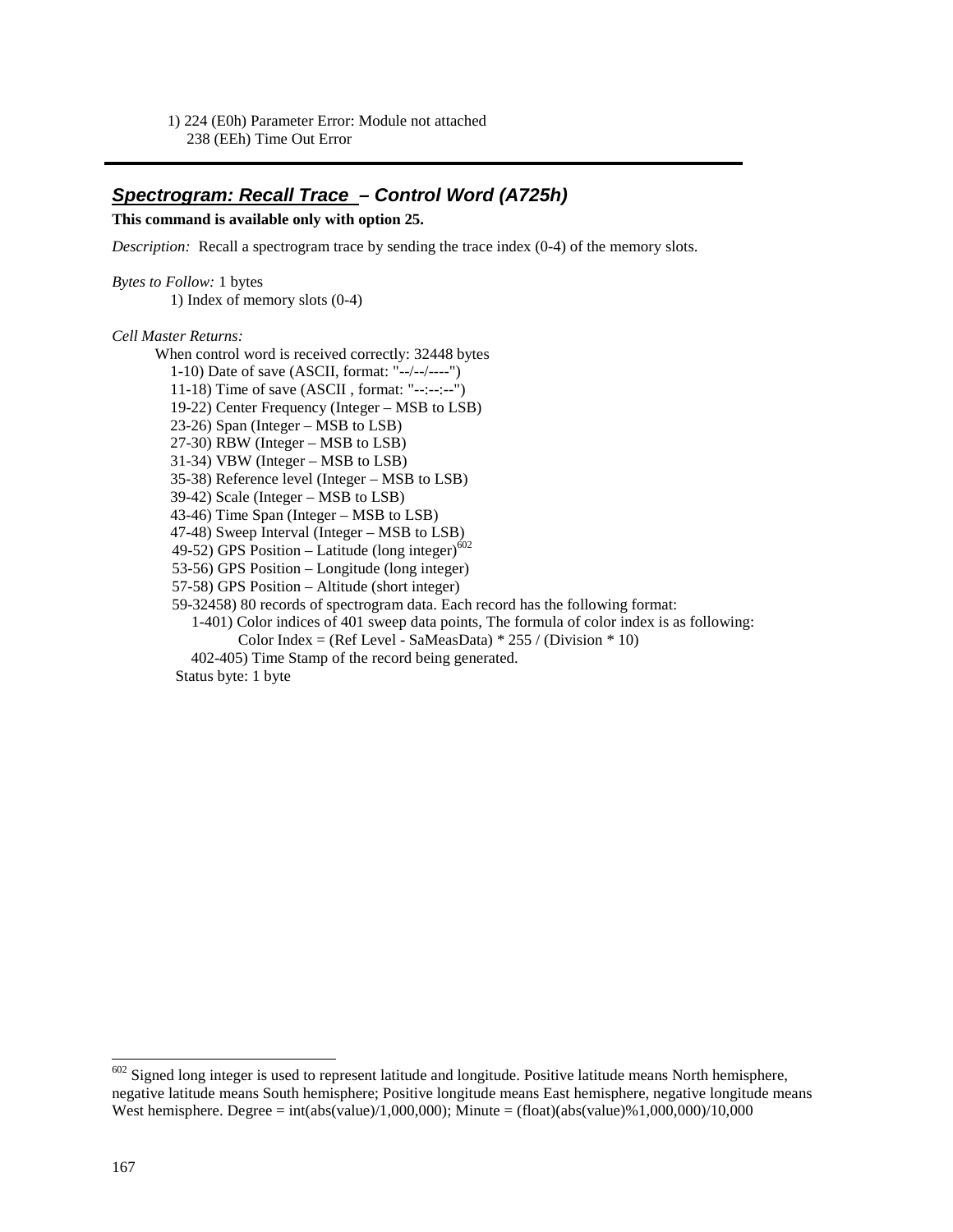1) 224 (E0h) Parameter Error: Module not attached 238 (EEh) Time Out Error

#### **Spectrogram: Recall Trace – Control Word (A725h)**

#### **This command is available only with option 25.**

*Description:* Recall a spectrogram trace by sending the trace index (0-4) of the memory slots.

*Bytes to Follow:* 1 bytes 1) Index of memory slots (0-4)

#### *Cell Master Returns:*

 When control word is received correctly: 32448 bytes 1-10) Date of save (ASCII, format: "--/--/----") 11-18) Time of save (ASCII , format: "--:--:--") 19-22) Center Frequency (Integer – MSB to LSB) 23-26) Span (Integer – MSB to LSB) 27-30) RBW (Integer – MSB to LSB) 31-34) VBW (Integer – MSB to LSB) 35-38) Reference level (Integer – MSB to LSB) 39-42) Scale (Integer – MSB to LSB) 43-46) Time Span (Integer – MSB to LSB) 47-48) Sweep Interval (Integer – MSB to LSB) 49-52) GPS Position – Latitude (long integer) $^{602}$  53-56) GPS Position – Longitude (long integer) 57-58) GPS Position – Altitude (short integer) 59-32458) 80 records of spectrogram data. Each record has the following format: 1-401) Color indices of 401 sweep data points, The formula of color index is as following: Color Index = (Ref Level - SaMeasData)  $*$  255 / (Division  $*$  10) 402-405) Time Stamp of the record being generated.

Status byte: 1 byte

-

 $602$  Signed long integer is used to represent latitude and longitude. Positive latitude means North hemisphere, negative latitude means South hemisphere; Positive longitude means East hemisphere, negative longitude means West hemisphere. Degree = int(abs(value)/1,000,000); Minute = (float)(abs(value)%1,000,000)/10,000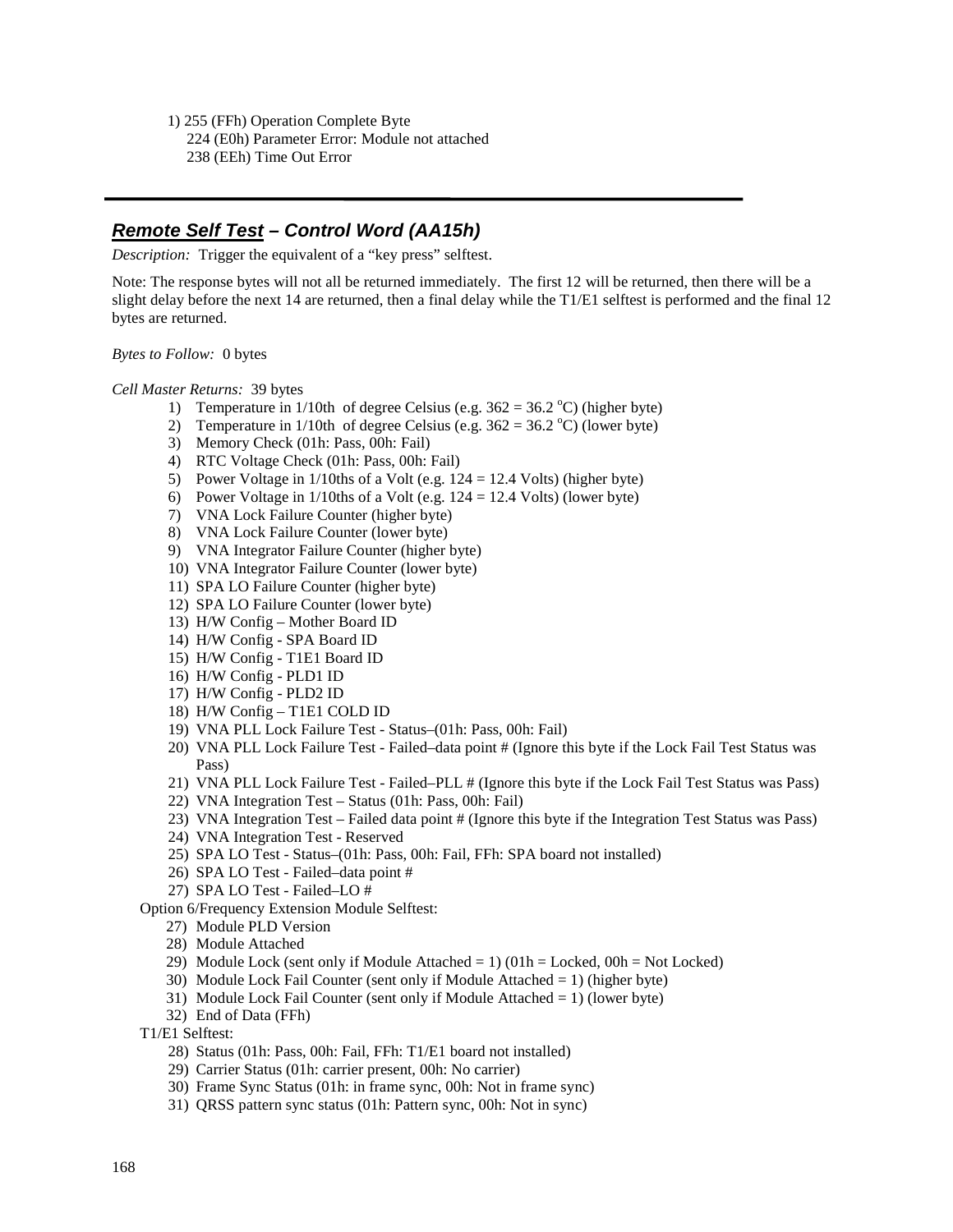1) 255 (FFh) Operation Complete Byte 224 (E0h) Parameter Error: Module not attached 238 (EEh) Time Out Error

# **Remote Self Test – Control Word (AA15h)**

*Description:* Trigger the equivalent of a "key press" selftest.

Note: The response bytes will not all be returned immediately. The first 12 will be returned, then there will be a slight delay before the next 14 are returned, then a final delay while the T1/E1 selftest is performed and the final 12 bytes are returned.

*Bytes to Follow:* 0 bytes

*Cell Master Returns:* 39 bytes

- 1) Temperature in 1/10th of degree Celsius (e.g.  $362 = 36.2 \text{ °C}$ ) (higher byte)
- 2) Temperature in 1/10th of degree Celsius (e.g.  $362 = 36.2$  °C) (lower byte)
- 3) Memory Check (01h: Pass, 00h: Fail)
- 4) RTC Voltage Check (01h: Pass, 00h: Fail)
- 5) Power Voltage in 1/10ths of a Volt (e.g. 124 = 12.4 Volts) (higher byte)
- 6) Power Voltage in  $1/10$ ths of a Volt (e.g.  $124 = 12.4$  Volts) (lower byte)
- 7) VNA Lock Failure Counter (higher byte)
- 8) VNA Lock Failure Counter (lower byte)
- 9) VNA Integrator Failure Counter (higher byte)
- 10) VNA Integrator Failure Counter (lower byte)
- 11) SPA LO Failure Counter (higher byte)
- 12) SPA LO Failure Counter (lower byte)
- 13) H/W Config Mother Board ID
- 14) H/W Config SPA Board ID
- 15) H/W Config T1E1 Board ID
- 16) H/W Config PLD1 ID
- 17) H/W Config PLD2 ID
- 18) H/W Config T1E1 COLD ID
- 19) VNA PLL Lock Failure Test Status–(01h: Pass, 00h: Fail)
- 20) VNA PLL Lock Failure Test Failed–data point # (Ignore this byte if the Lock Fail Test Status was Pass)
- 21) VNA PLL Lock Failure Test Failed–PLL # (Ignore this byte if the Lock Fail Test Status was Pass)
- 22) VNA Integration Test Status (01h: Pass, 00h: Fail)
- 23) VNA Integration Test Failed data point # (Ignore this byte if the Integration Test Status was Pass)
- 24) VNA Integration Test Reserved
- 25) SPA LO Test Status–(01h: Pass, 00h: Fail, FFh: SPA board not installed)
- 26) SPA LO Test Failed–data point #
- 27) SPA LO Test Failed–LO #

Option 6/Frequency Extension Module Selftest:

- 27) Module PLD Version
- 28) Module Attached
- 29) Module Lock (sent only if Module Attached  $= 1$ ) (01h  $=$  Locked, 00h  $=$  Not Locked)
- 30) Module Lock Fail Counter (sent only if Module Attached  $= 1$ ) (higher byte)
- 31) Module Lock Fail Counter (sent only if Module Attached = 1) (lower byte)
- 32) End of Data (FFh)
- T1/E1 Selftest:
	- 28) Status (01h: Pass, 00h: Fail, FFh: T1/E1 board not installed)
	- 29) Carrier Status (01h: carrier present, 00h: No carrier)
	- 30) Frame Sync Status (01h: in frame sync, 00h: Not in frame sync)
	- 31) QRSS pattern sync status (01h: Pattern sync, 00h: Not in sync)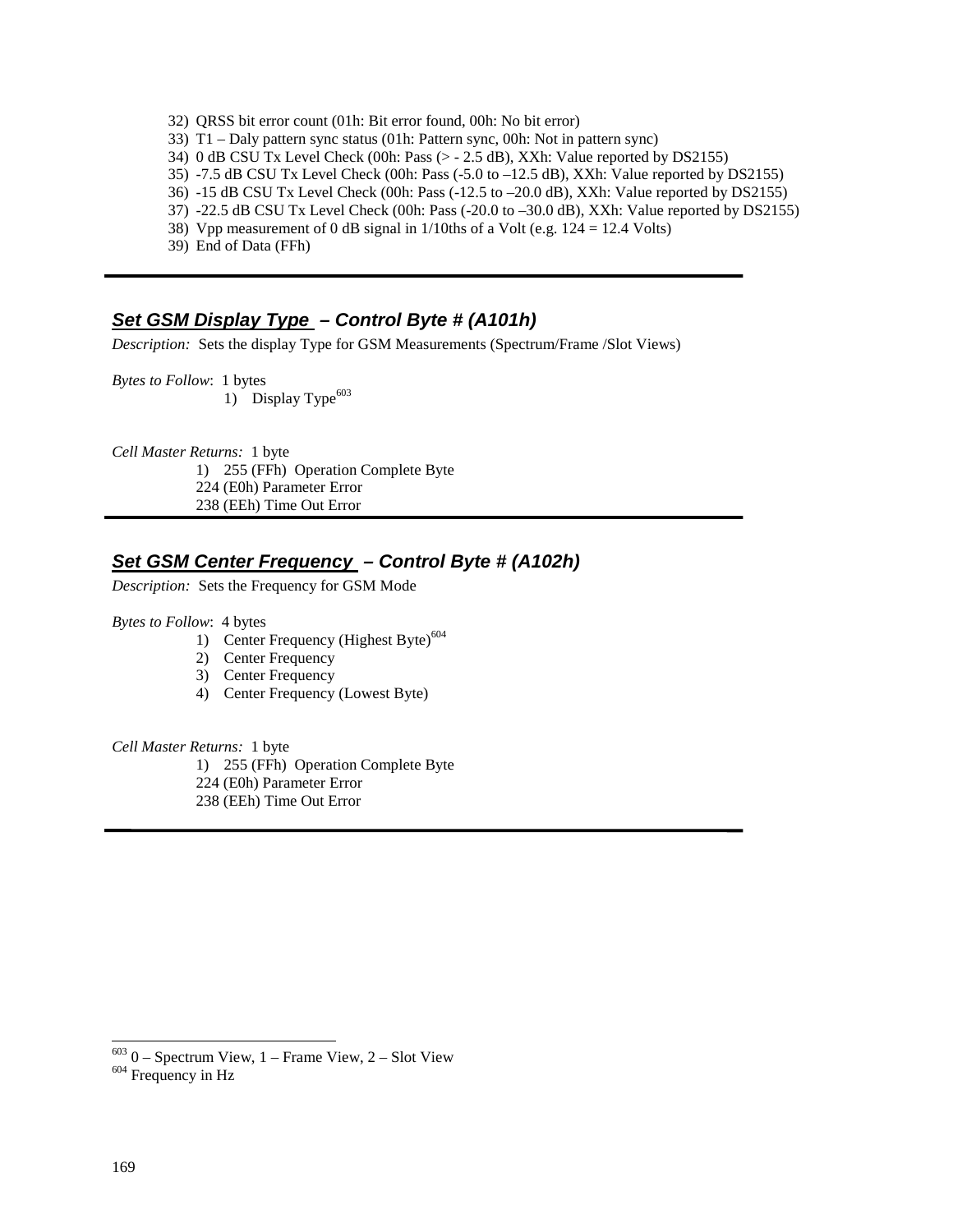- 32) QRSS bit error count (01h: Bit error found, 00h: No bit error)
- 33) T1 Daly pattern sync status (01h: Pattern sync, 00h: Not in pattern sync)
- 34) 0 dB CSU Tx Level Check (00h: Pass (> 2.5 dB), XXh: Value reported by DS2155)
- 35) -7.5 dB CSU Tx Level Check (00h: Pass (-5.0 to –12.5 dB), XXh: Value reported by DS2155)
- 36) -15 dB CSU Tx Level Check (00h: Pass (-12.5 to –20.0 dB), XXh: Value reported by DS2155)
- 37) -22.5 dB CSU Tx Level Check (00h: Pass (-20.0 to –30.0 dB), XXh: Value reported by DS2155)
- 38) Vpp measurement of 0 dB signal in  $1/10$ ths of a Volt (e.g.  $124 = 12.4$  Volts)
- 39) End of Data (FFh)

#### **Set GSM Display Type – Control Byte # (A101h)**

*Description:* Sets the display Type for GSM Measurements (Spectrum/Frame /Slot Views)

*Bytes to Follow*: 1 bytes 1) Display Type $^{603}$ 

*Cell Master Returns:* 1 byte 1) 255 (FFh) Operation Complete Byte 224 (E0h) Parameter Error 238 (EEh) Time Out Error

# **Set GSM Center Frequency – Control Byte # (A102h)**

*Description:* Sets the Frequency for GSM Mode

*Bytes to Follow*: 4 bytes

- 1) Center Frequency (Highest Byte) $604$
- 2) Center Frequency
- 3) Center Frequency
- 4) Center Frequency (Lowest Byte)

*Cell Master Returns:* 1 byte

1) 255 (FFh) Operation Complete Byte 224 (E0h) Parameter Error

238 (EEh) Time Out Error

1

 $603$  0 – Spectrum View, 1 – Frame View, 2 – Slot View  $604$  Frequency in Hz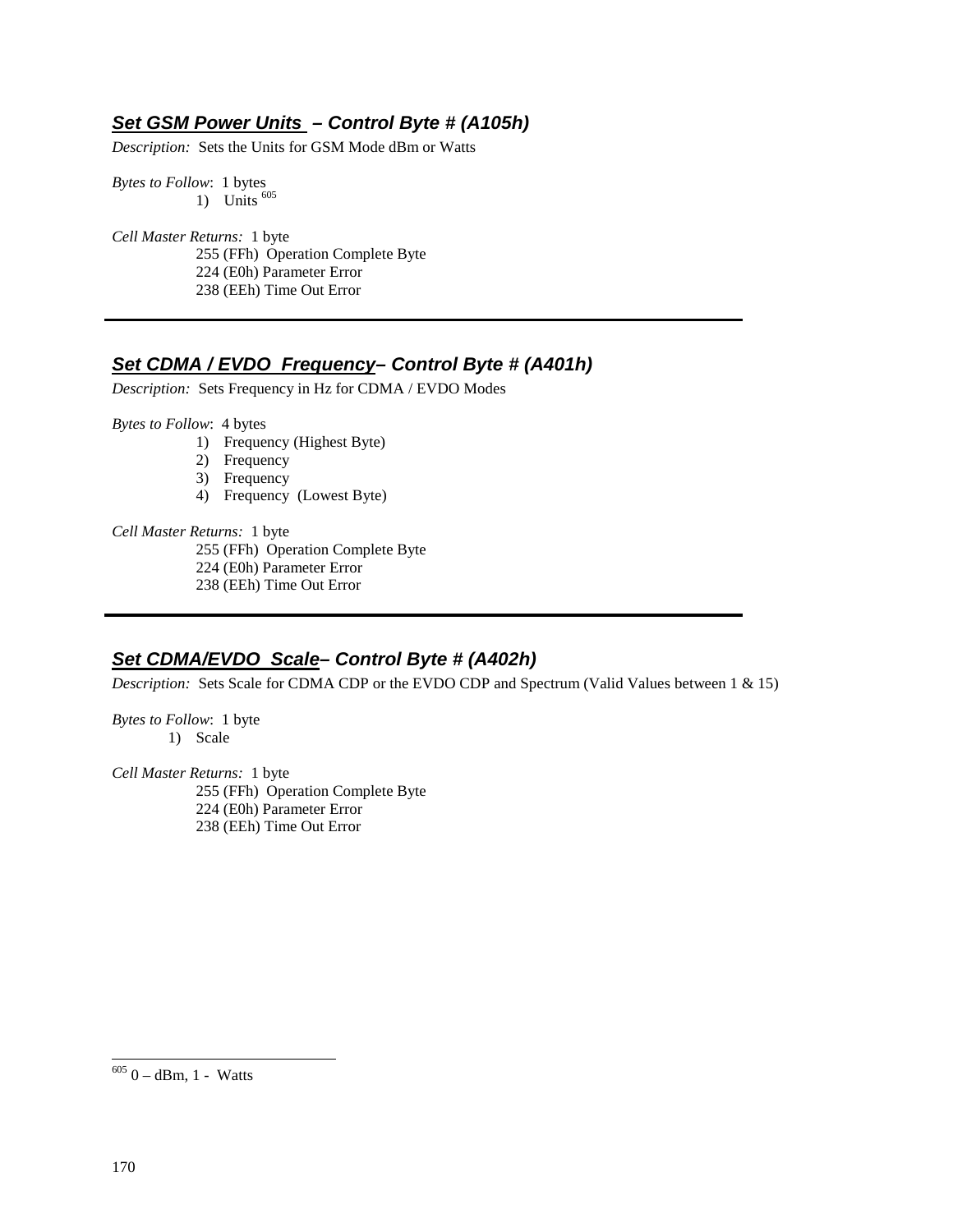## **Set GSM Power Units – Control Byte # (A105h)**

*Description:* Sets the Units for GSM Mode dBm or Watts

*Bytes to Follow*: 1 bytes 1) Units  $605$ 

*Cell Master Returns:* 1 byte 255 (FFh) Operation Complete Byte 224 (E0h) Parameter Error 238 (EEh) Time Out Error

#### **Set CDMA / EVDO Frequency– Control Byte # (A401h)**

*Description:* Sets Frequency in Hz for CDMA / EVDO Modes

*Bytes to Follow*: 4 bytes

- 1) Frequency (Highest Byte)
- 2) Frequency
- 3) Frequency
- 4) Frequency (Lowest Byte)

*Cell Master Returns:* 1 byte

255 (FFh) Operation Complete Byte

- 224 (E0h) Parameter Error
- 238 (EEh) Time Out Error

#### **Set CDMA/EVDO Scale– Control Byte # (A402h)**

*Description:* Sets Scale for CDMA CDP or the EVDO CDP and Spectrum (Valid Values between 1 & 15)

*Bytes to Follow*: 1 byte 1) Scale

*Cell Master Returns:* 1 byte 255 (FFh) Operation Complete Byte 224 (E0h) Parameter Error 238 (EEh) Time Out Error

-

 $6050 - dBm$ , 1 - Watts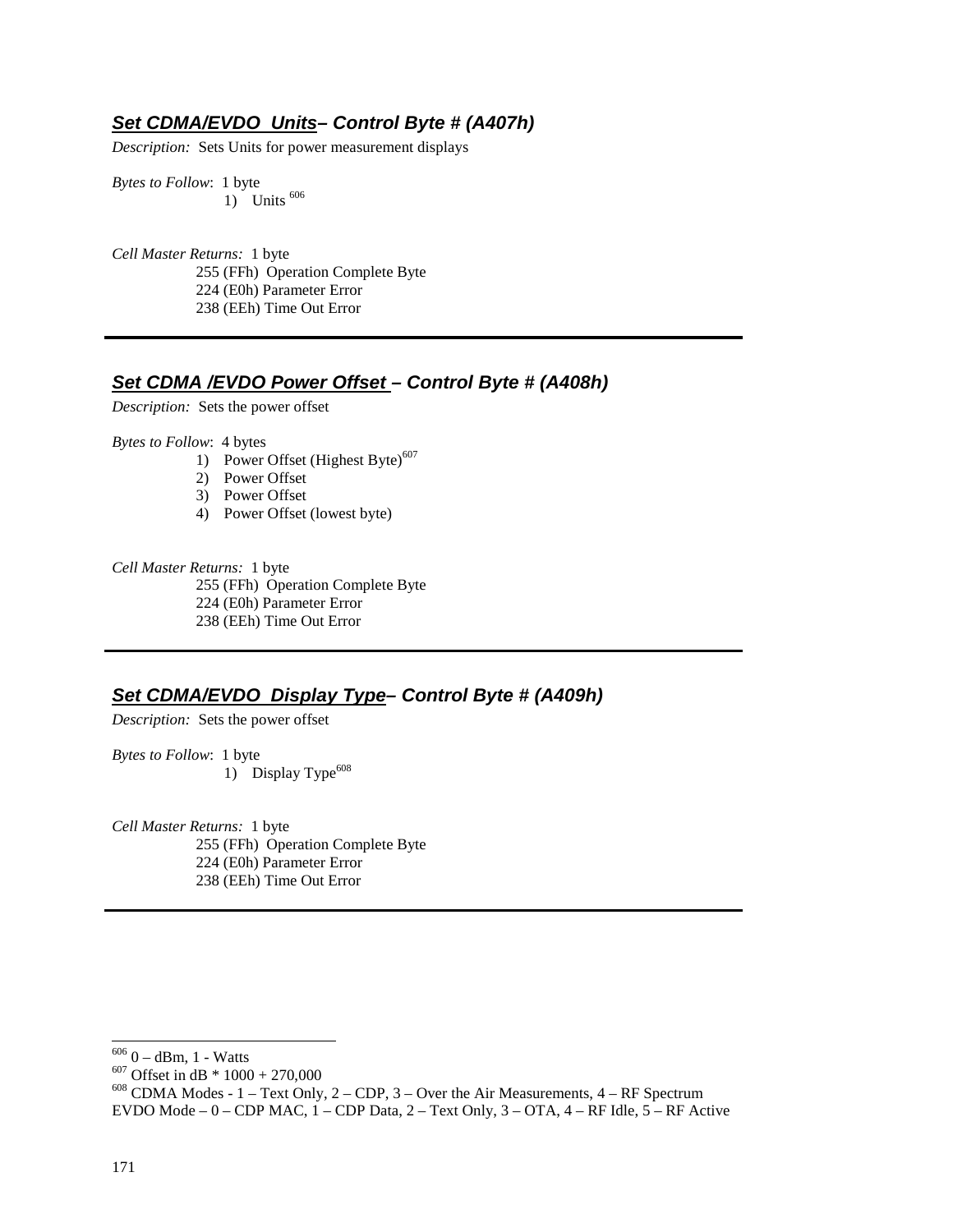## **Set CDMA/EVDO Units– Control Byte # (A407h)**

*Description:* Sets Units for power measurement displays

*Bytes to Follow*: 1 byte 1) Units <sup>606</sup>

*Cell Master Returns:* 1 byte 255 (FFh) Operation Complete Byte 224 (E0h) Parameter Error 238 (EEh) Time Out Error

## **Set CDMA /EVDO Power Offset – Control Byte # (A408h)**

*Description:* Sets the power offset

*Bytes to Follow*: 4 bytes

- 1) Power Offset (Highest Byte)<sup>607</sup>
- 2) Power Offset
- 3) Power Offset
- 4) Power Offset (lowest byte)

*Cell Master Returns:* 1 byte 255 (FFh) Operation Complete Byte 224 (E0h) Parameter Error 238 (EEh) Time Out Error

#### **Set CDMA/EVDO Display Type– Control Byte # (A409h)**

*Description:* Sets the power offset

*Bytes to Follow*: 1 byte 1) Display Type<sup>608</sup>

*Cell Master Returns:* 1 byte 255 (FFh) Operation Complete Byte 224 (E0h) Parameter Error 238 (EEh) Time Out Error

<sup>606</sup> 0 – dBm, 1 - Watts<br><sup>607</sup> Offset in dB \* 1000 + 270,000<br><sup>608</sup> CDMA Modes - 1 – Text Only, 2 – CDP, 3 – Over the Air Measurements, 4 – RF Spectrum

1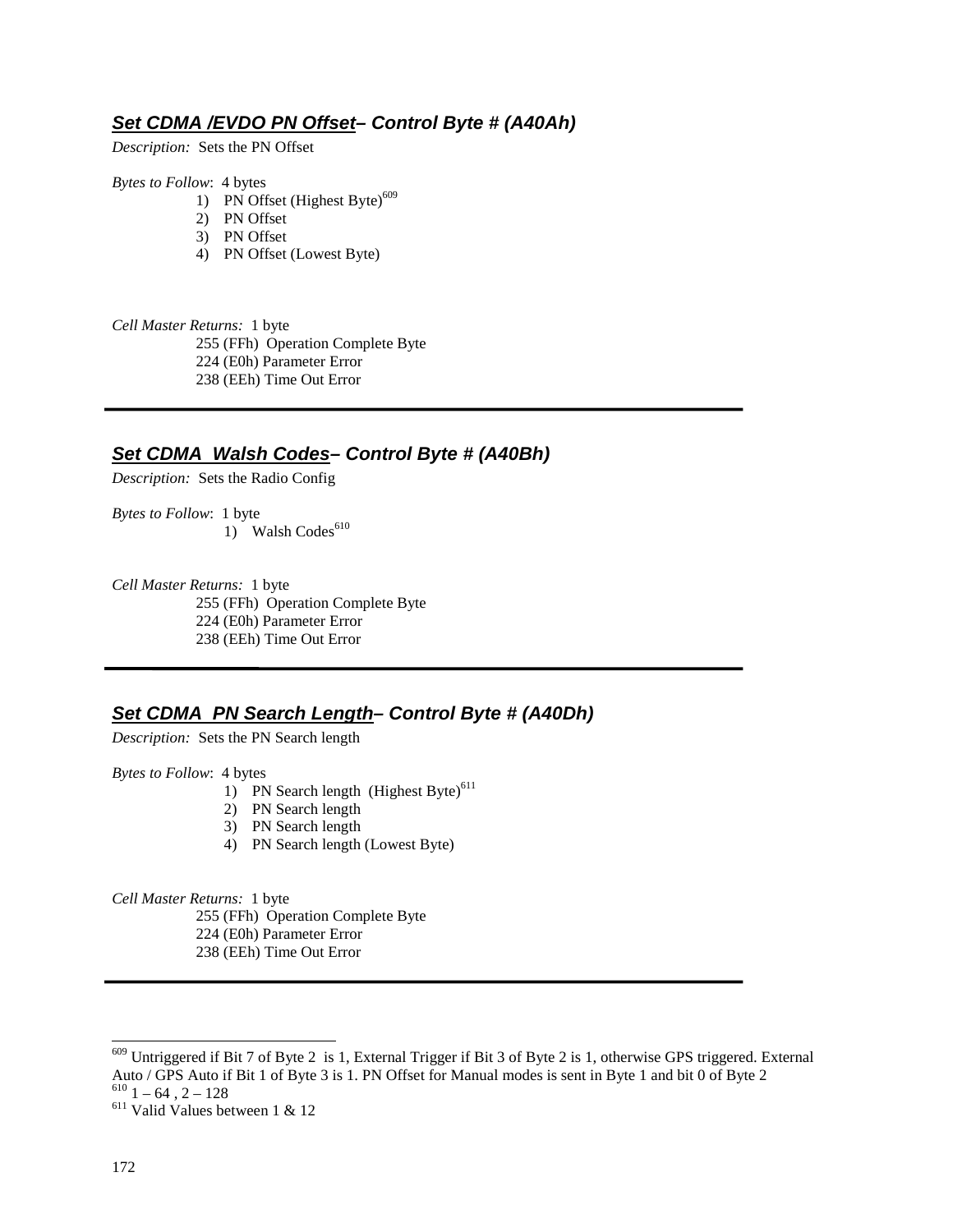# **Set CDMA /EVDO PN Offset– Control Byte # (A40Ah)**

*Description:* Sets the PN Offset

*Bytes to Follow*: 4 bytes

- 1) PN Offset (Highest Byte) $609$
- 2) PN Offset
- 3) PN Offset
- 4) PN Offset (Lowest Byte)

*Cell Master Returns:* 1 byte 255 (FFh) Operation Complete Byte 224 (E0h) Parameter Error 238 (EEh) Time Out Error

## **Set CDMA Walsh Codes– Control Byte # (A40Bh)**

*Description:* Sets the Radio Config

*Bytes to Follow*: 1 byte 1) Walsh Codes<sup>610</sup>

*Cell Master Returns:* 1 byte 255 (FFh) Operation Complete Byte 224 (E0h) Parameter Error 238 (EEh) Time Out Error

# **Set CDMA PN Search Length– Control Byte # (A40Dh)**

*Description:* Sets the PN Search length

*Bytes to Follow*: 4 bytes

- 1) PN Search length  $(HighestByte)^{611}$
- 2) PN Search length
- 3) PN Search length
- 4) PN Search length (Lowest Byte)

*Cell Master Returns:* 1 byte

255 (FFh) Operation Complete Byte

- 224 (E0h) Parameter Error
- 238 (EEh) Time Out Error

1

 $609$  Untriggered if Bit 7 of Byte 2 is 1, External Trigger if Bit 3 of Byte 2 is 1, otherwise GPS triggered. External Auto / GPS Auto if Bit 1 of Byte 3 is 1. PN Offset for Manual modes is sent in Byte 1 and bit 0 of Byte 2  $\frac{610}{1}$  – 64, 2 – 128

 $611$  Valid Values between 1 & 12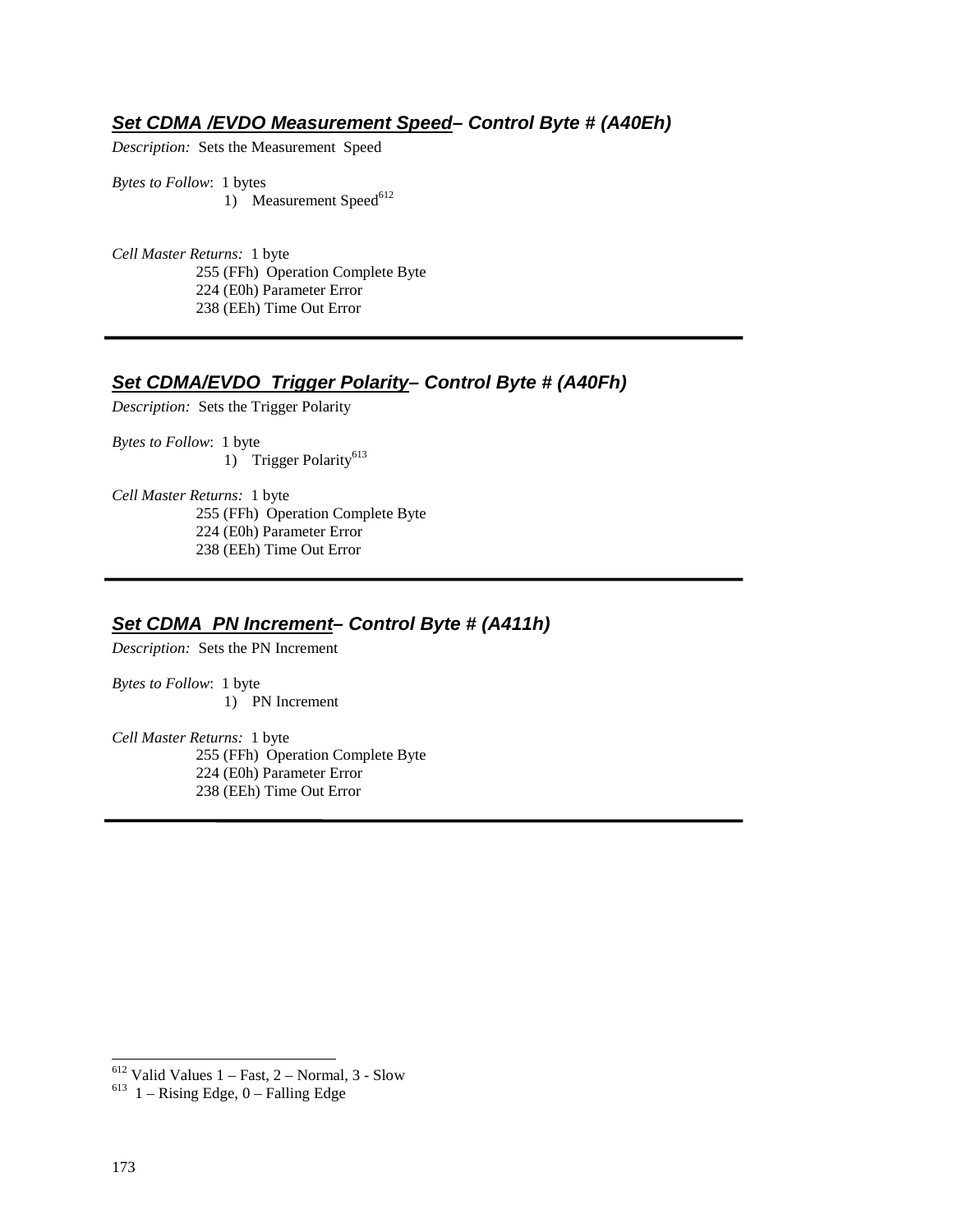#### **Set CDMA /EVDO Measurement Speed– Control Byte # (A40Eh)**

*Description:* Sets the Measurement Speed

*Bytes to Follow*: 1 bytes 1) Measurement Speed $^{612}$ 

*Cell Master Returns:* 1 byte 255 (FFh) Operation Complete Byte 224 (E0h) Parameter Error 238 (EEh) Time Out Error

# **Set CDMA/EVDO Trigger Polarity– Control Byte # (A40Fh)**

*Description:* Sets the Trigger Polarity

*Bytes to Follow*: 1 byte 1) Trigger Polarity<sup>613</sup>

*Cell Master Returns:* 1 byte 255 (FFh) Operation Complete Byte 224 (E0h) Parameter Error 238 (EEh) Time Out Error

## **Set CDMA PN Increment– Control Byte # (A411h)**

*Description:* Sets the PN Increment

*Bytes to Follow*: 1 byte 1) PN Increment

*Cell Master Returns:* 1 byte 255 (FFh) Operation Complete Byte 224 (E0h) Parameter Error 238 (EEh) Time Out Error

-

<sup>&</sup>lt;sup>612</sup> Valid Values 1 – Fast, 2 – Normal, 3 - Slow  $^{613}$  1 – Rising Edge, 0 – Falling Edge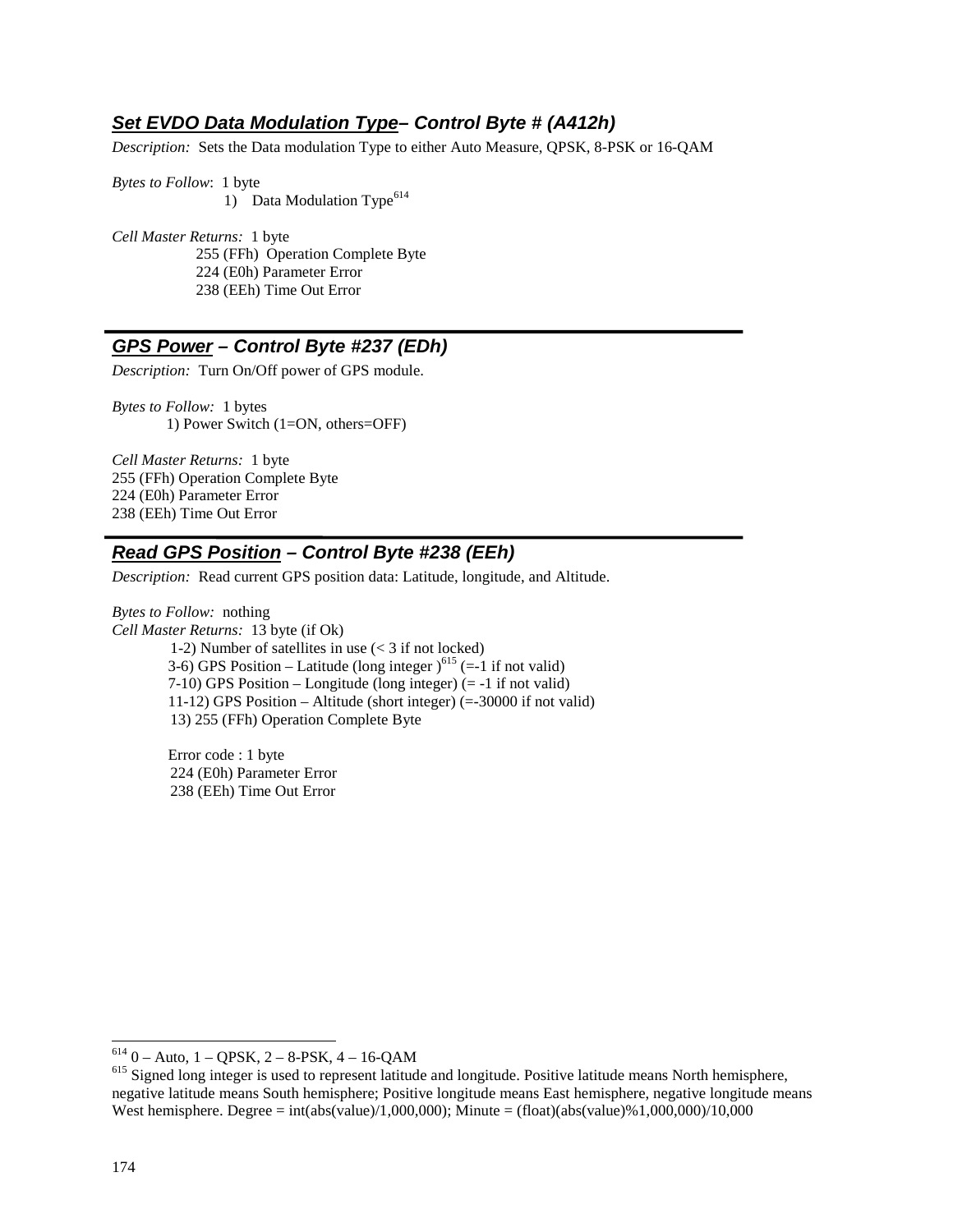## **Set EVDO Data Modulation Type– Control Byte # (A412h)**

*Description:* Sets the Data modulation Type to either Auto Measure, QPSK, 8-PSK or 16-QAM

*Bytes to Follow*: 1 byte 1) Data Modulation Type<sup>614</sup>

*Cell Master Returns:* 1 byte 255 (FFh) Operation Complete Byte 224 (E0h) Parameter Error 238 (EEh) Time Out Error

## **GPS Power – Control Byte #237 (EDh)**

*Description:* Turn On/Off power of GPS module.

*Bytes to Follow:* 1 bytes 1) Power Switch (1=ON, others=OFF)

*Cell Master Returns:* 1 byte 255 (FFh) Operation Complete Byte 224 (E0h) Parameter Error 238 (EEh) Time Out Error

## **Read GPS Position – Control Byte #238 (EEh)**

*Description:* Read current GPS position data: Latitude, longitude, and Altitude.

*Bytes to Follow:* nothing *Cell Master Returns:* 13 byte (if Ok) 1-2) Number of satellites in use (< 3 if not locked) 3-6) GPS Position – Latitude (long integer  $1^{615}$  (=-1 if not valid) 7-10) GPS Position – Longitude (long integer) (= -1 if not valid) 11-12) GPS Position – Altitude (short integer) (=-30000 if not valid) 13) 255 (FFh) Operation Complete Byte

> Error code : 1 byte 224 (E0h) Parameter Error 238 (EEh) Time Out Error

 $614$  0 – Auto, 1 – QPSK, 2 – 8-PSK, 4 – 16-QAM

 $<sup>615</sup>$  Signed long integer is used to represent latitude and longitude. Positive latitude means North hemisphere,</sup> negative latitude means South hemisphere; Positive longitude means East hemisphere, negative longitude means West hemisphere. Degree = int(abs(value)/1,000,000); Minute = (float)(abs(value)%1,000,000)/10,000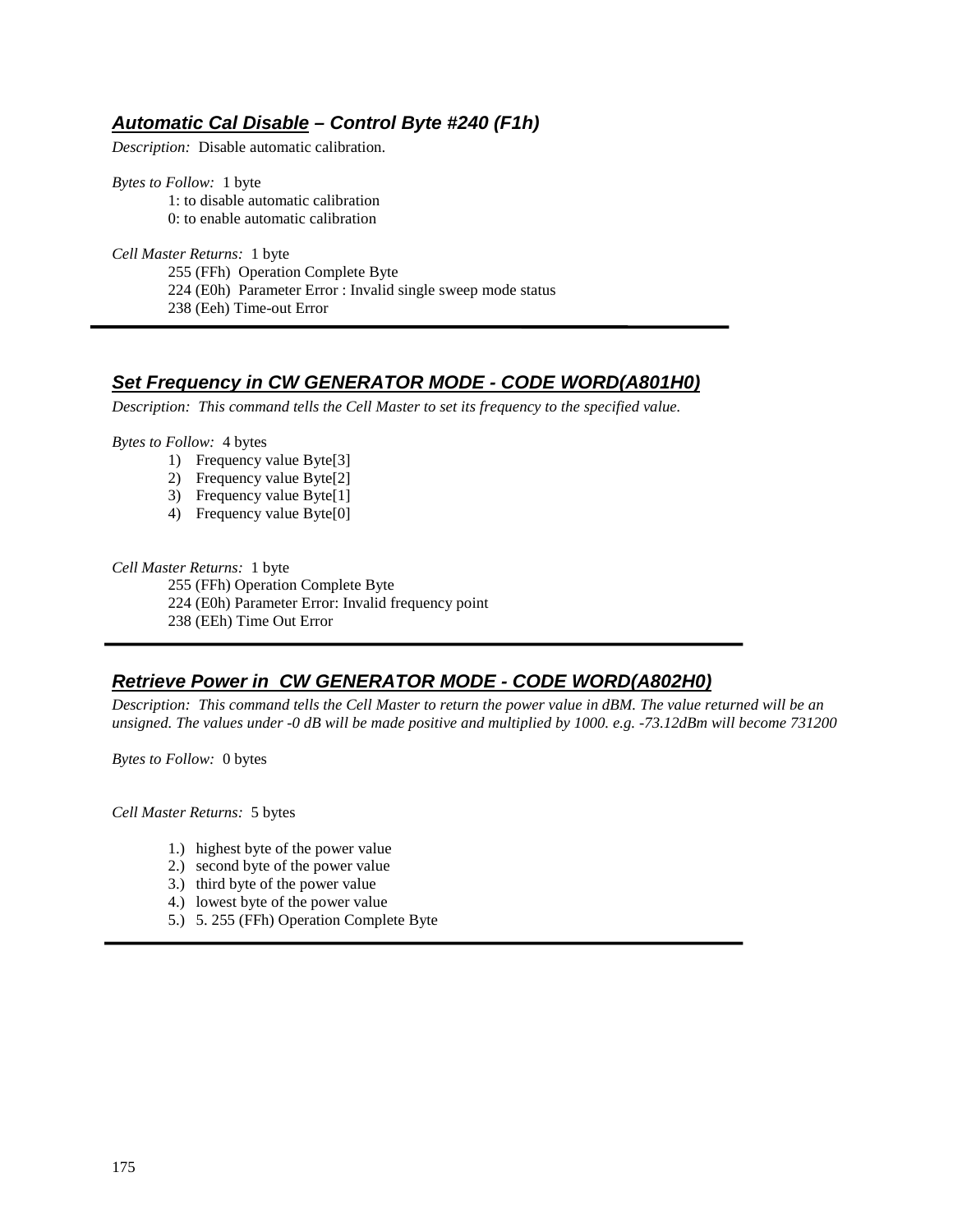# **Automatic Cal Disable – Control Byte #240 (F1h)**

*Description:* Disable automatic calibration.

*Bytes to Follow:* 1 byte 1: to disable automatic calibration 0: to enable automatic calibration

*Cell Master Returns:* 1 byte 255 (FFh) Operation Complete Byte 224 (E0h) Parameter Error : Invalid single sweep mode status 238 (Eeh) Time-out Error

## **Set Frequency in CW GENERATOR MODE - CODE WORD(A801H0)**

*Description: This command tells the Cell Master to set its frequency to the specified value.*

*Bytes to Follow:* 4 bytes

- 1) Frequency value Byte[3]
- 2) Frequency value Byte[2]
- 3) Frequency value Byte[1]
- 4) Frequency value Byte[0]

*Cell Master Returns:* 1 byte

255 (FFh) Operation Complete Byte 224 (E0h) Parameter Error: Invalid frequency point 238 (EEh) Time Out Error

## **Retrieve Power in CW GENERATOR MODE - CODE WORD(A802H0)**

*Description: This command tells the Cell Master to return the power value in dBM. The value returned will be an unsigned. The values under -0 dB will be made positive and multiplied by 1000. e.g. -73.12dBm will become 731200*

*Bytes to Follow:* 0 bytes

*Cell Master Returns:* 5 bytes

- 1.) highest byte of the power value
- 2.) second byte of the power value
- 3.) third byte of the power value
- 4.) lowest byte of the power value
- 5.) 5. 255 (FFh) Operation Complete Byte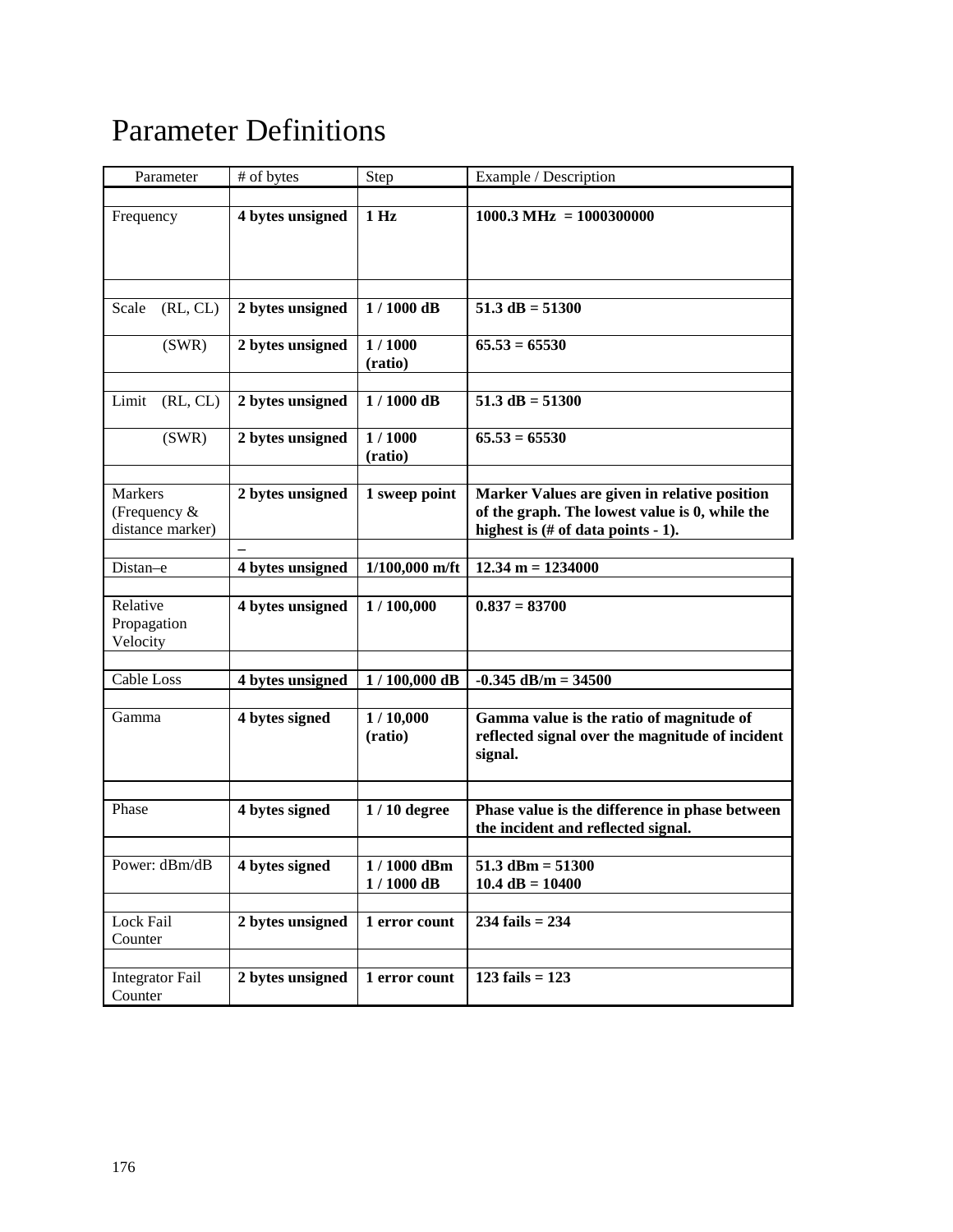# Parameter Definitions

| Parameter                                   | # of bytes       | Step                      | Example / Description                                                                                                                           |
|---------------------------------------------|------------------|---------------------------|-------------------------------------------------------------------------------------------------------------------------------------------------|
| Frequency                                   | 4 bytes unsigned | 1 <sub>Hz</sub>           | $1000.3 \text{ MHz} = 1000300000$                                                                                                               |
|                                             |                  |                           |                                                                                                                                                 |
| (RL, CL)<br>Scale                           | 2 bytes unsigned | $1/1000$ dB               | $51.3 dB = 51300$                                                                                                                               |
| (SWR)                                       | 2 bytes unsigned | 1/1000<br>(ratio)         | $65.53 = 65530$                                                                                                                                 |
| (RL, CL)<br>Limit                           | 2 bytes unsigned | $1/1000$ dB               | $51.3$ dB = $51300$                                                                                                                             |
| (SWR)                                       | 2 bytes unsigned | 1/1000<br>(ratio)         | $65.53 = 65530$                                                                                                                                 |
| Markers<br>(Frequency &<br>distance marker) | 2 bytes unsigned | 1 sweep point             | Marker Values are given in relative position<br>of the graph. The lowest value is 0, while the<br>highest is $(\# \text{ of data points - 1}).$ |
|                                             |                  |                           |                                                                                                                                                 |
| Distan-e                                    | 4 bytes unsigned | $1/100,000$ m/ft          | $12.34 m = 1234000$                                                                                                                             |
| Relative<br>Propagation<br>Velocity         | 4 bytes unsigned | 1/100,000                 | $0.837 = 83700$                                                                                                                                 |
|                                             |                  |                           |                                                                                                                                                 |
| Cable Loss                                  | 4 bytes unsigned | $1/100,000$ dB            | $-0.345$ dB/m = 34500                                                                                                                           |
| Gamma                                       | 4 bytes signed   | 1/10,000<br>(ratio)       | Gamma value is the ratio of magnitude of<br>reflected signal over the magnitude of incident<br>signal.                                          |
|                                             |                  |                           |                                                                                                                                                 |
| Phase                                       | 4 bytes signed   | $1/10$ degree             | Phase value is the difference in phase between<br>the incident and reflected signal.                                                            |
|                                             |                  |                           |                                                                                                                                                 |
| Power: dBm/dB                               | 4 bytes signed   | 1/1000 dBm<br>$1/1000$ dB | $51.3$ dBm = $51300$<br>$10.4$ dB = $10400$                                                                                                     |
| Lock Fail                                   | 2 bytes unsigned | 1 error count             | 234 fails = $234$                                                                                                                               |
| Counter                                     |                  |                           |                                                                                                                                                 |
|                                             |                  |                           |                                                                                                                                                 |
| Integrator Fail<br>Counter                  | 2 bytes unsigned | 1 error count             | 123 fails = $123$                                                                                                                               |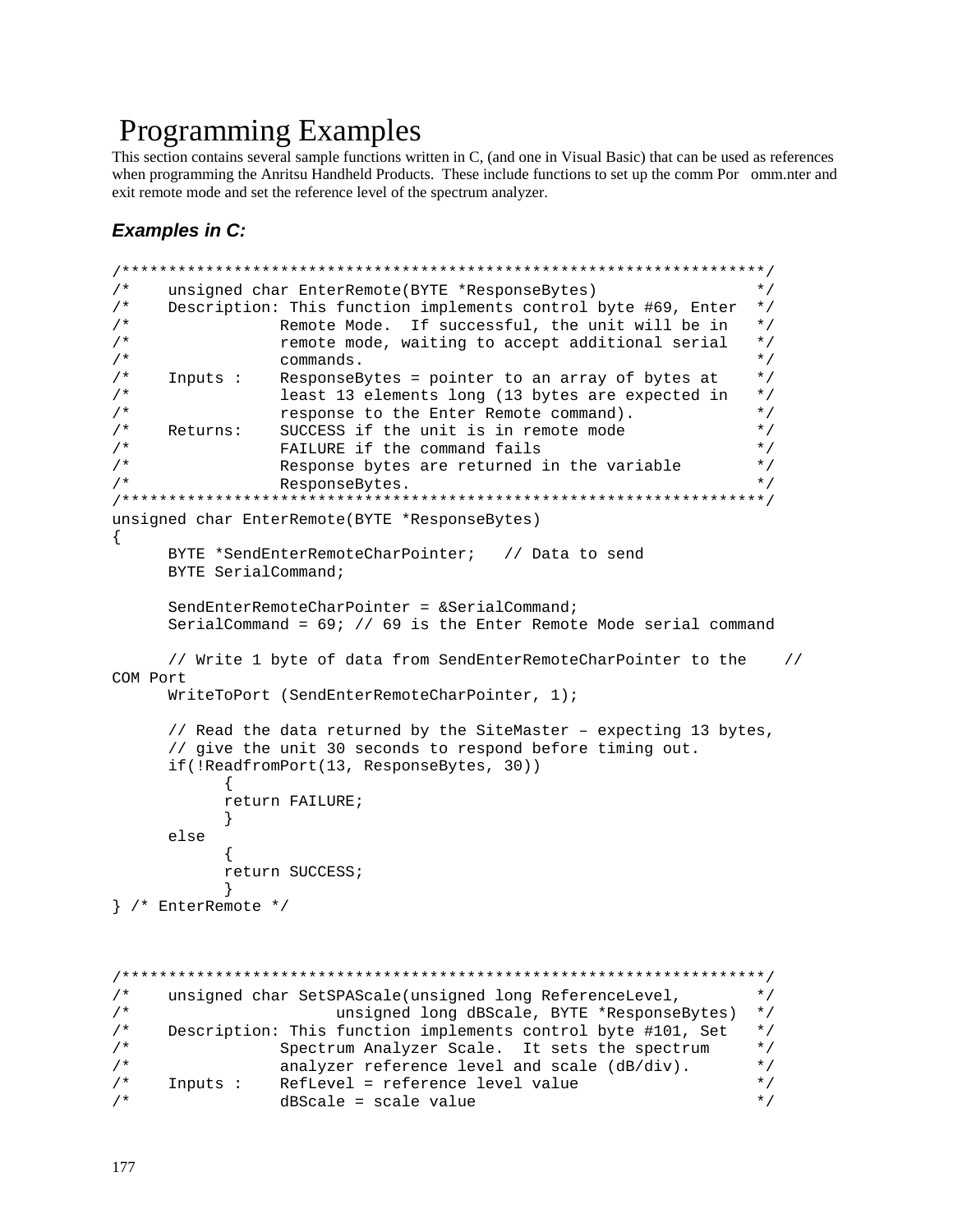# Programming Examples

This section contains several sample functions written in C, (and one in Visual Basic) that can be used as references when programming the Anritsu Handheld Products. These include functions to set up the comm Por omm.nter and exit remote mode and set the reference level of the spectrum analyzer.

# **Examples in C:**

```
/*********************************************************************/ 
/* unsigned char EnterRemote(BYTE *ResponseBytes) */ 
/* Description: This function implements control byte #69, Enter */<br>/* Remote Mode. If successful, the unit will be in */
/* The Remote Mode. If successful, the unit will be in the Memote Mode. If successful, the unit will be in the \frac{t}{t}/* \begin{array}{ccc} r \rightarrow & r \rightarrow & r \rightarrow \\ r \rightarrow & r \rightarrow & r \rightarrow \end{array} remote mode, waiting to accept additional serial */
                 commands.
/* Inputs : ResponseBytes = pointer to an array of bytes at */ 
/* least 13 elements long (13 bytes are expected in */ 
/* response to the Enter Remote command). */ 
/* Returns: SUCCESS if the unit is in remote mode */ 
/* FAILURE if the command fails */ 
/* Response bytes are returned in the variable */ 
\mathcal{L}^* ResponseBytes.
/*********************************************************************/ 
unsigned char EnterRemote(BYTE *ResponseBytes) 
{ 
      BYTE *SendEnterRemoteCharPointer; // Data to send 
      BYTE SerialCommand; 
      SendEnterRemoteCharPointer = &SerialCommand; 
      SerialCommand = 69; // 69 is the Enter Remote Mode serial command 
      // Write 1 byte of data from SendEnterRemoteCharPointer to the // 
COM Port 
      WriteToPort (SendEnterRemoteCharPointer, 1); 
      // Read the data returned by the SiteMaster – expecting 13 bytes, 
      // give the unit 30 seconds to respond before timing out. 
      if(!ReadfromPort(13, ResponseBytes, 30)) 
\{ return FAILURE; 
 } 
      else 
\{ return SUCCESS;
 } 
} /* EnterRemote */ 
/*********************************************************************/ 
/* unsigned char SetSPAScale(unsigned long ReferenceLevel, */ 
/* unsigned long dBScale, BYTE *ResponseBytes) */ 
/* Description: This function implements control byte #101, Set */ 
/* Spectrum Analyzer Scale. It sets the spectrum */ 
                 analyzer reference level and scale (dB/div).
/* Inputs : RefLevel = reference level value */ 
/* dBScale = scale value */
```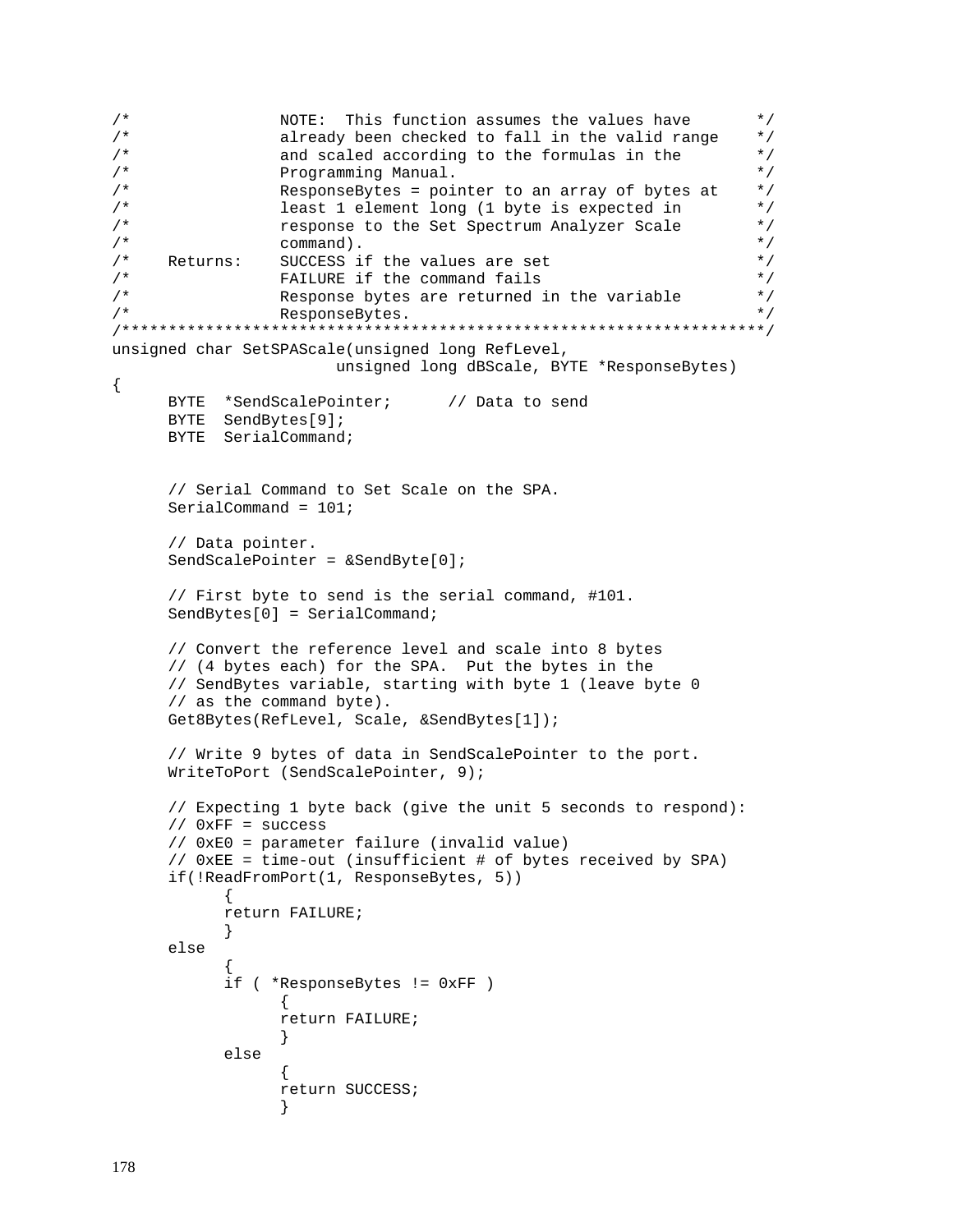```
/* \overline{N} NOTE: This function assumes the values have \overline{N} /* \overline{N} already been checked to fall in the valid range \overline{N} /
                   already been checked to fall in the valid range
/* and scaled according to the formulas in the */ 
/* Programming Manual. \overline{z} / \overline{z} / \overline{z} / \overline{z} / \overline{z} / \overline{z} / \overline{z} / \overline{z} / \overline{z} / \overline{z} / \overline{z} / \overline{z} / \overline{z} / \overline{z} / \overline{z} / \overline{z} / \overline{z} / \overline{z} / /* ResponseBytes = pointer to an array of bytes at *//* least 1 element long (1 byte is expected in */ 
/* response to the Set Spectrum Analyzer Scale */ 
\frac{1}{4} command).<br>\frac{1}{4} Returns: SUCCESS if the values are set \frac{1}{4} */
/* Returns: SUCCESS if the values are set \frac{1}{2} */<br>/* FAILURE if the command fails */
                   FAILURE if the command fails
/* Response bytes are returned in the variable */\mathcal{L}^* ResponseBytes.
/*********************************************************************/ 
unsigned char SetSPAScale(unsigned long RefLevel, 
                          unsigned long dBScale, BYTE *ResponseBytes) 
{ 
      BYTE *SendScalePointer; // Data to send
       BYTE SendBytes[9]; 
       BYTE SerialCommand; 
       // Serial Command to Set Scale on the SPA. 
       SerialCommand = 101; 
       // Data pointer. 
       SendScalePointer = &SendByte[0]; 
      // First byte to send is the serial command, #101. 
       SendBytes[0] = SerialCommand; 
       // Convert the reference level and scale into 8 bytes 
       // (4 bytes each) for the SPA. Put the bytes in the 
       // SendBytes variable, starting with byte 1 (leave byte 0 
       // as the command byte). 
       Get8Bytes(RefLevel, Scale, &SendBytes[1]); 
      // Write 9 bytes of data in SendScalePointer to the port. 
       WriteToPort (SendScalePointer, 9); 
       // Expecting 1 byte back (give the unit 5 seconds to respond): 
       // 0xFF = success 
       // 0xE0 = parameter failure (invalid value) 
       // 0xEE = time-out (insufficient # of bytes received by SPA) 
      if(!ReadFromPort(1, ResponseBytes, 5)) 
              { 
              return FAILURE; 
              } 
      else 
       \{ if ( *ResponseBytes != 0xFF ) 
\{ return FAILURE; 
 } 
              else 
\{ return SUCCESS;
 }
```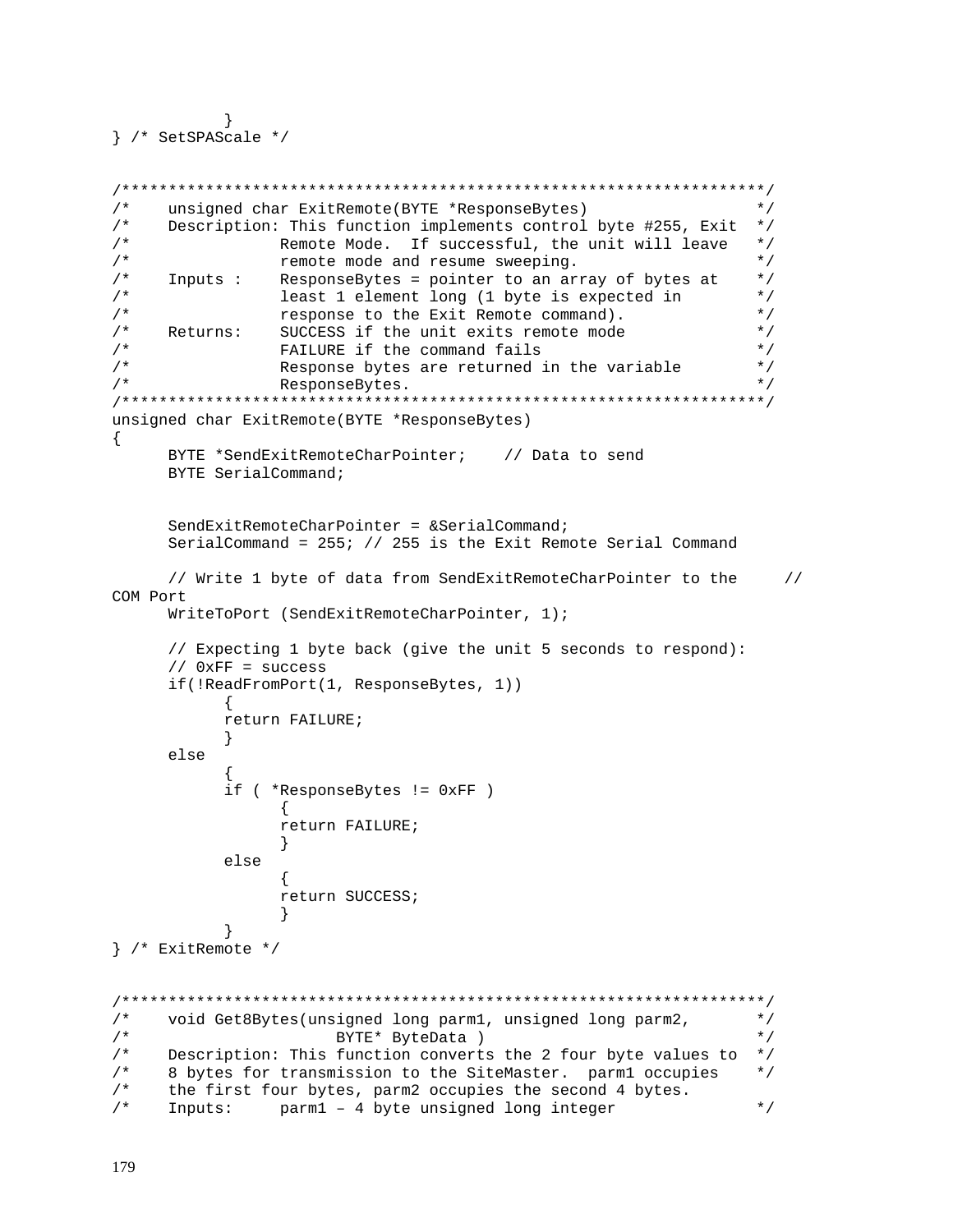```
 } 
} /* SetSPAScale */
```

```
/*********************************************************************/ 
/* unsigned char ExitRemote(BYTE *ResponseBytes) */ 
/* Description: This function implements control byte #255, Exit */ 
/* Remote Mode. If successful, the unit will leave */ 
/* The remote mode and resume sweeping. \star//* Inputs : ResponseBytes = pointer to an array of bytes at */ 
/* least 1 element long (1 byte is expected in */ 
/* response to the Exit Remote command). */ 
/* Returns: SUCCESS if the unit exits remote mode */<br>/* FAILURE if the command fails */* */
/* \begin{array}{ccc} \n 1 \times & \times & \times \n 2 \times & \times & \times \n 3 \times & \times & \times \n 4 \times & \times & \times & \times \n 5 \times & \times & \times & \times \n 6 \times & \times & \times & \times \n 6 \times & \times & \times & \times \n 7 \times & \times & \times & \times \n 8 \times & \times & \times & \times \n 8 \times & \times & \times & \times \n 9 \times & \times & \times & \times \n 10 \times & \times & \times & \times \n 11 \times & \times & \times & \times \n 12 \times & \times & \times & \times \n 13 \/* Response bytes are returned in the variable \frac{*/}{}/<br>/* ResponseBytes.
/* ResponseBytes. */ 
/*********************************************************************/ 
unsigned char ExitRemote(BYTE *ResponseBytes) 
{ 
      BYTE *SendExitRemoteCharPointer; // Data to send
       BYTE SerialCommand; 
       SendExitRemoteCharPointer = &SerialCommand; 
       SerialCommand = 255; // 255 is the Exit Remote Serial Command 
       // Write 1 byte of data from SendExitRemoteCharPointer to the // 
COM Port 
       WriteToPort (SendExitRemoteCharPointer, 1); 
       // Expecting 1 byte back (give the unit 5 seconds to respond): 
       // 0xFF = success 
       if(!ReadFromPort(1, ResponseBytes, 1)) 
\{ return FAILURE; 
 } 
       else 
\{ if ( *ResponseBytes != 0xFF ) 
{
                    return FAILURE; 
 } 
              else 
{
                    return SUCCESS;
 } 
 } 
} /* ExitRemote */ 
/*********************************************************************/ 
/* void Get8Bytes(unsigned long parm1, unsigned long parm2, */ 
\gamma^* BYTE* ByteData ) and \gamma^*/* Description: This function converts the 2 four byte values to *//* 8 bytes for transmission to the SiteMaster. parm1 occupies */ 
/* the first four bytes, parm2 occupies the second 4 bytes. 
\frac{1}{2} Inputs: parm1 - 4 byte unsigned long integer \frac{1}{2} */
```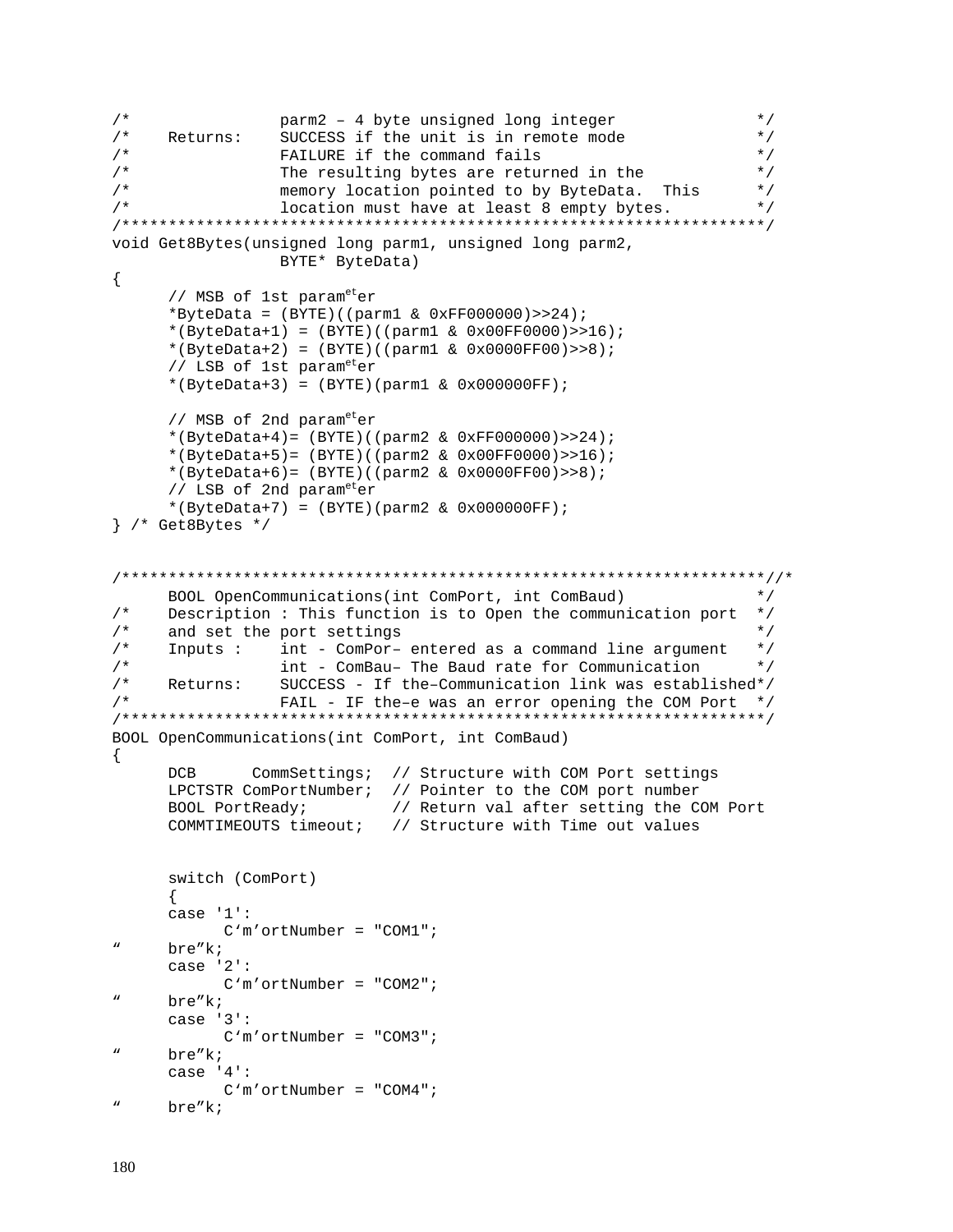```
/* parm2 – 4 byte unsigned long integer \frac{t}{\sqrt{t}} Returns: SUCCESS if the unit is in remote mode \frac{t}{\sqrt{t}}Returns: SUCCESS if the unit is in remote mode
/* TAILURE if the command fails \star//* The resulting bytes are returned in the */
/* memory location pointed to by ByteData. This */ 
/* location must have at least 8 empty bytes. */ 
/*********************************************************************/ 
void Get8Bytes(unsigned long parm1, unsigned long parm2, 
                   BYTE* ByteData) 
{ 
      // MSB of 1st parameter
      *ByteData = (BYTE) ((parm1 & 0xFF000000)>>24);
        *(ByteData+1) = (BYTE)((parm1 & 0x00FF0000)>>16); 
        *(ByteData+2) = (BYTE)((parm1 & 0x0000FF00)>>8); 
       // LSB of 1st parameter
        *(ByteData+3) = (BYTE)(parm1 & 0x000000FF); 
      // MSB of 2nd parameter
       *(ByteData+4)= (BYTE)((parm2 & 0xFF000000)>>24); 
        *(ByteData+5)= (BYTE)((parm2 & 0x00FF0000)>>16); 
        *(ByteData+6)= (BYTE)((parm2 & 0x0000FF00)>>8); 
       // LSB of 2nd parameter
        *(ByteData+7) = (BYTE)(parm2 & 0x000000FF); 
} /* Get8Bytes */ 
/*********************************************************************//*
      BOOL OpenCommunications(int ComPort, int ComBaud) */<br>Description : This function is to Open the communication port */
/* Description : This function is to Open the communication port */ 
\frac{1}{2} and set the port settings \frac{1}{2} \frac{1}{2} \frac{1}{2} \frac{1}{2} \frac{1}{2} \frac{1}{2} \frac{1}{2} \frac{1}{2} \frac{1}{2} \frac{1}{2} \frac{1}{2} \frac{1}{2} \frac{1}{2} \frac{1}{2} \frac{1}{2} \frac{1}{2} \frac{1}{2} \frac{1}{2} \frac{1/* Inputs : int - ComPor- entered as a command line argument */<br>/* int - ComBau- The Baud rate for Communication */
/* int - ComBau– The Baud rate for Communication */ 
      Returns: SUCCESS - If the-Communication link was established*/
/* FAIL - IF the–e was an error opening the COM Port */ 
/*********************************************************************/ 
BOOL OpenCommunications(int ComPort, int ComBaud) 
{ 
       DCB CommSettings; // Structure with COM Port settings 
       LPCTSTR ComPortNumber; // Pointer to the COM port number 
       BOOL PortReady; // Return val after setting the COM Port 
       COMMTIMEOUTS timeout; // Structure with Time out values 
       switch (ComPort) 
       { 
       case '1': 
             C'm'ortNumber = "COM1"; 
" bre"k; 
       case '2': 
              C'm'ortNumber = "COM2"; 
      bre"k;
       case '3': 
              C'm'ortNumber = "COM3"; 
      bre"k;
       case '4': 
              C'm'ortNumber = "COM4"; 
      bre"k;
```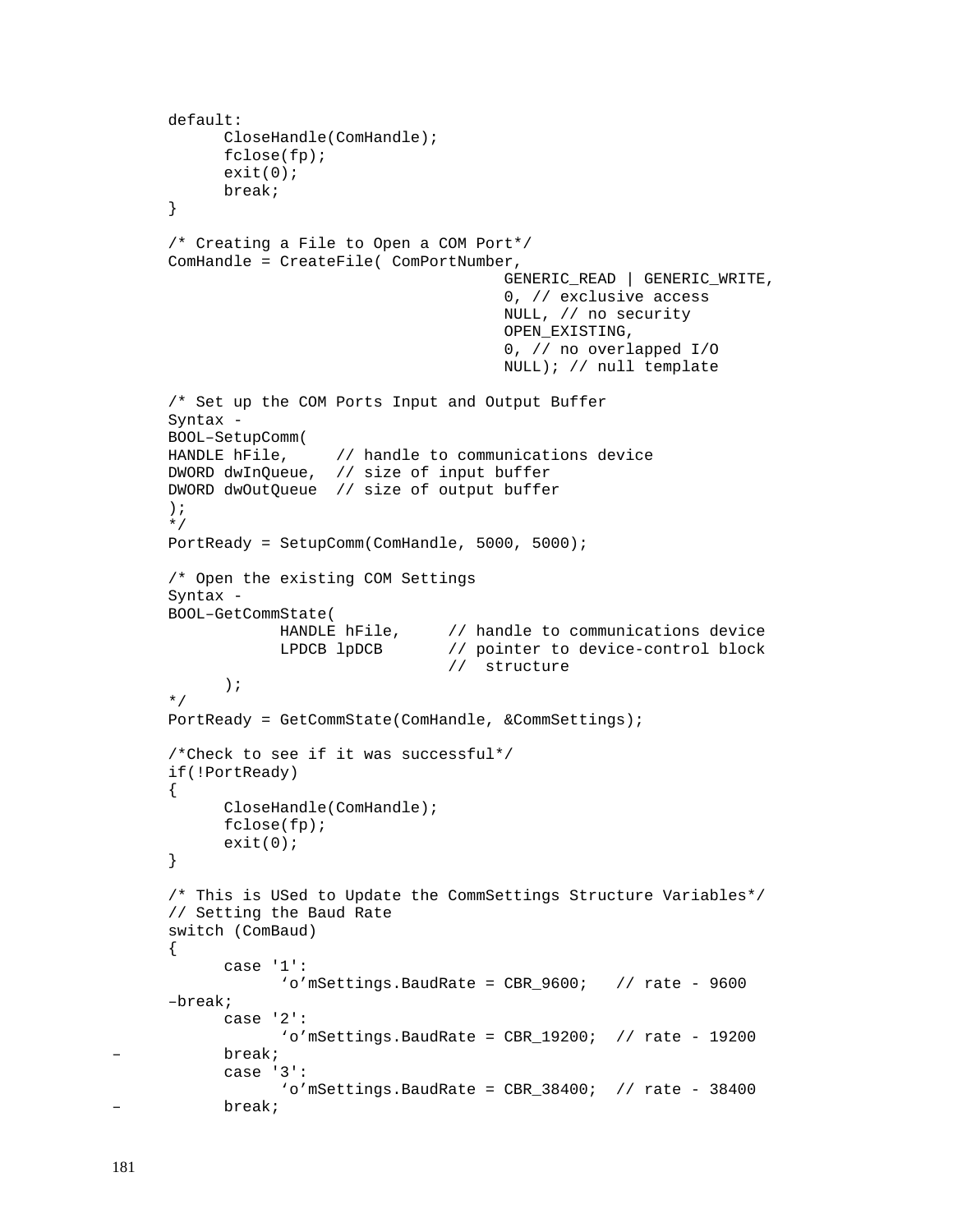```
 default: 
       CloseHandle(ComHandle); 
       fclose(fp); 
      exit(0); break; 
 } 
 /* Creating a File to Open a COM Port*/ 
 ComHandle = CreateFile( ComPortNumber, 
                                        GENERIC_READ | GENERIC_WRITE, 
                                        0, // exclusive access 
                                        NULL, // no security 
                                        OPEN_EXISTING, 
                                        0, // no overlapped I/O 
                                        NULL); // null template 
 /* Set up the COM Ports Input and Output Buffer 
 Syntax - 
 BOOL–SetupComm( 
HANDLE hFile, \frac{1}{2} handle to communications device
 DWORD dwInQueue, // size of input buffer 
 DWORD dwOutQueue // size of output buffer 
 ); 
 */ 
 PortReady = SetupComm(ComHandle, 5000, 5000); 
 /* Open the existing COM Settings 
 Syntax - 
 BOOL–GetCommState( 
             HANDLE hFile, \frac{1}{2} handle to communications device
              LPDCB lpDCB // pointer to device-control block 
                                // structure 
       ); 
 */ 
 PortReady = GetCommState(ComHandle, &CommSettings); 
 /*Check to see if it was successful*/ 
 if(!PortReady) 
 { 
       CloseHandle(ComHandle); 
       fclose(fp); 
       exit(0); 
 } 
 /* This is USed to Update the CommSettings Structure Variables*/ 
 // Setting the Baud Rate 
 switch (ComBaud) 
 { 
       case '1': 
             'o'mSetting. BaudRate = CBR_9600; // rate - 9600
 –break; 
       case '2': 
             'o'mSetting.BaudRate = CBR 19200; // rate - 19200– break; 
       case '3': 
             'o'mSetting.BaudRate = CBR 38400; // rate - 38400– break;
```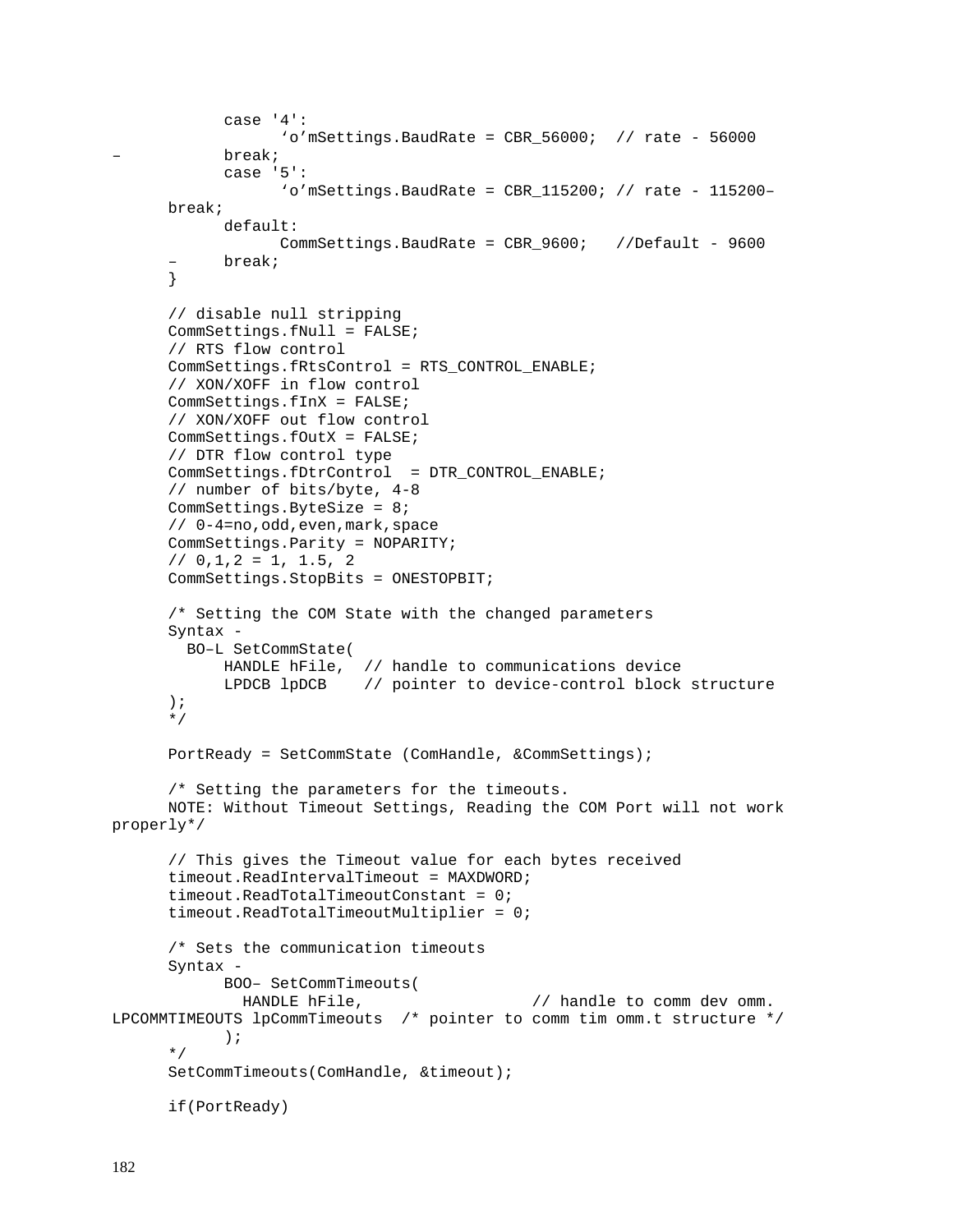```
 case '4': 
                   'o'mSettings.BaudRate = CBR_56000; // rate - 56000
            – break; 
             case '5': 
                    'o'mSettings.BaudRate = CBR_115200; // rate - 115200– 
       break; 
             default: 
                    CommSettings.BaudRate = CBR_9600; //Default - 9600 
       – break; 
       } 
       // disable null stripping 
       CommSettings.fNull = FALSE; 
      // RTS flow control 
       CommSettings.fRtsControl = RTS_CONTROL_ENABLE; 
       // XON/XOFF in flow control 
       CommSettings.fInX = FALSE; 
       // XON/XOFF out flow control 
       CommSettings.fOutX = FALSE; 
      // DTR flow control type 
       CommSettings.fDtrControl = DTR_CONTROL_ENABLE; 
       // number of bits/byte, 4-8 
       CommSettings.ByteSize = 8; 
       // 0-4=no,odd,even,mark,space 
       CommSettings.Parity = NOPARITY; 
      // 0,1,2 = 1, 1.5, 2 CommSettings.StopBits = ONESTOPBIT; 
       /* Setting the COM State with the changed parameters 
       Syntax - 
         BO–L SetCommState( 
             HANDLE hFile, // handle to communications device 
             LPDCB lpDCB // pointer to device-control block structure 
       ); 
       */ 
       PortReady = SetCommState (ComHandle, &CommSettings); 
       /* Setting the parameters for the timeouts. 
       NOTE: Without Timeout Settings, Reading the COM Port will not work 
properly*/ 
      // This gives the Timeout value for each bytes received 
       timeout.ReadIntervalTimeout = MAXDWORD; 
      timeout.ReadTotalTimeoutConstant = 0; timeout.ReadTotalTimeoutMultiplier = 0; 
       /* Sets the communication timeouts 
       Syntax - 
             BOO– SetCommTimeouts( 
              HANDLE hFile, \frac{1}{2} and \frac{1}{2} handle to comm dev omm.
LPCOMMTIMEOUTS lpCommTimeouts /* pointer to comm tim omm.t structure */ 
              ); 
       */ 
       SetCommTimeouts(ComHandle, &timeout); 
       if(PortReady)
```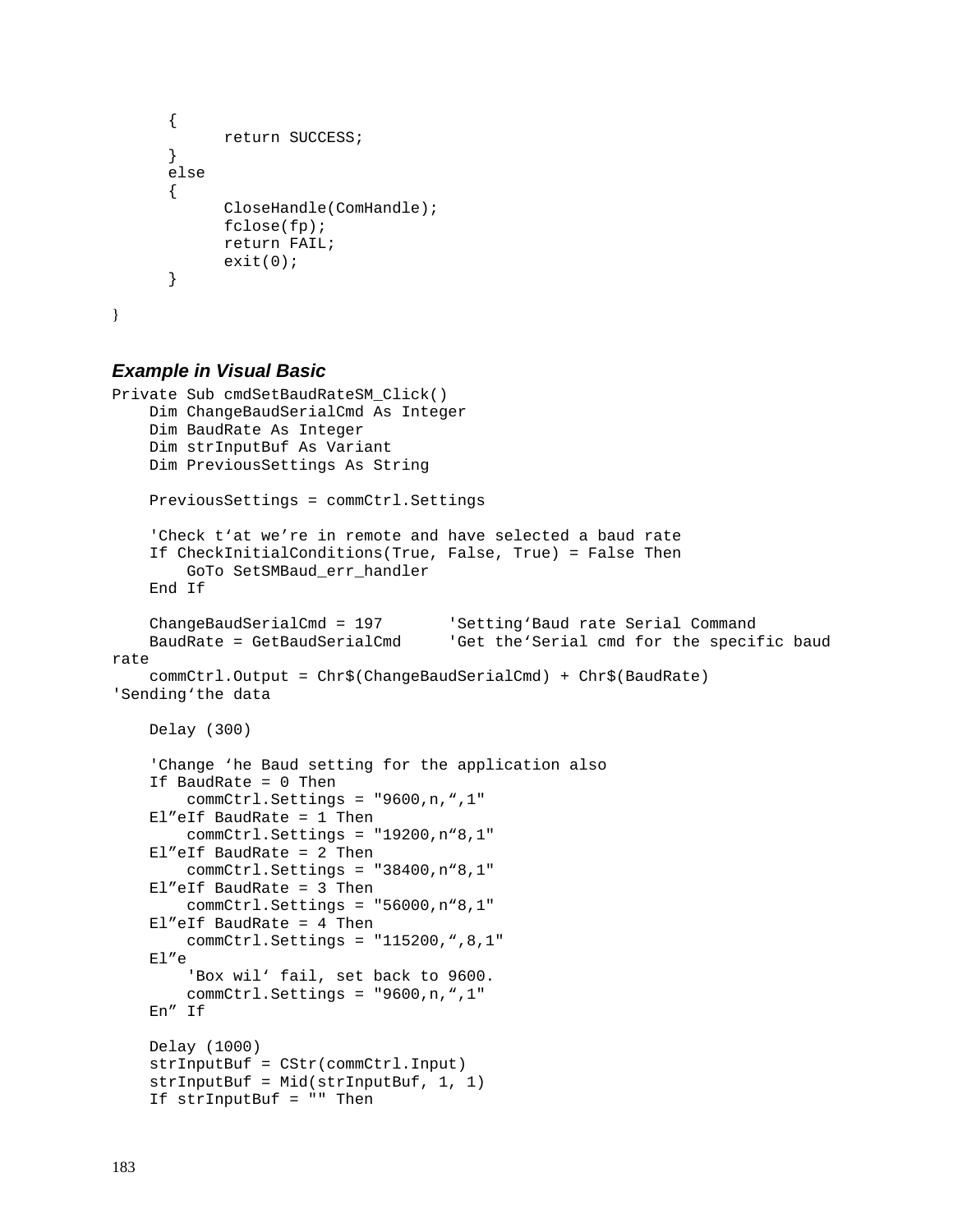```
 { 
              return SUCCESS; 
       } 
       else 
       { 
              CloseHandle(ComHandle); 
              fclose(fp); 
              return FAIL; 
      ext(0); } 
}
```
## **Example in Visual Basic**

```
Private Sub cmdSetBaudRateSM_Click() 
     Dim ChangeBaudSerialCmd As Integer 
     Dim BaudRate As Integer 
     Dim strInputBuf As Variant 
     Dim PreviousSettings As String 
     PreviousSettings = commCtrl.Settings 
     'Check t'at we're in remote and have selected a baud rate 
     If CheckInitialConditions(True, False, True) = False Then 
         GoTo SetSMBaud_err_handler 
     End If 
     ChangeBaudSerialCmd = 197 'Setting'Baud rate Serial Command 
     BaudRate = GetBaudSerialCmd 'Get the'Serial cmd for the specific baud 
rate 
     commCtrl.Output = Chr$(ChangeBaudSerialCmd) + Chr$(BaudRate) 
'Sending'the data 
     Delay (300) 
     'Change 'he Baud setting for the application also 
     If BaudRate = 0 Then 
         commCtrl.Settings = "9600,n,",1" 
     El"eIf BaudRate = 1 Then 
         commCtrl.Settings = "19200,n"8,1" 
     El"eIf BaudRate = 2 Then 
         commCtrl.Settings = "38400,n"8,1" 
     El"eIf BaudRate = 3 Then 
         commCtrl.Settings = "56000,n"8,1" 
     El"eIf BaudRate = 4 Then 
         commCtrl.Settings = "115200,",8,1" 
     El"e 
         'Box wil' fail, set back to 9600. 
         commCtrl.Settings = "9600,n,",1" 
     En" If 
     Delay (1000) 
     strInputBuf = CStr(commCtrl.Input) 
     strInputBuf = Mid(strInputBuf, 1, 1) 
     If strInputBuf = "" Then
```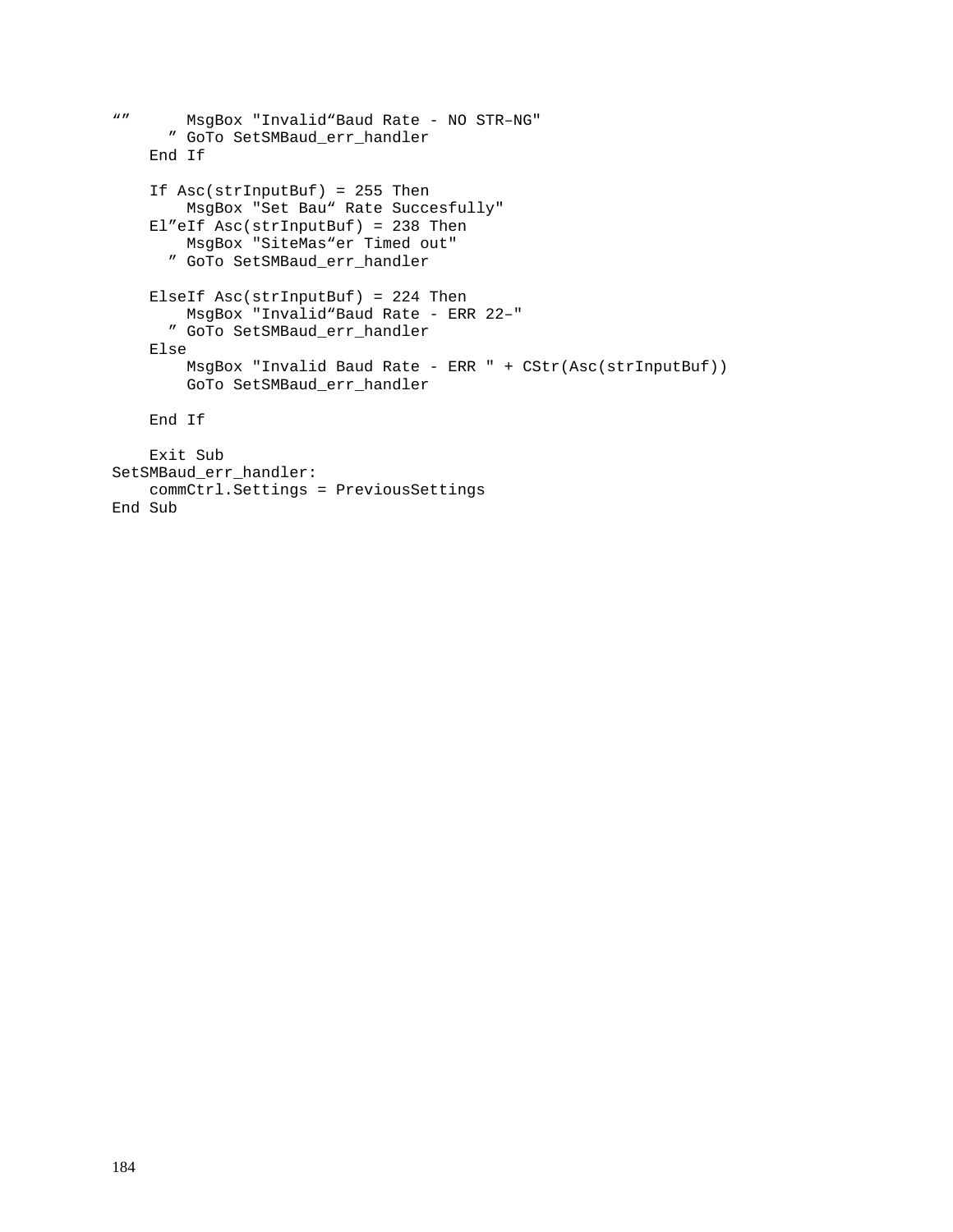```
"" MsgBox "Invalid"Baud Rate - NO STR–NG" 
       " GoTo SetSMBaud_err_handler 
     End If 
     If Asc(strInputBuf) = 255 Then 
        MsgBox "Set Bau" Rate Succesfully" 
     El"eIf Asc(strInputBuf) = 238 Then 
        MsgBox "SiteMas"er Timed out" 
       " GoTo SetSMBaud_err_handler 
     ElseIf Asc(strInputBuf) = 224 Then 
        MsgBox "Invalid"Baud Rate - ERR 22–" 
       " GoTo SetSMBaud_err_handler 
     Else 
         MsgBox "Invalid Baud Rate - ERR " + CStr(Asc(strInputBuf)) 
         GoTo SetSMBaud_err_handler 
     End If 
     Exit Sub 
SetSMBaud err handler:
     commCtrl.Settings = PreviousSettings 
End Sub
```